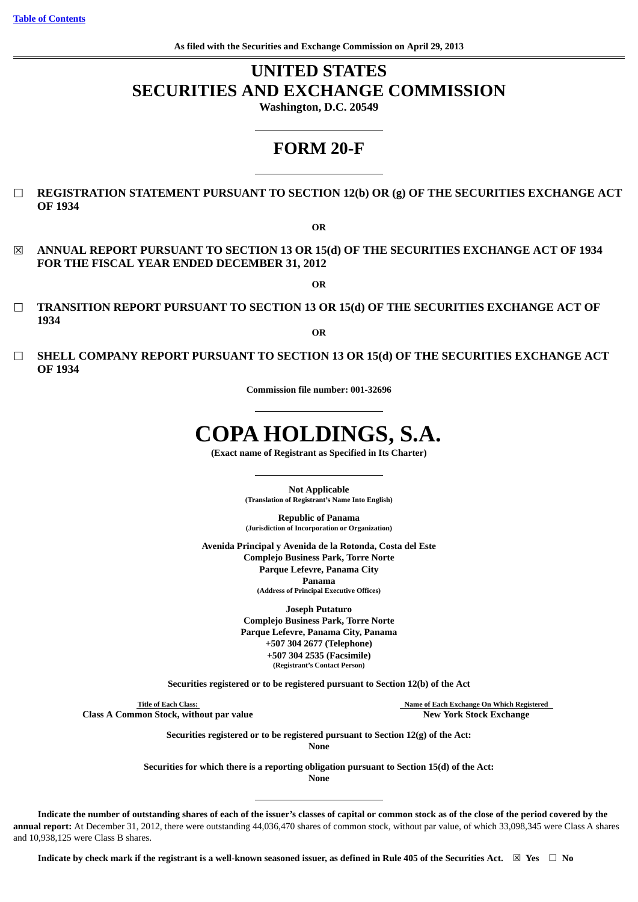# **UNITED STATES SECURITIES AND EXCHANGE COMMISSION**

**Washington, D.C. 20549**

# **FORM 20-F**

☐ **REGISTRATION STATEMENT PURSUANT TO SECTION 12(b) OR (g) OF THE SECURITIES EXCHANGE ACT OF 1934**

**OR**

☒ **ANNUAL REPORT PURSUANT TO SECTION 13 OR 15(d) OF THE SECURITIES EXCHANGE ACT OF 1934 FOR THE FISCAL YEAR ENDED DECEMBER 31, 2012**

**OR**

☐ **TRANSITION REPORT PURSUANT TO SECTION 13 OR 15(d) OF THE SECURITIES EXCHANGE ACT OF 1934**

**OR**

☐ **SHELL COMPANY REPORT PURSUANT TO SECTION 13 OR 15(d) OF THE SECURITIES EXCHANGE ACT OF 1934**

**Commission file number: 001-32696**

# **COPA HOLDINGS, S.A.**

**(Exact name of Registrant as Specified in Its Charter)**

**Not Applicable (Translation of Registrant's Name Into English)**

**Republic of Panama (Jurisdiction of Incorporation or Organization)**

**Avenida Principal y Avenida de la Rotonda, Costa del Este Complejo Business Park, Torre Norte Parque Lefevre, Panama City Panama**

**(Address of Principal Executive Offices)**

**Joseph Putaturo Complejo Business Park, Torre Norte Parque Lefevre, Panama City, Panama +507 304 2677 (Telephone) +507 304 2535 (Facsimile) (Registrant's Contact Person)**

**Securities registered or to be registered pursuant to Section 12(b) of the Act**

**Class A Common Stock, without par value New York Stock Exchange**

**Title of Each Class: Name of Each Exchange On Which Registered**

**Securities registered or to be registered pursuant to Section 12(g) of the Act: None**

**Securities for which there is a reporting obligation pursuant to Section 15(d) of the Act:**

**None**

**Indicate the number of outstanding shares of each of the issuer's classes of capital or common stock as of the close of the period covered by the annual report:** At December 31, 2012, there were outstanding 44,036,470 shares of common stock, without par value, of which 33,098,345 were Class A shares and 10,938,125 were Class B shares.

**Indicate by check mark if the registrant is a well-known seasoned issuer, as defined in Rule 405 of the Securities Act.** ☒ **Yes** ☐ **No**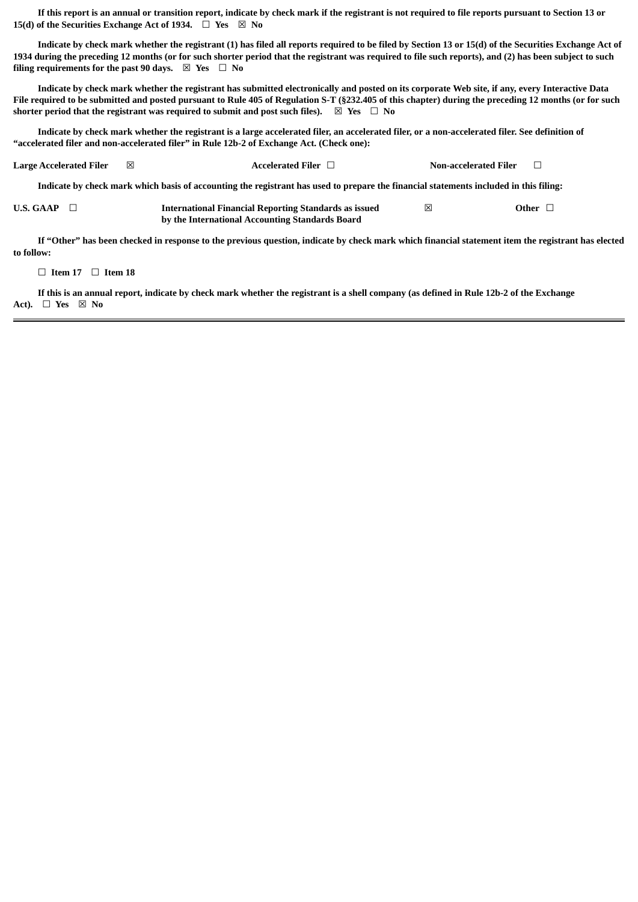**If this report is an annual or transition report, indicate by check mark if the registrant is not required to file reports pursuant to Section 13 or 15(d) of the Securities Exchange Act of 1934.** ☐ **Yes** ☒ **No**

**Indicate by check mark whether the registrant (1) has filed all reports required to be filed by Section 13 or 15(d) of the Securities Exchange Act of 1934 during the preceding 12 months (or for such shorter period that the registrant was required to file such reports), and (2) has been subject to such filing requirements for the past 90 days.**  $\boxtimes$  Yes  $\Box$  No

**Indicate by check mark whether the registrant has submitted electronically and posted on its corporate Web site, if any, every Interactive Data File required to be submitted and posted pursuant to Rule 405 of Regulation S-T (§232.405 of this chapter) during the preceding 12 months (or for such shorter period that the registrant was required to submit and post such files).** ☒ **Yes** ☐ **No**

**Indicate by check mark whether the registrant is a large accelerated filer, an accelerated filer, or a non-accelerated filer. See definition of "accelerated filer and non-accelerated filer" in Rule 12b-2 of Exchange Act. (Check one):**

**Large Accelerated Filer** ☒ **Accelerated Filer** ☐ **Non-accelerated Filer** ☐

**Indicate by check mark which basis of accounting the registrant has used to prepare the financial statements included in this filing:**

**U.S. GAAP** ☐ **International Financial Reporting Standards as issued by the International Accounting Standards Board** ☒ **Other** ☐

**If "Other" has been checked in response to the previous question, indicate by check mark which financial statement item the registrant has elected to follow:**

☐ **Item 17** ☐ **Item 18**

**If this is an annual report, indicate by check mark whether the registrant is a shell company (as defined in Rule 12b-2 of the Exchange Act).** ☐ **Yes** ☒ **No**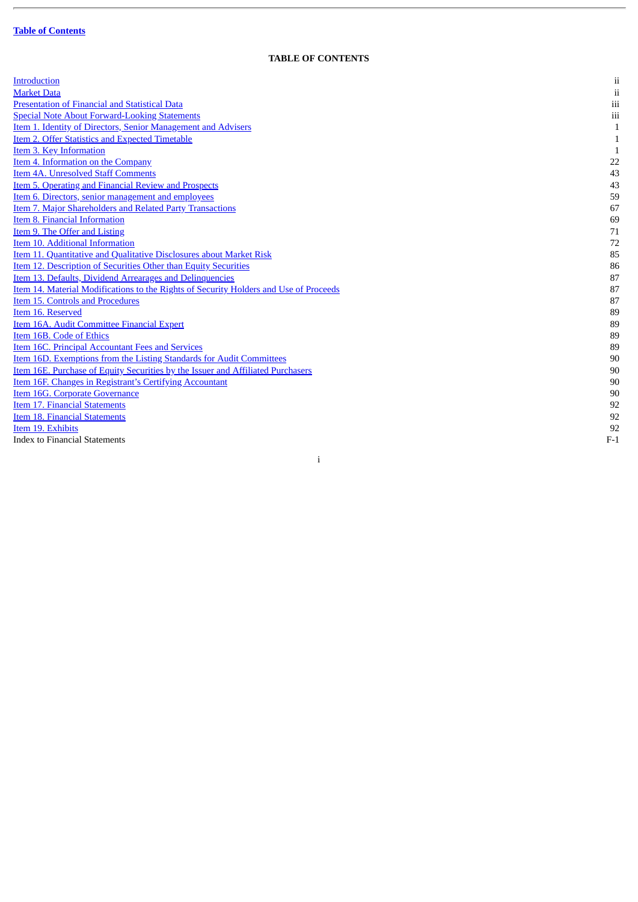Ē.

## **TABLE OF CONTENTS**

<span id="page-2-0"></span>

| Introduction                                                                          | $\,$ ii                 |
|---------------------------------------------------------------------------------------|-------------------------|
| <b>Market Data</b>                                                                    | $\rm ii$                |
| Presentation of Financial and Statistical Data                                        | iii                     |
| <b>Special Note About Forward-Looking Statements</b>                                  | $\overline{\text{iii}}$ |
| Item 1. Identity of Directors, Senior Management and Advisers                         | $\mathbf{1}$            |
| <b>Item 2. Offer Statistics and Expected Timetable</b>                                | $\mathbf{1}$            |
| Item 3. Key Information                                                               | $\mathbf{1}$            |
| Item 4. Information on the Company                                                    | 22                      |
| <b>Item 4A. Unresolved Staff Comments</b>                                             | 43                      |
| <b>Item 5. Operating and Financial Review and Prospects</b>                           | 43                      |
| Item 6. Directors, senior management and employees                                    | 59                      |
| Item 7. Major Shareholders and Related Party Transactions                             | 67                      |
| Item 8. Financial Information                                                         | 69                      |
| Item 9. The Offer and Listing                                                         | 71                      |
| Item 10. Additional Information                                                       | 72                      |
| Item 11. Quantitative and Qualitative Disclosures about Market Risk                   | 85                      |
| Item 12. Description of Securities Other than Equity Securities                       | 86                      |
| Item 13. Defaults, Dividend Arrearages and Delinquencies                              | 87                      |
| Item 14. Material Modifications to the Rights of Security Holders and Use of Proceeds | 87                      |
| <b>Item 15. Controls and Procedures</b>                                               | 87                      |
| Item 16. Reserved                                                                     | 89                      |
| Item 16A. Audit Committee Financial Expert                                            | 89                      |
| Item 16B. Code of Ethics                                                              | 89                      |
| <b>Item 16C. Principal Accountant Fees and Services</b>                               | 89                      |
| Item 16D. Exemptions from the Listing Standards for Audit Committees                  | 90                      |
| Item 16E. Purchase of Equity Securities by the Issuer and Affiliated Purchasers       | 90                      |
| Item 16F. Changes in Registrant's Certifying Accountant                               | 90                      |
| Item 16G. Corporate Governance                                                        | 90                      |
| Item 17. Financial Statements                                                         | 92                      |
| Item 18. Financial Statements                                                         | 92                      |
| Item 19. Exhibits                                                                     | 92                      |
| <b>Index to Financial Statements</b>                                                  | $F-1$                   |
| j                                                                                     |                         |
|                                                                                       |                         |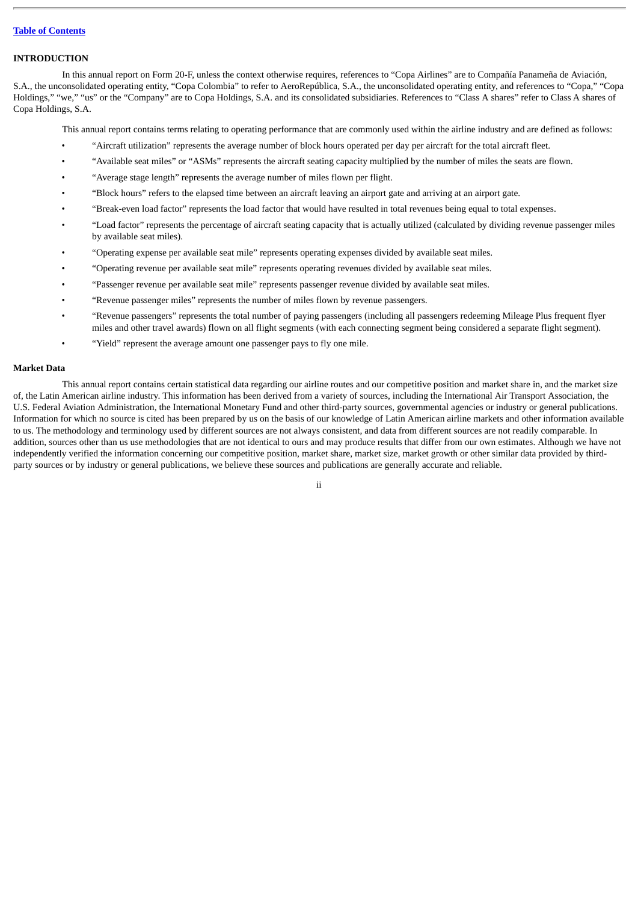## <span id="page-3-0"></span>**INTRODUCTION**

In this annual report on Form 20-F, unless the context otherwise requires, references to "Copa Airlines" are to Compañía Panameña de Aviación, S.A., the unconsolidated operating entity, "Copa Colombia" to refer to AeroRepública, S.A., the unconsolidated operating entity, and references to "Copa," "Copa Holdings," "we," "us" or the "Company" are to Copa Holdings, S.A. and its consolidated subsidiaries. References to "Class A shares" refer to Class A shares of Copa Holdings, S.A.

This annual report contains terms relating to operating performance that are commonly used within the airline industry and are defined as follows:

- "Aircraft utilization" represents the average number of block hours operated per day per aircraft for the total aircraft fleet.
- "Available seat miles" or "ASMs" represents the aircraft seating capacity multiplied by the number of miles the seats are flown.
- "Average stage length" represents the average number of miles flown per flight.
- "Block hours" refers to the elapsed time between an aircraft leaving an airport gate and arriving at an airport gate.
- "Break-even load factor" represents the load factor that would have resulted in total revenues being equal to total expenses.
- "Load factor" represents the percentage of aircraft seating capacity that is actually utilized (calculated by dividing revenue passenger miles by available seat miles).
- "Operating expense per available seat mile" represents operating expenses divided by available seat miles.
- "Operating revenue per available seat mile" represents operating revenues divided by available seat miles.
- "Passenger revenue per available seat mile" represents passenger revenue divided by available seat miles.
- "Revenue passenger miles" represents the number of miles flown by revenue passengers.
- "Revenue passengers" represents the total number of paying passengers (including all passengers redeeming Mileage Plus frequent flyer miles and other travel awards) flown on all flight segments (with each connecting segment being considered a separate flight segment).
- "Yield" represent the average amount one passenger pays to fly one mile.

#### <span id="page-3-1"></span>**Market Data**

This annual report contains certain statistical data regarding our airline routes and our competitive position and market share in, and the market size of, the Latin American airline industry. This information has been derived from a variety of sources, including the International Air Transport Association, the U.S. Federal Aviation Administration, the International Monetary Fund and other third-party sources, governmental agencies or industry or general publications. Information for which no source is cited has been prepared by us on the basis of our knowledge of Latin American airline markets and other information available to us. The methodology and terminology used by different sources are not always consistent, and data from different sources are not readily comparable. In addition, sources other than us use methodologies that are not identical to ours and may produce results that differ from our own estimates. Although we have not independently verified the information concerning our competitive position, market share, market size, market growth or other similar data provided by thirdparty sources or by industry or general publications, we believe these sources and publications are generally accurate and reliable.

ii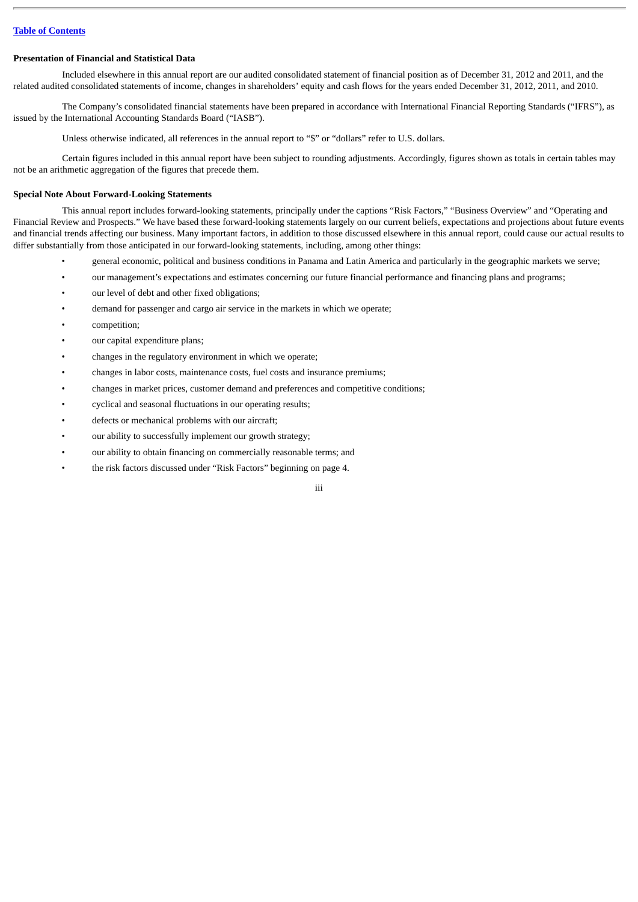## <span id="page-4-0"></span>**Presentation of Financial and Statistical Data**

Included elsewhere in this annual report are our audited consolidated statement of financial position as of December 31, 2012 and 2011, and the related audited consolidated statements of income, changes in shareholders' equity and cash flows for the years ended December 31, 2012, 2011, and 2010.

The Company's consolidated financial statements have been prepared in accordance with International Financial Reporting Standards ("IFRS"), as issued by the International Accounting Standards Board ("IASB").

Unless otherwise indicated, all references in the annual report to "\$" or "dollars" refer to U.S. dollars.

Certain figures included in this annual report have been subject to rounding adjustments. Accordingly, figures shown as totals in certain tables may not be an arithmetic aggregation of the figures that precede them.

## <span id="page-4-1"></span>**Special Note About Forward-Looking Statements**

This annual report includes forward-looking statements, principally under the captions "Risk Factors," "Business Overview" and "Operating and Financial Review and Prospects." We have based these forward-looking statements largely on our current beliefs, expectations and projections about future events and financial trends affecting our business. Many important factors, in addition to those discussed elsewhere in this annual report, could cause our actual results to differ substantially from those anticipated in our forward-looking statements, including, among other things:

- general economic, political and business conditions in Panama and Latin America and particularly in the geographic markets we serve;
- our management's expectations and estimates concerning our future financial performance and financing plans and programs;
- our level of debt and other fixed obligations;
- demand for passenger and cargo air service in the markets in which we operate;
- competition;
- our capital expenditure plans;
- changes in the regulatory environment in which we operate;
- changes in labor costs, maintenance costs, fuel costs and insurance premiums;
- changes in market prices, customer demand and preferences and competitive conditions;
- cyclical and seasonal fluctuations in our operating results;
- defects or mechanical problems with our aircraft;
- our ability to successfully implement our growth strategy;
- our ability to obtain financing on commercially reasonable terms; and
- the risk factors discussed under "Risk Factors" beginning on page 4.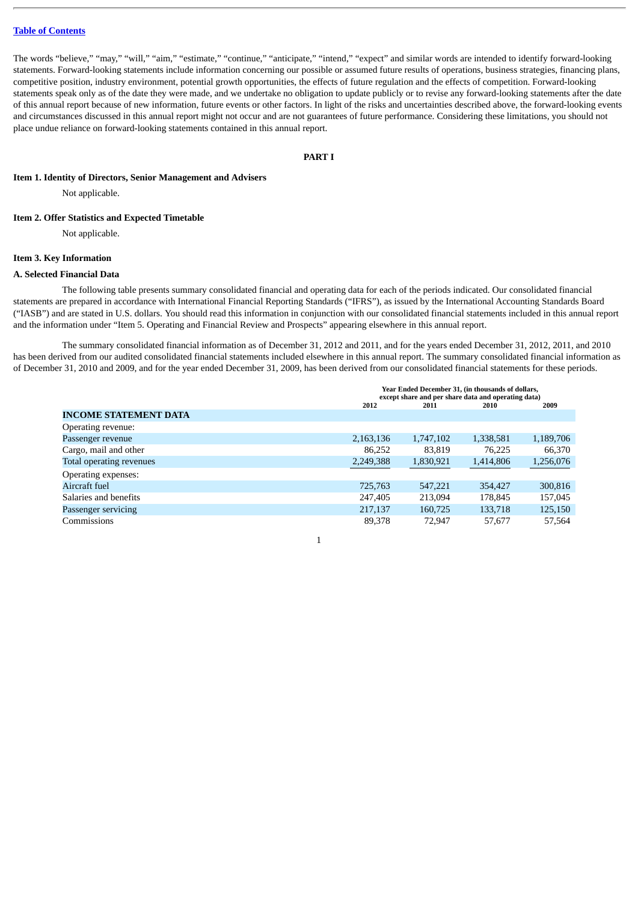The words "believe," "may," "will," "aim," "estimate," "continue," "anticipate," "intend," "expect" and similar words are intended to identify forward-looking statements. Forward-looking statements include information concerning our possible or assumed future results of operations, business strategies, financing plans, competitive position, industry environment, potential growth opportunities, the effects of future regulation and the effects of competition. Forward-looking statements speak only as of the date they were made, and we undertake no obligation to update publicly or to revise any forward-looking statements after the date of this annual report because of new information, future events or other factors. In light of the risks and uncertainties described above, the forward-looking events and circumstances discussed in this annual report might not occur and are not guarantees of future performance. Considering these limitations, you should not place undue reliance on forward-looking statements contained in this annual report.

#### **PART I**

## <span id="page-5-0"></span>**Item 1. Identity of Directors, Senior Management and Advisers**

Not applicable.

## <span id="page-5-1"></span>**Item 2. Offer Statistics and Expected Timetable**

Not applicable.

## <span id="page-5-2"></span>**Item 3. Key Information**

#### **A. Selected Financial Data**

The following table presents summary consolidated financial and operating data for each of the periods indicated. Our consolidated financial statements are prepared in accordance with International Financial Reporting Standards ("IFRS"), as issued by the International Accounting Standards Board ("IASB") and are stated in U.S. dollars. You should read this information in conjunction with our consolidated financial statements included in this annual report and the information under "Item 5. Operating and Financial Review and Prospects" appearing elsewhere in this annual report.

The summary consolidated financial information as of December 31, 2012 and 2011, and for the years ended December 31, 2012, 2011, and 2010 has been derived from our audited consolidated financial statements included elsewhere in this annual report. The summary consolidated financial information as of December 31, 2010 and 2009, and for the year ended December 31, 2009, has been derived from our consolidated financial statements for these periods.

|                              | Year Ended December 31, (in thousands of dollars,<br>except share and per share data and operating data) |           |           |           |
|------------------------------|----------------------------------------------------------------------------------------------------------|-----------|-----------|-----------|
|                              | 2012                                                                                                     | 2011      | 2010      | 2009      |
| <b>INCOME STATEMENT DATA</b> |                                                                                                          |           |           |           |
| Operating revenue:           |                                                                                                          |           |           |           |
| Passenger revenue            | 2,163,136                                                                                                | 1,747,102 | 1,338,581 | 1,189,706 |
| Cargo, mail and other        | 86,252                                                                                                   | 83,819    | 76,225    | 66,370    |
| Total operating revenues     | 2,249,388                                                                                                | 1,830,921 | 1,414,806 | 1,256,076 |
| Operating expenses:          |                                                                                                          |           |           |           |
| Aircraft fuel                | 725,763                                                                                                  | 547,221   | 354,427   | 300,816   |
| Salaries and benefits        | 247,405                                                                                                  | 213,094   | 178.845   | 157,045   |
| Passenger servicing          | 217,137                                                                                                  | 160,725   | 133,718   | 125,150   |
| Commissions                  | 89,378                                                                                                   | 72,947    | 57,677    | 57,564    |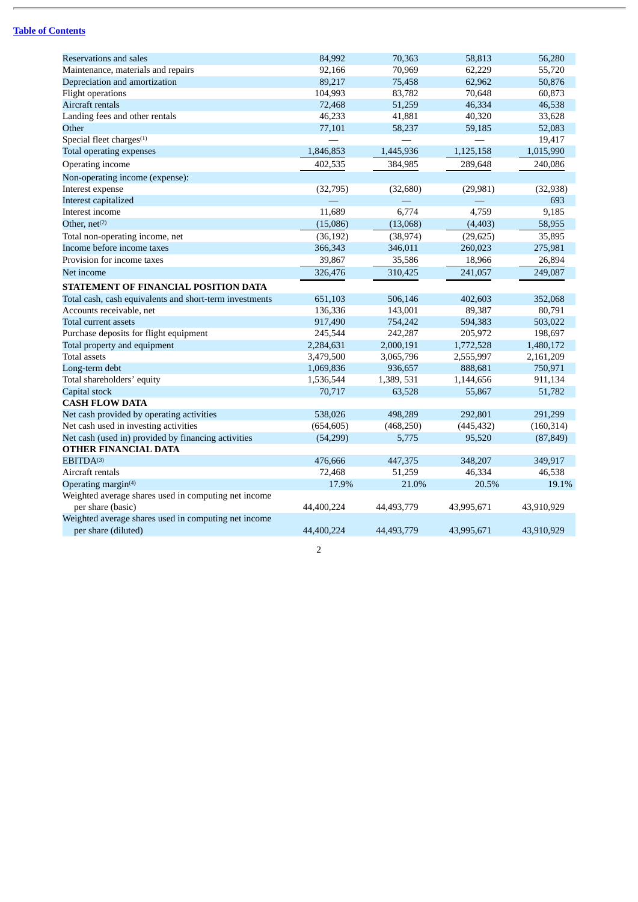Ē.

| Reservations and sales                                  | 84,992     | 70,363     | 58,813     | 56,280     |
|---------------------------------------------------------|------------|------------|------------|------------|
| Maintenance, materials and repairs                      | 92,166     | 70,969     | 62,229     | 55,720     |
| Depreciation and amortization                           | 89,217     | 75,458     | 62,962     | 50,876     |
| <b>Flight operations</b>                                | 104,993    | 83,782     | 70,648     | 60,873     |
| Aircraft rentals                                        | 72,468     | 51,259     | 46,334     | 46,538     |
| Landing fees and other rentals                          | 46,233     | 41,881     | 40,320     | 33,628     |
| Other                                                   | 77,101     | 58,237     | 59,185     | 52,083     |
| Special fleet charges <sup>(1)</sup>                    |            |            |            | 19,417     |
| Total operating expenses                                | 1,846,853  | 1,445,936  | 1,125,158  | 1,015,990  |
| Operating income                                        | 402,535    | 384,985    | 289,648    | 240,086    |
| Non-operating income (expense):                         |            |            |            |            |
| Interest expense                                        | (32,795)   | (32, 680)  | (29, 981)  | (32, 938)  |
| Interest capitalized                                    |            |            |            | 693        |
| Interest income                                         | 11,689     | 6,774      | 4,759      | 9,185      |
| Other, net(2)                                           | (15,086)   | (13,068)   | (4, 403)   | 58,955     |
| Total non-operating income, net                         | (36, 192)  | (38, 974)  | (29, 625)  | 35,895     |
| Income before income taxes                              | 366,343    | 346,011    | 260,023    | 275,981    |
| Provision for income taxes                              | 39,867     | 35,586     | 18,966     | 26,894     |
| Net income                                              | 326,476    | 310,425    | 241,057    | 249,087    |
| <b>STATEMENT OF FINANCIAL POSITION DATA</b>             |            |            |            |            |
| Total cash, cash equivalents and short-term investments | 651,103    | 506,146    | 402,603    | 352,068    |
| Accounts receivable, net                                | 136,336    | 143,001    | 89,387     | 80,791     |
| Total current assets                                    | 917,490    | 754,242    | 594,383    | 503,022    |
| Purchase deposits for flight equipment                  | 245,544    | 242,287    | 205,972    | 198,697    |
| Total property and equipment                            | 2,284,631  | 2,000,191  | 1,772,528  | 1,480,172  |
| <b>Total assets</b>                                     | 3,479,500  | 3,065,796  | 2,555,997  | 2,161,209  |
| Long-term debt                                          | 1,069,836  | 936,657    | 888,681    | 750,971    |
| Total shareholders' equity                              | 1,536,544  | 1,389, 531 | 1,144,656  | 911,134    |
| Capital stock                                           | 70,717     | 63,528     | 55,867     | 51,782     |
| <b>CASH FLOW DATA</b>                                   |            |            |            |            |
| Net cash provided by operating activities               | 538,026    | 498,289    | 292,801    | 291,299    |
| Net cash used in investing activities                   | (654, 605) | (468, 250) | (445, 432) | (160, 314) |
| Net cash (used in) provided by financing activities     | (54,299)   | 5,775      | 95,520     | (87, 849)  |
| <b>OTHER FINANCIAL DATA</b>                             |            |            |            |            |
| EBITDA(3)                                               | 476,666    | 447,375    | 348,207    | 349,917    |
| Aircraft rentals                                        | 72,468     | 51,259     | 46,334     | 46,538     |
| Operating margin <sup>(4)</sup>                         | 17.9%      | 21.0%      | 20.5%      | 19.1%      |
| Weighted average shares used in computing net income    |            |            |            |            |
| per share (basic)                                       | 44,400,224 | 44,493,779 | 43,995,671 | 43,910,929 |
| Weighted average shares used in computing net income    |            |            |            |            |
| per share (diluted)                                     | 44,400,224 | 44,493,779 | 43,995,671 | 43,910,929 |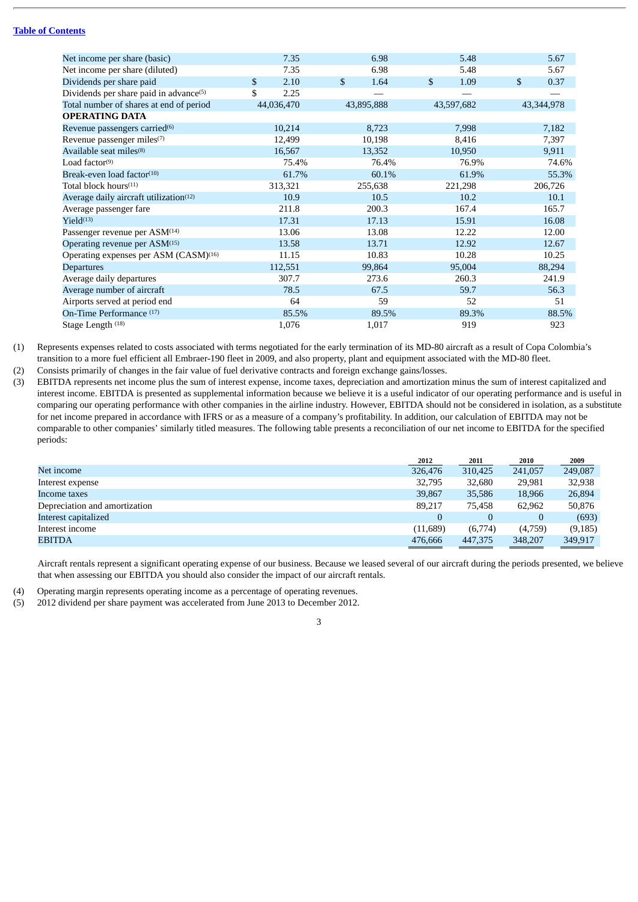| Net income per share (basic)                       | 7.35       | 6.98       | 5.48       | 5.67       |
|----------------------------------------------------|------------|------------|------------|------------|
| Net income per share (diluted)                     | 7.35       | 6.98       | 5.48       | 5.67       |
| Dividends per share paid                           | \$<br>2.10 | \$<br>1.64 | \$<br>1.09 | \$<br>0.37 |
| Dividends per share paid in advance <sup>(5)</sup> | \$<br>2.25 |            |            |            |
| Total number of shares at end of period            | 44,036,470 | 43,895,888 | 43,597,682 | 43,344,978 |
| <b>OPERATING DATA</b>                              |            |            |            |            |
| Revenue passengers carried <sup>(6)</sup>          | 10,214     | 8,723      | 7,998      | 7,182      |
| Revenue passenger miles(7)                         | 12,499     | 10,198     | 8,416      | 7,397      |
| Available seat miles <sup>(8)</sup>                | 16,567     | 13,352     | 10,950     | 9,911      |
| Load factor <sup>(9)</sup>                         | 75.4%      | 76.4%      | 76.9%      | 74.6%      |
| Break-even load factor(10)                         | 61.7%      | 60.1%      | 61.9%      | 55.3%      |
| Total block hours <sup>(11)</sup>                  | 313,321    | 255,638    | 221,298    | 206,726    |
| Average daily aircraft utilization <sup>(12)</sup> | 10.9       | 10.5       | 10.2       | 10.1       |
| Average passenger fare                             | 211.8      | 200.3      | 167.4      | 165.7      |
| Yield <sup>(13)</sup>                              | 17.31      | 17.13      | 15.91      | 16.08      |
| Passenger revenue per ASM <sup>(14)</sup>          | 13.06      | 13.08      | 12.22      | 12.00      |
| Operating revenue per ASM(15)                      | 13.58      | 13.71      | 12.92      | 12.67      |
| Operating expenses per ASM (CASM) <sup>(16)</sup>  | 11.15      | 10.83      | 10.28      | 10.25      |
| <b>Departures</b>                                  | 112,551    | 99,864     | 95,004     | 88,294     |
| Average daily departures                           | 307.7      | 273.6      | 260.3      | 241.9      |
| Average number of aircraft                         | 78.5       | 67.5       | 59.7       | 56.3       |
| Airports served at period end                      | 64         | 59         | 52         | 51         |
| On-Time Performance (17)                           | 85.5%      | 89.5%      | 89.3%      | 88.5%      |
| Stage Length (18)                                  | 1,076      | 1,017      | 919        | 923        |

(1) Represents expenses related to costs associated with terms negotiated for the early termination of its MD-80 aircraft as a result of Copa Colombia's transition to a more fuel efficient all Embraer-190 fleet in 2009, and also property, plant and equipment associated with the MD-80 fleet.

(2) Consists primarily of changes in the fair value of fuel derivative contracts and foreign exchange gains/losses.

(3) EBITDA represents net income plus the sum of interest expense, income taxes, depreciation and amortization minus the sum of interest capitalized and interest income. EBITDA is presented as supplemental information because we believe it is a useful indicator of our operating performance and is useful in comparing our operating performance with other companies in the airline industry. However, EBITDA should not be considered in isolation, as a substitute for net income prepared in accordance with IFRS or as a measure of a company's profitability. In addition, our calculation of EBITDA may not be comparable to other companies' similarly titled measures. The following table presents a reconciliation of our net income to EBITDA for the specified periods:

|                               | 2012     | 2011    | 2010    | 2009     |
|-------------------------------|----------|---------|---------|----------|
| Net income                    | 326,476  | 310,425 | 241,057 | 249,087  |
| Interest expense              | 32,795   | 32,680  | 29,981  | 32,938   |
| Income taxes                  | 39,867   | 35,586  | 18,966  | 26,894   |
| Depreciation and amortization | 89,217   | 75.458  | 62,962  | 50,876   |
| Interest capitalized          | 0        |         |         | (693)    |
| Interest income               | (11,689) | (6,774) | (4,759) | (9, 185) |
| EBITDA                        | 476,666  | 447,375 | 348,207 | 349,917  |

Aircraft rentals represent a significant operating expense of our business. Because we leased several of our aircraft during the periods presented, we believe that when assessing our EBITDA you should also consider the impact of our aircraft rentals.

(4) Operating margin represents operating income as a percentage of operating revenues.

(5) 2012 dividend per share payment was accelerated from June 2013 to December 2012.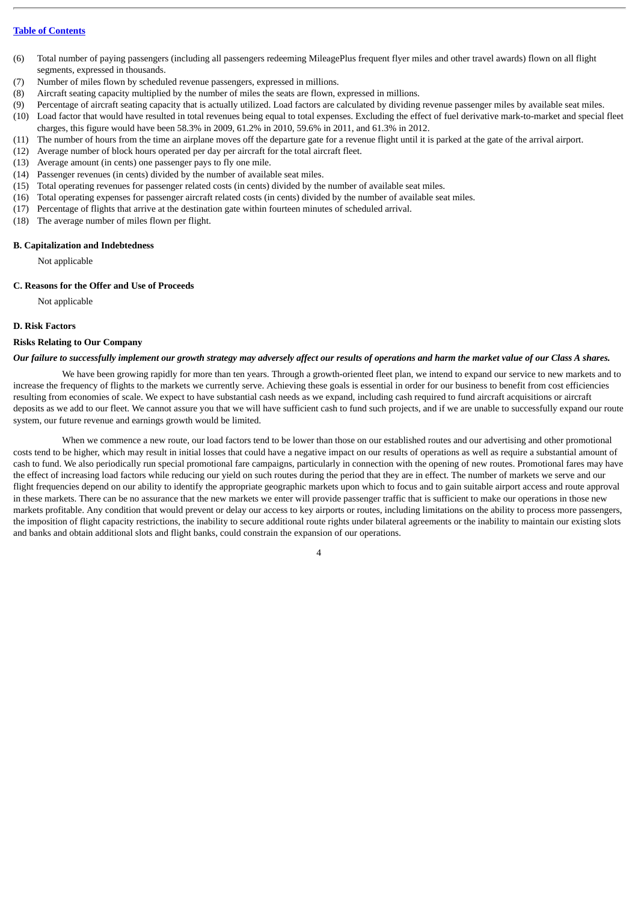- (6) Total number of paying passengers (including all passengers redeeming MileagePlus frequent flyer miles and other travel awards) flown on all flight segments, expressed in thousands.
- (7) Number of miles flown by scheduled revenue passengers, expressed in millions.
- (8) Aircraft seating capacity multiplied by the number of miles the seats are flown, expressed in millions.
- (9) Percentage of aircraft seating capacity that is actually utilized. Load factors are calculated by dividing revenue passenger miles by available seat miles.
- (10) Load factor that would have resulted in total revenues being equal to total expenses. Excluding the effect of fuel derivative mark-to-market and special fleet charges, this figure would have been 58.3% in 2009, 61.2% in 2010, 59.6% in 2011, and 61.3% in 2012.
- (11) The number of hours from the time an airplane moves off the departure gate for a revenue flight until it is parked at the gate of the arrival airport.
- (12) Average number of block hours operated per day per aircraft for the total aircraft fleet.
- (13) Average amount (in cents) one passenger pays to fly one mile.
- (14) Passenger revenues (in cents) divided by the number of available seat miles.
- (15) Total operating revenues for passenger related costs (in cents) divided by the number of available seat miles.
- (16) Total operating expenses for passenger aircraft related costs (in cents) divided by the number of available seat miles.
- (17) Percentage of flights that arrive at the destination gate within fourteen minutes of scheduled arrival.
- (18) The average number of miles flown per flight.

#### **B. Capitalization and Indebtedness**

Not applicable

## **C. Reasons for the Offer and Use of Proceeds**

Not applicable

## **D. Risk Factors**

## **Risks Relating to Our Company**

## *Our failure to successfully implement our growth strategy may adversely affect our results of operations and harm the market value of our Class A shares.*

We have been growing rapidly for more than ten years. Through a growth-oriented fleet plan, we intend to expand our service to new markets and to increase the frequency of flights to the markets we currently serve. Achieving these goals is essential in order for our business to benefit from cost efficiencies resulting from economies of scale. We expect to have substantial cash needs as we expand, including cash required to fund aircraft acquisitions or aircraft deposits as we add to our fleet. We cannot assure you that we will have sufficient cash to fund such projects, and if we are unable to successfully expand our route system, our future revenue and earnings growth would be limited.

When we commence a new route, our load factors tend to be lower than those on our established routes and our advertising and other promotional costs tend to be higher, which may result in initial losses that could have a negative impact on our results of operations as well as require a substantial amount of cash to fund. We also periodically run special promotional fare campaigns, particularly in connection with the opening of new routes. Promotional fares may have the effect of increasing load factors while reducing our yield on such routes during the period that they are in effect. The number of markets we serve and our flight frequencies depend on our ability to identify the appropriate geographic markets upon which to focus and to gain suitable airport access and route approval in these markets. There can be no assurance that the new markets we enter will provide passenger traffic that is sufficient to make our operations in those new markets profitable. Any condition that would prevent or delay our access to key airports or routes, including limitations on the ability to process more passengers, the imposition of flight capacity restrictions, the inability to secure additional route rights under bilateral agreements or the inability to maintain our existing slots and banks and obtain additional slots and flight banks, could constrain the expansion of our operations.

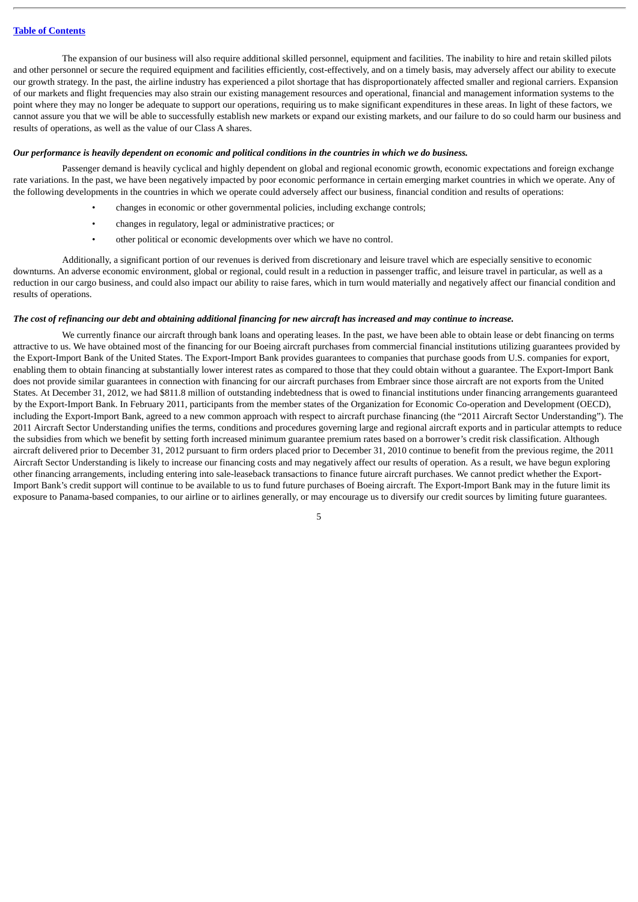The expansion of our business will also require additional skilled personnel, equipment and facilities. The inability to hire and retain skilled pilots and other personnel or secure the required equipment and facilities efficiently, cost-effectively, and on a timely basis, may adversely affect our ability to execute our growth strategy. In the past, the airline industry has experienced a pilot shortage that has disproportionately affected smaller and regional carriers. Expansion of our markets and flight frequencies may also strain our existing management resources and operational, financial and management information systems to the point where they may no longer be adequate to support our operations, requiring us to make significant expenditures in these areas. In light of these factors, we cannot assure you that we will be able to successfully establish new markets or expand our existing markets, and our failure to do so could harm our business and results of operations, as well as the value of our Class A shares.

#### *Our performance is heavily dependent on economic and political conditions in the countries in which we do business.*

Passenger demand is heavily cyclical and highly dependent on global and regional economic growth, economic expectations and foreign exchange rate variations. In the past, we have been negatively impacted by poor economic performance in certain emerging market countries in which we operate. Any of the following developments in the countries in which we operate could adversely affect our business, financial condition and results of operations:

- changes in economic or other governmental policies, including exchange controls;
- changes in regulatory, legal or administrative practices; or
- other political or economic developments over which we have no control.

Additionally, a significant portion of our revenues is derived from discretionary and leisure travel which are especially sensitive to economic downturns. An adverse economic environment, global or regional, could result in a reduction in passenger traffic, and leisure travel in particular, as well as a reduction in our cargo business, and could also impact our ability to raise fares, which in turn would materially and negatively affect our financial condition and results of operations.

#### *The cost of refinancing our debt and obtaining additional financing for new aircraft has increased and may continue to increase.*

We currently finance our aircraft through bank loans and operating leases. In the past, we have been able to obtain lease or debt financing on terms attractive to us. We have obtained most of the financing for our Boeing aircraft purchases from commercial financial institutions utilizing guarantees provided by the Export-Import Bank of the United States. The Export-Import Bank provides guarantees to companies that purchase goods from U.S. companies for export, enabling them to obtain financing at substantially lower interest rates as compared to those that they could obtain without a guarantee. The Export-Import Bank does not provide similar guarantees in connection with financing for our aircraft purchases from Embraer since those aircraft are not exports from the United States. At December 31, 2012, we had \$811.8 million of outstanding indebtedness that is owed to financial institutions under financing arrangements guaranteed by the Export-Import Bank. In February 2011, participants from the member states of the Organization for Economic Co-operation and Development (OECD), including the Export-Import Bank, agreed to a new common approach with respect to aircraft purchase financing (the "2011 Aircraft Sector Understanding"). The 2011 Aircraft Sector Understanding unifies the terms, conditions and procedures governing large and regional aircraft exports and in particular attempts to reduce the subsidies from which we benefit by setting forth increased minimum guarantee premium rates based on a borrower's credit risk classification. Although aircraft delivered prior to December 31, 2012 pursuant to firm orders placed prior to December 31, 2010 continue to benefit from the previous regime, the 2011 Aircraft Sector Understanding is likely to increase our financing costs and may negatively affect our results of operation. As a result, we have begun exploring other financing arrangements, including entering into sale-leaseback transactions to finance future aircraft purchases. We cannot predict whether the Export-Import Bank's credit support will continue to be available to us to fund future purchases of Boeing aircraft. The Export-Import Bank may in the future limit its exposure to Panama-based companies, to our airline or to airlines generally, or may encourage us to diversify our credit sources by limiting future guarantees.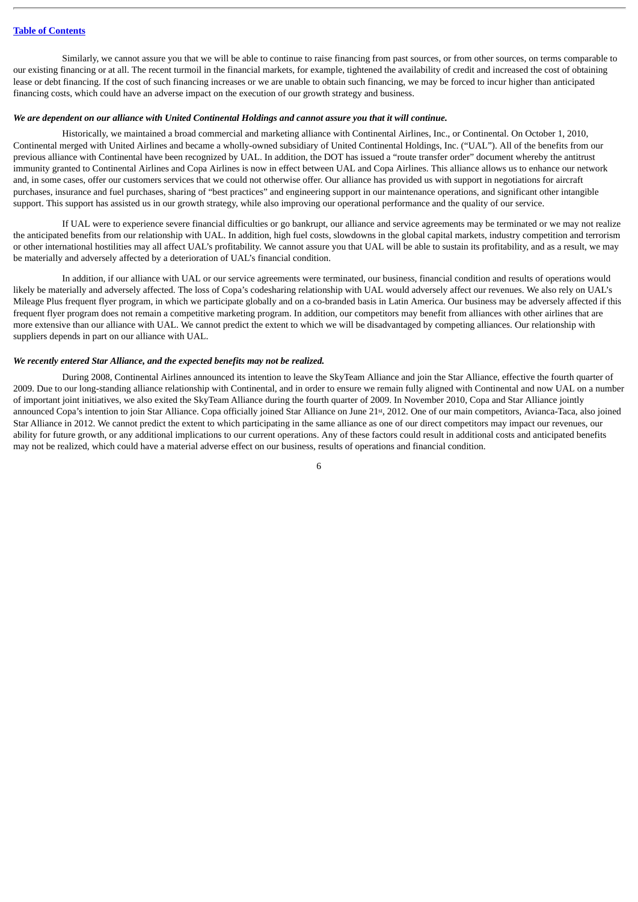Similarly, we cannot assure you that we will be able to continue to raise financing from past sources, or from other sources, on terms comparable to our existing financing or at all. The recent turmoil in the financial markets, for example, tightened the availability of credit and increased the cost of obtaining lease or debt financing. If the cost of such financing increases or we are unable to obtain such financing, we may be forced to incur higher than anticipated financing costs, which could have an adverse impact on the execution of our growth strategy and business.

#### *We are dependent on our alliance with United Continental Holdings and cannot assure you that it will continue.*

Historically, we maintained a broad commercial and marketing alliance with Continental Airlines, Inc., or Continental. On October 1, 2010, Continental merged with United Airlines and became a wholly-owned subsidiary of United Continental Holdings, Inc. ("UAL"). All of the benefits from our previous alliance with Continental have been recognized by UAL. In addition, the DOT has issued a "route transfer order" document whereby the antitrust immunity granted to Continental Airlines and Copa Airlines is now in effect between UAL and Copa Airlines. This alliance allows us to enhance our network and, in some cases, offer our customers services that we could not otherwise offer. Our alliance has provided us with support in negotiations for aircraft purchases, insurance and fuel purchases, sharing of "best practices" and engineering support in our maintenance operations, and significant other intangible support. This support has assisted us in our growth strategy, while also improving our operational performance and the quality of our service.

If UAL were to experience severe financial difficulties or go bankrupt, our alliance and service agreements may be terminated or we may not realize the anticipated benefits from our relationship with UAL. In addition, high fuel costs, slowdowns in the global capital markets, industry competition and terrorism or other international hostilities may all affect UAL's profitability. We cannot assure you that UAL will be able to sustain its profitability, and as a result, we may be materially and adversely affected by a deterioration of UAL's financial condition.

In addition, if our alliance with UAL or our service agreements were terminated, our business, financial condition and results of operations would likely be materially and adversely affected. The loss of Copa's codesharing relationship with UAL would adversely affect our revenues. We also rely on UAL's Mileage Plus frequent flyer program, in which we participate globally and on a co-branded basis in Latin America. Our business may be adversely affected if this frequent flyer program does not remain a competitive marketing program. In addition, our competitors may benefit from alliances with other airlines that are more extensive than our alliance with UAL. We cannot predict the extent to which we will be disadvantaged by competing alliances. Our relationship with suppliers depends in part on our alliance with UAL.

## *We recently entered Star Alliance, and the expected benefits may not be realized.*

During 2008, Continental Airlines announced its intention to leave the SkyTeam Alliance and join the Star Alliance, effective the fourth quarter of 2009. Due to our long-standing alliance relationship with Continental, and in order to ensure we remain fully aligned with Continental and now UAL on a number of important joint initiatives, we also exited the SkyTeam Alliance during the fourth quarter of 2009. In November 2010, Copa and Star Alliance jointly announced Copa's intention to join Star Alliance. Copa officially joined Star Alliance on June 21<sup>st</sup>, 2012. One of our main competitors, Avianca-Taca, also joined Star Alliance in 2012. We cannot predict the extent to which participating in the same alliance as one of our direct competitors may impact our revenues, our ability for future growth, or any additional implications to our current operations. Any of these factors could result in additional costs and anticipated benefits may not be realized, which could have a material adverse effect on our business, results of operations and financial condition.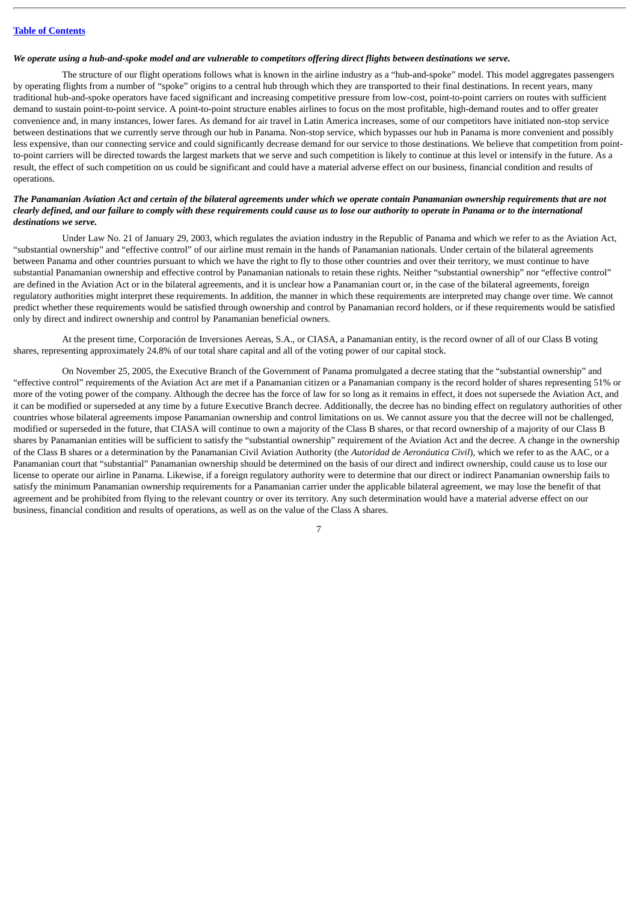#### *We operate using a hub-and-spoke model and are vulnerable to competitors offering direct flights between destinations we serve.*

The structure of our flight operations follows what is known in the airline industry as a "hub-and-spoke" model. This model aggregates passengers by operating flights from a number of "spoke" origins to a central hub through which they are transported to their final destinations. In recent years, many traditional hub-and-spoke operators have faced significant and increasing competitive pressure from low-cost, point-to-point carriers on routes with sufficient demand to sustain point-to-point service. A point-to-point structure enables airlines to focus on the most profitable, high-demand routes and to offer greater convenience and, in many instances, lower fares. As demand for air travel in Latin America increases, some of our competitors have initiated non-stop service between destinations that we currently serve through our hub in Panama. Non-stop service, which bypasses our hub in Panama is more convenient and possibly less expensive, than our connecting service and could significantly decrease demand for our service to those destinations. We believe that competition from pointto-point carriers will be directed towards the largest markets that we serve and such competition is likely to continue at this level or intensify in the future. As a result, the effect of such competition on us could be significant and could have a material adverse effect on our business, financial condition and results of operations.

## *The Panamanian Aviation Act and certain of the bilateral agreements under which we operate contain Panamanian ownership requirements that are not clearly defined, and our failure to comply with these requirements could cause us to lose our authority to operate in Panama or to the international destinations we serve.*

Under Law No. 21 of January 29, 2003, which regulates the aviation industry in the Republic of Panama and which we refer to as the Aviation Act, "substantial ownership" and "effective control" of our airline must remain in the hands of Panamanian nationals. Under certain of the bilateral agreements between Panama and other countries pursuant to which we have the right to fly to those other countries and over their territory, we must continue to have substantial Panamanian ownership and effective control by Panamanian nationals to retain these rights. Neither "substantial ownership" nor "effective control" are defined in the Aviation Act or in the bilateral agreements, and it is unclear how a Panamanian court or, in the case of the bilateral agreements, foreign regulatory authorities might interpret these requirements. In addition, the manner in which these requirements are interpreted may change over time. We cannot predict whether these requirements would be satisfied through ownership and control by Panamanian record holders, or if these requirements would be satisfied only by direct and indirect ownership and control by Panamanian beneficial owners.

At the present time, Corporación de Inversiones Aereas, S.A., or CIASA, a Panamanian entity, is the record owner of all of our Class B voting shares, representing approximately 24.8% of our total share capital and all of the voting power of our capital stock.

On November 25, 2005, the Executive Branch of the Government of Panama promulgated a decree stating that the "substantial ownership" and "effective control" requirements of the Aviation Act are met if a Panamanian citizen or a Panamanian company is the record holder of shares representing 51% or more of the voting power of the company. Although the decree has the force of law for so long as it remains in effect, it does not supersede the Aviation Act, and it can be modified or superseded at any time by a future Executive Branch decree. Additionally, the decree has no binding effect on regulatory authorities of other countries whose bilateral agreements impose Panamanian ownership and control limitations on us. We cannot assure you that the decree will not be challenged, modified or superseded in the future, that CIASA will continue to own a majority of the Class B shares, or that record ownership of a majority of our Class B shares by Panamanian entities will be sufficient to satisfy the "substantial ownership" requirement of the Aviation Act and the decree. A change in the ownership of the Class B shares or a determination by the Panamanian Civil Aviation Authority (the *Autoridad de Aeronáutica Civil*), which we refer to as the AAC, or a Panamanian court that "substantial" Panamanian ownership should be determined on the basis of our direct and indirect ownership, could cause us to lose our license to operate our airline in Panama. Likewise, if a foreign regulatory authority were to determine that our direct or indirect Panamanian ownership fails to satisfy the minimum Panamanian ownership requirements for a Panamanian carrier under the applicable bilateral agreement, we may lose the benefit of that agreement and be prohibited from flying to the relevant country or over its territory. Any such determination would have a material adverse effect on our business, financial condition and results of operations, as well as on the value of the Class A shares.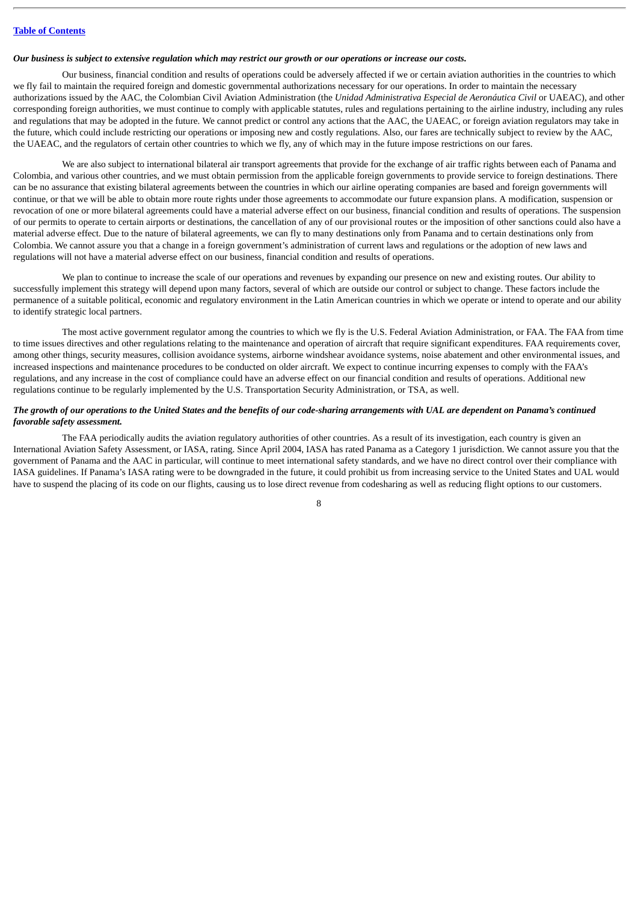#### *Our business is subject to extensive regulation which may restrict our growth or our operations or increase our costs.*

Our business, financial condition and results of operations could be adversely affected if we or certain aviation authorities in the countries to which we fly fail to maintain the required foreign and domestic governmental authorizations necessary for our operations. In order to maintain the necessary authorizations issued by the AAC, the Colombian Civil Aviation Administration (the *Unidad Administrativa Especial de Aeronáutica Civil* or UAEAC), and other corresponding foreign authorities, we must continue to comply with applicable statutes, rules and regulations pertaining to the airline industry, including any rules and regulations that may be adopted in the future. We cannot predict or control any actions that the AAC, the UAEAC, or foreign aviation regulators may take in the future, which could include restricting our operations or imposing new and costly regulations. Also, our fares are technically subject to review by the AAC, the UAEAC, and the regulators of certain other countries to which we fly, any of which may in the future impose restrictions on our fares.

We are also subject to international bilateral air transport agreements that provide for the exchange of air traffic rights between each of Panama and Colombia, and various other countries, and we must obtain permission from the applicable foreign governments to provide service to foreign destinations. There can be no assurance that existing bilateral agreements between the countries in which our airline operating companies are based and foreign governments will continue, or that we will be able to obtain more route rights under those agreements to accommodate our future expansion plans. A modification, suspension or revocation of one or more bilateral agreements could have a material adverse effect on our business, financial condition and results of operations. The suspension of our permits to operate to certain airports or destinations, the cancellation of any of our provisional routes or the imposition of other sanctions could also have a material adverse effect. Due to the nature of bilateral agreements, we can fly to many destinations only from Panama and to certain destinations only from Colombia. We cannot assure you that a change in a foreign government's administration of current laws and regulations or the adoption of new laws and regulations will not have a material adverse effect on our business, financial condition and results of operations.

We plan to continue to increase the scale of our operations and revenues by expanding our presence on new and existing routes. Our ability to successfully implement this strategy will depend upon many factors, several of which are outside our control or subject to change. These factors include the permanence of a suitable political, economic and regulatory environment in the Latin American countries in which we operate or intend to operate and our ability to identify strategic local partners.

The most active government regulator among the countries to which we fly is the U.S. Federal Aviation Administration, or FAA. The FAA from time to time issues directives and other regulations relating to the maintenance and operation of aircraft that require significant expenditures. FAA requirements cover, among other things, security measures, collision avoidance systems, airborne windshear avoidance systems, noise abatement and other environmental issues, and increased inspections and maintenance procedures to be conducted on older aircraft. We expect to continue incurring expenses to comply with the FAA's regulations, and any increase in the cost of compliance could have an adverse effect on our financial condition and results of operations. Additional new regulations continue to be regularly implemented by the U.S. Transportation Security Administration, or TSA, as well.

#### *The growth of our operations to the United States and the benefits of our code-sharing arrangements with UAL are dependent on Panama's continued favorable safety assessment.*

The FAA periodically audits the aviation regulatory authorities of other countries. As a result of its investigation, each country is given an International Aviation Safety Assessment, or IASA, rating. Since April 2004, IASA has rated Panama as a Category 1 jurisdiction. We cannot assure you that the government of Panama and the AAC in particular, will continue to meet international safety standards, and we have no direct control over their compliance with IASA guidelines. If Panama's IASA rating were to be downgraded in the future, it could prohibit us from increasing service to the United States and UAL would have to suspend the placing of its code on our flights, causing us to lose direct revenue from codesharing as well as reducing flight options to our customers.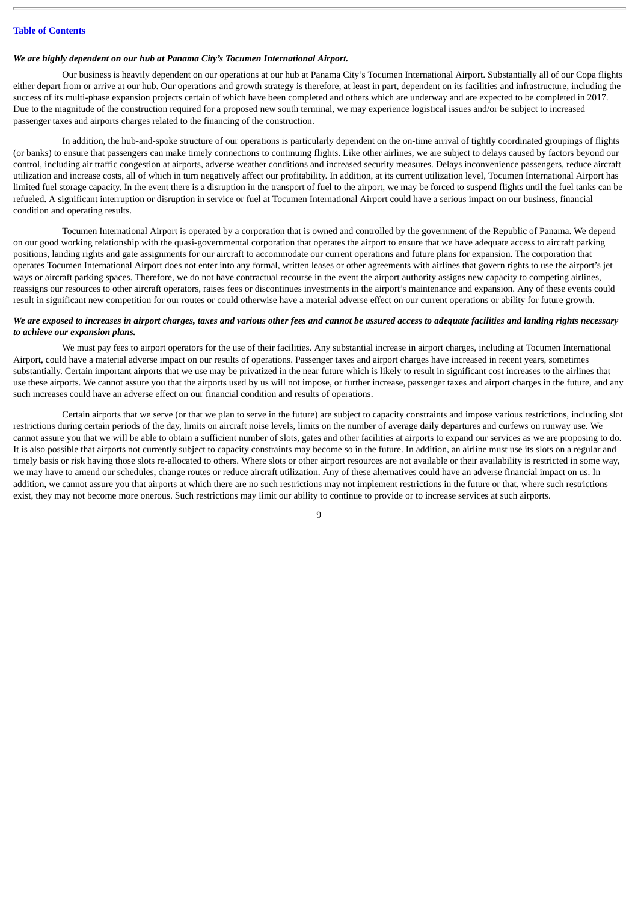#### *We are highly dependent on our hub at Panama City's Tocumen International Airport.*

Our business is heavily dependent on our operations at our hub at Panama City's Tocumen International Airport. Substantially all of our Copa flights either depart from or arrive at our hub. Our operations and growth strategy is therefore, at least in part, dependent on its facilities and infrastructure, including the success of its multi-phase expansion projects certain of which have been completed and others which are underway and are expected to be completed in 2017. Due to the magnitude of the construction required for a proposed new south terminal, we may experience logistical issues and/or be subject to increased passenger taxes and airports charges related to the financing of the construction.

In addition, the hub-and-spoke structure of our operations is particularly dependent on the on-time arrival of tightly coordinated groupings of flights (or banks) to ensure that passengers can make timely connections to continuing flights. Like other airlines, we are subject to delays caused by factors beyond our control, including air traffic congestion at airports, adverse weather conditions and increased security measures. Delays inconvenience passengers, reduce aircraft utilization and increase costs, all of which in turn negatively affect our profitability. In addition, at its current utilization level, Tocumen International Airport has limited fuel storage capacity. In the event there is a disruption in the transport of fuel to the airport, we may be forced to suspend flights until the fuel tanks can be refueled. A significant interruption or disruption in service or fuel at Tocumen International Airport could have a serious impact on our business, financial condition and operating results.

Tocumen International Airport is operated by a corporation that is owned and controlled by the government of the Republic of Panama. We depend on our good working relationship with the quasi-governmental corporation that operates the airport to ensure that we have adequate access to aircraft parking positions, landing rights and gate assignments for our aircraft to accommodate our current operations and future plans for expansion. The corporation that operates Tocumen International Airport does not enter into any formal, written leases or other agreements with airlines that govern rights to use the airport's jet ways or aircraft parking spaces. Therefore, we do not have contractual recourse in the event the airport authority assigns new capacity to competing airlines, reassigns our resources to other aircraft operators, raises fees or discontinues investments in the airport's maintenance and expansion. Any of these events could result in significant new competition for our routes or could otherwise have a material adverse effect on our current operations or ability for future growth.

#### *We are exposed to increases in airport charges, taxes and various other fees and cannot be assured access to adequate facilities and landing rights necessary to achieve our expansion plans.*

We must pay fees to airport operators for the use of their facilities. Any substantial increase in airport charges, including at Tocumen International Airport, could have a material adverse impact on our results of operations. Passenger taxes and airport charges have increased in recent years, sometimes substantially. Certain important airports that we use may be privatized in the near future which is likely to result in significant cost increases to the airlines that use these airports. We cannot assure you that the airports used by us will not impose, or further increase, passenger taxes and airport charges in the future, and any such increases could have an adverse effect on our financial condition and results of operations.

Certain airports that we serve (or that we plan to serve in the future) are subject to capacity constraints and impose various restrictions, including slot restrictions during certain periods of the day, limits on aircraft noise levels, limits on the number of average daily departures and curfews on runway use. We cannot assure you that we will be able to obtain a sufficient number of slots, gates and other facilities at airports to expand our services as we are proposing to do. It is also possible that airports not currently subject to capacity constraints may become so in the future. In addition, an airline must use its slots on a regular and timely basis or risk having those slots re-allocated to others. Where slots or other airport resources are not available or their availability is restricted in some way, we may have to amend our schedules, change routes or reduce aircraft utilization. Any of these alternatives could have an adverse financial impact on us. In addition, we cannot assure you that airports at which there are no such restrictions may not implement restrictions in the future or that, where such restrictions exist, they may not become more onerous. Such restrictions may limit our ability to continue to provide or to increase services at such airports.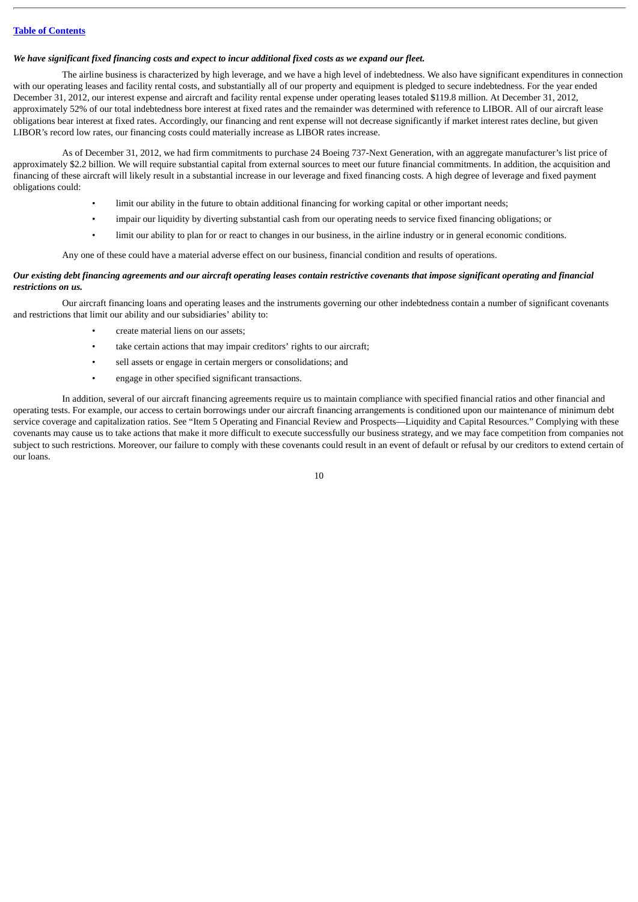#### *We have significant fixed financing costs and expect to incur additional fixed costs as we expand our fleet.*

The airline business is characterized by high leverage, and we have a high level of indebtedness. We also have significant expenditures in connection with our operating leases and facility rental costs, and substantially all of our property and equipment is pledged to secure indebtedness. For the year ended December 31, 2012, our interest expense and aircraft and facility rental expense under operating leases totaled \$119.8 million. At December 31, 2012, approximately 52% of our total indebtedness bore interest at fixed rates and the remainder was determined with reference to LIBOR. All of our aircraft lease obligations bear interest at fixed rates. Accordingly, our financing and rent expense will not decrease significantly if market interest rates decline, but given LIBOR's record low rates, our financing costs could materially increase as LIBOR rates increase.

As of December 31, 2012, we had firm commitments to purchase 24 Boeing 737-Next Generation, with an aggregate manufacturer's list price of approximately \$2.2 billion. We will require substantial capital from external sources to meet our future financial commitments. In addition, the acquisition and financing of these aircraft will likely result in a substantial increase in our leverage and fixed financing costs. A high degree of leverage and fixed payment obligations could:

- limit our ability in the future to obtain additional financing for working capital or other important needs;
- impair our liquidity by diverting substantial cash from our operating needs to service fixed financing obligations; or
- limit our ability to plan for or react to changes in our business, in the airline industry or in general economic conditions.

Any one of these could have a material adverse effect on our business, financial condition and results of operations.

## *Our existing debt financing agreements and our aircraft operating leases contain restrictive covenants that impose significant operating and financial restrictions on us.*

Our aircraft financing loans and operating leases and the instruments governing our other indebtedness contain a number of significant covenants and restrictions that limit our ability and our subsidiaries' ability to:

- create material liens on our assets;
- take certain actions that may impair creditors' rights to our aircraft;
- sell assets or engage in certain mergers or consolidations; and
- engage in other specified significant transactions.

In addition, several of our aircraft financing agreements require us to maintain compliance with specified financial ratios and other financial and operating tests. For example, our access to certain borrowings under our aircraft financing arrangements is conditioned upon our maintenance of minimum debt service coverage and capitalization ratios. See "Item 5 Operating and Financial Review and Prospects—Liquidity and Capital Resources." Complying with these covenants may cause us to take actions that make it more difficult to execute successfully our business strategy, and we may face competition from companies not subject to such restrictions. Moreover, our failure to comply with these covenants could result in an event of default or refusal by our creditors to extend certain of our loans.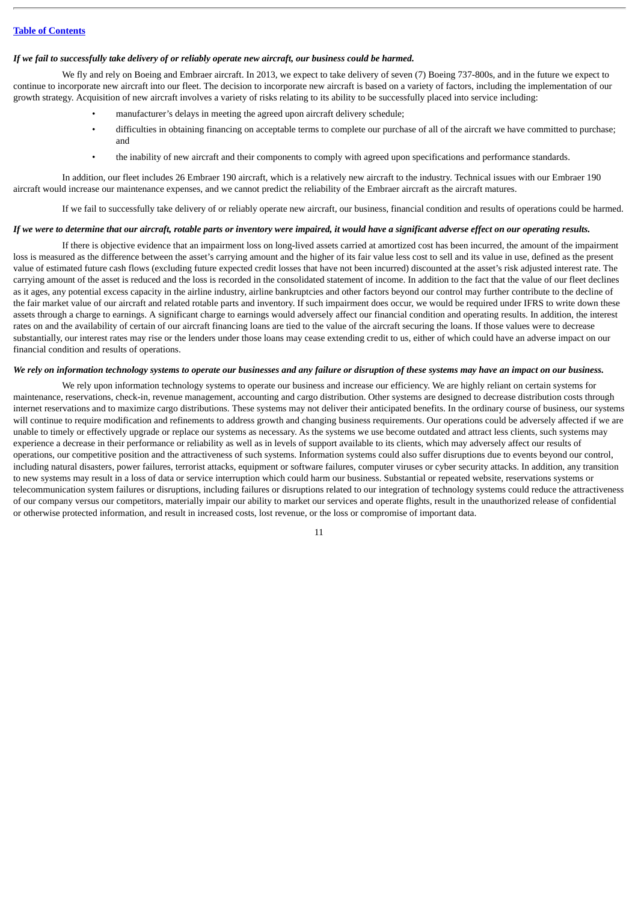#### *If we fail to successfully take delivery of or reliably operate new aircraft, our business could be harmed.*

We fly and rely on Boeing and Embraer aircraft. In 2013, we expect to take delivery of seven (7) Boeing 737-800s, and in the future we expect to continue to incorporate new aircraft into our fleet. The decision to incorporate new aircraft is based on a variety of factors, including the implementation of our growth strategy. Acquisition of new aircraft involves a variety of risks relating to its ability to be successfully placed into service including:

- manufacturer's delays in meeting the agreed upon aircraft delivery schedule;
- difficulties in obtaining financing on acceptable terms to complete our purchase of all of the aircraft we have committed to purchase; and
- the inability of new aircraft and their components to comply with agreed upon specifications and performance standards.

In addition, our fleet includes 26 Embraer 190 aircraft, which is a relatively new aircraft to the industry. Technical issues with our Embraer 190 aircraft would increase our maintenance expenses, and we cannot predict the reliability of the Embraer aircraft as the aircraft matures.

If we fail to successfully take delivery of or reliably operate new aircraft, our business, financial condition and results of operations could be harmed.

## *If we were to determine that our aircraft, rotable parts or inventory were impaired, it would have a significant adverse effect on our operating results.*

If there is objective evidence that an impairment loss on long-lived assets carried at amortized cost has been incurred, the amount of the impairment loss is measured as the difference between the asset's carrying amount and the higher of its fair value less cost to sell and its value in use, defined as the present value of estimated future cash flows (excluding future expected credit losses that have not been incurred) discounted at the asset's risk adjusted interest rate. The carrying amount of the asset is reduced and the loss is recorded in the consolidated statement of income. In addition to the fact that the value of our fleet declines as it ages, any potential excess capacity in the airline industry, airline bankruptcies and other factors beyond our control may further contribute to the decline of the fair market value of our aircraft and related rotable parts and inventory. If such impairment does occur, we would be required under IFRS to write down these assets through a charge to earnings. A significant charge to earnings would adversely affect our financial condition and operating results. In addition, the interest rates on and the availability of certain of our aircraft financing loans are tied to the value of the aircraft securing the loans. If those values were to decrease substantially, our interest rates may rise or the lenders under those loans may cease extending credit to us, either of which could have an adverse impact on our financial condition and results of operations.

#### *We rely on information technology systems to operate our businesses and any failure or disruption of these systems may have an impact on our business.*

We rely upon information technology systems to operate our business and increase our efficiency. We are highly reliant on certain systems for maintenance, reservations, check-in, revenue management, accounting and cargo distribution. Other systems are designed to decrease distribution costs through internet reservations and to maximize cargo distributions. These systems may not deliver their anticipated benefits. In the ordinary course of business, our systems will continue to require modification and refinements to address growth and changing business requirements. Our operations could be adversely affected if we are unable to timely or effectively upgrade or replace our systems as necessary. As the systems we use become outdated and attract less clients, such systems may experience a decrease in their performance or reliability as well as in levels of support available to its clients, which may adversely affect our results of operations, our competitive position and the attractiveness of such systems. Information systems could also suffer disruptions due to events beyond our control, including natural disasters, power failures, terrorist attacks, equipment or software failures, computer viruses or cyber security attacks. In addition, any transition to new systems may result in a loss of data or service interruption which could harm our business. Substantial or repeated website, reservations systems or telecommunication system failures or disruptions, including failures or disruptions related to our integration of technology systems could reduce the attractiveness of our company versus our competitors, materially impair our ability to market our services and operate flights, result in the unauthorized release of confidential or otherwise protected information, and result in increased costs, lost revenue, or the loss or compromise of important data.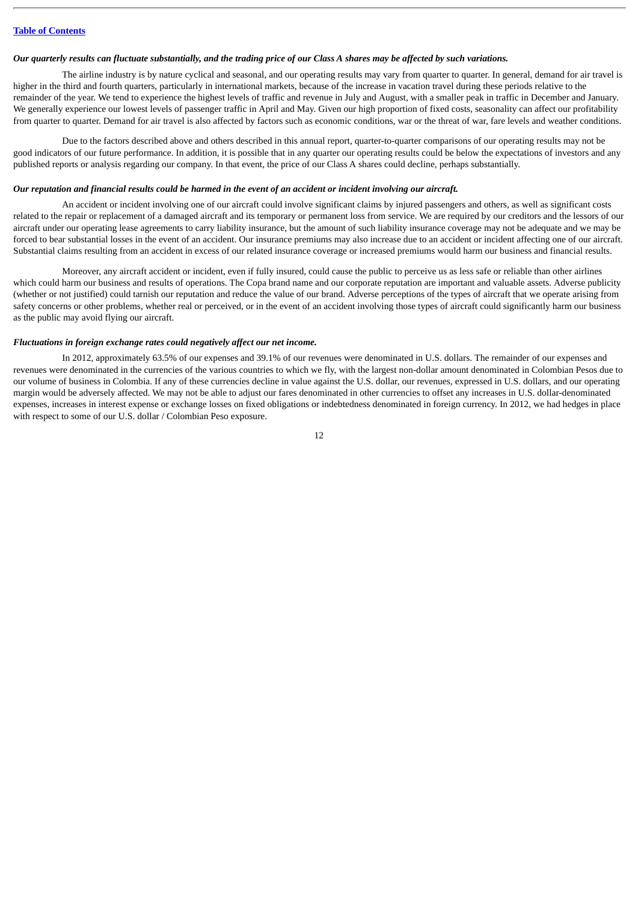#### *Our quarterly results can fluctuate substantially, and the trading price of our Class A shares may be affected by such variations.*

The airline industry is by nature cyclical and seasonal, and our operating results may vary from quarter to quarter. In general, demand for air travel is higher in the third and fourth quarters, particularly in international markets, because of the increase in vacation travel during these periods relative to the remainder of the year. We tend to experience the highest levels of traffic and revenue in July and August, with a smaller peak in traffic in December and January. We generally experience our lowest levels of passenger traffic in April and May. Given our high proportion of fixed costs, seasonality can affect our profitability from quarter to quarter. Demand for air travel is also affected by factors such as economic conditions, war or the threat of war, fare levels and weather conditions.

Due to the factors described above and others described in this annual report, quarter-to-quarter comparisons of our operating results may not be good indicators of our future performance. In addition, it is possible that in any quarter our operating results could be below the expectations of investors and any published reports or analysis regarding our company. In that event, the price of our Class A shares could decline, perhaps substantially.

#### *Our reputation and financial results could be harmed in the event of an accident or incident involving our aircraft.*

An accident or incident involving one of our aircraft could involve significant claims by injured passengers and others, as well as significant costs related to the repair or replacement of a damaged aircraft and its temporary or permanent loss from service. We are required by our creditors and the lessors of our aircraft under our operating lease agreements to carry liability insurance, but the amount of such liability insurance coverage may not be adequate and we may be forced to bear substantial losses in the event of an accident. Our insurance premiums may also increase due to an accident or incident affecting one of our aircraft. Substantial claims resulting from an accident in excess of our related insurance coverage or increased premiums would harm our business and financial results.

Moreover, any aircraft accident or incident, even if fully insured, could cause the public to perceive us as less safe or reliable than other airlines which could harm our business and results of operations. The Copa brand name and our corporate reputation are important and valuable assets. Adverse publicity (whether or not justified) could tarnish our reputation and reduce the value of our brand. Adverse perceptions of the types of aircraft that we operate arising from safety concerns or other problems, whether real or perceived, or in the event of an accident involving those types of aircraft could significantly harm our business as the public may avoid flying our aircraft.

#### *Fluctuations in foreign exchange rates could negatively affect our net income.*

In 2012, approximately 63.5% of our expenses and 39.1% of our revenues were denominated in U.S. dollars. The remainder of our expenses and revenues were denominated in the currencies of the various countries to which we fly, with the largest non-dollar amount denominated in Colombian Pesos due to our volume of business in Colombia. If any of these currencies decline in value against the U.S. dollar, our revenues, expressed in U.S. dollars, and our operating margin would be adversely affected. We may not be able to adjust our fares denominated in other currencies to offset any increases in U.S. dollar-denominated expenses, increases in interest expense or exchange losses on fixed obligations or indebtedness denominated in foreign currency. In 2012, we had hedges in place with respect to some of our U.S. dollar / Colombian Peso exposure.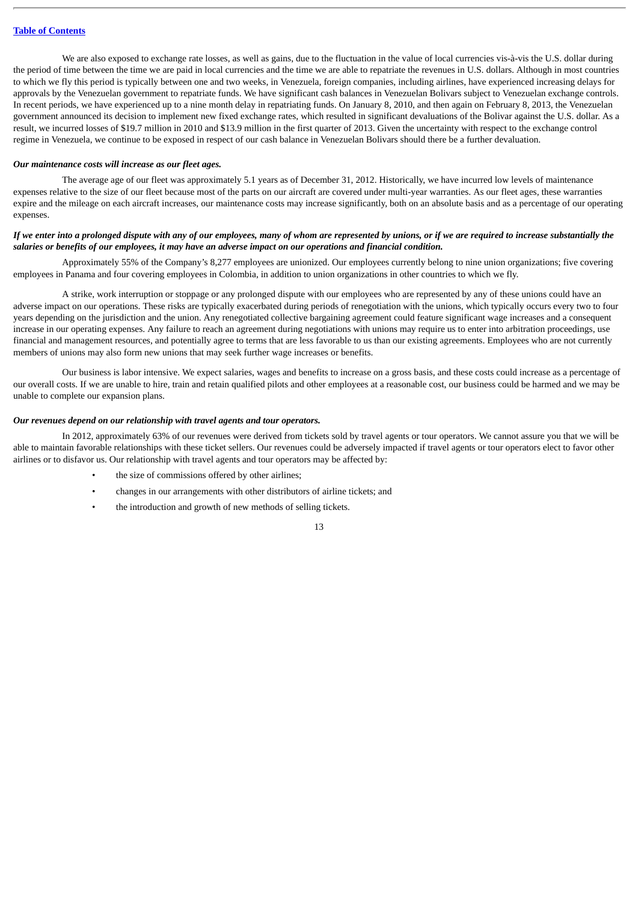We are also exposed to exchange rate losses, as well as gains, due to the fluctuation in the value of local currencies vis-à-vis the U.S. dollar during the period of time between the time we are paid in local currencies and the time we are able to repatriate the revenues in U.S. dollars. Although in most countries to which we fly this period is typically between one and two weeks, in Venezuela, foreign companies, including airlines, have experienced increasing delays for approvals by the Venezuelan government to repatriate funds. We have significant cash balances in Venezuelan Bolivars subject to Venezuelan exchange controls. In recent periods, we have experienced up to a nine month delay in repatriating funds. On January 8, 2010, and then again on February 8, 2013, the Venezuelan government announced its decision to implement new fixed exchange rates, which resulted in significant devaluations of the Bolivar against the U.S. dollar. As a result, we incurred losses of \$19.7 million in 2010 and \$13.9 million in the first quarter of 2013. Given the uncertainty with respect to the exchange control regime in Venezuela, we continue to be exposed in respect of our cash balance in Venezuelan Bolivars should there be a further devaluation.

#### *Our maintenance costs will increase as our fleet ages.*

The average age of our fleet was approximately 5.1 years as of December 31, 2012. Historically, we have incurred low levels of maintenance expenses relative to the size of our fleet because most of the parts on our aircraft are covered under multi-year warranties. As our fleet ages, these warranties expire and the mileage on each aircraft increases, our maintenance costs may increase significantly, both on an absolute basis and as a percentage of our operating expenses.

## *If we enter into a prolonged dispute with any of our employees, many of whom are represented by unions, or if we are required to increase substantially the salaries or benefits of our employees, it may have an adverse impact on our operations and financial condition.*

Approximately 55% of the Company's 8,277 employees are unionized. Our employees currently belong to nine union organizations; five covering employees in Panama and four covering employees in Colombia, in addition to union organizations in other countries to which we fly.

A strike, work interruption or stoppage or any prolonged dispute with our employees who are represented by any of these unions could have an adverse impact on our operations. These risks are typically exacerbated during periods of renegotiation with the unions, which typically occurs every two to four years depending on the jurisdiction and the union. Any renegotiated collective bargaining agreement could feature significant wage increases and a consequent increase in our operating expenses. Any failure to reach an agreement during negotiations with unions may require us to enter into arbitration proceedings, use financial and management resources, and potentially agree to terms that are less favorable to us than our existing agreements. Employees who are not currently members of unions may also form new unions that may seek further wage increases or benefits.

Our business is labor intensive. We expect salaries, wages and benefits to increase on a gross basis, and these costs could increase as a percentage of our overall costs. If we are unable to hire, train and retain qualified pilots and other employees at a reasonable cost, our business could be harmed and we may be unable to complete our expansion plans.

#### *Our revenues depend on our relationship with travel agents and tour operators.*

In 2012, approximately 63% of our revenues were derived from tickets sold by travel agents or tour operators. We cannot assure you that we will be able to maintain favorable relationships with these ticket sellers. Our revenues could be adversely impacted if travel agents or tour operators elect to favor other airlines or to disfavor us. Our relationship with travel agents and tour operators may be affected by:

- the size of commissions offered by other airlines;
- changes in our arrangements with other distributors of airline tickets; and
- the introduction and growth of new methods of selling tickets.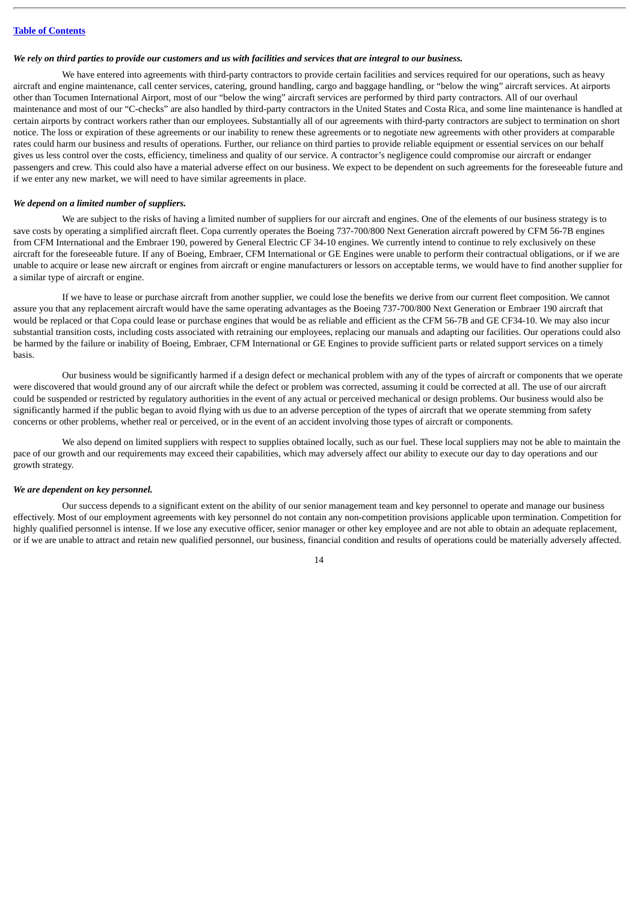#### *We rely on third parties to provide our customers and us with facilities and services that are integral to our business.*

We have entered into agreements with third-party contractors to provide certain facilities and services required for our operations, such as heavy aircraft and engine maintenance, call center services, catering, ground handling, cargo and baggage handling, or "below the wing" aircraft services. At airports other than Tocumen International Airport, most of our "below the wing" aircraft services are performed by third party contractors. All of our overhaul maintenance and most of our "C-checks" are also handled by third-party contractors in the United States and Costa Rica, and some line maintenance is handled at certain airports by contract workers rather than our employees. Substantially all of our agreements with third-party contractors are subject to termination on short notice. The loss or expiration of these agreements or our inability to renew these agreements or to negotiate new agreements with other providers at comparable rates could harm our business and results of operations. Further, our reliance on third parties to provide reliable equipment or essential services on our behalf gives us less control over the costs, efficiency, timeliness and quality of our service. A contractor's negligence could compromise our aircraft or endanger passengers and crew. This could also have a material adverse effect on our business. We expect to be dependent on such agreements for the foreseeable future and if we enter any new market, we will need to have similar agreements in place.

#### *We depend on a limited number of suppliers.*

We are subject to the risks of having a limited number of suppliers for our aircraft and engines. One of the elements of our business strategy is to save costs by operating a simplified aircraft fleet. Copa currently operates the Boeing 737-700/800 Next Generation aircraft powered by CFM 56-7B engines from CFM International and the Embraer 190, powered by General Electric CF 34-10 engines. We currently intend to continue to rely exclusively on these aircraft for the foreseeable future. If any of Boeing, Embraer, CFM International or GE Engines were unable to perform their contractual obligations, or if we are unable to acquire or lease new aircraft or engines from aircraft or engine manufacturers or lessors on acceptable terms, we would have to find another supplier for a similar type of aircraft or engine.

If we have to lease or purchase aircraft from another supplier, we could lose the benefits we derive from our current fleet composition. We cannot assure you that any replacement aircraft would have the same operating advantages as the Boeing 737-700/800 Next Generation or Embraer 190 aircraft that would be replaced or that Copa could lease or purchase engines that would be as reliable and efficient as the CFM 56-7B and GE CF34-10. We may also incur substantial transition costs, including costs associated with retraining our employees, replacing our manuals and adapting our facilities. Our operations could also be harmed by the failure or inability of Boeing, Embraer, CFM International or GE Engines to provide sufficient parts or related support services on a timely basis.

Our business would be significantly harmed if a design defect or mechanical problem with any of the types of aircraft or components that we operate were discovered that would ground any of our aircraft while the defect or problem was corrected, assuming it could be corrected at all. The use of our aircraft could be suspended or restricted by regulatory authorities in the event of any actual or perceived mechanical or design problems. Our business would also be significantly harmed if the public began to avoid flying with us due to an adverse perception of the types of aircraft that we operate stemming from safety concerns or other problems, whether real or perceived, or in the event of an accident involving those types of aircraft or components.

We also depend on limited suppliers with respect to supplies obtained locally, such as our fuel. These local suppliers may not be able to maintain the pace of our growth and our requirements may exceed their capabilities, which may adversely affect our ability to execute our day to day operations and our growth strategy.

#### *We are dependent on key personnel.*

Our success depends to a significant extent on the ability of our senior management team and key personnel to operate and manage our business effectively. Most of our employment agreements with key personnel do not contain any non-competition provisions applicable upon termination. Competition for highly qualified personnel is intense. If we lose any executive officer, senior manager or other key employee and are not able to obtain an adequate replacement, or if we are unable to attract and retain new qualified personnel, our business, financial condition and results of operations could be materially adversely affected.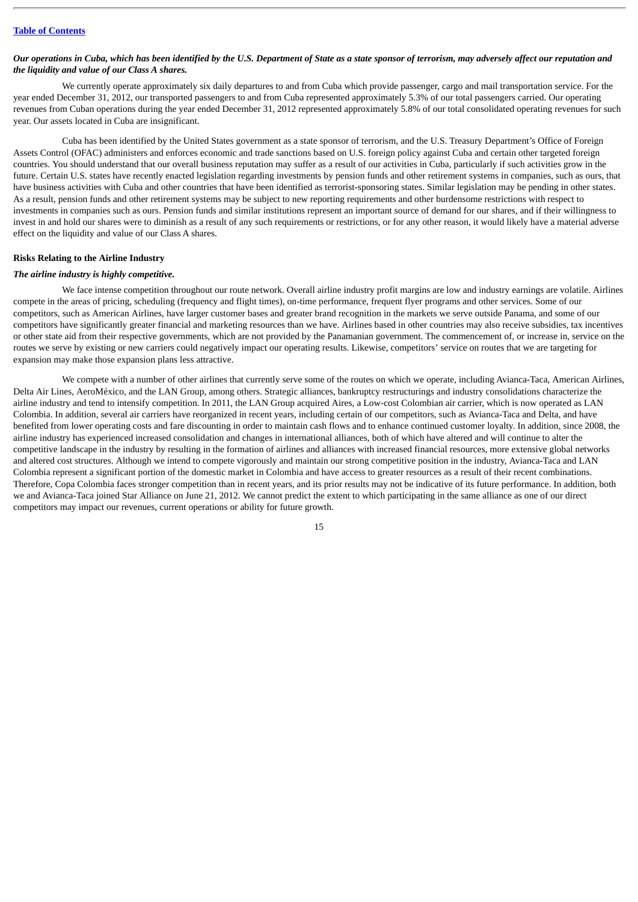#### *Our operations in Cuba, which has been identified by the U.S. Department of State as a state sponsor of terrorism, may adversely affect our reputation and the liquidity and value of our Class A shares.*

We currently operate approximately six daily departures to and from Cuba which provide passenger, cargo and mail transportation service. For the year ended December 31, 2012, our transported passengers to and from Cuba represented approximately 5.3% of our total passengers carried. Our operating revenues from Cuban operations during the year ended December 31, 2012 represented approximately 5.8% of our total consolidated operating revenues for such year. Our assets located in Cuba are insignificant.

Cuba has been identified by the United States government as a state sponsor of terrorism, and the U.S. Treasury Department's Office of Foreign Assets Control (OFAC) administers and enforces economic and trade sanctions based on U.S. foreign policy against Cuba and certain other targeted foreign countries. You should understand that our overall business reputation may suffer as a result of our activities in Cuba, particularly if such activities grow in the future. Certain U.S. states have recently enacted legislation regarding investments by pension funds and other retirement systems in companies, such as ours, that have business activities with Cuba and other countries that have been identified as terrorist-sponsoring states. Similar legislation may be pending in other states. As a result, pension funds and other retirement systems may be subject to new reporting requirements and other burdensome restrictions with respect to investments in companies such as ours. Pension funds and similar institutions represent an important source of demand for our shares, and if their willingness to invest in and hold our shares were to diminish as a result of any such requirements or restrictions, or for any other reason, it would likely have a material adverse effect on the liquidity and value of our Class A shares.

#### **Risks Relating to the Airline Industry**

## *The airline industry is highly competitive.*

We face intense competition throughout our route network. Overall airline industry profit margins are low and industry earnings are volatile. Airlines compete in the areas of pricing, scheduling (frequency and flight times), on-time performance, frequent flyer programs and other services. Some of our competitors, such as American Airlines, have larger customer bases and greater brand recognition in the markets we serve outside Panama, and some of our competitors have significantly greater financial and marketing resources than we have. Airlines based in other countries may also receive subsidies, tax incentives or other state aid from their respective governments, which are not provided by the Panamanian government. The commencement of, or increase in, service on the routes we serve by existing or new carriers could negatively impact our operating results. Likewise, competitors' service on routes that we are targeting for expansion may make those expansion plans less attractive.

We compete with a number of other airlines that currently serve some of the routes on which we operate, including Avianca-Taca, American Airlines, Delta Air Lines, AeroMéxico, and the LAN Group, among others. Strategic alliances, bankruptcy restructurings and industry consolidations characterize the airline industry and tend to intensify competition. In 2011, the LAN Group acquired Aires, a Low-cost Colombian air carrier, which is now operated as LAN Colombia. In addition, several air carriers have reorganized in recent years, including certain of our competitors, such as Avianca-Taca and Delta, and have benefited from lower operating costs and fare discounting in order to maintain cash flows and to enhance continued customer loyalty. In addition, since 2008, the airline industry has experienced increased consolidation and changes in international alliances, both of which have altered and will continue to alter the competitive landscape in the industry by resulting in the formation of airlines and alliances with increased financial resources, more extensive global networks and altered cost structures. Although we intend to compete vigorously and maintain our strong competitive position in the industry, Avianca-Taca and LAN Colombia represent a significant portion of the domestic market in Colombia and have access to greater resources as a result of their recent combinations. Therefore, Copa Colombia faces stronger competition than in recent years, and its prior results may not be indicative of its future performance. In addition, both we and Avianca-Taca joined Star Alliance on June 21, 2012. We cannot predict the extent to which participating in the same alliance as one of our direct competitors may impact our revenues, current operations or ability for future growth.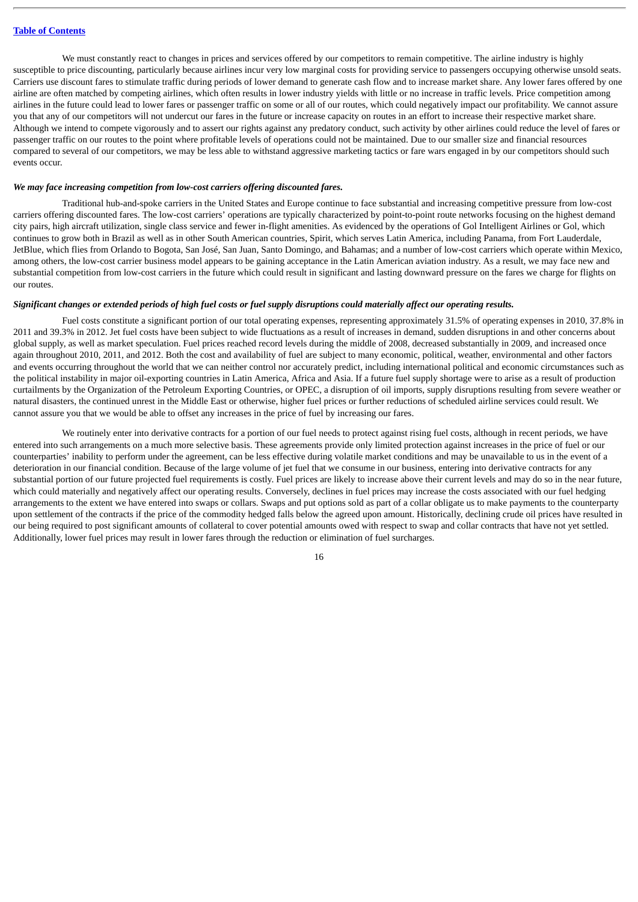We must constantly react to changes in prices and services offered by our competitors to remain competitive. The airline industry is highly susceptible to price discounting, particularly because airlines incur very low marginal costs for providing service to passengers occupying otherwise unsold seats. Carriers use discount fares to stimulate traffic during periods of lower demand to generate cash flow and to increase market share. Any lower fares offered by one airline are often matched by competing airlines, which often results in lower industry yields with little or no increase in traffic levels. Price competition among airlines in the future could lead to lower fares or passenger traffic on some or all of our routes, which could negatively impact our profitability. We cannot assure you that any of our competitors will not undercut our fares in the future or increase capacity on routes in an effort to increase their respective market share. Although we intend to compete vigorously and to assert our rights against any predatory conduct, such activity by other airlines could reduce the level of fares or passenger traffic on our routes to the point where profitable levels of operations could not be maintained. Due to our smaller size and financial resources compared to several of our competitors, we may be less able to withstand aggressive marketing tactics or fare wars engaged in by our competitors should such events occur.

#### *We may face increasing competition from low-cost carriers offering discounted fares.*

Traditional hub-and-spoke carriers in the United States and Europe continue to face substantial and increasing competitive pressure from low-cost carriers offering discounted fares. The low-cost carriers' operations are typically characterized by point-to-point route networks focusing on the highest demand city pairs, high aircraft utilization, single class service and fewer in-flight amenities. As evidenced by the operations of Gol Intelligent Airlines or Gol, which continues to grow both in Brazil as well as in other South American countries, Spirit, which serves Latin America, including Panama, from Fort Lauderdale, JetBlue, which flies from Orlando to Bogota, San José, San Juan, Santo Domingo, and Bahamas; and a number of low-cost carriers which operate within Mexico, among others, the low-cost carrier business model appears to be gaining acceptance in the Latin American aviation industry. As a result, we may face new and substantial competition from low-cost carriers in the future which could result in significant and lasting downward pressure on the fares we charge for flights on our routes.

## *Significant changes or extended periods of high fuel costs or fuel supply disruptions could materially affect our operating results.*

Fuel costs constitute a significant portion of our total operating expenses, representing approximately 31.5% of operating expenses in 2010, 37.8% in 2011 and 39.3% in 2012. Jet fuel costs have been subject to wide fluctuations as a result of increases in demand, sudden disruptions in and other concerns about global supply, as well as market speculation. Fuel prices reached record levels during the middle of 2008, decreased substantially in 2009, and increased once again throughout 2010, 2011, and 2012. Both the cost and availability of fuel are subject to many economic, political, weather, environmental and other factors and events occurring throughout the world that we can neither control nor accurately predict, including international political and economic circumstances such as the political instability in major oil-exporting countries in Latin America, Africa and Asia. If a future fuel supply shortage were to arise as a result of production curtailments by the Organization of the Petroleum Exporting Countries, or OPEC, a disruption of oil imports, supply disruptions resulting from severe weather or natural disasters, the continued unrest in the Middle East or otherwise, higher fuel prices or further reductions of scheduled airline services could result. We cannot assure you that we would be able to offset any increases in the price of fuel by increasing our fares.

We routinely enter into derivative contracts for a portion of our fuel needs to protect against rising fuel costs, although in recent periods, we have entered into such arrangements on a much more selective basis. These agreements provide only limited protection against increases in the price of fuel or our counterparties' inability to perform under the agreement, can be less effective during volatile market conditions and may be unavailable to us in the event of a deterioration in our financial condition. Because of the large volume of jet fuel that we consume in our business, entering into derivative contracts for any substantial portion of our future projected fuel requirements is costly. Fuel prices are likely to increase above their current levels and may do so in the near future, which could materially and negatively affect our operating results. Conversely, declines in fuel prices may increase the costs associated with our fuel hedging arrangements to the extent we have entered into swaps or collars. Swaps and put options sold as part of a collar obligate us to make payments to the counterparty upon settlement of the contracts if the price of the commodity hedged falls below the agreed upon amount. Historically, declining crude oil prices have resulted in our being required to post significant amounts of collateral to cover potential amounts owed with respect to swap and collar contracts that have not yet settled. Additionally, lower fuel prices may result in lower fares through the reduction or elimination of fuel surcharges.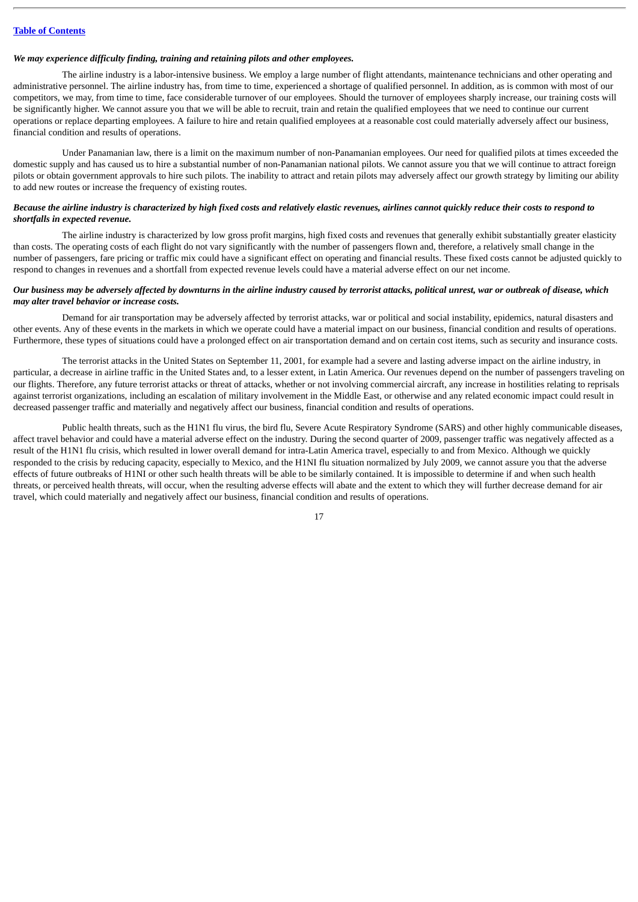#### *We may experience difficulty finding, training and retaining pilots and other employees.*

The airline industry is a labor-intensive business. We employ a large number of flight attendants, maintenance technicians and other operating and administrative personnel. The airline industry has, from time to time, experienced a shortage of qualified personnel. In addition, as is common with most of our competitors, we may, from time to time, face considerable turnover of our employees. Should the turnover of employees sharply increase, our training costs will be significantly higher. We cannot assure you that we will be able to recruit, train and retain the qualified employees that we need to continue our current operations or replace departing employees. A failure to hire and retain qualified employees at a reasonable cost could materially adversely affect our business, financial condition and results of operations.

Under Panamanian law, there is a limit on the maximum number of non-Panamanian employees. Our need for qualified pilots at times exceeded the domestic supply and has caused us to hire a substantial number of non-Panamanian national pilots. We cannot assure you that we will continue to attract foreign pilots or obtain government approvals to hire such pilots. The inability to attract and retain pilots may adversely affect our growth strategy by limiting our ability to add new routes or increase the frequency of existing routes.

## *Because the airline industry is characterized by high fixed costs and relatively elastic revenues, airlines cannot quickly reduce their costs to respond to shortfalls in expected revenue.*

The airline industry is characterized by low gross profit margins, high fixed costs and revenues that generally exhibit substantially greater elasticity than costs. The operating costs of each flight do not vary significantly with the number of passengers flown and, therefore, a relatively small change in the number of passengers, fare pricing or traffic mix could have a significant effect on operating and financial results. These fixed costs cannot be adjusted quickly to respond to changes in revenues and a shortfall from expected revenue levels could have a material adverse effect on our net income.

## *Our business may be adversely affected by downturns in the airline industry caused by terrorist attacks, political unrest, war or outbreak of disease, which may alter travel behavior or increase costs.*

Demand for air transportation may be adversely affected by terrorist attacks, war or political and social instability, epidemics, natural disasters and other events. Any of these events in the markets in which we operate could have a material impact on our business, financial condition and results of operations. Furthermore, these types of situations could have a prolonged effect on air transportation demand and on certain cost items, such as security and insurance costs.

The terrorist attacks in the United States on September 11, 2001, for example had a severe and lasting adverse impact on the airline industry, in particular, a decrease in airline traffic in the United States and, to a lesser extent, in Latin America. Our revenues depend on the number of passengers traveling on our flights. Therefore, any future terrorist attacks or threat of attacks, whether or not involving commercial aircraft, any increase in hostilities relating to reprisals against terrorist organizations, including an escalation of military involvement in the Middle East, or otherwise and any related economic impact could result in decreased passenger traffic and materially and negatively affect our business, financial condition and results of operations.

Public health threats, such as the H1N1 flu virus, the bird flu, Severe Acute Respiratory Syndrome (SARS) and other highly communicable diseases, affect travel behavior and could have a material adverse effect on the industry. During the second quarter of 2009, passenger traffic was negatively affected as a result of the H1N1 flu crisis, which resulted in lower overall demand for intra-Latin America travel, especially to and from Mexico. Although we quickly responded to the crisis by reducing capacity, especially to Mexico, and the H1NI flu situation normalized by July 2009, we cannot assure you that the adverse effects of future outbreaks of H1NI or other such health threats will be able to be similarly contained. It is impossible to determine if and when such health threats, or perceived health threats, will occur, when the resulting adverse effects will abate and the extent to which they will further decrease demand for air travel, which could materially and negatively affect our business, financial condition and results of operations.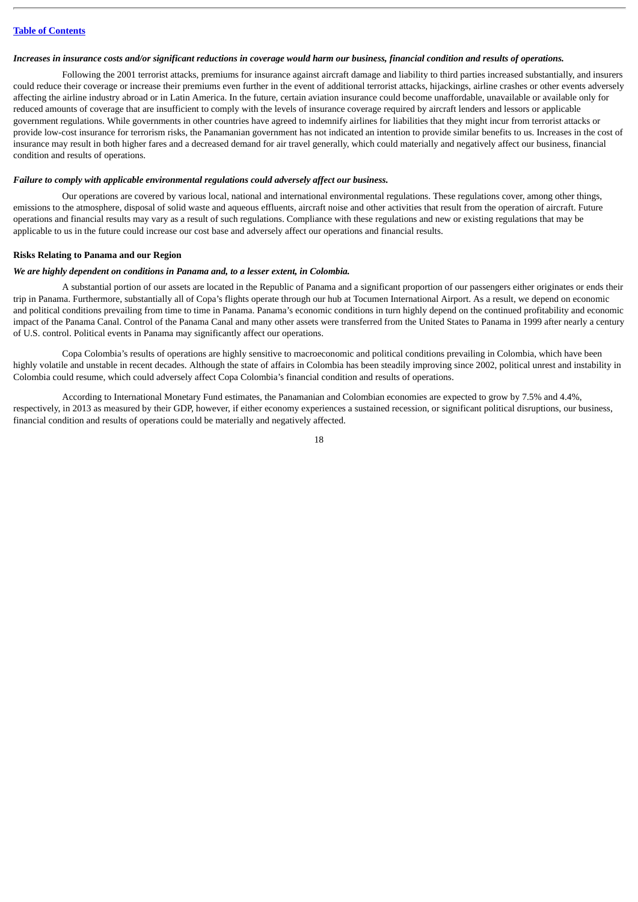#### *Increases in insurance costs and/or significant reductions in coverage would harm our business, financial condition and results of operations.*

Following the 2001 terrorist attacks, premiums for insurance against aircraft damage and liability to third parties increased substantially, and insurers could reduce their coverage or increase their premiums even further in the event of additional terrorist attacks, hijackings, airline crashes or other events adversely affecting the airline industry abroad or in Latin America. In the future, certain aviation insurance could become unaffordable, unavailable or available only for reduced amounts of coverage that are insufficient to comply with the levels of insurance coverage required by aircraft lenders and lessors or applicable government regulations. While governments in other countries have agreed to indemnify airlines for liabilities that they might incur from terrorist attacks or provide low-cost insurance for terrorism risks, the Panamanian government has not indicated an intention to provide similar benefits to us. Increases in the cost of insurance may result in both higher fares and a decreased demand for air travel generally, which could materially and negatively affect our business, financial condition and results of operations.

#### *Failure to comply with applicable environmental regulations could adversely affect our business.*

Our operations are covered by various local, national and international environmental regulations. These regulations cover, among other things, emissions to the atmosphere, disposal of solid waste and aqueous effluents, aircraft noise and other activities that result from the operation of aircraft. Future operations and financial results may vary as a result of such regulations. Compliance with these regulations and new or existing regulations that may be applicable to us in the future could increase our cost base and adversely affect our operations and financial results.

#### **Risks Relating to Panama and our Region**

#### *We are highly dependent on conditions in Panama and, to a lesser extent, in Colombia.*

A substantial portion of our assets are located in the Republic of Panama and a significant proportion of our passengers either originates or ends their trip in Panama. Furthermore, substantially all of Copa's flights operate through our hub at Tocumen International Airport. As a result, we depend on economic and political conditions prevailing from time to time in Panama. Panama's economic conditions in turn highly depend on the continued profitability and economic impact of the Panama Canal. Control of the Panama Canal and many other assets were transferred from the United States to Panama in 1999 after nearly a century of U.S. control. Political events in Panama may significantly affect our operations.

Copa Colombia's results of operations are highly sensitive to macroeconomic and political conditions prevailing in Colombia, which have been highly volatile and unstable in recent decades. Although the state of affairs in Colombia has been steadily improving since 2002, political unrest and instability in Colombia could resume, which could adversely affect Copa Colombia's financial condition and results of operations.

According to International Monetary Fund estimates, the Panamanian and Colombian economies are expected to grow by 7.5% and 4.4%, respectively, in 2013 as measured by their GDP, however, if either economy experiences a sustained recession, or significant political disruptions, our business, financial condition and results of operations could be materially and negatively affected.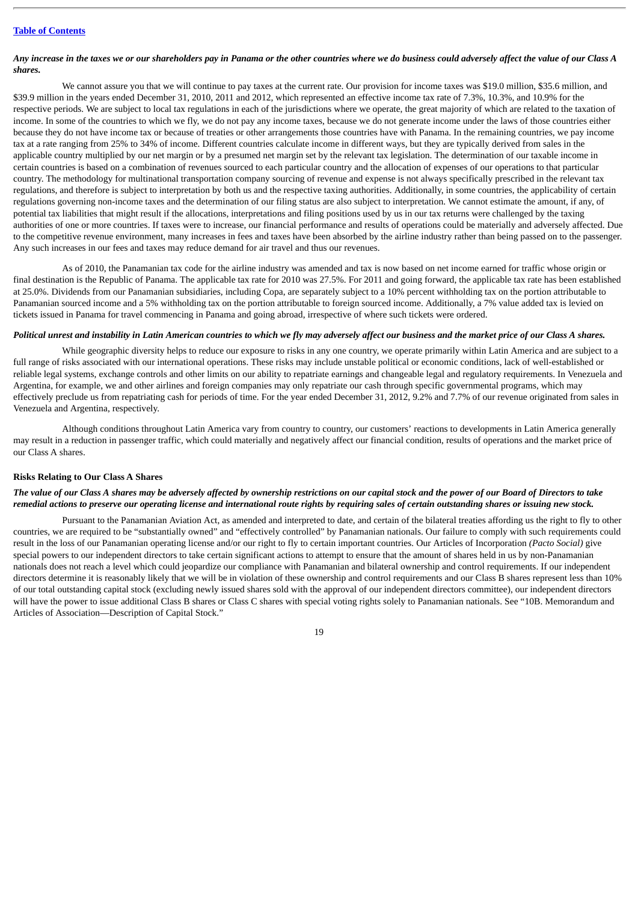#### *Any increase in the taxes we or our shareholders pay in Panama or the other countries where we do business could adversely affect the value of our Class A shares.*

We cannot assure you that we will continue to pay taxes at the current rate. Our provision for income taxes was \$19.0 million, \$35.6 million, and \$39.9 million in the years ended December 31, 2010, 2011 and 2012, which represented an effective income tax rate of 7.3%, 10.3%, and 10.9% for the respective periods. We are subject to local tax regulations in each of the jurisdictions where we operate, the great majority of which are related to the taxation of income. In some of the countries to which we fly, we do not pay any income taxes, because we do not generate income under the laws of those countries either because they do not have income tax or because of treaties or other arrangements those countries have with Panama. In the remaining countries, we pay income tax at a rate ranging from 25% to 34% of income. Different countries calculate income in different ways, but they are typically derived from sales in the applicable country multiplied by our net margin or by a presumed net margin set by the relevant tax legislation. The determination of our taxable income in certain countries is based on a combination of revenues sourced to each particular country and the allocation of expenses of our operations to that particular country. The methodology for multinational transportation company sourcing of revenue and expense is not always specifically prescribed in the relevant tax regulations, and therefore is subject to interpretation by both us and the respective taxing authorities. Additionally, in some countries, the applicability of certain regulations governing non-income taxes and the determination of our filing status are also subject to interpretation. We cannot estimate the amount, if any, of potential tax liabilities that might result if the allocations, interpretations and filing positions used by us in our tax returns were challenged by the taxing authorities of one or more countries. If taxes were to increase, our financial performance and results of operations could be materially and adversely affected. Due to the competitive revenue environment, many increases in fees and taxes have been absorbed by the airline industry rather than being passed on to the passenger. Any such increases in our fees and taxes may reduce demand for air travel and thus our revenues.

As of 2010, the Panamanian tax code for the airline industry was amended and tax is now based on net income earned for traffic whose origin or final destination is the Republic of Panama. The applicable tax rate for 2010 was 27.5%. For 2011 and going forward, the applicable tax rate has been established at 25.0%. Dividends from our Panamanian subsidiaries, including Copa, are separately subject to a 10% percent withholding tax on the portion attributable to Panamanian sourced income and a 5% withholding tax on the portion attributable to foreign sourced income. Additionally, a 7% value added tax is levied on tickets issued in Panama for travel commencing in Panama and going abroad, irrespective of where such tickets were ordered.

## *Political unrest and instability in Latin American countries to which we fly may adversely affect our business and the market price of our Class A shares.*

While geographic diversity helps to reduce our exposure to risks in any one country, we operate primarily within Latin America and are subject to a full range of risks associated with our international operations. These risks may include unstable political or economic conditions, lack of well-established or reliable legal systems, exchange controls and other limits on our ability to repatriate earnings and changeable legal and regulatory requirements. In Venezuela and Argentina, for example, we and other airlines and foreign companies may only repatriate our cash through specific governmental programs, which may effectively preclude us from repatriating cash for periods of time. For the year ended December 31, 2012, 9.2% and 7.7% of our revenue originated from sales in Venezuela and Argentina, respectively.

Although conditions throughout Latin America vary from country to country, our customers' reactions to developments in Latin America generally may result in a reduction in passenger traffic, which could materially and negatively affect our financial condition, results of operations and the market price of our Class A shares.

#### **Risks Relating to Our Class A Shares**

## *The value of our Class A shares may be adversely affected by ownership restrictions on our capital stock and the power of our Board of Directors to take remedial actions to preserve our operating license and international route rights by requiring sales of certain outstanding shares or issuing new stock.*

Pursuant to the Panamanian Aviation Act, as amended and interpreted to date, and certain of the bilateral treaties affording us the right to fly to other countries, we are required to be "substantially owned" and "effectively controlled" by Panamanian nationals. Our failure to comply with such requirements could result in the loss of our Panamanian operating license and/or our right to fly to certain important countries. Our Articles of Incorporation *(Pacto Social)* give special powers to our independent directors to take certain significant actions to attempt to ensure that the amount of shares held in us by non-Panamanian nationals does not reach a level which could jeopardize our compliance with Panamanian and bilateral ownership and control requirements. If our independent directors determine it is reasonably likely that we will be in violation of these ownership and control requirements and our Class B shares represent less than 10% of our total outstanding capital stock (excluding newly issued shares sold with the approval of our independent directors committee), our independent directors will have the power to issue additional Class B shares or Class C shares with special voting rights solely to Panamanian nationals. See "10B. Memorandum and Articles of Association—Description of Capital Stock."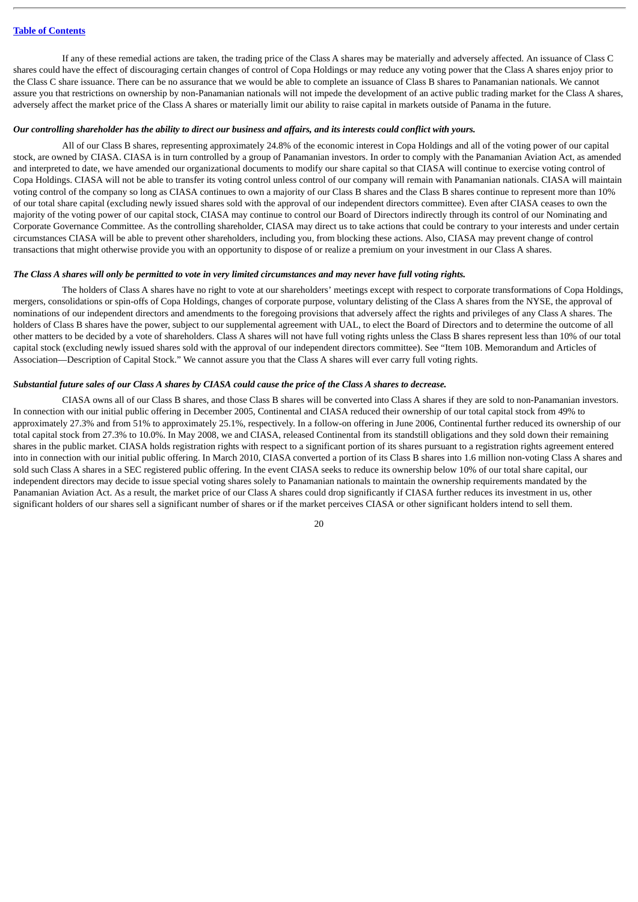If any of these remedial actions are taken, the trading price of the Class A shares may be materially and adversely affected. An issuance of Class C shares could have the effect of discouraging certain changes of control of Copa Holdings or may reduce any voting power that the Class A shares enjoy prior to the Class C share issuance. There can be no assurance that we would be able to complete an issuance of Class B shares to Panamanian nationals. We cannot assure you that restrictions on ownership by non-Panamanian nationals will not impede the development of an active public trading market for the Class A shares, adversely affect the market price of the Class A shares or materially limit our ability to raise capital in markets outside of Panama in the future.

#### *Our controlling shareholder has the ability to direct our business and affairs, and its interests could conflict with yours.*

All of our Class B shares, representing approximately 24.8% of the economic interest in Copa Holdings and all of the voting power of our capital stock, are owned by CIASA. CIASA is in turn controlled by a group of Panamanian investors. In order to comply with the Panamanian Aviation Act, as amended and interpreted to date, we have amended our organizational documents to modify our share capital so that CIASA will continue to exercise voting control of Copa Holdings. CIASA will not be able to transfer its voting control unless control of our company will remain with Panamanian nationals. CIASA will maintain voting control of the company so long as CIASA continues to own a majority of our Class B shares and the Class B shares continue to represent more than 10% of our total share capital (excluding newly issued shares sold with the approval of our independent directors committee). Even after CIASA ceases to own the majority of the voting power of our capital stock, CIASA may continue to control our Board of Directors indirectly through its control of our Nominating and Corporate Governance Committee. As the controlling shareholder, CIASA may direct us to take actions that could be contrary to your interests and under certain circumstances CIASA will be able to prevent other shareholders, including you, from blocking these actions. Also, CIASA may prevent change of control transactions that might otherwise provide you with an opportunity to dispose of or realize a premium on your investment in our Class A shares.

## *The Class A shares will only be permitted to vote in very limited circumstances and may never have full voting rights.*

The holders of Class A shares have no right to vote at our shareholders' meetings except with respect to corporate transformations of Copa Holdings, mergers, consolidations or spin-offs of Copa Holdings, changes of corporate purpose, voluntary delisting of the Class A shares from the NYSE, the approval of nominations of our independent directors and amendments to the foregoing provisions that adversely affect the rights and privileges of any Class A shares. The holders of Class B shares have the power, subject to our supplemental agreement with UAL, to elect the Board of Directors and to determine the outcome of all other matters to be decided by a vote of shareholders. Class A shares will not have full voting rights unless the Class B shares represent less than 10% of our total capital stock (excluding newly issued shares sold with the approval of our independent directors committee). See "Item 10B. Memorandum and Articles of Association—Description of Capital Stock." We cannot assure you that the Class A shares will ever carry full voting rights.

## *Substantial future sales of our Class A shares by CIASA could cause the price of the Class A shares to decrease.*

CIASA owns all of our Class B shares, and those Class B shares will be converted into Class A shares if they are sold to non-Panamanian investors. In connection with our initial public offering in December 2005, Continental and CIASA reduced their ownership of our total capital stock from 49% to approximately 27.3% and from 51% to approximately 25.1%, respectively. In a follow-on offering in June 2006, Continental further reduced its ownership of our total capital stock from 27.3% to 10.0%. In May 2008, we and CIASA, released Continental from its standstill obligations and they sold down their remaining shares in the public market. CIASA holds registration rights with respect to a significant portion of its shares pursuant to a registration rights agreement entered into in connection with our initial public offering. In March 2010, CIASA converted a portion of its Class B shares into 1.6 million non-voting Class A shares and sold such Class A shares in a SEC registered public offering. In the event CIASA seeks to reduce its ownership below 10% of our total share capital, our independent directors may decide to issue special voting shares solely to Panamanian nationals to maintain the ownership requirements mandated by the Panamanian Aviation Act. As a result, the market price of our Class A shares could drop significantly if CIASA further reduces its investment in us, other significant holders of our shares sell a significant number of shares or if the market perceives CIASA or other significant holders intend to sell them.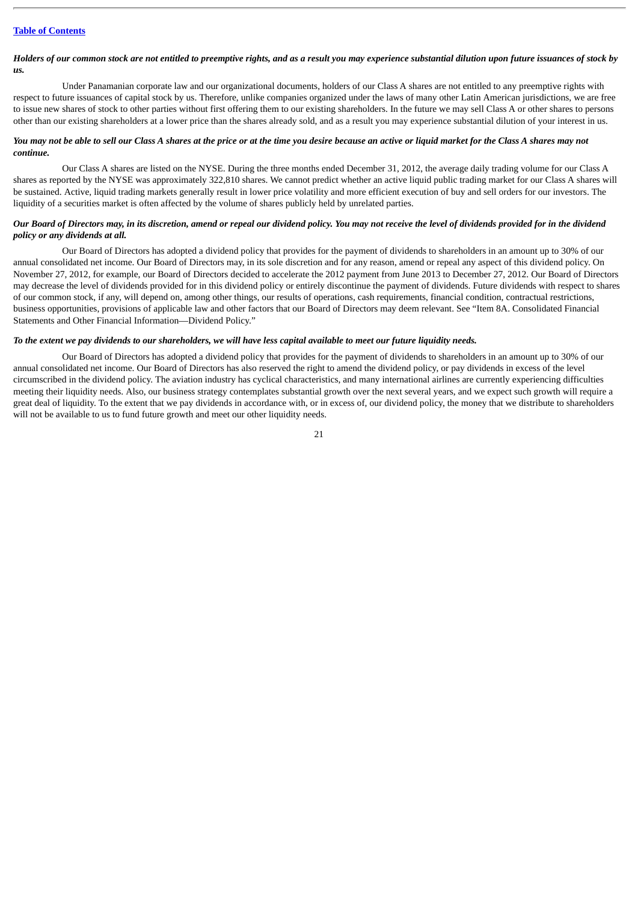#### *Holders of our common stock are not entitled to preemptive rights, and as a result you may experience substantial dilution upon future issuances of stock by us.*

Under Panamanian corporate law and our organizational documents, holders of our Class A shares are not entitled to any preemptive rights with respect to future issuances of capital stock by us. Therefore, unlike companies organized under the laws of many other Latin American jurisdictions, we are free to issue new shares of stock to other parties without first offering them to our existing shareholders. In the future we may sell Class A or other shares to persons other than our existing shareholders at a lower price than the shares already sold, and as a result you may experience substantial dilution of your interest in us.

## *You may not be able to sell our Class A shares at the price or at the time you desire because an active or liquid market for the Class A shares may not continue.*

Our Class A shares are listed on the NYSE. During the three months ended December 31, 2012, the average daily trading volume for our Class A shares as reported by the NYSE was approximately 322,810 shares. We cannot predict whether an active liquid public trading market for our Class A shares will be sustained. Active, liquid trading markets generally result in lower price volatility and more efficient execution of buy and sell orders for our investors. The liquidity of a securities market is often affected by the volume of shares publicly held by unrelated parties.

## *Our Board of Directors may, in its discretion, amend or repeal our dividend policy. You may not receive the level of dividends provided for in the dividend policy or any dividends at all.*

Our Board of Directors has adopted a dividend policy that provides for the payment of dividends to shareholders in an amount up to 30% of our annual consolidated net income. Our Board of Directors may, in its sole discretion and for any reason, amend or repeal any aspect of this dividend policy. On November 27, 2012, for example, our Board of Directors decided to accelerate the 2012 payment from June 2013 to December 27, 2012. Our Board of Directors may decrease the level of dividends provided for in this dividend policy or entirely discontinue the payment of dividends. Future dividends with respect to shares of our common stock, if any, will depend on, among other things, our results of operations, cash requirements, financial condition, contractual restrictions, business opportunities, provisions of applicable law and other factors that our Board of Directors may deem relevant. See "Item 8A. Consolidated Financial Statements and Other Financial Information—Dividend Policy."

## *To the extent we pay dividends to our shareholders, we will have less capital available to meet our future liquidity needs.*

Our Board of Directors has adopted a dividend policy that provides for the payment of dividends to shareholders in an amount up to 30% of our annual consolidated net income. Our Board of Directors has also reserved the right to amend the dividend policy, or pay dividends in excess of the level circumscribed in the dividend policy. The aviation industry has cyclical characteristics, and many international airlines are currently experiencing difficulties meeting their liquidity needs. Also, our business strategy contemplates substantial growth over the next several years, and we expect such growth will require a great deal of liquidity. To the extent that we pay dividends in accordance with, or in excess of, our dividend policy, the money that we distribute to shareholders will not be available to us to fund future growth and meet our other liquidity needs.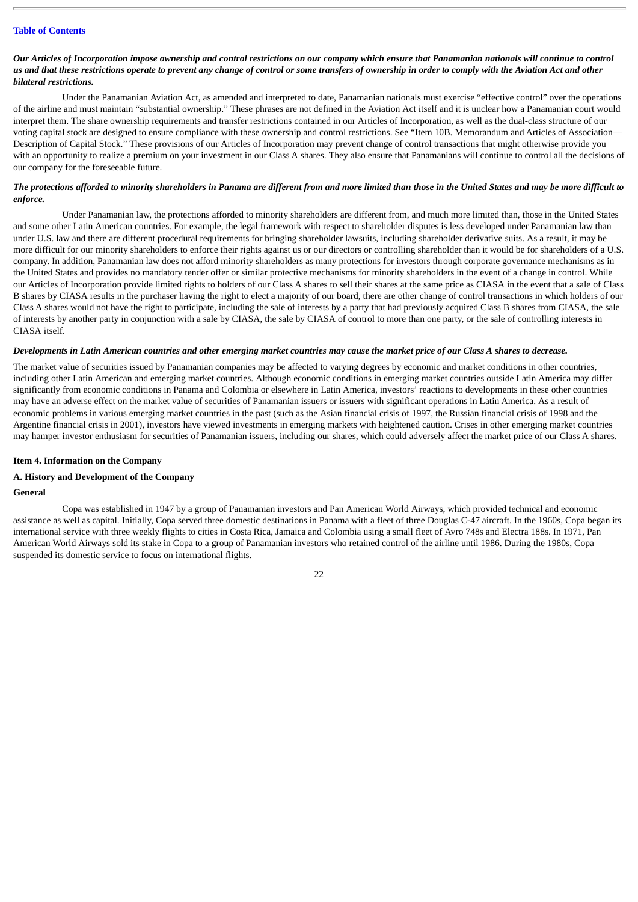## *Our Articles of Incorporation impose ownership and control restrictions on our company which ensure that Panamanian nationals will continue to control us and that these restrictions operate to prevent any change of control or some transfers of ownership in order to comply with the Aviation Act and other bilateral restrictions.*

Under the Panamanian Aviation Act, as amended and interpreted to date, Panamanian nationals must exercise "effective control" over the operations of the airline and must maintain "substantial ownership." These phrases are not defined in the Aviation Act itself and it is unclear how a Panamanian court would interpret them. The share ownership requirements and transfer restrictions contained in our Articles of Incorporation, as well as the dual-class structure of our voting capital stock are designed to ensure compliance with these ownership and control restrictions. See "Item 10B. Memorandum and Articles of Association— Description of Capital Stock." These provisions of our Articles of Incorporation may prevent change of control transactions that might otherwise provide you with an opportunity to realize a premium on your investment in our Class A shares. They also ensure that Panamanians will continue to control all the decisions of our company for the foreseeable future.

## *The protections afforded to minority shareholders in Panama are different from and more limited than those in the United States and may be more difficult to enforce.*

Under Panamanian law, the protections afforded to minority shareholders are different from, and much more limited than, those in the United States and some other Latin American countries. For example, the legal framework with respect to shareholder disputes is less developed under Panamanian law than under U.S. law and there are different procedural requirements for bringing shareholder lawsuits, including shareholder derivative suits. As a result, it may be more difficult for our minority shareholders to enforce their rights against us or our directors or controlling shareholder than it would be for shareholders of a U.S. company. In addition, Panamanian law does not afford minority shareholders as many protections for investors through corporate governance mechanisms as in the United States and provides no mandatory tender offer or similar protective mechanisms for minority shareholders in the event of a change in control. While our Articles of Incorporation provide limited rights to holders of our Class A shares to sell their shares at the same price as CIASA in the event that a sale of Class B shares by CIASA results in the purchaser having the right to elect a majority of our board, there are other change of control transactions in which holders of our Class A shares would not have the right to participate, including the sale of interests by a party that had previously acquired Class B shares from CIASA, the sale of interests by another party in conjunction with a sale by CIASA, the sale by CIASA of control to more than one party, or the sale of controlling interests in CIASA itself.

#### *Developments in Latin American countries and other emerging market countries may cause the market price of our Class A shares to decrease.*

The market value of securities issued by Panamanian companies may be affected to varying degrees by economic and market conditions in other countries, including other Latin American and emerging market countries. Although economic conditions in emerging market countries outside Latin America may differ significantly from economic conditions in Panama and Colombia or elsewhere in Latin America, investors' reactions to developments in these other countries may have an adverse effect on the market value of securities of Panamanian issuers or issuers with significant operations in Latin America. As a result of economic problems in various emerging market countries in the past (such as the Asian financial crisis of 1997, the Russian financial crisis of 1998 and the Argentine financial crisis in 2001), investors have viewed investments in emerging markets with heightened caution. Crises in other emerging market countries may hamper investor enthusiasm for securities of Panamanian issuers, including our shares, which could adversely affect the market price of our Class A shares.

#### <span id="page-26-0"></span>**Item 4. Information on the Company**

#### **A. History and Development of the Company**

#### **General**

Copa was established in 1947 by a group of Panamanian investors and Pan American World Airways, which provided technical and economic assistance as well as capital. Initially, Copa served three domestic destinations in Panama with a fleet of three Douglas C-47 aircraft. In the 1960s, Copa began its international service with three weekly flights to cities in Costa Rica, Jamaica and Colombia using a small fleet of Avro 748s and Electra 188s. In 1971, Pan American World Airways sold its stake in Copa to a group of Panamanian investors who retained control of the airline until 1986. During the 1980s, Copa suspended its domestic service to focus on international flights.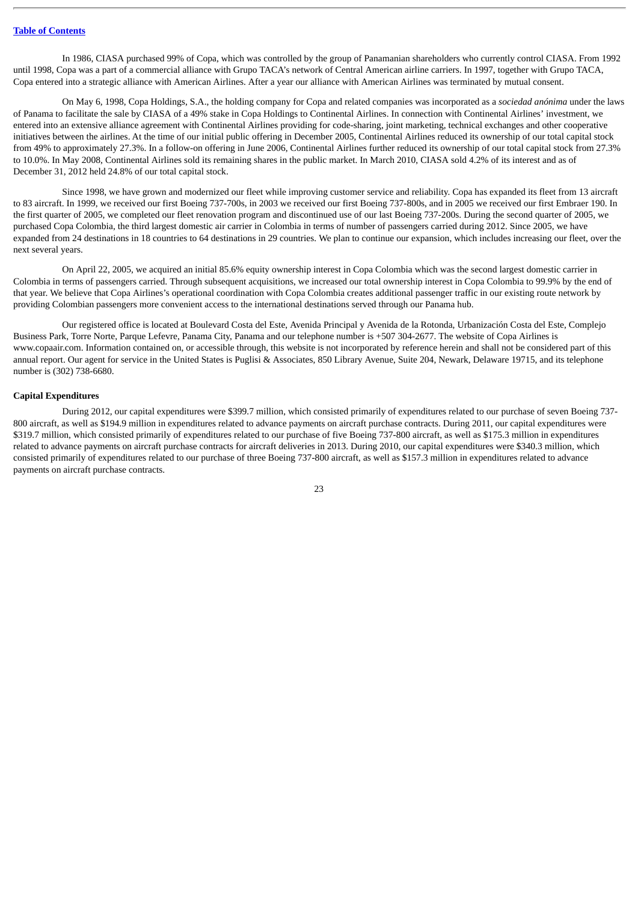In 1986, CIASA purchased 99% of Copa, which was controlled by the group of Panamanian shareholders who currently control CIASA. From 1992 until 1998, Copa was a part of a commercial alliance with Grupo TACA's network of Central American airline carriers. In 1997, together with Grupo TACA, Copa entered into a strategic alliance with American Airlines. After a year our alliance with American Airlines was terminated by mutual consent.

On May 6, 1998, Copa Holdings, S.A., the holding company for Copa and related companies was incorporated as a *sociedad anónima* under the laws of Panama to facilitate the sale by CIASA of a 49% stake in Copa Holdings to Continental Airlines. In connection with Continental Airlines' investment, we entered into an extensive alliance agreement with Continental Airlines providing for code-sharing, joint marketing, technical exchanges and other cooperative initiatives between the airlines. At the time of our initial public offering in December 2005, Continental Airlines reduced its ownership of our total capital stock from 49% to approximately 27.3%. In a follow-on offering in June 2006, Continental Airlines further reduced its ownership of our total capital stock from 27.3% to 10.0%. In May 2008, Continental Airlines sold its remaining shares in the public market. In March 2010, CIASA sold 4.2% of its interest and as of December 31, 2012 held 24.8% of our total capital stock.

Since 1998, we have grown and modernized our fleet while improving customer service and reliability. Copa has expanded its fleet from 13 aircraft to 83 aircraft. In 1999, we received our first Boeing 737-700s, in 2003 we received our first Boeing 737-800s, and in 2005 we received our first Embraer 190. In the first quarter of 2005, we completed our fleet renovation program and discontinued use of our last Boeing 737-200s. During the second quarter of 2005, we purchased Copa Colombia, the third largest domestic air carrier in Colombia in terms of number of passengers carried during 2012. Since 2005, we have expanded from 24 destinations in 18 countries to 64 destinations in 29 countries. We plan to continue our expansion, which includes increasing our fleet, over the next several years.

On April 22, 2005, we acquired an initial 85.6% equity ownership interest in Copa Colombia which was the second largest domestic carrier in Colombia in terms of passengers carried. Through subsequent acquisitions, we increased our total ownership interest in Copa Colombia to 99.9% by the end of that year. We believe that Copa Airlines's operational coordination with Copa Colombia creates additional passenger traffic in our existing route network by providing Colombian passengers more convenient access to the international destinations served through our Panama hub.

Our registered office is located at Boulevard Costa del Este, Avenida Principal y Avenida de la Rotonda, Urbanización Costa del Este, Complejo Business Park, Torre Norte, Parque Lefevre, Panama City, Panama and our telephone number is +507 304-2677. The website of Copa Airlines is www.copaair.com. Information contained on, or accessible through, this website is not incorporated by reference herein and shall not be considered part of this annual report. Our agent for service in the United States is Puglisi & Associates, 850 Library Avenue, Suite 204, Newark, Delaware 19715, and its telephone number is (302) 738-6680.

## **Capital Expenditures**

During 2012, our capital expenditures were \$399.7 million, which consisted primarily of expenditures related to our purchase of seven Boeing 737- 800 aircraft, as well as \$194.9 million in expenditures related to advance payments on aircraft purchase contracts. During 2011, our capital expenditures were \$319.7 million, which consisted primarily of expenditures related to our purchase of five Boeing 737-800 aircraft, as well as \$175.3 million in expenditures related to advance payments on aircraft purchase contracts for aircraft deliveries in 2013. During 2010, our capital expenditures were \$340.3 million, which consisted primarily of expenditures related to our purchase of three Boeing 737-800 aircraft, as well as \$157.3 million in expenditures related to advance payments on aircraft purchase contracts.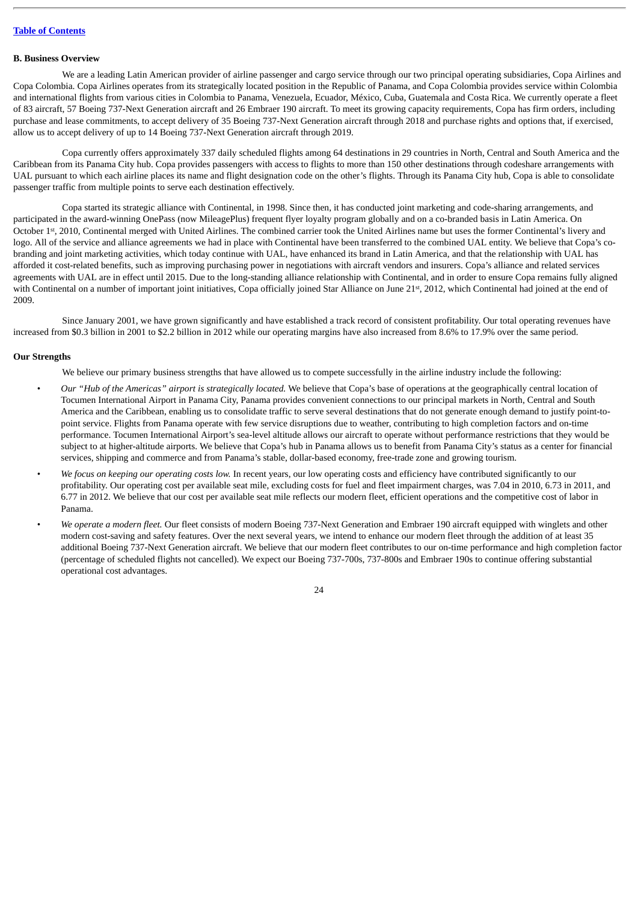#### **B. Business Overview**

We are a leading Latin American provider of airline passenger and cargo service through our two principal operating subsidiaries, Copa Airlines and Copa Colombia. Copa Airlines operates from its strategically located position in the Republic of Panama, and Copa Colombia provides service within Colombia and international flights from various cities in Colombia to Panama, Venezuela, Ecuador, México, Cuba, Guatemala and Costa Rica. We currently operate a fleet of 83 aircraft, 57 Boeing 737-Next Generation aircraft and 26 Embraer 190 aircraft. To meet its growing capacity requirements, Copa has firm orders, including purchase and lease commitments, to accept delivery of 35 Boeing 737-Next Generation aircraft through 2018 and purchase rights and options that, if exercised, allow us to accept delivery of up to 14 Boeing 737-Next Generation aircraft through 2019.

Copa currently offers approximately 337 daily scheduled flights among 64 destinations in 29 countries in North, Central and South America and the Caribbean from its Panama City hub. Copa provides passengers with access to flights to more than 150 other destinations through codeshare arrangements with UAL pursuant to which each airline places its name and flight designation code on the other's flights. Through its Panama City hub, Copa is able to consolidate passenger traffic from multiple points to serve each destination effectively.

Copa started its strategic alliance with Continental, in 1998. Since then, it has conducted joint marketing and code-sharing arrangements, and participated in the award-winning OnePass (now MileagePlus) frequent flyer loyalty program globally and on a co-branded basis in Latin America. On October 1<sup>st</sup>, 2010, Continental merged with United Airlines. The combined carrier took the United Airlines name but uses the former Continental's livery and logo. All of the service and alliance agreements we had in place with Continental have been transferred to the combined UAL entity. We believe that Copa's cobranding and joint marketing activities, which today continue with UAL, have enhanced its brand in Latin America, and that the relationship with UAL has afforded it cost-related benefits, such as improving purchasing power in negotiations with aircraft vendors and insurers. Copa's alliance and related services agreements with UAL are in effect until 2015. Due to the long-standing alliance relationship with Continental, and in order to ensure Copa remains fully aligned with Continental on a number of important joint initiatives, Copa officially joined Star Alliance on June 21<sup>st</sup>, 2012, which Continental had joined at the end of 2009.

Since January 2001, we have grown significantly and have established a track record of consistent profitability. Our total operating revenues have increased from \$0.3 billion in 2001 to \$2.2 billion in 2012 while our operating margins have also increased from 8.6% to 17.9% over the same period.

#### **Our Strengths**

- We believe our primary business strengths that have allowed us to compete successfully in the airline industry include the following:
- *Our "Hub of the Americas" airport is strategically located.* We believe that Copa's base of operations at the geographically central location of Tocumen International Airport in Panama City, Panama provides convenient connections to our principal markets in North, Central and South America and the Caribbean, enabling us to consolidate traffic to serve several destinations that do not generate enough demand to justify point-topoint service. Flights from Panama operate with few service disruptions due to weather, contributing to high completion factors and on-time performance. Tocumen International Airport's sea-level altitude allows our aircraft to operate without performance restrictions that they would be subject to at higher-altitude airports. We believe that Copa's hub in Panama allows us to benefit from Panama City's status as a center for financial services, shipping and commerce and from Panama's stable, dollar-based economy, free-trade zone and growing tourism.
- *We focus on keeping our operating costs low.* In recent years, our low operating costs and efficiency have contributed significantly to our profitability. Our operating cost per available seat mile, excluding costs for fuel and fleet impairment charges, was 7.04 in 2010, 6.73 in 2011, and 6.77 in 2012. We believe that our cost per available seat mile reflects our modern fleet, efficient operations and the competitive cost of labor in Panama.
- *We operate a modern fleet.* Our fleet consists of modern Boeing 737-Next Generation and Embraer 190 aircraft equipped with winglets and other modern cost-saving and safety features. Over the next several years, we intend to enhance our modern fleet through the addition of at least 35 additional Boeing 737-Next Generation aircraft. We believe that our modern fleet contributes to our on-time performance and high completion factor (percentage of scheduled flights not cancelled). We expect our Boeing 737-700s, 737-800s and Embraer 190s to continue offering substantial operational cost advantages.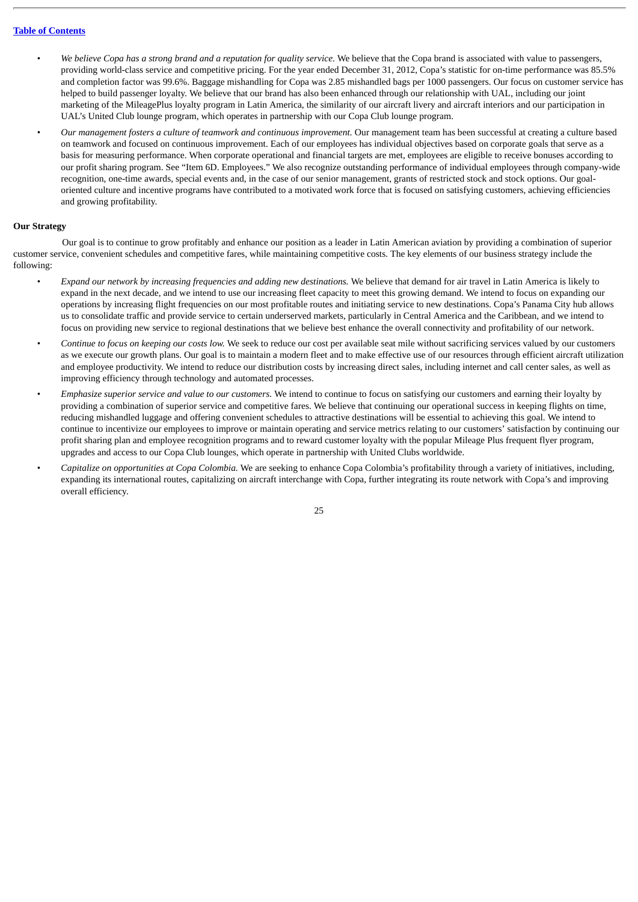- *We believe Copa has a strong brand and a reputation for quality service.* We believe that the Copa brand is associated with value to passengers, providing world-class service and competitive pricing. For the year ended December 31, 2012, Copa's statistic for on-time performance was 85.5% and completion factor was 99.6%. Baggage mishandling for Copa was 2.85 mishandled bags per 1000 passengers. Our focus on customer service has helped to build passenger loyalty. We believe that our brand has also been enhanced through our relationship with UAL, including our joint marketing of the MileagePlus loyalty program in Latin America, the similarity of our aircraft livery and aircraft interiors and our participation in UAL's United Club lounge program, which operates in partnership with our Copa Club lounge program.
- *Our management fosters a culture of teamwork and continuous improvement.* Our management team has been successful at creating a culture based on teamwork and focused on continuous improvement. Each of our employees has individual objectives based on corporate goals that serve as a basis for measuring performance. When corporate operational and financial targets are met, employees are eligible to receive bonuses according to our profit sharing program. See "Item 6D. Employees." We also recognize outstanding performance of individual employees through company-wide recognition, one-time awards, special events and, in the case of our senior management, grants of restricted stock and stock options. Our goaloriented culture and incentive programs have contributed to a motivated work force that is focused on satisfying customers, achieving efficiencies and growing profitability.

## **Our Strategy**

Our goal is to continue to grow profitably and enhance our position as a leader in Latin American aviation by providing a combination of superior customer service, convenient schedules and competitive fares, while maintaining competitive costs. The key elements of our business strategy include the following:

- *Expand our network by increasing frequencies and adding new destinations.* We believe that demand for air travel in Latin America is likely to expand in the next decade, and we intend to use our increasing fleet capacity to meet this growing demand. We intend to focus on expanding our operations by increasing flight frequencies on our most profitable routes and initiating service to new destinations. Copa's Panama City hub allows us to consolidate traffic and provide service to certain underserved markets, particularly in Central America and the Caribbean, and we intend to focus on providing new service to regional destinations that we believe best enhance the overall connectivity and profitability of our network.
- *Continue to focus on keeping our costs low.* We seek to reduce our cost per available seat mile without sacrificing services valued by our customers as we execute our growth plans. Our goal is to maintain a modern fleet and to make effective use of our resources through efficient aircraft utilization and employee productivity. We intend to reduce our distribution costs by increasing direct sales, including internet and call center sales, as well as improving efficiency through technology and automated processes.
- *Emphasize superior service and value to our customers.* We intend to continue to focus on satisfying our customers and earning their loyalty by providing a combination of superior service and competitive fares. We believe that continuing our operational success in keeping flights on time, reducing mishandled luggage and offering convenient schedules to attractive destinations will be essential to achieving this goal. We intend to continue to incentivize our employees to improve or maintain operating and service metrics relating to our customers' satisfaction by continuing our profit sharing plan and employee recognition programs and to reward customer loyalty with the popular Mileage Plus frequent flyer program, upgrades and access to our Copa Club lounges, which operate in partnership with United Clubs worldwide.
- *Capitalize on opportunities at Copa Colombia.* We are seeking to enhance Copa Colombia's profitability through a variety of initiatives, including, expanding its international routes, capitalizing on aircraft interchange with Copa, further integrating its route network with Copa's and improving overall efficiency.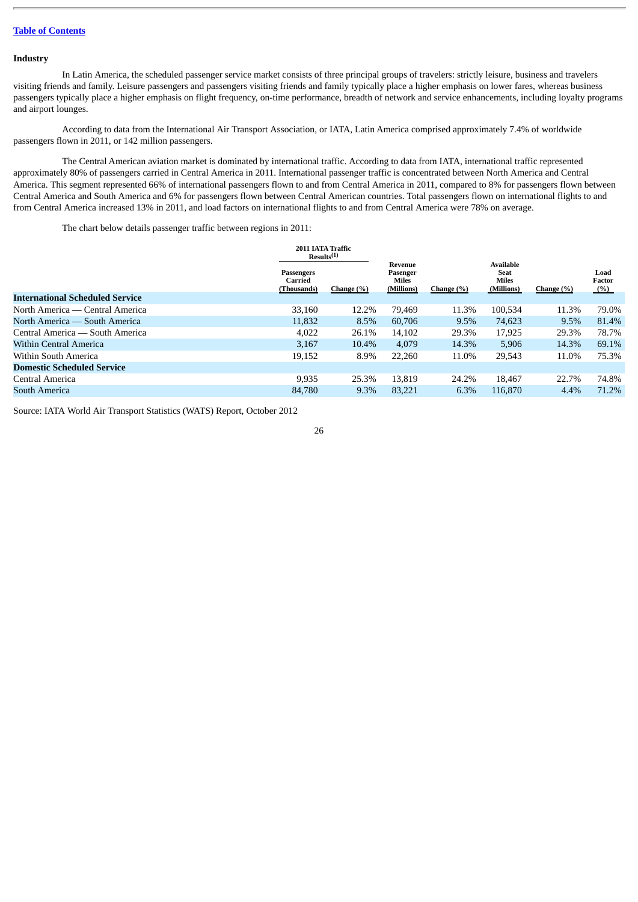## **Industry**

In Latin America, the scheduled passenger service market consists of three principal groups of travelers: strictly leisure, business and travelers visiting friends and family. Leisure passengers and passengers visiting friends and family typically place a higher emphasis on lower fares, whereas business passengers typically place a higher emphasis on flight frequency, on-time performance, breadth of network and service enhancements, including loyalty programs and airport lounges.

According to data from the International Air Transport Association, or IATA, Latin America comprised approximately 7.4% of worldwide passengers flown in 2011, or 142 million passengers.

The Central American aviation market is dominated by international traffic. According to data from IATA, international traffic represented approximately 80% of passengers carried in Central America in 2011. International passenger traffic is concentrated between North America and Central America. This segment represented 66% of international passengers flown to and from Central America in 2011, compared to 8% for passengers flown between Central America and South America and 6% for passengers flown between Central American countries. Total passengers flown on international flights to and from Central America increased 13% in 2011, and load factors on international flights to and from Central America were 78% on average.

The chart below details passenger traffic between regions in 2011:

|                                        |                                      | 2011 IATA Traffic<br>Results <sup>(1)</sup> |                                                   |            |                                                        |            |                       |
|----------------------------------------|--------------------------------------|---------------------------------------------|---------------------------------------------------|------------|--------------------------------------------------------|------------|-----------------------|
|                                        | Passengers<br>Carried<br>(Thousands) |                                             | Revenue<br>Pasenger<br><b>Miles</b><br>(Millions) |            | Available<br><b>Seat</b><br><b>Miles</b><br>(Millions) |            | Load<br>Factor<br>(%) |
| <b>International Scheduled Service</b> |                                      |                                             |                                                   |            |                                                        |            |                       |
| North America — Central America        | 33.160                               | 12.2%                                       | 79.469                                            | 11.3%      | 100.534                                                | 11.3%      | 79.0%                 |
| North America — South America          | 11,832                               | 8.5%                                        | 60,706                                            | 9.5%       | 74.623                                                 | 9.5%       | 81.4%                 |
| Central America — South America        | 4.022                                | 26.1%                                       | 14.102                                            | 29.3%      | 17.925                                                 | 29.3%      | 78.7%                 |
| Within Central America                 | 3.167                                | 10.4%                                       | 4.079                                             | 14.3%      | 5.906                                                  | 14.3%      | 69.1%                 |
| Within South America                   | 19,152                               | 8.9%                                        | 22,260                                            | 11.0%      | 29,543                                                 | 11.0%      | 75.3%                 |
| <b>Domestic Scheduled Service</b>      |                                      |                                             |                                                   |            |                                                        |            |                       |
| Central America                        | 9,935                                | 25.3%                                       | 13.819                                            | 24.2%      | 18.467                                                 | 22.7%      | 74.8%                 |
| South America                          | 84,780                               | 9.3%                                        | 83.221                                            | 6.3%       | 116,870                                                | 4.4%       | 71.2%                 |
|                                        |                                      | Change (%)                                  |                                                   | Change (%) |                                                        | Change (%) |                       |

Source: IATA World Air Transport Statistics (WATS) Report, October 2012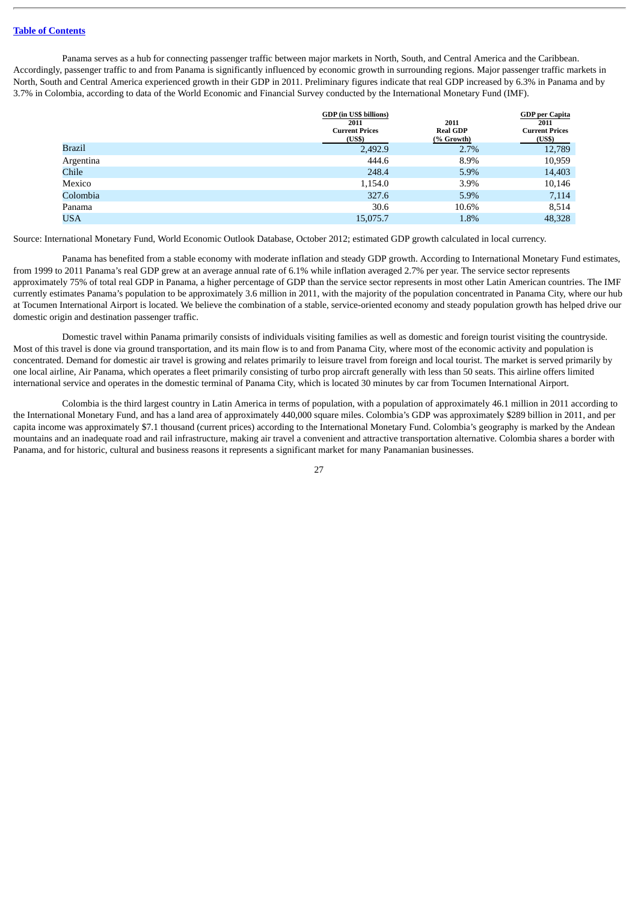Panama serves as a hub for connecting passenger traffic between major markets in North, South, and Central America and the Caribbean. Accordingly, passenger traffic to and from Panama is significantly influenced by economic growth in surrounding regions. Major passenger traffic markets in North, South and Central America experienced growth in their GDP in 2011. Preliminary figures indicate that real GDP increased by 6.3% in Panama and by 3.7% in Colombia, according to data of the World Economic and Financial Survey conducted by the International Monetary Fund (IMF).

|           | GDP (in US\$ billions)<br>2011<br><b>Current Prices</b><br>(USS) | 2011<br><b>Real GDP</b><br>(% Growth) | <b>GDP</b> per Capita<br>2011<br><b>Current Prices</b><br>(US\$) |
|-----------|------------------------------------------------------------------|---------------------------------------|------------------------------------------------------------------|
| Brazil    | 2,492.9                                                          | 2.7%                                  | 12,789                                                           |
| Argentina | 444.6                                                            | 8.9%                                  | 10,959                                                           |
| Chile     | 248.4                                                            | 5.9%                                  | 14,403                                                           |
| Mexico    | 1,154.0                                                          | 3.9%                                  | 10,146                                                           |
| Colombia  | 327.6                                                            | 5.9%                                  | 7,114                                                            |
| Panama    | 30.6                                                             | 10.6%                                 | 8,514                                                            |
| USA       | 15,075.7                                                         | 1.8%                                  | 48,328                                                           |

Source: International Monetary Fund, World Economic Outlook Database, October 2012; estimated GDP growth calculated in local currency.

Panama has benefited from a stable economy with moderate inflation and steady GDP growth. According to International Monetary Fund estimates, from 1999 to 2011 Panama's real GDP grew at an average annual rate of 6.1% while inflation averaged 2.7% per year. The service sector represents approximately 75% of total real GDP in Panama, a higher percentage of GDP than the service sector represents in most other Latin American countries. The IMF currently estimates Panama's population to be approximately 3.6 million in 2011, with the majority of the population concentrated in Panama City, where our hub at Tocumen International Airport is located. We believe the combination of a stable, service-oriented economy and steady population growth has helped drive our domestic origin and destination passenger traffic.

Domestic travel within Panama primarily consists of individuals visiting families as well as domestic and foreign tourist visiting the countryside. Most of this travel is done via ground transportation, and its main flow is to and from Panama City, where most of the economic activity and population is concentrated. Demand for domestic air travel is growing and relates primarily to leisure travel from foreign and local tourist. The market is served primarily by one local airline, Air Panama, which operates a fleet primarily consisting of turbo prop aircraft generally with less than 50 seats. This airline offers limited international service and operates in the domestic terminal of Panama City, which is located 30 minutes by car from Tocumen International Airport.

Colombia is the third largest country in Latin America in terms of population, with a population of approximately 46.1 million in 2011 according to the International Monetary Fund, and has a land area of approximately 440,000 square miles. Colombia's GDP was approximately \$289 billion in 2011, and per capita income was approximately \$7.1 thousand (current prices) according to the International Monetary Fund. Colombia's geography is marked by the Andean mountains and an inadequate road and rail infrastructure, making air travel a convenient and attractive transportation alternative. Colombia shares a border with Panama, and for historic, cultural and business reasons it represents a significant market for many Panamanian businesses.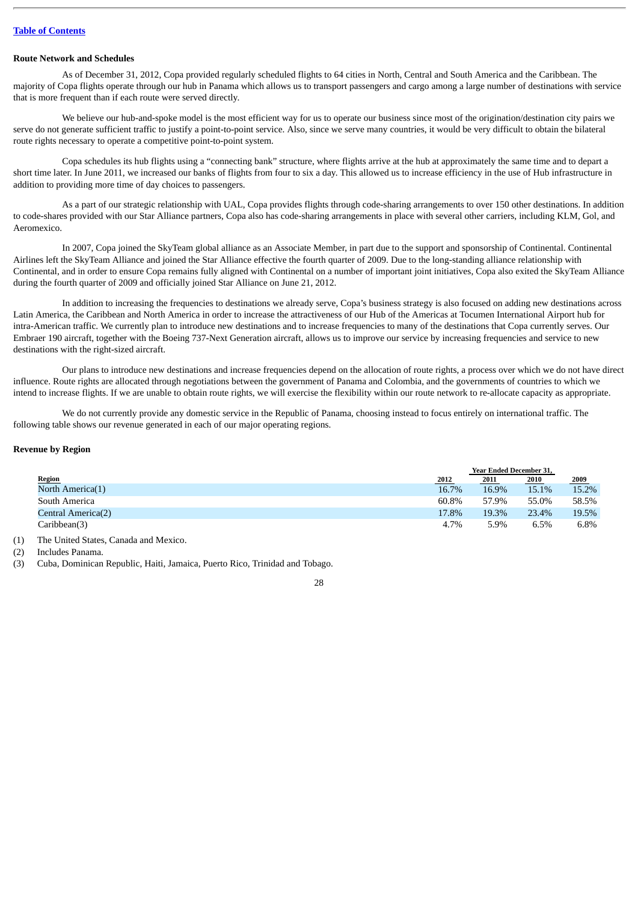## **Route Network and Schedules**

As of December 31, 2012, Copa provided regularly scheduled flights to 64 cities in North, Central and South America and the Caribbean. The majority of Copa flights operate through our hub in Panama which allows us to transport passengers and cargo among a large number of destinations with service that is more frequent than if each route were served directly.

We believe our hub-and-spoke model is the most efficient way for us to operate our business since most of the origination/destination city pairs we serve do not generate sufficient traffic to justify a point-to-point service. Also, since we serve many countries, it would be very difficult to obtain the bilateral route rights necessary to operate a competitive point-to-point system.

Copa schedules its hub flights using a "connecting bank" structure, where flights arrive at the hub at approximately the same time and to depart a short time later. In June 2011, we increased our banks of flights from four to six a day. This allowed us to increase efficiency in the use of Hub infrastructure in addition to providing more time of day choices to passengers.

As a part of our strategic relationship with UAL, Copa provides flights through code-sharing arrangements to over 150 other destinations. In addition to code-shares provided with our Star Alliance partners, Copa also has code-sharing arrangements in place with several other carriers, including KLM, Gol, and Aeromexico.

In 2007, Copa joined the SkyTeam global alliance as an Associate Member, in part due to the support and sponsorship of Continental. Continental Airlines left the SkyTeam Alliance and joined the Star Alliance effective the fourth quarter of 2009. Due to the long-standing alliance relationship with Continental, and in order to ensure Copa remains fully aligned with Continental on a number of important joint initiatives, Copa also exited the SkyTeam Alliance during the fourth quarter of 2009 and officially joined Star Alliance on June 21, 2012.

In addition to increasing the frequencies to destinations we already serve, Copa's business strategy is also focused on adding new destinations across Latin America, the Caribbean and North America in order to increase the attractiveness of our Hub of the Americas at Tocumen International Airport hub for intra-American traffic. We currently plan to introduce new destinations and to increase frequencies to many of the destinations that Copa currently serves. Our Embraer 190 aircraft, together with the Boeing 737-Next Generation aircraft, allows us to improve our service by increasing frequencies and service to new destinations with the right-sized aircraft.

Our plans to introduce new destinations and increase frequencies depend on the allocation of route rights, a process over which we do not have direct influence. Route rights are allocated through negotiations between the government of Panama and Colombia, and the governments of countries to which we intend to increase flights. If we are unable to obtain route rights, we will exercise the flexibility within our route network to re-allocate capacity as appropriate.

We do not currently provide any domestic service in the Republic of Panama, choosing instead to focus entirely on international traffic. The following table shows our revenue generated in each of our major operating regions.

#### **Revenue by Region**

|                    |       | Year Ended December 31, |       |       |
|--------------------|-------|-------------------------|-------|-------|
| Region             | 2012  | <b>2011</b>             | 2010  | 2009  |
| North America(1)   | 16.7% | 16.9%                   | 15.1% | 15.2% |
| South America      | 60.8% | 57.9%                   | 55.0% | 58.5% |
| Central America(2) | 17.8% | 19.3%                   | 23.4% | 19.5% |
| Caribbean(3)       | 4.7%  | 5.9%                    | 6.5%  | 6.8%  |

(1) The United States, Canada and Mexico.

(2) Includes Panama.

(3) Cuba, Dominican Republic, Haiti, Jamaica, Puerto Rico, Trinidad and Tobago.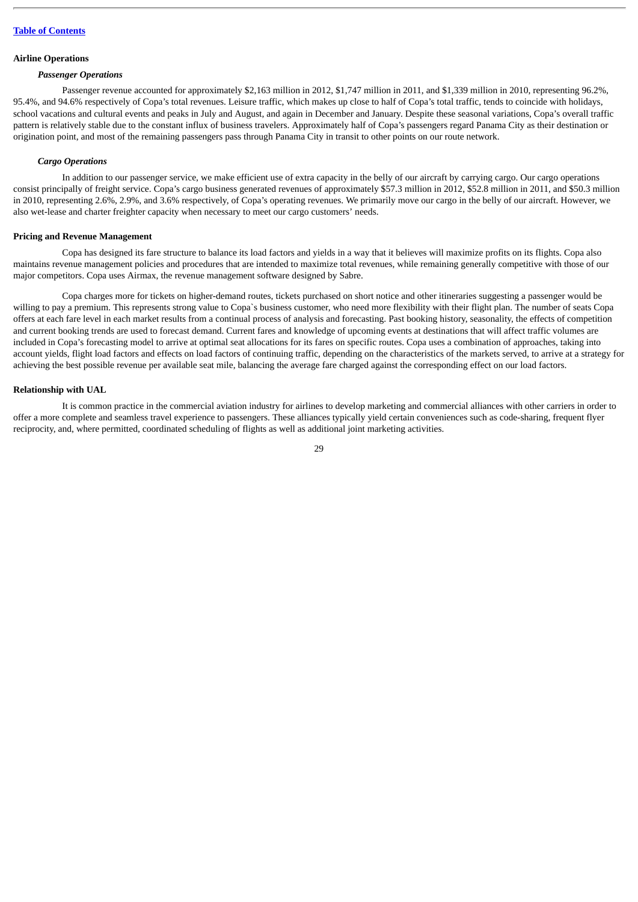#### **Airline Operations**

#### *Passenger Operations*

Passenger revenue accounted for approximately \$2,163 million in 2012, \$1,747 million in 2011, and \$1,339 million in 2010, representing 96.2%, 95.4%, and 94.6% respectively of Copa's total revenues. Leisure traffic, which makes up close to half of Copa's total traffic, tends to coincide with holidays, school vacations and cultural events and peaks in July and August, and again in December and January. Despite these seasonal variations, Copa's overall traffic pattern is relatively stable due to the constant influx of business travelers. Approximately half of Copa's passengers regard Panama City as their destination or origination point, and most of the remaining passengers pass through Panama City in transit to other points on our route network.

#### *Cargo Operations*

In addition to our passenger service, we make efficient use of extra capacity in the belly of our aircraft by carrying cargo. Our cargo operations consist principally of freight service. Copa's cargo business generated revenues of approximately \$57.3 million in 2012, \$52.8 million in 2011, and \$50.3 million in 2010, representing 2.6%, 2.9%, and 3.6% respectively, of Copa's operating revenues. We primarily move our cargo in the belly of our aircraft. However, we also wet-lease and charter freighter capacity when necessary to meet our cargo customers' needs.

#### **Pricing and Revenue Management**

Copa has designed its fare structure to balance its load factors and yields in a way that it believes will maximize profits on its flights. Copa also maintains revenue management policies and procedures that are intended to maximize total revenues, while remaining generally competitive with those of our major competitors. Copa uses Airmax, the revenue management software designed by Sabre.

Copa charges more for tickets on higher-demand routes, tickets purchased on short notice and other itineraries suggesting a passenger would be willing to pay a premium. This represents strong value to Copa's business customer, who need more flexibility with their flight plan. The number of seats Copa offers at each fare level in each market results from a continual process of analysis and forecasting. Past booking history, seasonality, the effects of competition and current booking trends are used to forecast demand. Current fares and knowledge of upcoming events at destinations that will affect traffic volumes are included in Copa's forecasting model to arrive at optimal seat allocations for its fares on specific routes. Copa uses a combination of approaches, taking into account yields, flight load factors and effects on load factors of continuing traffic, depending on the characteristics of the markets served, to arrive at a strategy for achieving the best possible revenue per available seat mile, balancing the average fare charged against the corresponding effect on our load factors.

#### **Relationship with UAL**

It is common practice in the commercial aviation industry for airlines to develop marketing and commercial alliances with other carriers in order to offer a more complete and seamless travel experience to passengers. These alliances typically yield certain conveniences such as code-sharing, frequent flyer reciprocity, and, where permitted, coordinated scheduling of flights as well as additional joint marketing activities.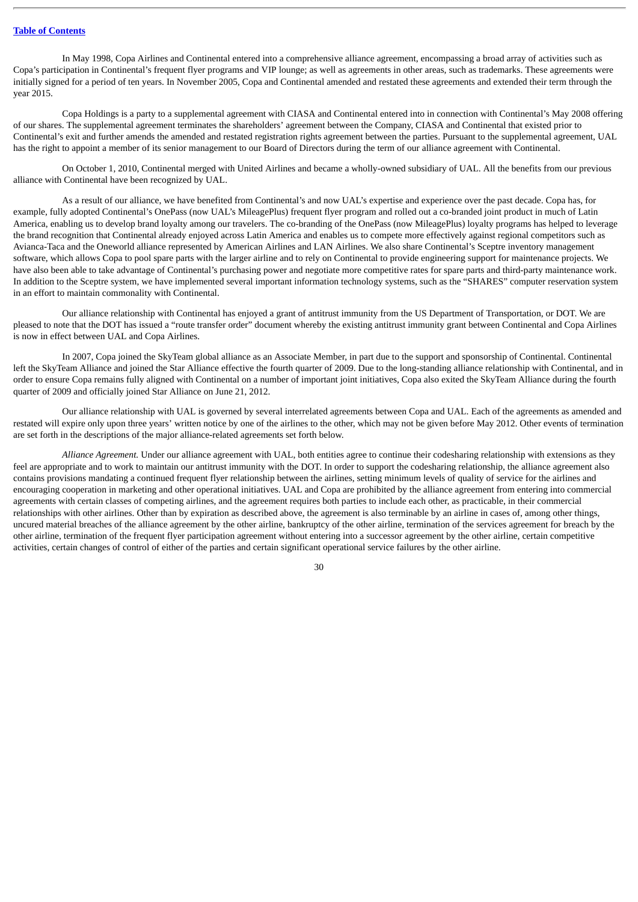In May 1998, Copa Airlines and Continental entered into a comprehensive alliance agreement, encompassing a broad array of activities such as Copa's participation in Continental's frequent flyer programs and VIP lounge; as well as agreements in other areas, such as trademarks. These agreements were initially signed for a period of ten years. In November 2005, Copa and Continental amended and restated these agreements and extended their term through the year 2015.

Copa Holdings is a party to a supplemental agreement with CIASA and Continental entered into in connection with Continental's May 2008 offering of our shares. The supplemental agreement terminates the shareholders' agreement between the Company, CIASA and Continental that existed prior to Continental's exit and further amends the amended and restated registration rights agreement between the parties. Pursuant to the supplemental agreement, UAL has the right to appoint a member of its senior management to our Board of Directors during the term of our alliance agreement with Continental.

On October 1, 2010, Continental merged with United Airlines and became a wholly-owned subsidiary of UAL. All the benefits from our previous alliance with Continental have been recognized by UAL.

As a result of our alliance, we have benefited from Continental's and now UAL's expertise and experience over the past decade. Copa has, for example, fully adopted Continental's OnePass (now UAL's MileagePlus) frequent flyer program and rolled out a co-branded joint product in much of Latin America, enabling us to develop brand loyalty among our travelers. The co-branding of the OnePass (now MileagePlus) loyalty programs has helped to leverage the brand recognition that Continental already enjoyed across Latin America and enables us to compete more effectively against regional competitors such as Avianca-Taca and the Oneworld alliance represented by American Airlines and LAN Airlines. We also share Continental's Sceptre inventory management software, which allows Copa to pool spare parts with the larger airline and to rely on Continental to provide engineering support for maintenance projects. We have also been able to take advantage of Continental's purchasing power and negotiate more competitive rates for spare parts and third-party maintenance work. In addition to the Sceptre system, we have implemented several important information technology systems, such as the "SHARES" computer reservation system in an effort to maintain commonality with Continental.

Our alliance relationship with Continental has enjoyed a grant of antitrust immunity from the US Department of Transportation, or DOT. We are pleased to note that the DOT has issued a "route transfer order" document whereby the existing antitrust immunity grant between Continental and Copa Airlines is now in effect between UAL and Copa Airlines.

In 2007, Copa joined the SkyTeam global alliance as an Associate Member, in part due to the support and sponsorship of Continental. Continental left the SkyTeam Alliance and joined the Star Alliance effective the fourth quarter of 2009. Due to the long-standing alliance relationship with Continental, and in order to ensure Copa remains fully aligned with Continental on a number of important joint initiatives, Copa also exited the SkyTeam Alliance during the fourth quarter of 2009 and officially joined Star Alliance on June 21, 2012.

Our alliance relationship with UAL is governed by several interrelated agreements between Copa and UAL. Each of the agreements as amended and restated will expire only upon three years' written notice by one of the airlines to the other, which may not be given before May 2012. Other events of termination are set forth in the descriptions of the major alliance-related agreements set forth below.

*Alliance Agreement.* Under our alliance agreement with UAL, both entities agree to continue their codesharing relationship with extensions as they feel are appropriate and to work to maintain our antitrust immunity with the DOT. In order to support the codesharing relationship, the alliance agreement also contains provisions mandating a continued frequent flyer relationship between the airlines, setting minimum levels of quality of service for the airlines and encouraging cooperation in marketing and other operational initiatives. UAL and Copa are prohibited by the alliance agreement from entering into commercial agreements with certain classes of competing airlines, and the agreement requires both parties to include each other, as practicable, in their commercial relationships with other airlines. Other than by expiration as described above, the agreement is also terminable by an airline in cases of, among other things, uncured material breaches of the alliance agreement by the other airline, bankruptcy of the other airline, termination of the services agreement for breach by the other airline, termination of the frequent flyer participation agreement without entering into a successor agreement by the other airline, certain competitive activities, certain changes of control of either of the parties and certain significant operational service failures by the other airline.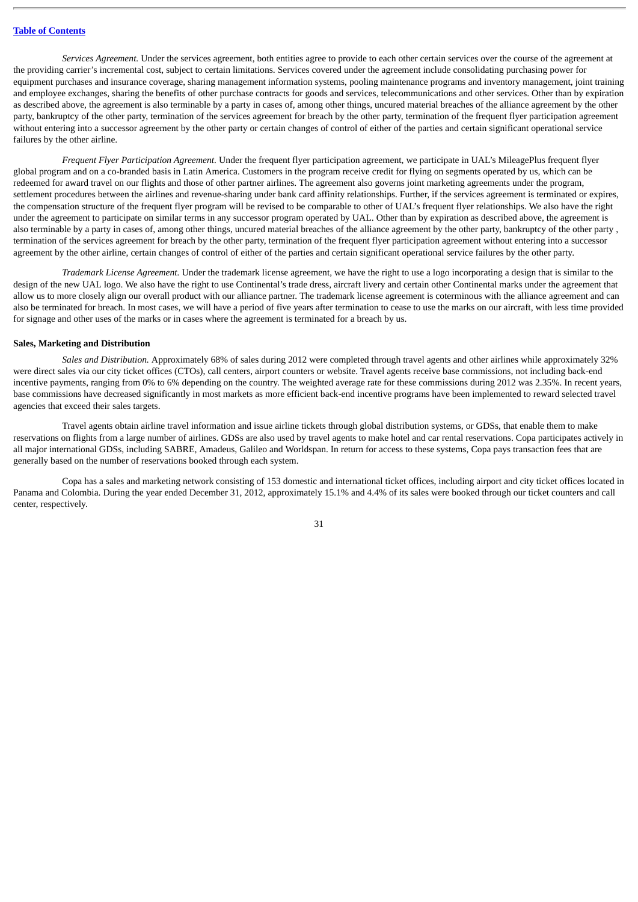*Services Agreement.* Under the services agreement, both entities agree to provide to each other certain services over the course of the agreement at the providing carrier's incremental cost, subject to certain limitations. Services covered under the agreement include consolidating purchasing power for equipment purchases and insurance coverage, sharing management information systems, pooling maintenance programs and inventory management, joint training and employee exchanges, sharing the benefits of other purchase contracts for goods and services, telecommunications and other services. Other than by expiration as described above, the agreement is also terminable by a party in cases of, among other things, uncured material breaches of the alliance agreement by the other party, bankruptcy of the other party, termination of the services agreement for breach by the other party, termination of the frequent flyer participation agreement without entering into a successor agreement by the other party or certain changes of control of either of the parties and certain significant operational service failures by the other airline.

*Frequent Flyer Participation Agreement.* Under the frequent flyer participation agreement, we participate in UAL's MileagePlus frequent flyer global program and on a co-branded basis in Latin America. Customers in the program receive credit for flying on segments operated by us, which can be redeemed for award travel on our flights and those of other partner airlines. The agreement also governs joint marketing agreements under the program, settlement procedures between the airlines and revenue-sharing under bank card affinity relationships. Further, if the services agreement is terminated or expires, the compensation structure of the frequent flyer program will be revised to be comparable to other of UAL's frequent flyer relationships. We also have the right under the agreement to participate on similar terms in any successor program operated by UAL. Other than by expiration as described above, the agreement is also terminable by a party in cases of, among other things, uncured material breaches of the alliance agreement by the other party, bankruptcy of the other party , termination of the services agreement for breach by the other party, termination of the frequent flyer participation agreement without entering into a successor agreement by the other airline, certain changes of control of either of the parties and certain significant operational service failures by the other party.

*Trademark License Agreement.* Under the trademark license agreement, we have the right to use a logo incorporating a design that is similar to the design of the new UAL logo. We also have the right to use Continental's trade dress, aircraft livery and certain other Continental marks under the agreement that allow us to more closely align our overall product with our alliance partner. The trademark license agreement is coterminous with the alliance agreement and can also be terminated for breach. In most cases, we will have a period of five years after termination to cease to use the marks on our aircraft, with less time provided for signage and other uses of the marks or in cases where the agreement is terminated for a breach by us.

#### **Sales, Marketing and Distribution**

*Sales and Distribution.* Approximately 68% of sales during 2012 were completed through travel agents and other airlines while approximately 32% were direct sales via our city ticket offices (CTOs), call centers, airport counters or website. Travel agents receive base commissions, not including back-end incentive payments, ranging from 0% to 6% depending on the country. The weighted average rate for these commissions during 2012 was 2.35%. In recent years, base commissions have decreased significantly in most markets as more efficient back-end incentive programs have been implemented to reward selected travel agencies that exceed their sales targets.

Travel agents obtain airline travel information and issue airline tickets through global distribution systems, or GDSs, that enable them to make reservations on flights from a large number of airlines. GDSs are also used by travel agents to make hotel and car rental reservations. Copa participates actively in all major international GDSs, including SABRE, Amadeus, Galileo and Worldspan. In return for access to these systems, Copa pays transaction fees that are generally based on the number of reservations booked through each system.

Copa has a sales and marketing network consisting of 153 domestic and international ticket offices, including airport and city ticket offices located in Panama and Colombia. During the year ended December 31, 2012, approximately 15.1% and 4.4% of its sales were booked through our ticket counters and call center, respectively.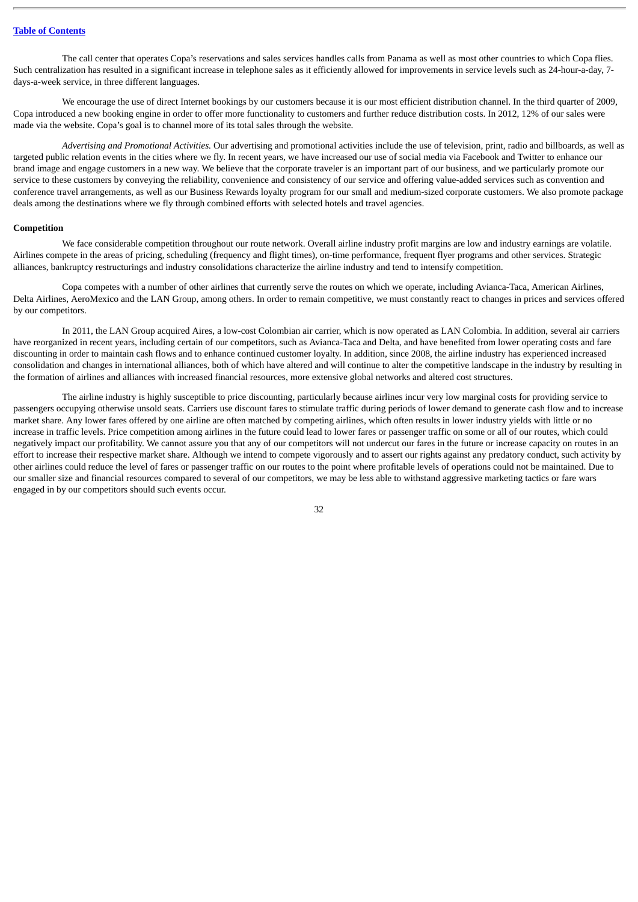The call center that operates Copa's reservations and sales services handles calls from Panama as well as most other countries to which Copa flies. Such centralization has resulted in a significant increase in telephone sales as it efficiently allowed for improvements in service levels such as 24-hour-a-day, 7days-a-week service, in three different languages.

We encourage the use of direct Internet bookings by our customers because it is our most efficient distribution channel. In the third quarter of 2009, Copa introduced a new booking engine in order to offer more functionality to customers and further reduce distribution costs. In 2012, 12% of our sales were made via the website. Copa's goal is to channel more of its total sales through the website.

*Advertising and Promotional Activities.* Our advertising and promotional activities include the use of television, print, radio and billboards, as well as targeted public relation events in the cities where we fly. In recent years, we have increased our use of social media via Facebook and Twitter to enhance our brand image and engage customers in a new way. We believe that the corporate traveler is an important part of our business, and we particularly promote our service to these customers by conveying the reliability, convenience and consistency of our service and offering value-added services such as convention and conference travel arrangements, as well as our Business Rewards loyalty program for our small and medium-sized corporate customers. We also promote package deals among the destinations where we fly through combined efforts with selected hotels and travel agencies.

### **Competition**

We face considerable competition throughout our route network. Overall airline industry profit margins are low and industry earnings are volatile. Airlines compete in the areas of pricing, scheduling (frequency and flight times), on-time performance, frequent flyer programs and other services. Strategic alliances, bankruptcy restructurings and industry consolidations characterize the airline industry and tend to intensify competition.

Copa competes with a number of other airlines that currently serve the routes on which we operate, including Avianca-Taca, American Airlines, Delta Airlines, AeroMexico and the LAN Group, among others. In order to remain competitive, we must constantly react to changes in prices and services offered by our competitors.

In 2011, the LAN Group acquired Aires, a low-cost Colombian air carrier, which is now operated as LAN Colombia. In addition, several air carriers have reorganized in recent years, including certain of our competitors, such as Avianca-Taca and Delta, and have benefited from lower operating costs and fare discounting in order to maintain cash flows and to enhance continued customer loyalty. In addition, since 2008, the airline industry has experienced increased consolidation and changes in international alliances, both of which have altered and will continue to alter the competitive landscape in the industry by resulting in the formation of airlines and alliances with increased financial resources, more extensive global networks and altered cost structures.

The airline industry is highly susceptible to price discounting, particularly because airlines incur very low marginal costs for providing service to passengers occupying otherwise unsold seats. Carriers use discount fares to stimulate traffic during periods of lower demand to generate cash flow and to increase market share. Any lower fares offered by one airline are often matched by competing airlines, which often results in lower industry yields with little or no increase in traffic levels. Price competition among airlines in the future could lead to lower fares or passenger traffic on some or all of our routes, which could negatively impact our profitability. We cannot assure you that any of our competitors will not undercut our fares in the future or increase capacity on routes in an effort to increase their respective market share. Although we intend to compete vigorously and to assert our rights against any predatory conduct, such activity by other airlines could reduce the level of fares or passenger traffic on our routes to the point where profitable levels of operations could not be maintained. Due to our smaller size and financial resources compared to several of our competitors, we may be less able to withstand aggressive marketing tactics or fare wars engaged in by our competitors should such events occur.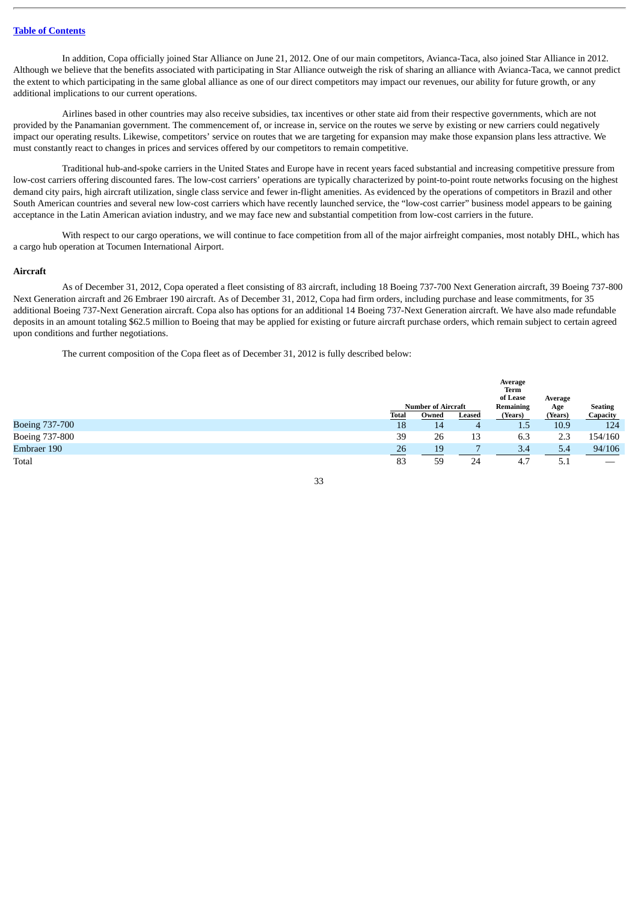In addition, Copa officially joined Star Alliance on June 21, 2012. One of our main competitors, Avianca-Taca, also joined Star Alliance in 2012. Although we believe that the benefits associated with participating in Star Alliance outweigh the risk of sharing an alliance with Avianca-Taca, we cannot predict the extent to which participating in the same global alliance as one of our direct competitors may impact our revenues, our ability for future growth, or any additional implications to our current operations.

Airlines based in other countries may also receive subsidies, tax incentives or other state aid from their respective governments, which are not provided by the Panamanian government. The commencement of, or increase in, service on the routes we serve by existing or new carriers could negatively impact our operating results. Likewise, competitors' service on routes that we are targeting for expansion may make those expansion plans less attractive. We must constantly react to changes in prices and services offered by our competitors to remain competitive.

Traditional hub-and-spoke carriers in the United States and Europe have in recent years faced substantial and increasing competitive pressure from low-cost carriers offering discounted fares. The low-cost carriers' operations are typically characterized by point-to-point route networks focusing on the highest demand city pairs, high aircraft utilization, single class service and fewer in-flight amenities. As evidenced by the operations of competitors in Brazil and other South American countries and several new low-cost carriers which have recently launched service, the "low-cost carrier" business model appears to be gaining acceptance in the Latin American aviation industry, and we may face new and substantial competition from low-cost carriers in the future.

With respect to our cargo operations, we will continue to face competition from all of the major airfreight companies, most notably DHL, which has a cargo hub operation at Tocumen International Airport.

### **Aircraft**

As of December 31, 2012, Copa operated a fleet consisting of 83 aircraft, including 18 Boeing 737-700 Next Generation aircraft, 39 Boeing 737-800 Next Generation aircraft and 26 Embraer 190 aircraft. As of December 31, 2012, Copa had firm orders, including purchase and lease commitments, for 35 additional Boeing 737-Next Generation aircraft. Copa also has options for an additional 14 Boeing 737-Next Generation aircraft. We have also made refundable deposits in an amount totaling \$62.5 million to Boeing that may be applied for existing or future aircraft purchase orders, which remain subject to certain agreed upon conditions and further negotiations.

The current composition of the Copa fleet as of December 31, 2012 is fully described below:

|                |       |                           |        | Average<br>Term      |                            |                |
|----------------|-------|---------------------------|--------|----------------------|----------------------------|----------------|
|                |       | <b>Number of Aircraft</b> |        |                      | of Lease<br>Average<br>Age | <b>Seating</b> |
|                | Total | Owned                     | Leased | Remaining<br>(Years) | (Years)                    | Capacity       |
| Boeing 737-700 | 18    | 14                        | 4      | 1.5                  | 10.9                       | 124            |
| Boeing 737-800 | 39    | 26                        | 13     | 6.3                  | 2.3                        | 154/160        |
| Embraer 190    | 26    | 19                        |        | 3.4                  | 5.4                        | 94/106         |
| Total          | 83    | 59                        | 24     | -4.7                 | -5.1                       |                |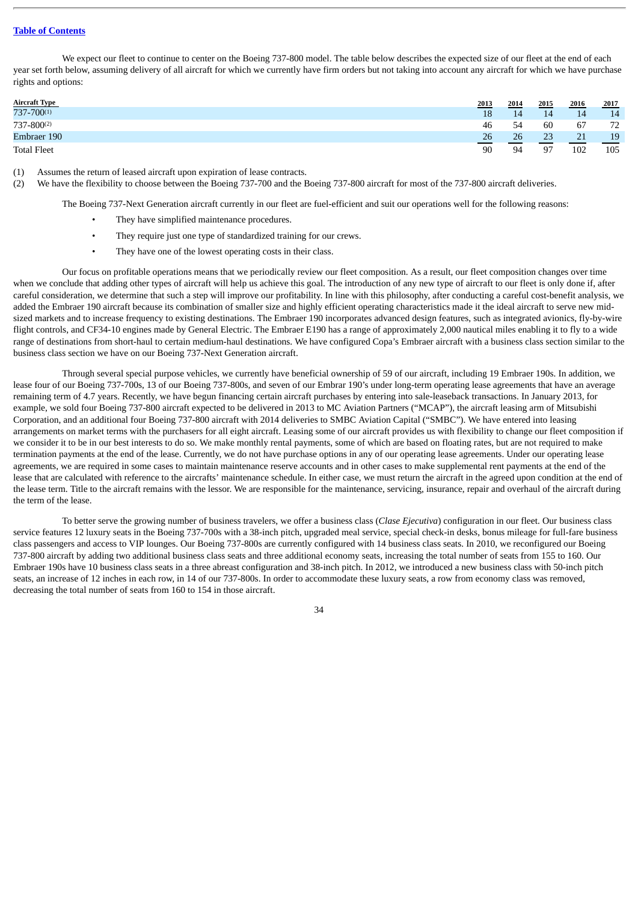We expect our fleet to continue to center on the Boeing 737-800 model. The table below describes the expected size of our fleet at the end of each year set forth below, assuming delivery of all aircraft for which we currently have firm orders but not taking into account any aircraft for which we have purchase rights and options:

| <b>Aircraft Type</b> | 2013 | 2014 | 2015      | 2016 | 2017 |
|----------------------|------|------|-----------|------|------|
| 737-700(1)           | 18   | 14   | 14        | 14   | 14   |
| 737-800(2)           | 46   | 54   | 60        | 67   | 72   |
| Embraer 190          | 26   | 26   | 23        | 21   | 19   |
| <b>Total Fleet</b>   | 90   | 94   | Q7<br>ر ب | 102  | 105  |

(1) Assumes the return of leased aircraft upon expiration of lease contracts.

(2) We have the flexibility to choose between the Boeing 737-700 and the Boeing 737-800 aircraft for most of the 737-800 aircraft deliveries.

The Boeing 737-Next Generation aircraft currently in our fleet are fuel-efficient and suit our operations well for the following reasons:

- They have simplified maintenance procedures.
- They require just one type of standardized training for our crews.
- They have one of the lowest operating costs in their class.

Our focus on profitable operations means that we periodically review our fleet composition. As a result, our fleet composition changes over time when we conclude that adding other types of aircraft will help us achieve this goal. The introduction of any new type of aircraft to our fleet is only done if, after careful consideration, we determine that such a step will improve our profitability. In line with this philosophy, after conducting a careful cost-benefit analysis, we added the Embraer 190 aircraft because its combination of smaller size and highly efficient operating characteristics made it the ideal aircraft to serve new midsized markets and to increase frequency to existing destinations. The Embraer 190 incorporates advanced design features, such as integrated avionics, fly-by-wire flight controls, and CF34-10 engines made by General Electric. The Embraer E190 has a range of approximately 2,000 nautical miles enabling it to fly to a wide range of destinations from short-haul to certain medium-haul destinations. We have configured Copa's Embraer aircraft with a business class section similar to the business class section we have on our Boeing 737-Next Generation aircraft.

Through several special purpose vehicles, we currently have beneficial ownership of 59 of our aircraft, including 19 Embraer 190s. In addition, we lease four of our Boeing 737-700s, 13 of our Boeing 737-800s, and seven of our Embrar 190's under long-term operating lease agreements that have an average remaining term of 4.7 years. Recently, we have begun financing certain aircraft purchases by entering into sale-leaseback transactions. In January 2013, for example, we sold four Boeing 737-800 aircraft expected to be delivered in 2013 to MC Aviation Partners ("MCAP"), the aircraft leasing arm of Mitsubishi Corporation, and an additional four Boeing 737-800 aircraft with 2014 deliveries to SMBC Aviation Capital ("SMBC"). We have entered into leasing arrangements on market terms with the purchasers for all eight aircraft. Leasing some of our aircraft provides us with flexibility to change our fleet composition if we consider it to be in our best interests to do so. We make monthly rental payments, some of which are based on floating rates, but are not required to make termination payments at the end of the lease. Currently, we do not have purchase options in any of our operating lease agreements. Under our operating lease agreements, we are required in some cases to maintain maintenance reserve accounts and in other cases to make supplemental rent payments at the end of the lease that are calculated with reference to the aircrafts' maintenance schedule. In either case, we must return the aircraft in the agreed upon condition at the end of the lease term. Title to the aircraft remains with the lessor. We are responsible for the maintenance, servicing, insurance, repair and overhaul of the aircraft during the term of the lease.

To better serve the growing number of business travelers, we offer a business class (*Clase Ejecutiva*) configuration in our fleet. Our business class service features 12 luxury seats in the Boeing 737-700s with a 38-inch pitch, upgraded meal service, special check-in desks, bonus mileage for full-fare business class passengers and access to VIP lounges. Our Boeing 737-800s are currently configured with 14 business class seats. In 2010, we reconfigured our Boeing 737-800 aircraft by adding two additional business class seats and three additional economy seats, increasing the total number of seats from 155 to 160. Our Embraer 190s have 10 business class seats in a three abreast configuration and 38-inch pitch. In 2012, we introduced a new business class with 50-inch pitch seats, an increase of 12 inches in each row, in 14 of our 737-800s. In order to accommodate these luxury seats, a row from economy class was removed, decreasing the total number of seats from 160 to 154 in those aircraft.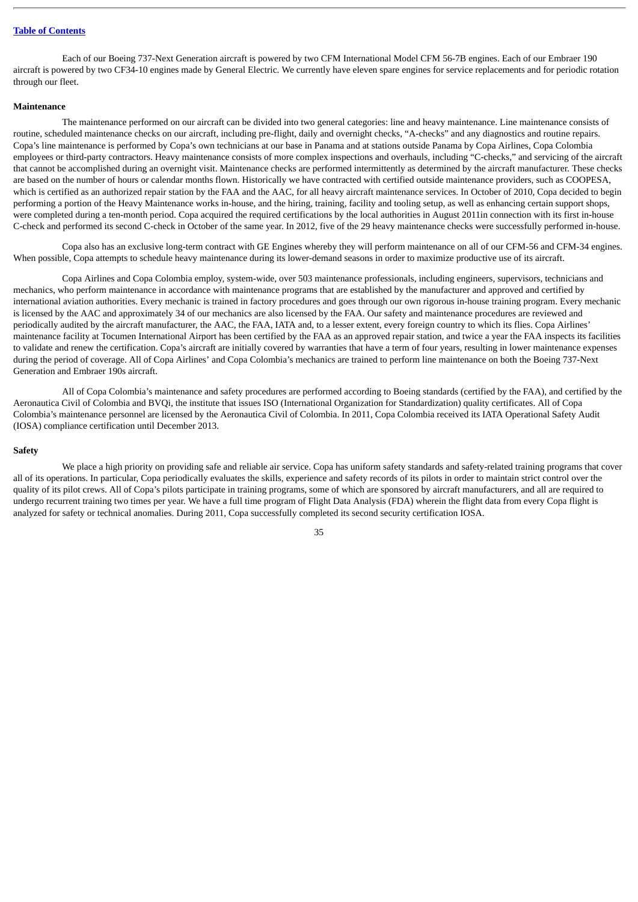Each of our Boeing 737-Next Generation aircraft is powered by two CFM International Model CFM 56-7B engines. Each of our Embraer 190 aircraft is powered by two CF34-10 engines made by General Electric. We currently have eleven spare engines for service replacements and for periodic rotation through our fleet.

### **Maintenance**

The maintenance performed on our aircraft can be divided into two general categories: line and heavy maintenance. Line maintenance consists of routine, scheduled maintenance checks on our aircraft, including pre-flight, daily and overnight checks, "A-checks" and any diagnostics and routine repairs. Copa's line maintenance is performed by Copa's own technicians at our base in Panama and at stations outside Panama by Copa Airlines, Copa Colombia employees or third-party contractors. Heavy maintenance consists of more complex inspections and overhauls, including "C-checks," and servicing of the aircraft that cannot be accomplished during an overnight visit. Maintenance checks are performed intermittently as determined by the aircraft manufacturer. These checks are based on the number of hours or calendar months flown. Historically we have contracted with certified outside maintenance providers, such as COOPESA, which is certified as an authorized repair station by the FAA and the AAC, for all heavy aircraft maintenance services. In October of 2010, Copa decided to begin performing a portion of the Heavy Maintenance works in-house, and the hiring, training, facility and tooling setup, as well as enhancing certain support shops, were completed during a ten-month period. Copa acquired the required certifications by the local authorities in August 2011in connection with its first in-house C-check and performed its second C-check in October of the same year. In 2012, five of the 29 heavy maintenance checks were successfully performed in-house.

Copa also has an exclusive long-term contract with GE Engines whereby they will perform maintenance on all of our CFM-56 and CFM-34 engines. When possible, Copa attempts to schedule heavy maintenance during its lower-demand seasons in order to maximize productive use of its aircraft.

Copa Airlines and Copa Colombia employ, system-wide, over 503 maintenance professionals, including engineers, supervisors, technicians and mechanics, who perform maintenance in accordance with maintenance programs that are established by the manufacturer and approved and certified by international aviation authorities. Every mechanic is trained in factory procedures and goes through our own rigorous in-house training program. Every mechanic is licensed by the AAC and approximately 34 of our mechanics are also licensed by the FAA. Our safety and maintenance procedures are reviewed and periodically audited by the aircraft manufacturer, the AAC, the FAA, IATA and, to a lesser extent, every foreign country to which its flies. Copa Airlines' maintenance facility at Tocumen International Airport has been certified by the FAA as an approved repair station, and twice a year the FAA inspects its facilities to validate and renew the certification. Copa's aircraft are initially covered by warranties that have a term of four years, resulting in lower maintenance expenses during the period of coverage. All of Copa Airlines' and Copa Colombia's mechanics are trained to perform line maintenance on both the Boeing 737-Next Generation and Embraer 190s aircraft.

All of Copa Colombia's maintenance and safety procedures are performed according to Boeing standards (certified by the FAA), and certified by the Aeronautica Civil of Colombia and BVQi, the institute that issues ISO (International Organization for Standardization) quality certificates. All of Copa Colombia's maintenance personnel are licensed by the Aeronautica Civil of Colombia. In 2011, Copa Colombia received its IATA Operational Safety Audit (IOSA) compliance certification until December 2013.

## **Safety**

We place a high priority on providing safe and reliable air service. Copa has uniform safety standards and safety-related training programs that cover all of its operations. In particular, Copa periodically evaluates the skills, experience and safety records of its pilots in order to maintain strict control over the quality of its pilot crews. All of Copa's pilots participate in training programs, some of which are sponsored by aircraft manufacturers, and all are required to undergo recurrent training two times per year. We have a full time program of Flight Data Analysis (FDA) wherein the flight data from every Copa flight is analyzed for safety or technical anomalies. During 2011, Copa successfully completed its second security certification IOSA.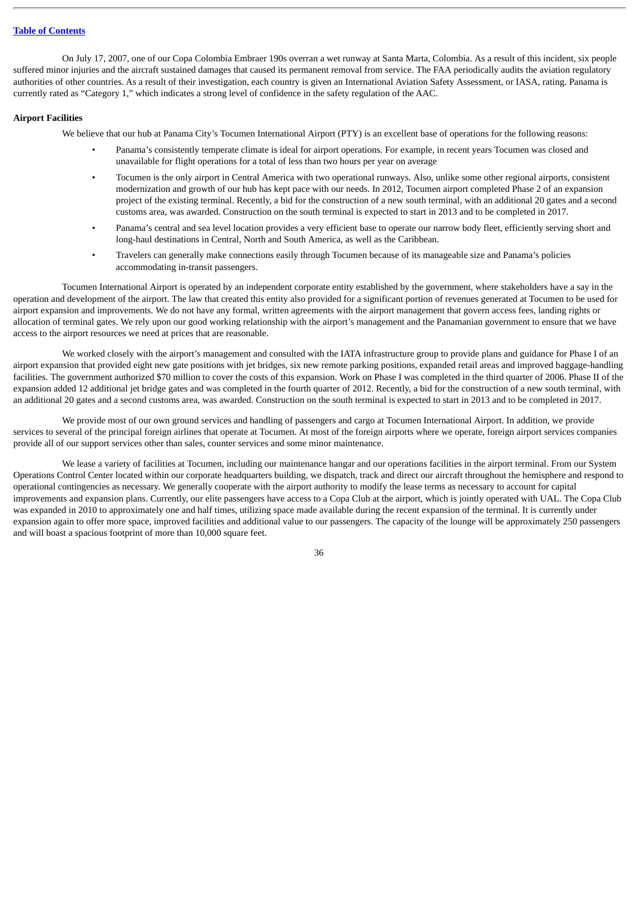On July 17, 2007, one of our Copa Colombia Embraer 190s overran a wet runway at Santa Marta, Colombia. As a result of this incident, six people suffered minor injuries and the aircraft sustained damages that caused its permanent removal from service. The FAA periodically audits the aviation regulatory authorities of other countries. As a result of their investigation, each country is given an International Aviation Safety Assessment, or IASA, rating. Panama is currently rated as "Category 1," which indicates a strong level of confidence in the safety regulation of the AAC.

#### **Airport Facilities**

We believe that our hub at Panama City's Tocumen International Airport (PTY) is an excellent base of operations for the following reasons:

- Panama's consistently temperate climate is ideal for airport operations. For example, in recent years Tocumen was closed and unavailable for flight operations for a total of less than two hours per year on average
- Tocumen is the only airport in Central America with two operational runways. Also, unlike some other regional airports, consistent modernization and growth of our hub has kept pace with our needs. In 2012, Tocumen airport completed Phase 2 of an expansion project of the existing terminal. Recently, a bid for the construction of a new south terminal, with an additional 20 gates and a second customs area, was awarded. Construction on the south terminal is expected to start in 2013 and to be completed in 2017.
- Panama's central and sea level location provides a very efficient base to operate our narrow body fleet, efficiently serving short and long-haul destinations in Central, North and South America, as well as the Caribbean.
- Travelers can generally make connections easily through Tocumen because of its manageable size and Panama's policies accommodating in-transit passengers.

Tocumen International Airport is operated by an independent corporate entity established by the government, where stakeholders have a say in the operation and development of the airport. The law that created this entity also provided for a significant portion of revenues generated at Tocumen to be used for airport expansion and improvements. We do not have any formal, written agreements with the airport management that govern access fees, landing rights or allocation of terminal gates. We rely upon our good working relationship with the airport's management and the Panamanian government to ensure that we have access to the airport resources we need at prices that are reasonable.

We worked closely with the airport's management and consulted with the IATA infrastructure group to provide plans and guidance for Phase I of an airport expansion that provided eight new gate positions with jet bridges, six new remote parking positions, expanded retail areas and improved baggage-handling facilities. The government authorized \$70 million to cover the costs of this expansion. Work on Phase I was completed in the third quarter of 2006. Phase II of the expansion added 12 additional jet bridge gates and was completed in the fourth quarter of 2012. Recently, a bid for the construction of a new south terminal, with an additional 20 gates and a second customs area, was awarded. Construction on the south terminal is expected to start in 2013 and to be completed in 2017.

We provide most of our own ground services and handling of passengers and cargo at Tocumen International Airport. In addition, we provide services to several of the principal foreign airlines that operate at Tocumen. At most of the foreign airports where we operate, foreign airport services companies provide all of our support services other than sales, counter services and some minor maintenance.

We lease a variety of facilities at Tocumen, including our maintenance hangar and our operations facilities in the airport terminal. From our System Operations Control Center located within our corporate headquarters building, we dispatch, track and direct our aircraft throughout the hemisphere and respond to operational contingencies as necessary. We generally cooperate with the airport authority to modify the lease terms as necessary to account for capital improvements and expansion plans. Currently, our elite passengers have access to a Copa Club at the airport, which is jointly operated with UAL. The Copa Club was expanded in 2010 to approximately one and half times, utilizing space made available during the recent expansion of the terminal. It is currently under expansion again to offer more space, improved facilities and additional value to our passengers. The capacity of the lounge will be approximately 250 passengers and will boast a spacious footprint of more than 10,000 square feet.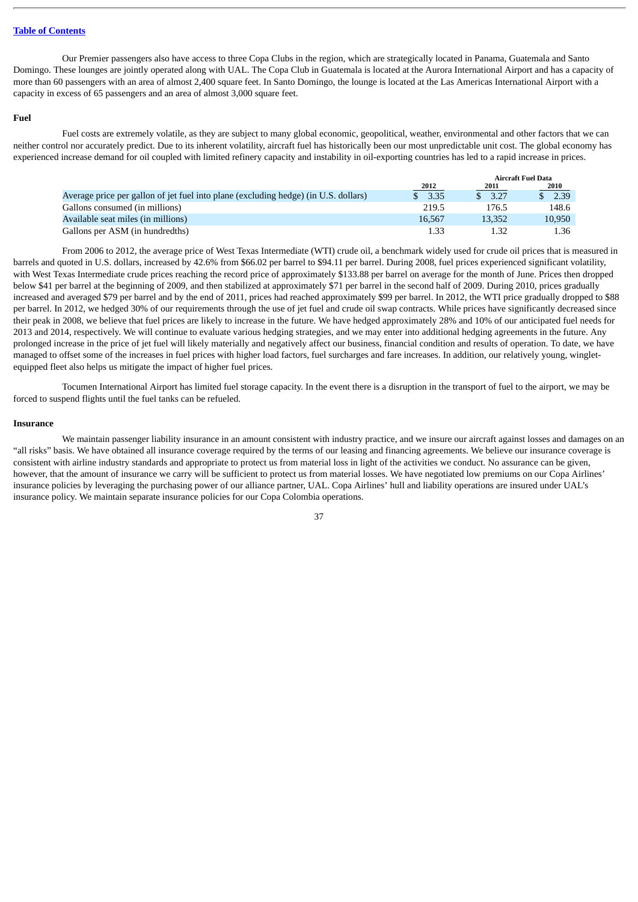Our Premier passengers also have access to three Copa Clubs in the region, which are strategically located in Panama, Guatemala and Santo Domingo. These lounges are jointly operated along with UAL. The Copa Club in Guatemala is located at the Aurora International Airport and has a capacity of more than 60 passengers with an area of almost 2,400 square feet. In Santo Domingo, the lounge is located at the Las Americas International Airport with a capacity in excess of 65 passengers and an area of almost 3,000 square feet.

#### **Fuel**

Fuel costs are extremely volatile, as they are subject to many global economic, geopolitical, weather, environmental and other factors that we can neither control nor accurately predict. Due to its inherent volatility, aircraft fuel has historically been our most unpredictable unit cost. The global economy has experienced increase demand for oil coupled with limited refinery capacity and instability in oil-exporting countries has led to a rapid increase in prices.

|                                                                                     |        | <b>Aircraft Fuel Data</b> |        |
|-------------------------------------------------------------------------------------|--------|---------------------------|--------|
|                                                                                     | 2012   | 2011                      | 2010   |
| Average price per gallon of jet fuel into plane (excluding hedge) (in U.S. dollars) | 3.35   | 3.27                      | \$2.39 |
| Gallons consumed (in millions)                                                      | 219.5  | 176.5                     | 148.6  |
| Available seat miles (in millions)                                                  | 16.567 | 13.352                    | 10,950 |
| Gallons per ASM (in hundredths)                                                     | 1.33   | 1.32                      | 1.36   |

From 2006 to 2012, the average price of West Texas Intermediate (WTI) crude oil, a benchmark widely used for crude oil prices that is measured in barrels and quoted in U.S. dollars, increased by 42.6% from \$66.02 per barrel to \$94.11 per barrel. During 2008, fuel prices experienced significant volatility, with West Texas Intermediate crude prices reaching the record price of approximately \$133.88 per barrel on average for the month of June. Prices then dropped below \$41 per barrel at the beginning of 2009, and then stabilized at approximately \$71 per barrel in the second half of 2009. During 2010, prices gradually increased and averaged \$79 per barrel and by the end of 2011, prices had reached approximately \$99 per barrel. In 2012, the WTI price gradually dropped to \$88 per barrel. In 2012, we hedged 30% of our requirements through the use of jet fuel and crude oil swap contracts. While prices have significantly decreased since their peak in 2008, we believe that fuel prices are likely to increase in the future. We have hedged approximately 28% and 10% of our anticipated fuel needs for 2013 and 2014, respectively. We will continue to evaluate various hedging strategies, and we may enter into additional hedging agreements in the future. Any prolonged increase in the price of jet fuel will likely materially and negatively affect our business, financial condition and results of operation. To date, we have managed to offset some of the increases in fuel prices with higher load factors, fuel surcharges and fare increases. In addition, our relatively young, wingletequipped fleet also helps us mitigate the impact of higher fuel prices.

Tocumen International Airport has limited fuel storage capacity. In the event there is a disruption in the transport of fuel to the airport, we may be forced to suspend flights until the fuel tanks can be refueled.

#### **Insurance**

We maintain passenger liability insurance in an amount consistent with industry practice, and we insure our aircraft against losses and damages on an "all risks" basis. We have obtained all insurance coverage required by the terms of our leasing and financing agreements. We believe our insurance coverage is consistent with airline industry standards and appropriate to protect us from material loss in light of the activities we conduct. No assurance can be given, however, that the amount of insurance we carry will be sufficient to protect us from material losses. We have negotiated low premiums on our Copa Airlines' insurance policies by leveraging the purchasing power of our alliance partner, UAL. Copa Airlines' hull and liability operations are insured under UAL's insurance policy. We maintain separate insurance policies for our Copa Colombia operations.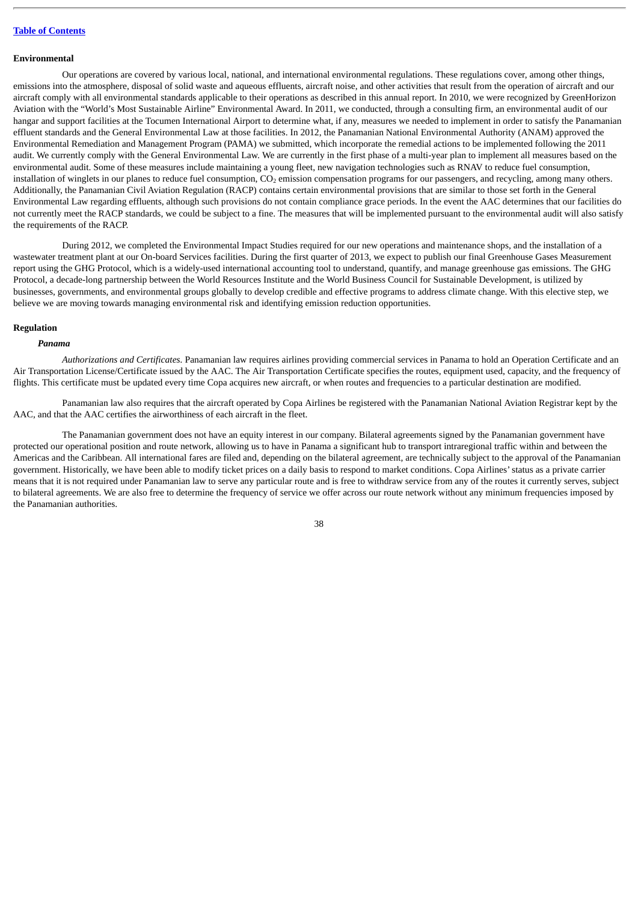#### **Environmental**

Our operations are covered by various local, national, and international environmental regulations. These regulations cover, among other things, emissions into the atmosphere, disposal of solid waste and aqueous effluents, aircraft noise, and other activities that result from the operation of aircraft and our aircraft comply with all environmental standards applicable to their operations as described in this annual report. In 2010, we were recognized by GreenHorizon Aviation with the "World's Most Sustainable Airline" Environmental Award. In 2011, we conducted, through a consulting firm, an environmental audit of our hangar and support facilities at the Tocumen International Airport to determine what, if any, measures we needed to implement in order to satisfy the Panamanian effluent standards and the General Environmental Law at those facilities. In 2012, the Panamanian National Environmental Authority (ANAM) approved the Environmental Remediation and Management Program (PAMA) we submitted, which incorporate the remedial actions to be implemented following the 2011 audit. We currently comply with the General Environmental Law. We are currently in the first phase of a multi-year plan to implement all measures based on the environmental audit. Some of these measures include maintaining a young fleet, new navigation technologies such as RNAV to reduce fuel consumption, installation of winglets in our planes to reduce fuel consumption,  $CO_2$  emission compensation programs for our passengers, and recycling, among many others. Additionally, the Panamanian Civil Aviation Regulation (RACP) contains certain environmental provisions that are similar to those set forth in the General Environmental Law regarding effluents, although such provisions do not contain compliance grace periods. In the event the AAC determines that our facilities do not currently meet the RACP standards, we could be subject to a fine. The measures that will be implemented pursuant to the environmental audit will also satisfy the requirements of the RACP.

During 2012, we completed the Environmental Impact Studies required for our new operations and maintenance shops, and the installation of a wastewater treatment plant at our On-board Services facilities. During the first quarter of 2013, we expect to publish our final Greenhouse Gases Measurement report using the GHG Protocol, which is a widely-used international accounting tool to understand, quantify, and manage greenhouse gas emissions. The GHG Protocol, a decade-long partnership between the World Resources Institute and the World Business Council for Sustainable Development, is utilized by businesses, governments, and environmental groups globally to develop credible and effective programs to address climate change. With this elective step, we believe we are moving towards managing environmental risk and identifying emission reduction opportunities.

#### **Regulation**

### *Panama*

*Authorizations and Certificates.* Panamanian law requires airlines providing commercial services in Panama to hold an Operation Certificate and an Air Transportation License/Certificate issued by the AAC. The Air Transportation Certificate specifies the routes, equipment used, capacity, and the frequency of flights. This certificate must be updated every time Copa acquires new aircraft, or when routes and frequencies to a particular destination are modified.

Panamanian law also requires that the aircraft operated by Copa Airlines be registered with the Panamanian National Aviation Registrar kept by the AAC, and that the AAC certifies the airworthiness of each aircraft in the fleet.

The Panamanian government does not have an equity interest in our company. Bilateral agreements signed by the Panamanian government have protected our operational position and route network, allowing us to have in Panama a significant hub to transport intraregional traffic within and between the Americas and the Caribbean. All international fares are filed and, depending on the bilateral agreement, are technically subject to the approval of the Panamanian government. Historically, we have been able to modify ticket prices on a daily basis to respond to market conditions. Copa Airlines' status as a private carrier means that it is not required under Panamanian law to serve any particular route and is free to withdraw service from any of the routes it currently serves, subject to bilateral agreements. We are also free to determine the frequency of service we offer across our route network without any minimum frequencies imposed by the Panamanian authorities.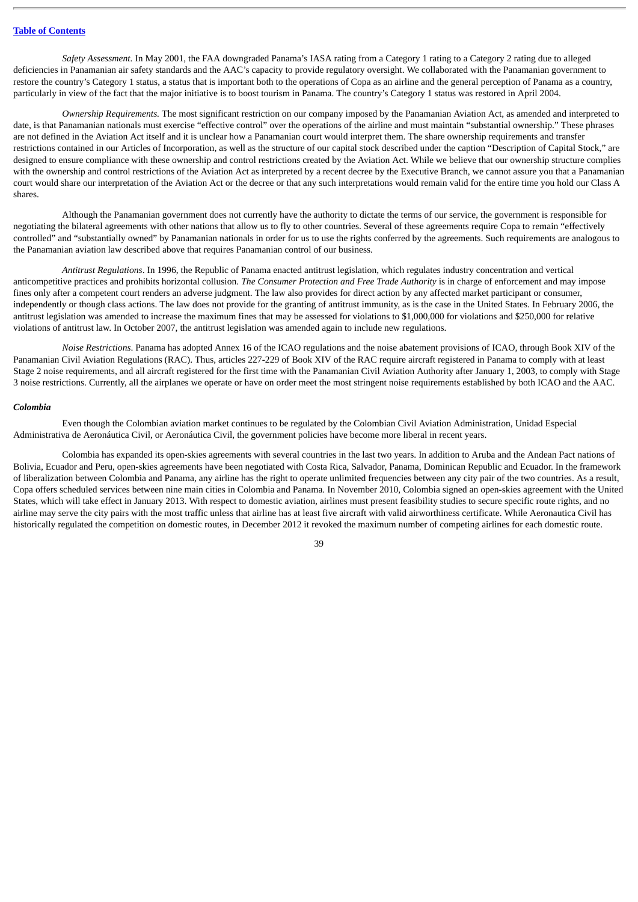*Safety Assessment.* In May 2001, the FAA downgraded Panama's IASA rating from a Category 1 rating to a Category 2 rating due to alleged deficiencies in Panamanian air safety standards and the AAC's capacity to provide regulatory oversight. We collaborated with the Panamanian government to restore the country's Category 1 status, a status that is important both to the operations of Copa as an airline and the general perception of Panama as a country, particularly in view of the fact that the major initiative is to boost tourism in Panama. The country's Category 1 status was restored in April 2004.

*Ownership Requirements.* The most significant restriction on our company imposed by the Panamanian Aviation Act, as amended and interpreted to date, is that Panamanian nationals must exercise "effective control" over the operations of the airline and must maintain "substantial ownership." These phrases are not defined in the Aviation Act itself and it is unclear how a Panamanian court would interpret them. The share ownership requirements and transfer restrictions contained in our Articles of Incorporation, as well as the structure of our capital stock described under the caption "Description of Capital Stock," are designed to ensure compliance with these ownership and control restrictions created by the Aviation Act. While we believe that our ownership structure complies with the ownership and control restrictions of the Aviation Act as interpreted by a recent decree by the Executive Branch, we cannot assure you that a Panamanian court would share our interpretation of the Aviation Act or the decree or that any such interpretations would remain valid for the entire time you hold our Class A shares.

Although the Panamanian government does not currently have the authority to dictate the terms of our service, the government is responsible for negotiating the bilateral agreements with other nations that allow us to fly to other countries. Several of these agreements require Copa to remain "effectively controlled" and "substantially owned" by Panamanian nationals in order for us to use the rights conferred by the agreements. Such requirements are analogous to the Panamanian aviation law described above that requires Panamanian control of our business.

*Antitrust Regulations*. In 1996, the Republic of Panama enacted antitrust legislation, which regulates industry concentration and vertical anticompetitive practices and prohibits horizontal collusion. *The Consumer Protection and Free Trade Authority* is in charge of enforcement and may impose fines only after a competent court renders an adverse judgment. The law also provides for direct action by any affected market participant or consumer, independently or though class actions. The law does not provide for the granting of antitrust immunity, as is the case in the United States. In February 2006, the antitrust legislation was amended to increase the maximum fines that may be assessed for violations to \$1,000,000 for violations and \$250,000 for relative violations of antitrust law. In October 2007, the antitrust legislation was amended again to include new regulations.

*Noise Restrictions*. Panama has adopted Annex 16 of the ICAO regulations and the noise abatement provisions of ICAO, through Book XIV of the Panamanian Civil Aviation Regulations (RAC). Thus, articles 227-229 of Book XIV of the RAC require aircraft registered in Panama to comply with at least Stage 2 noise requirements, and all aircraft registered for the first time with the Panamanian Civil Aviation Authority after January 1, 2003, to comply with Stage 3 noise restrictions. Currently, all the airplanes we operate or have on order meet the most stringent noise requirements established by both ICAO and the AAC.

#### *Colombia*

Even though the Colombian aviation market continues to be regulated by the Colombian Civil Aviation Administration, Unidad Especial Administrativa de Aeronáutica Civil, or Aeronáutica Civil, the government policies have become more liberal in recent years.

Colombia has expanded its open-skies agreements with several countries in the last two years. In addition to Aruba and the Andean Pact nations of Bolivia, Ecuador and Peru, open-skies agreements have been negotiated with Costa Rica, Salvador, Panama, Dominican Republic and Ecuador. In the framework of liberalization between Colombia and Panama, any airline has the right to operate unlimited frequencies between any city pair of the two countries. As a result, Copa offers scheduled services between nine main cities in Colombia and Panama. In November 2010, Colombia signed an open-skies agreement with the United States, which will take effect in January 2013. With respect to domestic aviation, airlines must present feasibility studies to secure specific route rights, and no airline may serve the city pairs with the most traffic unless that airline has at least five aircraft with valid airworthiness certificate. While Aeronautica Civil has historically regulated the competition on domestic routes, in December 2012 it revoked the maximum number of competing airlines for each domestic route.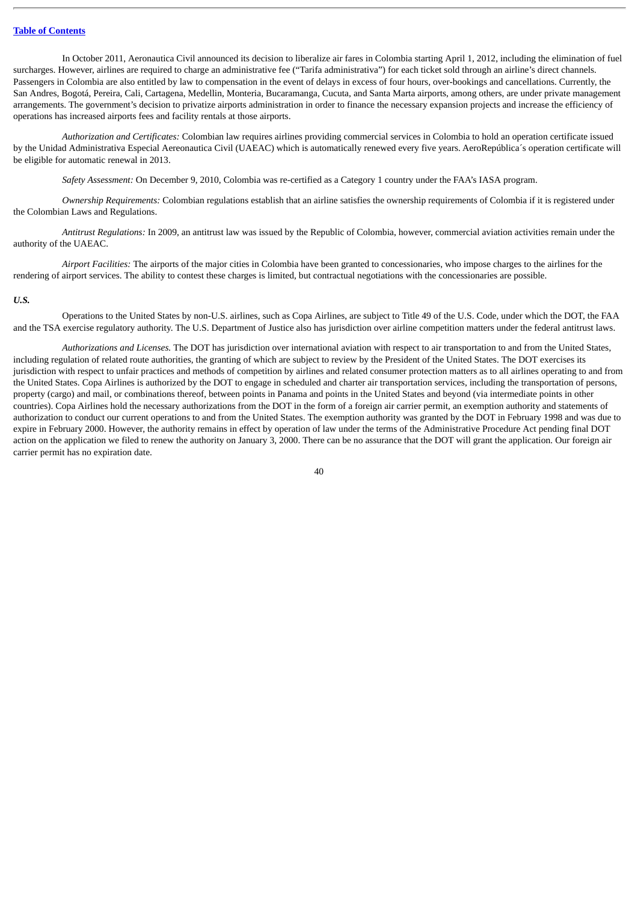In October 2011, Aeronautica Civil announced its decision to liberalize air fares in Colombia starting April 1, 2012, including the elimination of fuel surcharges. However, airlines are required to charge an administrative fee ("Tarifa administrativa") for each ticket sold through an airline's direct channels. Passengers in Colombia are also entitled by law to compensation in the event of delays in excess of four hours, over-bookings and cancellations. Currently, the San Andres, Bogotá, Pereira, Cali, Cartagena, Medellin, Monteria, Bucaramanga, Cucuta, and Santa Marta airports, among others, are under private management arrangements. The government's decision to privatize airports administration in order to finance the necessary expansion projects and increase the efficiency of operations has increased airports fees and facility rentals at those airports.

*Authorization and Certificates:* Colombian law requires airlines providing commercial services in Colombia to hold an operation certificate issued by the Unidad Administrativa Especial Aereonautica Civil (UAEAC) which is automatically renewed every five years. AeroRepública´s operation certificate will be eligible for automatic renewal in 2013.

*Safety Assessment:* On December 9, 2010, Colombia was re-certified as a Category 1 country under the FAA's IASA program.

*Ownership Requirements:* Colombian regulations establish that an airline satisfies the ownership requirements of Colombia if it is registered under the Colombian Laws and Regulations.

*Antitrust Regulations:* In 2009, an antitrust law was issued by the Republic of Colombia, however, commercial aviation activities remain under the authority of the UAEAC.

*Airport Facilities:* The airports of the major cities in Colombia have been granted to concessionaries, who impose charges to the airlines for the rendering of airport services. The ability to contest these charges is limited, but contractual negotiations with the concessionaries are possible.

## *U.S.*

Operations to the United States by non-U.S. airlines, such as Copa Airlines, are subject to Title 49 of the U.S. Code, under which the DOT, the FAA and the TSA exercise regulatory authority. The U.S. Department of Justice also has jurisdiction over airline competition matters under the federal antitrust laws.

*Authorizations and Licenses.* The DOT has jurisdiction over international aviation with respect to air transportation to and from the United States, including regulation of related route authorities, the granting of which are subject to review by the President of the United States. The DOT exercises its jurisdiction with respect to unfair practices and methods of competition by airlines and related consumer protection matters as to all airlines operating to and from the United States. Copa Airlines is authorized by the DOT to engage in scheduled and charter air transportation services, including the transportation of persons, property (cargo) and mail, or combinations thereof, between points in Panama and points in the United States and beyond (via intermediate points in other countries). Copa Airlines hold the necessary authorizations from the DOT in the form of a foreign air carrier permit, an exemption authority and statements of authorization to conduct our current operations to and from the United States. The exemption authority was granted by the DOT in February 1998 and was due to expire in February 2000. However, the authority remains in effect by operation of law under the terms of the Administrative Procedure Act pending final DOT action on the application we filed to renew the authority on January 3, 2000. There can be no assurance that the DOT will grant the application. Our foreign air carrier permit has no expiration date.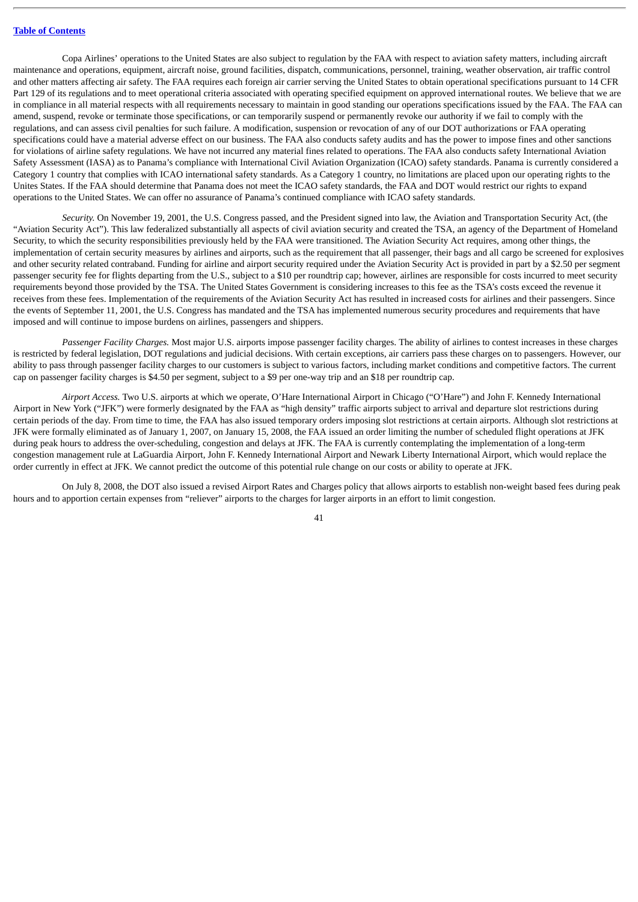Copa Airlines' operations to the United States are also subject to regulation by the FAA with respect to aviation safety matters, including aircraft maintenance and operations, equipment, aircraft noise, ground facilities, dispatch, communications, personnel, training, weather observation, air traffic control and other matters affecting air safety. The FAA requires each foreign air carrier serving the United States to obtain operational specifications pursuant to 14 CFR Part 129 of its regulations and to meet operational criteria associated with operating specified equipment on approved international routes. We believe that we are in compliance in all material respects with all requirements necessary to maintain in good standing our operations specifications issued by the FAA. The FAA can amend, suspend, revoke or terminate those specifications, or can temporarily suspend or permanently revoke our authority if we fail to comply with the regulations, and can assess civil penalties for such failure. A modification, suspension or revocation of any of our DOT authorizations or FAA operating specifications could have a material adverse effect on our business. The FAA also conducts safety audits and has the power to impose fines and other sanctions for violations of airline safety regulations. We have not incurred any material fines related to operations. The FAA also conducts safety International Aviation Safety Assessment (IASA) as to Panama's compliance with International Civil Aviation Organization (ICAO) safety standards. Panama is currently considered a Category 1 country that complies with ICAO international safety standards. As a Category 1 country, no limitations are placed upon our operating rights to the Unites States. If the FAA should determine that Panama does not meet the ICAO safety standards, the FAA and DOT would restrict our rights to expand operations to the United States. We can offer no assurance of Panama's continued compliance with ICAO safety standards.

*Security.* On November 19, 2001, the U.S. Congress passed, and the President signed into law, the Aviation and Transportation Security Act, (the "Aviation Security Act"). This law federalized substantially all aspects of civil aviation security and created the TSA, an agency of the Department of Homeland Security, to which the security responsibilities previously held by the FAA were transitioned. The Aviation Security Act requires, among other things, the implementation of certain security measures by airlines and airports, such as the requirement that all passenger, their bags and all cargo be screened for explosives and other security related contraband. Funding for airline and airport security required under the Aviation Security Act is provided in part by a \$2.50 per segment passenger security fee for flights departing from the U.S., subject to a \$10 per roundtrip cap; however, airlines are responsible for costs incurred to meet security requirements beyond those provided by the TSA. The United States Government is considering increases to this fee as the TSA's costs exceed the revenue it receives from these fees. Implementation of the requirements of the Aviation Security Act has resulted in increased costs for airlines and their passengers. Since the events of September 11, 2001, the U.S. Congress has mandated and the TSA has implemented numerous security procedures and requirements that have imposed and will continue to impose burdens on airlines, passengers and shippers.

*Passenger Facility Charges.* Most major U.S. airports impose passenger facility charges. The ability of airlines to contest increases in these charges is restricted by federal legislation, DOT regulations and judicial decisions. With certain exceptions, air carriers pass these charges on to passengers. However, our ability to pass through passenger facility charges to our customers is subject to various factors, including market conditions and competitive factors. The current cap on passenger facility charges is \$4.50 per segment, subject to a \$9 per one-way trip and an \$18 per roundtrip cap.

*Airport Access.* Two U.S. airports at which we operate, O'Hare International Airport in Chicago ("O'Hare") and John F. Kennedy International Airport in New York ("JFK") were formerly designated by the FAA as "high density" traffic airports subject to arrival and departure slot restrictions during certain periods of the day. From time to time, the FAA has also issued temporary orders imposing slot restrictions at certain airports. Although slot restrictions at JFK were formally eliminated as of January 1, 2007, on January 15, 2008, the FAA issued an order limiting the number of scheduled flight operations at JFK during peak hours to address the over-scheduling, congestion and delays at JFK. The FAA is currently contemplating the implementation of a long-term congestion management rule at LaGuardia Airport, John F. Kennedy International Airport and Newark Liberty International Airport, which would replace the order currently in effect at JFK. We cannot predict the outcome of this potential rule change on our costs or ability to operate at JFK.

On July 8, 2008, the DOT also issued a revised Airport Rates and Charges policy that allows airports to establish non-weight based fees during peak hours and to apportion certain expenses from "reliever" airports to the charges for larger airports in an effort to limit congestion.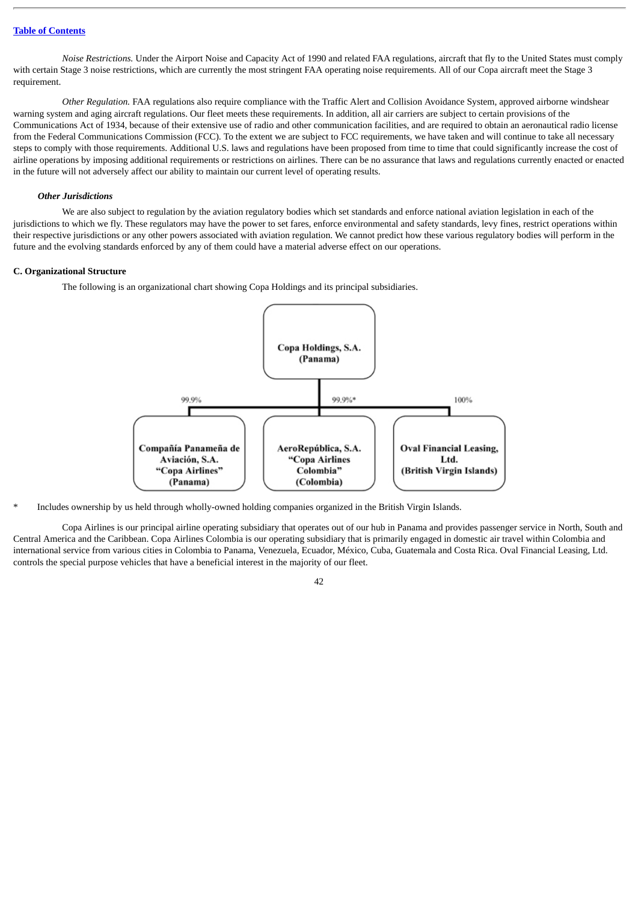*Noise Restrictions.* Under the Airport Noise and Capacity Act of 1990 and related FAA regulations, aircraft that fly to the United States must comply with certain Stage 3 noise restrictions, which are currently the most stringent FAA operating noise requirements. All of our Copa aircraft meet the Stage 3 requirement.

*Other Regulation.* FAA regulations also require compliance with the Traffic Alert and Collision Avoidance System, approved airborne windshear warning system and aging aircraft regulations. Our fleet meets these requirements. In addition, all air carriers are subject to certain provisions of the Communications Act of 1934, because of their extensive use of radio and other communication facilities, and are required to obtain an aeronautical radio license from the Federal Communications Commission (FCC). To the extent we are subject to FCC requirements, we have taken and will continue to take all necessary steps to comply with those requirements. Additional U.S. laws and regulations have been proposed from time to time that could significantly increase the cost of airline operations by imposing additional requirements or restrictions on airlines. There can be no assurance that laws and regulations currently enacted or enacted in the future will not adversely affect our ability to maintain our current level of operating results.

### *Other Jurisdictions*

We are also subject to regulation by the aviation regulatory bodies which set standards and enforce national aviation legislation in each of the jurisdictions to which we fly. These regulators may have the power to set fares, enforce environmental and safety standards, levy fines, restrict operations within their respective jurisdictions or any other powers associated with aviation regulation. We cannot predict how these various regulatory bodies will perform in the future and the evolving standards enforced by any of them could have a material adverse effect on our operations.

### **C. Organizational Structure**

The following is an organizational chart showing Copa Holdings and its principal subsidiaries.



\* Includes ownership by us held through wholly-owned holding companies organized in the British Virgin Islands.

Copa Airlines is our principal airline operating subsidiary that operates out of our hub in Panama and provides passenger service in North, South and Central America and the Caribbean. Copa Airlines Colombia is our operating subsidiary that is primarily engaged in domestic air travel within Colombia and international service from various cities in Colombia to Panama, Venezuela, Ecuador, México, Cuba, Guatemala and Costa Rica. Oval Financial Leasing, Ltd. controls the special purpose vehicles that have a beneficial interest in the majority of our fleet.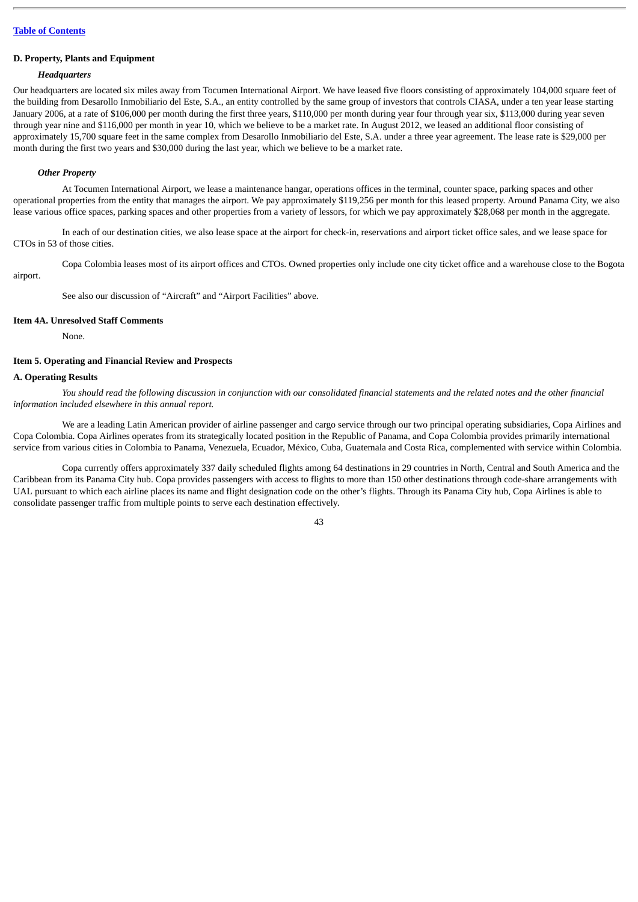### **D. Property, Plants and Equipment**

### *Headquarters*

Our headquarters are located six miles away from Tocumen International Airport. We have leased five floors consisting of approximately 104,000 square feet of the building from Desarollo Inmobiliario del Este, S.A., an entity controlled by the same group of investors that controls CIASA, under a ten year lease starting January 2006, at a rate of \$106,000 per month during the first three years, \$110,000 per month during year four through year six, \$113,000 during year seven through year nine and \$116,000 per month in year 10, which we believe to be a market rate. In August 2012, we leased an additional floor consisting of approximately 15,700 square feet in the same complex from Desarollo Inmobiliario del Este, S.A. under a three year agreement. The lease rate is \$29,000 per month during the first two years and \$30,000 during the last year, which we believe to be a market rate.

#### *Other Property*

At Tocumen International Airport, we lease a maintenance hangar, operations offices in the terminal, counter space, parking spaces and other operational properties from the entity that manages the airport. We pay approximately \$119,256 per month for this leased property. Around Panama City, we also lease various office spaces, parking spaces and other properties from a variety of lessors, for which we pay approximately \$28,068 per month in the aggregate.

In each of our destination cities, we also lease space at the airport for check-in, reservations and airport ticket office sales, and we lease space for CTOs in 53 of those cities.

Copa Colombia leases most of its airport offices and CTOs. Owned properties only include one city ticket office and a warehouse close to the Bogota

airport.

See also our discussion of "Aircraft" and "Airport Facilities" above.

### **Item 4A. Unresolved Staff Comments**

None.

## **Item 5. Operating and Financial Review and Prospects**

#### **A. Operating Results**

*You should read the following discussion in conjunction with our consolidated financial statements and the related notes and the other financial information included elsewhere in this annual report.*

We are a leading Latin American provider of airline passenger and cargo service through our two principal operating subsidiaries, Copa Airlines and Copa Colombia. Copa Airlines operates from its strategically located position in the Republic of Panama, and Copa Colombia provides primarily international service from various cities in Colombia to Panama, Venezuela, Ecuador, México, Cuba, Guatemala and Costa Rica, complemented with service within Colombia.

Copa currently offers approximately 337 daily scheduled flights among 64 destinations in 29 countries in North, Central and South America and the Caribbean from its Panama City hub. Copa provides passengers with access to flights to more than 150 other destinations through code-share arrangements with UAL pursuant to which each airline places its name and flight designation code on the other's flights. Through its Panama City hub, Copa Airlines is able to consolidate passenger traffic from multiple points to serve each destination effectively.

 $\overline{4}$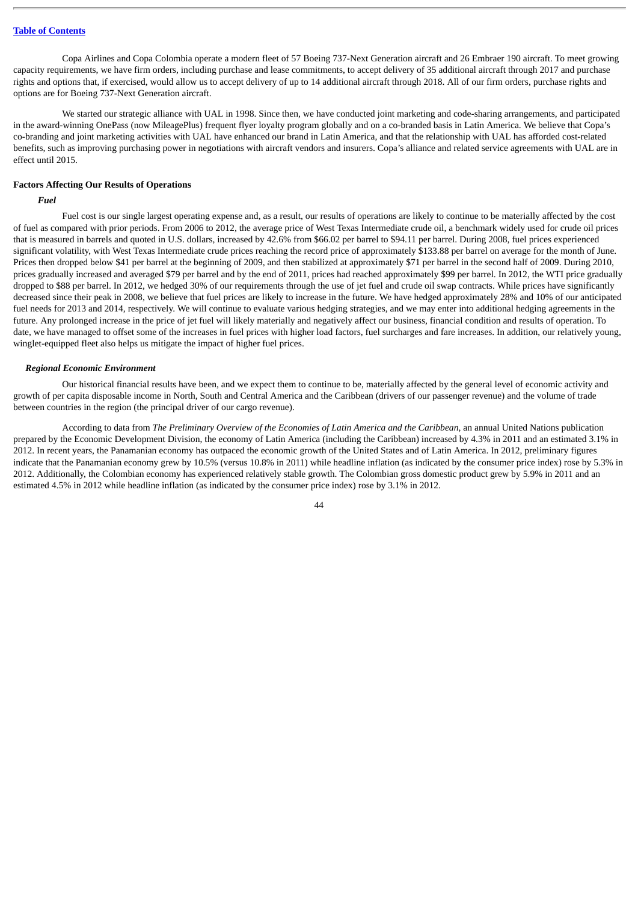Copa Airlines and Copa Colombia operate a modern fleet of 57 Boeing 737-Next Generation aircraft and 26 Embraer 190 aircraft. To meet growing capacity requirements, we have firm orders, including purchase and lease commitments, to accept delivery of 35 additional aircraft through 2017 and purchase rights and options that, if exercised, would allow us to accept delivery of up to 14 additional aircraft through 2018. All of our firm orders, purchase rights and options are for Boeing 737-Next Generation aircraft.

We started our strategic alliance with UAL in 1998. Since then, we have conducted joint marketing and code-sharing arrangements, and participated in the award-winning OnePass (now MileagePlus) frequent flyer loyalty program globally and on a co-branded basis in Latin America. We believe that Copa's co-branding and joint marketing activities with UAL have enhanced our brand in Latin America, and that the relationship with UAL has afforded cost-related benefits, such as improving purchasing power in negotiations with aircraft vendors and insurers. Copa's alliance and related service agreements with UAL are in effect until 2015.

## **Factors Affecting Our Results of Operations**

## *Fuel*

Fuel cost is our single largest operating expense and, as a result, our results of operations are likely to continue to be materially affected by the cost of fuel as compared with prior periods. From 2006 to 2012, the average price of West Texas Intermediate crude oil, a benchmark widely used for crude oil prices that is measured in barrels and quoted in U.S. dollars, increased by 42.6% from \$66.02 per barrel to \$94.11 per barrel. During 2008, fuel prices experienced significant volatility, with West Texas Intermediate crude prices reaching the record price of approximately \$133.88 per barrel on average for the month of June. Prices then dropped below \$41 per barrel at the beginning of 2009, and then stabilized at approximately \$71 per barrel in the second half of 2009. During 2010, prices gradually increased and averaged \$79 per barrel and by the end of 2011, prices had reached approximately \$99 per barrel. In 2012, the WTI price gradually dropped to \$88 per barrel. In 2012, we hedged 30% of our requirements through the use of jet fuel and crude oil swap contracts. While prices have significantly decreased since their peak in 2008, we believe that fuel prices are likely to increase in the future. We have hedged approximately 28% and 10% of our anticipated fuel needs for 2013 and 2014, respectively. We will continue to evaluate various hedging strategies, and we may enter into additional hedging agreements in the future. Any prolonged increase in the price of jet fuel will likely materially and negatively affect our business, financial condition and results of operation. To date, we have managed to offset some of the increases in fuel prices with higher load factors, fuel surcharges and fare increases. In addition, our relatively young, winglet-equipped fleet also helps us mitigate the impact of higher fuel prices.

## *Regional Economic Environment*

Our historical financial results have been, and we expect them to continue to be, materially affected by the general level of economic activity and growth of per capita disposable income in North, South and Central America and the Caribbean (drivers of our passenger revenue) and the volume of trade between countries in the region (the principal driver of our cargo revenue).

According to data from *The Preliminary Overview of the Economies of Latin America and the Caribbean*, an annual United Nations publication prepared by the Economic Development Division, the economy of Latin America (including the Caribbean) increased by 4.3% in 2011 and an estimated 3.1% in 2012. In recent years, the Panamanian economy has outpaced the economic growth of the United States and of Latin America. In 2012, preliminary figures indicate that the Panamanian economy grew by 10.5% (versus 10.8% in 2011) while headline inflation (as indicated by the consumer price index) rose by 5.3% in 2012. Additionally, the Colombian economy has experienced relatively stable growth. The Colombian gross domestic product grew by 5.9% in 2011 and an estimated 4.5% in 2012 while headline inflation (as indicated by the consumer price index) rose by 3.1% in 2012.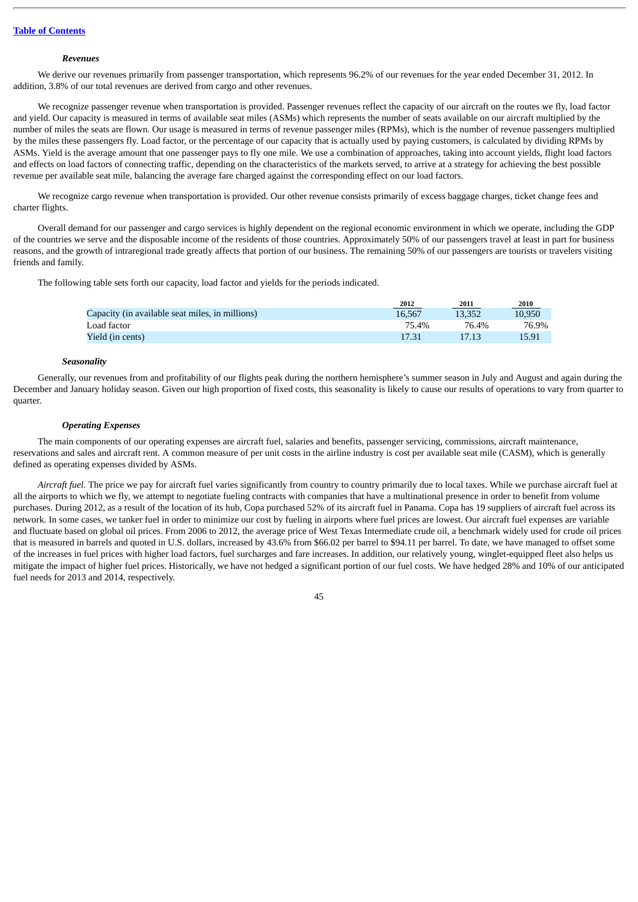#### *Revenues*

We derive our revenues primarily from passenger transportation, which represents 96.2% of our revenues for the year ended December 31, 2012. In addition, 3.8% of our total revenues are derived from cargo and other revenues.

We recognize passenger revenue when transportation is provided. Passenger revenues reflect the capacity of our aircraft on the routes we fly, load factor and yield. Our capacity is measured in terms of available seat miles (ASMs) which represents the number of seats available on our aircraft multiplied by the number of miles the seats are flown. Our usage is measured in terms of revenue passenger miles (RPMs), which is the number of revenue passengers multiplied by the miles these passengers fly. Load factor, or the percentage of our capacity that is actually used by paying customers, is calculated by dividing RPMs by ASMs. Yield is the average amount that one passenger pays to fly one mile. We use a combination of approaches, taking into account yields, flight load factors and effects on load factors of connecting traffic, depending on the characteristics of the markets served, to arrive at a strategy for achieving the best possible revenue per available seat mile, balancing the average fare charged against the corresponding effect on our load factors.

We recognize cargo revenue when transportation is provided. Our other revenue consists primarily of excess baggage charges, ticket change fees and charter flights.

Overall demand for our passenger and cargo services is highly dependent on the regional economic environment in which we operate, including the GDP of the countries we serve and the disposable income of the residents of those countries. Approximately 50% of our passengers travel at least in part for business reasons, and the growth of intraregional trade greatly affects that portion of our business. The remaining 50% of our passengers are tourists or travelers visiting friends and family.

The following table sets forth our capacity, load factor and yields for the periods indicated.

|                                                 | 2012   | 2011   | 2010   |
|-------------------------------------------------|--------|--------|--------|
| Capacity (in available seat miles, in millions) | 16.567 | 13.352 | 10.950 |
| Load factor                                     | 75.4%  | 76.4%  | 76.9%  |
| Yield (in cents)                                | 17.31  | 17.13  | 15.91  |

#### *Seasonality*

Generally, our revenues from and profitability of our flights peak during the northern hemisphere's summer season in July and August and again during the December and January holiday season. Given our high proportion of fixed costs, this seasonality is likely to cause our results of operations to vary from quarter to quarter.

#### *Operating Expenses*

The main components of our operating expenses are aircraft fuel, salaries and benefits, passenger servicing, commissions, aircraft maintenance, reservations and sales and aircraft rent. A common measure of per unit costs in the airline industry is cost per available seat mile (CASM), which is generally defined as operating expenses divided by ASMs.

*Aircraft fuel.* The price we pay for aircraft fuel varies significantly from country to country primarily due to local taxes. While we purchase aircraft fuel at all the airports to which we fly, we attempt to negotiate fueling contracts with companies that have a multinational presence in order to benefit from volume purchases. During 2012, as a result of the location of its hub, Copa purchased 52% of its aircraft fuel in Panama. Copa has 19 suppliers of aircraft fuel across its network. In some cases, we tanker fuel in order to minimize our cost by fueling in airports where fuel prices are lowest. Our aircraft fuel expenses are variable and fluctuate based on global oil prices. From 2006 to 2012, the average price of West Texas Intermediate crude oil, a benchmark widely used for crude oil prices that is measured in barrels and quoted in U.S. dollars, increased by 43.6% from \$66.02 per barrel to \$94.11 per barrel. To date, we have managed to offset some of the increases in fuel prices with higher load factors, fuel surcharges and fare increases. In addition, our relatively young, winglet-equipped fleet also helps us mitigate the impact of higher fuel prices. Historically, we have not hedged a significant portion of our fuel costs. We have hedged 28% and 10% of our anticipated fuel needs for 2013 and 2014, respectively.

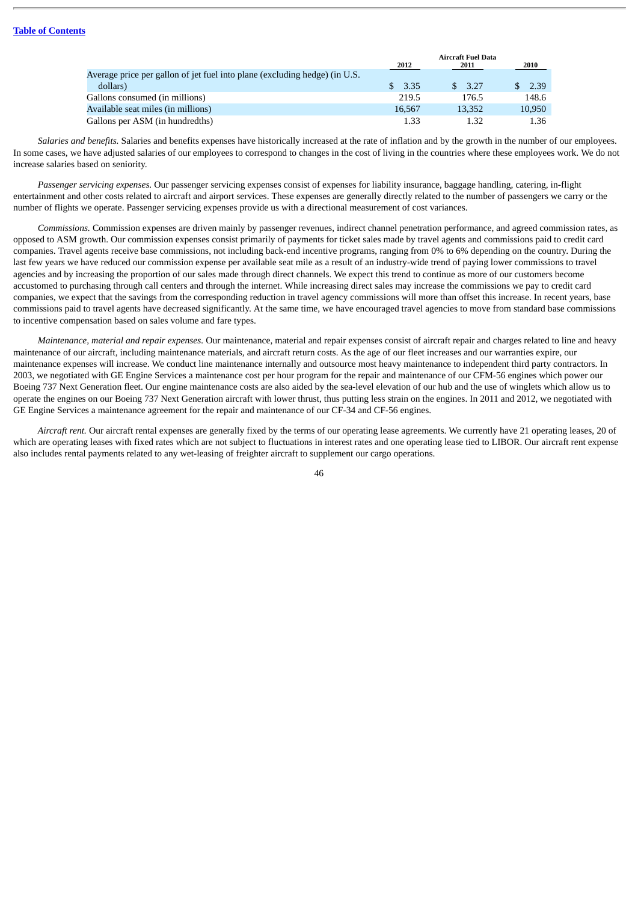|                                                                            | <b>Aircraft Fuel Data</b> |        |        |
|----------------------------------------------------------------------------|---------------------------|--------|--------|
|                                                                            | 2012                      | 2011   | 2010   |
| Average price per gallon of jet fuel into plane (excluding hedge) (in U.S. |                           |        |        |
| dollars)                                                                   | 3.35                      | \$3.27 | \$2.39 |
| Gallons consumed (in millions)                                             | 219.5                     | 176.5  | 148.6  |
| Available seat miles (in millions)                                         | 16.567                    | 13.352 | 10,950 |
| Gallons per ASM (in hundredths)                                            | 1.33                      | 1.32   | 1.36   |

*Salaries and benefits.* Salaries and benefits expenses have historically increased at the rate of inflation and by the growth in the number of our employees. In some cases, we have adjusted salaries of our employees to correspond to changes in the cost of living in the countries where these employees work. We do not increase salaries based on seniority.

*Passenger servicing expenses.* Our passenger servicing expenses consist of expenses for liability insurance, baggage handling, catering, in-flight entertainment and other costs related to aircraft and airport services. These expenses are generally directly related to the number of passengers we carry or the number of flights we operate. Passenger servicing expenses provide us with a directional measurement of cost variances.

*Commissions.* Commission expenses are driven mainly by passenger revenues, indirect channel penetration performance, and agreed commission rates, as opposed to ASM growth. Our commission expenses consist primarily of payments for ticket sales made by travel agents and commissions paid to credit card companies. Travel agents receive base commissions, not including back-end incentive programs, ranging from 0% to 6% depending on the country. During the last few years we have reduced our commission expense per available seat mile as a result of an industry-wide trend of paying lower commissions to travel agencies and by increasing the proportion of our sales made through direct channels. We expect this trend to continue as more of our customers become accustomed to purchasing through call centers and through the internet. While increasing direct sales may increase the commissions we pay to credit card companies, we expect that the savings from the corresponding reduction in travel agency commissions will more than offset this increase. In recent years, base commissions paid to travel agents have decreased significantly. At the same time, we have encouraged travel agencies to move from standard base commissions to incentive compensation based on sales volume and fare types.

*Maintenance, material and repair expenses.* Our maintenance, material and repair expenses consist of aircraft repair and charges related to line and heavy maintenance of our aircraft, including maintenance materials, and aircraft return costs. As the age of our fleet increases and our warranties expire, our maintenance expenses will increase. We conduct line maintenance internally and outsource most heavy maintenance to independent third party contractors. In 2003, we negotiated with GE Engine Services a maintenance cost per hour program for the repair and maintenance of our CFM-56 engines which power our Boeing 737 Next Generation fleet. Our engine maintenance costs are also aided by the sea-level elevation of our hub and the use of winglets which allow us to operate the engines on our Boeing 737 Next Generation aircraft with lower thrust, thus putting less strain on the engines. In 2011 and 2012, we negotiated with GE Engine Services a maintenance agreement for the repair and maintenance of our CF-34 and CF-56 engines.

*Aircraft rent.* Our aircraft rental expenses are generally fixed by the terms of our operating lease agreements. We currently have 21 operating leases, 20 of which are operating leases with fixed rates which are not subject to fluctuations in interest rates and one operating lease tied to LIBOR. Our aircraft rent expense also includes rental payments related to any wet-leasing of freighter aircraft to supplement our cargo operations.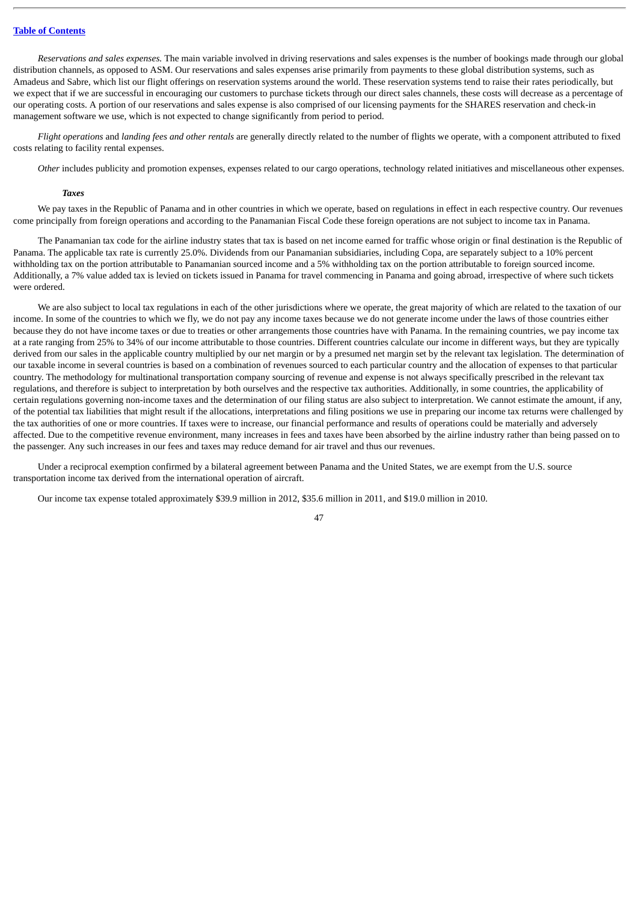*Reservations and sales expenses.* The main variable involved in driving reservations and sales expenses is the number of bookings made through our global distribution channels, as opposed to ASM. Our reservations and sales expenses arise primarily from payments to these global distribution systems, such as Amadeus and Sabre, which list our flight offerings on reservation systems around the world. These reservation systems tend to raise their rates periodically, but we expect that if we are successful in encouraging our customers to purchase tickets through our direct sales channels, these costs will decrease as a percentage of our operating costs. A portion of our reservations and sales expense is also comprised of our licensing payments for the SHARES reservation and check-in management software we use, which is not expected to change significantly from period to period.

*Flight operations* and *landing fees and other rentals* are generally directly related to the number of flights we operate, with a component attributed to fixed costs relating to facility rental expenses.

*Other* includes publicity and promotion expenses, expenses related to our cargo operations, technology related initiatives and miscellaneous other expenses.

### *Taxes*

We pay taxes in the Republic of Panama and in other countries in which we operate, based on regulations in effect in each respective country. Our revenues come principally from foreign operations and according to the Panamanian Fiscal Code these foreign operations are not subject to income tax in Panama.

The Panamanian tax code for the airline industry states that tax is based on net income earned for traffic whose origin or final destination is the Republic of Panama. The applicable tax rate is currently 25.0%. Dividends from our Panamanian subsidiaries, including Copa, are separately subject to a 10% percent withholding tax on the portion attributable to Panamanian sourced income and a 5% withholding tax on the portion attributable to foreign sourced income. Additionally, a 7% value added tax is levied on tickets issued in Panama for travel commencing in Panama and going abroad, irrespective of where such tickets were ordered.

We are also subject to local tax regulations in each of the other jurisdictions where we operate, the great majority of which are related to the taxation of our income. In some of the countries to which we fly, we do not pay any income taxes because we do not generate income under the laws of those countries either because they do not have income taxes or due to treaties or other arrangements those countries have with Panama. In the remaining countries, we pay income tax at a rate ranging from 25% to 34% of our income attributable to those countries. Different countries calculate our income in different ways, but they are typically derived from our sales in the applicable country multiplied by our net margin or by a presumed net margin set by the relevant tax legislation. The determination of our taxable income in several countries is based on a combination of revenues sourced to each particular country and the allocation of expenses to that particular country. The methodology for multinational transportation company sourcing of revenue and expense is not always specifically prescribed in the relevant tax regulations, and therefore is subject to interpretation by both ourselves and the respective tax authorities. Additionally, in some countries, the applicability of certain regulations governing non-income taxes and the determination of our filing status are also subject to interpretation. We cannot estimate the amount, if any, of the potential tax liabilities that might result if the allocations, interpretations and filing positions we use in preparing our income tax returns were challenged by the tax authorities of one or more countries. If taxes were to increase, our financial performance and results of operations could be materially and adversely affected. Due to the competitive revenue environment, many increases in fees and taxes have been absorbed by the airline industry rather than being passed on to the passenger. Any such increases in our fees and taxes may reduce demand for air travel and thus our revenues.

Under a reciprocal exemption confirmed by a bilateral agreement between Panama and the United States, we are exempt from the U.S. source transportation income tax derived from the international operation of aircraft.

Our income tax expense totaled approximately \$39.9 million in 2012, \$35.6 million in 2011, and \$19.0 million in 2010.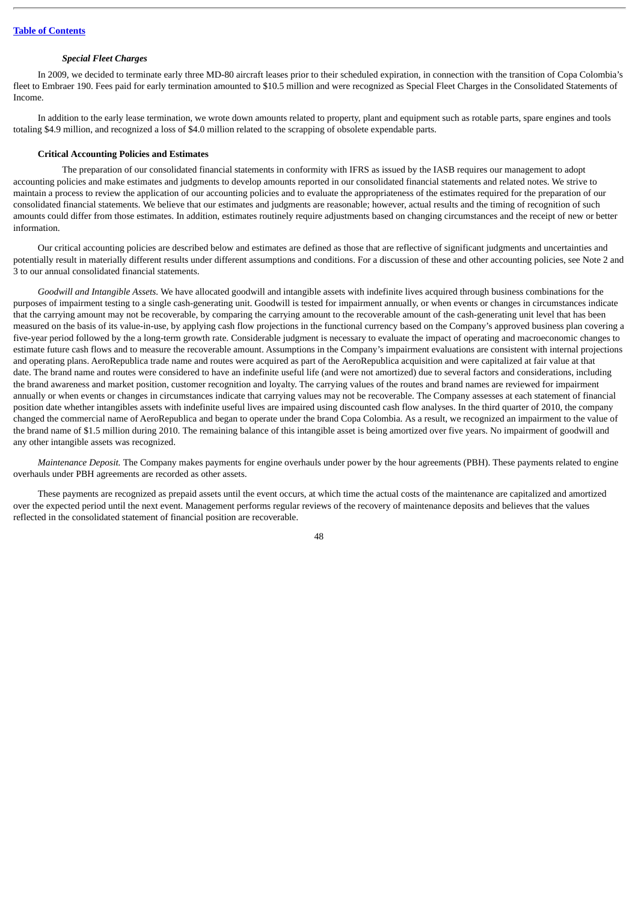#### *Special Fleet Charges*

In 2009, we decided to terminate early three MD-80 aircraft leases prior to their scheduled expiration, in connection with the transition of Copa Colombia's fleet to Embraer 190. Fees paid for early termination amounted to \$10.5 million and were recognized as Special Fleet Charges in the Consolidated Statements of Income.

In addition to the early lease termination, we wrote down amounts related to property, plant and equipment such as rotable parts, spare engines and tools totaling \$4.9 million, and recognized a loss of \$4.0 million related to the scrapping of obsolete expendable parts.

#### **Critical Accounting Policies and Estimates**

The preparation of our consolidated financial statements in conformity with IFRS as issued by the IASB requires our management to adopt accounting policies and make estimates and judgments to develop amounts reported in our consolidated financial statements and related notes. We strive to maintain a process to review the application of our accounting policies and to evaluate the appropriateness of the estimates required for the preparation of our consolidated financial statements. We believe that our estimates and judgments are reasonable; however, actual results and the timing of recognition of such amounts could differ from those estimates. In addition, estimates routinely require adjustments based on changing circumstances and the receipt of new or better information.

Our critical accounting policies are described below and estimates are defined as those that are reflective of significant judgments and uncertainties and potentially result in materially different results under different assumptions and conditions. For a discussion of these and other accounting policies, see Note 2 and 3 to our annual consolidated financial statements.

*Goodwill and Intangible Assets.* We have allocated goodwill and intangible assets with indefinite lives acquired through business combinations for the purposes of impairment testing to a single cash-generating unit. Goodwill is tested for impairment annually, or when events or changes in circumstances indicate that the carrying amount may not be recoverable, by comparing the carrying amount to the recoverable amount of the cash-generating unit level that has been measured on the basis of its value-in-use, by applying cash flow projections in the functional currency based on the Company's approved business plan covering a five-year period followed by the a long-term growth rate. Considerable judgment is necessary to evaluate the impact of operating and macroeconomic changes to estimate future cash flows and to measure the recoverable amount. Assumptions in the Company's impairment evaluations are consistent with internal projections and operating plans. AeroRepublica trade name and routes were acquired as part of the AeroRepublica acquisition and were capitalized at fair value at that date. The brand name and routes were considered to have an indefinite useful life (and were not amortized) due to several factors and considerations, including the brand awareness and market position, customer recognition and loyalty. The carrying values of the routes and brand names are reviewed for impairment annually or when events or changes in circumstances indicate that carrying values may not be recoverable. The Company assesses at each statement of financial position date whether intangibles assets with indefinite useful lives are impaired using discounted cash flow analyses. In the third quarter of 2010, the company changed the commercial name of AeroRepublica and began to operate under the brand Copa Colombia. As a result, we recognized an impairment to the value of the brand name of \$1.5 million during 2010. The remaining balance of this intangible asset is being amortized over five years. No impairment of goodwill and any other intangible assets was recognized.

*Maintenance Deposit.* The Company makes payments for engine overhauls under power by the hour agreements (PBH). These payments related to engine overhauls under PBH agreements are recorded as other assets.

These payments are recognized as prepaid assets until the event occurs, at which time the actual costs of the maintenance are capitalized and amortized over the expected period until the next event. Management performs regular reviews of the recovery of maintenance deposits and believes that the values reflected in the consolidated statement of financial position are recoverable.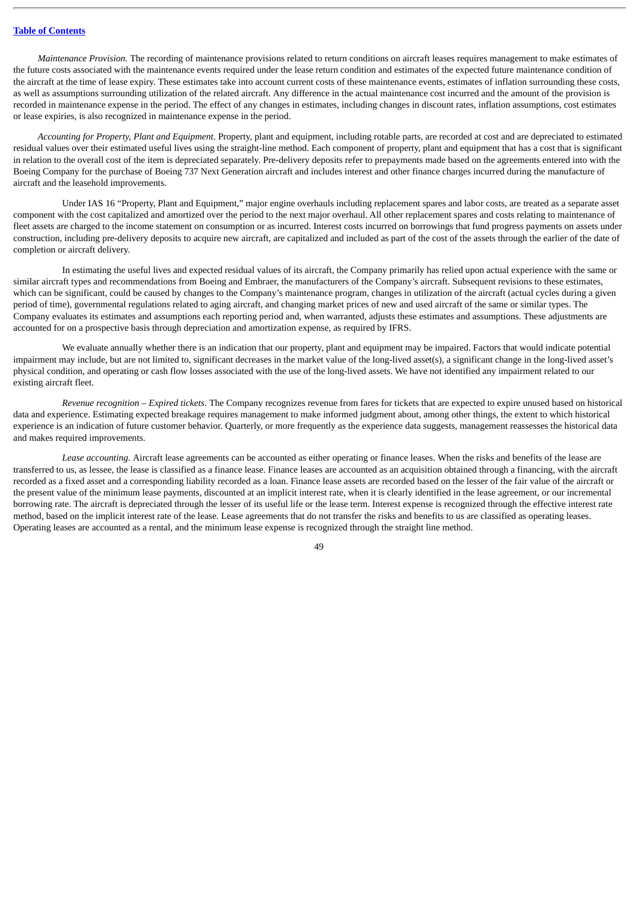*Maintenance Provision.* The recording of maintenance provisions related to return conditions on aircraft leases requires management to make estimates of the future costs associated with the maintenance events required under the lease return condition and estimates of the expected future maintenance condition of the aircraft at the time of lease expiry. These estimates take into account current costs of these maintenance events, estimates of inflation surrounding these costs, as well as assumptions surrounding utilization of the related aircraft. Any difference in the actual maintenance cost incurred and the amount of the provision is recorded in maintenance expense in the period. The effect of any changes in estimates, including changes in discount rates, inflation assumptions, cost estimates or lease expiries, is also recognized in maintenance expense in the period.

*Accounting for Property, Plant and Equipment*. Property, plant and equipment, including rotable parts, are recorded at cost and are depreciated to estimated residual values over their estimated useful lives using the straight-line method. Each component of property, plant and equipment that has a cost that is significant in relation to the overall cost of the item is depreciated separately. Pre-delivery deposits refer to prepayments made based on the agreements entered into with the Boeing Company for the purchase of Boeing 737 Next Generation aircraft and includes interest and other finance charges incurred during the manufacture of aircraft and the leasehold improvements.

Under IAS 16 "Property, Plant and Equipment," major engine overhauls including replacement spares and labor costs, are treated as a separate asset component with the cost capitalized and amortized over the period to the next major overhaul. All other replacement spares and costs relating to maintenance of fleet assets are charged to the income statement on consumption or as incurred. Interest costs incurred on borrowings that fund progress payments on assets under construction, including pre-delivery deposits to acquire new aircraft, are capitalized and included as part of the cost of the assets through the earlier of the date of completion or aircraft delivery.

In estimating the useful lives and expected residual values of its aircraft, the Company primarily has relied upon actual experience with the same or similar aircraft types and recommendations from Boeing and Embraer, the manufacturers of the Company's aircraft. Subsequent revisions to these estimates, which can be significant, could be caused by changes to the Company's maintenance program, changes in utilization of the aircraft (actual cycles during a given period of time), governmental regulations related to aging aircraft, and changing market prices of new and used aircraft of the same or similar types. The Company evaluates its estimates and assumptions each reporting period and, when warranted, adjusts these estimates and assumptions. These adjustments are accounted for on a prospective basis through depreciation and amortization expense, as required by IFRS.

We evaluate annually whether there is an indication that our property, plant and equipment may be impaired. Factors that would indicate potential impairment may include, but are not limited to, significant decreases in the market value of the long-lived asset(s), a significant change in the long-lived asset's physical condition, and operating or cash flow losses associated with the use of the long-lived assets. We have not identified any impairment related to our existing aircraft fleet.

*Revenue recognition – Expired tickets*. The Company recognizes revenue from fares for tickets that are expected to expire unused based on historical data and experience. Estimating expected breakage requires management to make informed judgment about, among other things, the extent to which historical experience is an indication of future customer behavior. Quarterly, or more frequently as the experience data suggests, management reassesses the historical data and makes required improvements.

*Lease accounting.* Aircraft lease agreements can be accounted as either operating or finance leases. When the risks and benefits of the lease are transferred to us, as lessee, the lease is classified as a finance lease. Finance leases are accounted as an acquisition obtained through a financing, with the aircraft recorded as a fixed asset and a corresponding liability recorded as a loan. Finance lease assets are recorded based on the lesser of the fair value of the aircraft or the present value of the minimum lease payments, discounted at an implicit interest rate, when it is clearly identified in the lease agreement, or our incremental borrowing rate. The aircraft is depreciated through the lesser of its useful life or the lease term. Interest expense is recognized through the effective interest rate method, based on the implicit interest rate of the lease. Lease agreements that do not transfer the risks and benefits to us are classified as operating leases. Operating leases are accounted as a rental, and the minimum lease expense is recognized through the straight line method.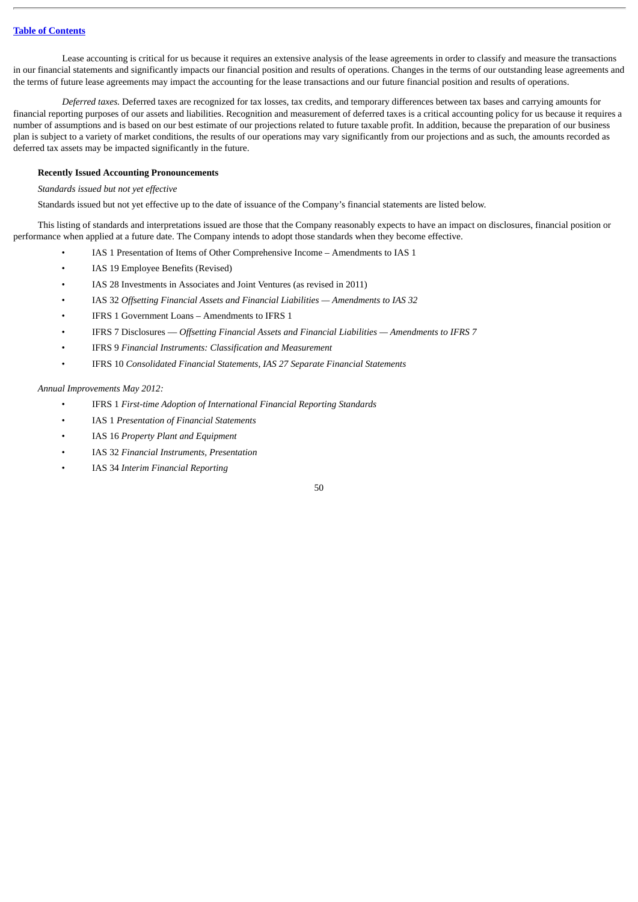Lease accounting is critical for us because it requires an extensive analysis of the lease agreements in order to classify and measure the transactions in our financial statements and significantly impacts our financial position and results of operations. Changes in the terms of our outstanding lease agreements and the terms of future lease agreements may impact the accounting for the lease transactions and our future financial position and results of operations.

*Deferred taxes.* Deferred taxes are recognized for tax losses, tax credits, and temporary differences between tax bases and carrying amounts for financial reporting purposes of our assets and liabilities. Recognition and measurement of deferred taxes is a critical accounting policy for us because it requires a number of assumptions and is based on our best estimate of our projections related to future taxable profit. In addition, because the preparation of our business plan is subject to a variety of market conditions, the results of our operations may vary significantly from our projections and as such, the amounts recorded as deferred tax assets may be impacted significantly in the future.

### **Recently Issued Accounting Pronouncements**

### *Standards issued but not yet effective*

Standards issued but not yet effective up to the date of issuance of the Company's financial statements are listed below.

This listing of standards and interpretations issued are those that the Company reasonably expects to have an impact on disclosures, financial position or performance when applied at a future date. The Company intends to adopt those standards when they become effective.

- IAS 1 Presentation of Items of Other Comprehensive Income Amendments to IAS 1
- IAS 19 Employee Benefits (Revised)
- IAS 28 Investments in Associates and Joint Ventures (as revised in 2011)
- IAS 32 *Offsetting Financial Assets and Financial Liabilities Amendments to IAS 32*
- IFRS 1 Government Loans Amendments to IFRS 1
- IFRS 7 Disclosures *Offsetting Financial Assets and Financial Liabilities Amendments to IFRS 7*
- IFRS 9 *Financial Instruments: Classification and Measurement*
- IFRS 10 *Consolidated Financial Statements, IAS 27 Separate Financial Statements*

### *Annual Improvements May 2012:*

- IFRS 1 *First-time Adoption of International Financial Reporting Standards*
- IAS 1 *Presentation of Financial Statements*
- IAS 16 *Property Plant and Equipment*
- IAS 32 *Financial Instruments, Presentation*
- IAS 34 *Interim Financial Reporting*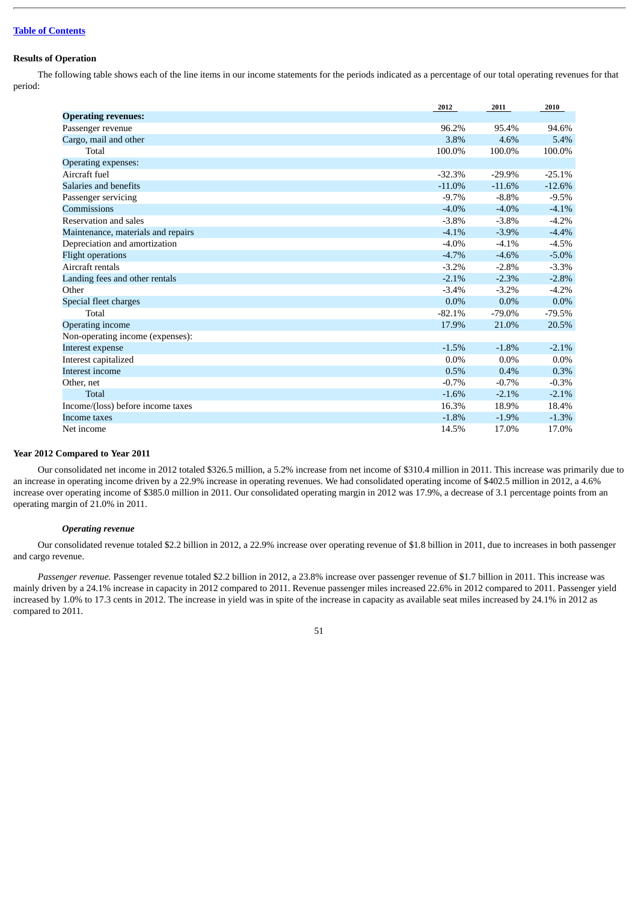## **Results of Operation**

The following table shows each of the line items in our income statements for the periods indicated as a percentage of our total operating revenues for that period:

|                                    | 2012     | 2011      | 2010     |
|------------------------------------|----------|-----------|----------|
| <b>Operating revenues:</b>         |          |           |          |
| Passenger revenue                  | 96.2%    | 95.4%     | 94.6%    |
| Cargo, mail and other              | 3.8%     | 4.6%      | 5.4%     |
| Total                              | 100.0%   | 100.0%    | 100.0%   |
| <b>Operating expenses:</b>         |          |           |          |
| Aircraft fuel                      | $-32.3%$ | $-29.9%$  | $-25.1%$ |
| Salaries and benefits              | $-11.0%$ | $-11.6%$  | $-12.6%$ |
| Passenger servicing                | $-9.7\%$ | $-8.8%$   | $-9.5%$  |
| Commissions                        | $-4.0\%$ | $-4.0\%$  | $-4.1%$  |
| Reservation and sales              | $-3.8%$  | $-3.8%$   | $-4.2%$  |
| Maintenance, materials and repairs | $-4.1%$  | $-3.9%$   | $-4.4%$  |
| Depreciation and amortization      | $-4.0\%$ | $-4.1%$   | $-4.5%$  |
| <b>Flight operations</b>           | $-4.7%$  | $-4.6%$   | $-5.0%$  |
| Aircraft rentals                   | $-3.2\%$ | $-2.8%$   | $-3.3%$  |
| Landing fees and other rentals     | $-2.1%$  | $-2.3%$   | $-2.8%$  |
| Other                              | $-3.4%$  | $-3.2\%$  | $-4.2%$  |
| Special fleet charges              | $0.0\%$  | $0.0\%$   | $0.0\%$  |
| Total                              | $-82.1%$ | $-79.0\%$ | $-79.5%$ |
| <b>Operating income</b>            | 17.9%    | 21.0%     | 20.5%    |
| Non-operating income (expenses):   |          |           |          |
| Interest expense                   | $-1.5%$  | $-1.8%$   | $-2.1%$  |
| Interest capitalized               | $0.0\%$  | $0.0\%$   | $0.0\%$  |
| <b>Interest</b> income             | 0.5%     | 0.4%      | 0.3%     |
| Other, net                         | $-0.7%$  | $-0.7%$   | $-0.3%$  |
| <b>Total</b>                       | $-1.6%$  | $-2.1%$   | $-2.1%$  |
| Income/(loss) before income taxes  | 16.3%    | 18.9%     | 18.4%    |
| Income taxes                       | $-1.8%$  | $-1.9%$   | $-1.3%$  |
| Net income                         | 14.5%    | 17.0%     | 17.0%    |

## **Year 2012 Compared to Year 2011**

Our consolidated net income in 2012 totaled \$326.5 million, a 5.2% increase from net income of \$310.4 million in 2011. This increase was primarily due to an increase in operating income driven by a 22.9% increase in operating revenues. We had consolidated operating income of \$402.5 million in 2012, a 4.6% increase over operating income of \$385.0 million in 2011. Our consolidated operating margin in 2012 was 17.9%, a decrease of 3.1 percentage points from an operating margin of 21.0% in 2011.

#### *Operating revenue*

Our consolidated revenue totaled \$2.2 billion in 2012, a 22.9% increase over operating revenue of \$1.8 billion in 2011, due to increases in both passenger and cargo revenue.

*Passenger revenue.* Passenger revenue totaled \$2.2 billion in 2012, a 23.8% increase over passenger revenue of \$1.7 billion in 2011. This increase was mainly driven by a 24.1% increase in capacity in 2012 compared to 2011. Revenue passenger miles increased 22.6% in 2012 compared to 2011. Passenger yield increased by 1.0% to 17.3 cents in 2012. The increase in yield was in spite of the increase in capacity as available seat miles increased by 24.1% in 2012 as compared to 2011.

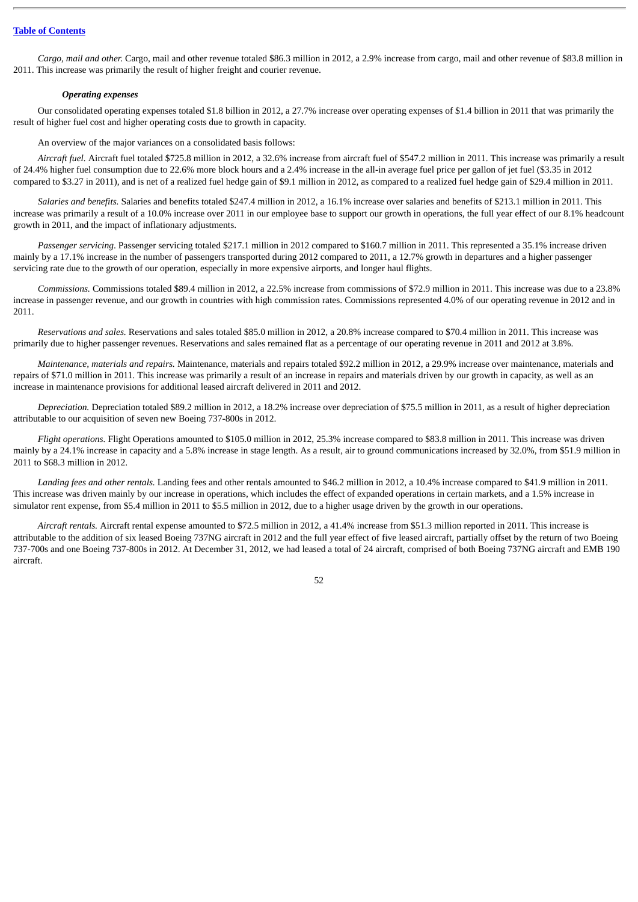*Cargo, mail and other.* Cargo, mail and other revenue totaled \$86.3 million in 2012, a 2.9% increase from cargo, mail and other revenue of \$83.8 million in 2011. This increase was primarily the result of higher freight and courier revenue.

#### *Operating expenses*

Our consolidated operating expenses totaled \$1.8 billion in 2012, a 27.7% increase over operating expenses of \$1.4 billion in 2011 that was primarily the result of higher fuel cost and higher operating costs due to growth in capacity.

An overview of the major variances on a consolidated basis follows:

*Aircraft fuel.* Aircraft fuel totaled \$725.8 million in 2012, a 32.6% increase from aircraft fuel of \$547.2 million in 2011. This increase was primarily a result of 24.4% higher fuel consumption due to 22.6% more block hours and a 2.4% increase in the all-in average fuel price per gallon of jet fuel (\$3.35 in 2012 compared to \$3.27 in 2011), and is net of a realized fuel hedge gain of \$9.1 million in 2012, as compared to a realized fuel hedge gain of \$29.4 million in 2011.

*Salaries and benefits.* Salaries and benefits totaled \$247.4 million in 2012, a 16.1% increase over salaries and benefits of \$213.1 million in 2011. This increase was primarily a result of a 10.0% increase over 2011 in our employee base to support our growth in operations, the full year effect of our 8.1% headcount growth in 2011, and the impact of inflationary adjustments.

*Passenger servicing*. Passenger servicing totaled \$217.1 million in 2012 compared to \$160.7 million in 2011. This represented a 35.1% increase driven mainly by a 17.1% increase in the number of passengers transported during 2012 compared to 2011, a 12.7% growth in departures and a higher passenger servicing rate due to the growth of our operation, especially in more expensive airports, and longer haul flights.

*Commissions.* Commissions totaled \$89.4 million in 2012, a 22.5% increase from commissions of \$72.9 million in 2011. This increase was due to a 23.8% increase in passenger revenue, and our growth in countries with high commission rates. Commissions represented 4.0% of our operating revenue in 2012 and in 2011.

*Reservations and sales.* Reservations and sales totaled \$85.0 million in 2012, a 20.8% increase compared to \$70.4 million in 2011. This increase was primarily due to higher passenger revenues. Reservations and sales remained flat as a percentage of our operating revenue in 2011 and 2012 at 3.8%.

*Maintenance, materials and repairs.* Maintenance, materials and repairs totaled \$92.2 million in 2012, a 29.9% increase over maintenance, materials and repairs of \$71.0 million in 2011. This increase was primarily a result of an increase in repairs and materials driven by our growth in capacity, as well as an increase in maintenance provisions for additional leased aircraft delivered in 2011 and 2012.

*Depreciation.* Depreciation totaled \$89.2 million in 2012, a 18.2% increase over depreciation of \$75.5 million in 2011, as a result of higher depreciation attributable to our acquisition of seven new Boeing 737-800s in 2012.

*Flight operations.* Flight Operations amounted to \$105.0 million in 2012, 25.3% increase compared to \$83.8 million in 2011. This increase was driven mainly by a 24.1% increase in capacity and a 5.8% increase in stage length. As a result, air to ground communications increased by 32.0%, from \$51.9 million in 2011 to \$68.3 million in 2012.

*Landing fees and other rentals.* Landing fees and other rentals amounted to \$46.2 million in 2012, a 10.4% increase compared to \$41.9 million in 2011. This increase was driven mainly by our increase in operations, which includes the effect of expanded operations in certain markets, and a 1.5% increase in simulator rent expense, from \$5.4 million in 2011 to \$5.5 million in 2012, due to a higher usage driven by the growth in our operations.

*Aircraft rentals.* Aircraft rental expense amounted to \$72.5 million in 2012, a 41.4% increase from \$51.3 million reported in 2011. This increase is attributable to the addition of six leased Boeing 737NG aircraft in 2012 and the full year effect of five leased aircraft, partially offset by the return of two Boeing 737-700s and one Boeing 737-800s in 2012. At December 31, 2012, we had leased a total of 24 aircraft, comprised of both Boeing 737NG aircraft and EMB 190 aircraft.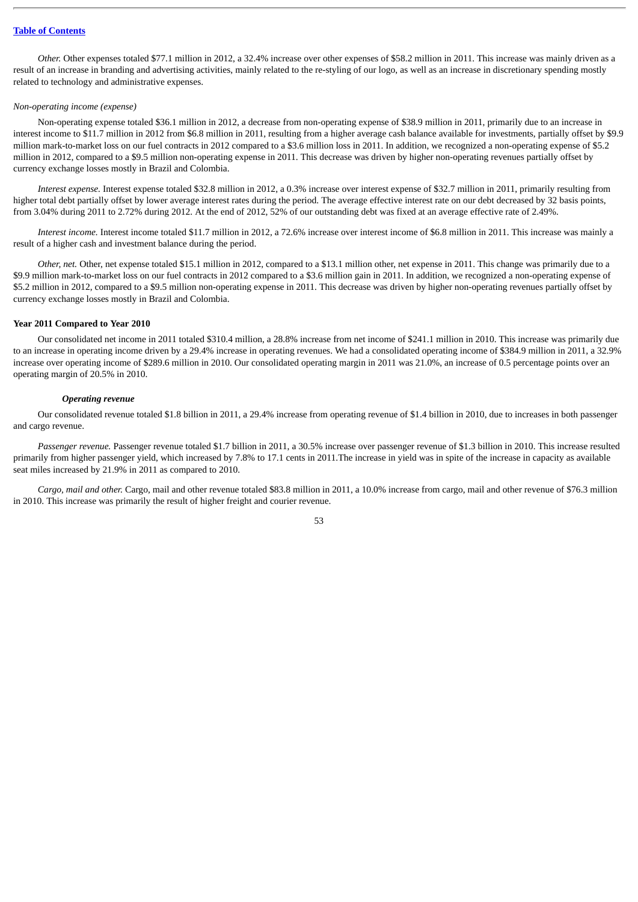*Other.* Other expenses totaled \$77.1 million in 2012, a 32.4% increase over other expenses of \$58.2 million in 2011. This increase was mainly driven as a result of an increase in branding and advertising activities, mainly related to the re-styling of our logo, as well as an increase in discretionary spending mostly related to technology and administrative expenses.

#### *Non-operating income (expense)*

Non-operating expense totaled \$36.1 million in 2012, a decrease from non-operating expense of \$38.9 million in 2011, primarily due to an increase in interest income to \$11.7 million in 2012 from \$6.8 million in 2011, resulting from a higher average cash balance available for investments, partially offset by \$9.9 million mark-to-market loss on our fuel contracts in 2012 compared to a \$3.6 million loss in 2011. In addition, we recognized a non-operating expense of \$5.2 million in 2012, compared to a \$9.5 million non-operating expense in 2011. This decrease was driven by higher non-operating revenues partially offset by currency exchange losses mostly in Brazil and Colombia.

*Interest expense.* Interest expense totaled \$32.8 million in 2012, a 0.3% increase over interest expense of \$32.7 million in 2011, primarily resulting from higher total debt partially offset by lower average interest rates during the period. The average effective interest rate on our debt decreased by 32 basis points, from 3.04% during 2011 to 2.72% during 2012. At the end of 2012, 52% of our outstanding debt was fixed at an average effective rate of 2.49%.

*Interest income.* Interest income totaled \$11.7 million in 2012, a 72.6% increase over interest income of \$6.8 million in 2011. This increase was mainly a result of a higher cash and investment balance during the period.

*Other, net.* Other, net expense totaled \$15.1 million in 2012, compared to a \$13.1 million other, net expense in 2011. This change was primarily due to a \$9.9 million mark-to-market loss on our fuel contracts in 2012 compared to a \$3.6 million gain in 2011. In addition, we recognized a non-operating expense of \$5.2 million in 2012, compared to a \$9.5 million non-operating expense in 2011. This decrease was driven by higher non-operating revenues partially offset by currency exchange losses mostly in Brazil and Colombia.

#### **Year 2011 Compared to Year 2010**

Our consolidated net income in 2011 totaled \$310.4 million, a 28.8% increase from net income of \$241.1 million in 2010. This increase was primarily due to an increase in operating income driven by a 29.4% increase in operating revenues. We had a consolidated operating income of \$384.9 million in 2011, a 32.9% increase over operating income of \$289.6 million in 2010. Our consolidated operating margin in 2011 was 21.0%, an increase of 0.5 percentage points over an operating margin of 20.5% in 2010.

#### *Operating revenue*

Our consolidated revenue totaled \$1.8 billion in 2011, a 29.4% increase from operating revenue of \$1.4 billion in 2010, due to increases in both passenger and cargo revenue.

*Passenger revenue.* Passenger revenue totaled \$1.7 billion in 2011, a 30.5% increase over passenger revenue of \$1.3 billion in 2010. This increase resulted primarily from higher passenger yield, which increased by 7.8% to 17.1 cents in 2011.The increase in yield was in spite of the increase in capacity as available seat miles increased by 21.9% in 2011 as compared to 2010.

*Cargo, mail and other.* Cargo, mail and other revenue totaled \$83.8 million in 2011, a 10.0% increase from cargo, mail and other revenue of \$76.3 million in 2010. This increase was primarily the result of higher freight and courier revenue.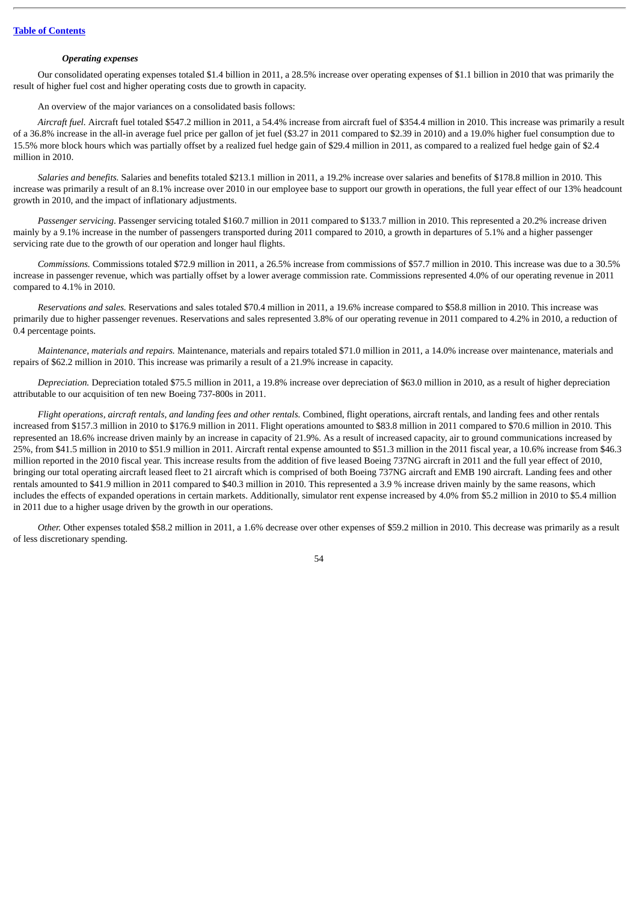### *Operating expenses*

Our consolidated operating expenses totaled \$1.4 billion in 2011, a 28.5% increase over operating expenses of \$1.1 billion in 2010 that was primarily the result of higher fuel cost and higher operating costs due to growth in capacity.

An overview of the major variances on a consolidated basis follows:

*Aircraft fuel.* Aircraft fuel totaled \$547.2 million in 2011, a 54.4% increase from aircraft fuel of \$354.4 million in 2010. This increase was primarily a result of a 36.8% increase in the all-in average fuel price per gallon of jet fuel (\$3.27 in 2011 compared to \$2.39 in 2010) and a 19.0% higher fuel consumption due to 15.5% more block hours which was partially offset by a realized fuel hedge gain of \$29.4 million in 2011, as compared to a realized fuel hedge gain of \$2.4 million in 2010.

*Salaries and benefits.* Salaries and benefits totaled \$213.1 million in 2011, a 19.2% increase over salaries and benefits of \$178.8 million in 2010. This increase was primarily a result of an 8.1% increase over 2010 in our employee base to support our growth in operations, the full year effect of our 13% headcount growth in 2010, and the impact of inflationary adjustments.

*Passenger servicing*. Passenger servicing totaled \$160.7 million in 2011 compared to \$133.7 million in 2010. This represented a 20.2% increase driven mainly by a 9.1% increase in the number of passengers transported during 2011 compared to 2010, a growth in departures of 5.1% and a higher passenger servicing rate due to the growth of our operation and longer haul flights.

*Commissions.* Commissions totaled \$72.9 million in 2011, a 26.5% increase from commissions of \$57.7 million in 2010. This increase was due to a 30.5% increase in passenger revenue, which was partially offset by a lower average commission rate. Commissions represented 4.0% of our operating revenue in 2011 compared to 4.1% in 2010.

*Reservations and sales.* Reservations and sales totaled \$70.4 million in 2011, a 19.6% increase compared to \$58.8 million in 2010. This increase was primarily due to higher passenger revenues. Reservations and sales represented 3.8% of our operating revenue in 2011 compared to 4.2% in 2010, a reduction of 0.4 percentage points.

*Maintenance, materials and repairs.* Maintenance, materials and repairs totaled \$71.0 million in 2011, a 14.0% increase over maintenance, materials and repairs of \$62.2 million in 2010. This increase was primarily a result of a 21.9% increase in capacity.

*Depreciation.* Depreciation totaled \$75.5 million in 2011, a 19.8% increase over depreciation of \$63.0 million in 2010, as a result of higher depreciation attributable to our acquisition of ten new Boeing 737-800s in 2011.

*Flight operations, aircraft rentals, and landing fees and other rentals.* Combined, flight operations, aircraft rentals, and landing fees and other rentals increased from \$157.3 million in 2010 to \$176.9 million in 2011. Flight operations amounted to \$83.8 million in 2011 compared to \$70.6 million in 2010. This represented an 18.6% increase driven mainly by an increase in capacity of 21.9%. As a result of increased capacity, air to ground communications increased by 25%, from \$41.5 million in 2010 to \$51.9 million in 2011. Aircraft rental expense amounted to \$51.3 million in the 2011 fiscal year, a 10.6% increase from \$46.3 million reported in the 2010 fiscal year. This increase results from the addition of five leased Boeing 737NG aircraft in 2011 and the full year effect of 2010, bringing our total operating aircraft leased fleet to 21 aircraft which is comprised of both Boeing 737NG aircraft and EMB 190 aircraft. Landing fees and other rentals amounted to \$41.9 million in 2011 compared to \$40.3 million in 2010. This represented a 3.9 % increase driven mainly by the same reasons, which includes the effects of expanded operations in certain markets. Additionally, simulator rent expense increased by 4.0% from \$5.2 million in 2010 to \$5.4 million in 2011 due to a higher usage driven by the growth in our operations.

*Other.* Other expenses totaled \$58.2 million in 2011, a 1.6% decrease over other expenses of \$59.2 million in 2010. This decrease was primarily as a result of less discretionary spending.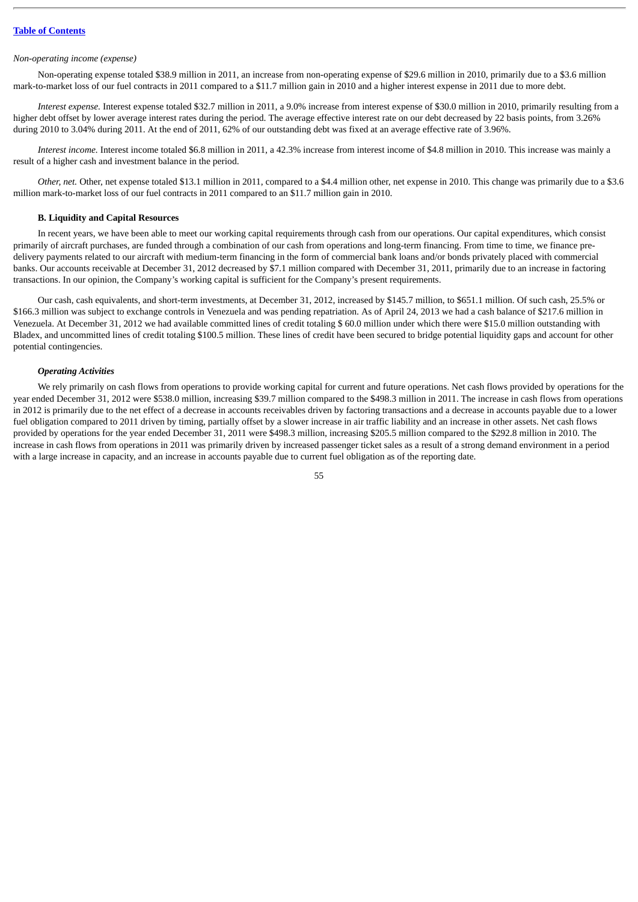## *Non-operating income (expense)*

Non-operating expense totaled \$38.9 million in 2011, an increase from non-operating expense of \$29.6 million in 2010, primarily due to a \$3.6 million mark-to-market loss of our fuel contracts in 2011 compared to a \$11.7 million gain in 2010 and a higher interest expense in 2011 due to more debt.

*Interest expense.* Interest expense totaled \$32.7 million in 2011, a 9.0% increase from interest expense of \$30.0 million in 2010, primarily resulting from a higher debt offset by lower average interest rates during the period. The average effective interest rate on our debt decreased by 22 basis points, from 3.26% during 2010 to 3.04% during 2011. At the end of 2011, 62% of our outstanding debt was fixed at an average effective rate of 3.96%.

*Interest income.* Interest income totaled \$6.8 million in 2011, a 42.3% increase from interest income of \$4.8 million in 2010. This increase was mainly a result of a higher cash and investment balance in the period.

*Other, net.* Other, net expense totaled \$13.1 million in 2011, compared to a \$4.4 million other, net expense in 2010. This change was primarily due to a \$3.6 million mark-to-market loss of our fuel contracts in 2011 compared to an \$11.7 million gain in 2010.

#### **B. Liquidity and Capital Resources**

In recent years, we have been able to meet our working capital requirements through cash from our operations. Our capital expenditures, which consist primarily of aircraft purchases, are funded through a combination of our cash from operations and long-term financing. From time to time, we finance predelivery payments related to our aircraft with medium-term financing in the form of commercial bank loans and/or bonds privately placed with commercial banks. Our accounts receivable at December 31, 2012 decreased by \$7.1 million compared with December 31, 2011, primarily due to an increase in factoring transactions. In our opinion, the Company's working capital is sufficient for the Company's present requirements.

Our cash, cash equivalents, and short-term investments, at December 31, 2012, increased by \$145.7 million, to \$651.1 million. Of such cash, 25.5% or \$166.3 million was subject to exchange controls in Venezuela and was pending repatriation. As of April 24, 2013 we had a cash balance of \$217.6 million in Venezuela. At December 31, 2012 we had available committed lines of credit totaling \$ 60.0 million under which there were \$15.0 million outstanding with Bladex, and uncommitted lines of credit totaling \$100.5 million. These lines of credit have been secured to bridge potential liquidity gaps and account for other potential contingencies.

### *Operating Activities*

We rely primarily on cash flows from operations to provide working capital for current and future operations. Net cash flows provided by operations for the year ended December 31, 2012 were \$538.0 million, increasing \$39.7 million compared to the \$498.3 million in 2011. The increase in cash flows from operations in 2012 is primarily due to the net effect of a decrease in accounts receivables driven by factoring transactions and a decrease in accounts payable due to a lower fuel obligation compared to 2011 driven by timing, partially offset by a slower increase in air traffic liability and an increase in other assets. Net cash flows provided by operations for the year ended December 31, 2011 were \$498.3 million, increasing \$205.5 million compared to the \$292.8 million in 2010. The increase in cash flows from operations in 2011 was primarily driven by increased passenger ticket sales as a result of a strong demand environment in a period with a large increase in capacity, and an increase in accounts payable due to current fuel obligation as of the reporting date.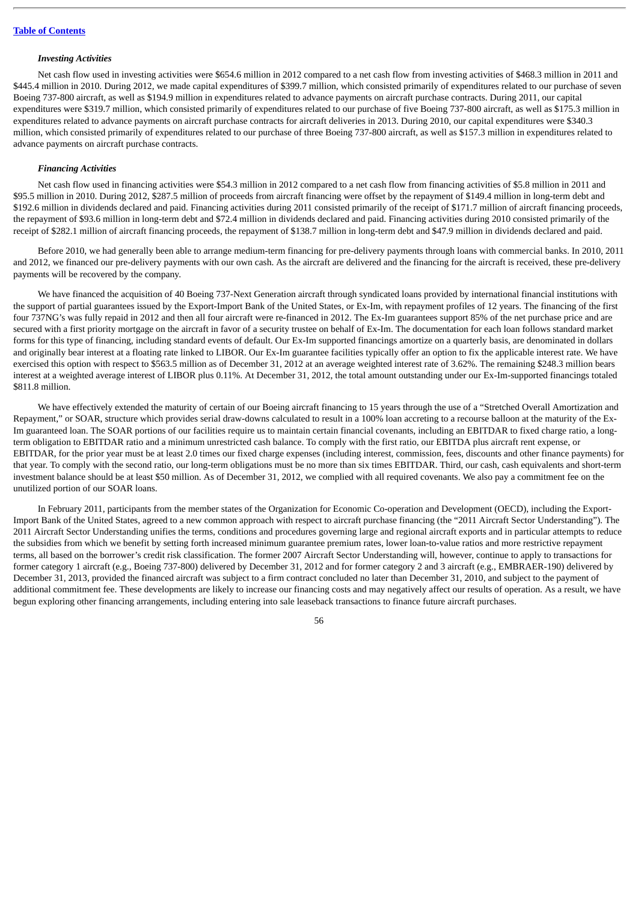#### *Investing Activities*

Net cash flow used in investing activities were \$654.6 million in 2012 compared to a net cash flow from investing activities of \$468.3 million in 2011 and \$445.4 million in 2010. During 2012, we made capital expenditures of \$399.7 million, which consisted primarily of expenditures related to our purchase of seven Boeing 737-800 aircraft, as well as \$194.9 million in expenditures related to advance payments on aircraft purchase contracts. During 2011, our capital expenditures were \$319.7 million, which consisted primarily of expenditures related to our purchase of five Boeing 737-800 aircraft, as well as \$175.3 million in expenditures related to advance payments on aircraft purchase contracts for aircraft deliveries in 2013. During 2010, our capital expenditures were \$340.3 million, which consisted primarily of expenditures related to our purchase of three Boeing 737-800 aircraft, as well as \$157.3 million in expenditures related to advance payments on aircraft purchase contracts.

### *Financing Activities*

Net cash flow used in financing activities were \$54.3 million in 2012 compared to a net cash flow from financing activities of \$5.8 million in 2011 and \$95.5 million in 2010. During 2012, \$287.5 million of proceeds from aircraft financing were offset by the repayment of \$149.4 million in long-term debt and \$192.6 million in dividends declared and paid. Financing activities during 2011 consisted primarily of the receipt of \$171.7 million of aircraft financing proceeds, the repayment of \$93.6 million in long-term debt and \$72.4 million in dividends declared and paid. Financing activities during 2010 consisted primarily of the receipt of \$282.1 million of aircraft financing proceeds, the repayment of \$138.7 million in long-term debt and \$47.9 million in dividends declared and paid.

Before 2010, we had generally been able to arrange medium-term financing for pre-delivery payments through loans with commercial banks. In 2010, 2011 and 2012, we financed our pre-delivery payments with our own cash. As the aircraft are delivered and the financing for the aircraft is received, these pre-delivery payments will be recovered by the company.

We have financed the acquisition of 40 Boeing 737-Next Generation aircraft through syndicated loans provided by international financial institutions with the support of partial guarantees issued by the Export-Import Bank of the United States, or Ex-Im, with repayment profiles of 12 years. The financing of the first four 737NG's was fully repaid in 2012 and then all four aircraft were re-financed in 2012. The Ex-Im guarantees support 85% of the net purchase price and are secured with a first priority mortgage on the aircraft in favor of a security trustee on behalf of Ex-Im. The documentation for each loan follows standard market forms for this type of financing, including standard events of default. Our Ex-Im supported financings amortize on a quarterly basis, are denominated in dollars and originally bear interest at a floating rate linked to LIBOR. Our Ex-Im guarantee facilities typically offer an option to fix the applicable interest rate. We have exercised this option with respect to \$563.5 million as of December 31, 2012 at an average weighted interest rate of 3.62%. The remaining \$248.3 million bears interest at a weighted average interest of LIBOR plus 0.11%. At December 31, 2012, the total amount outstanding under our Ex-Im-supported financings totaled \$811.8 million.

We have effectively extended the maturity of certain of our Boeing aircraft financing to 15 years through the use of a "Stretched Overall Amortization and Repayment," or SOAR, structure which provides serial draw-downs calculated to result in a 100% loan accreting to a recourse balloon at the maturity of the Ex-Im guaranteed loan. The SOAR portions of our facilities require us to maintain certain financial covenants, including an EBITDAR to fixed charge ratio, a longterm obligation to EBITDAR ratio and a minimum unrestricted cash balance. To comply with the first ratio, our EBITDA plus aircraft rent expense, or EBITDAR, for the prior year must be at least 2.0 times our fixed charge expenses (including interest, commission, fees, discounts and other finance payments) for that year. To comply with the second ratio, our long-term obligations must be no more than six times EBITDAR. Third, our cash, cash equivalents and short-term investment balance should be at least \$50 million. As of December 31, 2012, we complied with all required covenants. We also pay a commitment fee on the unutilized portion of our SOAR loans.

In February 2011, participants from the member states of the Organization for Economic Co-operation and Development (OECD), including the Export-Import Bank of the United States, agreed to a new common approach with respect to aircraft purchase financing (the "2011 Aircraft Sector Understanding"). The 2011 Aircraft Sector Understanding unifies the terms, conditions and procedures governing large and regional aircraft exports and in particular attempts to reduce the subsidies from which we benefit by setting forth increased minimum guarantee premium rates, lower loan-to-value ratios and more restrictive repayment terms, all based on the borrower's credit risk classification. The former 2007 Aircraft Sector Understanding will, however, continue to apply to transactions for former category 1 aircraft (e.g., Boeing 737-800) delivered by December 31, 2012 and for former category 2 and 3 aircraft (e.g., EMBRAER-190) delivered by December 31, 2013, provided the financed aircraft was subject to a firm contract concluded no later than December 31, 2010, and subject to the payment of additional commitment fee. These developments are likely to increase our financing costs and may negatively affect our results of operation. As a result, we have begun exploring other financing arrangements, including entering into sale leaseback transactions to finance future aircraft purchases.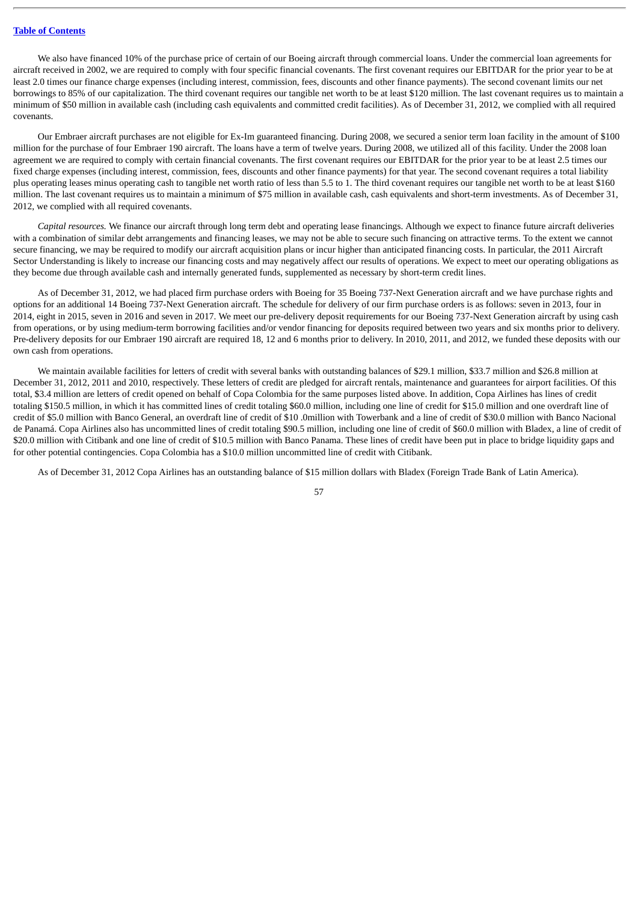We also have financed 10% of the purchase price of certain of our Boeing aircraft through commercial loans. Under the commercial loan agreements for aircraft received in 2002, we are required to comply with four specific financial covenants. The first covenant requires our EBITDAR for the prior year to be at least 2.0 times our finance charge expenses (including interest, commission, fees, discounts and other finance payments). The second covenant limits our net borrowings to 85% of our capitalization. The third covenant requires our tangible net worth to be at least \$120 million. The last covenant requires us to maintain a minimum of \$50 million in available cash (including cash equivalents and committed credit facilities). As of December 31, 2012, we complied with all required covenants.

Our Embraer aircraft purchases are not eligible for Ex-Im guaranteed financing. During 2008, we secured a senior term loan facility in the amount of \$100 million for the purchase of four Embraer 190 aircraft. The loans have a term of twelve years. During 2008, we utilized all of this facility. Under the 2008 loan agreement we are required to comply with certain financial covenants. The first covenant requires our EBITDAR for the prior year to be at least 2.5 times our fixed charge expenses (including interest, commission, fees, discounts and other finance payments) for that year. The second covenant requires a total liability plus operating leases minus operating cash to tangible net worth ratio of less than 5.5 to 1. The third covenant requires our tangible net worth to be at least \$160 million. The last covenant requires us to maintain a minimum of \$75 million in available cash, cash equivalents and short-term investments. As of December 31, 2012, we complied with all required covenants.

*Capital resources.* We finance our aircraft through long term debt and operating lease financings. Although we expect to finance future aircraft deliveries with a combination of similar debt arrangements and financing leases, we may not be able to secure such financing on attractive terms. To the extent we cannot secure financing, we may be required to modify our aircraft acquisition plans or incur higher than anticipated financing costs. In particular, the 2011 Aircraft Sector Understanding is likely to increase our financing costs and may negatively affect our results of operations. We expect to meet our operating obligations as they become due through available cash and internally generated funds, supplemented as necessary by short-term credit lines.

As of December 31, 2012, we had placed firm purchase orders with Boeing for 35 Boeing 737-Next Generation aircraft and we have purchase rights and options for an additional 14 Boeing 737-Next Generation aircraft. The schedule for delivery of our firm purchase orders is as follows: seven in 2013, four in 2014, eight in 2015, seven in 2016 and seven in 2017. We meet our pre-delivery deposit requirements for our Boeing 737-Next Generation aircraft by using cash from operations, or by using medium-term borrowing facilities and/or vendor financing for deposits required between two years and six months prior to delivery. Pre-delivery deposits for our Embraer 190 aircraft are required 18, 12 and 6 months prior to delivery. In 2010, 2011, and 2012, we funded these deposits with our own cash from operations.

We maintain available facilities for letters of credit with several banks with outstanding balances of \$29.1 million, \$33.7 million and \$26.8 million at December 31, 2012, 2011 and 2010, respectively. These letters of credit are pledged for aircraft rentals, maintenance and guarantees for airport facilities. Of this total, \$3.4 million are letters of credit opened on behalf of Copa Colombia for the same purposes listed above. In addition, Copa Airlines has lines of credit totaling \$150.5 million, in which it has committed lines of credit totaling \$60.0 million, including one line of credit for \$15.0 million and one overdraft line of credit of \$5.0 million with Banco General, an overdraft line of credit of \$10 .0million with Towerbank and a line of credit of \$30.0 million with Banco Nacional de Panamá. Copa Airlines also has uncommitted lines of credit totaling \$90.5 million, including one line of credit of \$60.0 million with Bladex, a line of credit of \$20.0 million with Citibank and one line of credit of \$10.5 million with Banco Panama. These lines of credit have been put in place to bridge liquidity gaps and for other potential contingencies. Copa Colombia has a \$10.0 million uncommitted line of credit with Citibank.

As of December 31, 2012 Copa Airlines has an outstanding balance of \$15 million dollars with Bladex (Foreign Trade Bank of Latin America).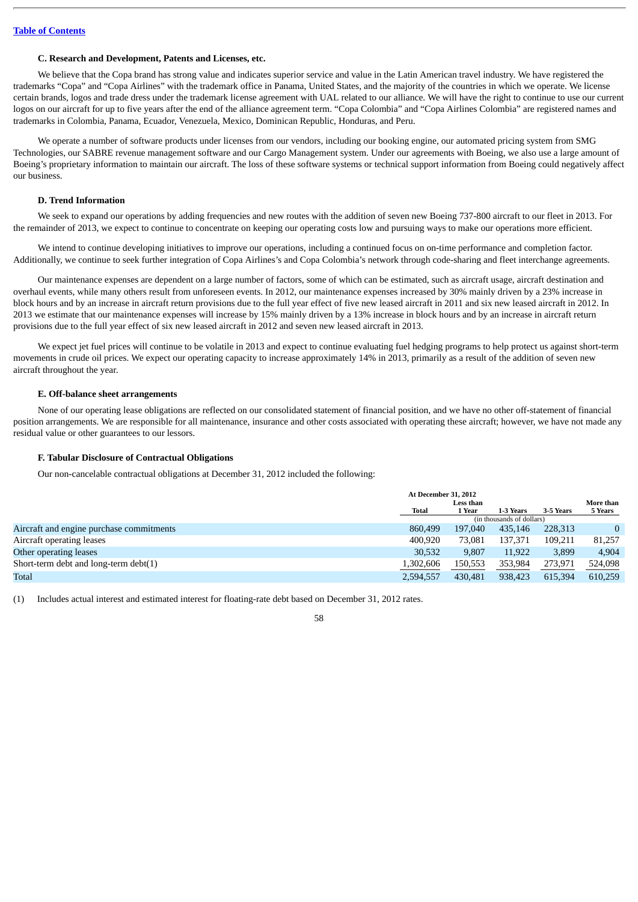# **C. Research and Development, Patents and Licenses, etc.**

We believe that the Copa brand has strong value and indicates superior service and value in the Latin American travel industry. We have registered the trademarks "Copa" and "Copa Airlines" with the trademark office in Panama, United States, and the majority of the countries in which we operate. We license certain brands, logos and trade dress under the trademark license agreement with UAL related to our alliance. We will have the right to continue to use our current logos on our aircraft for up to five years after the end of the alliance agreement term. "Copa Colombia" and "Copa Airlines Colombia" are registered names and trademarks in Colombia, Panama, Ecuador, Venezuela, Mexico, Dominican Republic, Honduras, and Peru.

We operate a number of software products under licenses from our vendors, including our booking engine, our automated pricing system from SMG Technologies, our SABRE revenue management software and our Cargo Management system. Under our agreements with Boeing, we also use a large amount of Boeing's proprietary information to maintain our aircraft. The loss of these software systems or technical support information from Boeing could negatively affect our business.

#### **D. Trend Information**

We seek to expand our operations by adding frequencies and new routes with the addition of seven new Boeing 737-800 aircraft to our fleet in 2013. For the remainder of 2013, we expect to continue to concentrate on keeping our operating costs low and pursuing ways to make our operations more efficient.

We intend to continue developing initiatives to improve our operations, including a continued focus on on-time performance and completion factor. Additionally, we continue to seek further integration of Copa Airlines's and Copa Colombia's network through code-sharing and fleet interchange agreements.

Our maintenance expenses are dependent on a large number of factors, some of which can be estimated, such as aircraft usage, aircraft destination and overhaul events, while many others result from unforeseen events. In 2012, our maintenance expenses increased by 30% mainly driven by a 23% increase in block hours and by an increase in aircraft return provisions due to the full year effect of five new leased aircraft in 2011 and six new leased aircraft in 2012. In 2013 we estimate that our maintenance expenses will increase by 15% mainly driven by a 13% increase in block hours and by an increase in aircraft return provisions due to the full year effect of six new leased aircraft in 2012 and seven new leased aircraft in 2013.

We expect jet fuel prices will continue to be volatile in 2013 and expect to continue evaluating fuel hedging programs to help protect us against short-term movements in crude oil prices. We expect our operating capacity to increase approximately 14% in 2013, primarily as a result of the addition of seven new aircraft throughout the year.

## **E. Off-balance sheet arrangements**

None of our operating lease obligations are reflected on our consolidated statement of financial position, and we have no other off-statement of financial position arrangements. We are responsible for all maintenance, insurance and other costs associated with operating these aircraft; however, we have not made any residual value or other guarantees to our lessors.

### **F. Tabular Disclosure of Contractual Obligations**

Our non-cancelable contractual obligations at December 31, 2012 included the following:

|                                          | <b>At December 31, 2012</b><br>Less than |         |           |           | More than      |  |
|------------------------------------------|------------------------------------------|---------|-----------|-----------|----------------|--|
|                                          | <b>Total</b>                             | 1 Year  | 1-3 Years | 3-5 Years | 5 Years        |  |
|                                          | (in thousands of dollars)                |         |           |           |                |  |
| Aircraft and engine purchase commitments | 860,499                                  | 197,040 | 435.146   | 228,313   | $\overline{0}$ |  |
| Aircraft operating leases                | 400.920                                  | 73.081  | 137,371   | 109,211   | 81,257         |  |
| Other operating leases                   | 30,532                                   | 9,807   | 11,922    | 3,899     | 4,904          |  |
| Short-term debt and long-term debt(1)    | 1,302,606                                | 150,553 | 353,984   | 273,971   | 524,098        |  |
| Total                                    | 2,594,557                                | 430.481 | 938,423   | 615.394   | 610,259        |  |

(1) Includes actual interest and estimated interest for floating-rate debt based on December 31, 2012 rates.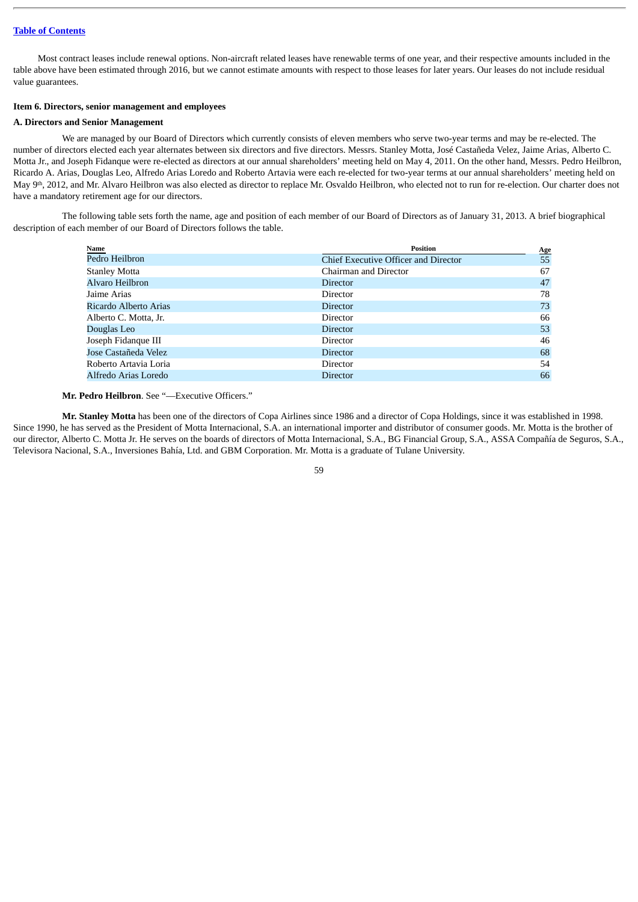Most contract leases include renewal options. Non-aircraft related leases have renewable terms of one year, and their respective amounts included in the table above have been estimated through 2016, but we cannot estimate amounts with respect to those leases for later years. Our leases do not include residual value guarantees.

## **Item 6. Directors, senior management and employees**

## **A. Directors and Senior Management**

We are managed by our Board of Directors which currently consists of eleven members who serve two-year terms and may be re-elected. The number of directors elected each year alternates between six directors and five directors. Messrs. Stanley Motta, José Castañeda Velez, Jaime Arias, Alberto C. Motta Jr., and Joseph Fidanque were re-elected as directors at our annual shareholders' meeting held on May 4, 2011. On the other hand, Messrs. Pedro Heilbron, Ricardo A. Arias, Douglas Leo, Alfredo Arias Loredo and Roberto Artavia were each re-elected for two-year terms at our annual shareholders' meeting held on May 9th, 2012, and Mr. Alvaro Heilbron was also elected as director to replace Mr. Osvaldo Heilbron, who elected not to run for re-election. Our charter does not have a mandatory retirement age for our directors.

The following table sets forth the name, age and position of each member of our Board of Directors as of January 31, 2013. A brief biographical description of each member of our Board of Directors follows the table.

| Name                  | <b>Position</b>                      | Age |
|-----------------------|--------------------------------------|-----|
| Pedro Heilbron        | Chief Executive Officer and Director | 55  |
| <b>Stanley Motta</b>  | Chairman and Director                | 67  |
| Alvaro Heilbron       | <b>Director</b>                      | 47  |
| Jaime Arias           | Director                             | 78  |
| Ricardo Alberto Arias | Director                             | 73  |
| Alberto C. Motta, Jr. | Director                             | 66  |
| Douglas Leo           | <b>Director</b>                      | 53  |
| Joseph Fidanque III   | Director                             | 46  |
| Jose Castañeda Velez  | <b>Director</b>                      | 68  |
| Roberto Artavia Loria | Director                             | 54  |
| Alfredo Arias Loredo  | <b>Director</b>                      | 66  |

**Mr. Pedro Heilbron**. See "—Executive Officers."

**Mr. Stanley Motta** has been one of the directors of Copa Airlines since 1986 and a director of Copa Holdings, since it was established in 1998. Since 1990, he has served as the President of Motta Internacional, S.A. an international importer and distributor of consumer goods. Mr. Motta is the brother of our director, Alberto C. Motta Jr. He serves on the boards of directors of Motta Internacional, S.A., BG Financial Group, S.A., ASSA Compañía de Seguros, S.A., Televisora Nacional, S.A., Inversiones Bahía, Ltd. and GBM Corporation. Mr. Motta is a graduate of Tulane University.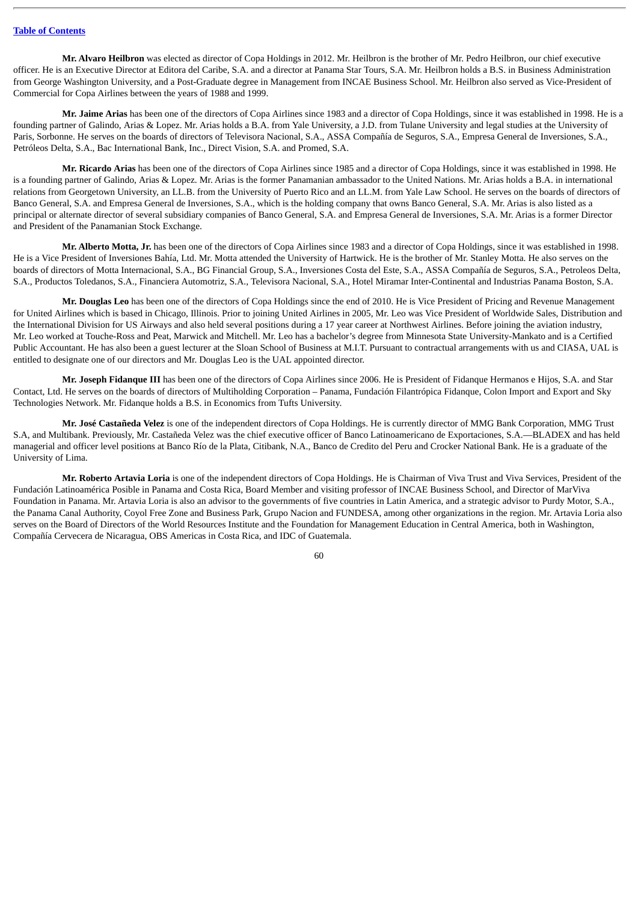**Mr. Alvaro Heilbron** was elected as director of Copa Holdings in 2012. Mr. Heilbron is the brother of Mr. Pedro Heilbron, our chief executive officer. He is an Executive Director at Editora del Caribe, S.A. and a director at Panama Star Tours, S.A. Mr. Heilbron holds a B.S. in Business Administration from George Washington University, and a Post-Graduate degree in Management from INCAE Business School. Mr. Heilbron also served as Vice-President of Commercial for Copa Airlines between the years of 1988 and 1999.

**Mr. Jaime Arias** has been one of the directors of Copa Airlines since 1983 and a director of Copa Holdings, since it was established in 1998. He is a founding partner of Galindo, Arias & Lopez. Mr. Arias holds a B.A. from Yale University, a J.D. from Tulane University and legal studies at the University of Paris, Sorbonne. He serves on the boards of directors of Televisora Nacional, S.A., ASSA Compañía de Seguros, S.A., Empresa General de Inversiones, S.A., Petróleos Delta, S.A., Bac International Bank, Inc., Direct Vision, S.A. and Promed, S.A.

**Mr. Ricardo Arias** has been one of the directors of Copa Airlines since 1985 and a director of Copa Holdings, since it was established in 1998. He is a founding partner of Galindo, Arias & Lopez. Mr. Arias is the former Panamanian ambassador to the United Nations. Mr. Arias holds a B.A. in international relations from Georgetown University, an LL.B. from the University of Puerto Rico and an LL.M. from Yale Law School. He serves on the boards of directors of Banco General, S.A. and Empresa General de Inversiones, S.A., which is the holding company that owns Banco General, S.A. Mr. Arias is also listed as a principal or alternate director of several subsidiary companies of Banco General, S.A. and Empresa General de Inversiones, S.A. Mr. Arias is a former Director and President of the Panamanian Stock Exchange.

**Mr. Alberto Motta, Jr.** has been one of the directors of Copa Airlines since 1983 and a director of Copa Holdings, since it was established in 1998. He is a Vice President of Inversiones Bahía, Ltd. Mr. Motta attended the University of Hartwick. He is the brother of Mr. Stanley Motta. He also serves on the boards of directors of Motta Internacional, S.A., BG Financial Group, S.A., Inversiones Costa del Este, S.A., ASSA Compañía de Seguros, S.A., Petroleos Delta, S.A., Productos Toledanos, S.A., Financiera Automotriz, S.A., Televisora Nacional, S.A., Hotel Miramar Inter-Continental and Industrias Panama Boston, S.A.

**Mr. Douglas Leo** has been one of the directors of Copa Holdings since the end of 2010. He is Vice President of Pricing and Revenue Management for United Airlines which is based in Chicago, Illinois. Prior to joining United Airlines in 2005, Mr. Leo was Vice President of Worldwide Sales, Distribution and the International Division for US Airways and also held several positions during a 17 year career at Northwest Airlines. Before joining the aviation industry, Mr. Leo worked at Touche-Ross and Peat, Marwick and Mitchell. Mr. Leo has a bachelor's degree from Minnesota State University-Mankato and is a Certified Public Accountant. He has also been a guest lecturer at the Sloan School of Business at M.I.T. Pursuant to contractual arrangements with us and CIASA, UAL is entitled to designate one of our directors and Mr. Douglas Leo is the UAL appointed director.

**Mr. Joseph Fidanque III** has been one of the directors of Copa Airlines since 2006. He is President of Fidanque Hermanos e Hijos, S.A. and Star Contact, Ltd. He serves on the boards of directors of Multiholding Corporation – Panama, Fundación Filantrópica Fidanque, Colon Import and Export and Sky Technologies Network. Mr. Fidanque holds a B.S. in Economics from Tufts University.

**Mr. José Castañeda Velez** is one of the independent directors of Copa Holdings. He is currently director of MMG Bank Corporation, MMG Trust S.A, and Multibank. Previously, Mr. Castañeda Velez was the chief executive officer of Banco Latinoamericano de Exportaciones, S.A.—BLADEX and has held managerial and officer level positions at Banco Río de la Plata, Citibank, N.A., Banco de Credito del Peru and Crocker National Bank. He is a graduate of the University of Lima.

**Mr. Roberto Artavia Loria** is one of the independent directors of Copa Holdings. He is Chairman of Viva Trust and Viva Services, President of the Fundación Latinoamérica Posible in Panama and Costa Rica, Board Member and visiting professor of INCAE Business School, and Director of MarViva Foundation in Panama. Mr. Artavia Loria is also an advisor to the governments of five countries in Latin America, and a strategic advisor to Purdy Motor, S.A., the Panama Canal Authority, Coyol Free Zone and Business Park, Grupo Nacion and FUNDESA, among other organizations in the region. Mr. Artavia Loria also serves on the Board of Directors of the World Resources Institute and the Foundation for Management Education in Central America, both in Washington, Compañía Cervecera de Nicaragua, OBS Americas in Costa Rica, and IDC of Guatemala.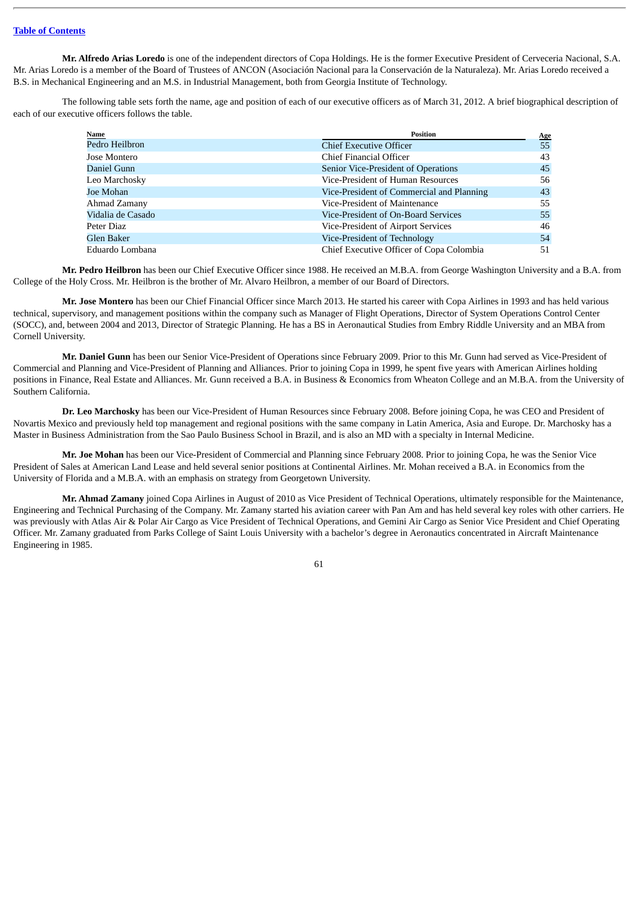**Mr. Alfredo Arias Loredo** is one of the independent directors of Copa Holdings. He is the former Executive President of Cerveceria Nacional, S.A. Mr. Arias Loredo is a member of the Board of Trustees of ANCON (Asociación Nacional para la Conservación de la Naturaleza). Mr. Arias Loredo received a B.S. in Mechanical Engineering and an M.S. in Industrial Management, both from Georgia Institute of Technology.

The following table sets forth the name, age and position of each of our executive officers as of March 31, 2012. A brief biographical description of each of our executive officers follows the table.

| Name              | <b>Position</b>                           | Age |
|-------------------|-------------------------------------------|-----|
| Pedro Heilbron    | <b>Chief Executive Officer</b>            | 55  |
| Jose Montero      | Chief Financial Officer                   | 43  |
| Daniel Gunn       | Senior Vice-President of Operations       | 45  |
| Leo Marchosky     | Vice-President of Human Resources         | 56  |
| Joe Mohan         | Vice-President of Commercial and Planning | 43  |
| Ahmad Zamany      | Vice-President of Maintenance             | 55  |
| Vidalia de Casado | Vice-President of On-Board Services       | 55  |
| Peter Diaz        | Vice-President of Airport Services        | 46  |
| Glen Baker        | Vice-President of Technology              | 54  |
| Eduardo Lombana   | Chief Executive Officer of Copa Colombia  | 51  |
|                   |                                           |     |

**Mr. Pedro Heilbron** has been our Chief Executive Officer since 1988. He received an M.B.A. from George Washington University and a B.A. from College of the Holy Cross. Mr. Heilbron is the brother of Mr. Alvaro Heilbron, a member of our Board of Directors.

**Mr. Jose Montero** has been our Chief Financial Officer since March 2013. He started his career with Copa Airlines in 1993 and has held various technical, supervisory, and management positions within the company such as Manager of Flight Operations, Director of System Operations Control Center (SOCC), and, between 2004 and 2013, Director of Strategic Planning. He has a BS in Aeronautical Studies from Embry Riddle University and an MBA from Cornell University.

**Mr. Daniel Gunn** has been our Senior Vice-President of Operations since February 2009. Prior to this Mr. Gunn had served as Vice-President of Commercial and Planning and Vice-President of Planning and Alliances. Prior to joining Copa in 1999, he spent five years with American Airlines holding positions in Finance, Real Estate and Alliances. Mr. Gunn received a B.A. in Business & Economics from Wheaton College and an M.B.A. from the University of Southern California.

**Dr. Leo Marchosky** has been our Vice-President of Human Resources since February 2008. Before joining Copa, he was CEO and President of Novartis Mexico and previously held top management and regional positions with the same company in Latin America, Asia and Europe. Dr. Marchosky has a Master in Business Administration from the Sao Paulo Business School in Brazil, and is also an MD with a specialty in Internal Medicine.

**Mr. Joe Mohan** has been our Vice-President of Commercial and Planning since February 2008. Prior to joining Copa, he was the Senior Vice President of Sales at American Land Lease and held several senior positions at Continental Airlines. Mr. Mohan received a B.A. in Economics from the University of Florida and a M.B.A. with an emphasis on strategy from Georgetown University.

**Mr. Ahmad Zamany** joined Copa Airlines in August of 2010 as Vice President of Technical Operations, ultimately responsible for the Maintenance, Engineering and Technical Purchasing of the Company. Mr. Zamany started his aviation career with Pan Am and has held several key roles with other carriers. He was previously with Atlas Air & Polar Air Cargo as Vice President of Technical Operations, and Gemini Air Cargo as Senior Vice President and Chief Operating Officer. Mr. Zamany graduated from Parks College of Saint Louis University with a bachelor's degree in Aeronautics concentrated in Aircraft Maintenance Engineering in 1985.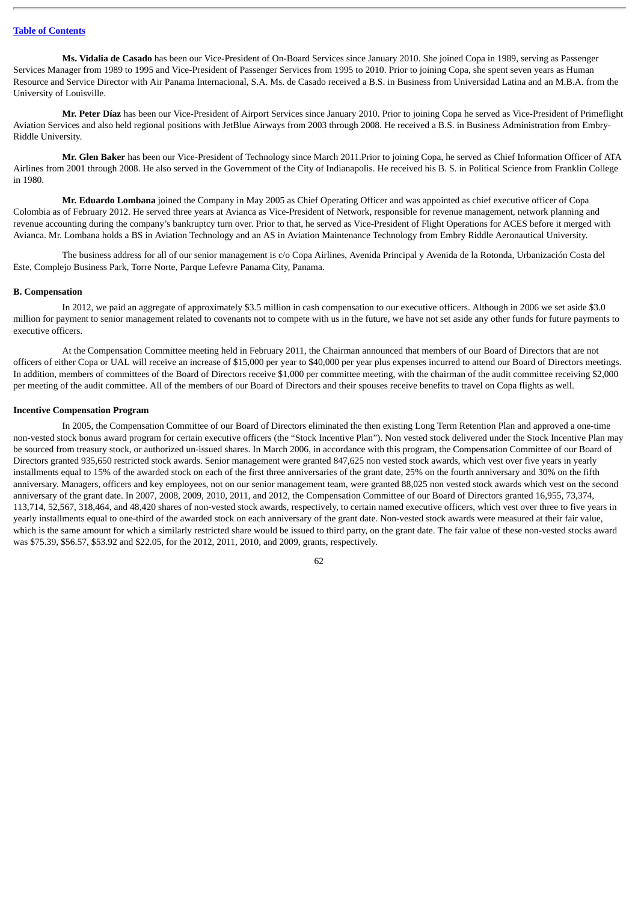**Ms. Vidalia de Casado** has been our Vice-President of On-Board Services since January 2010. She joined Copa in 1989, serving as Passenger Services Manager from 1989 to 1995 and Vice-President of Passenger Services from 1995 to 2010. Prior to joining Copa, she spent seven years as Human Resource and Service Director with Air Panama Internacional, S.A. Ms. de Casado received a B.S. in Business from Universidad Latina and an M.B.A. from the University of Louisville.

**Mr. Peter Díaz** has been our Vice-President of Airport Services since January 2010. Prior to joining Copa he served as Vice-President of Primeflight Aviation Services and also held regional positions with JetBlue Airways from 2003 through 2008. He received a B.S. in Business Administration from Embry-Riddle University.

**Mr. Glen Baker** has been our Vice-President of Technology since March 2011.Prior to joining Copa, he served as Chief Information Officer of ATA Airlines from 2001 through 2008. He also served in the Government of the City of Indianapolis. He received his B. S. in Political Science from Franklin College in 1980.

**Mr. Eduardo Lombana** joined the Company in May 2005 as Chief Operating Officer and was appointed as chief executive officer of Copa Colombia as of February 2012. He served three years at Avianca as Vice-President of Network, responsible for revenue management, network planning and revenue accounting during the company's bankruptcy turn over. Prior to that, he served as Vice-President of Flight Operations for ACES before it merged with Avianca. Mr. Lombana holds a BS in Aviation Technology and an AS in Aviation Maintenance Technology from Embry Riddle Aeronautical University.

The business address for all of our senior management is c/o Copa Airlines, Avenida Principal y Avenida de la Rotonda, Urbanización Costa del Este, Complejo Business Park, Torre Norte, Parque Lefevre Panama City, Panama.

### **B. Compensation**

In 2012, we paid an aggregate of approximately \$3.5 million in cash compensation to our executive officers. Although in 2006 we set aside \$3.0 million for payment to senior management related to covenants not to compete with us in the future, we have not set aside any other funds for future payments to executive officers.

At the Compensation Committee meeting held in February 2011, the Chairman announced that members of our Board of Directors that are not officers of either Copa or UAL will receive an increase of \$15,000 per year to \$40,000 per year plus expenses incurred to attend our Board of Directors meetings. In addition, members of committees of the Board of Directors receive \$1,000 per committee meeting, with the chairman of the audit committee receiving \$2,000 per meeting of the audit committee. All of the members of our Board of Directors and their spouses receive benefits to travel on Copa flights as well.

#### **Incentive Compensation Program**

In 2005, the Compensation Committee of our Board of Directors eliminated the then existing Long Term Retention Plan and approved a one-time non-vested stock bonus award program for certain executive officers (the "Stock Incentive Plan"). Non vested stock delivered under the Stock Incentive Plan may be sourced from treasury stock, or authorized un-issued shares. In March 2006, in accordance with this program, the Compensation Committee of our Board of Directors granted 935,650 restricted stock awards. Senior management were granted 847,625 non vested stock awards, which vest over five years in yearly installments equal to 15% of the awarded stock on each of the first three anniversaries of the grant date, 25% on the fourth anniversary and 30% on the fifth anniversary. Managers, officers and key employees, not on our senior management team, were granted 88,025 non vested stock awards which vest on the second anniversary of the grant date. In 2007, 2008, 2009, 2010, 2011, and 2012, the Compensation Committee of our Board of Directors granted 16,955, 73,374, 113,714, 52,567, 318,464, and 48,420 shares of non-vested stock awards, respectively, to certain named executive officers, which vest over three to five years in yearly installments equal to one-third of the awarded stock on each anniversary of the grant date. Non-vested stock awards were measured at their fair value, which is the same amount for which a similarly restricted share would be issued to third party, on the grant date. The fair value of these non-vested stocks award was \$75.39, \$56.57, \$53.92 and \$22.05, for the 2012, 2011, 2010, and 2009, grants, respectively.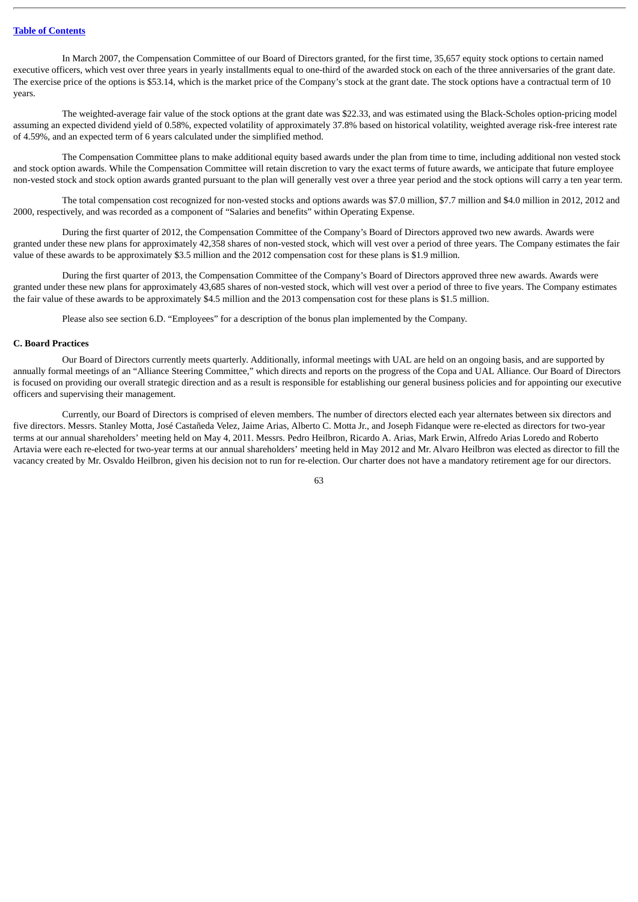In March 2007, the Compensation Committee of our Board of Directors granted, for the first time, 35,657 equity stock options to certain named executive officers, which vest over three years in yearly installments equal to one-third of the awarded stock on each of the three anniversaries of the grant date. The exercise price of the options is \$53.14, which is the market price of the Company's stock at the grant date. The stock options have a contractual term of 10 years.

The weighted-average fair value of the stock options at the grant date was \$22.33, and was estimated using the Black-Scholes option-pricing model assuming an expected dividend yield of 0.58%, expected volatility of approximately 37.8% based on historical volatility, weighted average risk-free interest rate of 4.59%, and an expected term of 6 years calculated under the simplified method.

The Compensation Committee plans to make additional equity based awards under the plan from time to time, including additional non vested stock and stock option awards. While the Compensation Committee will retain discretion to vary the exact terms of future awards, we anticipate that future employee non-vested stock and stock option awards granted pursuant to the plan will generally vest over a three year period and the stock options will carry a ten year term.

The total compensation cost recognized for non-vested stocks and options awards was \$7.0 million, \$7.7 million and \$4.0 million in 2012, 2012 and 2000, respectively, and was recorded as a component of "Salaries and benefits" within Operating Expense.

During the first quarter of 2012, the Compensation Committee of the Company's Board of Directors approved two new awards. Awards were granted under these new plans for approximately 42,358 shares of non-vested stock, which will vest over a period of three years. The Company estimates the fair value of these awards to be approximately \$3.5 million and the 2012 compensation cost for these plans is \$1.9 million.

During the first quarter of 2013, the Compensation Committee of the Company's Board of Directors approved three new awards. Awards were granted under these new plans for approximately 43,685 shares of non-vested stock, which will vest over a period of three to five years. The Company estimates the fair value of these awards to be approximately \$4.5 million and the 2013 compensation cost for these plans is \$1.5 million.

Please also see section 6.D. "Employees" for a description of the bonus plan implemented by the Company.

### **C. Board Practices**

Our Board of Directors currently meets quarterly. Additionally, informal meetings with UAL are held on an ongoing basis, and are supported by annually formal meetings of an "Alliance Steering Committee," which directs and reports on the progress of the Copa and UAL Alliance. Our Board of Directors is focused on providing our overall strategic direction and as a result is responsible for establishing our general business policies and for appointing our executive officers and supervising their management.

Currently, our Board of Directors is comprised of eleven members. The number of directors elected each year alternates between six directors and five directors. Messrs. Stanley Motta, José Castañeda Velez, Jaime Arias, Alberto C. Motta Jr., and Joseph Fidanque were re-elected as directors for two-year terms at our annual shareholders' meeting held on May 4, 2011. Messrs. Pedro Heilbron, Ricardo A. Arias, Mark Erwin, Alfredo Arias Loredo and Roberto Artavia were each re-elected for two-year terms at our annual shareholders' meeting held in May 2012 and Mr. Alvaro Heilbron was elected as director to fill the vacancy created by Mr. Osvaldo Heilbron, given his decision not to run for re-election. Our charter does not have a mandatory retirement age for our directors.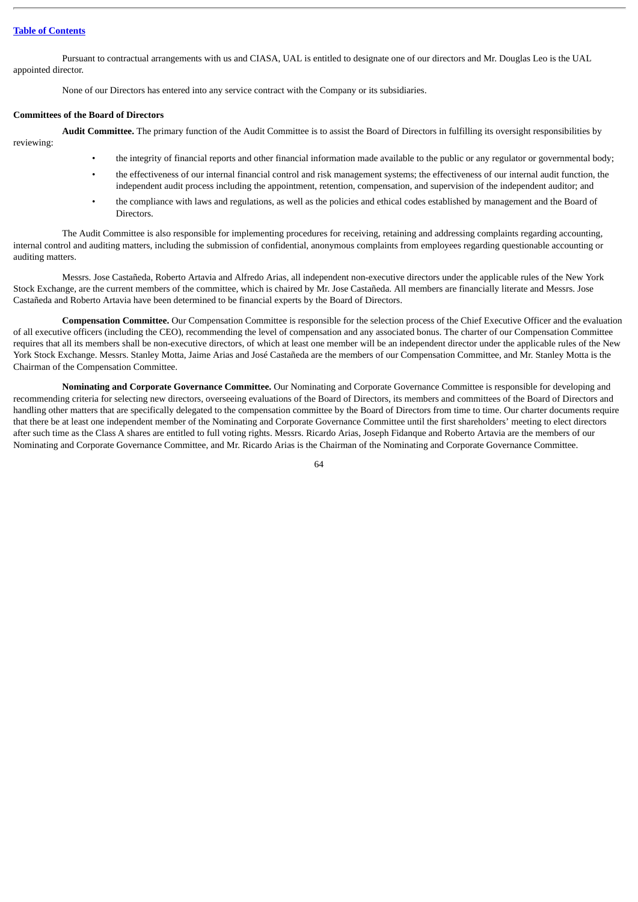Pursuant to contractual arrangements with us and CIASA, UAL is entitled to designate one of our directors and Mr. Douglas Leo is the UAL appointed director.

None of our Directors has entered into any service contract with the Company or its subsidiaries.

### **Committees of the Board of Directors**

**Audit Committee.** The primary function of the Audit Committee is to assist the Board of Directors in fulfilling its oversight responsibilities by reviewing:

- the integrity of financial reports and other financial information made available to the public or any regulator or governmental body;
- the effectiveness of our internal financial control and risk management systems; the effectiveness of our internal audit function, the independent audit process including the appointment, retention, compensation, and supervision of the independent auditor; and
- the compliance with laws and regulations, as well as the policies and ethical codes established by management and the Board of Directors.

The Audit Committee is also responsible for implementing procedures for receiving, retaining and addressing complaints regarding accounting, internal control and auditing matters, including the submission of confidential, anonymous complaints from employees regarding questionable accounting or auditing matters.

Messrs. Jose Castañeda, Roberto Artavia and Alfredo Arias, all independent non-executive directors under the applicable rules of the New York Stock Exchange, are the current members of the committee, which is chaired by Mr. Jose Castañeda. All members are financially literate and Messrs. Jose Castañeda and Roberto Artavia have been determined to be financial experts by the Board of Directors.

**Compensation Committee.** Our Compensation Committee is responsible for the selection process of the Chief Executive Officer and the evaluation of all executive officers (including the CEO), recommending the level of compensation and any associated bonus. The charter of our Compensation Committee requires that all its members shall be non-executive directors, of which at least one member will be an independent director under the applicable rules of the New York Stock Exchange. Messrs. Stanley Motta, Jaime Arias and José Castañeda are the members of our Compensation Committee, and Mr. Stanley Motta is the Chairman of the Compensation Committee.

**Nominating and Corporate Governance Committee.** Our Nominating and Corporate Governance Committee is responsible for developing and recommending criteria for selecting new directors, overseeing evaluations of the Board of Directors, its members and committees of the Board of Directors and handling other matters that are specifically delegated to the compensation committee by the Board of Directors from time to time. Our charter documents require that there be at least one independent member of the Nominating and Corporate Governance Committee until the first shareholders' meeting to elect directors after such time as the Class A shares are entitled to full voting rights. Messrs. Ricardo Arias, Joseph Fidanque and Roberto Artavia are the members of our Nominating and Corporate Governance Committee, and Mr. Ricardo Arias is the Chairman of the Nominating and Corporate Governance Committee.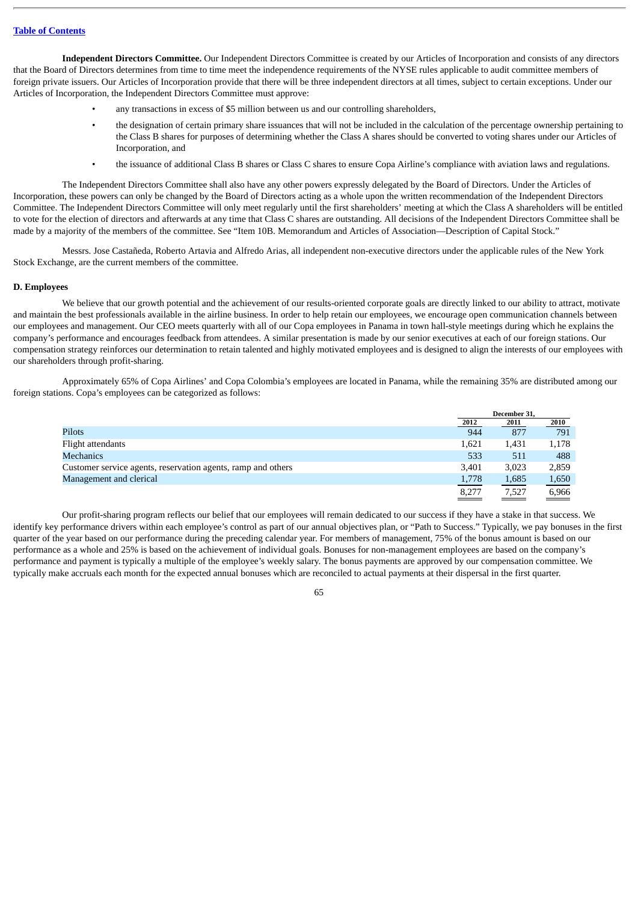**Independent Directors Committee.** Our Independent Directors Committee is created by our Articles of Incorporation and consists of any directors that the Board of Directors determines from time to time meet the independence requirements of the NYSE rules applicable to audit committee members of foreign private issuers. Our Articles of Incorporation provide that there will be three independent directors at all times, subject to certain exceptions. Under our Articles of Incorporation, the Independent Directors Committee must approve:

- any transactions in excess of \$5 million between us and our controlling shareholders,
- the designation of certain primary share issuances that will not be included in the calculation of the percentage ownership pertaining to the Class B shares for purposes of determining whether the Class A shares should be converted to voting shares under our Articles of Incorporation, and
- the issuance of additional Class B shares or Class C shares to ensure Copa Airline's compliance with aviation laws and regulations.

The Independent Directors Committee shall also have any other powers expressly delegated by the Board of Directors. Under the Articles of Incorporation, these powers can only be changed by the Board of Directors acting as a whole upon the written recommendation of the Independent Directors Committee. The Independent Directors Committee will only meet regularly until the first shareholders' meeting at which the Class A shareholders will be entitled to vote for the election of directors and afterwards at any time that Class C shares are outstanding. All decisions of the Independent Directors Committee shall be made by a majority of the members of the committee. See "Item 10B. Memorandum and Articles of Association—Description of Capital Stock."

Messrs. Jose Castañeda, Roberto Artavia and Alfredo Arias, all independent non-executive directors under the applicable rules of the New York Stock Exchange, are the current members of the committee.

#### **D. Employees**

We believe that our growth potential and the achievement of our results-oriented corporate goals are directly linked to our ability to attract, motivate and maintain the best professionals available in the airline business. In order to help retain our employees, we encourage open communication channels between our employees and management. Our CEO meets quarterly with all of our Copa employees in Panama in town hall-style meetings during which he explains the company's performance and encourages feedback from attendees. A similar presentation is made by our senior executives at each of our foreign stations. Our compensation strategy reinforces our determination to retain talented and highly motivated employees and is designed to align the interests of our employees with our shareholders through profit-sharing.

Approximately 65% of Copa Airlines' and Copa Colombia's employees are located in Panama, while the remaining 35% are distributed among our foreign stations. Copa's employees can be categorized as follows:

|                                                              |       | December 31. |       |  |
|--------------------------------------------------------------|-------|--------------|-------|--|
|                                                              | 2012  | 2011         | 2010  |  |
| Pilots                                                       | 944   | 877          | 791   |  |
| Flight attendants                                            | 1,621 | 1.431        | 1,178 |  |
| Mechanics                                                    | 533   | 511          | 488   |  |
| Customer service agents, reservation agents, ramp and others | 3,401 | 3,023        | 2,859 |  |
| Management and clerical                                      | 1,778 | 1,685        | 1,650 |  |
|                                                              | 8,277 | 7,527        | 6,966 |  |
|                                                              |       |              |       |  |

Our profit-sharing program reflects our belief that our employees will remain dedicated to our success if they have a stake in that success. We identify key performance drivers within each employee's control as part of our annual objectives plan, or "Path to Success." Typically, we pay bonuses in the first quarter of the year based on our performance during the preceding calendar year. For members of management, 75% of the bonus amount is based on our performance as a whole and 25% is based on the achievement of individual goals. Bonuses for non-management employees are based on the company's performance and payment is typically a multiple of the employee's weekly salary. The bonus payments are approved by our compensation committee. We typically make accruals each month for the expected annual bonuses which are reconciled to actual payments at their dispersal in the first quarter.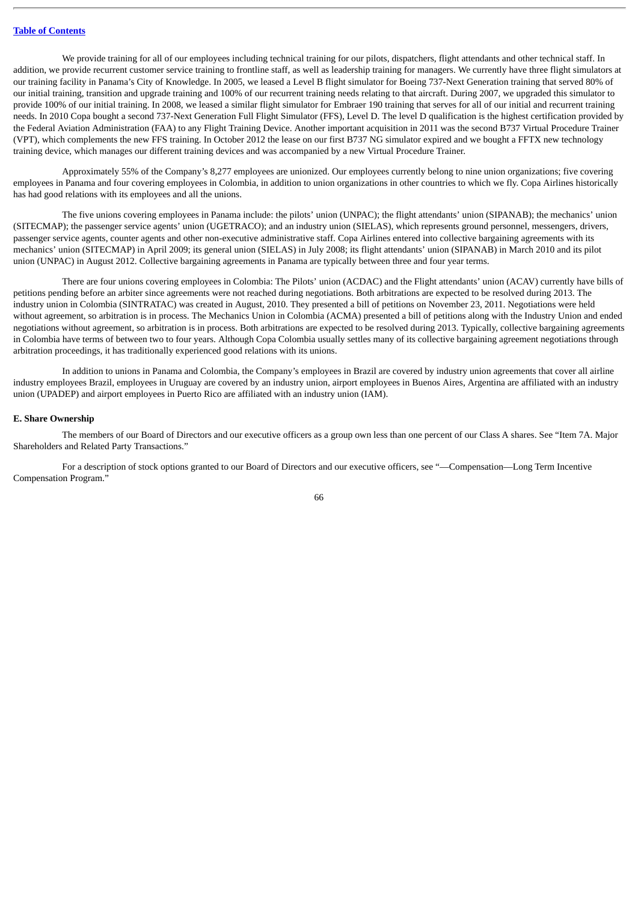We provide training for all of our employees including technical training for our pilots, dispatchers, flight attendants and other technical staff. In addition, we provide recurrent customer service training to frontline staff, as well as leadership training for managers. We currently have three flight simulators at our training facility in Panama's City of Knowledge. In 2005, we leased a Level B flight simulator for Boeing 737-Next Generation training that served 80% of our initial training, transition and upgrade training and 100% of our recurrent training needs relating to that aircraft. During 2007, we upgraded this simulator to provide 100% of our initial training. In 2008, we leased a similar flight simulator for Embraer 190 training that serves for all of our initial and recurrent training needs. In 2010 Copa bought a second 737-Next Generation Full Flight Simulator (FFS), Level D. The level D qualification is the highest certification provided by the Federal Aviation Administration (FAA) to any Flight Training Device. Another important acquisition in 2011 was the second B737 Virtual Procedure Trainer (VPT), which complements the new FFS training. In October 2012 the lease on our first B737 NG simulator expired and we bought a FFTX new technology training device, which manages our different training devices and was accompanied by a new Virtual Procedure Trainer.

Approximately 55% of the Company's 8,277 employees are unionized. Our employees currently belong to nine union organizations; five covering employees in Panama and four covering employees in Colombia, in addition to union organizations in other countries to which we fly. Copa Airlines historically has had good relations with its employees and all the unions.

The five unions covering employees in Panama include: the pilots' union (UNPAC); the flight attendants' union (SIPANAB); the mechanics' union (SITECMAP); the passenger service agents' union (UGETRACO); and an industry union (SIELAS), which represents ground personnel, messengers, drivers, passenger service agents, counter agents and other non-executive administrative staff. Copa Airlines entered into collective bargaining agreements with its mechanics' union (SITECMAP) in April 2009; its general union (SIELAS) in July 2008; its flight attendants' union (SIPANAB) in March 2010 and its pilot union (UNPAC) in August 2012. Collective bargaining agreements in Panama are typically between three and four year terms.

There are four unions covering employees in Colombia: The Pilots' union (ACDAC) and the Flight attendants' union (ACAV) currently have bills of petitions pending before an arbiter since agreements were not reached during negotiations. Both arbitrations are expected to be resolved during 2013. The industry union in Colombia (SINTRATAC) was created in August, 2010. They presented a bill of petitions on November 23, 2011. Negotiations were held without agreement, so arbitration is in process. The Mechanics Union in Colombia (ACMA) presented a bill of petitions along with the Industry Union and ended negotiations without agreement, so arbitration is in process. Both arbitrations are expected to be resolved during 2013. Typically, collective bargaining agreements in Colombia have terms of between two to four years. Although Copa Colombia usually settles many of its collective bargaining agreement negotiations through arbitration proceedings, it has traditionally experienced good relations with its unions.

In addition to unions in Panama and Colombia, the Company's employees in Brazil are covered by industry union agreements that cover all airline industry employees Brazil, employees in Uruguay are covered by an industry union, airport employees in Buenos Aires, Argentina are affiliated with an industry union (UPADEP) and airport employees in Puerto Rico are affiliated with an industry union (IAM).

### **E. Share Ownership**

The members of our Board of Directors and our executive officers as a group own less than one percent of our Class A shares. See "Item 7A. Major Shareholders and Related Party Transactions."

For a description of stock options granted to our Board of Directors and our executive officers, see "—Compensation—Long Term Incentive Compensation Program."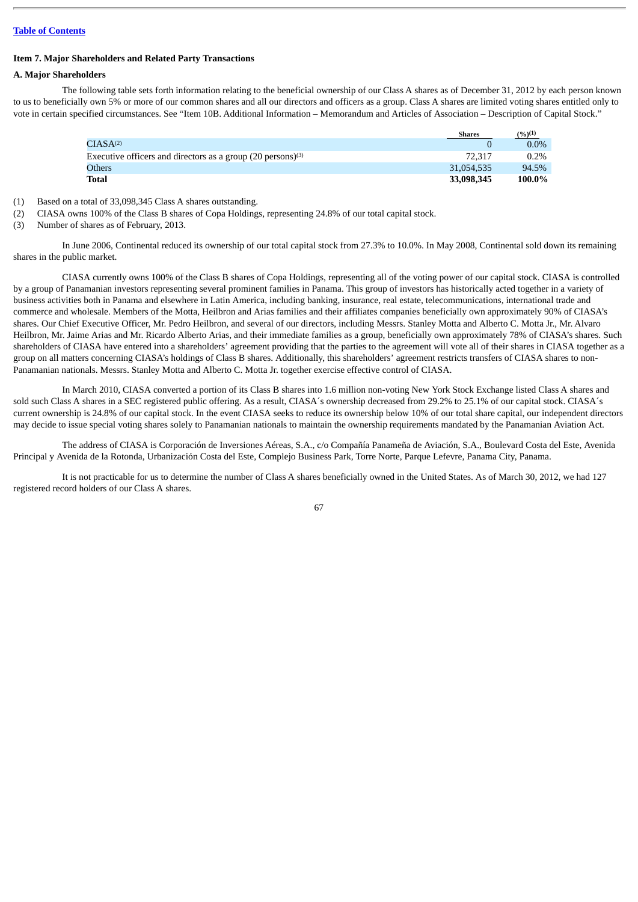# **Item 7. Major Shareholders and Related Party Transactions**

# **A. Major Shareholders**

The following table sets forth information relating to the beneficial ownership of our Class A shares as of December 31, 2012 by each person known to us to beneficially own 5% or more of our common shares and all our directors and officers as a group. Class A shares are limited voting shares entitled only to vote in certain specified circumstances. See "Item 10B. Additional Information – Memorandum and Articles of Association – Description of Capital Stock."

|                                                                          | <b>Shares</b> | $(%)^{(1)}$ |
|--------------------------------------------------------------------------|---------------|-------------|
| CIASA <sup>(2)</sup>                                                     |               | $0.0\%$     |
| Executive officers and directors as a group $(20 \text{ persons})^{(3)}$ | 72.317        | $0.2\%$     |
| Others                                                                   | 31,054,535    | 94.5%       |
| Total                                                                    | 33,098,345    | 100.0%      |

- (1) Based on a total of 33,098,345 Class A shares outstanding.
- (2) CIASA owns 100% of the Class B shares of Copa Holdings, representing 24.8% of our total capital stock.
- (3) Number of shares as of February, 2013.

In June 2006, Continental reduced its ownership of our total capital stock from 27.3% to 10.0%. In May 2008, Continental sold down its remaining shares in the public market.

CIASA currently owns 100% of the Class B shares of Copa Holdings, representing all of the voting power of our capital stock. CIASA is controlled by a group of Panamanian investors representing several prominent families in Panama. This group of investors has historically acted together in a variety of business activities both in Panama and elsewhere in Latin America, including banking, insurance, real estate, telecommunications, international trade and commerce and wholesale. Members of the Motta, Heilbron and Arias families and their affiliates companies beneficially own approximately 90% of CIASA's shares. Our Chief Executive Officer, Mr. Pedro Heilbron, and several of our directors, including Messrs. Stanley Motta and Alberto C. Motta Jr., Mr. Alvaro Heilbron, Mr. Jaime Arias and Mr. Ricardo Alberto Arias, and their immediate families as a group, beneficially own approximately 78% of CIASA's shares. Such shareholders of CIASA have entered into a shareholders' agreement providing that the parties to the agreement will vote all of their shares in CIASA together as a group on all matters concerning CIASA's holdings of Class B shares. Additionally, this shareholders' agreement restricts transfers of CIASA shares to non-Panamanian nationals. Messrs. Stanley Motta and Alberto C. Motta Jr. together exercise effective control of CIASA.

In March 2010, CIASA converted a portion of its Class B shares into 1.6 million non-voting New York Stock Exchange listed Class A shares and sold such Class A shares in a SEC registered public offering. As a result, CIASA´s ownership decreased from 29.2% to 25.1% of our capital stock. CIASA´s current ownership is 24.8% of our capital stock. In the event CIASA seeks to reduce its ownership below 10% of our total share capital, our independent directors may decide to issue special voting shares solely to Panamanian nationals to maintain the ownership requirements mandated by the Panamanian Aviation Act.

The address of CIASA is Corporación de Inversiones Aéreas, S.A., c/o Compañía Panameña de Aviación, S.A., Boulevard Costa del Este, Avenida Principal y Avenida de la Rotonda, Urbanización Costa del Este, Complejo Business Park, Torre Norte, Parque Lefevre, Panama City, Panama.

It is not practicable for us to determine the number of Class A shares beneficially owned in the United States. As of March 30, 2012, we had 127 registered record holders of our Class A shares.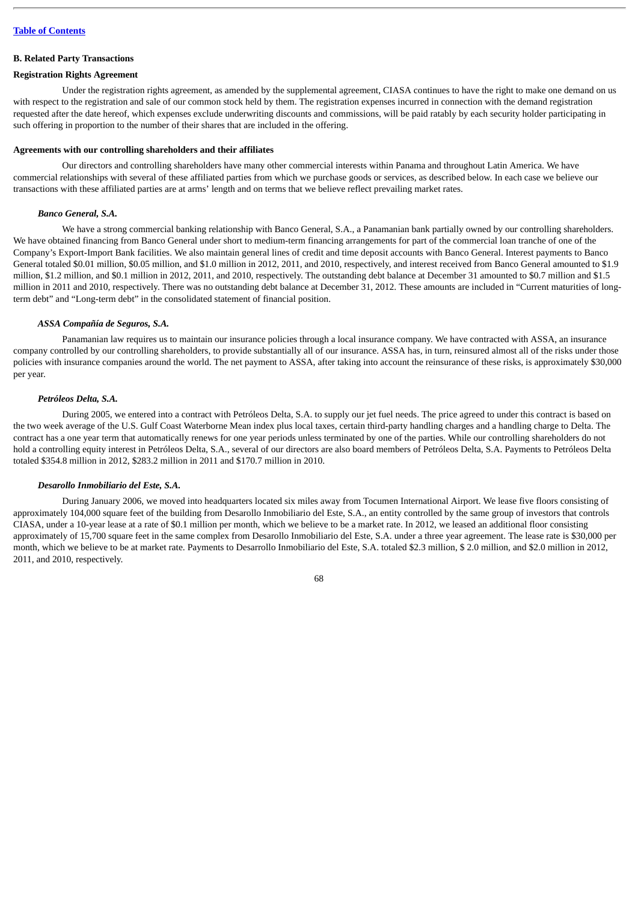# **B. Related Party Transactions**

# **Registration Rights Agreement**

Under the registration rights agreement, as amended by the supplemental agreement, CIASA continues to have the right to make one demand on us with respect to the registration and sale of our common stock held by them. The registration expenses incurred in connection with the demand registration requested after the date hereof, which expenses exclude underwriting discounts and commissions, will be paid ratably by each security holder participating in such offering in proportion to the number of their shares that are included in the offering.

#### **Agreements with our controlling shareholders and their affiliates**

Our directors and controlling shareholders have many other commercial interests within Panama and throughout Latin America. We have commercial relationships with several of these affiliated parties from which we purchase goods or services, as described below. In each case we believe our transactions with these affiliated parties are at arms' length and on terms that we believe reflect prevailing market rates.

#### *Banco General, S.A.*

We have a strong commercial banking relationship with Banco General, S.A., a Panamanian bank partially owned by our controlling shareholders. We have obtained financing from Banco General under short to medium-term financing arrangements for part of the commercial loan tranche of one of the Company's Export-Import Bank facilities. We also maintain general lines of credit and time deposit accounts with Banco General. Interest payments to Banco General totaled \$0.01 million, \$0.05 million, and \$1.0 million in 2012, 2011, and 2010, respectively, and interest received from Banco General amounted to \$1.9 million, \$1.2 million, and \$0.1 million in 2012, 2011, and 2010, respectively. The outstanding debt balance at December 31 amounted to \$0.7 million and \$1.5 million in 2011 and 2010, respectively. There was no outstanding debt balance at December 31, 2012. These amounts are included in "Current maturities of longterm debt" and "Long-term debt" in the consolidated statement of financial position.

#### *ASSA Compañía de Seguros, S.A.*

Panamanian law requires us to maintain our insurance policies through a local insurance company. We have contracted with ASSA, an insurance company controlled by our controlling shareholders, to provide substantially all of our insurance. ASSA has, in turn, reinsured almost all of the risks under those policies with insurance companies around the world. The net payment to ASSA, after taking into account the reinsurance of these risks, is approximately \$30,000 per year.

#### *Petróleos Delta, S.A.*

During 2005, we entered into a contract with Petróleos Delta, S.A. to supply our jet fuel needs. The price agreed to under this contract is based on the two week average of the U.S. Gulf Coast Waterborne Mean index plus local taxes, certain third-party handling charges and a handling charge to Delta. The contract has a one year term that automatically renews for one year periods unless terminated by one of the parties. While our controlling shareholders do not hold a controlling equity interest in Petróleos Delta, S.A., several of our directors are also board members of Petróleos Delta, S.A. Payments to Petróleos Delta totaled \$354.8 million in 2012, \$283.2 million in 2011 and \$170.7 million in 2010.

#### *Desarollo Inmobiliario del Este, S.A.*

During January 2006, we moved into headquarters located six miles away from Tocumen International Airport. We lease five floors consisting of approximately 104,000 square feet of the building from Desarollo Inmobiliario del Este, S.A., an entity controlled by the same group of investors that controls CIASA, under a 10-year lease at a rate of \$0.1 million per month, which we believe to be a market rate. In 2012, we leased an additional floor consisting approximately of 15,700 square feet in the same complex from Desarollo Inmobiliario del Este, S.A. under a three year agreement. The lease rate is \$30,000 per month, which we believe to be at market rate. Payments to Desarrollo Inmobiliario del Este, S.A. totaled \$2.3 million, \$ 2.0 million, and \$2.0 million in 2012, 2011, and 2010, respectively.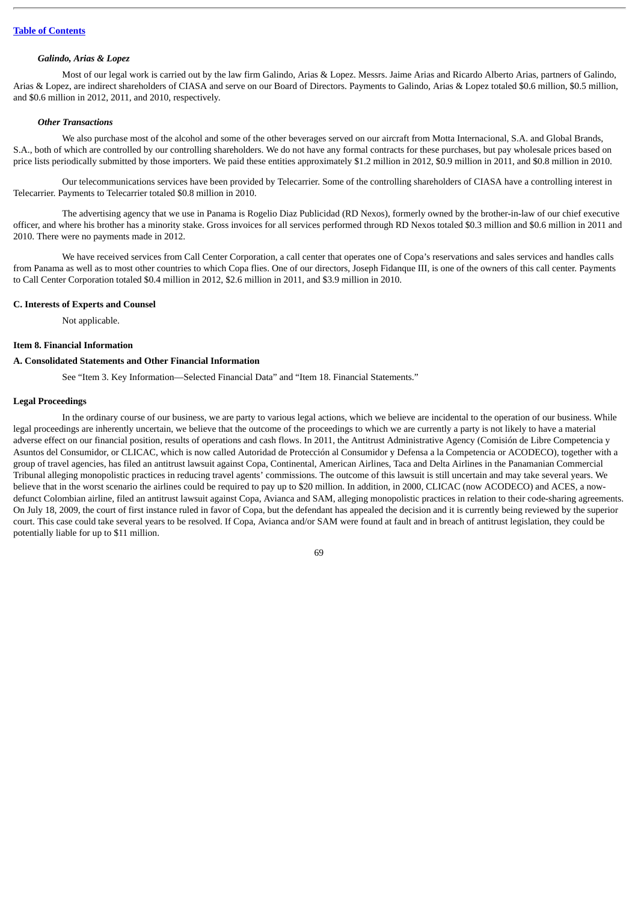#### *Galindo, Arias & Lopez*

Most of our legal work is carried out by the law firm Galindo, Arias & Lopez. Messrs. Jaime Arias and Ricardo Alberto Arias, partners of Galindo, Arias & Lopez, are indirect shareholders of CIASA and serve on our Board of Directors. Payments to Galindo, Arias & Lopez totaled \$0.6 million, \$0.5 million, and \$0.6 million in 2012, 2011, and 2010, respectively.

#### *Other Transactions*

We also purchase most of the alcohol and some of the other beverages served on our aircraft from Motta Internacional, S.A. and Global Brands, S.A., both of which are controlled by our controlling shareholders. We do not have any formal contracts for these purchases, but pay wholesale prices based on price lists periodically submitted by those importers. We paid these entities approximately \$1.2 million in 2012, \$0.9 million in 2011, and \$0.8 million in 2010.

Our telecommunications services have been provided by Telecarrier. Some of the controlling shareholders of CIASA have a controlling interest in Telecarrier. Payments to Telecarrier totaled \$0.8 million in 2010.

The advertising agency that we use in Panama is Rogelio Diaz Publicidad (RD Nexos), formerly owned by the brother-in-law of our chief executive officer, and where his brother has a minority stake. Gross invoices for all services performed through RD Nexos totaled \$0.3 million and \$0.6 million in 2011 and 2010. There were no payments made in 2012.

We have received services from Call Center Corporation, a call center that operates one of Copa's reservations and sales services and handles calls from Panama as well as to most other countries to which Copa flies. One of our directors, Joseph Fidanque III, is one of the owners of this call center. Payments to Call Center Corporation totaled \$0.4 million in 2012, \$2.6 million in 2011, and \$3.9 million in 2010.

#### **C. Interests of Experts and Counsel**

Not applicable.

# **Item 8. Financial Information**

# **A. Consolidated Statements and Other Financial Information**

See "Item 3. Key Information—Selected Financial Data" and "Item 18. Financial Statements."

#### **Legal Proceedings**

In the ordinary course of our business, we are party to various legal actions, which we believe are incidental to the operation of our business. While legal proceedings are inherently uncertain, we believe that the outcome of the proceedings to which we are currently a party is not likely to have a material adverse effect on our financial position, results of operations and cash flows. In 2011, the Antitrust Administrative Agency (Comisión de Libre Competencia y Asuntos del Consumidor, or CLICAC, which is now called Autoridad de Protección al Consumidor y Defensa a la Competencia or ACODECO), together with a group of travel agencies, has filed an antitrust lawsuit against Copa, Continental, American Airlines, Taca and Delta Airlines in the Panamanian Commercial Tribunal alleging monopolistic practices in reducing travel agents' commissions. The outcome of this lawsuit is still uncertain and may take several years. We believe that in the worst scenario the airlines could be required to pay up to \$20 million. In addition, in 2000, CLICAC (now ACODECO) and ACES, a nowdefunct Colombian airline, filed an antitrust lawsuit against Copa, Avianca and SAM, alleging monopolistic practices in relation to their code-sharing agreements. On July 18, 2009, the court of first instance ruled in favor of Copa, but the defendant has appealed the decision and it is currently being reviewed by the superior court. This case could take several years to be resolved. If Copa, Avianca and/or SAM were found at fault and in breach of antitrust legislation, they could be potentially liable for up to \$11 million.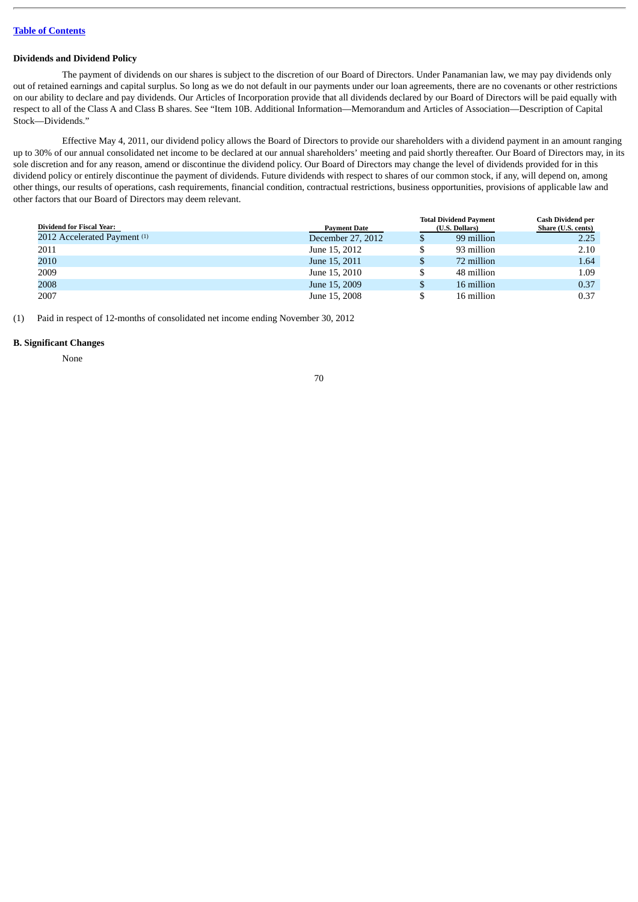# **Dividends and Dividend Policy**

The payment of dividends on our shares is subject to the discretion of our Board of Directors. Under Panamanian law, we may pay dividends only out of retained earnings and capital surplus. So long as we do not default in our payments under our loan agreements, there are no covenants or other restrictions on our ability to declare and pay dividends. Our Articles of Incorporation provide that all dividends declared by our Board of Directors will be paid equally with respect to all of the Class A and Class B shares. See "Item 10B. Additional Information—Memorandum and Articles of Association—Description of Capital Stock—Dividends."

Effective May 4, 2011, our dividend policy allows the Board of Directors to provide our shareholders with a dividend payment in an amount ranging up to 30% of our annual consolidated net income to be declared at our annual shareholders' meeting and paid shortly thereafter. Our Board of Directors may, in its sole discretion and for any reason, amend or discontinue the dividend policy. Our Board of Directors may change the level of dividends provided for in this dividend policy or entirely discontinue the payment of dividends. Future dividends with respect to shares of our common stock, if any, will depend on, among other things, our results of operations, cash requirements, financial condition, contractual restrictions, business opportunities, provisions of applicable law and other factors that our Board of Directors may deem relevant.

| <b>Dividend for Fiscal Year:</b> | <b>Payment Date</b> |    | <b>Total Dividend Payment</b><br>(U.S. Dollars) | <b>Cash Dividend per</b><br>Share (U.S. cents) |
|----------------------------------|---------------------|----|-------------------------------------------------|------------------------------------------------|
| 2012 Accelerated Payment (1)     | December 27, 2012   | ۰υ | 99 million                                      | 2.25                                           |
| 2011                             | June 15, 2012       | J  | 93 million                                      | 2.10                                           |
| 2010                             | June 15, 2011       | \$ | 72 million                                      | 1.64                                           |
| 2009                             | June 15, 2010       | Φ  | 48 million                                      | 1.09                                           |
| 2008                             | June 15, 2009       | \$ | 16 million                                      | 0.37                                           |
| 2007                             | June 15, 2008       |    | 16 million                                      | 0.37                                           |

(1) Paid in respect of 12-months of consolidated net income ending November 30, 2012

# **B. Significant Changes**

None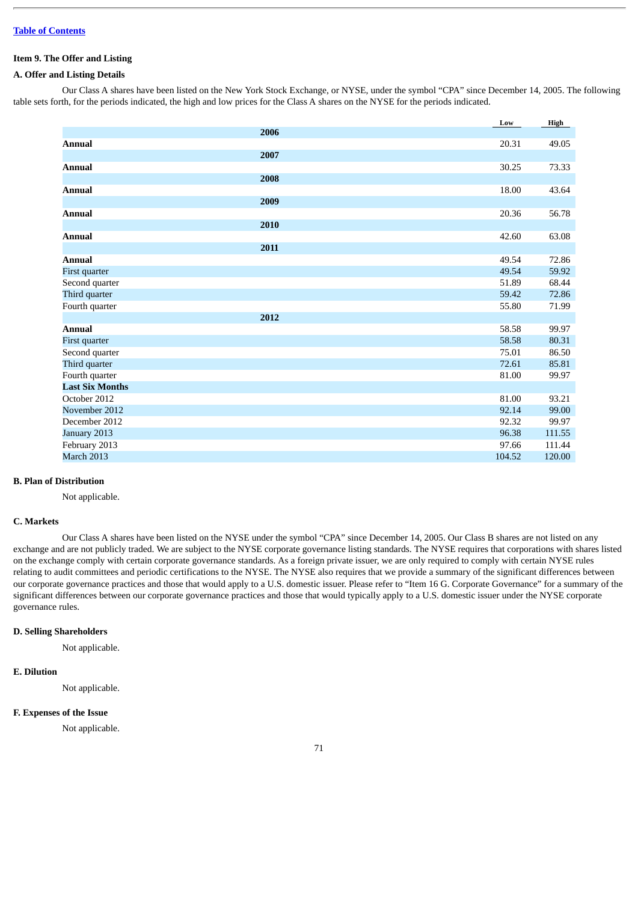# **Item 9. The Offer and Listing**

# **A. Offer and Listing Details**

Our Class A shares have been listed on the New York Stock Exchange, or NYSE, under the symbol "CPA" since December 14, 2005. The following table sets forth, for the periods indicated, the high and low prices for the Class A shares on the NYSE for the periods indicated.

|                        | Low    | High   |
|------------------------|--------|--------|
| 2006                   |        |        |
| <b>Annual</b>          | 20.31  | 49.05  |
| 2007                   |        |        |
| <b>Annual</b>          | 30.25  | 73.33  |
| 2008                   |        |        |
| <b>Annual</b>          | 18.00  | 43.64  |
| 2009                   |        |        |
| <b>Annual</b>          | 20.36  | 56.78  |
| 2010                   |        |        |
| <b>Annual</b>          | 42.60  | 63.08  |
| 2011                   |        |        |
| <b>Annual</b>          | 49.54  | 72.86  |
| First quarter          | 49.54  | 59.92  |
| Second quarter         | 51.89  | 68.44  |
| Third quarter          | 59.42  | 72.86  |
| Fourth quarter         | 55.80  | 71.99  |
| 2012                   |        |        |
| <b>Annual</b>          | 58.58  | 99.97  |
| First quarter          | 58.58  | 80.31  |
| Second quarter         | 75.01  | 86.50  |
| Third quarter          | 72.61  | 85.81  |
| Fourth quarter         | 81.00  | 99.97  |
| <b>Last Six Months</b> |        |        |
| October 2012           | 81.00  | 93.21  |
| November 2012          | 92.14  | 99.00  |
| December 2012          | 92.32  | 99.97  |
| January 2013           | 96.38  | 111.55 |
| February 2013          | 97.66  | 111.44 |
| March 2013             | 104.52 | 120.00 |

# **B. Plan of Distribution**

Not applicable.

# **C. Markets**

Our Class A shares have been listed on the NYSE under the symbol "CPA" since December 14, 2005. Our Class B shares are not listed on any exchange and are not publicly traded. We are subject to the NYSE corporate governance listing standards. The NYSE requires that corporations with shares listed on the exchange comply with certain corporate governance standards. As a foreign private issuer, we are only required to comply with certain NYSE rules relating to audit committees and periodic certifications to the NYSE. The NYSE also requires that we provide a summary of the significant differences between our corporate governance practices and those that would apply to a U.S. domestic issuer. Please refer to "Item 16 G. Corporate Governance" for a summary of the significant differences between our corporate governance practices and those that would typically apply to a U.S. domestic issuer under the NYSE corporate governance rules.

# **D. Selling Shareholders**

Not applicable.

## **E. Dilution**

Not applicable.

# **F. Expenses of the Issue**

Not applicable.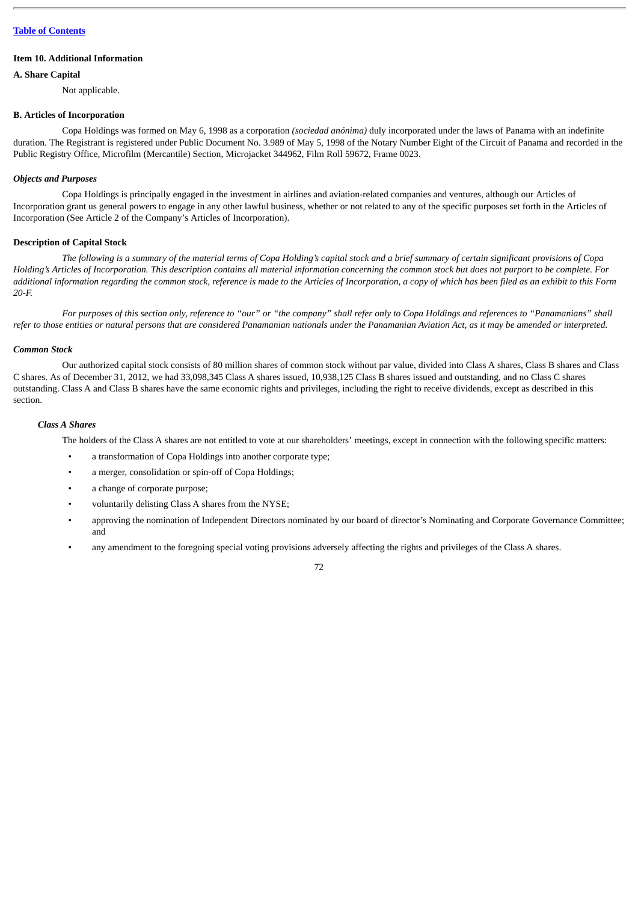# **Item 10. Additional Information**

# **A. Share Capital**

Not applicable.

# **B. Articles of Incorporation**

Copa Holdings was formed on May 6, 1998 as a corporation *(sociedad anónima)* duly incorporated under the laws of Panama with an indefinite duration. The Registrant is registered under Public Document No. 3.989 of May 5, 1998 of the Notary Number Eight of the Circuit of Panama and recorded in the Public Registry Office, Microfilm (Mercantile) Section, Microjacket 344962, Film Roll 59672, Frame 0023.

# *Objects and Purposes*

Copa Holdings is principally engaged in the investment in airlines and aviation-related companies and ventures, although our Articles of Incorporation grant us general powers to engage in any other lawful business, whether or not related to any of the specific purposes set forth in the Articles of Incorporation (See Article 2 of the Company's Articles of Incorporation).

#### **Description of Capital Stock**

*The following is a summary of the material terms of Copa Holding's capital stock and a brief summary of certain significant provisions of Copa Holding's Articles of Incorporation. This description contains all material information concerning the common stock but does not purport to be complete. For additional information regarding the common stock, reference is made to the Articles of Incorporation, a copy of which has been filed as an exhibit to this Form 20-F.*

*For purposes of this section only, reference to "our" or "the company" shall refer only to Copa Holdings and references to "Panamanians" shall refer to those entities or natural persons that are considered Panamanian nationals under the Panamanian Aviation Act, as it may be amended or interpreted.*

#### *Common Stock*

Our authorized capital stock consists of 80 million shares of common stock without par value, divided into Class A shares, Class B shares and Class C shares. As of December 31, 2012, we had 33,098,345 Class A shares issued, 10,938,125 Class B shares issued and outstanding, and no Class C shares outstanding. Class A and Class B shares have the same economic rights and privileges, including the right to receive dividends, except as described in this section.

#### *Class A Shares*

The holders of the Class A shares are not entitled to vote at our shareholders' meetings, except in connection with the following specific matters:

- a transformation of Copa Holdings into another corporate type;
- a merger, consolidation or spin-off of Copa Holdings;
- a change of corporate purpose;
- voluntarily delisting Class A shares from the NYSE;
- approving the nomination of Independent Directors nominated by our board of director's Nominating and Corporate Governance Committee; and
- any amendment to the foregoing special voting provisions adversely affecting the rights and privileges of the Class A shares.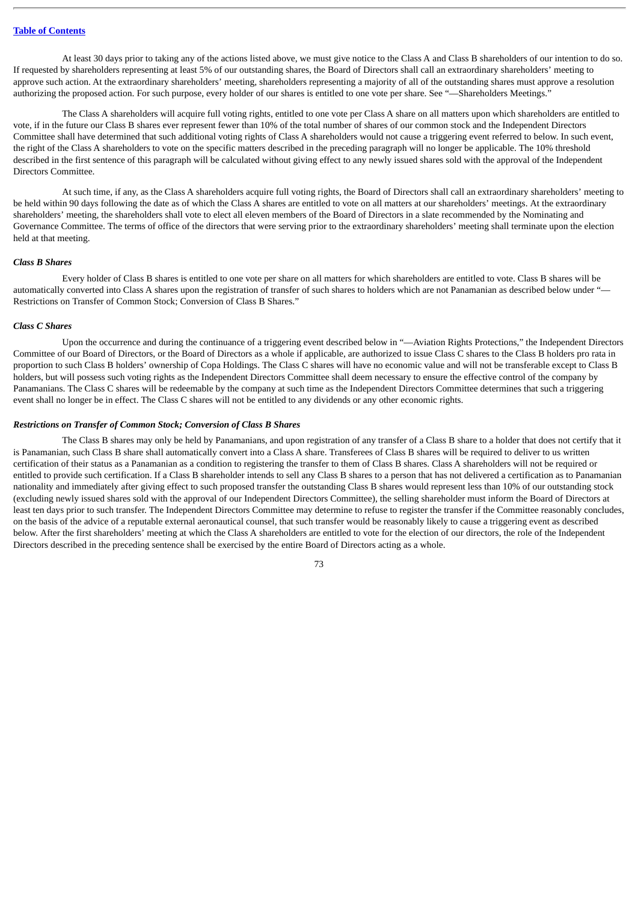At least 30 days prior to taking any of the actions listed above, we must give notice to the Class A and Class B shareholders of our intention to do so. If requested by shareholders representing at least 5% of our outstanding shares, the Board of Directors shall call an extraordinary shareholders' meeting to approve such action. At the extraordinary shareholders' meeting, shareholders representing a majority of all of the outstanding shares must approve a resolution authorizing the proposed action. For such purpose, every holder of our shares is entitled to one vote per share. See "—Shareholders Meetings."

The Class A shareholders will acquire full voting rights, entitled to one vote per Class A share on all matters upon which shareholders are entitled to vote, if in the future our Class B shares ever represent fewer than 10% of the total number of shares of our common stock and the Independent Directors Committee shall have determined that such additional voting rights of Class A shareholders would not cause a triggering event referred to below. In such event, the right of the Class A shareholders to vote on the specific matters described in the preceding paragraph will no longer be applicable. The 10% threshold described in the first sentence of this paragraph will be calculated without giving effect to any newly issued shares sold with the approval of the Independent Directors Committee.

At such time, if any, as the Class A shareholders acquire full voting rights, the Board of Directors shall call an extraordinary shareholders' meeting to be held within 90 days following the date as of which the Class A shares are entitled to vote on all matters at our shareholders' meetings. At the extraordinary shareholders' meeting, the shareholders shall vote to elect all eleven members of the Board of Directors in a slate recommended by the Nominating and Governance Committee. The terms of office of the directors that were serving prior to the extraordinary shareholders' meeting shall terminate upon the election held at that meeting.

# *Class B Shares*

Every holder of Class B shares is entitled to one vote per share on all matters for which shareholders are entitled to vote. Class B shares will be automatically converted into Class A shares upon the registration of transfer of such shares to holders which are not Panamanian as described below under "-Restrictions on Transfer of Common Stock; Conversion of Class B Shares."

# *Class C Shares*

Upon the occurrence and during the continuance of a triggering event described below in "—Aviation Rights Protections," the Independent Directors Committee of our Board of Directors, or the Board of Directors as a whole if applicable, are authorized to issue Class C shares to the Class B holders pro rata in proportion to such Class B holders' ownership of Copa Holdings. The Class C shares will have no economic value and will not be transferable except to Class B holders, but will possess such voting rights as the Independent Directors Committee shall deem necessary to ensure the effective control of the company by Panamanians. The Class C shares will be redeemable by the company at such time as the Independent Directors Committee determines that such a triggering event shall no longer be in effect. The Class C shares will not be entitled to any dividends or any other economic rights.

#### *Restrictions on Transfer of Common Stock; Conversion of Class B Shares*

The Class B shares may only be held by Panamanians, and upon registration of any transfer of a Class B share to a holder that does not certify that it is Panamanian, such Class B share shall automatically convert into a Class A share. Transferees of Class B shares will be required to deliver to us written certification of their status as a Panamanian as a condition to registering the transfer to them of Class B shares. Class A shareholders will not be required or entitled to provide such certification. If a Class B shareholder intends to sell any Class B shares to a person that has not delivered a certification as to Panamanian nationality and immediately after giving effect to such proposed transfer the outstanding Class B shares would represent less than 10% of our outstanding stock (excluding newly issued shares sold with the approval of our Independent Directors Committee), the selling shareholder must inform the Board of Directors at least ten days prior to such transfer. The Independent Directors Committee may determine to refuse to register the transfer if the Committee reasonably concludes, on the basis of the advice of a reputable external aeronautical counsel, that such transfer would be reasonably likely to cause a triggering event as described below. After the first shareholders' meeting at which the Class A shareholders are entitled to vote for the election of our directors, the role of the Independent Directors described in the preceding sentence shall be exercised by the entire Board of Directors acting as a whole.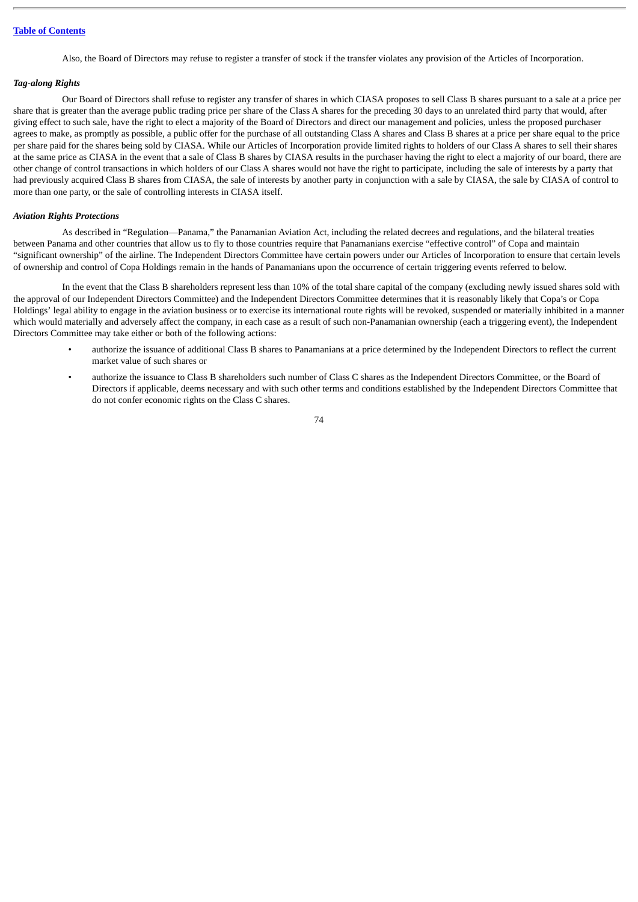Also, the Board of Directors may refuse to register a transfer of stock if the transfer violates any provision of the Articles of Incorporation.

#### *Tag-along Rights*

Our Board of Directors shall refuse to register any transfer of shares in which CIASA proposes to sell Class B shares pursuant to a sale at a price per share that is greater than the average public trading price per share of the Class A shares for the preceding 30 days to an unrelated third party that would, after giving effect to such sale, have the right to elect a majority of the Board of Directors and direct our management and policies, unless the proposed purchaser agrees to make, as promptly as possible, a public offer for the purchase of all outstanding Class A shares and Class B shares at a price per share equal to the price per share paid for the shares being sold by CIASA. While our Articles of Incorporation provide limited rights to holders of our Class A shares to sell their shares at the same price as CIASA in the event that a sale of Class B shares by CIASA results in the purchaser having the right to elect a majority of our board, there are other change of control transactions in which holders of our Class A shares would not have the right to participate, including the sale of interests by a party that had previously acquired Class B shares from CIASA, the sale of interests by another party in conjunction with a sale by CIASA, the sale by CIASA of control to more than one party, or the sale of controlling interests in CIASA itself.

# *Aviation Rights Protections*

As described in "Regulation—Panama," the Panamanian Aviation Act, including the related decrees and regulations, and the bilateral treaties between Panama and other countries that allow us to fly to those countries require that Panamanians exercise "effective control" of Copa and maintain "significant ownership" of the airline. The Independent Directors Committee have certain powers under our Articles of Incorporation to ensure that certain levels of ownership and control of Copa Holdings remain in the hands of Panamanians upon the occurrence of certain triggering events referred to below.

In the event that the Class B shareholders represent less than 10% of the total share capital of the company (excluding newly issued shares sold with the approval of our Independent Directors Committee) and the Independent Directors Committee determines that it is reasonably likely that Copa's or Copa Holdings' legal ability to engage in the aviation business or to exercise its international route rights will be revoked, suspended or materially inhibited in a manner which would materially and adversely affect the company, in each case as a result of such non-Panamanian ownership (each a triggering event), the Independent Directors Committee may take either or both of the following actions:

- authorize the issuance of additional Class B shares to Panamanians at a price determined by the Independent Directors to reflect the current market value of such shares or
- authorize the issuance to Class B shareholders such number of Class C shares as the Independent Directors Committee, or the Board of Directors if applicable, deems necessary and with such other terms and conditions established by the Independent Directors Committee that do not confer economic rights on the Class C shares.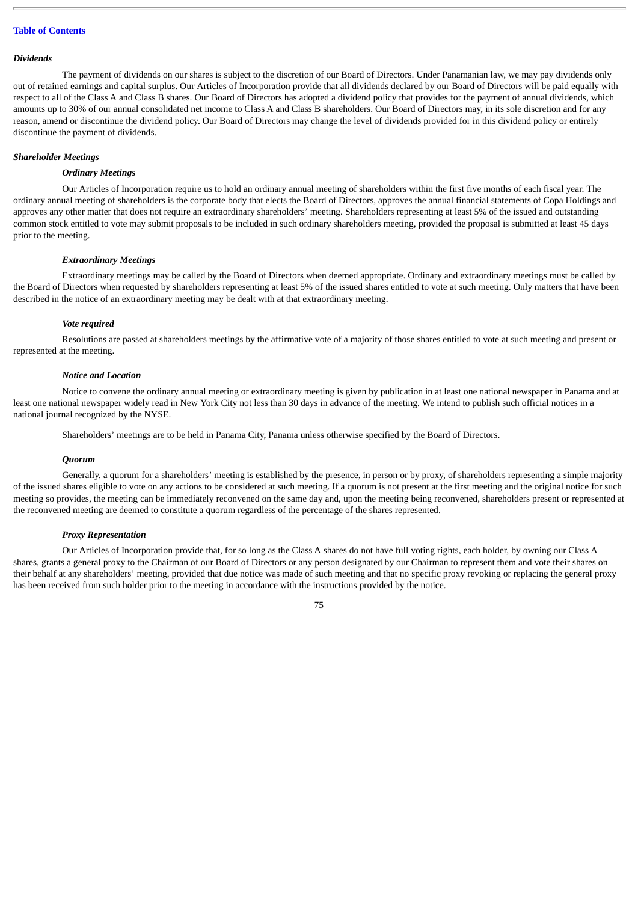# *Dividends*

The payment of dividends on our shares is subject to the discretion of our Board of Directors. Under Panamanian law, we may pay dividends only out of retained earnings and capital surplus. Our Articles of Incorporation provide that all dividends declared by our Board of Directors will be paid equally with respect to all of the Class A and Class B shares. Our Board of Directors has adopted a dividend policy that provides for the payment of annual dividends, which amounts up to 30% of our annual consolidated net income to Class A and Class B shareholders. Our Board of Directors may, in its sole discretion and for any reason, amend or discontinue the dividend policy. Our Board of Directors may change the level of dividends provided for in this dividend policy or entirely discontinue the payment of dividends.

#### *Shareholder Meetings*

# *Ordinary Meetings*

Our Articles of Incorporation require us to hold an ordinary annual meeting of shareholders within the first five months of each fiscal year. The ordinary annual meeting of shareholders is the corporate body that elects the Board of Directors, approves the annual financial statements of Copa Holdings and approves any other matter that does not require an extraordinary shareholders' meeting. Shareholders representing at least 5% of the issued and outstanding common stock entitled to vote may submit proposals to be included in such ordinary shareholders meeting, provided the proposal is submitted at least 45 days prior to the meeting.

# *Extraordinary Meetings*

Extraordinary meetings may be called by the Board of Directors when deemed appropriate. Ordinary and extraordinary meetings must be called by the Board of Directors when requested by shareholders representing at least 5% of the issued shares entitled to vote at such meeting. Only matters that have been described in the notice of an extraordinary meeting may be dealt with at that extraordinary meeting.

#### *Vote required*

Resolutions are passed at shareholders meetings by the affirmative vote of a majority of those shares entitled to vote at such meeting and present or represented at the meeting.

#### *Notice and Location*

Notice to convene the ordinary annual meeting or extraordinary meeting is given by publication in at least one national newspaper in Panama and at least one national newspaper widely read in New York City not less than 30 days in advance of the meeting. We intend to publish such official notices in a national journal recognized by the NYSE.

Shareholders' meetings are to be held in Panama City, Panama unless otherwise specified by the Board of Directors.

#### *Quorum*

Generally, a quorum for a shareholders' meeting is established by the presence, in person or by proxy, of shareholders representing a simple majority of the issued shares eligible to vote on any actions to be considered at such meeting. If a quorum is not present at the first meeting and the original notice for such meeting so provides, the meeting can be immediately reconvened on the same day and, upon the meeting being reconvened, shareholders present or represented at the reconvened meeting are deemed to constitute a quorum regardless of the percentage of the shares represented.

### *Proxy Representation*

Our Articles of Incorporation provide that, for so long as the Class A shares do not have full voting rights, each holder, by owning our Class A shares, grants a general proxy to the Chairman of our Board of Directors or any person designated by our Chairman to represent them and vote their shares on their behalf at any shareholders' meeting, provided that due notice was made of such meeting and that no specific proxy revoking or replacing the general proxy has been received from such holder prior to the meeting in accordance with the instructions provided by the notice.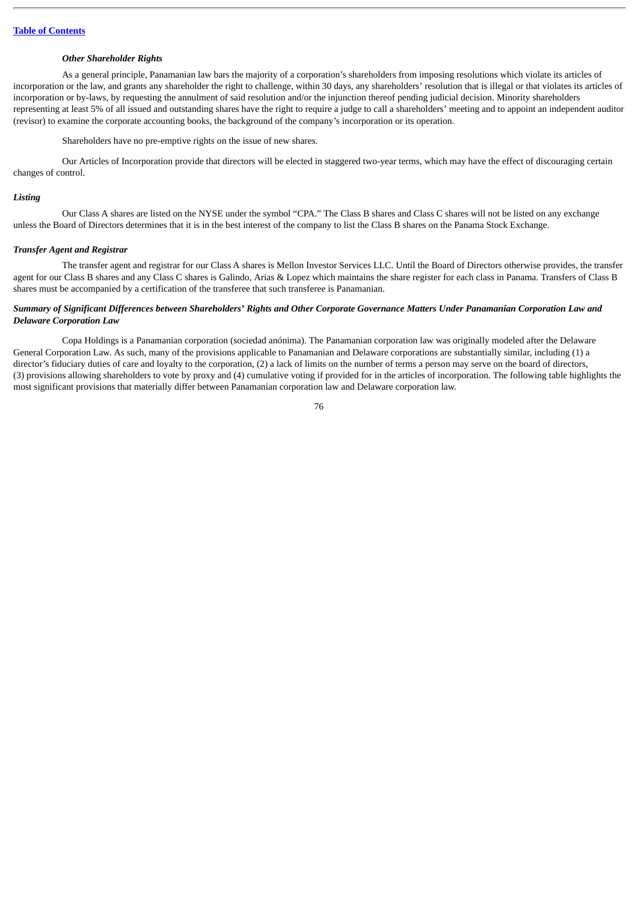#### *Other Shareholder Rights*

As a general principle, Panamanian law bars the majority of a corporation's shareholders from imposing resolutions which violate its articles of incorporation or the law, and grants any shareholder the right to challenge, within 30 days, any shareholders' resolution that is illegal or that violates its articles of incorporation or by-laws, by requesting the annulment of said resolution and/or the injunction thereof pending judicial decision. Minority shareholders representing at least 5% of all issued and outstanding shares have the right to require a judge to call a shareholders' meeting and to appoint an independent auditor (revisor) to examine the corporate accounting books, the background of the company's incorporation or its operation.

Shareholders have no pre-emptive rights on the issue of new shares.

Our Articles of Incorporation provide that directors will be elected in staggered two-year terms, which may have the effect of discouraging certain changes of control.

#### *Listing*

Our Class A shares are listed on the NYSE under the symbol "CPA." The Class B shares and Class C shares will not be listed on any exchange unless the Board of Directors determines that it is in the best interest of the company to list the Class B shares on the Panama Stock Exchange.

#### *Transfer Agent and Registrar*

The transfer agent and registrar for our Class A shares is Mellon Investor Services LLC. Until the Board of Directors otherwise provides, the transfer agent for our Class B shares and any Class C shares is Galindo, Arias & Lopez which maintains the share register for each class in Panama. Transfers of Class B shares must be accompanied by a certification of the transferee that such transferee is Panamanian.

# *Summary of Significant Differences between Shareholders' Rights and Other Corporate Governance Matters Under Panamanian Corporation Law and Delaware Corporation Law*

Copa Holdings is a Panamanian corporation (sociedad anónima). The Panamanian corporation law was originally modeled after the Delaware General Corporation Law. As such, many of the provisions applicable to Panamanian and Delaware corporations are substantially similar, including (1) a director's fiduciary duties of care and loyalty to the corporation, (2) a lack of limits on the number of terms a person may serve on the board of directors, (3) provisions allowing shareholders to vote by proxy and (4) cumulative voting if provided for in the articles of incorporation. The following table highlights the most significant provisions that materially differ between Panamanian corporation law and Delaware corporation law.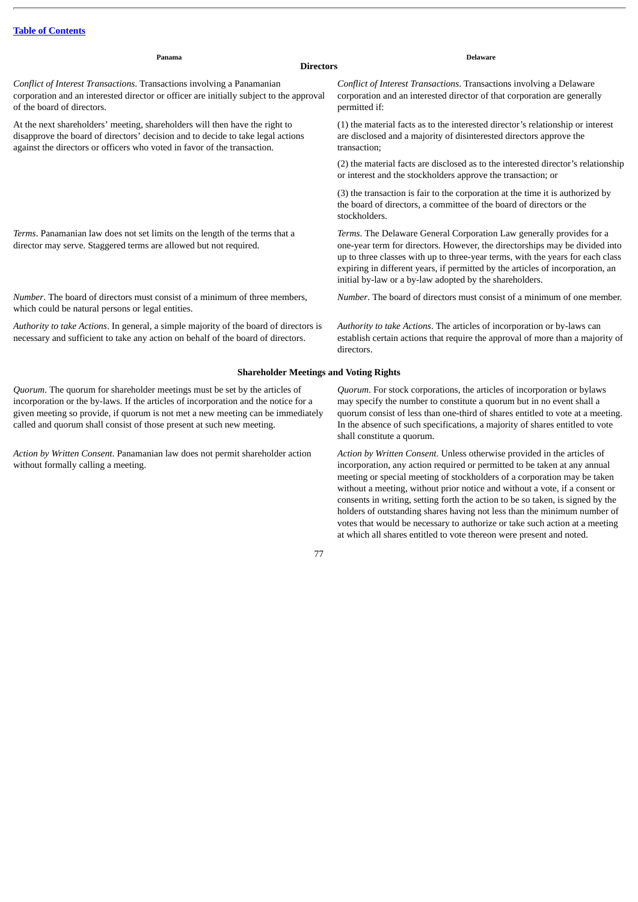| Panama                                                                                                                                                                                                                                     | <b>Delaware</b>                                                                                                                                                                                                                                                                                                                                                                    |  |  |  |
|--------------------------------------------------------------------------------------------------------------------------------------------------------------------------------------------------------------------------------------------|------------------------------------------------------------------------------------------------------------------------------------------------------------------------------------------------------------------------------------------------------------------------------------------------------------------------------------------------------------------------------------|--|--|--|
| <b>Directors</b>                                                                                                                                                                                                                           |                                                                                                                                                                                                                                                                                                                                                                                    |  |  |  |
| Conflict of Interest Transactions. Transactions involving a Panamanian<br>corporation and an interested director or officer are initially subject to the approval<br>of the board of directors.                                            | Conflict of Interest Transactions. Transactions involving a Delaware<br>corporation and an interested director of that corporation are generally<br>permitted if:                                                                                                                                                                                                                  |  |  |  |
| At the next shareholders' meeting, shareholders will then have the right to<br>disapprove the board of directors' decision and to decide to take legal actions<br>against the directors or officers who voted in favor of the transaction. | (1) the material facts as to the interested director's relationship or interest<br>are disclosed and a majority of disinterested directors approve the<br>transaction;                                                                                                                                                                                                             |  |  |  |
|                                                                                                                                                                                                                                            | (2) the material facts are disclosed as to the interested director's relationship<br>or interest and the stockholders approve the transaction; or                                                                                                                                                                                                                                  |  |  |  |
|                                                                                                                                                                                                                                            | (3) the transaction is fair to the corporation at the time it is authorized by<br>the board of directors, a committee of the board of directors or the<br>stockholders.                                                                                                                                                                                                            |  |  |  |
| Terms. Panamanian law does not set limits on the length of the terms that a<br>director may serve. Staggered terms are allowed but not required.                                                                                           | Terms. The Delaware General Corporation Law generally provides for a<br>one-year term for directors. However, the directorships may be divided into<br>up to three classes with up to three-year terms, with the years for each class<br>expiring in different years, if permitted by the articles of incorporation, an<br>initial by-law or a by-law adopted by the shareholders. |  |  |  |
| <i>Number</i> . The board of directors must consist of a minimum of three members,<br>which could be natural persons or legal entities.                                                                                                    | <i>Number</i> . The board of directors must consist of a minimum of one member.                                                                                                                                                                                                                                                                                                    |  |  |  |
| Authority to take Actiona In general a simple majority of the board of directors is Authority to take Actions. The articles of incorporation or by Javy can                                                                                |                                                                                                                                                                                                                                                                                                                                                                                    |  |  |  |

*Authority to take Actions*. In general, a simple majority of the board of directors is necessary and sufficient to take any action on behalf of the board of directors.

*Quorum*. The quorum for shareholder meetings must be set by the articles of incorporation or the by-laws. If the articles of incorporation and the notice for a given meeting so provide, if quorum is not met a new meeting can be immediately called and quorum shall consist of those present at such new meeting.

*Action by Written Consent*. Panamanian law does not permit shareholder action without formally calling a meeting.

*Authority to take Actions*. The articles of incorporation or by-laws can establish certain actions that require the approval of more than a majority of directors.

# **Shareholder Meetings and Voting Rights**

*Quorum*. For stock corporations, the articles of incorporation or bylaws may specify the number to constitute a quorum but in no event shall a quorum consist of less than one-third of shares entitled to vote at a meeting. In the absence of such specifications, a majority of shares entitled to vote shall constitute a quorum.

*Action by Written Consent*. Unless otherwise provided in the articles of incorporation, any action required or permitted to be taken at any annual meeting or special meeting of stockholders of a corporation may be taken without a meeting, without prior notice and without a vote, if a consent or consents in writing, setting forth the action to be so taken, is signed by the holders of outstanding shares having not less than the minimum number of votes that would be necessary to authorize or take such action at a meeting at which all shares entitled to vote thereon were present and noted.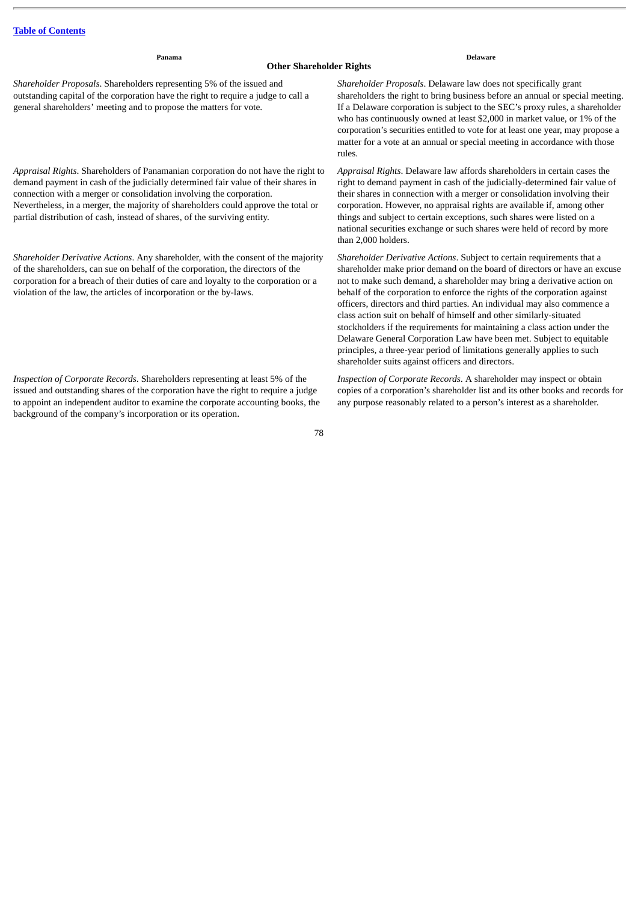| Panama<br><b>Other Shareholder Rights</b>                                                                                                                                                                                                                                                                                                                                                                         | <b>Delaware</b>                                                                                                                                                                                                                                                                                                                                                                                                                                                                                                                                                                                                                                                                                                                                       |
|-------------------------------------------------------------------------------------------------------------------------------------------------------------------------------------------------------------------------------------------------------------------------------------------------------------------------------------------------------------------------------------------------------------------|-------------------------------------------------------------------------------------------------------------------------------------------------------------------------------------------------------------------------------------------------------------------------------------------------------------------------------------------------------------------------------------------------------------------------------------------------------------------------------------------------------------------------------------------------------------------------------------------------------------------------------------------------------------------------------------------------------------------------------------------------------|
|                                                                                                                                                                                                                                                                                                                                                                                                                   |                                                                                                                                                                                                                                                                                                                                                                                                                                                                                                                                                                                                                                                                                                                                                       |
| Shareholder Proposals. Shareholders representing 5% of the issued and<br>outstanding capital of the corporation have the right to require a judge to call a<br>general shareholders' meeting and to propose the matters for vote.                                                                                                                                                                                 | Shareholder Proposals. Delaware law does not specifically grant<br>shareholders the right to bring business before an annual or special meeting.<br>If a Delaware corporation is subject to the SEC's proxy rules, a shareholder<br>who has continuously owned at least \$2,000 in market value, or 1% of the<br>corporation's securities entitled to vote for at least one year, may propose a<br>matter for a vote at an annual or special meeting in accordance with those<br>rules.                                                                                                                                                                                                                                                               |
| Appraisal Rights. Shareholders of Panamanian corporation do not have the right to<br>demand payment in cash of the judicially determined fair value of their shares in<br>connection with a merger or consolidation involving the corporation.<br>Nevertheless, in a merger, the majority of shareholders could approve the total or<br>partial distribution of cash, instead of shares, of the surviving entity. | Appraisal Rights. Delaware law affords shareholders in certain cases the<br>right to demand payment in cash of the judicially-determined fair value of<br>their shares in connection with a merger or consolidation involving their<br>corporation. However, no appraisal rights are available if, among other<br>things and subject to certain exceptions, such shares were listed on a<br>national securities exchange or such shares were held of record by more<br>than 2,000 holders.                                                                                                                                                                                                                                                            |
| Shareholder Derivative Actions. Any shareholder, with the consent of the majority<br>of the shareholders, can sue on behalf of the corporation, the directors of the<br>corporation for a breach of their duties of care and loyalty to the corporation or a<br>violation of the law, the articles of incorporation or the by-laws.                                                                               | Shareholder Derivative Actions. Subject to certain requirements that a<br>shareholder make prior demand on the board of directors or have an excuse<br>not to make such demand, a shareholder may bring a derivative action on<br>behalf of the corporation to enforce the rights of the corporation against<br>officers, directors and third parties. An individual may also commence a<br>class action suit on behalf of himself and other similarly-situated<br>stockholders if the requirements for maintaining a class action under the<br>Delaware General Corporation Law have been met. Subject to equitable<br>principles, a three-year period of limitations generally applies to such<br>shareholder suits against officers and directors. |
| Inspection of Corporate Records. Shareholders representing at least 5% of the                                                                                                                                                                                                                                                                                                                                     | Inspection of Corporate Records. A shareholder may inspect or obtain                                                                                                                                                                                                                                                                                                                                                                                                                                                                                                                                                                                                                                                                                  |

*Inspection of Corporate Records*. Shareholders representing at least 5% of the issued and outstanding shares of the corporation have the right to require a judge to appoint an independent auditor to examine the corporate accounting books, the background of the company's incorporation or its operation.

copies of a corporation's shareholder list and its other books and records for any purpose reasonably related to a person's interest as a shareholder.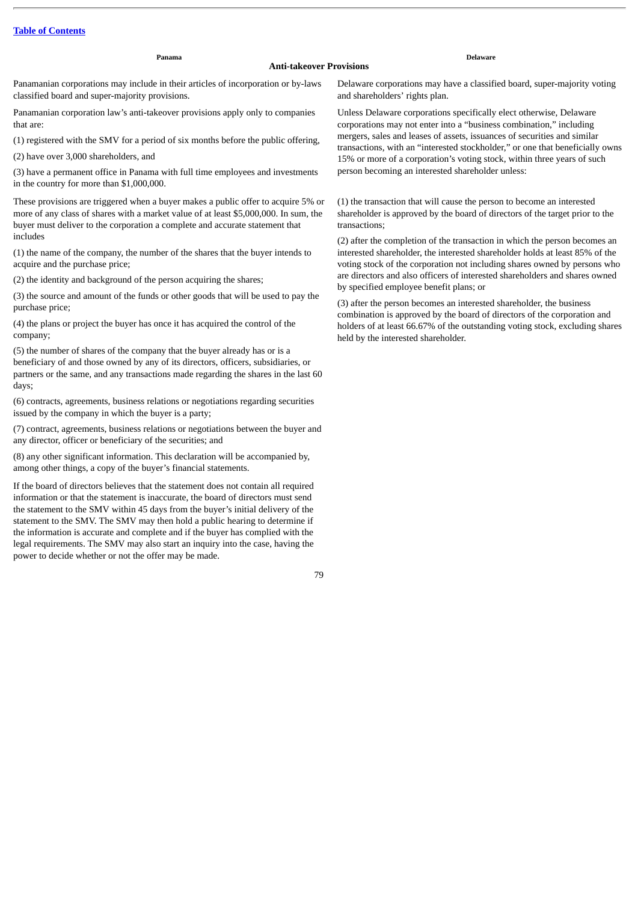#### **Anti-takeover Provisions**

**Panama Delaware**

Panamanian corporations may include in their articles of incorporation or by-laws classified board and super-majority provisions.

Panamanian corporation law's anti-takeover provisions apply only to companies that are:

(1) registered with the SMV for a period of six months before the public offering,

(2) have over 3,000 shareholders, and

(3) have a permanent office in Panama with full time employees and investments in the country for more than \$1,000,000.

These provisions are triggered when a buyer makes a public offer to acquire 5% or more of any class of shares with a market value of at least \$5,000,000. In sum, the buyer must deliver to the corporation a complete and accurate statement that includes

(1) the name of the company, the number of the shares that the buyer intends to acquire and the purchase price;

(2) the identity and background of the person acquiring the shares;

(3) the source and amount of the funds or other goods that will be used to pay the purchase price;

(4) the plans or project the buyer has once it has acquired the control of the company;

(5) the number of shares of the company that the buyer already has or is a beneficiary of and those owned by any of its directors, officers, subsidiaries, or partners or the same, and any transactions made regarding the shares in the last 60 days;

(6) contracts, agreements, business relations or negotiations regarding securities issued by the company in which the buyer is a party;

(7) contract, agreements, business relations or negotiations between the buyer and any director, officer or beneficiary of the securities; and

(8) any other significant information. This declaration will be accompanied by, among other things, a copy of the buyer's financial statements.

If the board of directors believes that the statement does not contain all required information or that the statement is inaccurate, the board of directors must send the statement to the SMV within 45 days from the buyer's initial delivery of the statement to the SMV. The SMV may then hold a public hearing to determine if the information is accurate and complete and if the buyer has complied with the legal requirements. The SMV may also start an inquiry into the case, having the power to decide whether or not the offer may be made.

Delaware corporations may have a classified board, super-majority voting and shareholders' rights plan.

Unless Delaware corporations specifically elect otherwise, Delaware corporations may not enter into a "business combination," including mergers, sales and leases of assets, issuances of securities and similar transactions, with an "interested stockholder," or one that beneficially owns 15% or more of a corporation's voting stock, within three years of such person becoming an interested shareholder unless:

(1) the transaction that will cause the person to become an interested shareholder is approved by the board of directors of the target prior to the transactions;

(2) after the completion of the transaction in which the person becomes an interested shareholder, the interested shareholder holds at least 85% of the voting stock of the corporation not including shares owned by persons who are directors and also officers of interested shareholders and shares owned by specified employee benefit plans; or

(3) after the person becomes an interested shareholder, the business combination is approved by the board of directors of the corporation and holders of at least 66.67% of the outstanding voting stock, excluding shares held by the interested shareholder.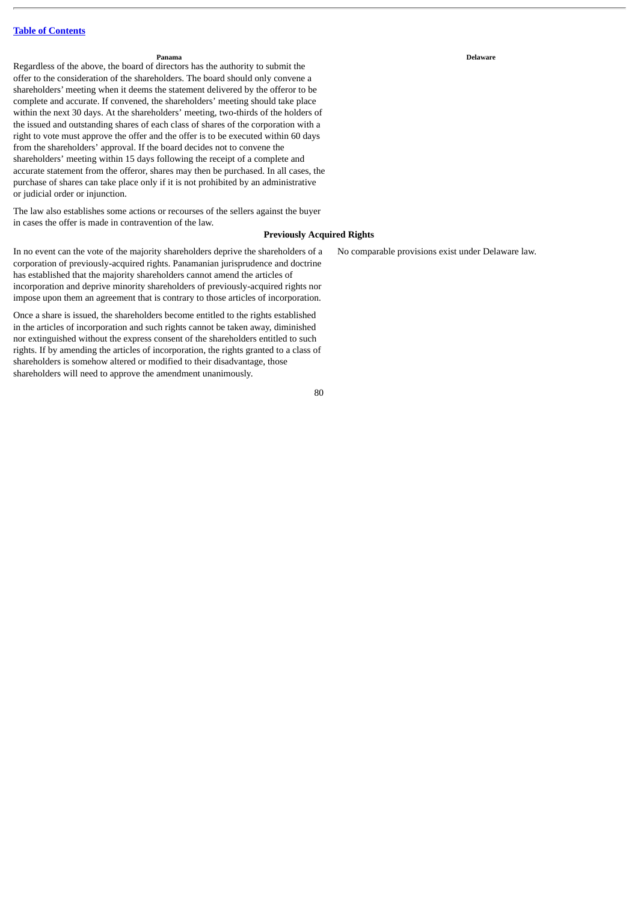Regardless of the above, the board of directors has the authority to submit the offer to the consideration of the shareholders. The board should only convene a shareholders' meeting when it deems the statement delivered by the offeror to be complete and accurate. If convened, the shareholders' meeting should take place within the next 30 days. At the shareholders' meeting, two-thirds of the holders of the issued and outstanding shares of each class of shares of the corporation with a right to vote must approve the offer and the offer is to be executed within 60 days from the shareholders' approval. If the board decides not to convene the shareholders' meeting within 15 days following the receipt of a complete and accurate statement from the offeror, shares may then be purchased. In all cases, the purchase of shares can take place only if it is not prohibited by an administrative or judicial order or injunction.

The law also establishes some actions or recourses of the sellers against the buyer in cases the offer is made in contravention of the law.

## **Previously Acquired Rights**

In no event can the vote of the majority shareholders deprive the shareholders of a corporation of previously-acquired rights. Panamanian jurisprudence and doctrine has established that the majority shareholders cannot amend the articles of incorporation and deprive minority shareholders of previously-acquired rights nor impose upon them an agreement that is contrary to those articles of incorporation.

Once a share is issued, the shareholders become entitled to the rights established in the articles of incorporation and such rights cannot be taken away, diminished nor extinguished without the express consent of the shareholders entitled to such rights. If by amending the articles of incorporation, the rights granted to a class of shareholders is somehow altered or modified to their disadvantage, those shareholders will need to approve the amendment unanimously.

No comparable provisions exist under Delaware law.

#### **Panama Delaware**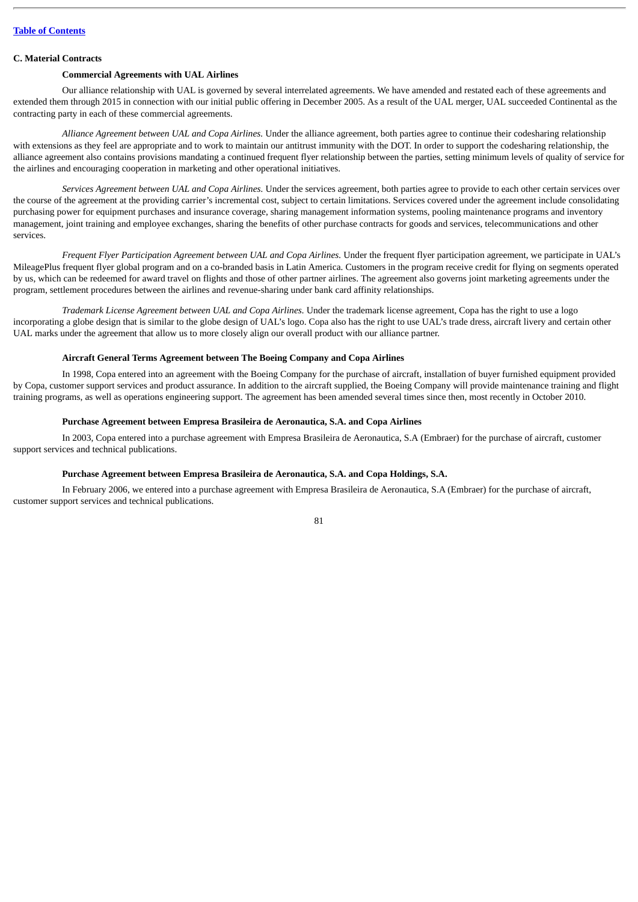#### **C. Material Contracts**

#### **Commercial Agreements with UAL Airlines**

Our alliance relationship with UAL is governed by several interrelated agreements. We have amended and restated each of these agreements and extended them through 2015 in connection with our initial public offering in December 2005. As a result of the UAL merger, UAL succeeded Continental as the contracting party in each of these commercial agreements.

*Alliance Agreement between UAL and Copa Airlines.* Under the alliance agreement, both parties agree to continue their codesharing relationship with extensions as they feel are appropriate and to work to maintain our antitrust immunity with the DOT. In order to support the codesharing relationship, the alliance agreement also contains provisions mandating a continued frequent flyer relationship between the parties, setting minimum levels of quality of service for the airlines and encouraging cooperation in marketing and other operational initiatives.

*Services Agreement between UAL and Copa Airlines.* Under the services agreement, both parties agree to provide to each other certain services over the course of the agreement at the providing carrier's incremental cost, subject to certain limitations. Services covered under the agreement include consolidating purchasing power for equipment purchases and insurance coverage, sharing management information systems, pooling maintenance programs and inventory management, joint training and employee exchanges, sharing the benefits of other purchase contracts for goods and services, telecommunications and other services.

*Frequent Flyer Participation Agreement between UAL and Copa Airlines.* Under the frequent flyer participation agreement, we participate in UAL's MileagePlus frequent flyer global program and on a co-branded basis in Latin America. Customers in the program receive credit for flying on segments operated by us, which can be redeemed for award travel on flights and those of other partner airlines. The agreement also governs joint marketing agreements under the program, settlement procedures between the airlines and revenue-sharing under bank card affinity relationships.

*Trademark License Agreement between UAL and Copa Airlines.* Under the trademark license agreement, Copa has the right to use a logo incorporating a globe design that is similar to the globe design of UAL's logo. Copa also has the right to use UAL's trade dress, aircraft livery and certain other UAL marks under the agreement that allow us to more closely align our overall product with our alliance partner.

# **Aircraft General Terms Agreement between The Boeing Company and Copa Airlines**

In 1998, Copa entered into an agreement with the Boeing Company for the purchase of aircraft, installation of buyer furnished equipment provided by Copa, customer support services and product assurance. In addition to the aircraft supplied, the Boeing Company will provide maintenance training and flight training programs, as well as operations engineering support. The agreement has been amended several times since then, most recently in October 2010.

# **Purchase Agreement between Empresa Brasileira de Aeronautica, S.A. and Copa Airlines**

In 2003, Copa entered into a purchase agreement with Empresa Brasileira de Aeronautica, S.A (Embraer) for the purchase of aircraft, customer support services and technical publications.

#### **Purchase Agreement between Empresa Brasileira de Aeronautica, S.A. and Copa Holdings, S.A.**

In February 2006, we entered into a purchase agreement with Empresa Brasileira de Aeronautica, S.A (Embraer) for the purchase of aircraft, customer support services and technical publications.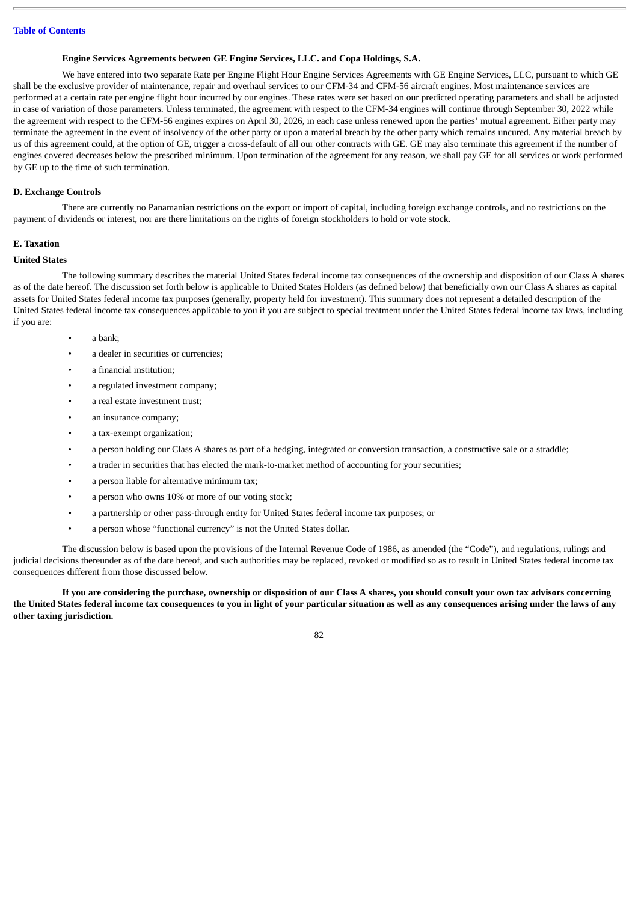#### **Engine Services Agreements between GE Engine Services, LLC. and Copa Holdings, S.A.**

We have entered into two separate Rate per Engine Flight Hour Engine Services Agreements with GE Engine Services, LLC, pursuant to which GE shall be the exclusive provider of maintenance, repair and overhaul services to our CFM-34 and CFM-56 aircraft engines. Most maintenance services are performed at a certain rate per engine flight hour incurred by our engines. These rates were set based on our predicted operating parameters and shall be adjusted in case of variation of those parameters. Unless terminated, the agreement with respect to the CFM-34 engines will continue through September 30, 2022 while the agreement with respect to the CFM-56 engines expires on April 30, 2026, in each case unless renewed upon the parties' mutual agreement. Either party may terminate the agreement in the event of insolvency of the other party or upon a material breach by the other party which remains uncured. Any material breach by us of this agreement could, at the option of GE, trigger a cross-default of all our other contracts with GE. GE may also terminate this agreement if the number of engines covered decreases below the prescribed minimum. Upon termination of the agreement for any reason, we shall pay GE for all services or work performed by GE up to the time of such termination.

## **D. Exchange Controls**

There are currently no Panamanian restrictions on the export or import of capital, including foreign exchange controls, and no restrictions on the payment of dividends or interest, nor are there limitations on the rights of foreign stockholders to hold or vote stock.

# **E. Taxation**

### **United States**

The following summary describes the material United States federal income tax consequences of the ownership and disposition of our Class A shares as of the date hereof. The discussion set forth below is applicable to United States Holders (as defined below) that beneficially own our Class A shares as capital assets for United States federal income tax purposes (generally, property held for investment). This summary does not represent a detailed description of the United States federal income tax consequences applicable to you if you are subject to special treatment under the United States federal income tax laws, including if you are:

- a bank;
- a dealer in securities or currencies;
- a financial institution;
- a regulated investment company;
- a real estate investment trust;
- an insurance company;
- a tax-exempt organization;
- a person holding our Class A shares as part of a hedging, integrated or conversion transaction, a constructive sale or a straddle;
- a trader in securities that has elected the mark-to-market method of accounting for your securities;
- a person liable for alternative minimum tax;
- a person who owns 10% or more of our voting stock;
- a partnership or other pass-through entity for United States federal income tax purposes; or
- a person whose "functional currency" is not the United States dollar.

The discussion below is based upon the provisions of the Internal Revenue Code of 1986, as amended (the "Code"), and regulations, rulings and judicial decisions thereunder as of the date hereof, and such authorities may be replaced, revoked or modified so as to result in United States federal income tax consequences different from those discussed below.

**If you are considering the purchase, ownership or disposition of our Class A shares, you should consult your own tax advisors concerning the United States federal income tax consequences to you in light of your particular situation as well as any consequences arising under the laws of any other taxing jurisdiction.**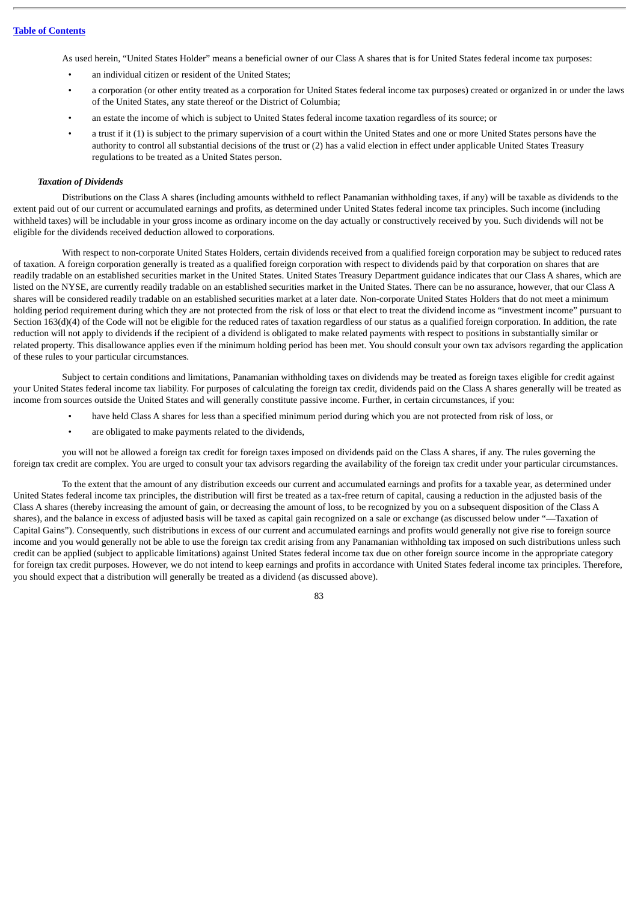As used herein, "United States Holder" means a beneficial owner of our Class A shares that is for United States federal income tax purposes:

- an individual citizen or resident of the United States;
- a corporation (or other entity treated as a corporation for United States federal income tax purposes) created or organized in or under the laws of the United States, any state thereof or the District of Columbia;
- an estate the income of which is subject to United States federal income taxation regardless of its source; or
- a trust if it (1) is subject to the primary supervision of a court within the United States and one or more United States persons have the authority to control all substantial decisions of the trust or (2) has a valid election in effect under applicable United States Treasury regulations to be treated as a United States person.

# *Taxation of Dividends*

Distributions on the Class A shares (including amounts withheld to reflect Panamanian withholding taxes, if any) will be taxable as dividends to the extent paid out of our current or accumulated earnings and profits, as determined under United States federal income tax principles. Such income (including withheld taxes) will be includable in your gross income as ordinary income on the day actually or constructively received by you. Such dividends will not be eligible for the dividends received deduction allowed to corporations.

With respect to non-corporate United States Holders, certain dividends received from a qualified foreign corporation may be subject to reduced rates of taxation. A foreign corporation generally is treated as a qualified foreign corporation with respect to dividends paid by that corporation on shares that are readily tradable on an established securities market in the United States. United States Treasury Department guidance indicates that our Class A shares, which are listed on the NYSE, are currently readily tradable on an established securities market in the United States. There can be no assurance, however, that our Class A shares will be considered readily tradable on an established securities market at a later date. Non-corporate United States Holders that do not meet a minimum holding period requirement during which they are not protected from the risk of loss or that elect to treat the dividend income as "investment income" pursuant to Section 163(d)(4) of the Code will not be eligible for the reduced rates of taxation regardless of our status as a qualified foreign corporation. In addition, the rate reduction will not apply to dividends if the recipient of a dividend is obligated to make related payments with respect to positions in substantially similar or related property. This disallowance applies even if the minimum holding period has been met. You should consult your own tax advisors regarding the application of these rules to your particular circumstances.

Subject to certain conditions and limitations, Panamanian withholding taxes on dividends may be treated as foreign taxes eligible for credit against your United States federal income tax liability. For purposes of calculating the foreign tax credit, dividends paid on the Class A shares generally will be treated as income from sources outside the United States and will generally constitute passive income. Further, in certain circumstances, if you:

- have held Class A shares for less than a specified minimum period during which you are not protected from risk of loss, or
- are obligated to make payments related to the dividends,

you will not be allowed a foreign tax credit for foreign taxes imposed on dividends paid on the Class A shares, if any. The rules governing the foreign tax credit are complex. You are urged to consult your tax advisors regarding the availability of the foreign tax credit under your particular circumstances.

To the extent that the amount of any distribution exceeds our current and accumulated earnings and profits for a taxable year, as determined under United States federal income tax principles, the distribution will first be treated as a tax-free return of capital, causing a reduction in the adjusted basis of the Class A shares (thereby increasing the amount of gain, or decreasing the amount of loss, to be recognized by you on a subsequent disposition of the Class A shares), and the balance in excess of adjusted basis will be taxed as capital gain recognized on a sale or exchange (as discussed below under "—Taxation of Capital Gains"). Consequently, such distributions in excess of our current and accumulated earnings and profits would generally not give rise to foreign source income and you would generally not be able to use the foreign tax credit arising from any Panamanian withholding tax imposed on such distributions unless such credit can be applied (subject to applicable limitations) against United States federal income tax due on other foreign source income in the appropriate category for foreign tax credit purposes. However, we do not intend to keep earnings and profits in accordance with United States federal income tax principles. Therefore, you should expect that a distribution will generally be treated as a dividend (as discussed above).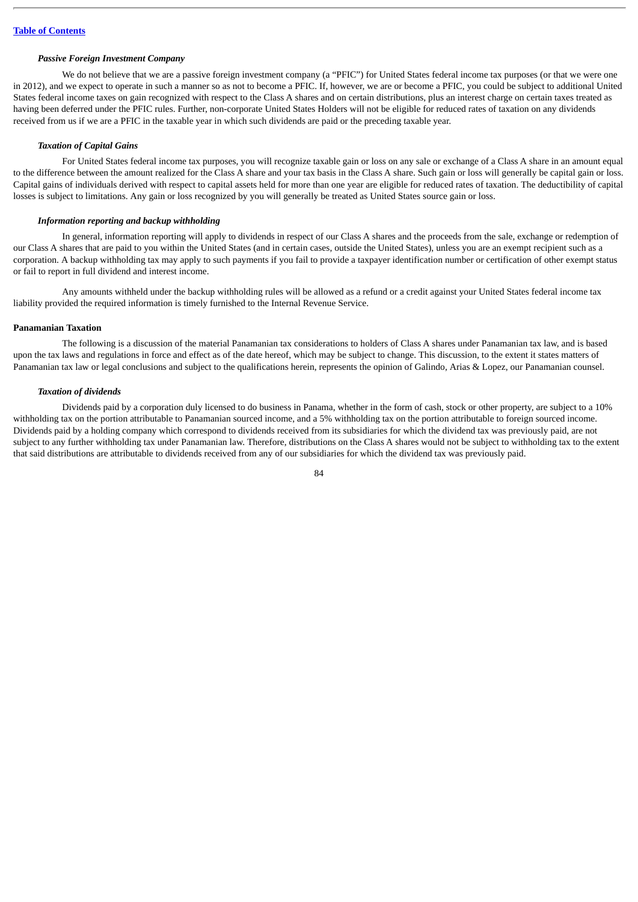#### *Passive Foreign Investment Company*

We do not believe that we are a passive foreign investment company (a "PFIC") for United States federal income tax purposes (or that we were one in 2012), and we expect to operate in such a manner so as not to become a PFIC. If, however, we are or become a PFIC, you could be subject to additional United States federal income taxes on gain recognized with respect to the Class A shares and on certain distributions, plus an interest charge on certain taxes treated as having been deferred under the PFIC rules. Further, non-corporate United States Holders will not be eligible for reduced rates of taxation on any dividends received from us if we are a PFIC in the taxable year in which such dividends are paid or the preceding taxable year.

# *Taxation of Capital Gains*

For United States federal income tax purposes, you will recognize taxable gain or loss on any sale or exchange of a Class A share in an amount equal to the difference between the amount realized for the Class A share and your tax basis in the Class A share. Such gain or loss will generally be capital gain or loss. Capital gains of individuals derived with respect to capital assets held for more than one year are eligible for reduced rates of taxation. The deductibility of capital losses is subject to limitations. Any gain or loss recognized by you will generally be treated as United States source gain or loss.

#### *Information reporting and backup withholding*

In general, information reporting will apply to dividends in respect of our Class A shares and the proceeds from the sale, exchange or redemption of our Class A shares that are paid to you within the United States (and in certain cases, outside the United States), unless you are an exempt recipient such as a corporation. A backup withholding tax may apply to such payments if you fail to provide a taxpayer identification number or certification of other exempt status or fail to report in full dividend and interest income.

Any amounts withheld under the backup withholding rules will be allowed as a refund or a credit against your United States federal income tax liability provided the required information is timely furnished to the Internal Revenue Service.

# **Panamanian Taxation**

The following is a discussion of the material Panamanian tax considerations to holders of Class A shares under Panamanian tax law, and is based upon the tax laws and regulations in force and effect as of the date hereof, which may be subject to change. This discussion, to the extent it states matters of Panamanian tax law or legal conclusions and subject to the qualifications herein, represents the opinion of Galindo, Arias & Lopez, our Panamanian counsel.

# *Taxation of dividends*

Dividends paid by a corporation duly licensed to do business in Panama, whether in the form of cash, stock or other property, are subject to a 10% withholding tax on the portion attributable to Panamanian sourced income, and a 5% withholding tax on the portion attributable to foreign sourced income. Dividends paid by a holding company which correspond to dividends received from its subsidiaries for which the dividend tax was previously paid, are not subject to any further withholding tax under Panamanian law. Therefore, distributions on the Class A shares would not be subject to withholding tax to the extent that said distributions are attributable to dividends received from any of our subsidiaries for which the dividend tax was previously paid.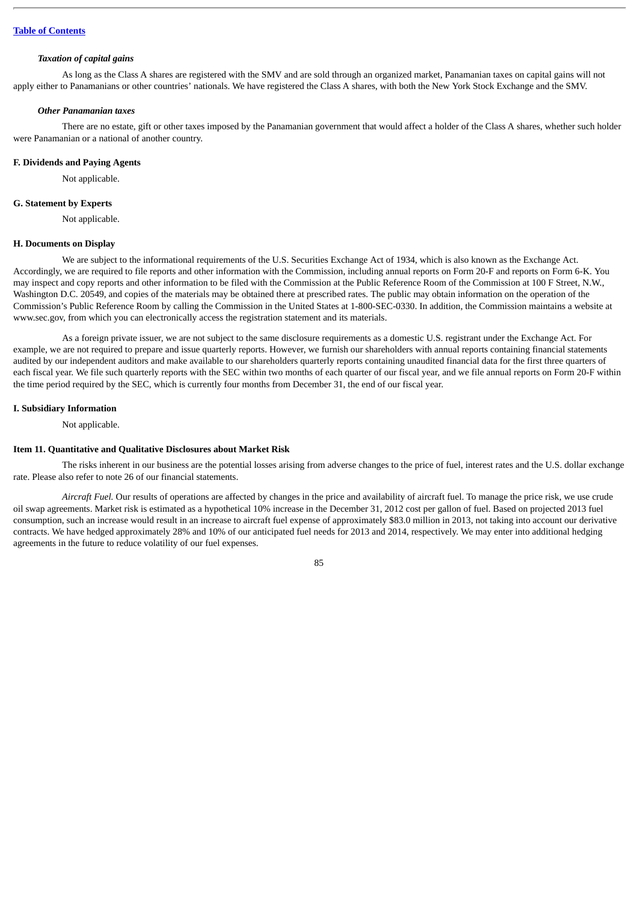## *Taxation of capital gains*

As long as the Class A shares are registered with the SMV and are sold through an organized market, Panamanian taxes on capital gains will not apply either to Panamanians or other countries' nationals. We have registered the Class A shares, with both the New York Stock Exchange and the SMV.

# *Other Panamanian taxes*

There are no estate, gift or other taxes imposed by the Panamanian government that would affect a holder of the Class A shares, whether such holder were Panamanian or a national of another country.

# **F. Dividends and Paying Agents**

Not applicable.

# **G. Statement by Experts**

Not applicable.

# **H. Documents on Display**

We are subject to the informational requirements of the U.S. Securities Exchange Act of 1934, which is also known as the Exchange Act. Accordingly, we are required to file reports and other information with the Commission, including annual reports on Form 20-F and reports on Form 6-K. You may inspect and copy reports and other information to be filed with the Commission at the Public Reference Room of the Commission at 100 F Street, N.W., Washington D.C. 20549, and copies of the materials may be obtained there at prescribed rates. The public may obtain information on the operation of the Commission's Public Reference Room by calling the Commission in the United States at 1-800-SEC-0330. In addition, the Commission maintains a website at www.sec.gov, from which you can electronically access the registration statement and its materials.

As a foreign private issuer, we are not subject to the same disclosure requirements as a domestic U.S. registrant under the Exchange Act. For example, we are not required to prepare and issue quarterly reports. However, we furnish our shareholders with annual reports containing financial statements audited by our independent auditors and make available to our shareholders quarterly reports containing unaudited financial data for the first three quarters of each fiscal year. We file such quarterly reports with the SEC within two months of each quarter of our fiscal year, and we file annual reports on Form 20-F within the time period required by the SEC, which is currently four months from December 31, the end of our fiscal year.

# **I. Subsidiary Information**

Not applicable.

#### **Item 11. Quantitative and Qualitative Disclosures about Market Risk**

The risks inherent in our business are the potential losses arising from adverse changes to the price of fuel, interest rates and the U.S. dollar exchange rate. Please also refer to note 26 of our financial statements.

*Aircraft Fuel.* Our results of operations are affected by changes in the price and availability of aircraft fuel. To manage the price risk, we use crude oil swap agreements. Market risk is estimated as a hypothetical 10% increase in the December 31, 2012 cost per gallon of fuel. Based on projected 2013 fuel consumption, such an increase would result in an increase to aircraft fuel expense of approximately \$83.0 million in 2013, not taking into account our derivative contracts. We have hedged approximately 28% and 10% of our anticipated fuel needs for 2013 and 2014, respectively. We may enter into additional hedging agreements in the future to reduce volatility of our fuel expenses.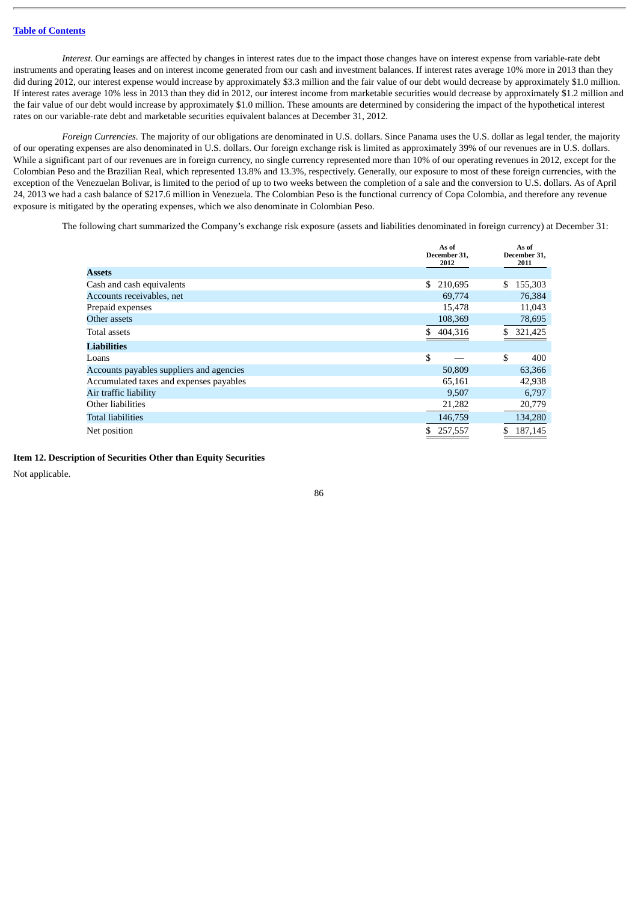*Interest.* Our earnings are affected by changes in interest rates due to the impact those changes have on interest expense from variable-rate debt instruments and operating leases and on interest income generated from our cash and investment balances. If interest rates average 10% more in 2013 than they did during 2012, our interest expense would increase by approximately \$3.3 million and the fair value of our debt would decrease by approximately \$1.0 million. If interest rates average 10% less in 2013 than they did in 2012, our interest income from marketable securities would decrease by approximately \$1.2 million and the fair value of our debt would increase by approximately \$1.0 million. These amounts are determined by considering the impact of the hypothetical interest rates on our variable-rate debt and marketable securities equivalent balances at December 31, 2012.

*Foreign Currencies.* The majority of our obligations are denominated in U.S. dollars. Since Panama uses the U.S. dollar as legal tender, the majority of our operating expenses are also denominated in U.S. dollars. Our foreign exchange risk is limited as approximately 39% of our revenues are in U.S. dollars. While a significant part of our revenues are in foreign currency, no single currency represented more than 10% of our operating revenues in 2012, except for the Colombian Peso and the Brazilian Real, which represented 13.8% and 13.3%, respectively. Generally, our exposure to most of these foreign currencies, with the exception of the Venezuelan Bolivar, is limited to the period of up to two weeks between the completion of a sale and the conversion to U.S. dollars. As of April 24, 2013 we had a cash balance of \$217.6 million in Venezuela. The Colombian Peso is the functional currency of Copa Colombia, and therefore any revenue exposure is mitigated by the operating expenses, which we also denominate in Colombian Peso.

The following chart summarized the Company's exchange risk exposure (assets and liabilities denominated in foreign currency) at December 31:

|                                          | As of<br>December 31,<br>2012 | As of<br>December 31,<br>2011 |
|------------------------------------------|-------------------------------|-------------------------------|
| Assets                                   |                               |                               |
| Cash and cash equivalents                | \$<br>210,695                 | \$<br>155,303                 |
| Accounts receivables, net                | 69,774                        | 76,384                        |
| Prepaid expenses                         | 15,478                        | 11,043                        |
| Other assets                             | 108,369                       | 78,695                        |
| Total assets                             | 404,316                       | \$<br>321,425                 |
| <b>Liabilities</b>                       |                               |                               |
| Loans                                    | \$                            | \$<br>400                     |
| Accounts payables suppliers and agencies | 50,809                        | 63,366                        |
| Accumulated taxes and expenses payables  | 65,161                        | 42,938                        |
| Air traffic liability                    | 9,507                         | 6,797                         |
| Other liabilities                        | 21,282                        | 20,779                        |
| <b>Total liabilities</b>                 | 146,759                       | 134,280                       |
| Net position                             | 257,557                       | \$<br>187,145                 |

**Item 12. Description of Securities Other than Equity Securities**

Not applicable.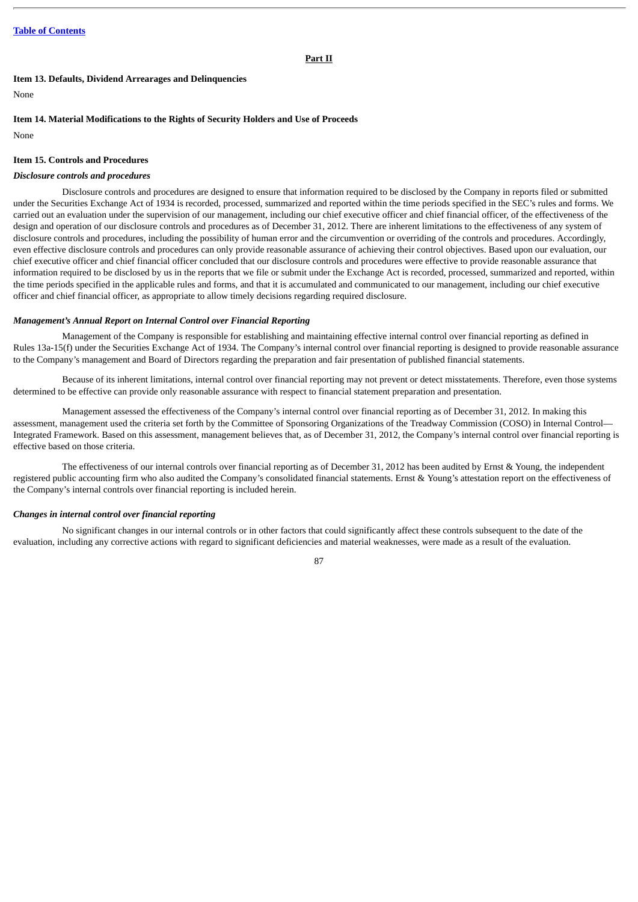#### **Part II**

# **Item 13. Defaults, Dividend Arrearages and Delinquencies**

None

#### **Item 14. Material Modifications to the Rights of Security Holders and Use of Proceeds**

None

# **Item 15. Controls and Procedures**

#### *Disclosure controls and procedures*

Disclosure controls and procedures are designed to ensure that information required to be disclosed by the Company in reports filed or submitted under the Securities Exchange Act of 1934 is recorded, processed, summarized and reported within the time periods specified in the SEC's rules and forms. We carried out an evaluation under the supervision of our management, including our chief executive officer and chief financial officer, of the effectiveness of the design and operation of our disclosure controls and procedures as of December 31, 2012. There are inherent limitations to the effectiveness of any system of disclosure controls and procedures, including the possibility of human error and the circumvention or overriding of the controls and procedures. Accordingly, even effective disclosure controls and procedures can only provide reasonable assurance of achieving their control objectives. Based upon our evaluation, our chief executive officer and chief financial officer concluded that our disclosure controls and procedures were effective to provide reasonable assurance that information required to be disclosed by us in the reports that we file or submit under the Exchange Act is recorded, processed, summarized and reported, within the time periods specified in the applicable rules and forms, and that it is accumulated and communicated to our management, including our chief executive officer and chief financial officer, as appropriate to allow timely decisions regarding required disclosure.

#### *Management's Annual Report on Internal Control over Financial Reporting*

Management of the Company is responsible for establishing and maintaining effective internal control over financial reporting as defined in Rules 13a-15(f) under the Securities Exchange Act of 1934. The Company's internal control over financial reporting is designed to provide reasonable assurance to the Company's management and Board of Directors regarding the preparation and fair presentation of published financial statements.

Because of its inherent limitations, internal control over financial reporting may not prevent or detect misstatements. Therefore, even those systems determined to be effective can provide only reasonable assurance with respect to financial statement preparation and presentation.

Management assessed the effectiveness of the Company's internal control over financial reporting as of December 31, 2012. In making this assessment, management used the criteria set forth by the Committee of Sponsoring Organizations of the Treadway Commission (COSO) in Internal Control— Integrated Framework. Based on this assessment, management believes that, as of December 31, 2012, the Company's internal control over financial reporting is effective based on those criteria.

The effectiveness of our internal controls over financial reporting as of December 31, 2012 has been audited by Ernst & Young, the independent registered public accounting firm who also audited the Company's consolidated financial statements. Ernst & Young's attestation report on the effectiveness of the Company's internal controls over financial reporting is included herein.

# *Changes in internal control over financial reporting*

No significant changes in our internal controls or in other factors that could significantly affect these controls subsequent to the date of the evaluation, including any corrective actions with regard to significant deficiencies and material weaknesses, were made as a result of the evaluation.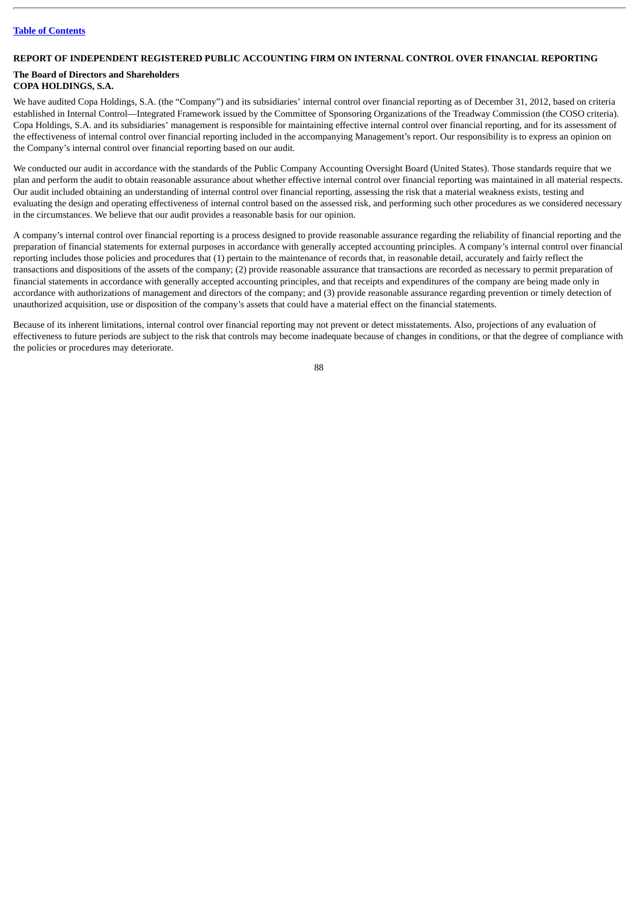# **REPORT OF INDEPENDENT REGISTERED PUBLIC ACCOUNTING FIRM ON INTERNAL CONTROL OVER FINANCIAL REPORTING**

# **The Board of Directors and Shareholders COPA HOLDINGS, S.A.**

We have audited Copa Holdings, S.A. (the "Company") and its subsidiaries' internal control over financial reporting as of December 31, 2012, based on criteria established in Internal Control—Integrated Framework issued by the Committee of Sponsoring Organizations of the Treadway Commission (the COSO criteria). Copa Holdings, S.A. and its subsidiaries' management is responsible for maintaining effective internal control over financial reporting, and for its assessment of the effectiveness of internal control over financial reporting included in the accompanying Management's report. Our responsibility is to express an opinion on the Company's internal control over financial reporting based on our audit.

We conducted our audit in accordance with the standards of the Public Company Accounting Oversight Board (United States). Those standards require that we plan and perform the audit to obtain reasonable assurance about whether effective internal control over financial reporting was maintained in all material respects. Our audit included obtaining an understanding of internal control over financial reporting, assessing the risk that a material weakness exists, testing and evaluating the design and operating effectiveness of internal control based on the assessed risk, and performing such other procedures as we considered necessary in the circumstances. We believe that our audit provides a reasonable basis for our opinion.

A company's internal control over financial reporting is a process designed to provide reasonable assurance regarding the reliability of financial reporting and the preparation of financial statements for external purposes in accordance with generally accepted accounting principles. A company's internal control over financial reporting includes those policies and procedures that (1) pertain to the maintenance of records that, in reasonable detail, accurately and fairly reflect the transactions and dispositions of the assets of the company; (2) provide reasonable assurance that transactions are recorded as necessary to permit preparation of financial statements in accordance with generally accepted accounting principles, and that receipts and expenditures of the company are being made only in accordance with authorizations of management and directors of the company; and (3) provide reasonable assurance regarding prevention or timely detection of unauthorized acquisition, use or disposition of the company's assets that could have a material effect on the financial statements.

Because of its inherent limitations, internal control over financial reporting may not prevent or detect misstatements. Also, projections of any evaluation of effectiveness to future periods are subject to the risk that controls may become inadequate because of changes in conditions, or that the degree of compliance with the policies or procedures may deteriorate.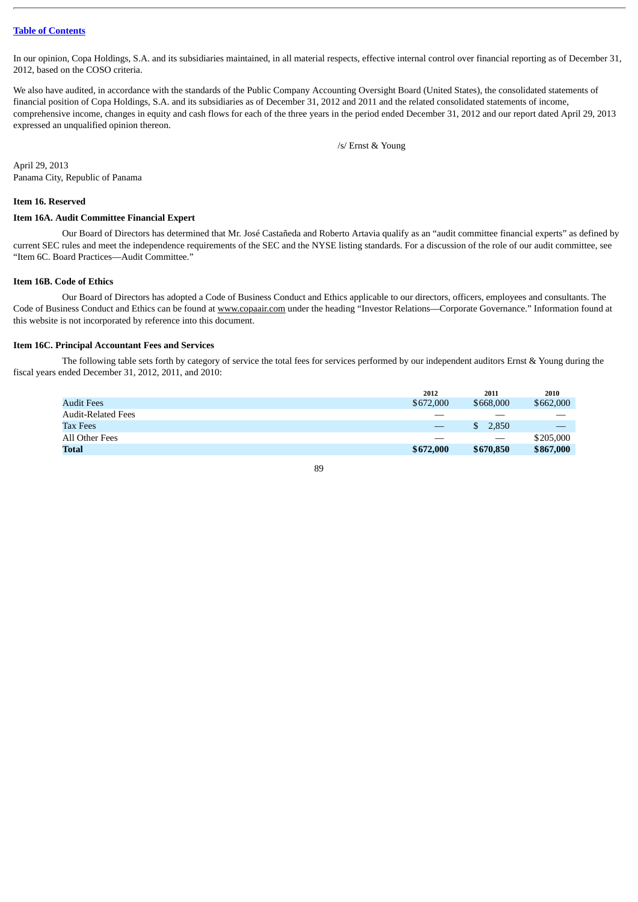In our opinion, Copa Holdings, S.A. and its subsidiaries maintained, in all material respects, effective internal control over financial reporting as of December 31, 2012, based on the COSO criteria.

We also have audited, in accordance with the standards of the Public Company Accounting Oversight Board (United States), the consolidated statements of financial position of Copa Holdings, S.A. and its subsidiaries as of December 31, 2012 and 2011 and the related consolidated statements of income, comprehensive income, changes in equity and cash flows for each of the three years in the period ended December 31, 2012 and our report dated April 29, 2013 expressed an unqualified opinion thereon.

/s/ Ernst & Young

April 29, 2013 Panama City, Republic of Panama

# **Item 16. Reserved**

# **Item 16A. Audit Committee Financial Expert**

Our Board of Directors has determined that Mr. José Castañeda and Roberto Artavia qualify as an "audit committee financial experts" as defined by current SEC rules and meet the independence requirements of the SEC and the NYSE listing standards. For a discussion of the role of our audit committee, see "Item 6C. Board Practices—Audit Committee."

# **Item 16B. Code of Ethics**

Our Board of Directors has adopted a Code of Business Conduct and Ethics applicable to our directors, officers, employees and consultants. The Code of Business Conduct and Ethics can be found at www.copaair.com under the heading "Investor Relations-Corporate Governance." Information found at this website is not incorporated by reference into this document.

# **Item 16C. Principal Accountant Fees and Services**

The following table sets forth by category of service the total fees for services performed by our independent auditors Ernst & Young during the fiscal years ended December 31, 2012, 2011, and 2010:

|                           | 2012      | 2011              | 2010      |
|---------------------------|-----------|-------------------|-----------|
| Audit Fees                | \$672,000 | \$668,000         | \$662,000 |
| <b>Audit-Related Fees</b> |           |                   |           |
| Tax Fees                  |           | 2,850<br>S        |           |
| All Other Fees            |           | $\hspace{0.05cm}$ | \$205,000 |
| <b>Total</b>              | \$672,000 | \$670,850         | \$867,000 |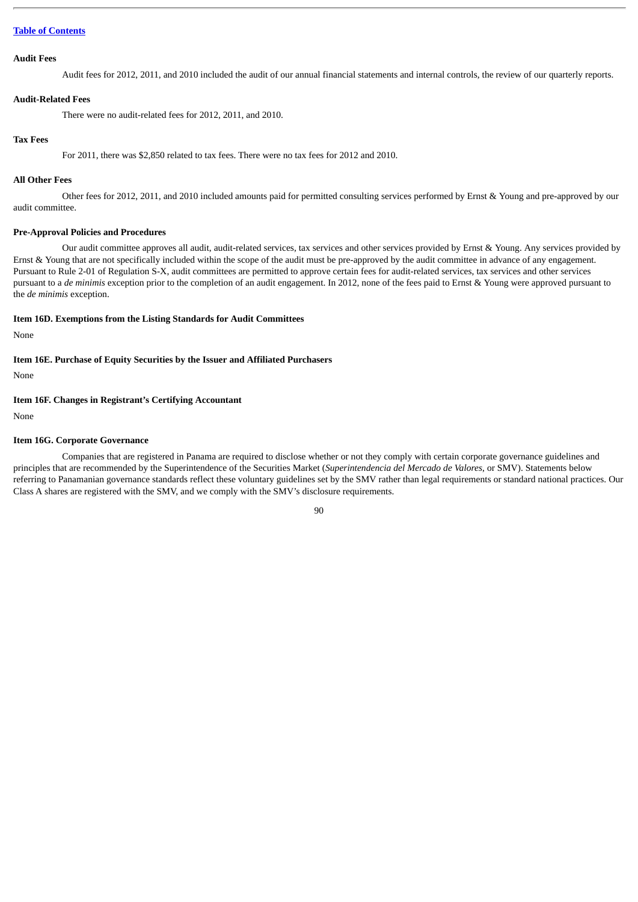#### **Audit Fees**

Audit fees for 2012, 2011, and 2010 included the audit of our annual financial statements and internal controls, the review of our quarterly reports.

# **Audit-Related Fees**

There were no audit-related fees for 2012, 2011, and 2010.

# **Tax Fees**

For 2011, there was \$2,850 related to tax fees. There were no tax fees for 2012 and 2010.

### **All Other Fees**

Other fees for 2012, 2011, and 2010 included amounts paid for permitted consulting services performed by Ernst & Young and pre-approved by our audit committee.

# **Pre-Approval Policies and Procedures**

Our audit committee approves all audit, audit-related services, tax services and other services provided by Ernst & Young. Any services provided by Ernst & Young that are not specifically included within the scope of the audit must be pre-approved by the audit committee in advance of any engagement. Pursuant to Rule 2-01 of Regulation S-X, audit committees are permitted to approve certain fees for audit-related services, tax services and other services pursuant to a *de minimis* exception prior to the completion of an audit engagement. In 2012, none of the fees paid to Ernst & Young were approved pursuant to the *de minimis* exception.

### **Item 16D. Exemptions from the Listing Standards for Audit Committees**

None

# **Item 16E. Purchase of Equity Securities by the Issuer and Affiliated Purchasers**

None

#### **Item 16F. Changes in Registrant's Certifying Accountant**

None

# **Item 16G. Corporate Governance**

Companies that are registered in Panama are required to disclose whether or not they comply with certain corporate governance guidelines and principles that are recommended by the Superintendence of the Securities Market (*Superintendencia del Mercado de Valores*, or SMV). Statements below referring to Panamanian governance standards reflect these voluntary guidelines set by the SMV rather than legal requirements or standard national practices. Our Class A shares are registered with the SMV, and we comply with the SMV's disclosure requirements.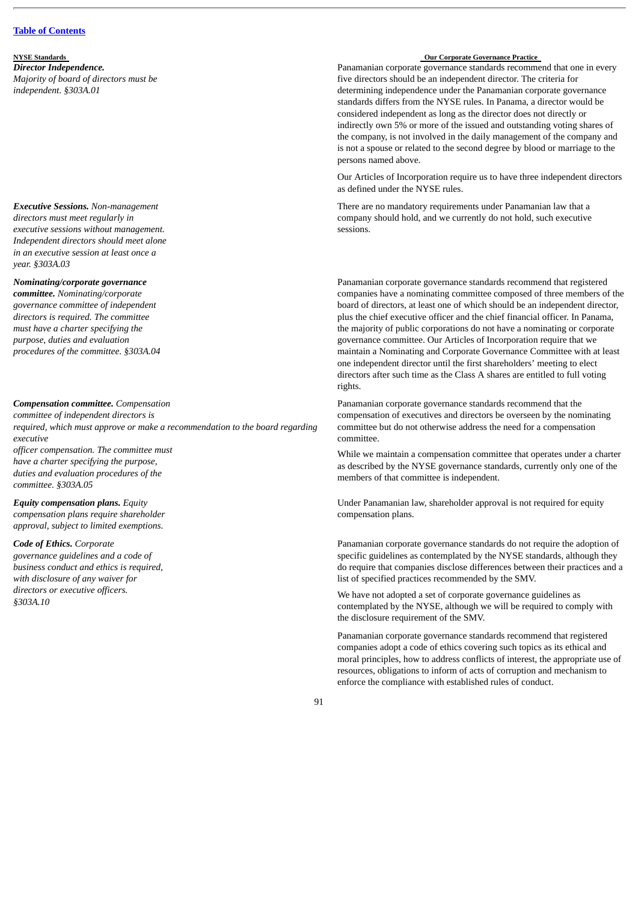**NYSE Standards Our Corporate Governance Practice** *Director Independence. Majority of board of directors must be independent. §303A.01*

*Executive Sessions. Non-management directors must meet regularly in executive sessions without management. Independent directors should meet alone in an executive session at least once a year. §303A.03*

# *Nominating/corporate governance*

*committee. Nominating/corporate governance committee of independent directors is required. The committee must have a charter specifying the purpose, duties and evaluation procedures of the committee. §303A.04*

#### *Compensation committee. Compensation*

*committee of independent directors is required, which must approve or make a recommendation to the board regarding executive officer compensation. The committee must have a charter specifying the purpose, duties and evaluation procedures of the*

*Equity compensation plans. Equity compensation plans require shareholder approval, subject to limited exemptions.*

#### *Code of Ethics. Corporate*

*committee. §303A.05*

*governance guidelines and a code of business conduct and ethics is required, with disclosure of any waiver for directors or executive officers. §303A.10*

Panamanian corporate governance standards recommend that one in every five directors should be an independent director. The criteria for determining independence under the Panamanian corporate governance standards differs from the NYSE rules. In Panama, a director would be considered independent as long as the director does not directly or indirectly own 5% or more of the issued and outstanding voting shares of the company, is not involved in the daily management of the company and is not a spouse or related to the second degree by blood or marriage to the persons named above.

Our Articles of Incorporation require us to have three independent directors as defined under the NYSE rules.

There are no mandatory requirements under Panamanian law that a company should hold, and we currently do not hold, such executive sessions.

Panamanian corporate governance standards recommend that registered companies have a nominating committee composed of three members of the board of directors, at least one of which should be an independent director, plus the chief executive officer and the chief financial officer. In Panama, the majority of public corporations do not have a nominating or corporate governance committee. Our Articles of Incorporation require that we maintain a Nominating and Corporate Governance Committee with at least one independent director until the first shareholders' meeting to elect directors after such time as the Class A shares are entitled to full voting rights.

Panamanian corporate governance standards recommend that the compensation of executives and directors be overseen by the nominating committee but do not otherwise address the need for a compensation committee.

While we maintain a compensation committee that operates under a charter as described by the NYSE governance standards, currently only one of the members of that committee is independent.

Under Panamanian law, shareholder approval is not required for equity compensation plans.

Panamanian corporate governance standards do not require the adoption of specific guidelines as contemplated by the NYSE standards, although they do require that companies disclose differences between their practices and a list of specified practices recommended by the SMV.

We have not adopted a set of corporate governance guidelines as contemplated by the NYSE, although we will be required to comply with the disclosure requirement of the SMV.

Panamanian corporate governance standards recommend that registered companies adopt a code of ethics covering such topics as its ethical and moral principles, how to address conflicts of interest, the appropriate use of resources, obligations to inform of acts of corruption and mechanism to enforce the compliance with established rules of conduct.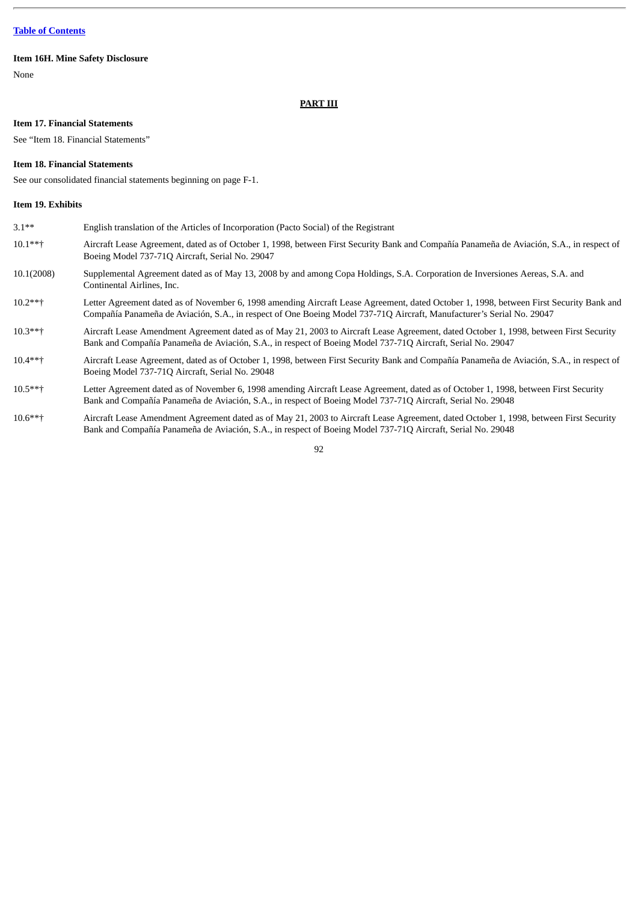# **Item 16H. Mine Safety Disclosure**

None

# **PART III**

# **Item 17. Financial Statements**

See "Item 18. Financial Statements"

# **Item 18. Financial Statements**

See our consolidated financial statements beginning on page F-1.

# **Item 19. Exhibits**

| $3.1***$   | English translation of the Articles of Incorporation (Pacto Social) of the Registrant                                                                                                                                                                            |
|------------|------------------------------------------------------------------------------------------------------------------------------------------------------------------------------------------------------------------------------------------------------------------|
| $10.1***$  | Aircraft Lease Agreement, dated as of October 1, 1998, between First Security Bank and Compañía Panameña de Aviación, S.A., in respect of<br>Boeing Model 737-71Q Aircraft, Serial No. 29047                                                                     |
| 10.1(2008) | Supplemental Agreement dated as of May 13, 2008 by and among Copa Holdings, S.A. Corporation de Inversiones Aereas, S.A. and<br>Continental Airlines, Inc.                                                                                                       |
| $10.2***$  | Letter Agreement dated as of November 6, 1998 amending Aircraft Lease Agreement, dated October 1, 1998, between First Security Bank and<br>Compañía Panameña de Aviación, S.A., in respect of One Boeing Model 737-71Q Aircraft, Manufacturer's Serial No. 29047 |
| $10.3***$  | Aircraft Lease Amendment Agreement dated as of May 21, 2003 to Aircraft Lease Agreement, dated October 1, 1998, between First Security<br>Bank and Compañía Panameña de Aviación, S.A., in respect of Boeing Model 737-710 Aircraft, Serial No. 29047            |
| $10.4***$  | Aircraft Lease Agreement, dated as of October 1, 1998, between First Security Bank and Compañía Panameña de Aviación, S.A., in respect of<br>Boeing Model 737-71Q Aircraft, Serial No. 29048                                                                     |
| $10.5***$  | Letter Agreement dated as of November 6, 1998 amending Aircraft Lease Agreement, dated as of October 1, 1998, between First Security<br>Bank and Compañía Panameña de Aviación, S.A., in respect of Boeing Model 737-71Q Aircraft, Serial No. 29048              |
| $10.6***$  | Aircraft Lease Amendment Agreement dated as of May 21, 2003 to Aircraft Lease Agreement, dated October 1, 1998, between First Security<br>Bank and Compañía Panameña de Aviación, S.A., in respect of Boeing Model 737-71Q Aircraft, Serial No. 29048            |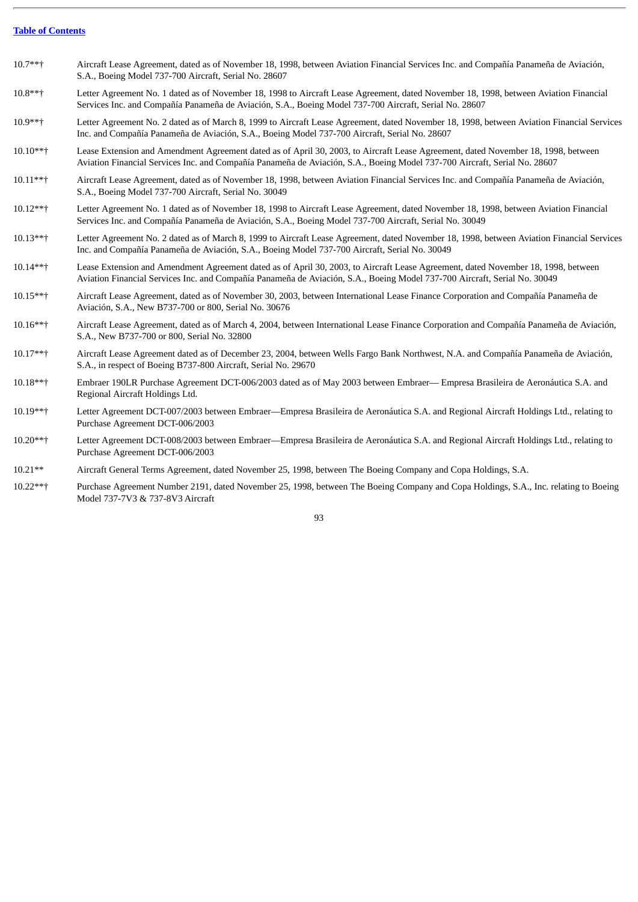| $10.7***$ | Aircraft Lease Agreement, dated as of November 18, 1998, between Aviation Financial Services Inc. and Compañía Panameña de Aviación, |
|-----------|--------------------------------------------------------------------------------------------------------------------------------------|
|           | S.A., Boeing Model 737-700 Aircraft, Serial No. 28607                                                                                |

- 10.8\*\*† Letter Agreement No. 1 dated as of November 18, 1998 to Aircraft Lease Agreement, dated November 18, 1998, between Aviation Financial Services Inc. and Compañía Panameña de Aviación, S.A., Boeing Model 737-700 Aircraft, Serial No. 28607
- 10.9\*\*† Letter Agreement No. 2 dated as of March 8, 1999 to Aircraft Lease Agreement, dated November 18, 1998, between Aviation Financial Services Inc. and Compañía Panameña de Aviación, S.A., Boeing Model 737-700 Aircraft, Serial No. 28607
- 10.10\*\*† Lease Extension and Amendment Agreement dated as of April 30, 2003, to Aircraft Lease Agreement, dated November 18, 1998, between Aviation Financial Services Inc. and Compañía Panameña de Aviación, S.A., Boeing Model 737-700 Aircraft, Serial No. 28607
- 10.11\*\*† Aircraft Lease Agreement, dated as of November 18, 1998, between Aviation Financial Services Inc. and Compañía Panameña de Aviación, S.A., Boeing Model 737-700 Aircraft, Serial No. 30049
- 10.12\*\*† Letter Agreement No. 1 dated as of November 18, 1998 to Aircraft Lease Agreement, dated November 18, 1998, between Aviation Financial Services Inc. and Compañía Panameña de Aviación, S.A., Boeing Model 737-700 Aircraft, Serial No. 30049
- 10.13\*\*† Letter Agreement No. 2 dated as of March 8, 1999 to Aircraft Lease Agreement, dated November 18, 1998, between Aviation Financial Services Inc. and Compañía Panameña de Aviación, S.A., Boeing Model 737-700 Aircraft, Serial No. 30049
- 10.14\*\*† Lease Extension and Amendment Agreement dated as of April 30, 2003, to Aircraft Lease Agreement, dated November 18, 1998, between Aviation Financial Services Inc. and Compañía Panameña de Aviación, S.A., Boeing Model 737-700 Aircraft, Serial No. 30049
- 10.15\*\*† Aircraft Lease Agreement, dated as of November 30, 2003, between International Lease Finance Corporation and Compañía Panameña de Aviación, S.A., New B737-700 or 800, Serial No. 30676
- 10.16\*\*† Aircraft Lease Agreement, dated as of March 4, 2004, between International Lease Finance Corporation and Compañía Panameña de Aviación, S.A., New B737-700 or 800, Serial No. 32800
- 10.17\*\*† Aircraft Lease Agreement dated as of December 23, 2004, between Wells Fargo Bank Northwest, N.A. and Compañía Panameña de Aviación, S.A., in respect of Boeing B737-800 Aircraft, Serial No. 29670
- 10.18\*\*† Embraer 190LR Purchase Agreement DCT-006/2003 dated as of May 2003 between Embraer— Empresa Brasileira de Aeronáutica S.A. and Regional Aircraft Holdings Ltd.
- 10.19\*\*† Letter Agreement DCT-007/2003 between Embraer—Empresa Brasileira de Aeronáutica S.A. and Regional Aircraft Holdings Ltd., relating to Purchase Agreement DCT-006/2003
- 10.20\*\*† Letter Agreement DCT-008/2003 between Embraer—Empresa Brasileira de Aeronáutica S.A. and Regional Aircraft Holdings Ltd., relating to Purchase Agreement DCT-006/2003
- 10.21\*\* Aircraft General Terms Agreement, dated November 25, 1998, between The Boeing Company and Copa Holdings, S.A.
- 10.22\*\*† Purchase Agreement Number 2191, dated November 25, 1998, between The Boeing Company and Copa Holdings, S.A., Inc. relating to Boeing Model 737-7V3 & 737-8V3 Aircraft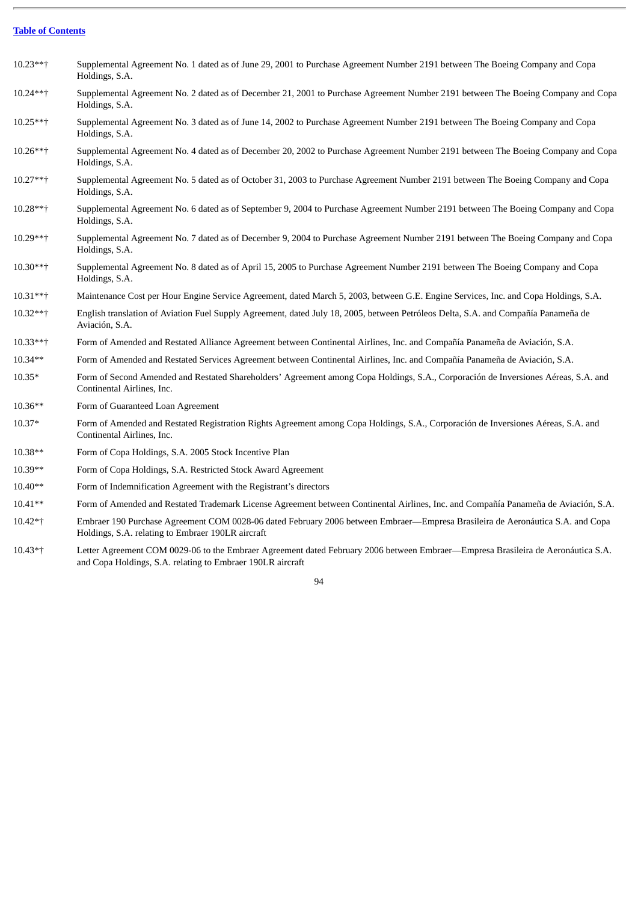| 10.23**†   | Supplemental Agreement No. 1 dated as of June 29, 2001 to Purchase Agreement Number 2191 between The Boeing Company and Copa<br>Holdings, S.A.                                      |
|------------|-------------------------------------------------------------------------------------------------------------------------------------------------------------------------------------|
| 10.24**†   | Supplemental Agreement No. 2 dated as of December 21, 2001 to Purchase Agreement Number 2191 between The Boeing Company and Copa<br>Holdings, S.A.                                  |
| 10.25**†   | Supplemental Agreement No. 3 dated as of June 14, 2002 to Purchase Agreement Number 2191 between The Boeing Company and Copa<br>Holdings, S.A.                                      |
| 10.26**†   | Supplemental Agreement No. 4 dated as of December 20, 2002 to Purchase Agreement Number 2191 between The Boeing Company and Copa<br>Holdings, S.A.                                  |
| 10.27**†   | Supplemental Agreement No. 5 dated as of October 31, 2003 to Purchase Agreement Number 2191 between The Boeing Company and Copa<br>Holdings, S.A.                                   |
| 10.28**+   | Supplemental Agreement No. 6 dated as of September 9, 2004 to Purchase Agreement Number 2191 between The Boeing Company and Copa<br>Holdings, S.A.                                  |
| 10.29**+   | Supplemental Agreement No. 7 dated as of December 9, 2004 to Purchase Agreement Number 2191 between The Boeing Company and Copa<br>Holdings, S.A.                                   |
| $10.30***$ | Supplemental Agreement No. 8 dated as of April 15, 2005 to Purchase Agreement Number 2191 between The Boeing Company and Copa<br>Holdings, S.A.                                     |
| $10.31***$ | Maintenance Cost per Hour Engine Service Agreement, dated March 5, 2003, between G.E. Engine Services, Inc. and Copa Holdings, S.A.                                                 |
| 10.32**†   | English translation of Aviation Fuel Supply Agreement, dated July 18, 2005, between Petróleos Delta, S.A. and Compañía Panameña de<br>Aviación, S.A.                                |
| $10.33***$ | Form of Amended and Restated Alliance Agreement between Continental Airlines, Inc. and Compañía Panameña de Aviación, S.A.                                                          |
| $10.34**$  | Form of Amended and Restated Services Agreement between Continental Airlines, Inc. and Compañía Panameña de Aviación, S.A.                                                          |
| $10.35*$   | Form of Second Amended and Restated Shareholders' Agreement among Copa Holdings, S.A., Corporación de Inversiones Aéreas, S.A. and<br>Continental Airlines, Inc.                    |
| $10.36**$  | Form of Guaranteed Loan Agreement                                                                                                                                                   |
| $10.37*$   | Form of Amended and Restated Registration Rights Agreement among Copa Holdings, S.A., Corporación de Inversiones Aéreas, S.A. and<br>Continental Airlines, Inc.                     |
| 10.38**    | Form of Copa Holdings, S.A. 2005 Stock Incentive Plan                                                                                                                               |
| $10.39**$  | Form of Copa Holdings, S.A. Restricted Stock Award Agreement                                                                                                                        |
| $10.40**$  | Form of Indemnification Agreement with the Registrant's directors                                                                                                                   |
| $10.41**$  | Form of Amended and Restated Trademark License Agreement between Continental Airlines, Inc. and Compañía Panameña de Aviación, S.A.                                                 |
| $10.42*$ † | Embraer 190 Purchase Agreement COM 0028-06 dated February 2006 between Embraer—Empresa Brasileira de Aeronáutica S.A. and Copa<br>Holdings, S.A. relating to Embraer 190LR aircraft |

10.43\*† Letter Agreement COM 0029-06 to the Embraer Agreement dated February 2006 between Embraer—Empresa Brasileira de Aeronáutica S.A. and Copa Holdings, S.A. relating to Embraer 190LR aircraft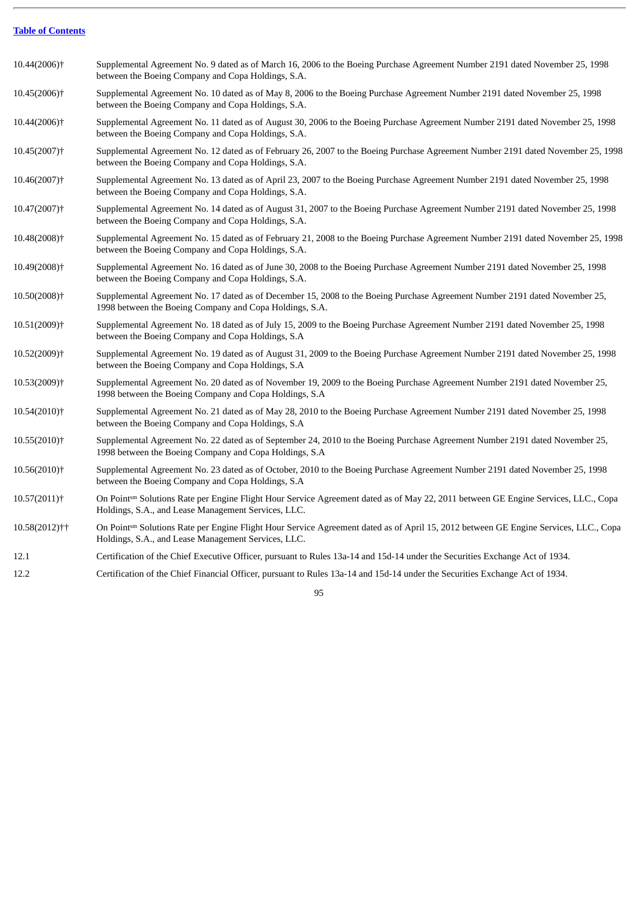| 10.44(2006) <sup>†</sup> | Supplemental Agreement No. 9 dated as of March 16, 2006 to the Boeing Purchase Agreement Number 2191 dated November 25, 1998<br>between the Boeing Company and Copa Holdings, S.A.          |
|--------------------------|---------------------------------------------------------------------------------------------------------------------------------------------------------------------------------------------|
| 10.45(2006) <sup>†</sup> | Supplemental Agreement No. 10 dated as of May 8, 2006 to the Boeing Purchase Agreement Number 2191 dated November 25, 1998<br>between the Boeing Company and Copa Holdings, S.A.            |
| 10.44(2006) <sup>†</sup> | Supplemental Agreement No. 11 dated as of August 30, 2006 to the Boeing Purchase Agreement Number 2191 dated November 25, 1998<br>between the Boeing Company and Copa Holdings, S.A.        |
| 10.45(2007) <sup>+</sup> | Supplemental Agreement No. 12 dated as of February 26, 2007 to the Boeing Purchase Agreement Number 2191 dated November 25, 1998<br>between the Boeing Company and Copa Holdings, S.A.      |
| 10.46(2007) <sup>†</sup> | Supplemental Agreement No. 13 dated as of April 23, 2007 to the Boeing Purchase Agreement Number 2191 dated November 25, 1998<br>between the Boeing Company and Copa Holdings, S.A.         |
| 10.47(2007) <sup>†</sup> | Supplemental Agreement No. 14 dated as of August 31, 2007 to the Boeing Purchase Agreement Number 2191 dated November 25, 1998<br>between the Boeing Company and Copa Holdings, S.A.        |
| 10.48(2008) <sup>†</sup> | Supplemental Agreement No. 15 dated as of February 21, 2008 to the Boeing Purchase Agreement Number 2191 dated November 25, 1998<br>between the Boeing Company and Copa Holdings, S.A.      |
| 10.49(2008) <sup>†</sup> | Supplemental Agreement No. 16 dated as of June 30, 2008 to the Boeing Purchase Agreement Number 2191 dated November 25, 1998<br>between the Boeing Company and Copa Holdings, S.A.          |
| 10.50(2008) <sup>†</sup> | Supplemental Agreement No. 17 dated as of December 15, 2008 to the Boeing Purchase Agreement Number 2191 dated November 25,<br>1998 between the Boeing Company and Copa Holdings, S.A.      |
| 10.51(2009) <sup>†</sup> | Supplemental Agreement No. 18 dated as of July 15, 2009 to the Boeing Purchase Agreement Number 2191 dated November 25, 1998<br>between the Boeing Company and Copa Holdings, S.A           |
| 10.52(2009) <sup>†</sup> | Supplemental Agreement No. 19 dated as of August 31, 2009 to the Boeing Purchase Agreement Number 2191 dated November 25, 1998<br>between the Boeing Company and Copa Holdings, S.A         |
| 10.53(2009) <sup>†</sup> | Supplemental Agreement No. 20 dated as of November 19, 2009 to the Boeing Purchase Agreement Number 2191 dated November 25,<br>1998 between the Boeing Company and Copa Holdings, S.A       |
| 10.54(2010) <sup>†</sup> | Supplemental Agreement No. 21 dated as of May 28, 2010 to the Boeing Purchase Agreement Number 2191 dated November 25, 1998<br>between the Boeing Company and Copa Holdings, S.A            |
| 10.55(2010)+             | Supplemental Agreement No. 22 dated as of September 24, 2010 to the Boeing Purchase Agreement Number 2191 dated November 25,<br>1998 between the Boeing Company and Copa Holdings, S.A      |
| 10.56(2010)+             | Supplemental Agreement No. 23 dated as of October, 2010 to the Boeing Purchase Agreement Number 2191 dated November 25, 1998<br>between the Boeing Company and Copa Holdings, S.A           |
| 10.57(2011) <sup>†</sup> | On Pointsm Solutions Rate per Engine Flight Hour Service Agreement dated as of May 22, 2011 between GE Engine Services, LLC., Copa<br>Holdings, S.A., and Lease Management Services, LLC.   |
| 10.58(2012)††            | On Pointsm Solutions Rate per Engine Flight Hour Service Agreement dated as of April 15, 2012 between GE Engine Services, LLC., Copa<br>Holdings, S.A., and Lease Management Services, LLC. |
| 12.1                     | Certification of the Chief Executive Officer, pursuant to Rules 13a-14 and 15d-14 under the Securities Exchange Act of 1934.                                                                |

12.2 Certification of the Chief Financial Officer, pursuant to Rules 13a-14 and 15d-14 under the Securities Exchange Act of 1934.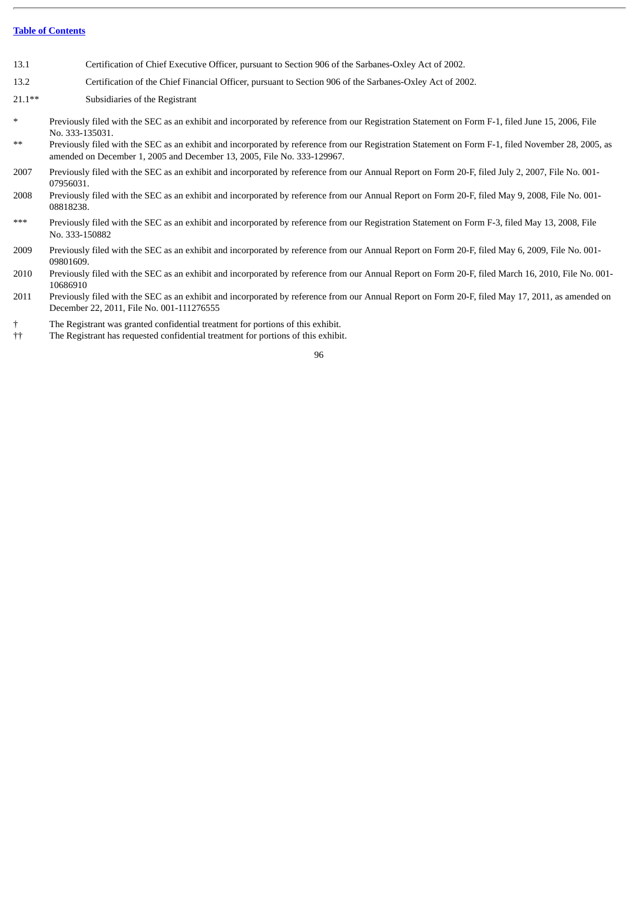- 13.1 Certification of Chief Executive Officer, pursuant to Section 906 of the Sarbanes-Oxley Act of 2002.
- 13.2 Certification of the Chief Financial Officer, pursuant to Section 906 of the Sarbanes-Oxley Act of 2002.
- 21.1\*\* Subsidiaries of the Registrant
- Previously filed with the SEC as an exhibit and incorporated by reference from our Registration Statement on Form F-1, filed June 15, 2006, File No. 333-135031.
- \*\* Previously filed with the SEC as an exhibit and incorporated by reference from our Registration Statement on Form F-1, filed November 28, 2005, as amended on December 1, 2005 and December 13, 2005, File No. 333-129967.
- 2007 Previously filed with the SEC as an exhibit and incorporated by reference from our Annual Report on Form 20-F, filed July 2, 2007, File No. 001- 07956031.
- 2008 Previously filed with the SEC as an exhibit and incorporated by reference from our Annual Report on Form 20-F, filed May 9, 2008, File No. 001- 08818238.
- \*\*\* Previously filed with the SEC as an exhibit and incorporated by reference from our Registration Statement on Form F-3, filed May 13, 2008, File No. 333-150882
- 2009 Previously filed with the SEC as an exhibit and incorporated by reference from our Annual Report on Form 20-F, filed May 6, 2009, File No. 001- 09801609.
- 2010 Previously filed with the SEC as an exhibit and incorporated by reference from our Annual Report on Form 20-F, filed March 16, 2010, File No. 001- 10686910
- 2011 Previously filed with the SEC as an exhibit and incorporated by reference from our Annual Report on Form 20-F, filed May 17, 2011, as amended on December 22, 2011, File No. 001-111276555
- † The Registrant was granted confidential treatment for portions of this exhibit.
- †† The Registrant has requested confidential treatment for portions of this exhibit.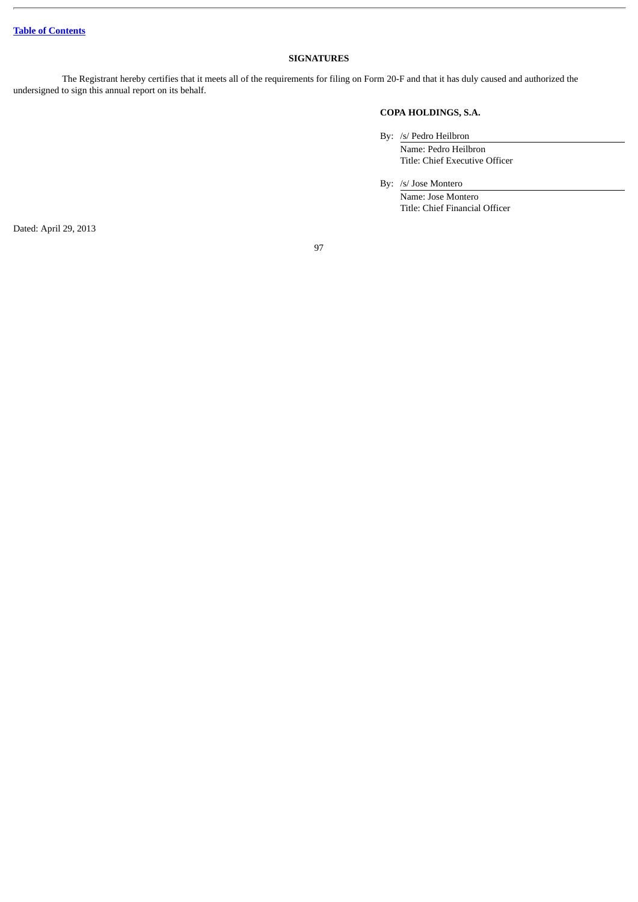# **SIGNATURES**

The Registrant hereby certifies that it meets all of the requirements for filing on Form 20-F and that it has duly caused and authorized the undersigned to sign this annual report on its behalf.

# **COPA HOLDINGS, S.A.**

By: /s/ Pedro Heilbron

Name: Pedro Heilbron Title: Chief Executive Officer

By: /s/ Jose Montero Name: Jose Montero Title: Chief Financial Officer

Dated: April 29, 2013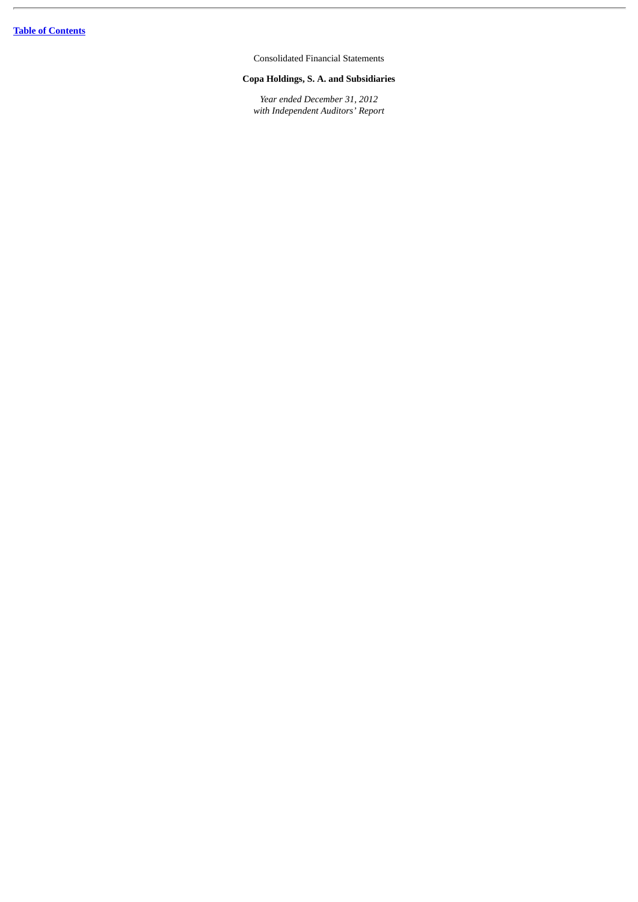Consolidated Financial Statements

# **Copa Holdings, S. A. and Subsidiaries**

*Year ended December 31, 2012 with Independent Auditors' Report*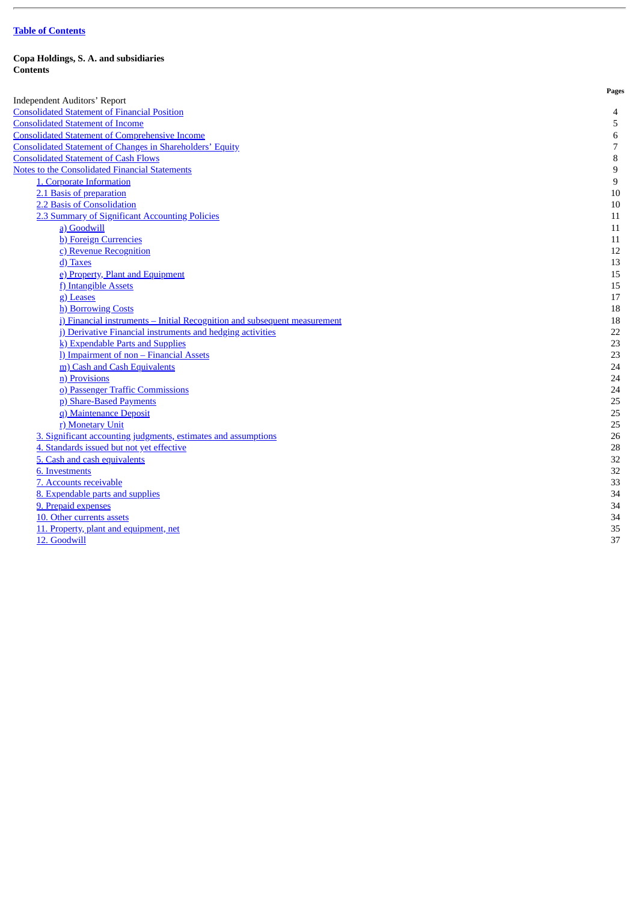#### **Copa Holdings, S. A. and subsidiaries Contents**

|                                                                                            | Pages            |
|--------------------------------------------------------------------------------------------|------------------|
| <b>Independent Auditors' Report</b><br><b>Consolidated Statement of Financial Position</b> |                  |
| <b>Consolidated Statement of Income</b>                                                    | 4                |
| <b>Consolidated Statement of Comprehensive Income</b>                                      | 5<br>$\,6\,$     |
| <b>Consolidated Statement of Changes in Shareholders' Equity</b>                           | $\boldsymbol{7}$ |
| <b>Consolidated Statement of Cash Flows</b>                                                | $\, 8$           |
| <b>Notes to the Consolidated Financial Statements</b>                                      | $\boldsymbol{9}$ |
| 1. Corporate Information                                                                   | $\boldsymbol{9}$ |
| 2.1 Basis of preparation                                                                   | 10               |
| 2.2 Basis of Consolidation                                                                 | 10               |
| 2.3 Summary of Significant Accounting Policies                                             | 11               |
| a) Goodwill                                                                                | 11               |
| b) Foreign Currencies                                                                      | 11               |
| c) Revenue Recognition                                                                     | 12               |
| d) Taxes                                                                                   | 13               |
| e) Property, Plant and Equipment                                                           | 15               |
| f) Intangible Assets                                                                       | 15               |
| g) Leases                                                                                  | 17               |
| h) Borrowing Costs                                                                         | 18               |
| i) Financial instruments - Initial Recognition and subsequent measurement                  | 18               |
| j) Derivative Financial instruments and hedging activities                                 | 22               |
| k) Expendable Parts and Supplies                                                           | 23               |
| 1) Impairment of non - Financial Assets                                                    | 23               |
| m) Cash and Cash Equivalents                                                               | 24               |
| n) Provisions                                                                              | 24               |
| o) Passenger Traffic Commissions                                                           | 24               |
| p) Share-Based Payments                                                                    | 25               |
| g) Maintenance Deposit                                                                     | 25               |
| r) Monetary Unit                                                                           | 25               |
| 3. Significant accounting judgments, estimates and assumptions                             | 26               |
| 4. Standards issued but not yet effective                                                  | 28               |
| 5. Cash and cash equivalents                                                               | 32               |
| 6. Investments                                                                             | 32               |
| 7. Accounts receivable                                                                     | 33               |
| 8. Expendable parts and supplies                                                           | 34               |
| 9. Prepaid expenses                                                                        | 34               |
| 10. Other currents assets                                                                  | 34               |
| 11. Property, plant and equipment, net                                                     | 35               |
| 12. Goodwill                                                                               | 37               |
|                                                                                            |                  |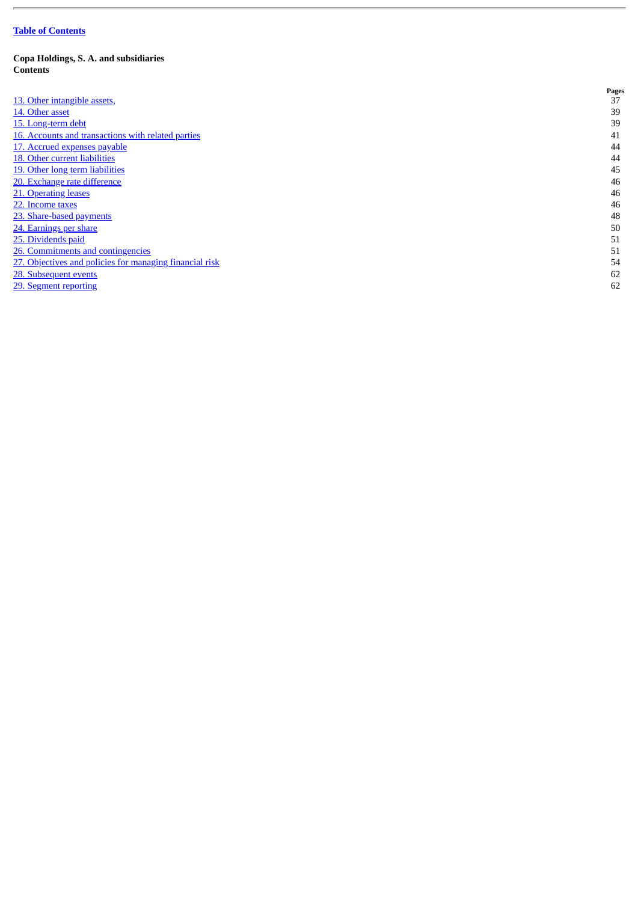l,

# **Copa Holdings, S. A. and subsidiaries Contents**

|                                                         | Pages |
|---------------------------------------------------------|-------|
| 13. Other intangible assets,                            | 37    |
| 14. Other asset                                         | 39    |
| 15. Long-term debt                                      | 39    |
| 16. Accounts and transactions with related parties      | 41    |
| 17. Accrued expenses payable                            | 44    |
| 18. Other current liabilities                           | 44    |
| 19. Other long term liabilities                         | 45    |
| 20. Exchange rate difference                            | 46    |
| 21. Operating leases                                    | 46    |
| 22. Income taxes                                        | 46    |
| 23. Share-based payments                                | 48    |
| 24. Earnings per share                                  | 50    |
| 25. Dividends paid                                      | 51    |
| 26. Commitments and contingencies                       | 51    |
| 27. Objectives and policies for managing financial risk | 54    |
| 28. Subsequent events                                   | 62    |
| 29. Segment reporting                                   | 62    |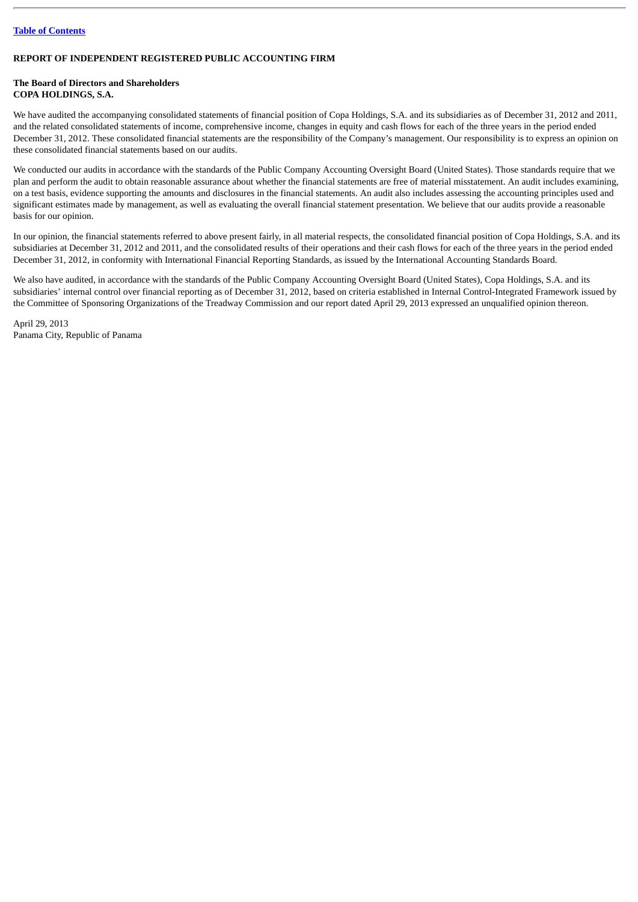# **REPORT OF INDEPENDENT REGISTERED PUBLIC ACCOUNTING FIRM**

# **The Board of Directors and Shareholders COPA HOLDINGS, S.A.**

We have audited the accompanying consolidated statements of financial position of Copa Holdings, S.A. and its subsidiaries as of December 31, 2012 and 2011, and the related consolidated statements of income, comprehensive income, changes in equity and cash flows for each of the three years in the period ended December 31, 2012. These consolidated financial statements are the responsibility of the Company's management. Our responsibility is to express an opinion on these consolidated financial statements based on our audits.

We conducted our audits in accordance with the standards of the Public Company Accounting Oversight Board (United States). Those standards require that we plan and perform the audit to obtain reasonable assurance about whether the financial statements are free of material misstatement. An audit includes examining, on a test basis, evidence supporting the amounts and disclosures in the financial statements. An audit also includes assessing the accounting principles used and significant estimates made by management, as well as evaluating the overall financial statement presentation. We believe that our audits provide a reasonable basis for our opinion.

In our opinion, the financial statements referred to above present fairly, in all material respects, the consolidated financial position of Copa Holdings, S.A. and its subsidiaries at December 31, 2012 and 2011, and the consolidated results of their operations and their cash flows for each of the three years in the period ended December 31, 2012, in conformity with International Financial Reporting Standards, as issued by the International Accounting Standards Board.

We also have audited, in accordance with the standards of the Public Company Accounting Oversight Board (United States), Copa Holdings, S.A. and its subsidiaries' internal control over financial reporting as of December 31, 2012, based on criteria established in Internal Control-Integrated Framework issued by the Committee of Sponsoring Organizations of the Treadway Commission and our report dated April 29, 2013 expressed an unqualified opinion thereon.

April 29, 2013 Panama City, Republic of Panama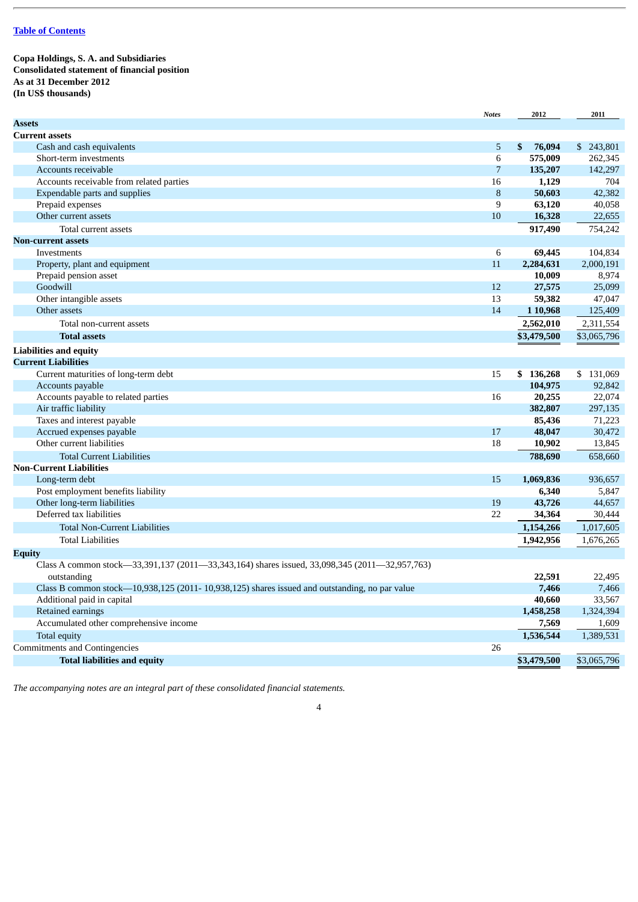# <span id="page-106-0"></span>**Copa Holdings, S. A. and Subsidiaries Consolidated statement of financial position As at 31 December 2012 (In US\$ thousands)**

|                                                                                                              | <b>Notes</b>   | 2012            | 2011        |
|--------------------------------------------------------------------------------------------------------------|----------------|-----------------|-------------|
| <b>Assets</b>                                                                                                |                |                 |             |
| <b>Current assets</b>                                                                                        |                |                 |             |
| Cash and cash equivalents                                                                                    | 5              | \$<br>76,094    | \$243,801   |
| Short-term investments                                                                                       | 6              | 575,009         | 262,345     |
| Accounts receivable                                                                                          | $\overline{7}$ | 135,207         | 142,297     |
| Accounts receivable from related parties                                                                     | 16             | 1,129           | 704         |
| Expendable parts and supplies                                                                                | 8              | 50,603          | 42,382      |
| Prepaid expenses                                                                                             | 9              | 63,120          | 40,058      |
| Other current assets                                                                                         | 10             | 16,328          | 22,655      |
| Total current assets                                                                                         |                | 917,490         | 754,242     |
| <b>Non-current assets</b>                                                                                    |                |                 |             |
| Investments                                                                                                  | 6              | 69,445          | 104,834     |
| Property, plant and equipment                                                                                | 11             | 2,284,631       | 2,000,191   |
| Prepaid pension asset                                                                                        |                | 10,009          | 8,974       |
| Goodwill                                                                                                     | 12             | 27,575          | 25,099      |
| Other intangible assets                                                                                      | 13             | 59,382          | 47,047      |
| Other assets                                                                                                 | 14             | 1 10,968        | 125,409     |
| Total non-current assets                                                                                     |                | 2,562,010       | 2,311,554   |
| <b>Total assets</b>                                                                                          |                | \$3,479,500     | \$3,065,796 |
| <b>Liabilities and equity</b>                                                                                |                |                 |             |
| <b>Current Liabilities</b>                                                                                   |                |                 |             |
| Current maturities of long-term debt                                                                         | 15             | \$136,268       | \$131,069   |
| Accounts payable                                                                                             |                | 104,975         | 92,842      |
| Accounts payable to related parties                                                                          | 16             | 20,255          | 22,074      |
| Air traffic liability                                                                                        |                | 382,807         | 297,135     |
| Taxes and interest payable                                                                                   |                | 85,436          | 71,223      |
| Accrued expenses payable                                                                                     | 17             | 48,047          | 30,472      |
| Other current liabilities                                                                                    | 18             | 10,902          | 13,845      |
| <b>Total Current Liabilities</b>                                                                             |                | 788,690         | 658,660     |
| <b>Non-Current Liabilities</b>                                                                               |                |                 |             |
| Long-term debt                                                                                               | 15             | 1,069,836       | 936,657     |
| Post employment benefits liability                                                                           |                | 6,340           | 5,847       |
| Other long-term liabilities                                                                                  | 19             | 43,726          | 44,657      |
| Deferred tax liabilities                                                                                     | 22             | 34,364          | 30,444      |
| <b>Total Non-Current Liabilities</b>                                                                         |                | 1,154,266       | 1,017,605   |
| <b>Total Liabilities</b>                                                                                     |                | 1,942,956       | 1,676,265   |
|                                                                                                              |                |                 |             |
| Equity<br>Class A common stock-33,391,137 (2011-33,343,164) shares issued, 33,098,345 (2011-32,957,763)      |                |                 |             |
|                                                                                                              |                |                 | 22,495      |
| outstanding<br>Class B common stock-10,938,125 (2011-10,938,125) shares issued and outstanding, no par value |                | 22,591<br>7,466 | 7,466       |
| Additional paid in capital                                                                                   |                | 40,660          | 33,567      |
| Retained earnings                                                                                            |                | 1,458,258       | 1,324,394   |
| Accumulated other comprehensive income                                                                       |                | 7,569           | 1,609       |
|                                                                                                              |                |                 |             |
| Total equity<br><b>Commitments and Contingencies</b>                                                         |                | 1,536,544       | 1,389,531   |
|                                                                                                              | 26             |                 |             |
| <b>Total liabilities and equity</b>                                                                          |                | \$3,479,500     | \$3,065,796 |
|                                                                                                              |                |                 |             |

*The accompanying notes are an integral part of these consolidated financial statements.*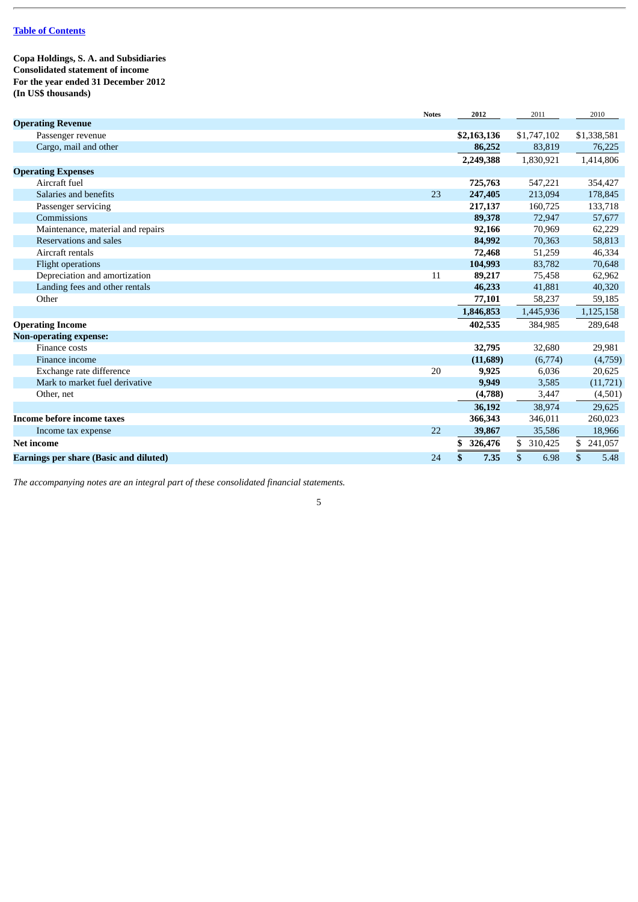<span id="page-107-0"></span>**Copa Holdings, S. A. and Subsidiaries Consolidated statement of income For the year ended 31 December 2012 (In US\$ thousands)**

|                                               | <b>Notes</b> | 2012          | 2011                 | 2010          |
|-----------------------------------------------|--------------|---------------|----------------------|---------------|
| <b>Operating Revenue</b>                      |              |               |                      |               |
| Passenger revenue                             |              | \$2,163,136   | \$1,747,102          | \$1,338,581   |
| Cargo, mail and other                         |              | 86,252        | 83,819               | 76,225        |
|                                               |              | 2,249,388     | 1,830,921            | 1,414,806     |
| <b>Operating Expenses</b>                     |              |               |                      |               |
| Aircraft fuel                                 |              | 725,763       | 547,221              | 354,427       |
| Salaries and benefits                         | 23           | 247,405       | 213,094              | 178,845       |
| Passenger servicing                           |              | 217,137       | 160,725              | 133,718       |
| Commissions                                   |              | 89,378        | 72,947               | 57,677        |
| Maintenance, material and repairs             |              | 92,166        | 70,969               | 62,229        |
| Reservations and sales                        |              | 84,992        | 70,363               | 58,813        |
| Aircraft rentals                              |              | 72,468        | 51,259               | 46,334        |
| <b>Flight operations</b>                      |              | 104,993       | 83,782               | 70,648        |
| Depreciation and amortization                 | 11           | 89,217        | 75,458               | 62,962        |
| Landing fees and other rentals                |              | 46,233        | 41,881               | 40,320        |
| Other                                         |              | 77,101        | 58,237               | 59,185        |
|                                               |              | 1,846,853     | 1,445,936            | 1,125,158     |
| <b>Operating Income</b>                       |              | 402,535       | 384,985              | 289,648       |
| <b>Non-operating expense:</b>                 |              |               |                      |               |
| Finance costs                                 |              | 32,795        | 32,680               | 29,981        |
| Finance income                                |              | (11,689)      | (6,774)              | (4,759)       |
| Exchange rate difference                      | 20           | 9,925         | 6,036                | 20,625        |
| Mark to market fuel derivative                |              | 9,949         | 3,585                | (11, 721)     |
| Other, net                                    |              | (4,788)       | 3,447                | (4,501)       |
|                                               |              | 36,192        | 38,974               | 29,625        |
| Income before income taxes                    |              | 366,343       | 346,011              | 260,023       |
| Income tax expense                            | 22           | 39,867        | 35,586               | 18,966        |
| <b>Net income</b>                             |              | 326,476<br>\$ | 310,425<br>\$        | \$<br>241,057 |
| <b>Earnings per share (Basic and diluted)</b> | 24           | 7.35<br>\$    | $\mathbb{S}$<br>6.98 | \$<br>5.48    |

*The accompanying notes are an integral part of these consolidated financial statements.*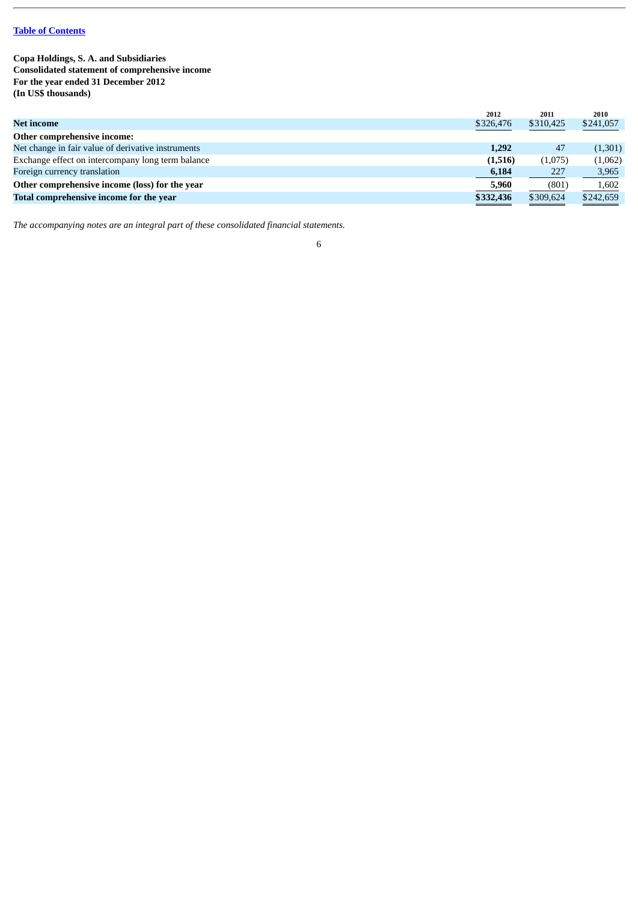**Copa Holdings, S. A. and Subsidiaries Consolidated statement of comprehensive income For the year ended 31 December 2012 (In US\$ thousands)**

|                                                    | 2012      | 2011      | 2010      |
|----------------------------------------------------|-----------|-----------|-----------|
| Net income                                         | \$326,476 | \$310,425 | \$241,057 |
| Other comprehensive income:                        |           |           |           |
| Net change in fair value of derivative instruments | 1,292     | 47        | (1,301)   |
| Exchange effect on intercompany long term balance  | (1,516)   | (1,075)   | (1,062)   |
| Foreign currency translation                       | 6,184     | 227       | 3,965     |
| Other comprehensive income (loss) for the year     | 5,960     | (801)     | 1,602     |
| Total comprehensive income for the year            | \$332,436 | \$309,624 | \$242,659 |
|                                                    |           |           |           |

*The accompanying notes are an integral part of these consolidated financial statements.*

| ×             |  |
|---------------|--|
| I             |  |
| ۰.<br>×<br>۰. |  |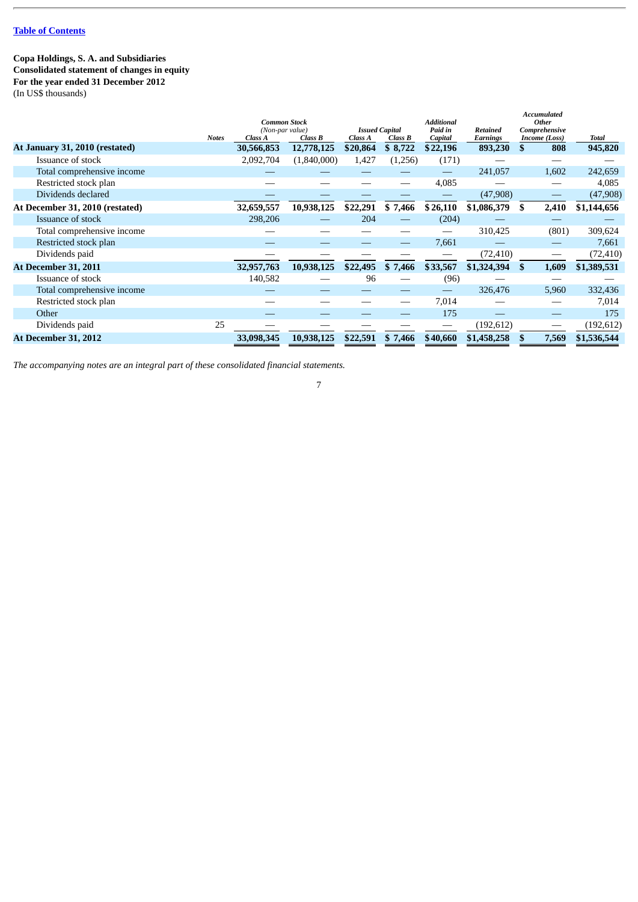**Copa Holdings, S. A. and Subsidiaries Consolidated statement of changes in equity For the year ended 31 December 2012** (In US\$ thousands)

|                                 |              | <b>Common Stock</b>        |             |                                  |         | <b>Additional</b>  |                             | <b>Accumulated</b><br>Other    |              |
|---------------------------------|--------------|----------------------------|-------------|----------------------------------|---------|--------------------|-----------------------------|--------------------------------|--------------|
|                                 | <b>Notes</b> | (Non-par value)<br>Class A | Class B     | <b>Issued Capital</b><br>Class A | Class B | Paid in<br>Capital | <b>Retained</b><br>Earnings | Comprehensive<br>Income (Loss) | <b>Total</b> |
| At January 31, 2010 (restated)  |              | 30,566,853                 | 12,778,125  | \$20,864                         | \$8,722 | \$22,196           | 893,230                     | 808                            | 945,820      |
| Issuance of stock               |              | 2,092,704                  | (1,840,000) | 1,427                            | (1,256) | (171)              |                             |                                |              |
| Total comprehensive income      |              |                            |             |                                  |         |                    | 241,057                     | 1,602                          | 242,659      |
| Restricted stock plan           |              |                            |             |                                  |         | 4,085              |                             |                                | 4,085        |
| Dividends declared              |              |                            |             |                                  |         |                    | (47,908)                    |                                | (47,908)     |
| At December 31, 2010 (restated) |              | 32,659,557                 | 10,938,125  | \$22,291                         | \$7,466 | \$26,110           | \$1,086,379                 | 2,410<br>S                     | \$1,144,656  |
| Issuance of stock               |              | 298,206                    |             | 204                              |         | (204)              |                             |                                |              |
| Total comprehensive income      |              |                            |             |                                  |         |                    | 310,425                     | (801)                          | 309,624      |
| Restricted stock plan           |              |                            |             |                                  |         | 7,661              |                             |                                | 7,661        |
| Dividends paid                  |              |                            |             |                                  |         |                    | (72, 410)                   |                                | (72, 410)    |
| <b>At December 31, 2011</b>     |              | 32,957,763                 | 10,938,125  | \$22,495                         | \$7,466 | \$33,567           | \$1,324,394                 | 1,609<br>-S                    | \$1,389,531  |
| Issuance of stock               |              | 140,582                    |             | 96                               |         | (96)               |                             |                                |              |
| Total comprehensive income      |              |                            |             |                                  |         |                    | 326,476                     | 5,960                          | 332,436      |
| Restricted stock plan           |              |                            |             |                                  |         | 7,014              |                             |                                | 7,014        |
| Other                           |              |                            |             |                                  |         | 175                |                             |                                | 175          |
| Dividends paid                  | 25           |                            |             |                                  |         |                    | (192,612)                   |                                | (192, 612)   |
| At December 31, 2012            |              | 33,098,345                 | 10,938,125  | \$22,591                         | \$7,466 | \$40,660           | \$1,458,258                 | 7,569                          | \$1,536,544  |

*The accompanying notes are an integral part of these consolidated financial statements.*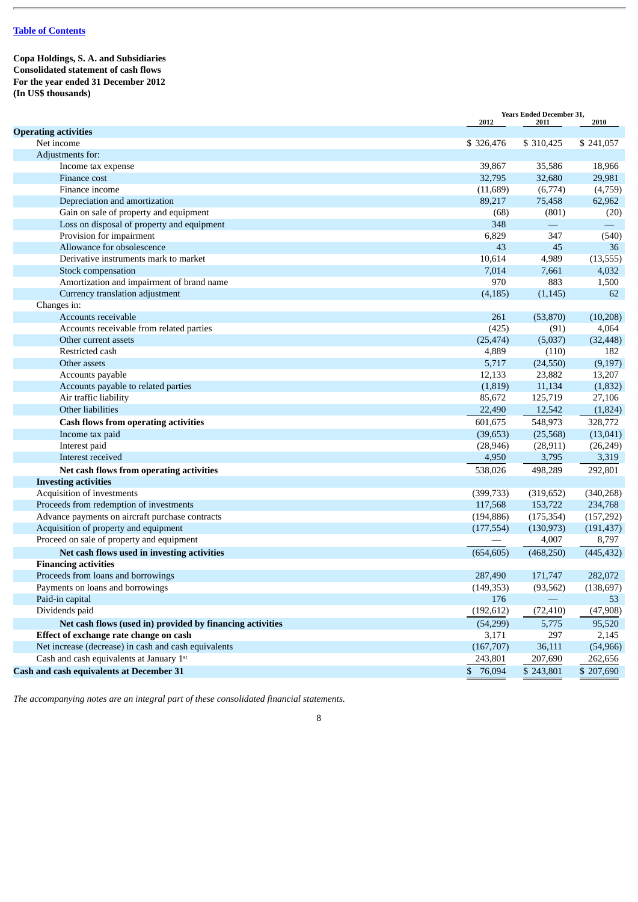**Copa Holdings, S. A. and Subsidiaries Consolidated statement of cash flows For the year ended 31 December 2012 (In US\$ thousands)**

| <b>Operating activities</b><br>\$326,476<br>\$ 310,425<br>Net income<br>\$241,057<br>Adjustments for:<br>39,867<br>18,966<br>35,586<br>Income tax expense<br>32,795<br>32,680<br>29,981<br>Finance cost<br>Finance income<br>(11, 689)<br>(6,774)<br>(4,759)<br>62,962<br>Depreciation and amortization<br>89,217<br>75,458<br>Gain on sale of property and equipment<br>(801)<br>(68)<br>(20)<br>Loss on disposal of property and equipment<br>348<br>$\overline{\phantom{0}}$<br>Provision for impairment<br>6,829<br>347<br>(540)<br>Allowance for obsolescence<br>43<br>45<br>36<br>Derivative instruments mark to market<br>10,614<br>4,989<br>(13, 555)<br>7,014<br>7,661<br>4,032<br>Stock compensation<br>Amortization and impairment of brand name<br>970<br>883<br>1,500<br>62<br>Currency translation adjustment<br>(4, 185)<br>(1, 145)<br>Changes in:<br>261<br>Accounts receivable<br>(53, 870)<br>(10,208)<br>(425)<br>4,064<br>Accounts receivable from related parties<br>(91)<br>(32, 448)<br>Other current assets<br>(25, 474)<br>(5,037)<br>Restricted cash<br>182<br>4,889<br>(110)<br>Other assets<br>5,717<br>(24, 550)<br>(9, 197)<br>12,133<br>23,882<br>13,207<br>Accounts payable<br>Accounts payable to related parties<br>(1,819)<br>11,134<br>(1,832)<br>125,719<br>Air traffic liability<br>85,672<br>27,106<br>Other liabilities<br>12,542<br>22,490<br>(1,824)<br><b>Cash flows from operating activities</b><br>601,675<br>548,973<br>328,772<br>(25, 568)<br>(13,041)<br>Income tax paid<br>(39, 653)<br>Interest paid<br>(28, 946)<br>(28, 911)<br>(26, 249)<br>4,950<br>3,795<br>3,319<br>Interest received<br>498,289<br>538,026<br>292,801<br>Net cash flows from operating activities<br><b>Investing activities</b><br>Acquisition of investments<br>(399, 733)<br>(319, 652)<br>(340, 268)<br>Proceeds from redemption of investments<br>117,568<br>153,722<br>234,768<br>Advance payments on aircraft purchase contracts<br>(194, 886)<br>(175, 354)<br>(157, 292)<br>Acquisition of property and equipment<br>(177, 554)<br>(130, 973)<br>(191, 437)<br>Proceed on sale of property and equipment<br>4,007<br>8,797<br>Net cash flows used in investing activities<br>(445, 432)<br>(654, 605)<br>(468, 250)<br><b>Financing activities</b><br>Proceeds from loans and borrowings<br>287,490<br>171,747<br>282,072<br>Payments on loans and borrowings<br>(149, 353)<br>(93, 562)<br>(138, 697)<br>Paid-in capital<br>176<br>53<br>Dividends paid<br>(192, 612)<br>(72, 410)<br>(47,908)<br>Net cash flows (used in) provided by financing activities<br>(54,299)<br>5,775<br>95,520<br>Effect of exchange rate change on cash<br>3,171<br>297<br>2,145<br>Net increase (decrease) in cash and cash equivalents<br>(167, 707)<br>36,111<br>(54, 966)<br>Cash and cash equivalents at January 1st<br>243,801<br>207,690<br>262,656 |                                                 |              | <b>Years Ended December 31,</b> |           |
|-------------------------------------------------------------------------------------------------------------------------------------------------------------------------------------------------------------------------------------------------------------------------------------------------------------------------------------------------------------------------------------------------------------------------------------------------------------------------------------------------------------------------------------------------------------------------------------------------------------------------------------------------------------------------------------------------------------------------------------------------------------------------------------------------------------------------------------------------------------------------------------------------------------------------------------------------------------------------------------------------------------------------------------------------------------------------------------------------------------------------------------------------------------------------------------------------------------------------------------------------------------------------------------------------------------------------------------------------------------------------------------------------------------------------------------------------------------------------------------------------------------------------------------------------------------------------------------------------------------------------------------------------------------------------------------------------------------------------------------------------------------------------------------------------------------------------------------------------------------------------------------------------------------------------------------------------------------------------------------------------------------------------------------------------------------------------------------------------------------------------------------------------------------------------------------------------------------------------------------------------------------------------------------------------------------------------------------------------------------------------------------------------------------------------------------------------------------------------------------------------------------------------------------------------------------------------------------------------------------------------------------------------------------------------------------------------------------------------------------------------------------------------------------------------------------------------------------------------------------------------------|-------------------------------------------------|--------------|---------------------------------|-----------|
|                                                                                                                                                                                                                                                                                                                                                                                                                                                                                                                                                                                                                                                                                                                                                                                                                                                                                                                                                                                                                                                                                                                                                                                                                                                                                                                                                                                                                                                                                                                                                                                                                                                                                                                                                                                                                                                                                                                                                                                                                                                                                                                                                                                                                                                                                                                                                                                                                                                                                                                                                                                                                                                                                                                                                                                                                                                                               |                                                 | 2012         | 2011                            | 2010      |
|                                                                                                                                                                                                                                                                                                                                                                                                                                                                                                                                                                                                                                                                                                                                                                                                                                                                                                                                                                                                                                                                                                                                                                                                                                                                                                                                                                                                                                                                                                                                                                                                                                                                                                                                                                                                                                                                                                                                                                                                                                                                                                                                                                                                                                                                                                                                                                                                                                                                                                                                                                                                                                                                                                                                                                                                                                                                               |                                                 |              |                                 |           |
|                                                                                                                                                                                                                                                                                                                                                                                                                                                                                                                                                                                                                                                                                                                                                                                                                                                                                                                                                                                                                                                                                                                                                                                                                                                                                                                                                                                                                                                                                                                                                                                                                                                                                                                                                                                                                                                                                                                                                                                                                                                                                                                                                                                                                                                                                                                                                                                                                                                                                                                                                                                                                                                                                                                                                                                                                                                                               |                                                 |              |                                 |           |
|                                                                                                                                                                                                                                                                                                                                                                                                                                                                                                                                                                                                                                                                                                                                                                                                                                                                                                                                                                                                                                                                                                                                                                                                                                                                                                                                                                                                                                                                                                                                                                                                                                                                                                                                                                                                                                                                                                                                                                                                                                                                                                                                                                                                                                                                                                                                                                                                                                                                                                                                                                                                                                                                                                                                                                                                                                                                               |                                                 |              |                                 |           |
|                                                                                                                                                                                                                                                                                                                                                                                                                                                                                                                                                                                                                                                                                                                                                                                                                                                                                                                                                                                                                                                                                                                                                                                                                                                                                                                                                                                                                                                                                                                                                                                                                                                                                                                                                                                                                                                                                                                                                                                                                                                                                                                                                                                                                                                                                                                                                                                                                                                                                                                                                                                                                                                                                                                                                                                                                                                                               |                                                 |              |                                 |           |
|                                                                                                                                                                                                                                                                                                                                                                                                                                                                                                                                                                                                                                                                                                                                                                                                                                                                                                                                                                                                                                                                                                                                                                                                                                                                                                                                                                                                                                                                                                                                                                                                                                                                                                                                                                                                                                                                                                                                                                                                                                                                                                                                                                                                                                                                                                                                                                                                                                                                                                                                                                                                                                                                                                                                                                                                                                                                               |                                                 |              |                                 |           |
|                                                                                                                                                                                                                                                                                                                                                                                                                                                                                                                                                                                                                                                                                                                                                                                                                                                                                                                                                                                                                                                                                                                                                                                                                                                                                                                                                                                                                                                                                                                                                                                                                                                                                                                                                                                                                                                                                                                                                                                                                                                                                                                                                                                                                                                                                                                                                                                                                                                                                                                                                                                                                                                                                                                                                                                                                                                                               |                                                 |              |                                 |           |
|                                                                                                                                                                                                                                                                                                                                                                                                                                                                                                                                                                                                                                                                                                                                                                                                                                                                                                                                                                                                                                                                                                                                                                                                                                                                                                                                                                                                                                                                                                                                                                                                                                                                                                                                                                                                                                                                                                                                                                                                                                                                                                                                                                                                                                                                                                                                                                                                                                                                                                                                                                                                                                                                                                                                                                                                                                                                               |                                                 |              |                                 |           |
|                                                                                                                                                                                                                                                                                                                                                                                                                                                                                                                                                                                                                                                                                                                                                                                                                                                                                                                                                                                                                                                                                                                                                                                                                                                                                                                                                                                                                                                                                                                                                                                                                                                                                                                                                                                                                                                                                                                                                                                                                                                                                                                                                                                                                                                                                                                                                                                                                                                                                                                                                                                                                                                                                                                                                                                                                                                                               |                                                 |              |                                 |           |
|                                                                                                                                                                                                                                                                                                                                                                                                                                                                                                                                                                                                                                                                                                                                                                                                                                                                                                                                                                                                                                                                                                                                                                                                                                                                                                                                                                                                                                                                                                                                                                                                                                                                                                                                                                                                                                                                                                                                                                                                                                                                                                                                                                                                                                                                                                                                                                                                                                                                                                                                                                                                                                                                                                                                                                                                                                                                               |                                                 |              |                                 |           |
|                                                                                                                                                                                                                                                                                                                                                                                                                                                                                                                                                                                                                                                                                                                                                                                                                                                                                                                                                                                                                                                                                                                                                                                                                                                                                                                                                                                                                                                                                                                                                                                                                                                                                                                                                                                                                                                                                                                                                                                                                                                                                                                                                                                                                                                                                                                                                                                                                                                                                                                                                                                                                                                                                                                                                                                                                                                                               |                                                 |              |                                 |           |
|                                                                                                                                                                                                                                                                                                                                                                                                                                                                                                                                                                                                                                                                                                                                                                                                                                                                                                                                                                                                                                                                                                                                                                                                                                                                                                                                                                                                                                                                                                                                                                                                                                                                                                                                                                                                                                                                                                                                                                                                                                                                                                                                                                                                                                                                                                                                                                                                                                                                                                                                                                                                                                                                                                                                                                                                                                                                               |                                                 |              |                                 |           |
|                                                                                                                                                                                                                                                                                                                                                                                                                                                                                                                                                                                                                                                                                                                                                                                                                                                                                                                                                                                                                                                                                                                                                                                                                                                                                                                                                                                                                                                                                                                                                                                                                                                                                                                                                                                                                                                                                                                                                                                                                                                                                                                                                                                                                                                                                                                                                                                                                                                                                                                                                                                                                                                                                                                                                                                                                                                                               |                                                 |              |                                 |           |
|                                                                                                                                                                                                                                                                                                                                                                                                                                                                                                                                                                                                                                                                                                                                                                                                                                                                                                                                                                                                                                                                                                                                                                                                                                                                                                                                                                                                                                                                                                                                                                                                                                                                                                                                                                                                                                                                                                                                                                                                                                                                                                                                                                                                                                                                                                                                                                                                                                                                                                                                                                                                                                                                                                                                                                                                                                                                               |                                                 |              |                                 |           |
|                                                                                                                                                                                                                                                                                                                                                                                                                                                                                                                                                                                                                                                                                                                                                                                                                                                                                                                                                                                                                                                                                                                                                                                                                                                                                                                                                                                                                                                                                                                                                                                                                                                                                                                                                                                                                                                                                                                                                                                                                                                                                                                                                                                                                                                                                                                                                                                                                                                                                                                                                                                                                                                                                                                                                                                                                                                                               |                                                 |              |                                 |           |
|                                                                                                                                                                                                                                                                                                                                                                                                                                                                                                                                                                                                                                                                                                                                                                                                                                                                                                                                                                                                                                                                                                                                                                                                                                                                                                                                                                                                                                                                                                                                                                                                                                                                                                                                                                                                                                                                                                                                                                                                                                                                                                                                                                                                                                                                                                                                                                                                                                                                                                                                                                                                                                                                                                                                                                                                                                                                               |                                                 |              |                                 |           |
|                                                                                                                                                                                                                                                                                                                                                                                                                                                                                                                                                                                                                                                                                                                                                                                                                                                                                                                                                                                                                                                                                                                                                                                                                                                                                                                                                                                                                                                                                                                                                                                                                                                                                                                                                                                                                                                                                                                                                                                                                                                                                                                                                                                                                                                                                                                                                                                                                                                                                                                                                                                                                                                                                                                                                                                                                                                                               |                                                 |              |                                 |           |
|                                                                                                                                                                                                                                                                                                                                                                                                                                                                                                                                                                                                                                                                                                                                                                                                                                                                                                                                                                                                                                                                                                                                                                                                                                                                                                                                                                                                                                                                                                                                                                                                                                                                                                                                                                                                                                                                                                                                                                                                                                                                                                                                                                                                                                                                                                                                                                                                                                                                                                                                                                                                                                                                                                                                                                                                                                                                               |                                                 |              |                                 |           |
|                                                                                                                                                                                                                                                                                                                                                                                                                                                                                                                                                                                                                                                                                                                                                                                                                                                                                                                                                                                                                                                                                                                                                                                                                                                                                                                                                                                                                                                                                                                                                                                                                                                                                                                                                                                                                                                                                                                                                                                                                                                                                                                                                                                                                                                                                                                                                                                                                                                                                                                                                                                                                                                                                                                                                                                                                                                                               |                                                 |              |                                 |           |
|                                                                                                                                                                                                                                                                                                                                                                                                                                                                                                                                                                                                                                                                                                                                                                                                                                                                                                                                                                                                                                                                                                                                                                                                                                                                                                                                                                                                                                                                                                                                                                                                                                                                                                                                                                                                                                                                                                                                                                                                                                                                                                                                                                                                                                                                                                                                                                                                                                                                                                                                                                                                                                                                                                                                                                                                                                                                               |                                                 |              |                                 |           |
|                                                                                                                                                                                                                                                                                                                                                                                                                                                                                                                                                                                                                                                                                                                                                                                                                                                                                                                                                                                                                                                                                                                                                                                                                                                                                                                                                                                                                                                                                                                                                                                                                                                                                                                                                                                                                                                                                                                                                                                                                                                                                                                                                                                                                                                                                                                                                                                                                                                                                                                                                                                                                                                                                                                                                                                                                                                                               |                                                 |              |                                 |           |
|                                                                                                                                                                                                                                                                                                                                                                                                                                                                                                                                                                                                                                                                                                                                                                                                                                                                                                                                                                                                                                                                                                                                                                                                                                                                                                                                                                                                                                                                                                                                                                                                                                                                                                                                                                                                                                                                                                                                                                                                                                                                                                                                                                                                                                                                                                                                                                                                                                                                                                                                                                                                                                                                                                                                                                                                                                                                               |                                                 |              |                                 |           |
|                                                                                                                                                                                                                                                                                                                                                                                                                                                                                                                                                                                                                                                                                                                                                                                                                                                                                                                                                                                                                                                                                                                                                                                                                                                                                                                                                                                                                                                                                                                                                                                                                                                                                                                                                                                                                                                                                                                                                                                                                                                                                                                                                                                                                                                                                                                                                                                                                                                                                                                                                                                                                                                                                                                                                                                                                                                                               |                                                 |              |                                 |           |
|                                                                                                                                                                                                                                                                                                                                                                                                                                                                                                                                                                                                                                                                                                                                                                                                                                                                                                                                                                                                                                                                                                                                                                                                                                                                                                                                                                                                                                                                                                                                                                                                                                                                                                                                                                                                                                                                                                                                                                                                                                                                                                                                                                                                                                                                                                                                                                                                                                                                                                                                                                                                                                                                                                                                                                                                                                                                               |                                                 |              |                                 |           |
|                                                                                                                                                                                                                                                                                                                                                                                                                                                                                                                                                                                                                                                                                                                                                                                                                                                                                                                                                                                                                                                                                                                                                                                                                                                                                                                                                                                                                                                                                                                                                                                                                                                                                                                                                                                                                                                                                                                                                                                                                                                                                                                                                                                                                                                                                                                                                                                                                                                                                                                                                                                                                                                                                                                                                                                                                                                                               |                                                 |              |                                 |           |
|                                                                                                                                                                                                                                                                                                                                                                                                                                                                                                                                                                                                                                                                                                                                                                                                                                                                                                                                                                                                                                                                                                                                                                                                                                                                                                                                                                                                                                                                                                                                                                                                                                                                                                                                                                                                                                                                                                                                                                                                                                                                                                                                                                                                                                                                                                                                                                                                                                                                                                                                                                                                                                                                                                                                                                                                                                                                               |                                                 |              |                                 |           |
|                                                                                                                                                                                                                                                                                                                                                                                                                                                                                                                                                                                                                                                                                                                                                                                                                                                                                                                                                                                                                                                                                                                                                                                                                                                                                                                                                                                                                                                                                                                                                                                                                                                                                                                                                                                                                                                                                                                                                                                                                                                                                                                                                                                                                                                                                                                                                                                                                                                                                                                                                                                                                                                                                                                                                                                                                                                                               |                                                 |              |                                 |           |
|                                                                                                                                                                                                                                                                                                                                                                                                                                                                                                                                                                                                                                                                                                                                                                                                                                                                                                                                                                                                                                                                                                                                                                                                                                                                                                                                                                                                                                                                                                                                                                                                                                                                                                                                                                                                                                                                                                                                                                                                                                                                                                                                                                                                                                                                                                                                                                                                                                                                                                                                                                                                                                                                                                                                                                                                                                                                               |                                                 |              |                                 |           |
|                                                                                                                                                                                                                                                                                                                                                                                                                                                                                                                                                                                                                                                                                                                                                                                                                                                                                                                                                                                                                                                                                                                                                                                                                                                                                                                                                                                                                                                                                                                                                                                                                                                                                                                                                                                                                                                                                                                                                                                                                                                                                                                                                                                                                                                                                                                                                                                                                                                                                                                                                                                                                                                                                                                                                                                                                                                                               |                                                 |              |                                 |           |
|                                                                                                                                                                                                                                                                                                                                                                                                                                                                                                                                                                                                                                                                                                                                                                                                                                                                                                                                                                                                                                                                                                                                                                                                                                                                                                                                                                                                                                                                                                                                                                                                                                                                                                                                                                                                                                                                                                                                                                                                                                                                                                                                                                                                                                                                                                                                                                                                                                                                                                                                                                                                                                                                                                                                                                                                                                                                               |                                                 |              |                                 |           |
|                                                                                                                                                                                                                                                                                                                                                                                                                                                                                                                                                                                                                                                                                                                                                                                                                                                                                                                                                                                                                                                                                                                                                                                                                                                                                                                                                                                                                                                                                                                                                                                                                                                                                                                                                                                                                                                                                                                                                                                                                                                                                                                                                                                                                                                                                                                                                                                                                                                                                                                                                                                                                                                                                                                                                                                                                                                                               |                                                 |              |                                 |           |
|                                                                                                                                                                                                                                                                                                                                                                                                                                                                                                                                                                                                                                                                                                                                                                                                                                                                                                                                                                                                                                                                                                                                                                                                                                                                                                                                                                                                                                                                                                                                                                                                                                                                                                                                                                                                                                                                                                                                                                                                                                                                                                                                                                                                                                                                                                                                                                                                                                                                                                                                                                                                                                                                                                                                                                                                                                                                               |                                                 |              |                                 |           |
|                                                                                                                                                                                                                                                                                                                                                                                                                                                                                                                                                                                                                                                                                                                                                                                                                                                                                                                                                                                                                                                                                                                                                                                                                                                                                                                                                                                                                                                                                                                                                                                                                                                                                                                                                                                                                                                                                                                                                                                                                                                                                                                                                                                                                                                                                                                                                                                                                                                                                                                                                                                                                                                                                                                                                                                                                                                                               |                                                 |              |                                 |           |
|                                                                                                                                                                                                                                                                                                                                                                                                                                                                                                                                                                                                                                                                                                                                                                                                                                                                                                                                                                                                                                                                                                                                                                                                                                                                                                                                                                                                                                                                                                                                                                                                                                                                                                                                                                                                                                                                                                                                                                                                                                                                                                                                                                                                                                                                                                                                                                                                                                                                                                                                                                                                                                                                                                                                                                                                                                                                               |                                                 |              |                                 |           |
|                                                                                                                                                                                                                                                                                                                                                                                                                                                                                                                                                                                                                                                                                                                                                                                                                                                                                                                                                                                                                                                                                                                                                                                                                                                                                                                                                                                                                                                                                                                                                                                                                                                                                                                                                                                                                                                                                                                                                                                                                                                                                                                                                                                                                                                                                                                                                                                                                                                                                                                                                                                                                                                                                                                                                                                                                                                                               |                                                 |              |                                 |           |
|                                                                                                                                                                                                                                                                                                                                                                                                                                                                                                                                                                                                                                                                                                                                                                                                                                                                                                                                                                                                                                                                                                                                                                                                                                                                                                                                                                                                                                                                                                                                                                                                                                                                                                                                                                                                                                                                                                                                                                                                                                                                                                                                                                                                                                                                                                                                                                                                                                                                                                                                                                                                                                                                                                                                                                                                                                                                               |                                                 |              |                                 |           |
|                                                                                                                                                                                                                                                                                                                                                                                                                                                                                                                                                                                                                                                                                                                                                                                                                                                                                                                                                                                                                                                                                                                                                                                                                                                                                                                                                                                                                                                                                                                                                                                                                                                                                                                                                                                                                                                                                                                                                                                                                                                                                                                                                                                                                                                                                                                                                                                                                                                                                                                                                                                                                                                                                                                                                                                                                                                                               |                                                 |              |                                 |           |
|                                                                                                                                                                                                                                                                                                                                                                                                                                                                                                                                                                                                                                                                                                                                                                                                                                                                                                                                                                                                                                                                                                                                                                                                                                                                                                                                                                                                                                                                                                                                                                                                                                                                                                                                                                                                                                                                                                                                                                                                                                                                                                                                                                                                                                                                                                                                                                                                                                                                                                                                                                                                                                                                                                                                                                                                                                                                               |                                                 |              |                                 |           |
|                                                                                                                                                                                                                                                                                                                                                                                                                                                                                                                                                                                                                                                                                                                                                                                                                                                                                                                                                                                                                                                                                                                                                                                                                                                                                                                                                                                                                                                                                                                                                                                                                                                                                                                                                                                                                                                                                                                                                                                                                                                                                                                                                                                                                                                                                                                                                                                                                                                                                                                                                                                                                                                                                                                                                                                                                                                                               |                                                 |              |                                 |           |
|                                                                                                                                                                                                                                                                                                                                                                                                                                                                                                                                                                                                                                                                                                                                                                                                                                                                                                                                                                                                                                                                                                                                                                                                                                                                                                                                                                                                                                                                                                                                                                                                                                                                                                                                                                                                                                                                                                                                                                                                                                                                                                                                                                                                                                                                                                                                                                                                                                                                                                                                                                                                                                                                                                                                                                                                                                                                               |                                                 |              |                                 |           |
|                                                                                                                                                                                                                                                                                                                                                                                                                                                                                                                                                                                                                                                                                                                                                                                                                                                                                                                                                                                                                                                                                                                                                                                                                                                                                                                                                                                                                                                                                                                                                                                                                                                                                                                                                                                                                                                                                                                                                                                                                                                                                                                                                                                                                                                                                                                                                                                                                                                                                                                                                                                                                                                                                                                                                                                                                                                                               |                                                 |              |                                 |           |
|                                                                                                                                                                                                                                                                                                                                                                                                                                                                                                                                                                                                                                                                                                                                                                                                                                                                                                                                                                                                                                                                                                                                                                                                                                                                                                                                                                                                                                                                                                                                                                                                                                                                                                                                                                                                                                                                                                                                                                                                                                                                                                                                                                                                                                                                                                                                                                                                                                                                                                                                                                                                                                                                                                                                                                                                                                                                               |                                                 |              |                                 |           |
|                                                                                                                                                                                                                                                                                                                                                                                                                                                                                                                                                                                                                                                                                                                                                                                                                                                                                                                                                                                                                                                                                                                                                                                                                                                                                                                                                                                                                                                                                                                                                                                                                                                                                                                                                                                                                                                                                                                                                                                                                                                                                                                                                                                                                                                                                                                                                                                                                                                                                                                                                                                                                                                                                                                                                                                                                                                                               |                                                 |              |                                 |           |
|                                                                                                                                                                                                                                                                                                                                                                                                                                                                                                                                                                                                                                                                                                                                                                                                                                                                                                                                                                                                                                                                                                                                                                                                                                                                                                                                                                                                                                                                                                                                                                                                                                                                                                                                                                                                                                                                                                                                                                                                                                                                                                                                                                                                                                                                                                                                                                                                                                                                                                                                                                                                                                                                                                                                                                                                                                                                               |                                                 |              |                                 |           |
|                                                                                                                                                                                                                                                                                                                                                                                                                                                                                                                                                                                                                                                                                                                                                                                                                                                                                                                                                                                                                                                                                                                                                                                                                                                                                                                                                                                                                                                                                                                                                                                                                                                                                                                                                                                                                                                                                                                                                                                                                                                                                                                                                                                                                                                                                                                                                                                                                                                                                                                                                                                                                                                                                                                                                                                                                                                                               |                                                 |              |                                 |           |
|                                                                                                                                                                                                                                                                                                                                                                                                                                                                                                                                                                                                                                                                                                                                                                                                                                                                                                                                                                                                                                                                                                                                                                                                                                                                                                                                                                                                                                                                                                                                                                                                                                                                                                                                                                                                                                                                                                                                                                                                                                                                                                                                                                                                                                                                                                                                                                                                                                                                                                                                                                                                                                                                                                                                                                                                                                                                               |                                                 |              |                                 |           |
|                                                                                                                                                                                                                                                                                                                                                                                                                                                                                                                                                                                                                                                                                                                                                                                                                                                                                                                                                                                                                                                                                                                                                                                                                                                                                                                                                                                                                                                                                                                                                                                                                                                                                                                                                                                                                                                                                                                                                                                                                                                                                                                                                                                                                                                                                                                                                                                                                                                                                                                                                                                                                                                                                                                                                                                                                                                                               | <b>Cash and cash equivalents at December 31</b> | \$<br>76,094 | \$243,801                       | \$207,690 |

*The accompanying notes are an integral part of these consolidated financial statements.*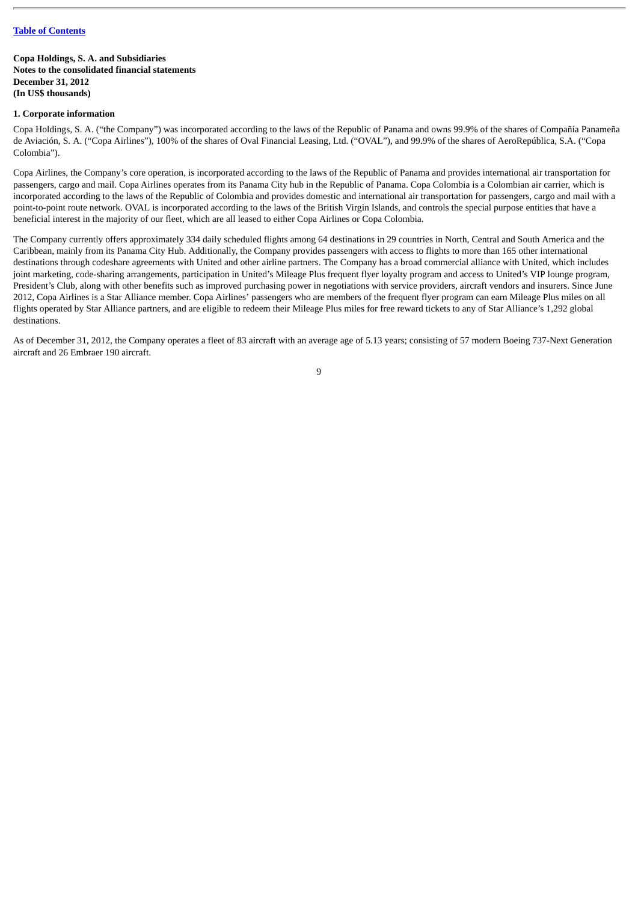**Copa Holdings, S. A. and Subsidiaries Notes to the consolidated financial statements December 31, 2012 (In US\$ thousands)**

## **1. Corporate information**

Copa Holdings, S. A. ("the Company") was incorporated according to the laws of the Republic of Panama and owns 99.9% of the shares of Compañía Panameña de Aviación, S. A. ("Copa Airlines"), 100% of the shares of Oval Financial Leasing, Ltd. ("OVAL"), and 99.9% of the shares of AeroRepública, S.A. ("Copa Colombia").

Copa Airlines, the Company's core operation, is incorporated according to the laws of the Republic of Panama and provides international air transportation for passengers, cargo and mail. Copa Airlines operates from its Panama City hub in the Republic of Panama. Copa Colombia is a Colombian air carrier, which is incorporated according to the laws of the Republic of Colombia and provides domestic and international air transportation for passengers, cargo and mail with a point-to-point route network. OVAL is incorporated according to the laws of the British Virgin Islands, and controls the special purpose entities that have a beneficial interest in the majority of our fleet, which are all leased to either Copa Airlines or Copa Colombia.

The Company currently offers approximately 334 daily scheduled flights among 64 destinations in 29 countries in North, Central and South America and the Caribbean, mainly from its Panama City Hub. Additionally, the Company provides passengers with access to flights to more than 165 other international destinations through codeshare agreements with United and other airline partners. The Company has a broad commercial alliance with United, which includes joint marketing, code-sharing arrangements, participation in United's Mileage Plus frequent flyer loyalty program and access to United's VIP lounge program, President's Club, along with other benefits such as improved purchasing power in negotiations with service providers, aircraft vendors and insurers. Since June 2012, Copa Airlines is a Star Alliance member. Copa Airlines' passengers who are members of the frequent flyer program can earn Mileage Plus miles on all flights operated by Star Alliance partners, and are eligible to redeem their Mileage Plus miles for free reward tickets to any of Star Alliance's 1,292 global destinations.

As of December 31, 2012, the Company operates a fleet of 83 aircraft with an average age of 5.13 years; consisting of 57 modern Boeing 737-Next Generation aircraft and 26 Embraer 190 aircraft.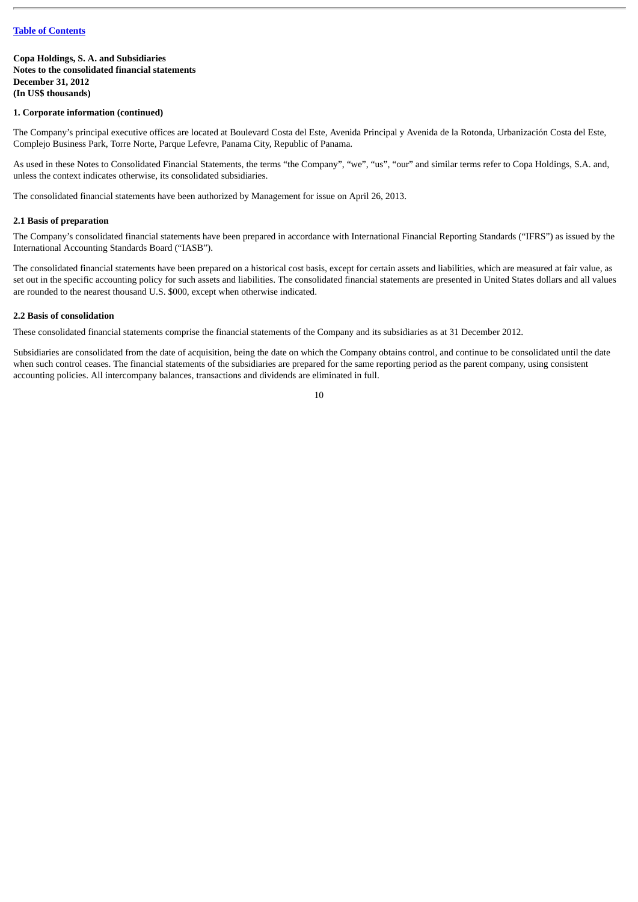## **Copa Holdings, S. A. and Subsidiaries Notes to the consolidated financial statements December 31, 2012 (In US\$ thousands)**

#### **1. Corporate information (continued)**

The Company's principal executive offices are located at Boulevard Costa del Este, Avenida Principal y Avenida de la Rotonda, Urbanización Costa del Este, Complejo Business Park, Torre Norte, Parque Lefevre, Panama City, Republic of Panama.

As used in these Notes to Consolidated Financial Statements, the terms "the Company", "we", "us", "our" and similar terms refer to Copa Holdings, S.A. and, unless the context indicates otherwise, its consolidated subsidiaries.

The consolidated financial statements have been authorized by Management for issue on April 26, 2013.

#### **2.1 Basis of preparation**

The Company's consolidated financial statements have been prepared in accordance with International Financial Reporting Standards ("IFRS") as issued by the International Accounting Standards Board ("IASB").

The consolidated financial statements have been prepared on a historical cost basis, except for certain assets and liabilities, which are measured at fair value, as set out in the specific accounting policy for such assets and liabilities. The consolidated financial statements are presented in United States dollars and all values are rounded to the nearest thousand U.S. \$000, except when otherwise indicated.

#### **2.2 Basis of consolidation**

These consolidated financial statements comprise the financial statements of the Company and its subsidiaries as at 31 December 2012.

Subsidiaries are consolidated from the date of acquisition, being the date on which the Company obtains control, and continue to be consolidated until the date when such control ceases. The financial statements of the subsidiaries are prepared for the same reporting period as the parent company, using consistent accounting policies. All intercompany balances, transactions and dividends are eliminated in full.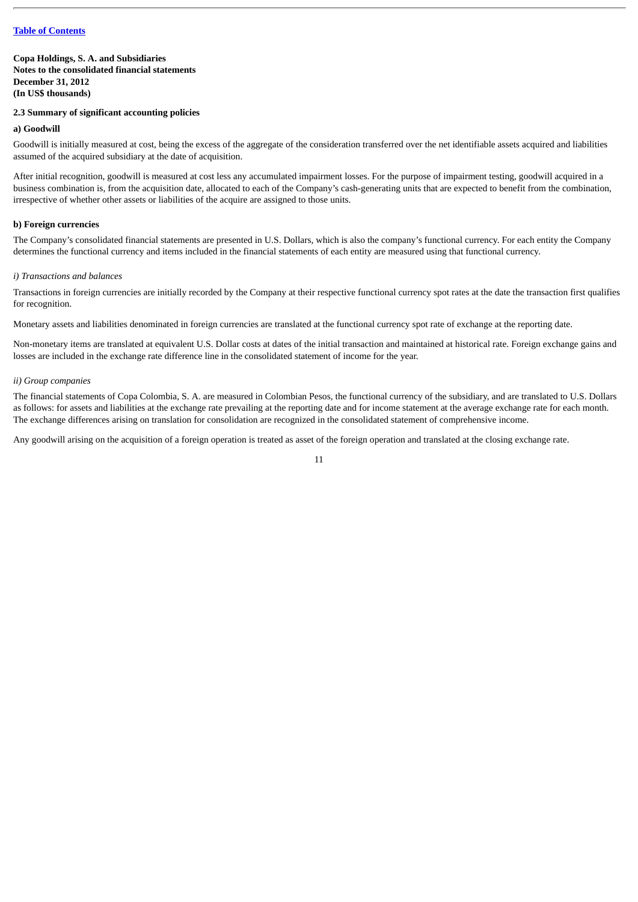## **Copa Holdings, S. A. and Subsidiaries Notes to the consolidated financial statements December 31, 2012 (In US\$ thousands)**

## **2.3 Summary of significant accounting policies**

#### **a) Goodwill**

Goodwill is initially measured at cost, being the excess of the aggregate of the consideration transferred over the net identifiable assets acquired and liabilities assumed of the acquired subsidiary at the date of acquisition.

After initial recognition, goodwill is measured at cost less any accumulated impairment losses. For the purpose of impairment testing, goodwill acquired in a business combination is, from the acquisition date, allocated to each of the Company's cash-generating units that are expected to benefit from the combination, irrespective of whether other assets or liabilities of the acquire are assigned to those units.

#### **b) Foreign currencies**

The Company's consolidated financial statements are presented in U.S. Dollars, which is also the company's functional currency. For each entity the Company determines the functional currency and items included in the financial statements of each entity are measured using that functional currency.

#### *i) Transactions and balances*

Transactions in foreign currencies are initially recorded by the Company at their respective functional currency spot rates at the date the transaction first qualifies for recognition.

Monetary assets and liabilities denominated in foreign currencies are translated at the functional currency spot rate of exchange at the reporting date.

Non-monetary items are translated at equivalent U.S. Dollar costs at dates of the initial transaction and maintained at historical rate. Foreign exchange gains and losses are included in the exchange rate difference line in the consolidated statement of income for the year.

#### *ii) Group companies*

The financial statements of Copa Colombia, S. A. are measured in Colombian Pesos, the functional currency of the subsidiary, and are translated to U.S. Dollars as follows: for assets and liabilities at the exchange rate prevailing at the reporting date and for income statement at the average exchange rate for each month. The exchange differences arising on translation for consolidation are recognized in the consolidated statement of comprehensive income.

Any goodwill arising on the acquisition of a foreign operation is treated as asset of the foreign operation and translated at the closing exchange rate.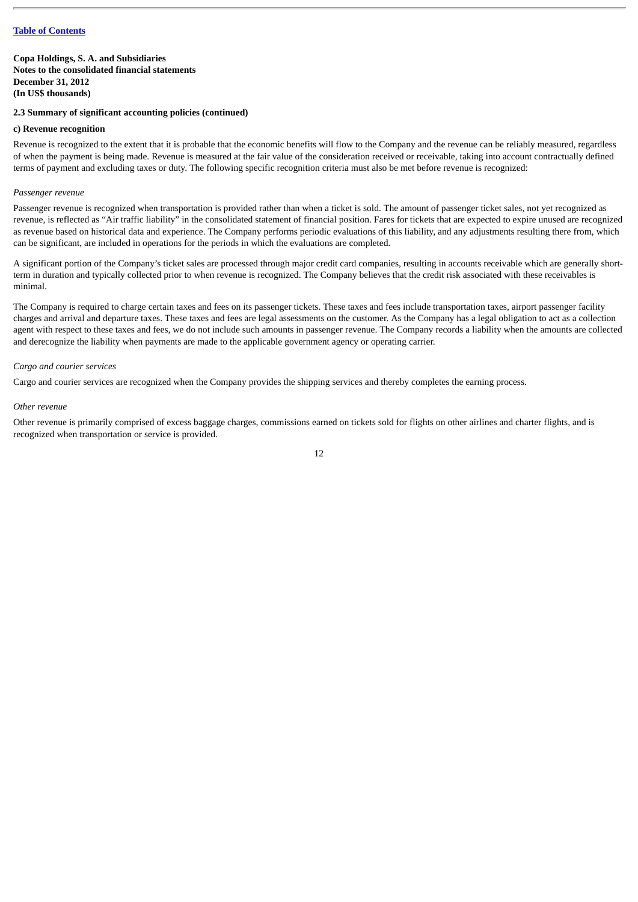### **Copa Holdings, S. A. and Subsidiaries Notes to the consolidated financial statements December 31, 2012 (In US\$ thousands)**

## **2.3 Summary of significant accounting policies (continued)**

#### **c) Revenue recognition**

Revenue is recognized to the extent that it is probable that the economic benefits will flow to the Company and the revenue can be reliably measured, regardless of when the payment is being made. Revenue is measured at the fair value of the consideration received or receivable, taking into account contractually defined terms of payment and excluding taxes or duty. The following specific recognition criteria must also be met before revenue is recognized:

#### *Passenger revenue*

Passenger revenue is recognized when transportation is provided rather than when a ticket is sold. The amount of passenger ticket sales, not yet recognized as revenue, is reflected as "Air traffic liability" in the consolidated statement of financial position. Fares for tickets that are expected to expire unused are recognized as revenue based on historical data and experience. The Company performs periodic evaluations of this liability, and any adjustments resulting there from, which can be significant, are included in operations for the periods in which the evaluations are completed.

A significant portion of the Company's ticket sales are processed through major credit card companies, resulting in accounts receivable which are generally shortterm in duration and typically collected prior to when revenue is recognized. The Company believes that the credit risk associated with these receivables is minimal.

The Company is required to charge certain taxes and fees on its passenger tickets. These taxes and fees include transportation taxes, airport passenger facility charges and arrival and departure taxes. These taxes and fees are legal assessments on the customer. As the Company has a legal obligation to act as a collection agent with respect to these taxes and fees, we do not include such amounts in passenger revenue. The Company records a liability when the amounts are collected and derecognize the liability when payments are made to the applicable government agency or operating carrier.

#### *Cargo and courier services*

Cargo and courier services are recognized when the Company provides the shipping services and thereby completes the earning process.

## *Other revenue*

Other revenue is primarily comprised of excess baggage charges, commissions earned on tickets sold for flights on other airlines and charter flights, and is recognized when transportation or service is provided.

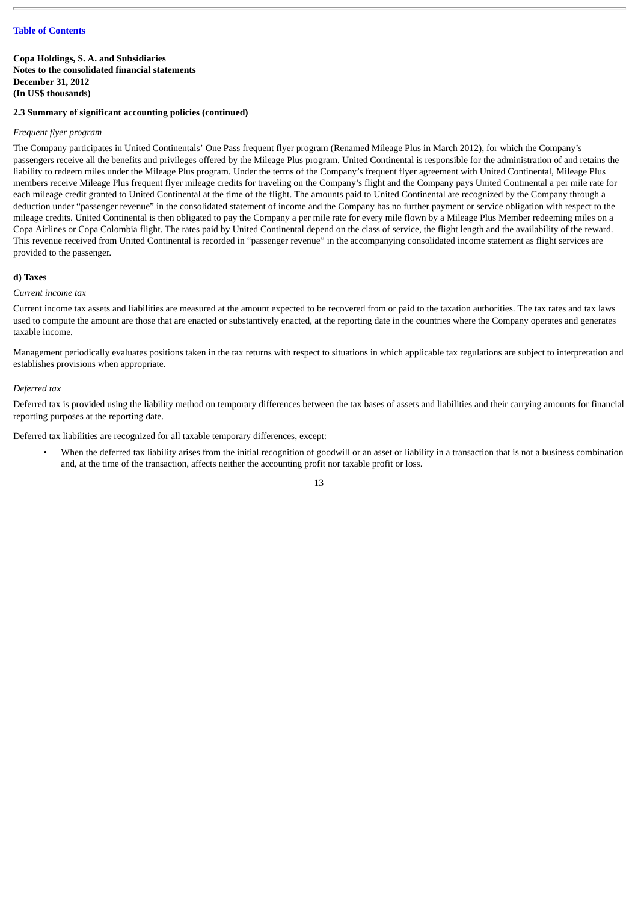## **Copa Holdings, S. A. and Subsidiaries Notes to the consolidated financial statements December 31, 2012 (In US\$ thousands)**

## **2.3 Summary of significant accounting policies (continued)**

## *Frequent flyer program*

The Company participates in United Continentals' One Pass frequent flyer program (Renamed Mileage Plus in March 2012), for which the Company's passengers receive all the benefits and privileges offered by the Mileage Plus program. United Continental is responsible for the administration of and retains the liability to redeem miles under the Mileage Plus program. Under the terms of the Company's frequent flyer agreement with United Continental, Mileage Plus members receive Mileage Plus frequent flyer mileage credits for traveling on the Company's flight and the Company pays United Continental a per mile rate for each mileage credit granted to United Continental at the time of the flight. The amounts paid to United Continental are recognized by the Company through a deduction under "passenger revenue" in the consolidated statement of income and the Company has no further payment or service obligation with respect to the mileage credits. United Continental is then obligated to pay the Company a per mile rate for every mile flown by a Mileage Plus Member redeeming miles on a Copa Airlines or Copa Colombia flight. The rates paid by United Continental depend on the class of service, the flight length and the availability of the reward. This revenue received from United Continental is recorded in "passenger revenue" in the accompanying consolidated income statement as flight services are provided to the passenger.

#### **d) Taxes**

#### *Current income tax*

Current income tax assets and liabilities are measured at the amount expected to be recovered from or paid to the taxation authorities. The tax rates and tax laws used to compute the amount are those that are enacted or substantively enacted, at the reporting date in the countries where the Company operates and generates taxable income.

Management periodically evaluates positions taken in the tax returns with respect to situations in which applicable tax regulations are subject to interpretation and establishes provisions when appropriate.

#### *Deferred tax*

Deferred tax is provided using the liability method on temporary differences between the tax bases of assets and liabilities and their carrying amounts for financial reporting purposes at the reporting date.

Deferred tax liabilities are recognized for all taxable temporary differences, except:

• When the deferred tax liability arises from the initial recognition of goodwill or an asset or liability in a transaction that is not a business combination and, at the time of the transaction, affects neither the accounting profit nor taxable profit or loss.

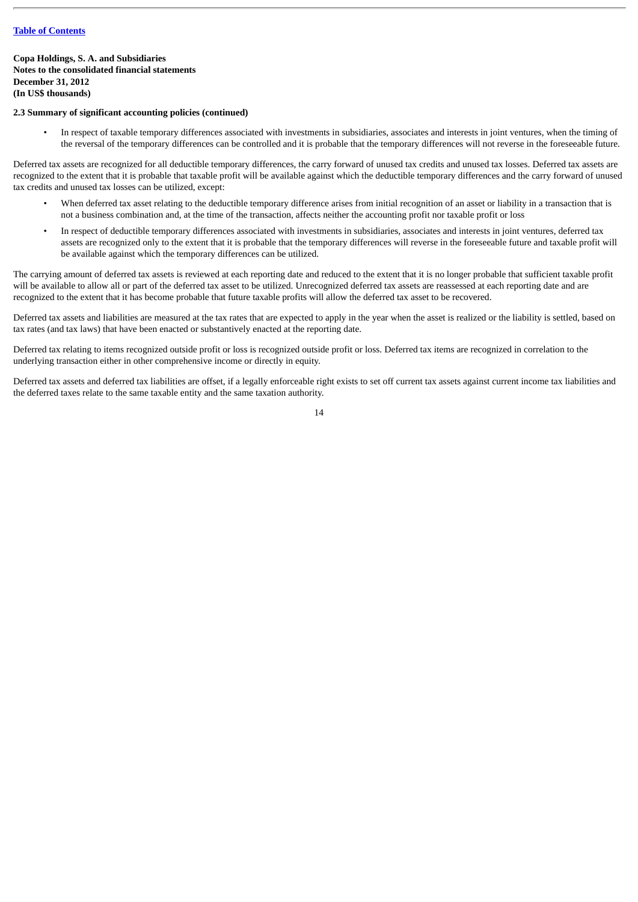## **Copa Holdings, S. A. and Subsidiaries Notes to the consolidated financial statements December 31, 2012 (In US\$ thousands)**

## **2.3 Summary of significant accounting policies (continued)**

• In respect of taxable temporary differences associated with investments in subsidiaries, associates and interests in joint ventures, when the timing of the reversal of the temporary differences can be controlled and it is probable that the temporary differences will not reverse in the foreseeable future.

Deferred tax assets are recognized for all deductible temporary differences, the carry forward of unused tax credits and unused tax losses. Deferred tax assets are recognized to the extent that it is probable that taxable profit will be available against which the deductible temporary differences and the carry forward of unused tax credits and unused tax losses can be utilized, except:

- When deferred tax asset relating to the deductible temporary difference arises from initial recognition of an asset or liability in a transaction that is not a business combination and, at the time of the transaction, affects neither the accounting profit nor taxable profit or loss
- In respect of deductible temporary differences associated with investments in subsidiaries, associates and interests in joint ventures, deferred tax assets are recognized only to the extent that it is probable that the temporary differences will reverse in the foreseeable future and taxable profit will be available against which the temporary differences can be utilized.

The carrying amount of deferred tax assets is reviewed at each reporting date and reduced to the extent that it is no longer probable that sufficient taxable profit will be available to allow all or part of the deferred tax asset to be utilized. Unrecognized deferred tax assets are reassessed at each reporting date and are recognized to the extent that it has become probable that future taxable profits will allow the deferred tax asset to be recovered.

Deferred tax assets and liabilities are measured at the tax rates that are expected to apply in the year when the asset is realized or the liability is settled, based on tax rates (and tax laws) that have been enacted or substantively enacted at the reporting date.

Deferred tax relating to items recognized outside profit or loss is recognized outside profit or loss. Deferred tax items are recognized in correlation to the underlying transaction either in other comprehensive income or directly in equity.

Deferred tax assets and deferred tax liabilities are offset, if a legally enforceable right exists to set off current tax assets against current income tax liabilities and the deferred taxes relate to the same taxable entity and the same taxation authority.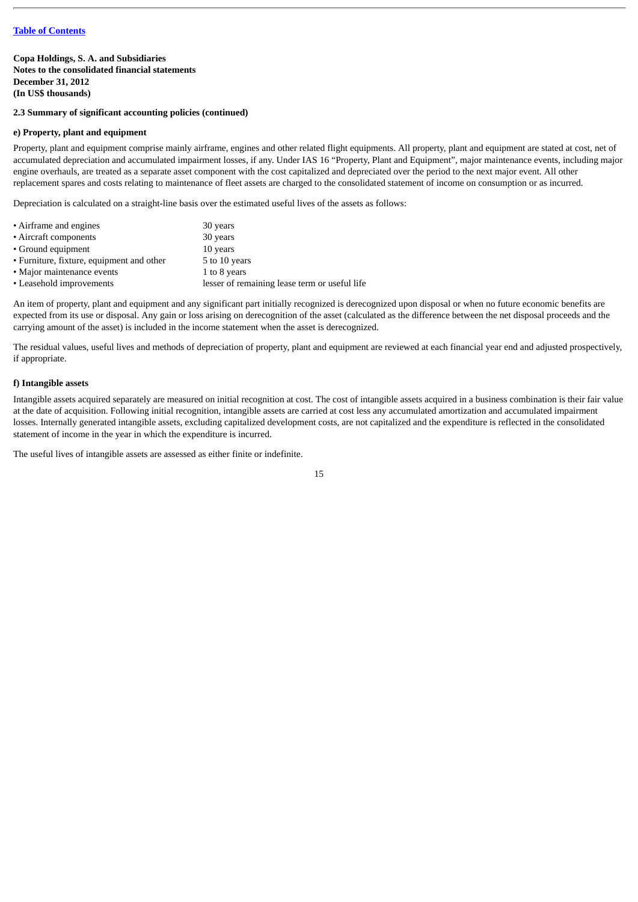**Copa Holdings, S. A. and Subsidiaries Notes to the consolidated financial statements December 31, 2012 (In US\$ thousands)**

## **2.3 Summary of significant accounting policies (continued)**

## **e) Property, plant and equipment**

Property, plant and equipment comprise mainly airframe, engines and other related flight equipments. All property, plant and equipment are stated at cost, net of accumulated depreciation and accumulated impairment losses, if any. Under IAS 16 "Property, Plant and Equipment", major maintenance events, including major engine overhauls, are treated as a separate asset component with the cost capitalized and depreciated over the period to the next major event. All other replacement spares and costs relating to maintenance of fleet assets are charged to the consolidated statement of income on consumption or as incurred.

Depreciation is calculated on a straight-line basis over the estimated useful lives of the assets as follows:

| • Airframe and engines                    | 30 years                                      |
|-------------------------------------------|-----------------------------------------------|
| • Aircraft components                     | 30 years                                      |
| • Ground equipment                        | 10 years                                      |
| • Furniture, fixture, equipment and other | 5 to 10 years                                 |
| • Major maintenance events                | 1 to 8 years                                  |
| • Leasehold improvements                  | lesser of remaining lease term or useful life |

An item of property, plant and equipment and any significant part initially recognized is derecognized upon disposal or when no future economic benefits are expected from its use or disposal. Any gain or loss arising on derecognition of the asset (calculated as the difference between the net disposal proceeds and the carrying amount of the asset) is included in the income statement when the asset is derecognized.

The residual values, useful lives and methods of depreciation of property, plant and equipment are reviewed at each financial year end and adjusted prospectively, if appropriate.

## **f) Intangible assets**

Intangible assets acquired separately are measured on initial recognition at cost. The cost of intangible assets acquired in a business combination is their fair value at the date of acquisition. Following initial recognition, intangible assets are carried at cost less any accumulated amortization and accumulated impairment losses. Internally generated intangible assets, excluding capitalized development costs, are not capitalized and the expenditure is reflected in the consolidated statement of income in the year in which the expenditure is incurred.

The useful lives of intangible assets are assessed as either finite or indefinite.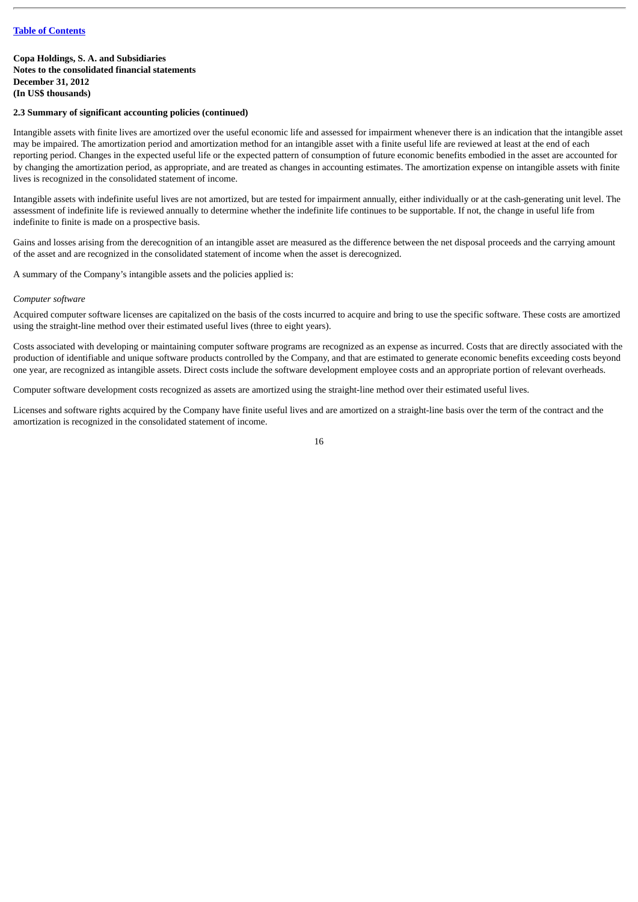## **Copa Holdings, S. A. and Subsidiaries Notes to the consolidated financial statements December 31, 2012 (In US\$ thousands)**

## **2.3 Summary of significant accounting policies (continued)**

Intangible assets with finite lives are amortized over the useful economic life and assessed for impairment whenever there is an indication that the intangible asset may be impaired. The amortization period and amortization method for an intangible asset with a finite useful life are reviewed at least at the end of each reporting period. Changes in the expected useful life or the expected pattern of consumption of future economic benefits embodied in the asset are accounted for by changing the amortization period, as appropriate, and are treated as changes in accounting estimates. The amortization expense on intangible assets with finite lives is recognized in the consolidated statement of income.

Intangible assets with indefinite useful lives are not amortized, but are tested for impairment annually, either individually or at the cash-generating unit level. The assessment of indefinite life is reviewed annually to determine whether the indefinite life continues to be supportable. If not, the change in useful life from indefinite to finite is made on a prospective basis.

Gains and losses arising from the derecognition of an intangible asset are measured as the difference between the net disposal proceeds and the carrying amount of the asset and are recognized in the consolidated statement of income when the asset is derecognized.

A summary of the Company's intangible assets and the policies applied is:

#### *Computer software*

Acquired computer software licenses are capitalized on the basis of the costs incurred to acquire and bring to use the specific software. These costs are amortized using the straight-line method over their estimated useful lives (three to eight years).

Costs associated with developing or maintaining computer software programs are recognized as an expense as incurred. Costs that are directly associated with the production of identifiable and unique software products controlled by the Company, and that are estimated to generate economic benefits exceeding costs beyond one year, are recognized as intangible assets. Direct costs include the software development employee costs and an appropriate portion of relevant overheads.

Computer software development costs recognized as assets are amortized using the straight-line method over their estimated useful lives.

Licenses and software rights acquired by the Company have finite useful lives and are amortized on a straight-line basis over the term of the contract and the amortization is recognized in the consolidated statement of income.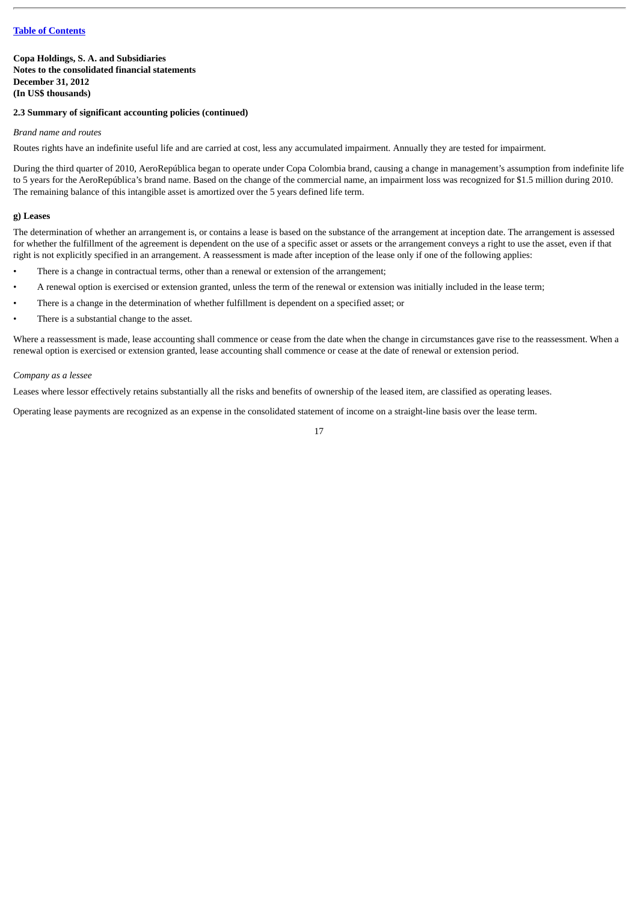## **Copa Holdings, S. A. and Subsidiaries Notes to the consolidated financial statements December 31, 2012 (In US\$ thousands)**

## **2.3 Summary of significant accounting policies (continued)**

#### *Brand name and routes*

Routes rights have an indefinite useful life and are carried at cost, less any accumulated impairment. Annually they are tested for impairment.

During the third quarter of 2010, AeroRepública began to operate under Copa Colombia brand, causing a change in management's assumption from indefinite life to 5 years for the AeroRepública's brand name. Based on the change of the commercial name, an impairment loss was recognized for \$1.5 million during 2010. The remaining balance of this intangible asset is amortized over the 5 years defined life term.

## **g) Leases**

The determination of whether an arrangement is, or contains a lease is based on the substance of the arrangement at inception date. The arrangement is assessed for whether the fulfillment of the agreement is dependent on the use of a specific asset or assets or the arrangement conveys a right to use the asset, even if that right is not explicitly specified in an arrangement. A reassessment is made after inception of the lease only if one of the following applies:

- There is a change in contractual terms, other than a renewal or extension of the arrangement;
- A renewal option is exercised or extension granted, unless the term of the renewal or extension was initially included in the lease term;
- There is a change in the determination of whether fulfillment is dependent on a specified asset; or
- There is a substantial change to the asset.

Where a reassessment is made, lease accounting shall commence or cease from the date when the change in circumstances gave rise to the reassessment. When a renewal option is exercised or extension granted, lease accounting shall commence or cease at the date of renewal or extension period.

#### *Company as a lessee*

Leases where lessor effectively retains substantially all the risks and benefits of ownership of the leased item, are classified as operating leases.

Operating lease payments are recognized as an expense in the consolidated statement of income on a straight-line basis over the lease term.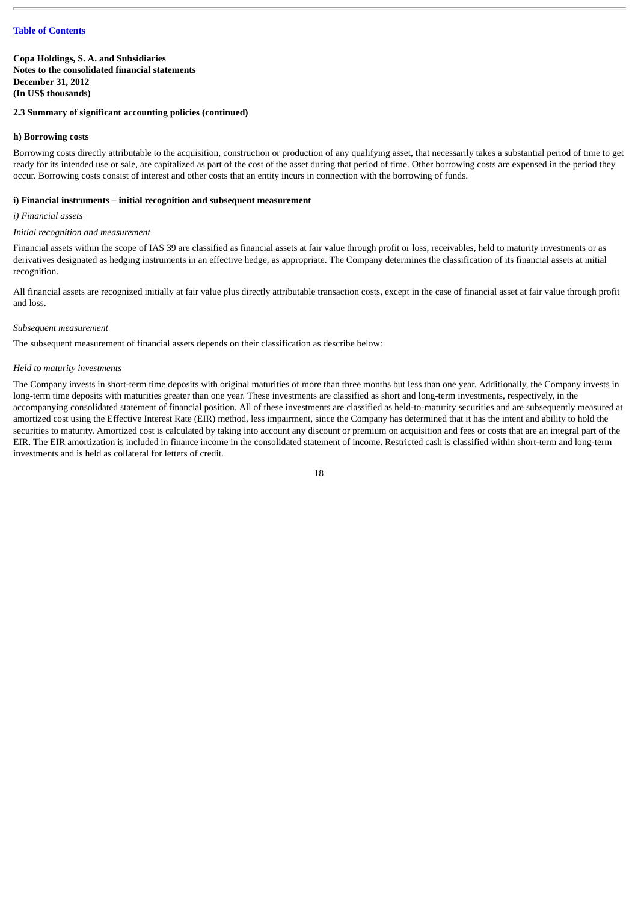**Copa Holdings, S. A. and Subsidiaries Notes to the consolidated financial statements December 31, 2012 (In US\$ thousands)**

## **2.3 Summary of significant accounting policies (continued)**

#### **h) Borrowing costs**

Borrowing costs directly attributable to the acquisition, construction or production of any qualifying asset, that necessarily takes a substantial period of time to get ready for its intended use or sale, are capitalized as part of the cost of the asset during that period of time. Other borrowing costs are expensed in the period they occur. Borrowing costs consist of interest and other costs that an entity incurs in connection with the borrowing of funds.

#### **i) Financial instruments – initial recognition and subsequent measurement**

## *i) Financial assets*

#### *Initial recognition and measurement*

Financial assets within the scope of IAS 39 are classified as financial assets at fair value through profit or loss, receivables, held to maturity investments or as derivatives designated as hedging instruments in an effective hedge, as appropriate. The Company determines the classification of its financial assets at initial recognition.

All financial assets are recognized initially at fair value plus directly attributable transaction costs, except in the case of financial asset at fair value through profit and loss.

#### *Subsequent measurement*

The subsequent measurement of financial assets depends on their classification as describe below:

#### *Held to maturity investments*

The Company invests in short-term time deposits with original maturities of more than three months but less than one year. Additionally, the Company invests in long-term time deposits with maturities greater than one year. These investments are classified as short and long-term investments, respectively, in the accompanying consolidated statement of financial position. All of these investments are classified as held-to-maturity securities and are subsequently measured at amortized cost using the Effective Interest Rate (EIR) method, less impairment, since the Company has determined that it has the intent and ability to hold the securities to maturity. Amortized cost is calculated by taking into account any discount or premium on acquisition and fees or costs that are an integral part of the EIR. The EIR amortization is included in finance income in the consolidated statement of income. Restricted cash is classified within short-term and long-term investments and is held as collateral for letters of credit.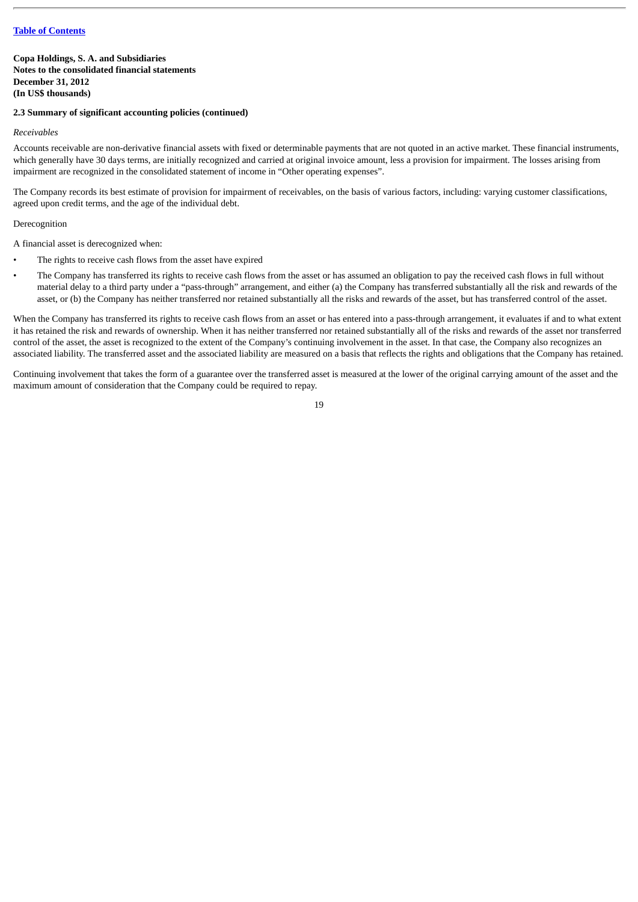## **Copa Holdings, S. A. and Subsidiaries Notes to the consolidated financial statements December 31, 2012 (In US\$ thousands)**

## **2.3 Summary of significant accounting policies (continued)**

#### *Receivables*

Accounts receivable are non-derivative financial assets with fixed or determinable payments that are not quoted in an active market. These financial instruments, which generally have 30 days terms, are initially recognized and carried at original invoice amount, less a provision for impairment. The losses arising from impairment are recognized in the consolidated statement of income in "Other operating expenses".

The Company records its best estimate of provision for impairment of receivables, on the basis of various factors, including: varying customer classifications, agreed upon credit terms, and the age of the individual debt.

#### Derecognition

A financial asset is derecognized when:

- The rights to receive cash flows from the asset have expired
- The Company has transferred its rights to receive cash flows from the asset or has assumed an obligation to pay the received cash flows in full without material delay to a third party under a "pass-through" arrangement, and either (a) the Company has transferred substantially all the risk and rewards of the asset, or (b) the Company has neither transferred nor retained substantially all the risks and rewards of the asset, but has transferred control of the asset.

When the Company has transferred its rights to receive cash flows from an asset or has entered into a pass-through arrangement, it evaluates if and to what extent it has retained the risk and rewards of ownership. When it has neither transferred nor retained substantially all of the risks and rewards of the asset nor transferred control of the asset, the asset is recognized to the extent of the Company's continuing involvement in the asset. In that case, the Company also recognizes an associated liability. The transferred asset and the associated liability are measured on a basis that reflects the rights and obligations that the Company has retained.

Continuing involvement that takes the form of a guarantee over the transferred asset is measured at the lower of the original carrying amount of the asset and the maximum amount of consideration that the Company could be required to repay.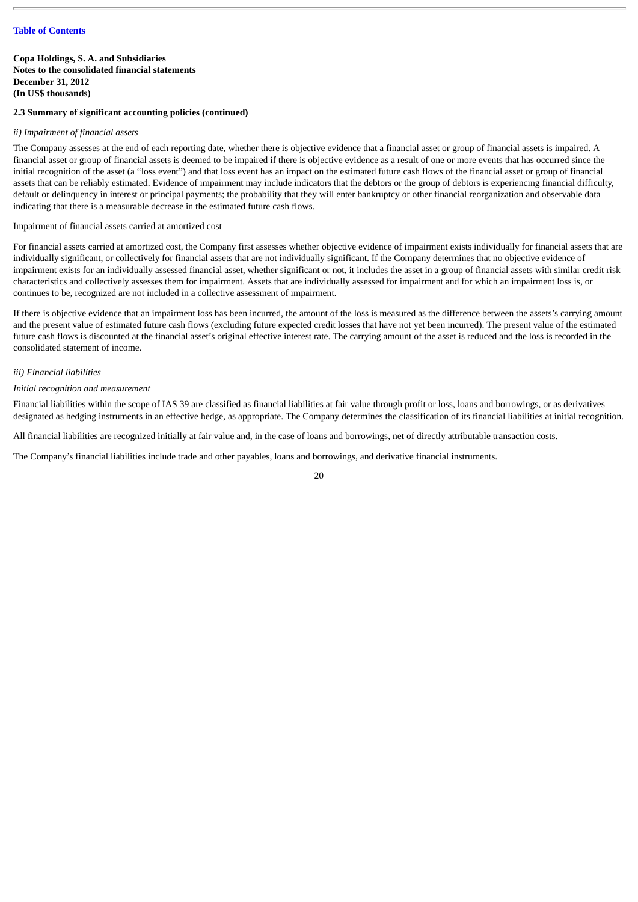## **Copa Holdings, S. A. and Subsidiaries Notes to the consolidated financial statements December 31, 2012 (In US\$ thousands)**

## **2.3 Summary of significant accounting policies (continued)**

#### *ii) Impairment of financial assets*

The Company assesses at the end of each reporting date, whether there is objective evidence that a financial asset or group of financial assets is impaired. A financial asset or group of financial assets is deemed to be impaired if there is objective evidence as a result of one or more events that has occurred since the initial recognition of the asset (a "loss event") and that loss event has an impact on the estimated future cash flows of the financial asset or group of financial assets that can be reliably estimated. Evidence of impairment may include indicators that the debtors or the group of debtors is experiencing financial difficulty, default or delinquency in interest or principal payments; the probability that they will enter bankruptcy or other financial reorganization and observable data indicating that there is a measurable decrease in the estimated future cash flows.

#### Impairment of financial assets carried at amortized cost

For financial assets carried at amortized cost, the Company first assesses whether objective evidence of impairment exists individually for financial assets that are individually significant, or collectively for financial assets that are not individually significant. If the Company determines that no objective evidence of impairment exists for an individually assessed financial asset, whether significant or not, it includes the asset in a group of financial assets with similar credit risk characteristics and collectively assesses them for impairment. Assets that are individually assessed for impairment and for which an impairment loss is, or continues to be, recognized are not included in a collective assessment of impairment.

If there is objective evidence that an impairment loss has been incurred, the amount of the loss is measured as the difference between the assets's carrying amount and the present value of estimated future cash flows (excluding future expected credit losses that have not yet been incurred). The present value of the estimated future cash flows is discounted at the financial asset's original effective interest rate. The carrying amount of the asset is reduced and the loss is recorded in the consolidated statement of income.

## *iii) Financial liabilities*

## *Initial recognition and measurement*

Financial liabilities within the scope of IAS 39 are classified as financial liabilities at fair value through profit or loss, loans and borrowings, or as derivatives designated as hedging instruments in an effective hedge, as appropriate. The Company determines the classification of its financial liabilities at initial recognition.

All financial liabilities are recognized initially at fair value and, in the case of loans and borrowings, net of directly attributable transaction costs.

The Company's financial liabilities include trade and other payables, loans and borrowings, and derivative financial instruments.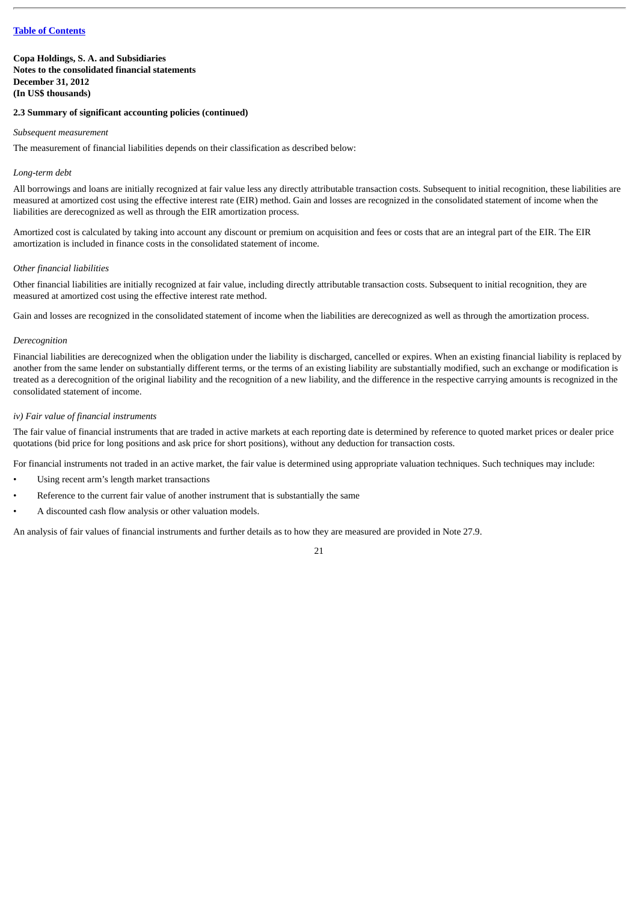**Copa Holdings, S. A. and Subsidiaries Notes to the consolidated financial statements December 31, 2012 (In US\$ thousands)**

### **2.3 Summary of significant accounting policies (continued)**

#### *Subsequent measurement*

The measurement of financial liabilities depends on their classification as described below:

#### *Long-term debt*

All borrowings and loans are initially recognized at fair value less any directly attributable transaction costs. Subsequent to initial recognition, these liabilities are measured at amortized cost using the effective interest rate (EIR) method. Gain and losses are recognized in the consolidated statement of income when the liabilities are derecognized as well as through the EIR amortization process.

Amortized cost is calculated by taking into account any discount or premium on acquisition and fees or costs that are an integral part of the EIR. The EIR amortization is included in finance costs in the consolidated statement of income.

#### *Other financial liabilities*

Other financial liabilities are initially recognized at fair value, including directly attributable transaction costs. Subsequent to initial recognition, they are measured at amortized cost using the effective interest rate method.

Gain and losses are recognized in the consolidated statement of income when the liabilities are derecognized as well as through the amortization process.

#### *Derecognition*

Financial liabilities are derecognized when the obligation under the liability is discharged, cancelled or expires. When an existing financial liability is replaced by another from the same lender on substantially different terms, or the terms of an existing liability are substantially modified, such an exchange or modification is treated as a derecognition of the original liability and the recognition of a new liability, and the difference in the respective carrying amounts is recognized in the consolidated statement of income.

#### *iv) Fair value of financial instruments*

The fair value of financial instruments that are traded in active markets at each reporting date is determined by reference to quoted market prices or dealer price quotations (bid price for long positions and ask price for short positions), without any deduction for transaction costs.

For financial instruments not traded in an active market, the fair value is determined using appropriate valuation techniques. Such techniques may include:

- Using recent arm's length market transactions
- Reference to the current fair value of another instrument that is substantially the same
- A discounted cash flow analysis or other valuation models.

An analysis of fair values of financial instruments and further details as to how they are measured are provided in Note 27.9.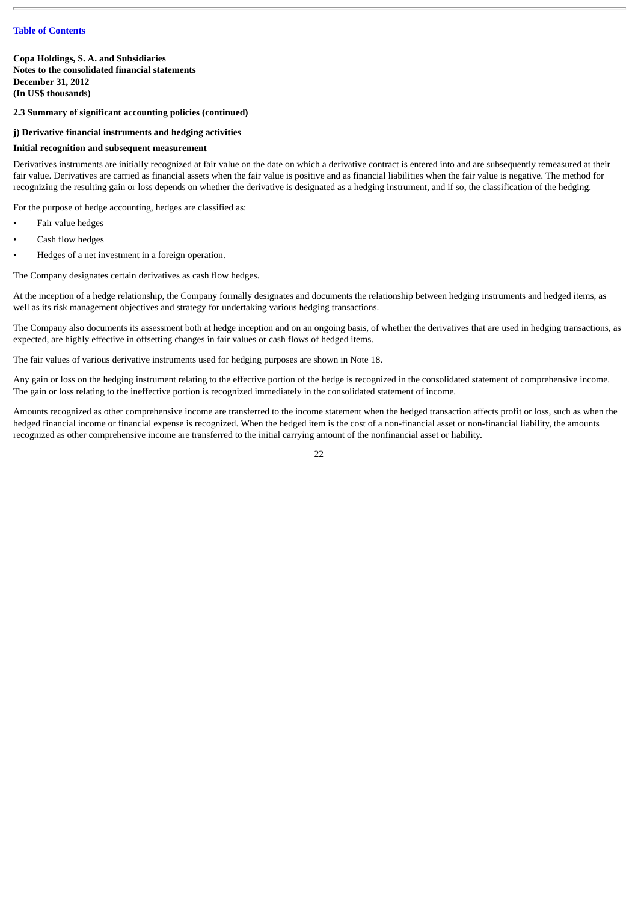**Copa Holdings, S. A. and Subsidiaries Notes to the consolidated financial statements December 31, 2012 (In US\$ thousands)**

**2.3 Summary of significant accounting policies (continued)**

## **j) Derivative financial instruments and hedging activities**

## **Initial recognition and subsequent measurement**

Derivatives instruments are initially recognized at fair value on the date on which a derivative contract is entered into and are subsequently remeasured at their fair value. Derivatives are carried as financial assets when the fair value is positive and as financial liabilities when the fair value is negative. The method for recognizing the resulting gain or loss depends on whether the derivative is designated as a hedging instrument, and if so, the classification of the hedging.

For the purpose of hedge accounting, hedges are classified as:

- Fair value hedges
- Cash flow hedges
- Hedges of a net investment in a foreign operation.

The Company designates certain derivatives as cash flow hedges.

At the inception of a hedge relationship, the Company formally designates and documents the relationship between hedging instruments and hedged items, as well as its risk management objectives and strategy for undertaking various hedging transactions.

The Company also documents its assessment both at hedge inception and on an ongoing basis, of whether the derivatives that are used in hedging transactions, as expected, are highly effective in offsetting changes in fair values or cash flows of hedged items.

The fair values of various derivative instruments used for hedging purposes are shown in Note 18.

Any gain or loss on the hedging instrument relating to the effective portion of the hedge is recognized in the consolidated statement of comprehensive income. The gain or loss relating to the ineffective portion is recognized immediately in the consolidated statement of income.

Amounts recognized as other comprehensive income are transferred to the income statement when the hedged transaction affects profit or loss, such as when the hedged financial income or financial expense is recognized. When the hedged item is the cost of a non-financial asset or non-financial liability, the amounts recognized as other comprehensive income are transferred to the initial carrying amount of the nonfinancial asset or liability.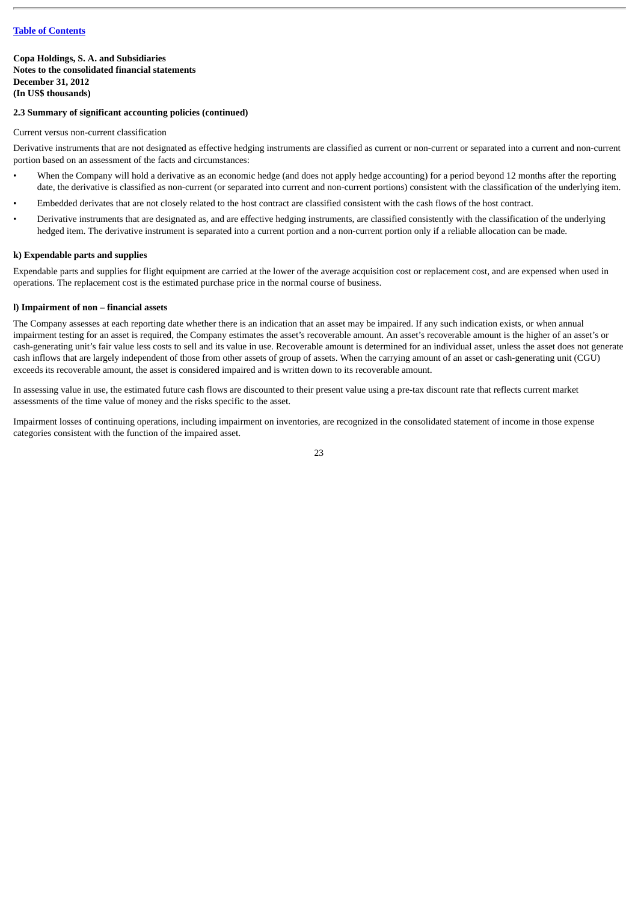## **Copa Holdings, S. A. and Subsidiaries Notes to the consolidated financial statements December 31, 2012 (In US\$ thousands)**

## **2.3 Summary of significant accounting policies (continued)**

#### Current versus non-current classification

Derivative instruments that are not designated as effective hedging instruments are classified as current or non-current or separated into a current and non-current portion based on an assessment of the facts and circumstances:

- When the Company will hold a derivative as an economic hedge (and does not apply hedge accounting) for a period beyond 12 months after the reporting date, the derivative is classified as non-current (or separated into current and non-current portions) consistent with the classification of the underlying item.
- Embedded derivates that are not closely related to the host contract are classified consistent with the cash flows of the host contract.
- Derivative instruments that are designated as, and are effective hedging instruments, are classified consistently with the classification of the underlying hedged item. The derivative instrument is separated into a current portion and a non-current portion only if a reliable allocation can be made.

#### **k) Expendable parts and supplies**

Expendable parts and supplies for flight equipment are carried at the lower of the average acquisition cost or replacement cost, and are expensed when used in operations. The replacement cost is the estimated purchase price in the normal course of business.

#### **l) Impairment of non – financial assets**

The Company assesses at each reporting date whether there is an indication that an asset may be impaired. If any such indication exists, or when annual impairment testing for an asset is required, the Company estimates the asset's recoverable amount. An asset's recoverable amount is the higher of an asset's or cash-generating unit's fair value less costs to sell and its value in use. Recoverable amount is determined for an individual asset, unless the asset does not generate cash inflows that are largely independent of those from other assets of group of assets. When the carrying amount of an asset or cash-generating unit (CGU) exceeds its recoverable amount, the asset is considered impaired and is written down to its recoverable amount.

In assessing value in use, the estimated future cash flows are discounted to their present value using a pre-tax discount rate that reflects current market assessments of the time value of money and the risks specific to the asset.

Impairment losses of continuing operations, including impairment on inventories, are recognized in the consolidated statement of income in those expense categories consistent with the function of the impaired asset.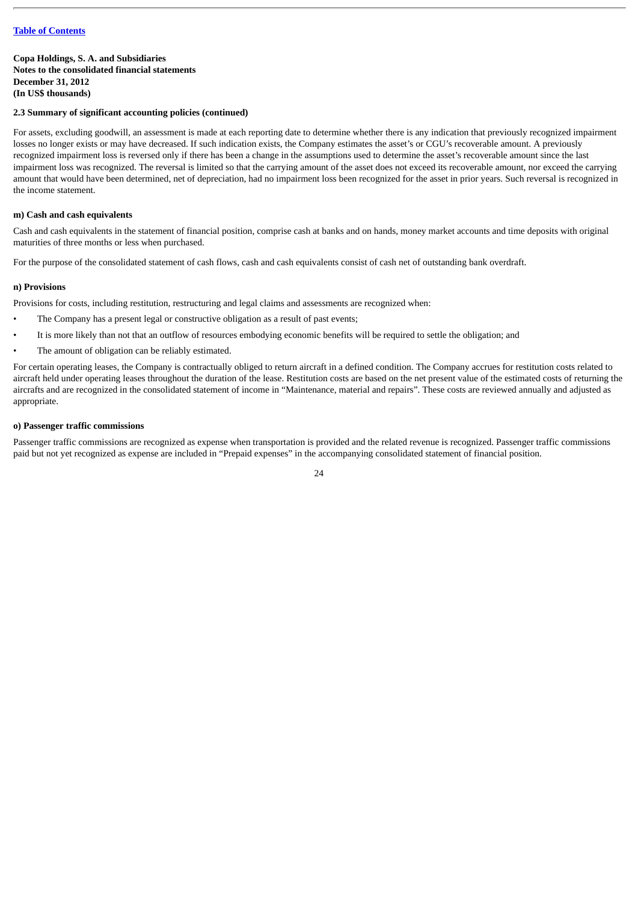### **Copa Holdings, S. A. and Subsidiaries Notes to the consolidated financial statements December 31, 2012 (In US\$ thousands)**

### **2.3 Summary of significant accounting policies (continued)**

For assets, excluding goodwill, an assessment is made at each reporting date to determine whether there is any indication that previously recognized impairment losses no longer exists or may have decreased. If such indication exists, the Company estimates the asset's or CGU's recoverable amount. A previously recognized impairment loss is reversed only if there has been a change in the assumptions used to determine the asset's recoverable amount since the last impairment loss was recognized. The reversal is limited so that the carrying amount of the asset does not exceed its recoverable amount, nor exceed the carrying amount that would have been determined, net of depreciation, had no impairment loss been recognized for the asset in prior years. Such reversal is recognized in the income statement.

#### **m) Cash and cash equivalents**

Cash and cash equivalents in the statement of financial position, comprise cash at banks and on hands, money market accounts and time deposits with original maturities of three months or less when purchased.

For the purpose of the consolidated statement of cash flows, cash and cash equivalents consist of cash net of outstanding bank overdraft.

#### **n) Provisions**

Provisions for costs, including restitution, restructuring and legal claims and assessments are recognized when:

- The Company has a present legal or constructive obligation as a result of past events;
- It is more likely than not that an outflow of resources embodying economic benefits will be required to settle the obligation; and
- The amount of obligation can be reliably estimated.

For certain operating leases, the Company is contractually obliged to return aircraft in a defined condition. The Company accrues for restitution costs related to aircraft held under operating leases throughout the duration of the lease. Restitution costs are based on the net present value of the estimated costs of returning the aircrafts and are recognized in the consolidated statement of income in "Maintenance, material and repairs". These costs are reviewed annually and adjusted as appropriate.

## **o) Passenger traffic commissions**

Passenger traffic commissions are recognized as expense when transportation is provided and the related revenue is recognized. Passenger traffic commissions paid but not yet recognized as expense are included in "Prepaid expenses" in the accompanying consolidated statement of financial position.

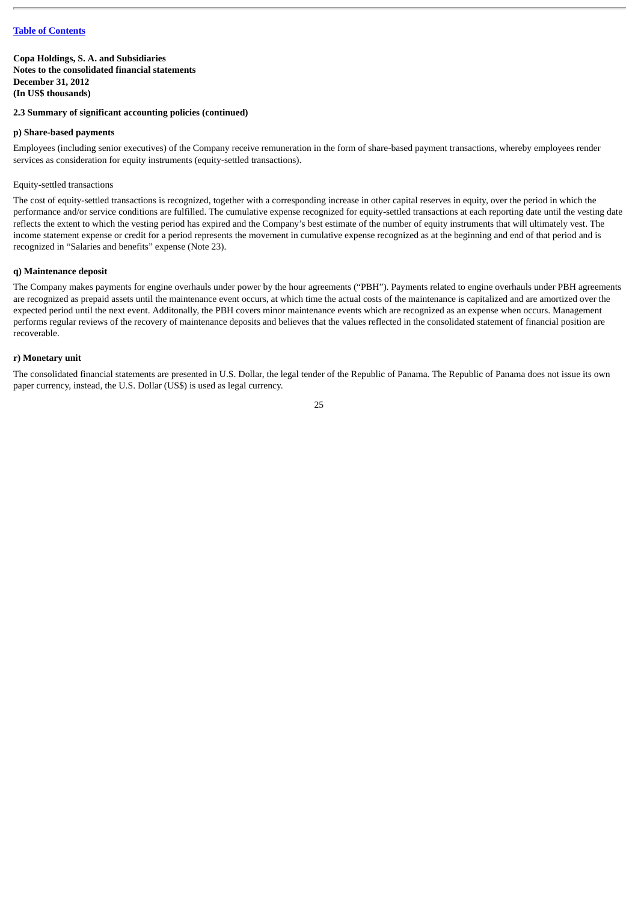**Copa Holdings, S. A. and Subsidiaries Notes to the consolidated financial statements December 31, 2012 (In US\$ thousands)**

## **2.3 Summary of significant accounting policies (continued)**

## **p) Share-based payments**

Employees (including senior executives) of the Company receive remuneration in the form of share-based payment transactions, whereby employees render services as consideration for equity instruments (equity-settled transactions).

#### Equity-settled transactions

The cost of equity-settled transactions is recognized, together with a corresponding increase in other capital reserves in equity, over the period in which the performance and/or service conditions are fulfilled. The cumulative expense recognized for equity-settled transactions at each reporting date until the vesting date reflects the extent to which the vesting period has expired and the Company's best estimate of the number of equity instruments that will ultimately vest. The income statement expense or credit for a period represents the movement in cumulative expense recognized as at the beginning and end of that period and is recognized in "Salaries and benefits" expense (Note 23).

## **q) Maintenance deposit**

The Company makes payments for engine overhauls under power by the hour agreements ("PBH"). Payments related to engine overhauls under PBH agreements are recognized as prepaid assets until the maintenance event occurs, at which time the actual costs of the maintenance is capitalized and are amortized over the expected period until the next event. Additonally, the PBH covers minor maintenance events which are recognized as an expense when occurs. Management performs regular reviews of the recovery of maintenance deposits and believes that the values reflected in the consolidated statement of financial position are recoverable.

## **r) Monetary unit**

The consolidated financial statements are presented in U.S. Dollar, the legal tender of the Republic of Panama. The Republic of Panama does not issue its own paper currency, instead, the U.S. Dollar (US\$) is used as legal currency.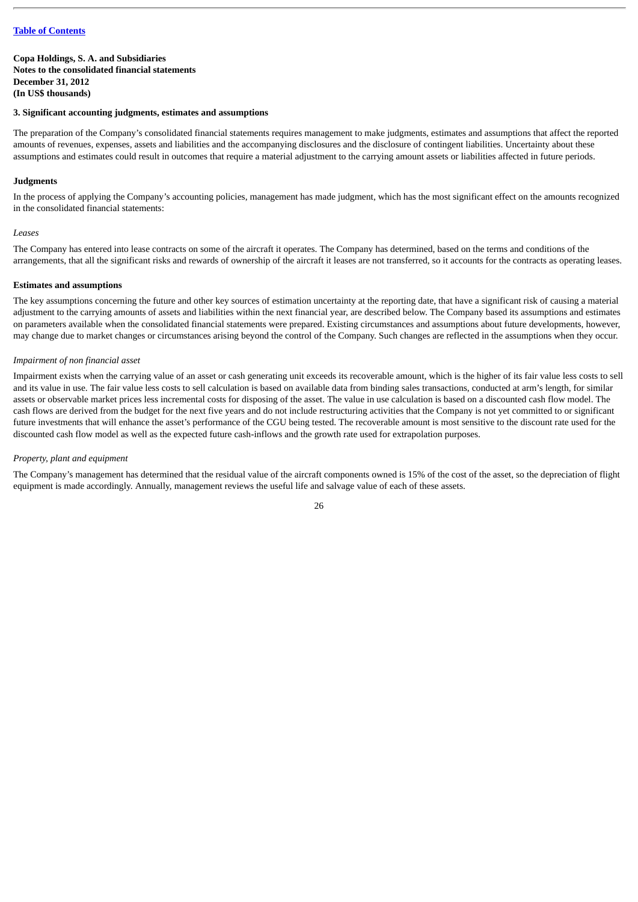**Copa Holdings, S. A. and Subsidiaries Notes to the consolidated financial statements December 31, 2012 (In US\$ thousands)**

#### **3. Significant accounting judgments, estimates and assumptions**

The preparation of the Company's consolidated financial statements requires management to make judgments, estimates and assumptions that affect the reported amounts of revenues, expenses, assets and liabilities and the accompanying disclosures and the disclosure of contingent liabilities. Uncertainty about these assumptions and estimates could result in outcomes that require a material adjustment to the carrying amount assets or liabilities affected in future periods.

#### **Judgments**

In the process of applying the Company's accounting policies, management has made judgment, which has the most significant effect on the amounts recognized in the consolidated financial statements:

#### *Leases*

The Company has entered into lease contracts on some of the aircraft it operates. The Company has determined, based on the terms and conditions of the arrangements, that all the significant risks and rewards of ownership of the aircraft it leases are not transferred, so it accounts for the contracts as operating leases.

#### **Estimates and assumptions**

The key assumptions concerning the future and other key sources of estimation uncertainty at the reporting date, that have a significant risk of causing a material adjustment to the carrying amounts of assets and liabilities within the next financial year, are described below. The Company based its assumptions and estimates on parameters available when the consolidated financial statements were prepared. Existing circumstances and assumptions about future developments, however, may change due to market changes or circumstances arising beyond the control of the Company. Such changes are reflected in the assumptions when they occur.

#### *Impairment of non financial asset*

Impairment exists when the carrying value of an asset or cash generating unit exceeds its recoverable amount, which is the higher of its fair value less costs to sell and its value in use. The fair value less costs to sell calculation is based on available data from binding sales transactions, conducted at arm's length, for similar assets or observable market prices less incremental costs for disposing of the asset. The value in use calculation is based on a discounted cash flow model. The cash flows are derived from the budget for the next five years and do not include restructuring activities that the Company is not yet committed to or significant future investments that will enhance the asset's performance of the CGU being tested. The recoverable amount is most sensitive to the discount rate used for the discounted cash flow model as well as the expected future cash-inflows and the growth rate used for extrapolation purposes.

#### *Property, plant and equipment*

The Company's management has determined that the residual value of the aircraft components owned is 15% of the cost of the asset, so the depreciation of flight equipment is made accordingly. Annually, management reviews the useful life and salvage value of each of these assets.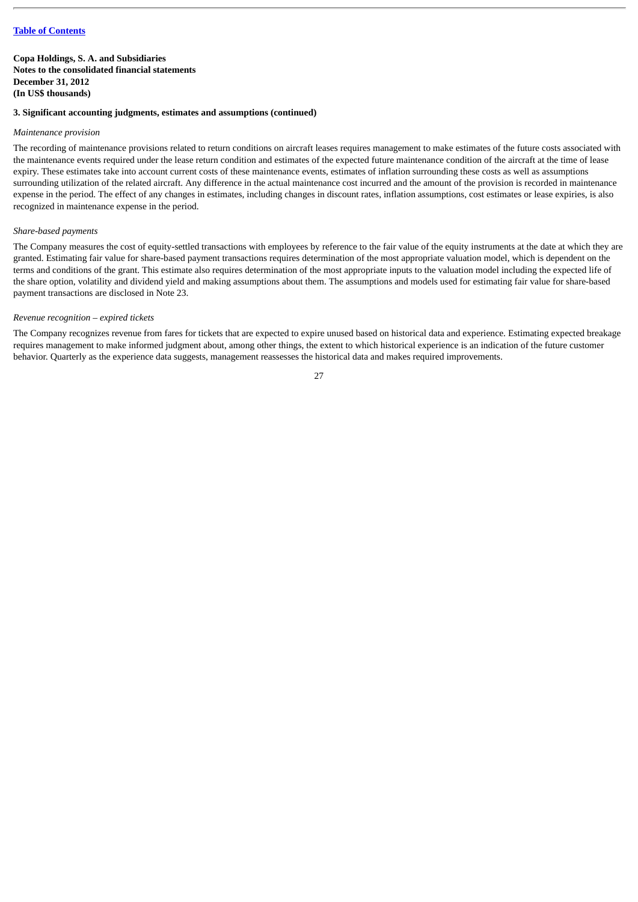## **Copa Holdings, S. A. and Subsidiaries Notes to the consolidated financial statements December 31, 2012 (In US\$ thousands)**

## **3. Significant accounting judgments, estimates and assumptions (continued)**

#### *Maintenance provision*

The recording of maintenance provisions related to return conditions on aircraft leases requires management to make estimates of the future costs associated with the maintenance events required under the lease return condition and estimates of the expected future maintenance condition of the aircraft at the time of lease expiry. These estimates take into account current costs of these maintenance events, estimates of inflation surrounding these costs as well as assumptions surrounding utilization of the related aircraft. Any difference in the actual maintenance cost incurred and the amount of the provision is recorded in maintenance expense in the period. The effect of any changes in estimates, including changes in discount rates, inflation assumptions, cost estimates or lease expiries, is also recognized in maintenance expense in the period.

#### *Share-based payments*

The Company measures the cost of equity-settled transactions with employees by reference to the fair value of the equity instruments at the date at which they are granted. Estimating fair value for share-based payment transactions requires determination of the most appropriate valuation model, which is dependent on the terms and conditions of the grant. This estimate also requires determination of the most appropriate inputs to the valuation model including the expected life of the share option, volatility and dividend yield and making assumptions about them. The assumptions and models used for estimating fair value for share-based payment transactions are disclosed in Note 23.

#### *Revenue recognition – expired tickets*

The Company recognizes revenue from fares for tickets that are expected to expire unused based on historical data and experience. Estimating expected breakage requires management to make informed judgment about, among other things, the extent to which historical experience is an indication of the future customer behavior. Quarterly as the experience data suggests, management reassesses the historical data and makes required improvements.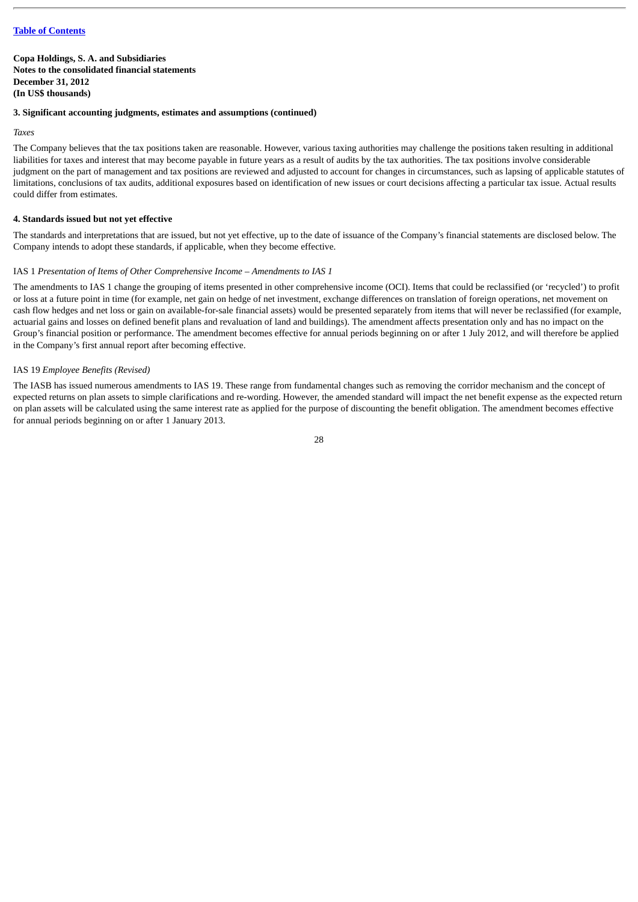**Copa Holdings, S. A. and Subsidiaries Notes to the consolidated financial statements December 31, 2012 (In US\$ thousands)**

## **3. Significant accounting judgments, estimates and assumptions (continued)**

#### *Taxes*

The Company believes that the tax positions taken are reasonable. However, various taxing authorities may challenge the positions taken resulting in additional liabilities for taxes and interest that may become payable in future years as a result of audits by the tax authorities. The tax positions involve considerable judgment on the part of management and tax positions are reviewed and adjusted to account for changes in circumstances, such as lapsing of applicable statutes of limitations, conclusions of tax audits, additional exposures based on identification of new issues or court decisions affecting a particular tax issue. Actual results could differ from estimates.

#### **4. Standards issued but not yet effective**

The standards and interpretations that are issued, but not yet effective, up to the date of issuance of the Company's financial statements are disclosed below. The Company intends to adopt these standards, if applicable, when they become effective.

#### IAS 1 *Presentation of Items of Other Comprehensive Income – Amendments to IAS 1*

The amendments to IAS 1 change the grouping of items presented in other comprehensive income (OCI). Items that could be reclassified (or 'recycled') to profit or loss at a future point in time (for example, net gain on hedge of net investment, exchange differences on translation of foreign operations, net movement on cash flow hedges and net loss or gain on available-for-sale financial assets) would be presented separately from items that will never be reclassified (for example, actuarial gains and losses on defined benefit plans and revaluation of land and buildings). The amendment affects presentation only and has no impact on the Group's financial position or performance. The amendment becomes effective for annual periods beginning on or after 1 July 2012, and will therefore be applied in the Company's first annual report after becoming effective.

#### IAS 19 *Employee Benefits (Revised)*

The IASB has issued numerous amendments to IAS 19. These range from fundamental changes such as removing the corridor mechanism and the concept of expected returns on plan assets to simple clarifications and re-wording. However, the amended standard will impact the net benefit expense as the expected return on plan assets will be calculated using the same interest rate as applied for the purpose of discounting the benefit obligation. The amendment becomes effective for annual periods beginning on or after 1 January 2013.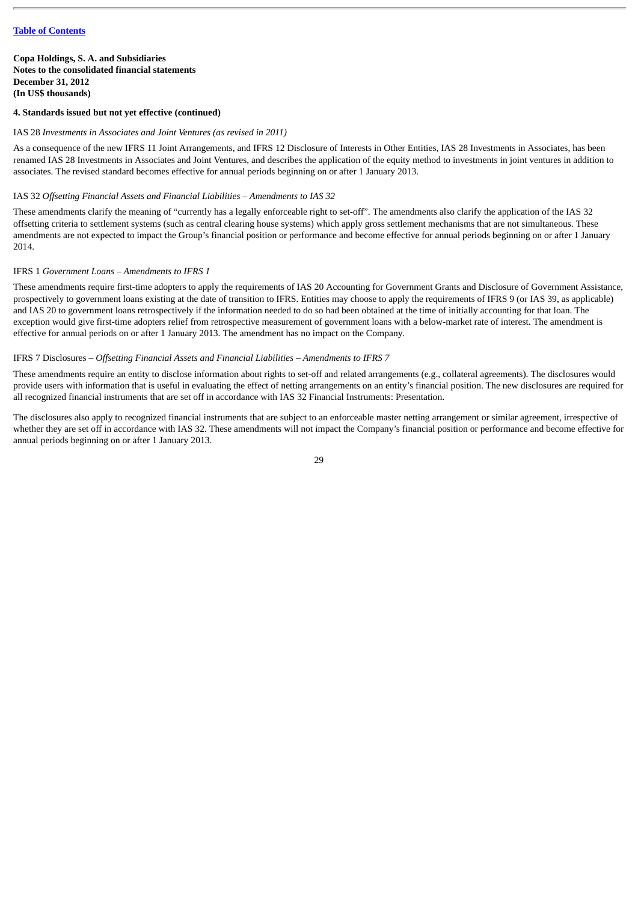## **Copa Holdings, S. A. and Subsidiaries Notes to the consolidated financial statements December 31, 2012 (In US\$ thousands)**

#### **4. Standards issued but not yet effective (continued)**

#### IAS 28 *Investments in Associates and Joint Ventures (as revised in 2011)*

As a consequence of the new IFRS 11 Joint Arrangements, and IFRS 12 Disclosure of Interests in Other Entities, IAS 28 Investments in Associates, has been renamed IAS 28 Investments in Associates and Joint Ventures, and describes the application of the equity method to investments in joint ventures in addition to associates. The revised standard becomes effective for annual periods beginning on or after 1 January 2013.

## IAS 32 *Offsetting Financial Assets and Financial Liabilities – Amendments to IAS 32*

These amendments clarify the meaning of "currently has a legally enforceable right to set-off". The amendments also clarify the application of the IAS 32 offsetting criteria to settlement systems (such as central clearing house systems) which apply gross settlement mechanisms that are not simultaneous. These amendments are not expected to impact the Group's financial position or performance and become effective for annual periods beginning on or after 1 January 2014.

#### IFRS 1 *Government Loans – Amendments to IFRS 1*

These amendments require first-time adopters to apply the requirements of IAS 20 Accounting for Government Grants and Disclosure of Government Assistance, prospectively to government loans existing at the date of transition to IFRS. Entities may choose to apply the requirements of IFRS 9 (or IAS 39, as applicable) and IAS 20 to government loans retrospectively if the information needed to do so had been obtained at the time of initially accounting for that loan. The exception would give first-time adopters relief from retrospective measurement of government loans with a below-market rate of interest. The amendment is effective for annual periods on or after 1 January 2013. The amendment has no impact on the Company.

## IFRS 7 Disclosures – *Offsetting Financial Assets and Financial Liabilities – Amendments to IFRS 7*

These amendments require an entity to disclose information about rights to set-off and related arrangements (e.g., collateral agreements). The disclosures would provide users with information that is useful in evaluating the effect of netting arrangements on an entity's financial position. The new disclosures are required for all recognized financial instruments that are set off in accordance with IAS 32 Financial Instruments: Presentation.

The disclosures also apply to recognized financial instruments that are subject to an enforceable master netting arrangement or similar agreement, irrespective of whether they are set off in accordance with IAS 32. These amendments will not impact the Company's financial position or performance and become effective for annual periods beginning on or after 1 January 2013.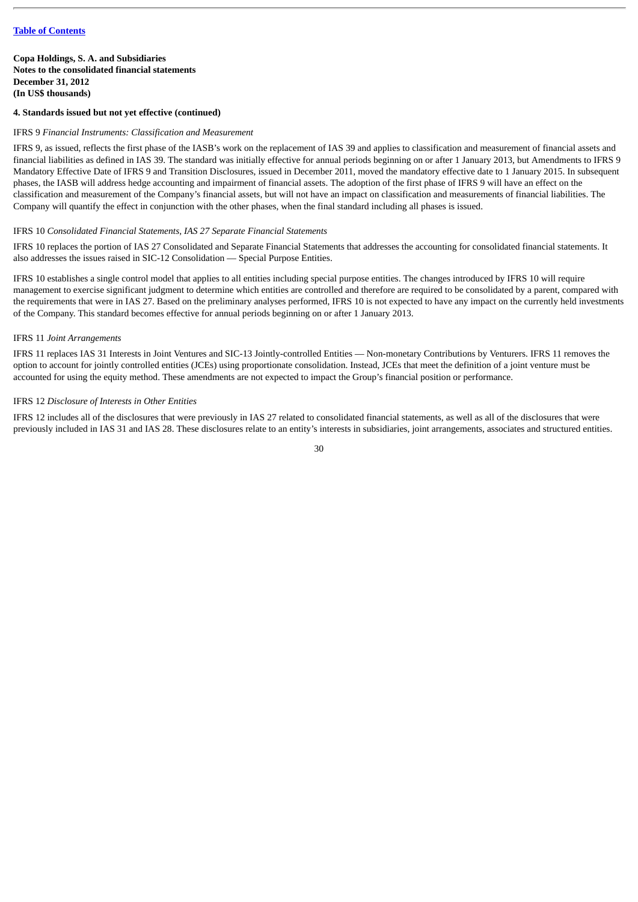## **Copa Holdings, S. A. and Subsidiaries Notes to the consolidated financial statements December 31, 2012 (In US\$ thousands)**

## **4. Standards issued but not yet effective (continued)**

#### IFRS 9 *Financial Instruments: Classification and Measurement*

IFRS 9, as issued, reflects the first phase of the IASB's work on the replacement of IAS 39 and applies to classification and measurement of financial assets and financial liabilities as defined in IAS 39. The standard was initially effective for annual periods beginning on or after 1 January 2013, but Amendments to IFRS 9 Mandatory Effective Date of IFRS 9 and Transition Disclosures, issued in December 2011, moved the mandatory effective date to 1 January 2015. In subsequent phases, the IASB will address hedge accounting and impairment of financial assets. The adoption of the first phase of IFRS 9 will have an effect on the classification and measurement of the Company's financial assets, but will not have an impact on classification and measurements of financial liabilities. The Company will quantify the effect in conjunction with the other phases, when the final standard including all phases is issued.

#### IFRS 10 *Consolidated Financial Statements, IAS 27 Separate Financial Statements*

IFRS 10 replaces the portion of IAS 27 Consolidated and Separate Financial Statements that addresses the accounting for consolidated financial statements. It also addresses the issues raised in SIC-12 Consolidation — Special Purpose Entities.

IFRS 10 establishes a single control model that applies to all entities including special purpose entities. The changes introduced by IFRS 10 will require management to exercise significant judgment to determine which entities are controlled and therefore are required to be consolidated by a parent, compared with the requirements that were in IAS 27. Based on the preliminary analyses performed, IFRS 10 is not expected to have any impact on the currently held investments of the Company. This standard becomes effective for annual periods beginning on or after 1 January 2013.

#### IFRS 11 *Joint Arrangements*

IFRS 11 replaces IAS 31 Interests in Joint Ventures and SIC-13 Jointly-controlled Entities — Non-monetary Contributions by Venturers. IFRS 11 removes the option to account for jointly controlled entities (JCEs) using proportionate consolidation. Instead, JCEs that meet the definition of a joint venture must be accounted for using the equity method. These amendments are not expected to impact the Group's financial position or performance.

## IFRS 12 *Disclosure of Interests in Other Entities*

IFRS 12 includes all of the disclosures that were previously in IAS 27 related to consolidated financial statements, as well as all of the disclosures that were previously included in IAS 31 and IAS 28. These disclosures relate to an entity's interests in subsidiaries, joint arrangements, associates and structured entities.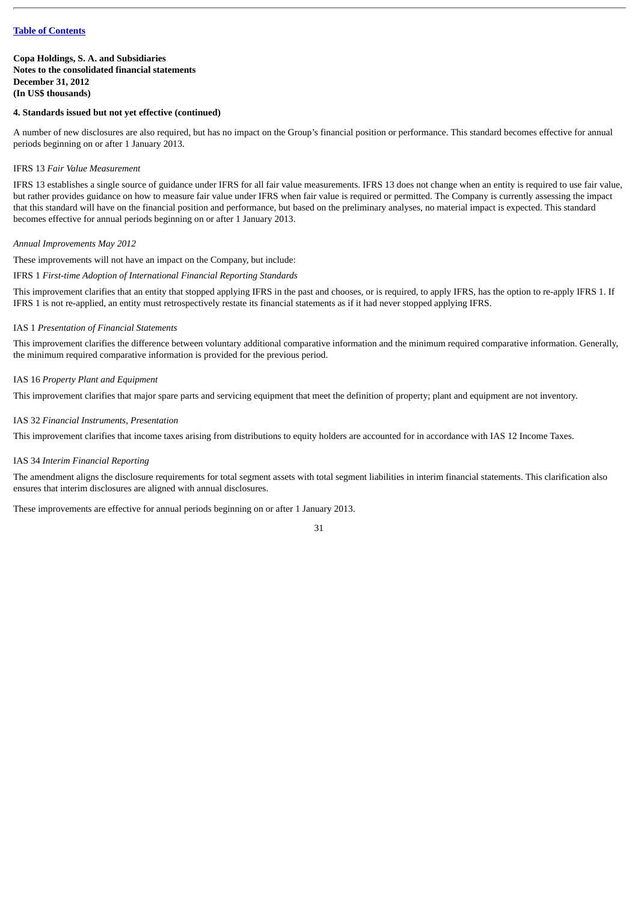## **Copa Holdings, S. A. and Subsidiaries Notes to the consolidated financial statements December 31, 2012 (In US\$ thousands)**

### **4. Standards issued but not yet effective (continued)**

A number of new disclosures are also required, but has no impact on the Group's financial position or performance. This standard becomes effective for annual periods beginning on or after 1 January 2013.

### IFRS 13 *Fair Value Measurement*

IFRS 13 establishes a single source of guidance under IFRS for all fair value measurements. IFRS 13 does not change when an entity is required to use fair value, but rather provides guidance on how to measure fair value under IFRS when fair value is required or permitted. The Company is currently assessing the impact that this standard will have on the financial position and performance, but based on the preliminary analyses, no material impact is expected. This standard becomes effective for annual periods beginning on or after 1 January 2013.

#### *Annual Improvements May 2012*

These improvements will not have an impact on the Company, but include:

#### IFRS 1 *First-time Adoption of International Financial Reporting Standards*

This improvement clarifies that an entity that stopped applying IFRS in the past and chooses, or is required, to apply IFRS, has the option to re-apply IFRS 1. If IFRS 1 is not re-applied, an entity must retrospectively restate its financial statements as if it had never stopped applying IFRS.

#### IAS 1 *Presentation of Financial Statements*

This improvement clarifies the difference between voluntary additional comparative information and the minimum required comparative information. Generally, the minimum required comparative information is provided for the previous period.

#### IAS 16 *Property Plant and Equipment*

This improvement clarifies that major spare parts and servicing equipment that meet the definition of property; plant and equipment are not inventory.

#### IAS 32 *Financial Instruments, Presentation*

This improvement clarifies that income taxes arising from distributions to equity holders are accounted for in accordance with IAS 12 Income Taxes.

#### IAS 34 *Interim Financial Reporting*

The amendment aligns the disclosure requirements for total segment assets with total segment liabilities in interim financial statements. This clarification also ensures that interim disclosures are aligned with annual disclosures.

These improvements are effective for annual periods beginning on or after 1 January 2013.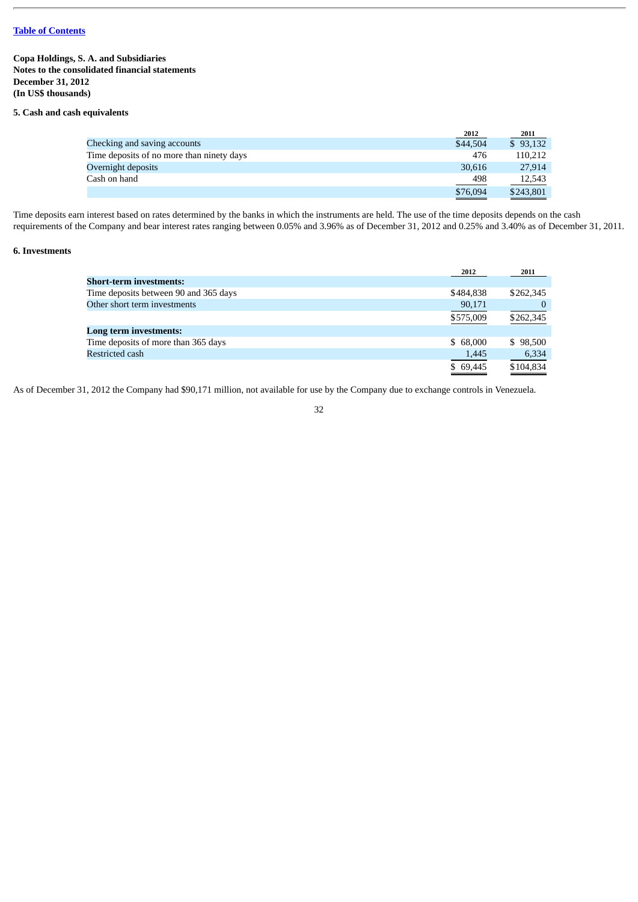**Copa Holdings, S. A. and Subsidiaries Notes to the consolidated financial statements December 31, 2012 (In US\$ thousands)**

## **5. Cash and cash equivalents**

|                                           | 2012     | 2011      |
|-------------------------------------------|----------|-----------|
| Checking and saving accounts              | \$44,504 | \$93,132  |
| Time deposits of no more than ninety days | 476      | 110,212   |
| Overnight deposits                        | 30.616   | 27,914    |
| Cash on hand                              | 498      | 12,543    |
|                                           | \$76,094 | \$243,801 |

Time deposits earn interest based on rates determined by the banks in which the instruments are held. The use of the time deposits depends on the cash requirements of the Company and bear interest rates ranging between 0.05% and 3.96% as of December 31, 2012 and 0.25% and 3.40% as of December 31, 2011.

## **6. Investments**

|                                       | 2012      | 2011           |
|---------------------------------------|-----------|----------------|
| <b>Short-term investments:</b>        |           |                |
| Time deposits between 90 and 365 days | \$484,838 | \$262,345      |
| Other short term investments          | 90,171    | $\overline{0}$ |
|                                       | \$575,009 | \$262,345      |
| Long term investments:                |           |                |
| Time deposits of more than 365 days   | \$ 68,000 | \$98,500       |
| Restricted cash                       | 1,445     | 6,334          |
|                                       | \$69,445  | \$104.834      |
|                                       |           |                |

As of December 31, 2012 the Company had \$90,171 million, not available for use by the Company due to exchange controls in Venezuela.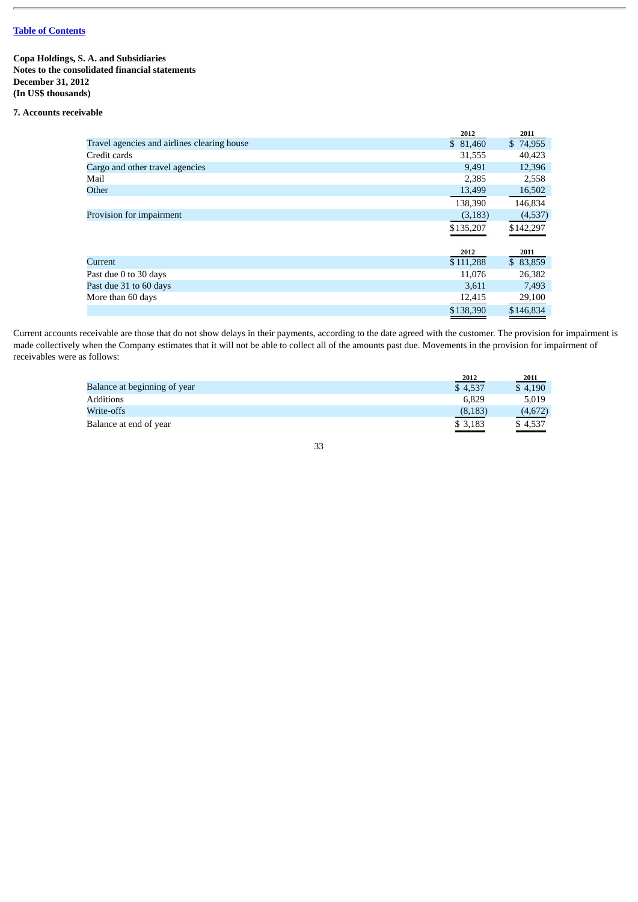## **Copa Holdings, S. A. and Subsidiaries Notes to the consolidated financial statements December 31, 2012 (In US\$ thousands)**

## **7. Accounts receivable**

| 2012      | 2011      |
|-----------|-----------|
| \$81,460  | \$74,955  |
| 31,555    | 40,423    |
| 9.491     | 12,396    |
| 2,385     | 2,558     |
| 13,499    | 16,502    |
| 138.390   | 146,834   |
| (3, 183)  | (4,537)   |
| \$135,207 | \$142,297 |
|           |           |
| 2012      | 2011      |
| \$111,288 | \$83,859  |
| 11,076    | 26,382    |
| 3,611     | 7,493     |
| 12,415    | 29,100    |
| \$138,390 | \$146.834 |
|           |           |

Current accounts receivable are those that do not show delays in their payments, according to the date agreed with the customer. The provision for impairment is made collectively when the Company estimates that it will not be able to collect all of the amounts past due. Movements in the provision for impairment of receivables were as follows:

|                              | 2012     | 2011    |
|------------------------------|----------|---------|
| Balance at beginning of year | \$4.537  | \$4.190 |
| Additions                    | 6.829    | 5.019   |
| Write-offs                   | (8, 183) | (4,672) |
| Balance at end of year       | \$3,183  | \$4,537 |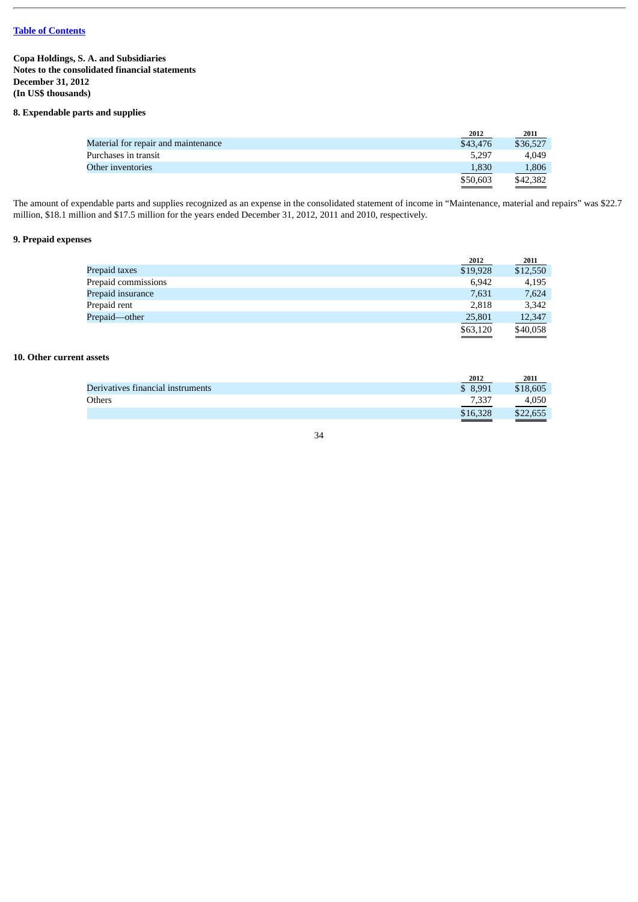**Copa Holdings, S. A. and Subsidiaries Notes to the consolidated financial statements December 31, 2012 (In US\$ thousands)**

# **8. Expendable parts and supplies**

|                                     | 2012     | 2011     |
|-------------------------------------|----------|----------|
| Material for repair and maintenance | \$43,476 | \$36,527 |
| Purchases in transit                | 5.297    | 4.049    |
| Other inventories                   | 1,830    | 1,806    |
|                                     | \$50,603 | \$42,382 |

The amount of expendable parts and supplies recognized as an expense in the consolidated statement of income in "Maintenance, material and repairs" was \$22.7 million, \$18.1 million and \$17.5 million for the years ended December 31, 2012, 2011 and 2010, respectively.

## **9. Prepaid expenses**

|                     | 2012     | 2011     |
|---------------------|----------|----------|
| Prepaid taxes       | \$19,928 | \$12,550 |
| Prepaid commissions | 6.942    | 4,195    |
| Prepaid insurance   | 7,631    | 7,624    |
| Prepaid rent        | 2.818    | 3,342    |
| Prepaid—other       | 25,801   | 12,347   |
|                     | \$63,120 | \$40,058 |

## **10. Other current assets**

|                                   | 2012     | 2011                                       |
|-----------------------------------|----------|--------------------------------------------|
| Derivatives financial instruments | \$8.991  | \$18,605                                   |
| Others                            | 7.337    | 4,050<br>and the control of the control of |
|                                   | \$16,328 | \$22,655                                   |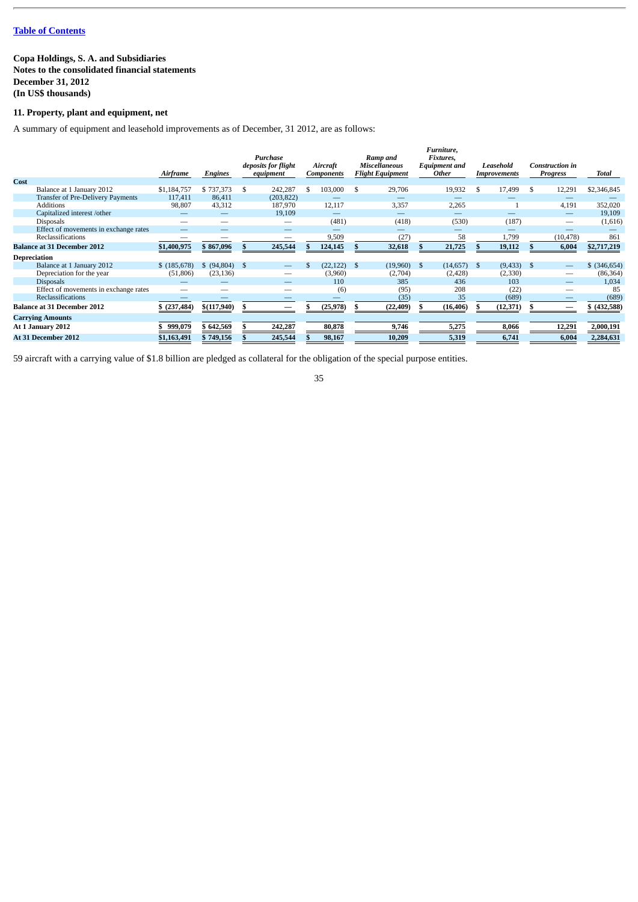**Copa Holdings, S. A. and Subsidiaries Notes to the consolidated financial statements December 31, 2012 (In US\$ thousands)**

# **11. Property, plant and equipment, net**

A summary of equipment and leasehold improvements as of December, 31 2012, are as follows:

|                                       |              |                |     |                                              |                               |     |                                                             |      | Furniture,                                 |    |                                  |     |                                           |               |
|---------------------------------------|--------------|----------------|-----|----------------------------------------------|-------------------------------|-----|-------------------------------------------------------------|------|--------------------------------------------|----|----------------------------------|-----|-------------------------------------------|---------------|
|                                       | Airframe     | <b>Engines</b> |     | Purchase<br>deposits for flight<br>equipment | Aircraft<br><b>Components</b> |     | Ramp and<br><b>Miscellaneous</b><br><b>Flight Equipment</b> |      | Fixtures.<br><b>Equipment and</b><br>Other |    | Leasehold<br><i>Improvements</i> |     | <b>Construction in</b><br><b>Progress</b> | Total         |
| Cost                                  |              |                |     |                                              |                               |     |                                                             |      |                                            |    |                                  |     |                                           |               |
| Balance at 1 January 2012             | \$1,184,757  | \$737,373      | \$  | 242,287                                      | 103,000                       | \$  | 29,706                                                      |      | 19,932                                     | S. | 17,499                           | \$. | 12,291                                    | \$2,346,845   |
| Transfer of Pre-Delivery Payments     | 117,411      | 86,411         |     | (203, 822)                                   |                               |     |                                                             |      | –                                          |    |                                  |     | __                                        |               |
| <b>Additions</b>                      | 98,807       | 43,312         |     | 187,970                                      | 12,117                        |     | 3,357                                                       |      | 2,265                                      |    |                                  |     | 4,191                                     | 352,020       |
| Capitalized interest /other           |              |                |     | 19,109                                       |                               |     |                                                             |      |                                            |    |                                  |     |                                           | 19,109        |
| <b>Disposals</b>                      |              |                |     |                                              | (481)                         |     | (418)                                                       |      | (530)                                      |    | (187)                            |     | —                                         | (1,616)       |
| Effect of movements in exchange rates |              |                |     | —                                            |                               |     |                                                             |      |                                            |    |                                  |     |                                           |               |
| Reclassifications                     |              |                |     |                                              | 9,509                         |     | (27)                                                        |      | 58                                         |    | 1,799                            |     | (10, 478)                                 | 861           |
| <b>Balance at 31 December 2012</b>    | \$1,400,975  | \$867,096      |     | 245,544                                      | 124,145                       |     | 32,618                                                      |      | 21,725                                     |    | 19,112                           |     | 6,004                                     | \$2,717,219   |
| <b>Depreciation</b>                   |              |                |     |                                              |                               |     |                                                             |      |                                            |    |                                  |     |                                           |               |
| Balance at 1 January 2012             | \$(185,678)  | \$ (94,804)    | -\$ |                                              | (22, 122)                     | \$. | (19,960)                                                    | - \$ | $(14, 657)$ \$                             |    | (9, 433)                         | -\$ |                                           | $$$ (346,654) |
| Depreciation for the year             | (51, 806)    | (23, 136)      |     |                                              | (3,960)                       |     | (2,704)                                                     |      | (2, 428)                                   |    | (2, 330)                         |     |                                           | (86, 364)     |
| <b>Disposals</b>                      |              |                |     |                                              | 110                           |     | 385                                                         |      | 436                                        |    | 103                              |     |                                           | 1,034         |
| Effect of movements in exchange rates |              |                |     |                                              | (6)                           |     | (95)                                                        |      | 208                                        |    | (22)                             |     |                                           | 85            |
| Reclassifications                     |              |                |     |                                              |                               |     | (35)                                                        |      | 35                                         |    | (689)                            |     |                                           | (689)         |
| <b>Balance at 31 December 2012</b>    | \$(237, 484) | \$(117,940)    |     |                                              | (25, 978)                     |     | (22, 409)                                                   |      | (16, 406)                                  |    | (12, 371)                        |     |                                           | (432,588)     |
| <b>Carrying Amounts</b>               |              |                |     |                                              |                               |     |                                                             |      |                                            |    |                                  |     |                                           |               |
| At 1 January 2012                     | 999,079      | \$642,569      |     | 242,287                                      | 80,878                        |     | 9,746                                                       |      | 5,275                                      |    | 8,066                            |     | 12,291                                    | 2,000,191     |
| At 31 December 2012                   | \$1,163,491  | \$749,156      |     | 245,544                                      | 98,167                        |     | 10,209                                                      |      | 5,319                                      |    | 6,741                            |     | 6,004                                     | 2,284,631     |

59 aircraft with a carrying value of \$1.8 billion are pledged as collateral for the obligation of the special purpose entities.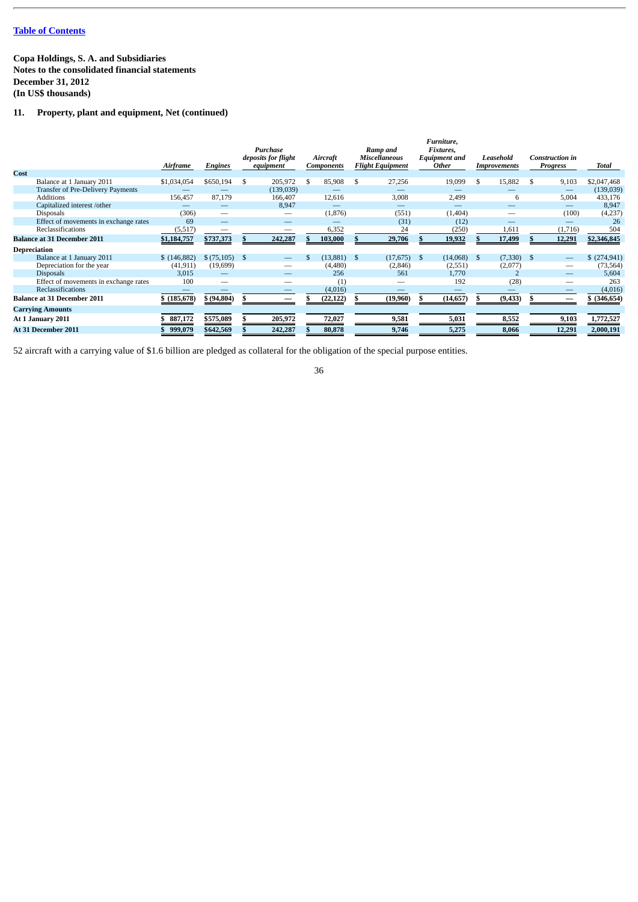**Copa Holdings, S. A. and Subsidiaries Notes to the consolidated financial statements December 31, 2012 (In US\$ thousands)**

# **11. Property, plant and equipment, Net (continued)**

|                                       | Airframe    | <b>Engines</b> |      | Purchase<br>deposits for flight<br>equipment | Aircraft<br><b>Components</b> | Ramp and<br><b>Miscellaneous</b><br><b>Flight Equipment</b> |      | Furniture.<br>Fixtures,<br><b>Equipment and</b><br>Other |   | Leasehold<br><i>Improvements</i> |     | <b>Construction</b> in<br><b>Progress</b> | Total         |
|---------------------------------------|-------------|----------------|------|----------------------------------------------|-------------------------------|-------------------------------------------------------------|------|----------------------------------------------------------|---|----------------------------------|-----|-------------------------------------------|---------------|
| Cost                                  |             |                |      |                                              |                               |                                                             |      |                                                          |   |                                  |     |                                           |               |
| Balance at 1 January 2011             | \$1,034,054 | \$650,194      | \$   | 205,972                                      | 85,908                        | 27,256<br>\$                                                |      | 19,099                                                   | S | 15,882                           | \$  | 9,103                                     | \$2,047,468   |
| Transfer of Pre-Delivery Payments     |             |                |      | (139,039)                                    |                               |                                                             |      |                                                          |   |                                  |     |                                           | (139,039)     |
| <b>Additions</b>                      | 156,457     | 87,179         |      | 166,407                                      | 12,616                        | 3,008                                                       |      | 2,499                                                    |   | 6                                |     | 5,004                                     | 433,176       |
| Capitalized interest /other           |             |                |      | 8,947                                        |                               |                                                             |      |                                                          |   |                                  |     |                                           | 8,947         |
| <b>Disposals</b>                      | (306)       | —              |      |                                              | (1, 876)                      | (551)                                                       |      | (1,404)                                                  |   |                                  |     | (100)                                     | (4,237)       |
| Effect of movements in exchange rates | 69          |                |      |                                              |                               | (31)                                                        |      | (12)                                                     |   |                                  |     |                                           | 26            |
| Reclassifications                     | (5,517)     |                |      | —                                            | 6,352                         | 24                                                          |      | (250)                                                    |   | 1,611                            |     | (1,716)                                   | 504           |
| <b>Balance at 31 December 2011</b>    | \$1,184,757 | \$737,373      |      | 242,287                                      | 103,000                       | 29,706                                                      |      | 19,932                                                   |   | 17,499                           |     | 12,291                                    | \$2,346,845   |
| <b>Depreciation</b>                   |             |                |      |                                              |                               |                                                             |      |                                                          |   |                                  |     |                                           |               |
| Balance at 1 January 2011             | \$(146,882) | \$(75,105)     | - \$ |                                              | (13, 881)                     | (17, 675)<br>\$.                                            | - \$ | $(14,068)$ \$                                            |   | (7, 330)                         | -\$ |                                           | \$(274,941)   |
| Depreciation for the year             | (41, 911)   | (19,699)       |      |                                              | (4,480)                       | (2,846)                                                     |      | (2,551)                                                  |   | (2,077)                          |     |                                           | (73, 564)     |
| <b>Disposals</b>                      | 3,015       |                |      |                                              | 256                           | 561                                                         |      | 1,770                                                    |   |                                  |     |                                           | 5,604         |
| Effect of movements in exchange rates | 100         |                |      |                                              | $\left(1\right)$              | __                                                          |      | 192                                                      |   | (28)                             |     |                                           | 263           |
| Reclassifications                     |             |                |      |                                              | (4,016)                       |                                                             |      |                                                          |   |                                  |     |                                           | (4,016)       |
| <b>Balance at 31 December 2011</b>    | \$(185,678) | \$ (94,804)    |      |                                              | (22, 122)                     | (19,960)                                                    |      | (14, 657)                                                |   | (9, 433)                         |     |                                           | $$$ (346,654) |
| <b>Carrying Amounts</b>               |             |                |      |                                              |                               |                                                             |      |                                                          |   |                                  |     |                                           |               |
| At 1 January 2011                     | 887,172     | \$575,089      |      | 205,972                                      | 72,027                        | 9,581                                                       |      | 5,031                                                    |   | 8,552                            |     | 9,103                                     | 1,772,527     |
| At 31 December 2011                   | 999,079     | \$642,569      |      | 242,287                                      | 80,878                        | 9,746                                                       |      | 5,275                                                    |   | 8,066                            |     | 12,291                                    | 2,000,191     |

52 aircraft with a carrying value of \$1.6 billion are pledged as collateral for the obligation of the special purpose entities.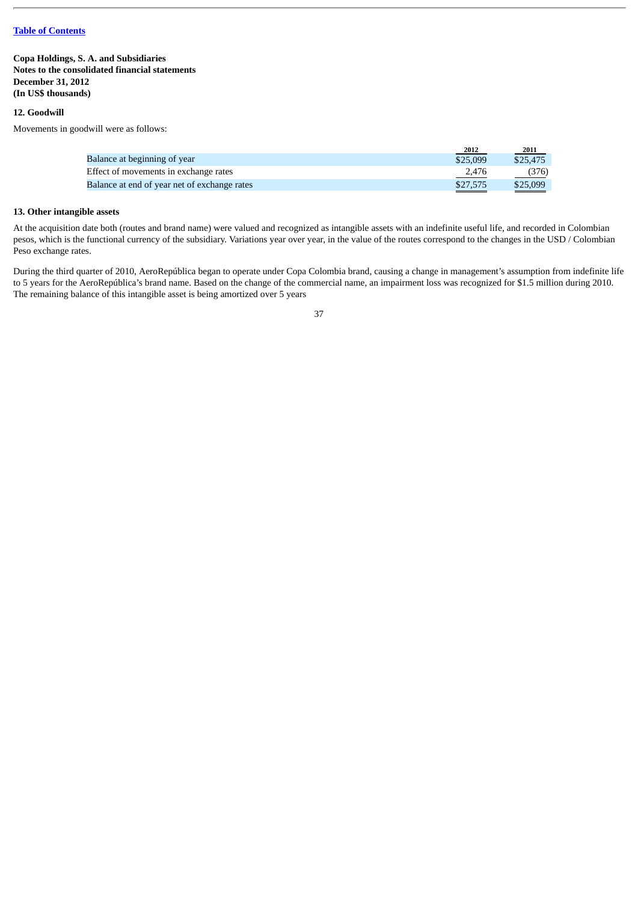**Copa Holdings, S. A. and Subsidiaries Notes to the consolidated financial statements December 31, 2012 (In US\$ thousands)**

### **12. Goodwill**

Movements in goodwill were as follows:

|                                              | 2012     | 2011     |
|----------------------------------------------|----------|----------|
| Balance at beginning of year                 | \$25,099 | \$25,475 |
| Effect of movements in exchange rates        | 2.476    | (376)    |
| Balance at end of year net of exchange rates | \$27,575 | \$25,099 |

## **13. Other intangible assets**

At the acquisition date both (routes and brand name) were valued and recognized as intangible assets with an indefinite useful life, and recorded in Colombian pesos, which is the functional currency of the subsidiary. Variations year over year, in the value of the routes correspond to the changes in the USD / Colombian Peso exchange rates.

During the third quarter of 2010, AeroRepública began to operate under Copa Colombia brand, causing a change in management's assumption from indefinite life to 5 years for the AeroRepública's brand name. Based on the change of the commercial name, an impairment loss was recognized for \$1.5 million during 2010. The remaining balance of this intangible asset is being amortized over 5 years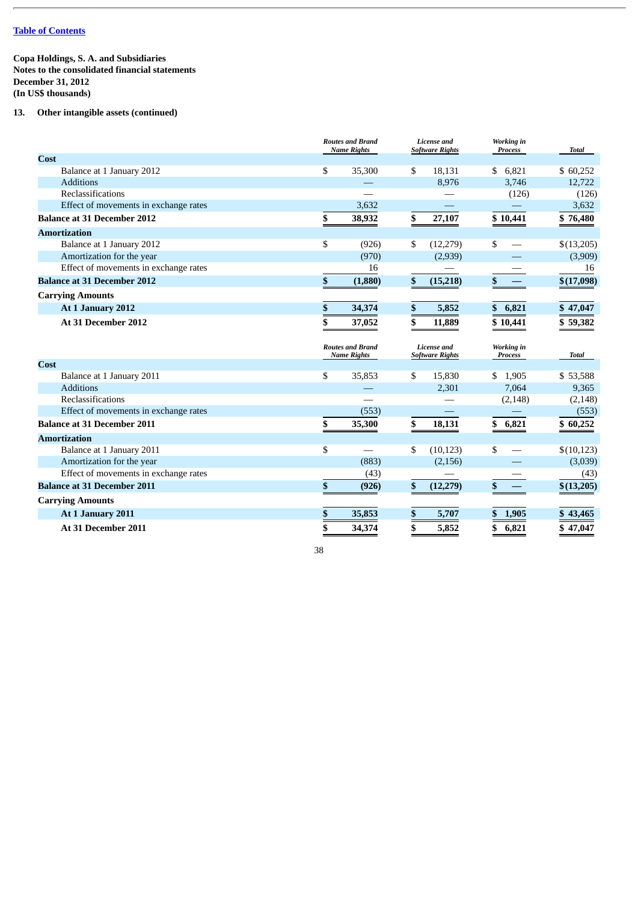**Copa Holdings, S. A. and Subsidiaries Notes to the consolidated financial statements December 31, 2012 (In US\$ thousands)**

# **13. Other intangible assets (continued)**

|                                       | <b>Routes and Brand</b><br><b>Name Rights</b> | License and<br>Software Rights               | Working in<br>Process        | Total       |
|---------------------------------------|-----------------------------------------------|----------------------------------------------|------------------------------|-------------|
| Cost                                  |                                               |                                              |                              |             |
| Balance at 1 January 2012             | \$<br>35,300                                  | \$<br>18,131                                 | \$<br>6,821                  | \$60,252    |
| <b>Additions</b>                      |                                               | 8,976                                        | 3,746                        | 12,722      |
| Reclassifications                     |                                               |                                              | (126)                        | (126)       |
| Effect of movements in exchange rates | 3.632                                         |                                              |                              | 3,632       |
| <b>Balance at 31 December 2012</b>    | \$<br>38,932                                  | \$<br>27,107                                 | \$10,441                     | \$76,480    |
| <b>Amortization</b>                   |                                               |                                              |                              |             |
| Balance at 1 January 2012             | \$<br>(926)                                   | \$<br>(12, 279)                              | \$                           | \$(13,205)  |
| Amortization for the year             | (970)                                         | (2,939)                                      |                              | (3,909)     |
| Effect of movements in exchange rates | 16                                            |                                              |                              | 16          |
| <b>Balance at 31 December 2012</b>    | \$<br>(1,880)                                 | \$<br>(15, 218)                              | \$                           | \$(17,098)  |
| <b>Carrying Amounts</b>               |                                               |                                              |                              |             |
| At 1 January 2012                     | \$<br>34,374                                  | \$<br>5,852                                  | \$<br>6,821                  | \$47,047    |
| At 31 December 2012                   | \$<br>37,052                                  | \$<br>11,889                                 | \$10,441                     | \$59,382    |
|                                       |                                               |                                              |                              |             |
|                                       | <b>Routes and Brand</b><br><b>Name Rights</b> | <b>License</b> and<br><b>Software Rights</b> | Working in<br><b>Process</b> | Total       |
| Cost                                  |                                               |                                              |                              |             |
| Balance at 1 January 2011             | \$<br>35,853                                  | \$<br>15,830                                 | \$1,905                      | \$53,588    |
| <b>Additions</b>                      |                                               | 2,301                                        | 7,064                        | 9,365       |
| Reclassifications                     |                                               |                                              | (2, 148)                     | (2, 148)    |
| Effect of movements in exchange rates | (553)                                         |                                              |                              | (553)       |
| <b>Balance at 31 December 2011</b>    | \$<br>35,300                                  | \$<br>18,131                                 | \$6,821                      | \$60,252    |
| <b>Amortization</b>                   |                                               |                                              |                              |             |
| Balance at 1 January 2011             | \$<br>$\overline{\phantom{0}}$                | \$<br>(10, 123)                              | \$                           | \$(10, 123) |
| Amortization for the year             | (883)                                         | (2, 156)                                     |                              | (3,039)     |
| Effect of movements in exchange rates | (43)                                          |                                              |                              | (43)        |
| <b>Balance at 31 December 2011</b>    | \$<br>(926)                                   | \$<br>(12, 279)                              | \$                           | \$(13,205)  |
| <b>Carrying Amounts</b>               |                                               |                                              |                              |             |
| At 1 January 2011                     | \$<br>35,853                                  | \$<br>5,707                                  | \$<br>1,905                  | \$43,465    |

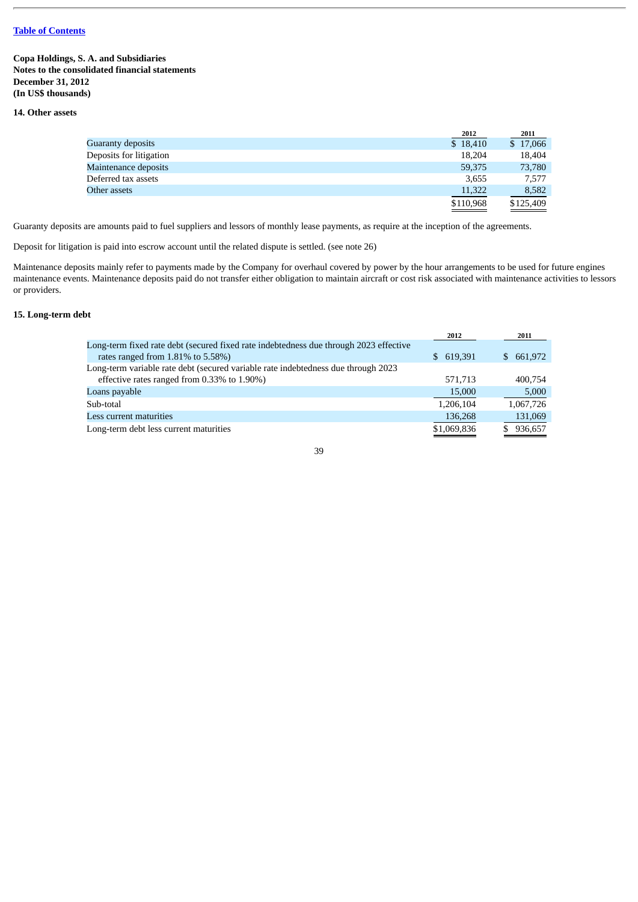**Copa Holdings, S. A. and Subsidiaries Notes to the consolidated financial statements December 31, 2012 (In US\$ thousands)**

## **14. Other assets**

|                          | 2012      | 2011      |
|--------------------------|-----------|-----------|
| <b>Guaranty deposits</b> | \$18,410  | \$17,066  |
| Deposits for litigation  | 18,204    | 18.404    |
| Maintenance deposits     | 59,375    | 73,780    |
| Deferred tax assets      | 3.655     | 7,577     |
| Other assets             | 11,322    | 8,582     |
|                          | \$110,968 | \$125,409 |

Guaranty deposits are amounts paid to fuel suppliers and lessors of monthly lease payments, as require at the inception of the agreements.

Deposit for litigation is paid into escrow account until the related dispute is settled. (see note 26)

Maintenance deposits mainly refer to payments made by the Company for overhaul covered by power by the hour arrangements to be used for future engines maintenance events. Maintenance deposits paid do not transfer either obligation to maintain aircraft or cost risk associated with maintenance activities to lessors or providers.

#### **15. Long-term debt**

|                                                                                       | 2012        | 2011       |
|---------------------------------------------------------------------------------------|-------------|------------|
| Long-term fixed rate debt (secured fixed rate indebtedness due through 2023 effective |             |            |
| rates ranged from $1.81\%$ to $5.58\%$ )                                              | \$ 619,391  | \$ 661,972 |
| Long-term variable rate debt (secured variable rate indebtedness due through 2023     |             |            |
| effective rates ranged from 0.33% to 1.90%)                                           | 571.713     | 400.754    |
| Loans payable                                                                         | 15,000      | 5,000      |
| Sub-total                                                                             | 1,206,104   | 1.067.726  |
| Less current maturities                                                               | 136,268     | 131,069    |
| Long-term debt less current maturities                                                | \$1,069,836 | 936,657    |
|                                                                                       |             |            |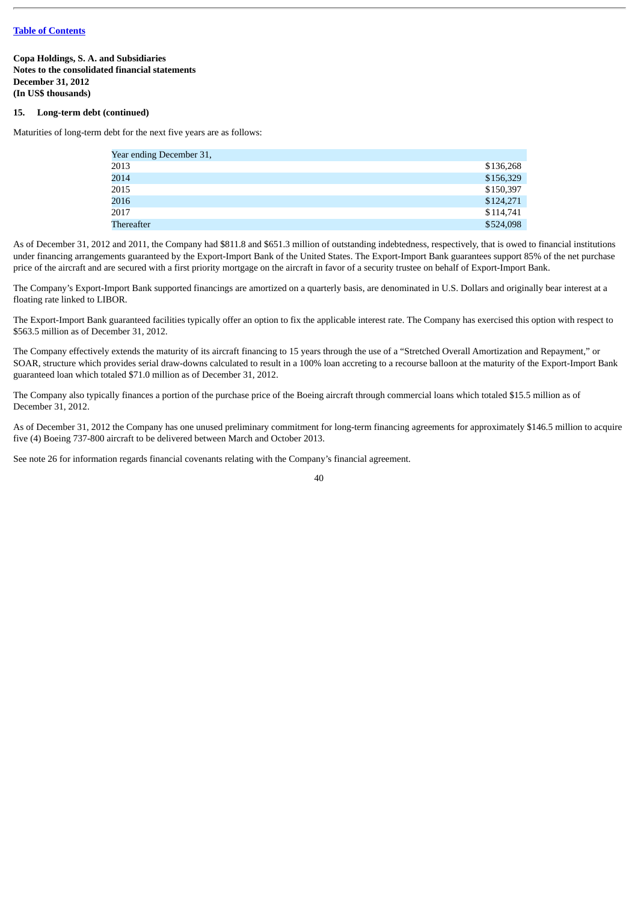**Copa Holdings, S. A. and Subsidiaries Notes to the consolidated financial statements December 31, 2012 (In US\$ thousands)**

#### **15. Long-term debt (continued)**

Maturities of long-term debt for the next five years are as follows:

| Year ending December 31, |           |
|--------------------------|-----------|
| 2013                     | \$136,268 |
| 2014                     | \$156,329 |
| 2015                     | \$150,397 |
| 2016                     | \$124,271 |
| 2017                     | \$114,741 |
| Thereafter               | \$524,098 |

As of December 31, 2012 and 2011, the Company had \$811.8 and \$651.3 million of outstanding indebtedness, respectively, that is owed to financial institutions under financing arrangements guaranteed by the Export-Import Bank of the United States. The Export-Import Bank guarantees support 85% of the net purchase price of the aircraft and are secured with a first priority mortgage on the aircraft in favor of a security trustee on behalf of Export-Import Bank.

The Company's Export-Import Bank supported financings are amortized on a quarterly basis, are denominated in U.S. Dollars and originally bear interest at a floating rate linked to LIBOR.

The Export-Import Bank guaranteed facilities typically offer an option to fix the applicable interest rate. The Company has exercised this option with respect to \$563.5 million as of December 31, 2012.

The Company effectively extends the maturity of its aircraft financing to 15 years through the use of a "Stretched Overall Amortization and Repayment," or SOAR, structure which provides serial draw-downs calculated to result in a 100% loan accreting to a recourse balloon at the maturity of the Export-Import Bank guaranteed loan which totaled \$71.0 million as of December 31, 2012.

The Company also typically finances a portion of the purchase price of the Boeing aircraft through commercial loans which totaled \$15.5 million as of December 31, 2012.

As of December 31, 2012 the Company has one unused preliminary commitment for long-term financing agreements for approximately \$146.5 million to acquire five (4) Boeing 737-800 aircraft to be delivered between March and October 2013.

See note 26 for information regards financial covenants relating with the Company's financial agreement.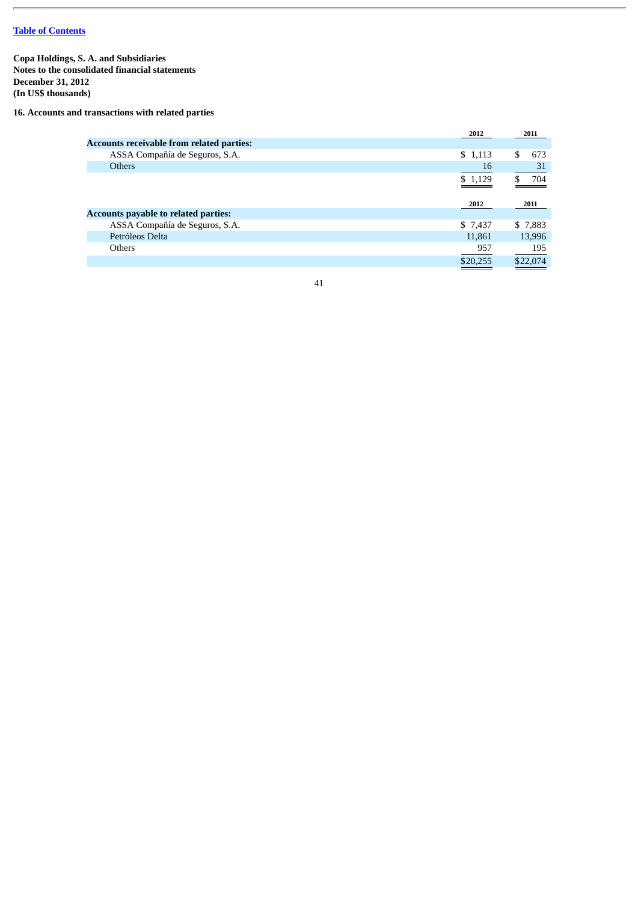**Copa Holdings, S. A. and Subsidiaries Notes to the consolidated financial statements December 31, 2012 (In US\$ thousands)**

# **16. Accounts and transactions with related parties**

|                                                  | 2012     | 2011      |
|--------------------------------------------------|----------|-----------|
| <b>Accounts receivable from related parties:</b> |          |           |
| ASSA Compañía de Seguros, S.A.                   | \$1,113  | \$<br>673 |
| <b>Others</b>                                    | 16       | 31        |
|                                                  | \$1,129  | 704       |
|                                                  |          |           |
|                                                  | 2012     | 2011      |
|                                                  |          |           |
| <b>Accounts payable to related parties:</b>      |          |           |
| ASSA Compañía de Seguros, S.A.                   | \$ 7,437 | \$7,883   |
| Petróleos Delta                                  | 11,861   | 13,996    |
| Others                                           | 957      | 195       |
|                                                  | \$20,255 | \$22,074  |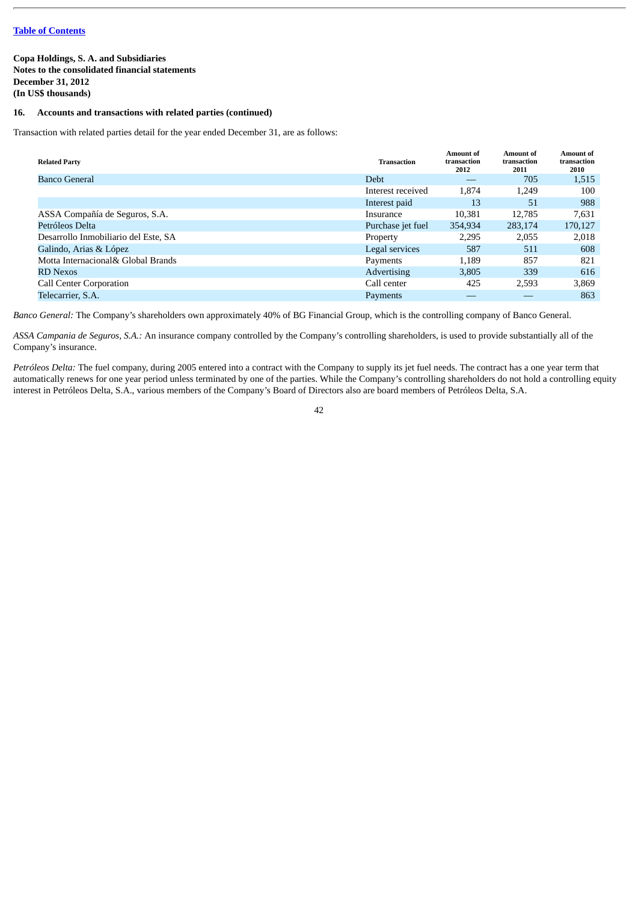**Copa Holdings, S. A. and Subsidiaries Notes to the consolidated financial statements December 31, 2012 (In US\$ thousands)**

### **16. Accounts and transactions with related parties (continued)**

Transaction with related parties detail for the year ended December 31, are as follows:

| <b>Related Party</b>                 | <b>Transaction</b> | <b>Amount of</b><br>transaction<br>2012 | <b>Amount of</b><br>transaction<br>2011 | Amount of<br>transaction<br>2010 |
|--------------------------------------|--------------------|-----------------------------------------|-----------------------------------------|----------------------------------|
| Banco General                        | <b>Debt</b>        |                                         | 705                                     | 1,515                            |
|                                      | Interest received  | 1,874                                   | 1,249                                   | 100                              |
|                                      | Interest paid      | 13                                      | 51                                      | 988                              |
| ASSA Compañía de Seguros, S.A.       | Insurance          | 10.381                                  | 12.785                                  | 7,631                            |
| Petróleos Delta                      | Purchase jet fuel  | 354,934                                 | 283,174                                 | 170,127                          |
| Desarrollo Inmobiliario del Este, SA | Property           | 2,295                                   | 2,055                                   | 2,018                            |
| Galindo, Arias & López               | Legal services     | 587                                     | 511                                     | 608                              |
| Motta Internacional& Global Brands   | Payments           | 1,189                                   | 857                                     | 821                              |
| <b>RD Nexos</b>                      | Advertising        | 3.805                                   | 339                                     | 616                              |
| <b>Call Center Corporation</b>       | Call center        | 425                                     | 2,593                                   | 3,869                            |
| Telecarrier, S.A.                    | <b>Payments</b>    |                                         |                                         | 863                              |

*Banco General:* The Company's shareholders own approximately 40% of BG Financial Group, which is the controlling company of Banco General.

*ASSA Campania de Seguros, S.A.:* An insurance company controlled by the Company's controlling shareholders, is used to provide substantially all of the Company's insurance.

*Petróleos Delta:* The fuel company, during 2005 entered into a contract with the Company to supply its jet fuel needs. The contract has a one year term that automatically renews for one year period unless terminated by one of the parties. While the Company's controlling shareholders do not hold a controlling equity interest in Petróleos Delta, S.A., various members of the Company's Board of Directors also are board members of Petróleos Delta, S.A.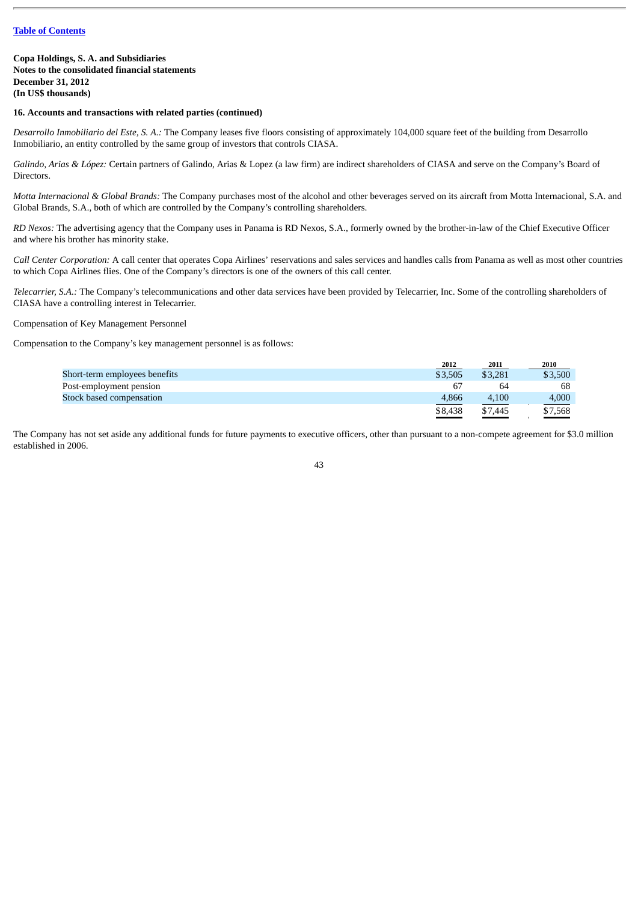### **Copa Holdings, S. A. and Subsidiaries Notes to the consolidated financial statements December 31, 2012 (In US\$ thousands)**

### **16. Accounts and transactions with related parties (continued)**

*Desarrollo Inmobiliario del Este, S. A.:* The Company leases five floors consisting of approximately 104,000 square feet of the building from Desarrollo Inmobiliario, an entity controlled by the same group of investors that controls CIASA.

*Galindo, Arias & López:* Certain partners of Galindo, Arias & Lopez (a law firm) are indirect shareholders of CIASA and serve on the Company's Board of Directors.

*Motta Internacional & Global Brands:* The Company purchases most of the alcohol and other beverages served on its aircraft from Motta Internacional, S.A. and Global Brands, S.A., both of which are controlled by the Company's controlling shareholders.

*RD Nexos:* The advertising agency that the Company uses in Panama is RD Nexos, S.A., formerly owned by the brother-in-law of the Chief Executive Officer and where his brother has minority stake.

Call Center Corporation: A call center that operates Copa Airlines' reservations and sales services and handles calls from Panama as well as most other countries to which Copa Airlines flies. One of the Company's directors is one of the owners of this call center.

*Telecarrier, S.A.:* The Company's telecommunications and other data services have been provided by Telecarrier, Inc. Some of the controlling shareholders of CIASA have a controlling interest in Telecarrier.

#### Compensation of Key Management Personnel

Compensation to the Company's key management personnel is as follows:

|                               | 2012    | 2011    | 2010    |
|-------------------------------|---------|---------|---------|
| Short-term employees benefits | \$3,505 | \$3.281 | \$3.500 |
| Post-employment pension       | 67      | 64      | 68      |
| Stock based compensation      | 4.866   | 4.100   | 4,000   |
|                               | \$8.438 | \$7.445 | \$7,568 |

The Company has not set aside any additional funds for future payments to executive officers, other than pursuant to a non-compete agreement for \$3.0 million established in 2006.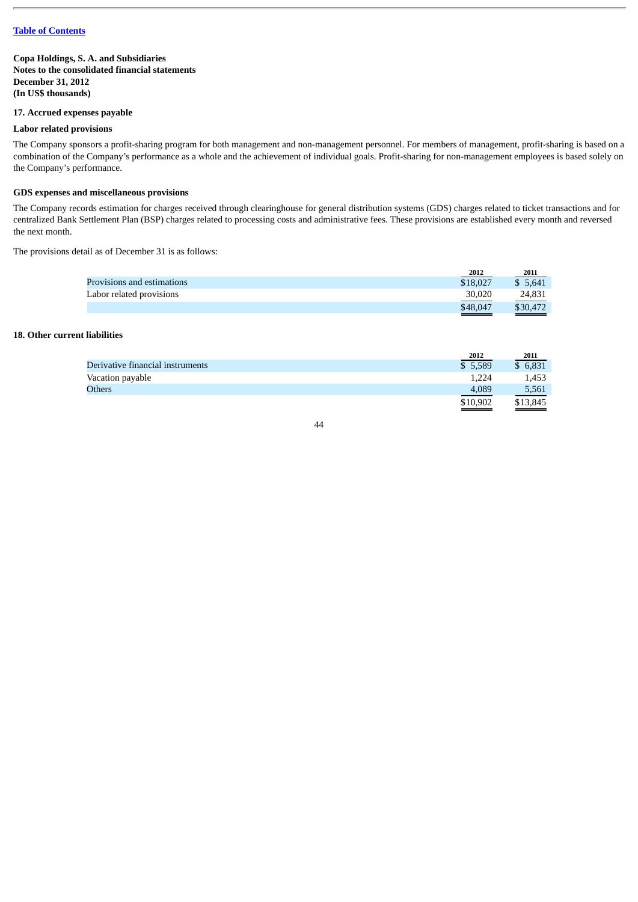**Copa Holdings, S. A. and Subsidiaries Notes to the consolidated financial statements December 31, 2012 (In US\$ thousands)**

### **17. Accrued expenses payable**

#### **Labor related provisions**

The Company sponsors a profit-sharing program for both management and non-management personnel. For members of management, profit-sharing is based on a combination of the Company's performance as a whole and the achievement of individual goals. Profit-sharing for non-management employees is based solely on the Company's performance.

# **GDS expenses and miscellaneous provisions**

The Company records estimation for charges received through clearinghouse for general distribution systems (GDS) charges related to ticket transactions and for centralized Bank Settlement Plan (BSP) charges related to processing costs and administrative fees. These provisions are established every month and reversed the next month.

The provisions detail as of December 31 is as follows:

|                            | 2012     | 2011     |
|----------------------------|----------|----------|
| Provisions and estimations | \$18,027 | \$5.641  |
| Labor related provisions   | 30,020   | 24,831   |
|                            | \$48,047 | \$30,472 |

# **18. Other current liabilities**

|                                  | 2012     | 2011     |
|----------------------------------|----------|----------|
| Derivative financial instruments | \$5.589  | \$6,831  |
| Vacation payable                 | 1.224    | 1.453    |
| Others                           | 4.089    | 5,561    |
|                                  | \$10.902 | \$13.845 |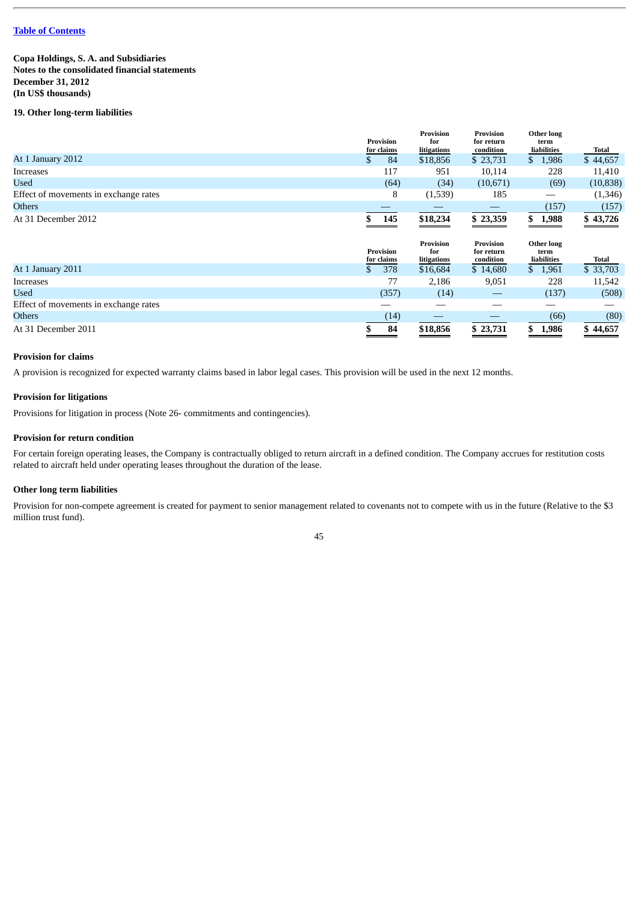**Copa Holdings, S. A. and Subsidiaries Notes to the consolidated financial statements December 31, 2012 (In US\$ thousands)**

## **19. Other long-term liabilities**

|                                       | Provision<br>for claims | <b>Provision</b><br>for<br>litigations | <b>Provision</b><br>for return<br>condition | <b>Other long</b><br>term<br>liabilities | Total        |
|---------------------------------------|-------------------------|----------------------------------------|---------------------------------------------|------------------------------------------|--------------|
| At 1 January 2012                     | 84<br>S                 | \$18,856                               | \$23,731                                    | $\mathbb{S}$<br>1,986                    | \$44,657     |
| Increases                             | 117                     | 951                                    | 10,114                                      | 228                                      | 11,410       |
| <b>Used</b>                           | (64)                    | (34)                                   | (10,671)                                    | (69)                                     | (10, 838)    |
| Effect of movements in exchange rates | 8                       | (1,539)                                | 185                                         |                                          | (1,346)      |
| <b>Others</b>                         |                         |                                        |                                             | (157)                                    | (157)        |
| At 31 December 2012                   | 145                     | \$18,234                               | \$23,359                                    | 1,988<br>\$                              | \$43,726     |
|                                       | <b>Provision</b>        | <b>Provision</b><br>for                | <b>Provision</b><br>for return              | <b>Other long</b><br>term                |              |
|                                       | for claims              | litigations                            | condition                                   | liabilities                              | <b>Total</b> |
| At 1 January 2011                     | 378<br>\$               | \$16,684                               | \$14,680                                    | $\mathbb{S}$<br>1,961                    | \$33,703     |
| Increases                             | 77                      | 2,186                                  | 9,051                                       | 228                                      | 11,542       |
| Used                                  | (357)                   | (14)                                   |                                             | (137)                                    | (508)        |
| Effect of movements in exchange rates |                         |                                        |                                             |                                          |              |
| <b>Others</b>                         | (14)                    |                                        |                                             | (66)                                     | (80)         |

#### **Provision for claims**

A provision is recognized for expected warranty claims based in labor legal cases. This provision will be used in the next 12 months.

### **Provision for litigations**

Provisions for litigation in process (Note 26- commitments and contingencies).

#### **Provision for return condition**

For certain foreign operating leases, the Company is contractually obliged to return aircraft in a defined condition. The Company accrues for restitution costs related to aircraft held under operating leases throughout the duration of the lease.

### **Other long term liabilities**

Provision for non-compete agreement is created for payment to senior management related to covenants not to compete with us in the future (Relative to the \$3 million trust fund).

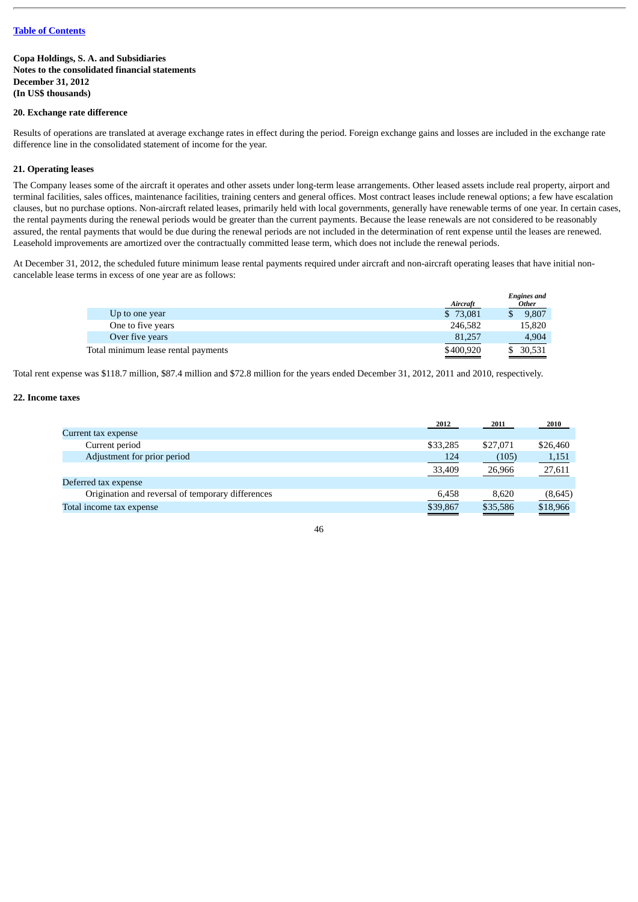**Copa Holdings, S. A. and Subsidiaries Notes to the consolidated financial statements December 31, 2012 (In US\$ thousands)**

### **20. Exchange rate difference**

Results of operations are translated at average exchange rates in effect during the period. Foreign exchange gains and losses are included in the exchange rate difference line in the consolidated statement of income for the year.

### **21. Operating leases**

The Company leases some of the aircraft it operates and other assets under long-term lease arrangements. Other leased assets include real property, airport and terminal facilities, sales offices, maintenance facilities, training centers and general offices. Most contract leases include renewal options; a few have escalation clauses, but no purchase options. Non-aircraft related leases, primarily held with local governments, generally have renewable terms of one year. In certain cases, the rental payments during the renewal periods would be greater than the current payments. Because the lease renewals are not considered to be reasonably assured, the rental payments that would be due during the renewal periods are not included in the determination of rent expense until the leases are renewed. Leasehold improvements are amortized over the contractually committed lease term, which does not include the renewal periods.

At December 31, 2012, the scheduled future minimum lease rental payments required under aircraft and non-aircraft operating leases that have initial noncancelable lease terms in excess of one year are as follows:

|                                     | Aircraft  | <b>Engines</b> and<br>Other |
|-------------------------------------|-----------|-----------------------------|
| Up to one year                      | \$73,081  | 9,807                       |
| One to five years                   | 246,582   | 15,820                      |
| Over five years                     | 81,257    | 4,904                       |
| Total minimum lease rental payments | \$400,920 | 30,531                      |

Total rent expense was \$118.7 million, \$87.4 million and \$72.8 million for the years ended December 31, 2012, 2011 and 2010, respectively.

## **22. Income taxes**

|                                                   | 2012     | 2011     | 2010     |
|---------------------------------------------------|----------|----------|----------|
| Current tax expense                               |          |          |          |
| Current period                                    | \$33,285 | \$27,071 | \$26,460 |
| Adjustment for prior period                       | 124      | (105)    | 1,151    |
|                                                   | 33,409   | 26,966   | 27,611   |
| Deferred tax expense                              |          |          |          |
| Origination and reversal of temporary differences | 6,458    | 8,620    | (8,645)  |
| Total income tax expense                          | \$39,867 | \$35,586 | \$18,966 |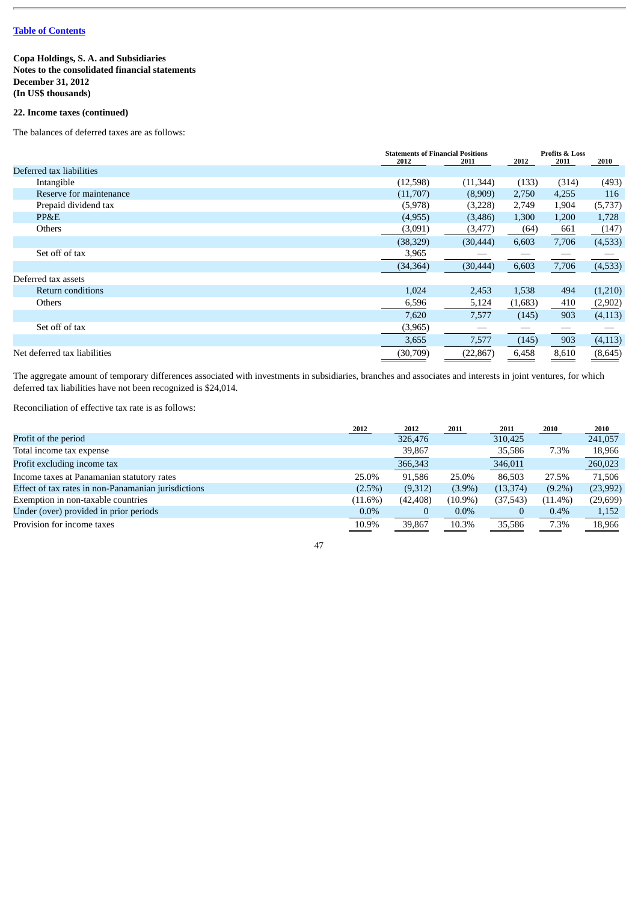## **Copa Holdings, S. A. and Subsidiaries Notes to the consolidated financial statements December 31, 2012 (In US\$ thousands)**

# **22. Income taxes (continued)**

The balances of deferred taxes are as follows:

|                              | <b>Statements of Financial Positions</b> |           | <b>Profits &amp; Loss</b> |       |          |
|------------------------------|------------------------------------------|-----------|---------------------------|-------|----------|
|                              | 2012                                     | 2011      | 2012                      | 2011  | 2010     |
| Deferred tax liabilities     |                                          |           |                           |       |          |
| Intangible                   | (12,598)                                 | (11,344)  | (133)                     | (314) | (493)    |
| Reserve for maintenance      | (11,707)                                 | (8,909)   | 2,750                     | 4,255 | 116      |
| Prepaid dividend tax         | (5,978)                                  | (3,228)   | 2,749                     | 1,904 | (5,737)  |
| PP&E                         | (4,955)                                  | (3,486)   | 1,300                     | 1,200 | 1,728    |
| Others                       | (3,091)                                  | (3, 477)  | (64)                      | 661   | (147)    |
|                              | (38, 329)                                | (30, 444) | 6,603                     | 7,706 | (4,533)  |
| Set off of tax               | 3,965                                    |           |                           |       |          |
|                              | (34, 364)                                | (30, 444) | 6,603                     | 7,706 | (4,533)  |
| Deferred tax assets          |                                          |           |                           |       |          |
| Return conditions            | 1,024                                    | 2,453     | 1,538                     | 494   | (1,210)  |
| Others                       | 6,596                                    | 5,124     | (1,683)                   | 410   | (2,902)  |
|                              | 7,620                                    | 7,577     | (145)                     | 903   | (4, 113) |
| Set off of tax               | (3,965)                                  |           |                           |       |          |
|                              | 3,655                                    | 7,577     | (145)                     | 903   | (4, 113) |
| Net deferred tax liabilities | (30,709)                                 | (22, 867) | 6,458                     | 8,610 | (8,645)  |

The aggregate amount of temporary differences associated with investments in subsidiaries, branches and associates and interests in joint ventures, for which deferred tax liabilities have not been recognized is \$24,014.

Reconciliation of effective tax rate is as follows:

|                                                     | 2012       | 2012      | 2011       | 2011      | 2010       | 2010     |
|-----------------------------------------------------|------------|-----------|------------|-----------|------------|----------|
| Profit of the period                                |            | 326,476   |            | 310,425   |            | 241,057  |
| Total income tax expense                            |            | 39,867    |            | 35,586    | 7.3%       | 18,966   |
| Profit excluding income tax                         |            | 366,343   |            | 346,011   |            | 260,023  |
| Income taxes at Panamanian statutory rates          | 25.0%      | 91,586    | 25.0%      | 86,503    | 27.5%      | 71.506   |
| Effect of tax rates in non-Panamanian jurisdictions | $(2.5\%)$  | (9,312)   | $(3.9\%)$  | (13, 374) | $(9.2\%)$  | (23,992) |
| Exemption in non-taxable countries                  | $(11.6\%)$ | (42, 408) | $(10.9\%)$ | (37,543)  | $(11.4\%)$ | (29,699) |
| Under (over) provided in prior periods              | $0.0\%$    | 0         | $0.0\%$    |           | 0.4%       | 1,152    |
| Provision for income taxes                          | 10.9%      | 39,867    | 10.3%      | 35,586    | 7.3%       | 18,966   |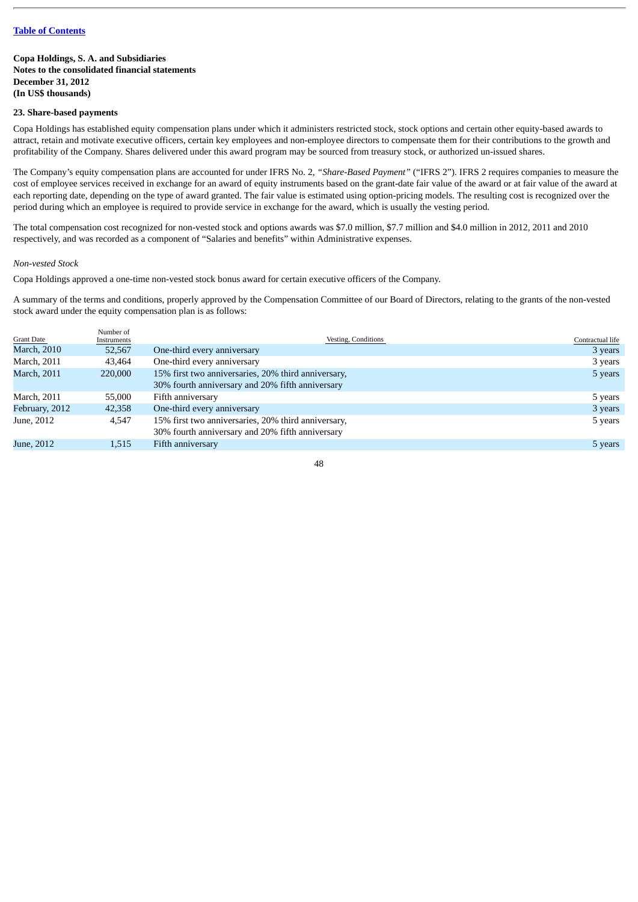### **Copa Holdings, S. A. and Subsidiaries Notes to the consolidated financial statements December 31, 2012 (In US\$ thousands)**

### **23. Share-based payments**

Copa Holdings has established equity compensation plans under which it administers restricted stock, stock options and certain other equity-based awards to attract, retain and motivate executive officers, certain key employees and non-employee directors to compensate them for their contributions to the growth and profitability of the Company. Shares delivered under this award program may be sourced from treasury stock, or authorized un-issued shares.

The Company's equity compensation plans are accounted for under IFRS No. 2, *"Share-Based Payment"* ("IFRS 2"). IFRS 2 requires companies to measure the cost of employee services received in exchange for an award of equity instruments based on the grant-date fair value of the award or at fair value of the award at each reporting date, depending on the type of award granted. The fair value is estimated using option-pricing models. The resulting cost is recognized over the period during which an employee is required to provide service in exchange for the award, which is usually the vesting period.

The total compensation cost recognized for non-vested stock and options awards was \$7.0 million, \$7.7 million and \$4.0 million in 2012, 2011 and 2010 respectively, and was recorded as a component of "Salaries and benefits" within Administrative expenses.

### *Non-vested Stock*

Copa Holdings approved a one-time non-vested stock bonus award for certain executive officers of the Company.

A summary of the terms and conditions, properly approved by the Compensation Committee of our Board of Directors, relating to the grants of the non-vested stock award under the equity compensation plan is as follows:

| <b>Grant Date</b>   | Number of<br>Instruments | Vesting, Conditions                                 | Contractual life |
|---------------------|--------------------------|-----------------------------------------------------|------------------|
| <b>March</b> , 2010 | 52,567                   | One-third every anniversary                         | 3 years          |
| March, 2011         | 43,464                   | One-third every anniversary                         | 3 years          |
| <b>March</b> , 2011 | 220,000                  | 15% first two anniversaries, 20% third anniversary, | 5 years          |
|                     |                          | 30% fourth anniversary and 20% fifth anniversary    |                  |
| <b>March</b> , 2011 | 55,000                   | Fifth anniversary                                   | 5 years          |
| February, 2012      | 42,358                   | One-third every anniversary                         | 3 years          |
| June, 2012          | 4,547                    | 15% first two anniversaries, 20% third anniversary, | 5 years          |
|                     |                          | 30% fourth anniversary and 20% fifth anniversary    |                  |
| June, 2012          | 1,515                    | Fifth anniversary                                   | 5 years          |
|                     |                          |                                                     |                  |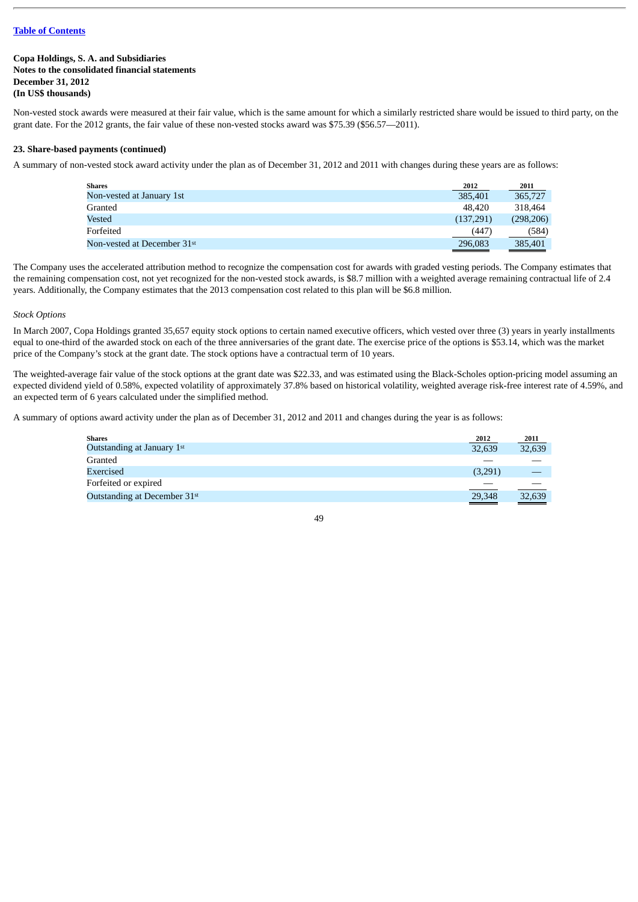### **Copa Holdings, S. A. and Subsidiaries Notes to the consolidated financial statements December 31, 2012 (In US\$ thousands)**

Non-vested stock awards were measured at their fair value, which is the same amount for which a similarly restricted share would be issued to third party, on the grant date. For the 2012 grants, the fair value of these non-vested stocks award was \$75.39 (\$56.57—2011).

#### **23. Share-based payments (continued)**

A summary of non-vested stock award activity under the plan as of December 31, 2012 and 2011 with changes during these years are as follows:

| Shares                      | 2012      | 2011       |
|-----------------------------|-----------|------------|
| Non-vested at January 1st   | 385,401   | 365,727    |
| Granted                     | 48.420    | 318,464    |
| Vested                      | (137,291) | (298, 206) |
| Forfeited                   | (447`     | (584)      |
| Non-vested at December 31st | 296,083   | 385,401    |

The Company uses the accelerated attribution method to recognize the compensation cost for awards with graded vesting periods. The Company estimates that the remaining compensation cost, not yet recognized for the non-vested stock awards, is \$8.7 million with a weighted average remaining contractual life of 2.4 years. Additionally, the Company estimates that the 2013 compensation cost related to this plan will be \$6.8 million.

### *Stock Options*

In March 2007, Copa Holdings granted 35,657 equity stock options to certain named executive officers, which vested over three (3) years in yearly installments equal to one-third of the awarded stock on each of the three anniversaries of the grant date. The exercise price of the options is \$53.14, which was the market price of the Company's stock at the grant date. The stock options have a contractual term of 10 years.

The weighted-average fair value of the stock options at the grant date was \$22.33, and was estimated using the Black-Scholes option-pricing model assuming an expected dividend yield of 0.58%, expected volatility of approximately 37.8% based on historical volatility, weighted average risk-free interest rate of 4.59%, and an expected term of 6 years calculated under the simplified method.

A summary of options award activity under the plan as of December 31, 2012 and 2011 and changes during the year is as follows:

| <b>Shares</b>                            | 2012    | 2011   |
|------------------------------------------|---------|--------|
| Outstanding at January 1st               | 32.639  | 32,639 |
| Granted                                  |         |        |
| Exercised                                | (3,291) |        |
| Forfeited or expired                     |         |        |
| Outstanding at December 31 <sup>st</sup> | 29,348  | 32,639 |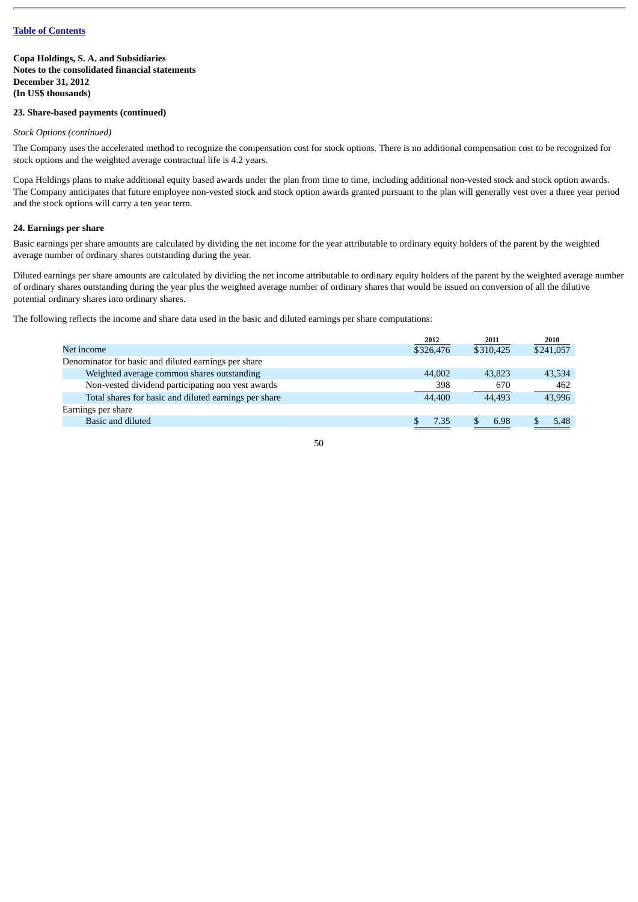### **Copa Holdings, S. A. and Subsidiaries Notes to the consolidated financial statements December 31, 2012 (In US\$ thousands)**

### **23. Share-based payments (continued)**

### *Stock Options (continued)*

The Company uses the accelerated method to recognize the compensation cost for stock options. There is no additional compensation cost to be recognized for stock options and the weighted average contractual life is 4.2 years.

Copa Holdings plans to make additional equity based awards under the plan from time to time, including additional non-vested stock and stock option awards. The Company anticipates that future employee non-vested stock and stock option awards granted pursuant to the plan will generally vest over a three year period and the stock options will carry a ten year term.

### **24. Earnings per share**

Basic earnings per share amounts are calculated by dividing the net income for the year attributable to ordinary equity holders of the parent by the weighted average number of ordinary shares outstanding during the year.

Diluted earnings per share amounts are calculated by dividing the net income attributable to ordinary equity holders of the parent by the weighted average number of ordinary shares outstanding during the year plus the weighted average number of ordinary shares that would be issued on conversion of all the dilutive potential ordinary shares into ordinary shares.

The following reflects the income and share data used in the basic and diluted earnings per share computations:

|                                                       | 2012      | 2011      | 2010      |
|-------------------------------------------------------|-----------|-----------|-----------|
| Net income                                            | \$326,476 | \$310,425 | \$241,057 |
| Denominator for basic and diluted earnings per share  |           |           |           |
| Weighted average common shares outstanding            | 44,002    | 43.823    | 43,534    |
| Non-vested dividend participating non vest awards     | 398       | 670       | 462       |
| Total shares for basic and diluted earnings per share | 44,400    | 44,493    | 43,996    |
| Earnings per share                                    |           |           |           |
| Basic and diluted                                     | 7.35      | 6.98      | 5.48      |
|                                                       |           |           |           |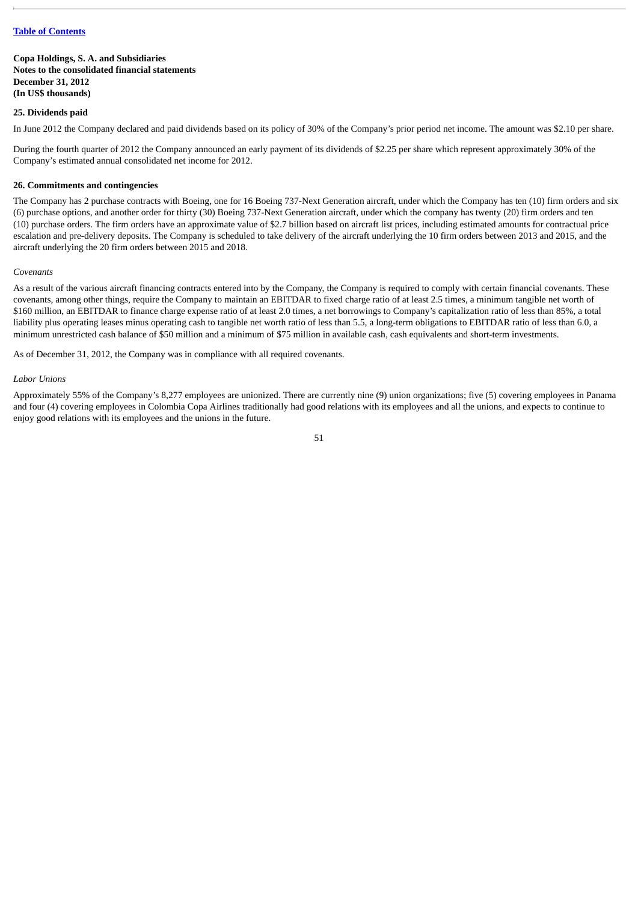### **25. Dividends paid**

In June 2012 the Company declared and paid dividends based on its policy of 30% of the Company's prior period net income. The amount was \$2.10 per share.

During the fourth quarter of 2012 the Company announced an early payment of its dividends of \$2.25 per share which represent approximately 30% of the Company's estimated annual consolidated net income for 2012.

#### **26. Commitments and contingencies**

The Company has 2 purchase contracts with Boeing, one for 16 Boeing 737-Next Generation aircraft, under which the Company has ten (10) firm orders and six (6) purchase options, and another order for thirty (30) Boeing 737-Next Generation aircraft, under which the company has twenty (20) firm orders and ten (10) purchase orders. The firm orders have an approximate value of \$2.7 billion based on aircraft list prices, including estimated amounts for contractual price escalation and pre-delivery deposits. The Company is scheduled to take delivery of the aircraft underlying the 10 firm orders between 2013 and 2015, and the aircraft underlying the 20 firm orders between 2015 and 2018.

#### *Covenants*

As a result of the various aircraft financing contracts entered into by the Company, the Company is required to comply with certain financial covenants. These covenants, among other things, require the Company to maintain an EBITDAR to fixed charge ratio of at least 2.5 times, a minimum tangible net worth of \$160 million, an EBITDAR to finance charge expense ratio of at least 2.0 times, a net borrowings to Company's capitalization ratio of less than 85%, a total liability plus operating leases minus operating cash to tangible net worth ratio of less than 5.5, a long-term obligations to EBITDAR ratio of less than 6.0, a minimum unrestricted cash balance of \$50 million and a minimum of \$75 million in available cash, cash equivalents and short-term investments.

As of December 31, 2012, the Company was in compliance with all required covenants.

#### *Labor Unions*

Approximately 55% of the Company's 8,277 employees are unionized. There are currently nine (9) union organizations; five (5) covering employees in Panama and four (4) covering employees in Colombia Copa Airlines traditionally had good relations with its employees and all the unions, and expects to continue to enjoy good relations with its employees and the unions in the future.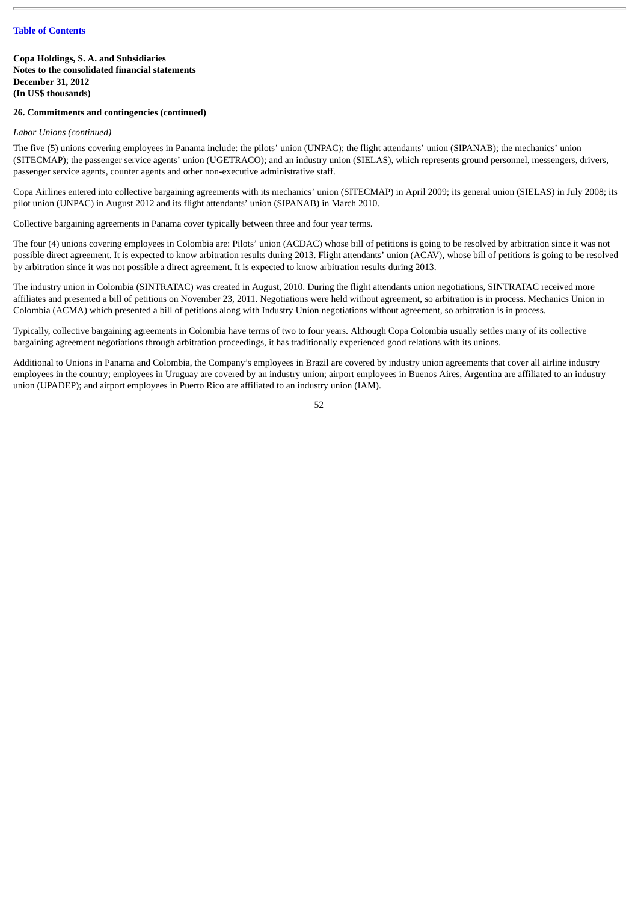### **Copa Holdings, S. A. and Subsidiaries Notes to the consolidated financial statements December 31, 2012 (In US\$ thousands)**

### **26. Commitments and contingencies (continued)**

#### *Labor Unions (continued)*

The five (5) unions covering employees in Panama include: the pilots' union (UNPAC); the flight attendants' union (SIPANAB); the mechanics' union (SITECMAP); the passenger service agents' union (UGETRACO); and an industry union (SIELAS), which represents ground personnel, messengers, drivers, passenger service agents, counter agents and other non-executive administrative staff.

Copa Airlines entered into collective bargaining agreements with its mechanics' union (SITECMAP) in April 2009; its general union (SIELAS) in July 2008; its pilot union (UNPAC) in August 2012 and its flight attendants' union (SIPANAB) in March 2010.

Collective bargaining agreements in Panama cover typically between three and four year terms.

The four (4) unions covering employees in Colombia are: Pilots' union (ACDAC) whose bill of petitions is going to be resolved by arbitration since it was not possible direct agreement. It is expected to know arbitration results during 2013. Flight attendants' union (ACAV), whose bill of petitions is going to be resolved by arbitration since it was not possible a direct agreement. It is expected to know arbitration results during 2013.

The industry union in Colombia (SINTRATAC) was created in August, 2010. During the flight attendants union negotiations, SINTRATAC received more affiliates and presented a bill of petitions on November 23, 2011. Negotiations were held without agreement, so arbitration is in process. Mechanics Union in Colombia (ACMA) which presented a bill of petitions along with Industry Union negotiations without agreement, so arbitration is in process.

Typically, collective bargaining agreements in Colombia have terms of two to four years. Although Copa Colombia usually settles many of its collective bargaining agreement negotiations through arbitration proceedings, it has traditionally experienced good relations with its unions.

Additional to Unions in Panama and Colombia, the Company's employees in Brazil are covered by industry union agreements that cover all airline industry employees in the country; employees in Uruguay are covered by an industry union; airport employees in Buenos Aires, Argentina are affiliated to an industry union (UPADEP); and airport employees in Puerto Rico are affiliated to an industry union (IAM).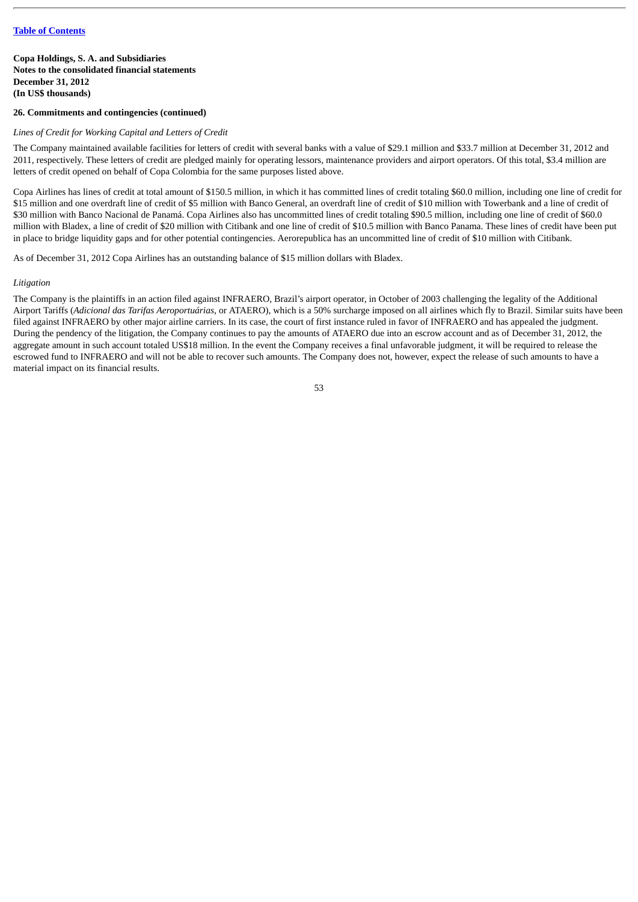**Copa Holdings, S. A. and Subsidiaries Notes to the consolidated financial statements December 31, 2012 (In US\$ thousands)**

### **26. Commitments and contingencies (continued)**

### *Lines of Credit for Working Capital and Letters of Credit*

The Company maintained available facilities for letters of credit with several banks with a value of \$29.1 million and \$33.7 million at December 31, 2012 and 2011, respectively. These letters of credit are pledged mainly for operating lessors, maintenance providers and airport operators. Of this total, \$3.4 million are letters of credit opened on behalf of Copa Colombia for the same purposes listed above.

Copa Airlines has lines of credit at total amount of \$150.5 million, in which it has committed lines of credit totaling \$60.0 million, including one line of credit for \$15 million and one overdraft line of credit of \$5 million with Banco General, an overdraft line of credit of \$10 million with Towerbank and a line of credit of \$30 million with Banco Nacional de Panamá. Copa Airlines also has uncommitted lines of credit totaling \$90.5 million, including one line of credit of \$60.0 million with Bladex, a line of credit of \$20 million with Citibank and one line of credit of \$10.5 million with Banco Panama. These lines of credit have been put in place to bridge liquidity gaps and for other potential contingencies. Aerorepublica has an uncommitted line of credit of \$10 million with Citibank.

As of December 31, 2012 Copa Airlines has an outstanding balance of \$15 million dollars with Bladex.

### *Litigation*

The Company is the plaintiffs in an action filed against INFRAERO, Brazil's airport operator, in October of 2003 challenging the legality of the Additional Airport Tariffs (*Adicional das Tarifas Aeroportuárias*, or ATAERO), which is a 50% surcharge imposed on all airlines which fly to Brazil. Similar suits have been filed against INFRAERO by other major airline carriers. In its case, the court of first instance ruled in favor of INFRAERO and has appealed the judgment. During the pendency of the litigation, the Company continues to pay the amounts of ATAERO due into an escrow account and as of December 31, 2012, the aggregate amount in such account totaled US\$18 million. In the event the Company receives a final unfavorable judgment, it will be required to release the escrowed fund to INFRAERO and will not be able to recover such amounts. The Company does not, however, expect the release of such amounts to have a material impact on its financial results.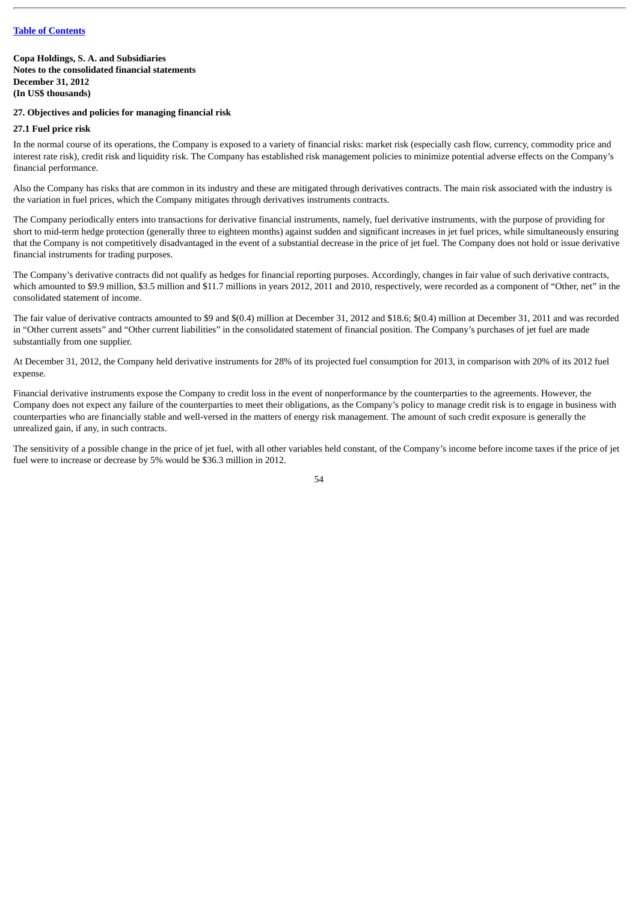### **Copa Holdings, S. A. and Subsidiaries Notes to the consolidated financial statements December 31, 2012 (In US\$ thousands)**

### **27. Objectives and policies for managing financial risk**

#### **27.1 Fuel price risk**

In the normal course of its operations, the Company is exposed to a variety of financial risks: market risk (especially cash flow, currency, commodity price and interest rate risk), credit risk and liquidity risk. The Company has established risk management policies to minimize potential adverse effects on the Company's financial performance.

Also the Company has risks that are common in its industry and these are mitigated through derivatives contracts. The main risk associated with the industry is the variation in fuel prices, which the Company mitigates through derivatives instruments contracts.

The Company periodically enters into transactions for derivative financial instruments, namely, fuel derivative instruments, with the purpose of providing for short to mid-term hedge protection (generally three to eighteen months) against sudden and significant increases in jet fuel prices, while simultaneously ensuring that the Company is not competitively disadvantaged in the event of a substantial decrease in the price of jet fuel. The Company does not hold or issue derivative financial instruments for trading purposes.

The Company's derivative contracts did not qualify as hedges for financial reporting purposes. Accordingly, changes in fair value of such derivative contracts, which amounted to \$9.9 million, \$3.5 million and \$11.7 millions in years 2012, 2011 and 2010, respectively, were recorded as a component of "Other, net" in the consolidated statement of income.

The fair value of derivative contracts amounted to \$9 and \$(0.4) million at December 31, 2012 and \$18.6; \$(0.4) million at December 31, 2011 and was recorded in "Other current assets" and "Other current liabilities" in the consolidated statement of financial position. The Company's purchases of jet fuel are made substantially from one supplier.

At December 31, 2012, the Company held derivative instruments for 28% of its projected fuel consumption for 2013, in comparison with 20% of its 2012 fuel expense.

Financial derivative instruments expose the Company to credit loss in the event of nonperformance by the counterparties to the agreements. However, the Company does not expect any failure of the counterparties to meet their obligations, as the Company's policy to manage credit risk is to engage in business with counterparties who are financially stable and well-versed in the matters of energy risk management. The amount of such credit exposure is generally the unrealized gain, if any, in such contracts.

The sensitivity of a possible change in the price of jet fuel, with all other variables held constant, of the Company's income before income taxes if the price of jet fuel were to increase or decrease by 5% would be \$36.3 million in 2012.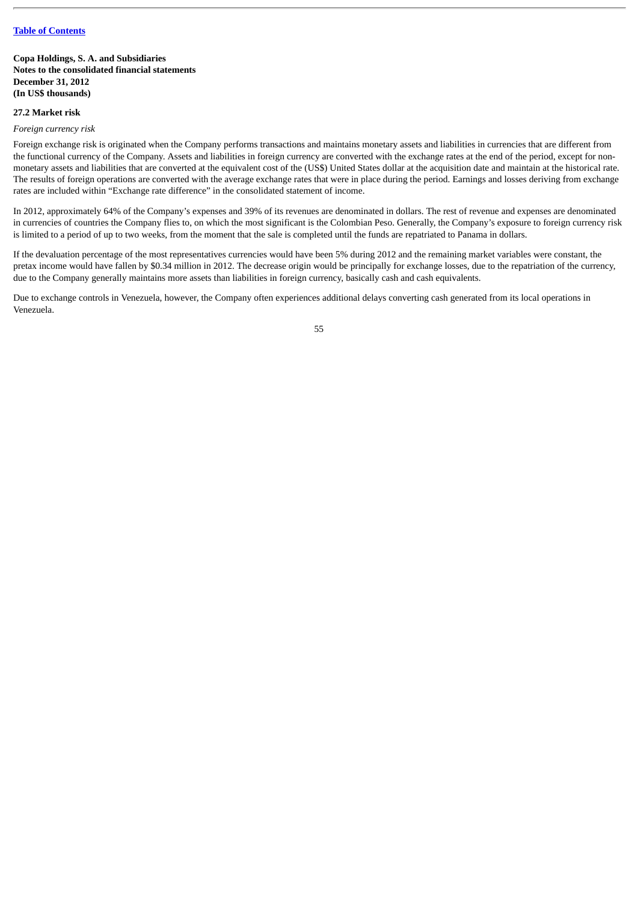### **Copa Holdings, S. A. and Subsidiaries Notes to the consolidated financial statements December 31, 2012 (In US\$ thousands)**

#### **27.2 Market risk**

#### *Foreign currency risk*

Foreign exchange risk is originated when the Company performs transactions and maintains monetary assets and liabilities in currencies that are different from the functional currency of the Company. Assets and liabilities in foreign currency are converted with the exchange rates at the end of the period, except for nonmonetary assets and liabilities that are converted at the equivalent cost of the (US\$) United States dollar at the acquisition date and maintain at the historical rate. The results of foreign operations are converted with the average exchange rates that were in place during the period. Earnings and losses deriving from exchange rates are included within "Exchange rate difference" in the consolidated statement of income.

In 2012, approximately 64% of the Company's expenses and 39% of its revenues are denominated in dollars. The rest of revenue and expenses are denominated in currencies of countries the Company flies to, on which the most significant is the Colombian Peso. Generally, the Company's exposure to foreign currency risk is limited to a period of up to two weeks, from the moment that the sale is completed until the funds are repatriated to Panama in dollars.

If the devaluation percentage of the most representatives currencies would have been 5% during 2012 and the remaining market variables were constant, the pretax income would have fallen by \$0.34 million in 2012. The decrease origin would be principally for exchange losses, due to the repatriation of the currency, due to the Company generally maintains more assets than liabilities in foreign currency, basically cash and cash equivalents.

Due to exchange controls in Venezuela, however, the Company often experiences additional delays converting cash generated from its local operations in Venezuela.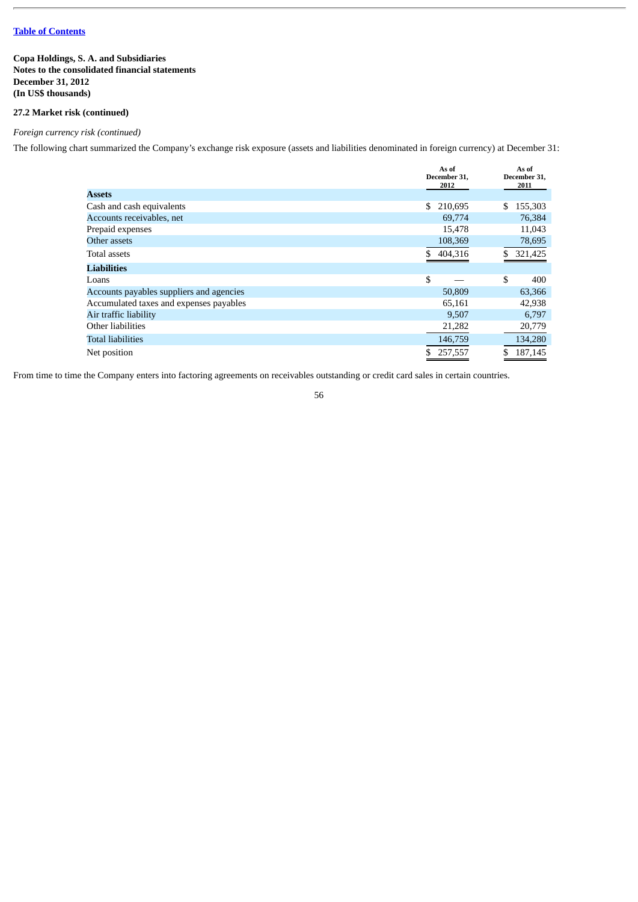**Copa Holdings, S. A. and Subsidiaries Notes to the consolidated financial statements December 31, 2012 (In US\$ thousands)**

# **27.2 Market risk (continued)**

### *Foreign currency risk (continued)*

The following chart summarized the Company's exchange risk exposure (assets and liabilities denominated in foreign currency) at December 31:

|                                          | As of<br>December 31,<br>2012 | As of<br>December 31,<br>2011 |
|------------------------------------------|-------------------------------|-------------------------------|
| Assets                                   |                               |                               |
| Cash and cash equivalents                | \$<br>210,695                 | \$<br>155,303                 |
| Accounts receivables, net                | 69,774                        | 76,384                        |
| Prepaid expenses                         | 15,478                        | 11,043                        |
| Other assets                             | 108,369                       | 78,695                        |
| Total assets                             | 404,316                       | 321,425                       |
| Liabilities                              |                               |                               |
| Loans                                    | \$                            | \$<br>400                     |
| Accounts payables suppliers and agencies | 50,809                        | 63,366                        |
| Accumulated taxes and expenses payables  | 65,161                        | 42,938                        |
| Air traffic liability                    | 9,507                         | 6,797                         |
| Other liabilities                        | 21,282                        | 20,779                        |
| <b>Total liabilities</b>                 | 146,759                       | 134,280                       |
| Net position                             | 257,557                       | 187,145                       |

From time to time the Company enters into factoring agreements on receivables outstanding or credit card sales in certain countries.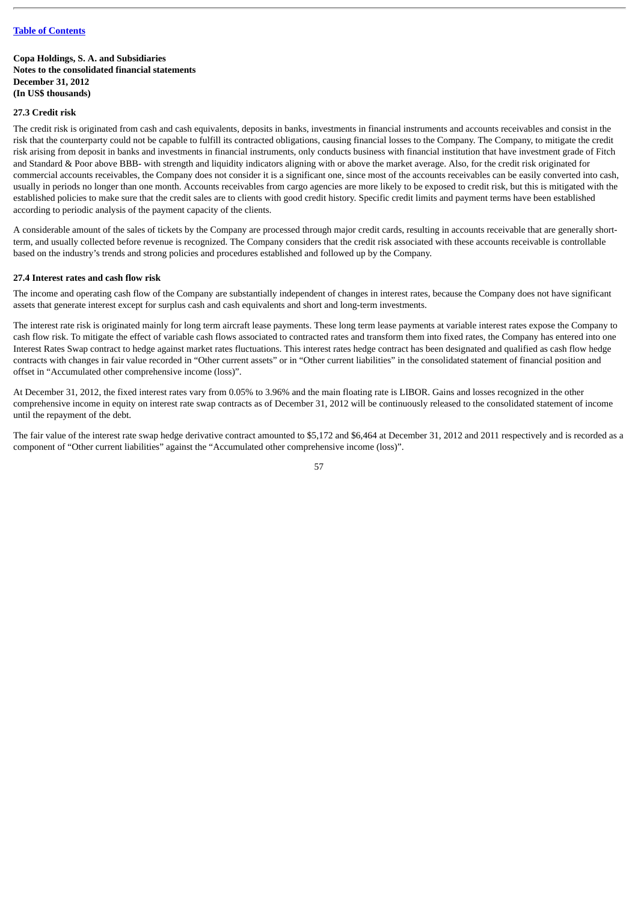#### **Copa Holdings, S. A. and Subsidiaries Notes to the consolidated financial statements December 31, 2012 (In US\$ thousands)**

### **27.3 Credit risk**

The credit risk is originated from cash and cash equivalents, deposits in banks, investments in financial instruments and accounts receivables and consist in the risk that the counterparty could not be capable to fulfill its contracted obligations, causing financial losses to the Company. The Company, to mitigate the credit risk arising from deposit in banks and investments in financial instruments, only conducts business with financial institution that have investment grade of Fitch and Standard & Poor above BBB- with strength and liquidity indicators aligning with or above the market average. Also, for the credit risk originated for commercial accounts receivables, the Company does not consider it is a significant one, since most of the accounts receivables can be easily converted into cash, usually in periods no longer than one month. Accounts receivables from cargo agencies are more likely to be exposed to credit risk, but this is mitigated with the established policies to make sure that the credit sales are to clients with good credit history. Specific credit limits and payment terms have been established according to periodic analysis of the payment capacity of the clients.

A considerable amount of the sales of tickets by the Company are processed through major credit cards, resulting in accounts receivable that are generally shortterm, and usually collected before revenue is recognized. The Company considers that the credit risk associated with these accounts receivable is controllable based on the industry's trends and strong policies and procedures established and followed up by the Company.

### **27.4 Interest rates and cash flow risk**

The income and operating cash flow of the Company are substantially independent of changes in interest rates, because the Company does not have significant assets that generate interest except for surplus cash and cash equivalents and short and long-term investments.

The interest rate risk is originated mainly for long term aircraft lease payments. These long term lease payments at variable interest rates expose the Company to cash flow risk. To mitigate the effect of variable cash flows associated to contracted rates and transform them into fixed rates, the Company has entered into one Interest Rates Swap contract to hedge against market rates fluctuations. This interest rates hedge contract has been designated and qualified as cash flow hedge contracts with changes in fair value recorded in "Other current assets" or in "Other current liabilities" in the consolidated statement of financial position and offset in "Accumulated other comprehensive income (loss)".

At December 31, 2012, the fixed interest rates vary from 0.05% to 3.96% and the main floating rate is LIBOR. Gains and losses recognized in the other comprehensive income in equity on interest rate swap contracts as of December 31, 2012 will be continuously released to the consolidated statement of income until the repayment of the debt.

The fair value of the interest rate swap hedge derivative contract amounted to \$5,172 and \$6,464 at December 31, 2012 and 2011 respectively and is recorded as a component of "Other current liabilities" against the "Accumulated other comprehensive income (loss)".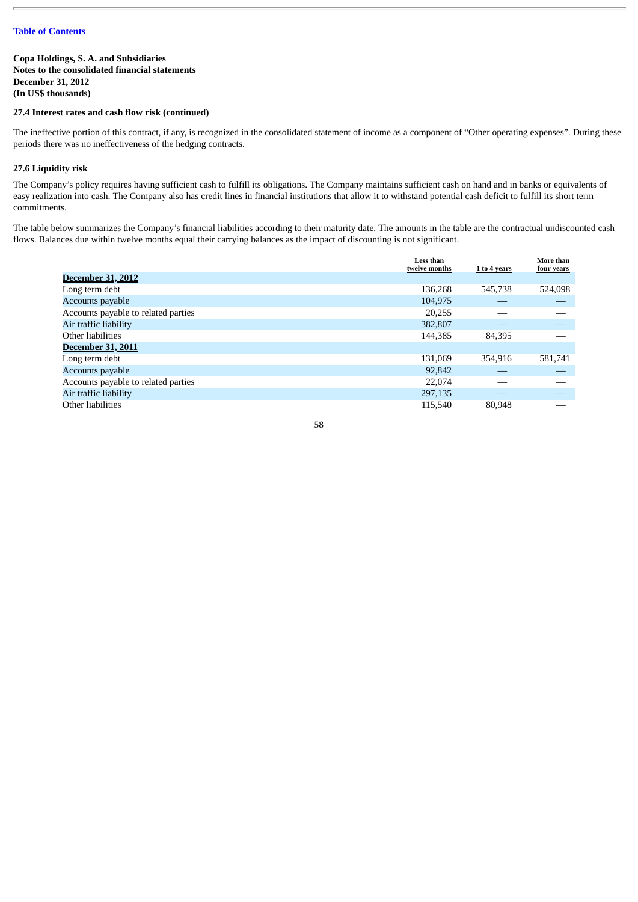**Copa Holdings, S. A. and Subsidiaries Notes to the consolidated financial statements December 31, 2012 (In US\$ thousands)**

## **27.4 Interest rates and cash flow risk (continued)**

The ineffective portion of this contract, if any, is recognized in the consolidated statement of income as a component of "Other operating expenses". During these periods there was no ineffectiveness of the hedging contracts.

### **27.6 Liquidity risk**

The Company's policy requires having sufficient cash to fulfill its obligations. The Company maintains sufficient cash on hand and in banks or equivalents of easy realization into cash. The Company also has credit lines in financial institutions that allow it to withstand potential cash deficit to fulfill its short term commitments.

The table below summarizes the Company's financial liabilities according to their maturity date. The amounts in the table are the contractual undiscounted cash flows. Balances due within twelve months equal their carrying balances as the impact of discounting is not significant.

|                                     | Less than<br>twelve months | 1 to 4 years | <b>More than</b><br>four years |
|-------------------------------------|----------------------------|--------------|--------------------------------|
| <b>December 31, 2012</b>            |                            |              |                                |
| Long term debt                      | 136,268                    | 545.738      | 524,098                        |
| Accounts payable                    | 104,975                    |              |                                |
| Accounts payable to related parties | 20,255                     |              |                                |
| Air traffic liability               | 382,807                    |              |                                |
| Other liabilities                   | 144,385                    | 84,395       |                                |
| <b>December 31, 2011</b>            |                            |              |                                |
| Long term debt                      | 131,069                    | 354.916      | 581,741                        |
| Accounts payable                    | 92,842                     |              |                                |
| Accounts payable to related parties | 22,074                     |              |                                |
| Air traffic liability               | 297,135                    |              |                                |
| Other liabilities                   | 115,540                    | 80,948       |                                |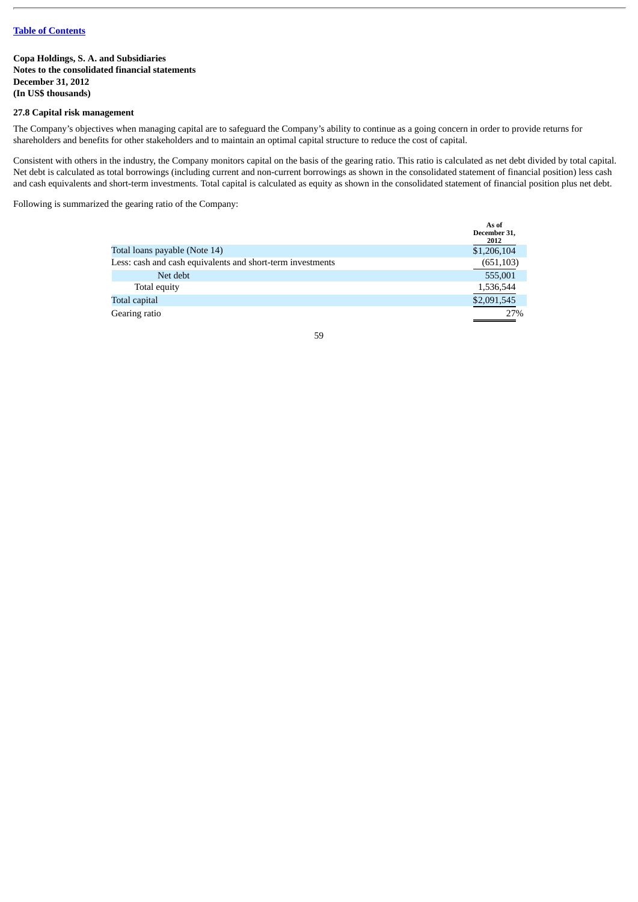**Copa Holdings, S. A. and Subsidiaries Notes to the consolidated financial statements December 31, 2012 (In US\$ thousands)**

# **27.8 Capital risk management**

The Company's objectives when managing capital are to safeguard the Company's ability to continue as a going concern in order to provide returns for shareholders and benefits for other stakeholders and to maintain an optimal capital structure to reduce the cost of capital.

Consistent with others in the industry, the Company monitors capital on the basis of the gearing ratio. This ratio is calculated as net debt divided by total capital. Net debt is calculated as total borrowings (including current and non-current borrowings as shown in the consolidated statement of financial position) less cash and cash equivalents and short-term investments. Total capital is calculated as equity as shown in the consolidated statement of financial position plus net debt.

Following is summarized the gearing ratio of the Company:

|                                                            | As of<br>December 31,<br>2012 |
|------------------------------------------------------------|-------------------------------|
| Total loans payable (Note 14)                              | \$1,206,104                   |
| Less: cash and cash equivalents and short-term investments | (651, 103)                    |
| Net debt                                                   | 555,001                       |
| Total equity                                               | 1,536,544                     |
| Total capital                                              | \$2,091,545                   |
| Gearing ratio                                              | 27%                           |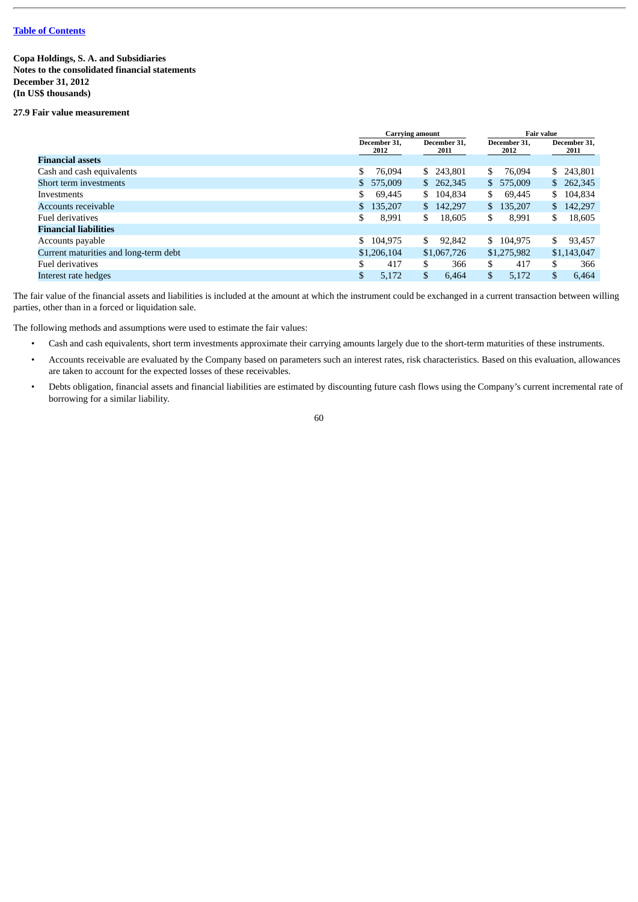**Copa Holdings, S. A. and Subsidiaries Notes to the consolidated financial statements December 31, 2012 (In US\$ thousands)**

### **27.9 Fair value measurement**

|                                       |                         | <b>Carrying amount</b> |                      | <b>Fair value</b>    |  |  |
|---------------------------------------|-------------------------|------------------------|----------------------|----------------------|--|--|
|                                       | December 31.<br>2012    | December 31.<br>2011   | December 31,<br>2012 | December 31.<br>2011 |  |  |
| <b>Financial assets</b>               |                         |                        |                      |                      |  |  |
| Cash and cash equivalents             | 76,094<br>\$            | \$243,801              | \$<br>76.094         | \$ 243,801           |  |  |
| Short term investments                | 575,009<br>$\mathbb{S}$ | \$262.345              | \$575,009            | \$262,345            |  |  |
| Investments                           | \$<br>69.445            | \$104,834              | 69.445<br>S.         | 104,834<br>S.        |  |  |
| Accounts receivable                   | 135,207<br>$\mathbb{S}$ | \$142,297              | \$135,207            | \$142,297            |  |  |
| Fuel derivatives                      | 8,991<br>\$             | 18.605<br>S            | \$<br>8,991          | \$<br>18,605         |  |  |
| <b>Financial liabilities</b>          |                         |                        |                      |                      |  |  |
| Accounts payable                      | 104,975<br>\$.          | 92.842<br>\$           | 104,975<br>\$        | \$<br>93,457         |  |  |
| Current maturities and long-term debt | \$1,206,104             | \$1,067,726            | \$1,275,982          | \$1,143,047          |  |  |
| <b>Fuel derivatives</b>               | 417<br>\$               | \$<br>366              | \$.<br>417           | \$<br>366            |  |  |
| Interest rate hedges                  | \$<br>5,172             | \$<br>6,464            | \$<br>5,172          | \$<br>6,464          |  |  |

The fair value of the financial assets and liabilities is included at the amount at which the instrument could be exchanged in a current transaction between willing parties, other than in a forced or liquidation sale.

The following methods and assumptions were used to estimate the fair values:

- Cash and cash equivalents, short term investments approximate their carrying amounts largely due to the short-term maturities of these instruments.
- Accounts receivable are evaluated by the Company based on parameters such an interest rates, risk characteristics. Based on this evaluation, allowances are taken to account for the expected losses of these receivables.
- Debts obligation, financial assets and financial liabilities are estimated by discounting future cash flows using the Company's current incremental rate of borrowing for a similar liability.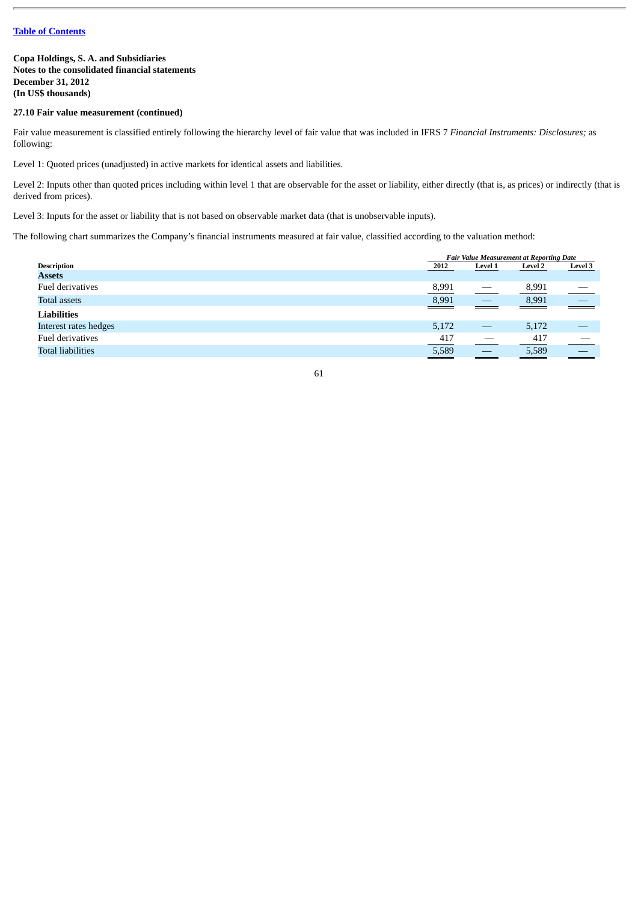### **Copa Holdings, S. A. and Subsidiaries Notes to the consolidated financial statements December 31, 2012 (In US\$ thousands)**

### **27.10 Fair value measurement (continued)**

Fair value measurement is classified entirely following the hierarchy level of fair value that was included in IFRS 7 *Financial Instruments: Disclosures;* as following:

Level 1: Quoted prices (unadjusted) in active markets for identical assets and liabilities.

Level 2: Inputs other than quoted prices including within level 1 that are observable for the asset or liability, either directly (that is, as prices) or indirectly (that is derived from prices).

Level 3: Inputs for the asset or liability that is not based on observable market data (that is unobservable inputs).

The following chart summarizes the Company's financial instruments measured at fair value, classified according to the valuation method:

| <b>Fair Value Measurement at Reporting Date</b> |                         |                |         |
|-------------------------------------------------|-------------------------|----------------|---------|
| 2012                                            | Level 1                 | <b>Level 2</b> | Level 3 |
|                                                 |                         |                |         |
|                                                 |                         | 8,991          |         |
|                                                 |                         | 8,991          |         |
|                                                 |                         |                |         |
| 5,172                                           |                         | 5,172          |         |
| 417                                             |                         | 417            |         |
|                                                 |                         | 5,589          |         |
|                                                 | 8,991<br>8,991<br>5,589 | $\equiv$       |         |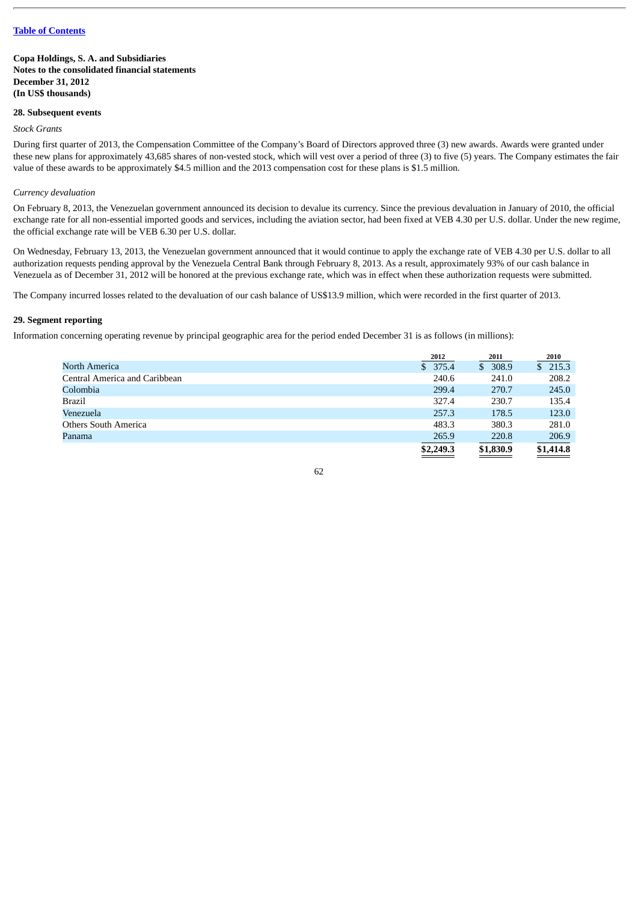### **Copa Holdings, S. A. and Subsidiaries Notes to the consolidated financial statements December 31, 2012 (In US\$ thousands)**

### **28. Subsequent events**

#### *Stock Grants*

During first quarter of 2013, the Compensation Committee of the Company's Board of Directors approved three (3) new awards. Awards were granted under these new plans for approximately 43,685 shares of non-vested stock, which will vest over a period of three (3) to five (5) years. The Company estimates the fair value of these awards to be approximately \$4.5 million and the 2013 compensation cost for these plans is \$1.5 million.

### *Currency devaluation*

On February 8, 2013, the Venezuelan government announced its decision to devalue its currency. Since the previous devaluation in January of 2010, the official exchange rate for all non-essential imported goods and services, including the aviation sector, had been fixed at VEB 4.30 per U.S. dollar. Under the new regime, the official exchange rate will be VEB 6.30 per U.S. dollar.

On Wednesday, February 13, 2013, the Venezuelan government announced that it would continue to apply the exchange rate of VEB 4.30 per U.S. dollar to all authorization requests pending approval by the Venezuela Central Bank through February 8, 2013. As a result, approximately 93% of our cash balance in Venezuela as of December 31, 2012 will be honored at the previous exchange rate, which was in effect when these authorization requests were submitted.

The Company incurred losses related to the devaluation of our cash balance of US\$13.9 million, which were recorded in the first quarter of 2013.

### **29. Segment reporting**

Information concerning operating revenue by principal geographic area for the period ended December 31 is as follows (in millions):

|                               | 2012      | 2011        | 2010      |
|-------------------------------|-----------|-------------|-----------|
| North America                 | \$375.4   | 308.9<br>S. | \$215.3   |
| Central America and Caribbean | 240.6     | 241.0       | 208.2     |
| Colombia                      | 299.4     | 270.7       | 245.0     |
| Brazil                        | 327.4     | 230.7       | 135.4     |
| Venezuela                     | 257.3     | 178.5       | 123.0     |
| Others South America          | 483.3     | 380.3       | 281.0     |
| Panama                        | 265.9     | 220.8       | 206.9     |
|                               | \$2,249.3 | \$1,830.9   | \$1,414.8 |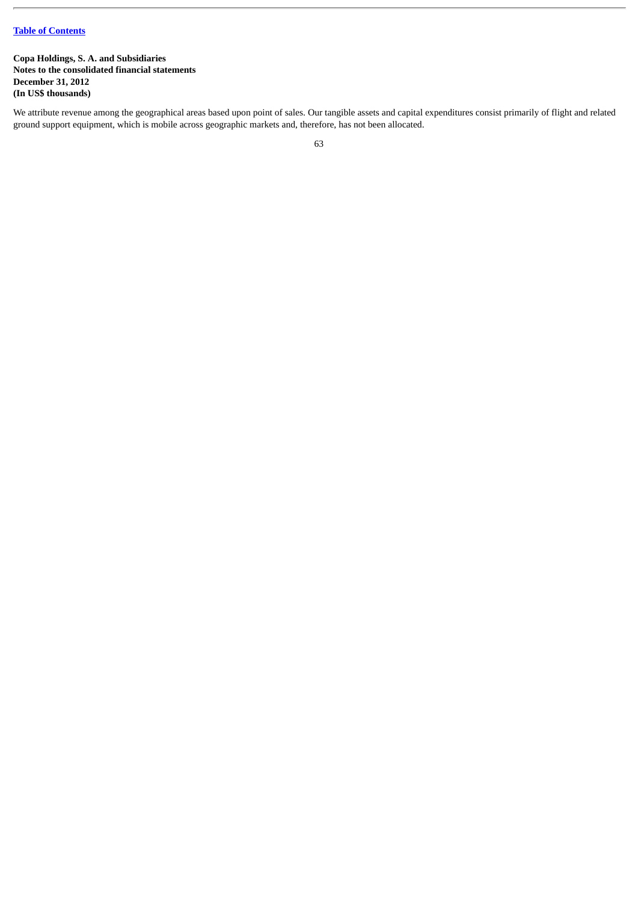**Copa Holdings, S. A. and Subsidiaries Notes to the consolidated financial statements December 31, 2012 (In US\$ thousands)**

We attribute revenue among the geographical areas based upon point of sales. Our tangible assets and capital expenditures consist primarily of flight and related ground support equipment, which is mobile across geographic markets and, therefore, has not been allocated.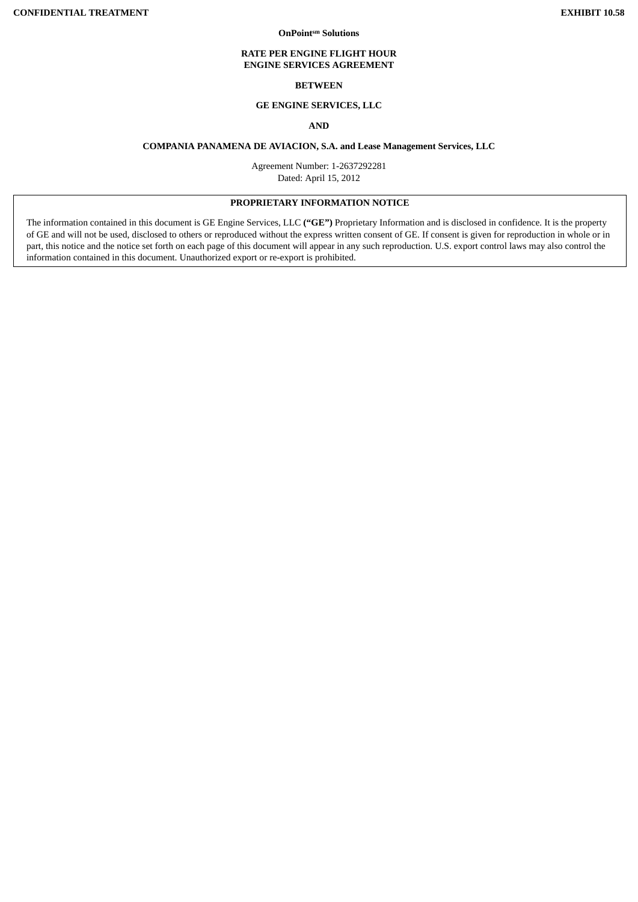**OnPointsm Solutions** 

### **RATE PER ENGINE FLIGHT HOUR ENGINE SERVICES AGREEMENT**

## **BETWEEN**

### **GE ENGINE SERVICES, LLC**

**AND**

## **COMPANIA PANAMENA DE AVIACION, S.A. and Lease Management Services, LLC**

Agreement Number: 1-2637292281 Dated: April 15, 2012

## **PROPRIETARY INFORMATION NOTICE**

The information contained in this document is GE Engine Services, LLC **("GE")** Proprietary Information and is disclosed in confidence. It is the property of GE and will not be used, disclosed to others or reproduced without the express written consent of GE. If consent is given for reproduction in whole or in part, this notice and the notice set forth on each page of this document will appear in any such reproduction. U.S. export control laws may also control the information contained in this document. Unauthorized export or re-export is prohibited.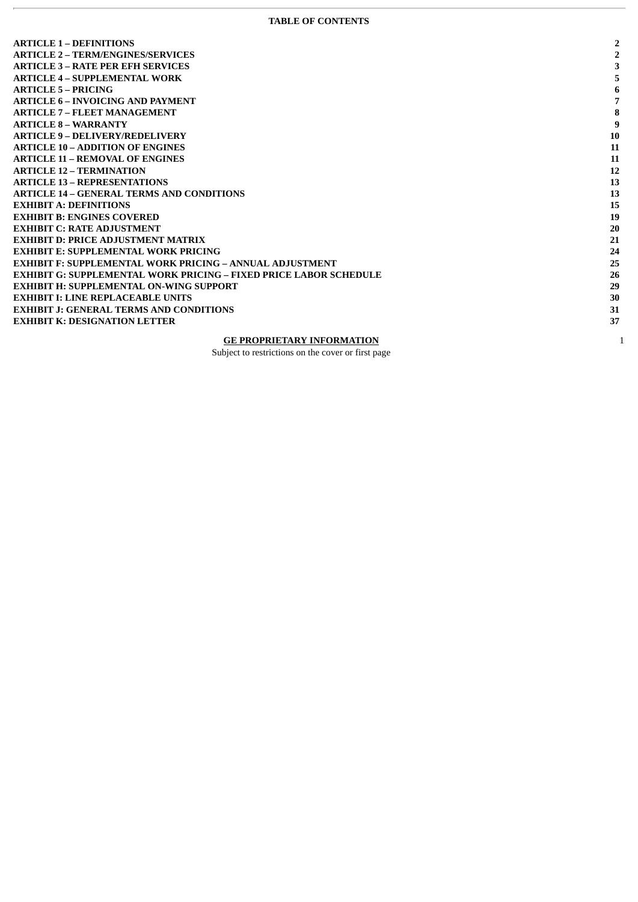| <b>ARTICLE 1 - DEFINITIONS</b>                                           | $\overline{2}$ |
|--------------------------------------------------------------------------|----------------|
| <b>ARTICLE 2 – TERM/ENGINES/SERVICES</b>                                 | 2              |
| <b>ARTICLE 3 - RATE PER EFH SERVICES</b>                                 | 3              |
| <b>ARTICLE 4 - SUPPLEMENTAL WORK</b>                                     | 5              |
| <b>ARTICLE 5 - PRICING</b>                                               | 6              |
| <b>ARTICLE 6 – INVOICING AND PAYMENT</b>                                 | 7              |
| <b>ARTICLE 7 - FLEET MANAGEMENT</b>                                      | 8              |
| <b>ARTICLE 8 - WARRANTY</b>                                              | 9              |
| <b>ARTICLE 9 - DELIVERY/REDELIVERY</b>                                   | 10             |
| <b>ARTICLE 10 - ADDITION OF ENGINES</b>                                  | 11             |
| <b>ARTICLE 11 - REMOVAL OF ENGINES</b>                                   | 11             |
| <b>ARTICLE 12 - TERMINATION</b>                                          | 12             |
| <b>ARTICLE 13 - REPRESENTATIONS</b>                                      | 13             |
| <b>ARTICLE 14 - GENERAL TERMS AND CONDITIONS</b>                         | 13             |
| <b>EXHIBIT A: DEFINITIONS</b>                                            | 15             |
| <b>EXHIBIT B: ENGINES COVERED</b>                                        | 19             |
| <b>EXHIBIT C: RATE ADJUSTMENT</b>                                        | 20             |
| <b>EXHIBIT D: PRICE ADJUSTMENT MATRIX</b>                                | 21             |
| <b>EXHIBIT E: SUPPLEMENTAL WORK PRICING</b>                              | 24             |
| <b>EXHIBIT F: SUPPLEMENTAL WORK PRICING - ANNUAL ADJUSTMENT</b>          | 25             |
| <b>EXHIBIT G: SUPPLEMENTAL WORK PRICING - FIXED PRICE LABOR SCHEDULE</b> | 26             |
| <b>EXHIBIT H: SUPPLEMENTAL ON-WING SUPPORT</b>                           | 29             |
| <b>EXHIBIT I: LINE REPLACEABLE UNITS</b>                                 | 30             |
| <b>EXHIBIT J: GENERAL TERMS AND CONDITIONS</b>                           | 31             |
| <b>EXHIBIT K: DESIGNATION LETTER</b>                                     | 37             |
|                                                                          |                |

# **GE PROPRIETARY INFORMATION**

1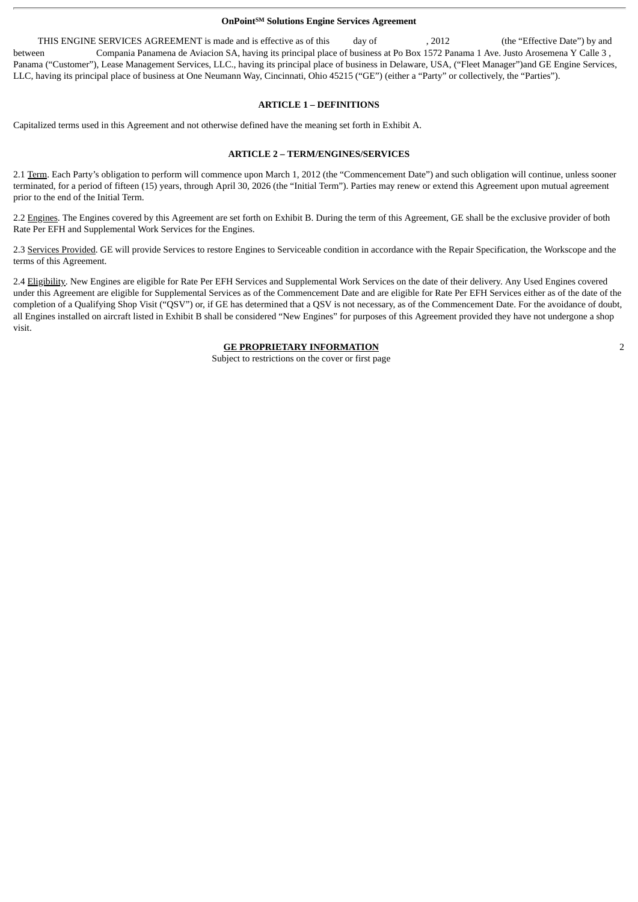#### **OnPointSM Solutions Engine Services Agreement**

THIS ENGINE SERVICES AGREEMENT is made and is effective as of this day of , 2012 (the "Effective Date") by and between Compania Panamena de Aviacion SA, having its principal place of business at Po Box 1572 Panama 1 Ave. Justo Arosemena Y Calle 3 , Panama ("Customer"), Lease Management Services, LLC., having its principal place of business in Delaware, USA, ("Fleet Manager")and GE Engine Services, LLC, having its principal place of business at One Neumann Way, Cincinnati, Ohio 45215 ("GE") (either a "Party" or collectively, the "Parties").

#### **ARTICLE 1 – DEFINITIONS**

Capitalized terms used in this Agreement and not otherwise defined have the meaning set forth in Exhibit A.

### **ARTICLE 2 – TERM/ENGINES/SERVICES**

2.1 Term. Each Party's obligation to perform will commence upon March 1, 2012 (the "Commencement Date") and such obligation will continue, unless sooner terminated, for a period of fifteen (15) years, through April 30, 2026 (the "Initial Term"). Parties may renew or extend this Agreement upon mutual agreement prior to the end of the Initial Term.

2.2 Engines. The Engines covered by this Agreement are set forth on Exhibit B. During the term of this Agreement, GE shall be the exclusive provider of both Rate Per EFH and Supplemental Work Services for the Engines.

2.3 Services Provided. GE will provide Services to restore Engines to Serviceable condition in accordance with the Repair Specification, the Workscope and the terms of this Agreement.

2.4 Eligibility. New Engines are eligible for Rate Per EFH Services and Supplemental Work Services on the date of their delivery. Any Used Engines covered under this Agreement are eligible for Supplemental Services as of the Commencement Date and are eligible for Rate Per EFH Services either as of the date of the completion of a Qualifying Shop Visit ("QSV") or, if GE has determined that a QSV is not necessary, as of the Commencement Date. For the avoidance of doubt, all Engines installed on aircraft listed in Exhibit B shall be considered "New Engines" for purposes of this Agreement provided they have not undergone a shop visit.

## **GE PROPRIETARY INFORMATION**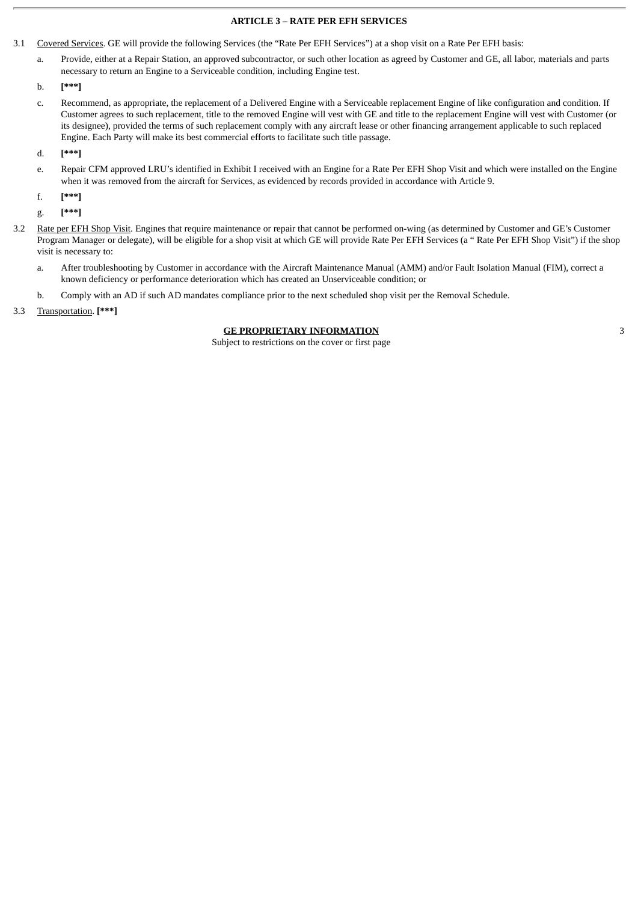### **ARTICLE 3 – RATE PER EFH SERVICES**

- 3.1 Covered Services. GE will provide the following Services (the "Rate Per EFH Services") at a shop visit on a Rate Per EFH basis:
	- a. Provide, either at a Repair Station, an approved subcontractor, or such other location as agreed by Customer and GE, all labor, materials and parts necessary to return an Engine to a Serviceable condition, including Engine test.
	- b. **[\*\*\*]**
	- c. Recommend, as appropriate, the replacement of a Delivered Engine with a Serviceable replacement Engine of like configuration and condition. If Customer agrees to such replacement, title to the removed Engine will vest with GE and title to the replacement Engine will vest with Customer (or its designee), provided the terms of such replacement comply with any aircraft lease or other financing arrangement applicable to such replaced Engine. Each Party will make its best commercial efforts to facilitate such title passage.
	- d. **[\*\*\*]**
	- e. Repair CFM approved LRU's identified in Exhibit I received with an Engine for a Rate Per EFH Shop Visit and which were installed on the Engine when it was removed from the aircraft for Services, as evidenced by records provided in accordance with Article 9.
	- f. **[\*\*\*]**
	- g. **[\*\*\*]**
- 3.2 Rate per EFH Shop Visit. Engines that require maintenance or repair that cannot be performed on-wing (as determined by Customer and GE's Customer Program Manager or delegate), will be eligible for a shop visit at which GE will provide Rate Per EFH Services (a " Rate Per EFH Shop Visit") if the shop visit is necessary to:
	- a. After troubleshooting by Customer in accordance with the Aircraft Maintenance Manual (AMM) and/or Fault Isolation Manual (FIM), correct a known deficiency or performance deterioration which has created an Unserviceable condition; or
	- b. Comply with an AD if such AD mandates compliance prior to the next scheduled shop visit per the Removal Schedule.
- 3.3 Transportation. **[\*\*\*]**

### **GE PROPRIETARY INFORMATION**

Subject to restrictions on the cover or first page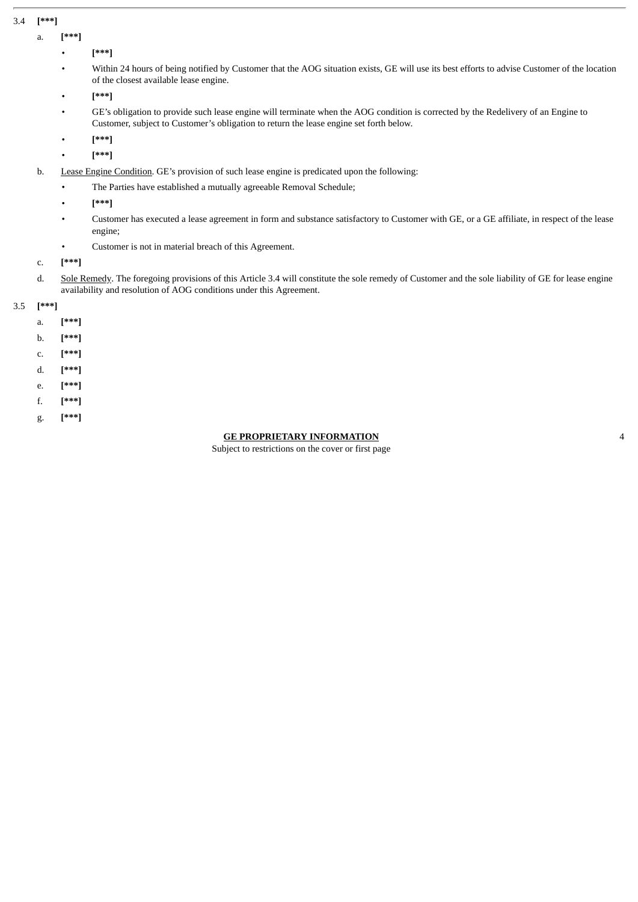# 3.4 **[\*\*\*]**

# a. **[\*\*\*]**

- **[\*\*\*]**
	- Within 24 hours of being notified by Customer that the AOG situation exists, GE will use its best efforts to advise Customer of the location of the closest available lease engine.
- **[\*\*\*]**
- GE's obligation to provide such lease engine will terminate when the AOG condition is corrected by the Redelivery of an Engine to Customer, subject to Customer's obligation to return the lease engine set forth below.
- **[\*\*\*]**
- **[\*\*\*]**
- b. Lease Engine Condition. GE's provision of such lease engine is predicated upon the following:
	- The Parties have established a mutually agreeable Removal Schedule;
	- **[\*\*\*]**
	- Customer has executed a lease agreement in form and substance satisfactory to Customer with GE, or a GE affiliate, in respect of the lease engine;
		- Customer is not in material breach of this Agreement.
- c. **[\*\*\*]**
- d. Sole Remedy. The foregoing provisions of this Article 3.4 will constitute the sole remedy of Customer and the sole liability of GE for lease engine availability and resolution of AOG conditions under this Agreement.

## 3.5 **[\*\*\*]**

- a. **[\*\*\*]**
- b. **[\*\*\*]**
- c. **[\*\*\*]**
- d. **[\*\*\*]**
- e. **[\*\*\*]**
- 
- f. **[\*\*\*]**
- g. **[\*\*\*]**

## **GE PROPRIETARY INFORMATION**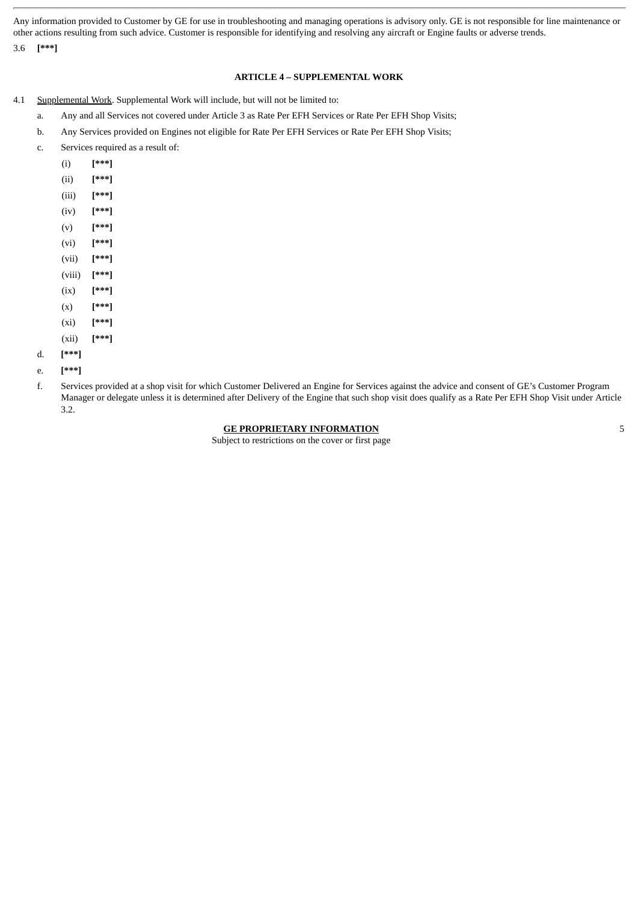Any information provided to Customer by GE for use in troubleshooting and managing operations is advisory only. GE is not responsible for line maintenance or other actions resulting from such advice. Customer is responsible for identifying and resolving any aircraft or Engine faults or adverse trends.

3.6 **[\*\*\*]**

## **ARTICLE 4 – SUPPLEMENTAL WORK**

- 4.1 Supplemental Work. Supplemental Work will include, but will not be limited to:
	- a. Any and all Services not covered under Article 3 as Rate Per EFH Services or Rate Per EFH Shop Visits;
	- b. Any Services provided on Engines not eligible for Rate Per EFH Services or Rate Per EFH Shop Visits;
	- c. Services required as a result of:
		- (i) **[\*\*\*]**
		- (ii) **[\*\*\*]**
		- (iii) **[\*\*\*]**
		- (iv) **[\*\*\*]**
		-
		- (v) **[\*\*\*]**
		- (vi) **[\*\*\*]**
		- (vii) **[\*\*\*]**
		- (viii) **[\*\*\*]**
		- (ix) **[\*\*\*]**
		- (x) **[\*\*\*]**
		- (xi) **[\*\*\*]**
		- (xii) **[\*\*\*]**
	- d. **[\*\*\*]**
	- e. **[\*\*\*]**
	-
	- f. Services provided at a shop visit for which Customer Delivered an Engine for Services against the advice and consent of GE's Customer Program Manager or delegate unless it is determined after Delivery of the Engine that such shop visit does qualify as a Rate Per EFH Shop Visit under Article 3.2.

#### **GE PROPRIETARY INFORMATION**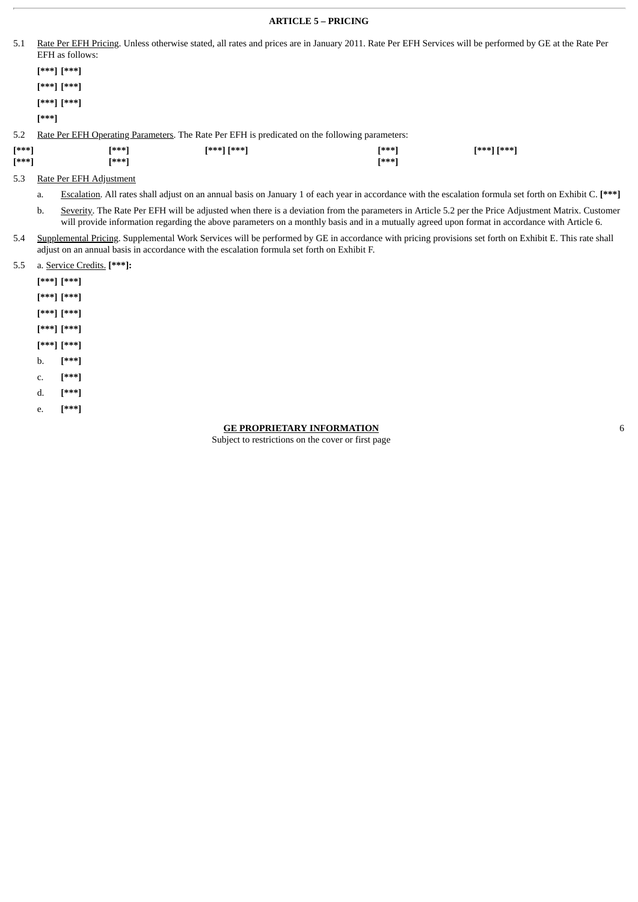### **ARTICLE 5 – PRICING**

- 5.1 Rate Per EFH Pricing. Unless otherwise stated, all rates and prices are in January 2011. Rate Per EFH Services will be performed by GE at the Rate Per EFH as follows: **[\*\*\*] [\*\*\*] [\*\*\*] [\*\*\*] [\*\*\*] [\*\*\*] [\*\*\*]**  5.2 Rate Per EFH Operating Parameters. The Rate Per EFH is predicated on the following parameters:
- **[\*\*\*] [\*\*\*] [\*\*\*] [\*\*\*] [\*\*\*] [\*\*\*] [\*\*\*] [\*\*\*] [\*\*\*] [\*\*\*]**
- 5.3 Rate Per EFH Adjustment
	- a. Escalation. All rates shall adjust on an annual basis on January 1 of each year in accordance with the escalation formula set forth on Exhibit C. **[\*\*\*]**
	- b. Severity. The Rate Per EFH will be adjusted when there is a deviation from the parameters in Article 5.2 per the Price Adjustment Matrix. Customer will provide information regarding the above parameters on a monthly basis and in a mutually agreed upon format in accordance with Article 6.
- 5.4 Supplemental Pricing. Supplemental Work Services will be performed by GE in accordance with pricing provisions set forth on Exhibit E. This rate shall adjust on an annual basis in accordance with the escalation formula set forth on Exhibit F.

# 5.5 a. Service Credits. **[\*\*\*]:**

| [***] [***] |       |
|-------------|-------|
| [***] [***] |       |
| [***] [***] |       |
| [***] [***] |       |
| [***] [***] |       |
| b.          | [***] |
| c.          | [***] |
| d.          | [***] |
| e.          | [***] |

### **GE PROPRIETARY INFORMATION**

Subject to restrictions on the cover or first page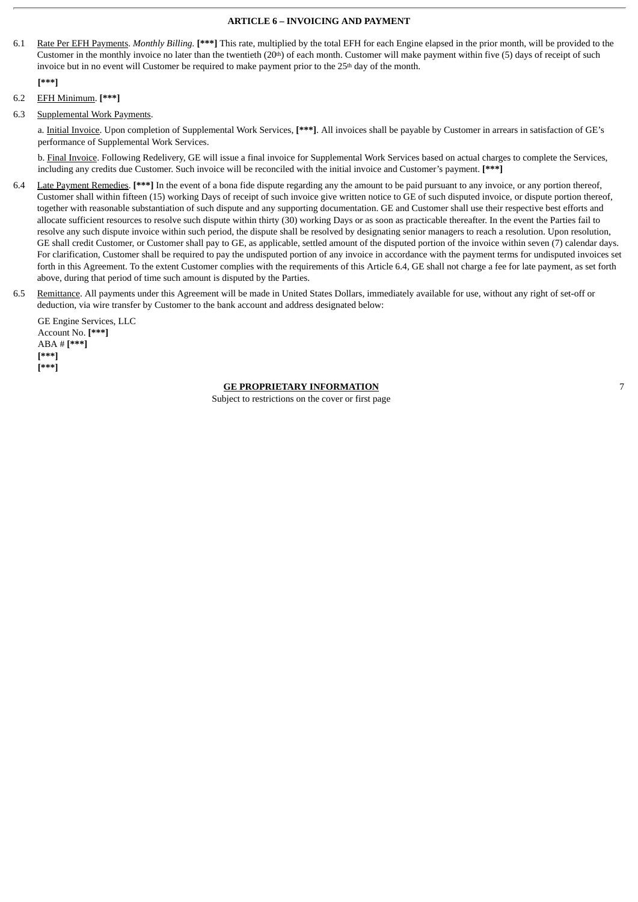### **ARTICLE 6 – INVOICING AND PAYMENT**

6.1 Rate Per EFH Payments. *Monthly Billing.* **[\*\*\*]** This rate, multiplied by the total EFH for each Engine elapsed in the prior month, will be provided to the Customer in the monthly invoice no later than the twentieth  $(20<sup>th</sup>)$  of each month. Customer will make payment within five (5) days of receipt of such invoice but in no event will Customer be required to make payment prior to the  $25<sup>th</sup>$  day of the month.

**[\*\*\*]**

- 6.2 EFH Minimum. **[\*\*\*]**
- 6.3 Supplemental Work Payments.

a. Initial Invoice. Upon completion of Supplemental Work Services, **[\*\*\*]**. All invoices shall be payable by Customer in arrears in satisfaction of GE's performance of Supplemental Work Services.

b. Final Invoice. Following Redelivery, GE will issue a final invoice for Supplemental Work Services based on actual charges to complete the Services, including any credits due Customer. Such invoice will be reconciled with the initial invoice and Customer's payment. **[\*\*\*]**

- 6.4 Late Payment Remedies. **[\*\*\*]** In the event of a bona fide dispute regarding any the amount to be paid pursuant to any invoice, or any portion thereof, Customer shall within fifteen (15) working Days of receipt of such invoice give written notice to GE of such disputed invoice, or dispute portion thereof, together with reasonable substantiation of such dispute and any supporting documentation. GE and Customer shall use their respective best efforts and allocate sufficient resources to resolve such dispute within thirty (30) working Days or as soon as practicable thereafter. In the event the Parties fail to resolve any such dispute invoice within such period, the dispute shall be resolved by designating senior managers to reach a resolution. Upon resolution, GE shall credit Customer, or Customer shall pay to GE, as applicable, settled amount of the disputed portion of the invoice within seven (7) calendar days. For clarification, Customer shall be required to pay the undisputed portion of any invoice in accordance with the payment terms for undisputed invoices set forth in this Agreement. To the extent Customer complies with the requirements of this Article 6.4, GE shall not charge a fee for late payment, as set forth above, during that period of time such amount is disputed by the Parties.
- 6.5 Remittance. All payments under this Agreement will be made in United States Dollars, immediately available for use, without any right of set-off or deduction, via wire transfer by Customer to the bank account and address designated below:

GE Engine Services, LLC Account No. **[\*\*\*]** ABA # **[\*\*\*] [\*\*\*] [\*\*\*]**

#### **GE PROPRIETARY INFORMATION**

Subject to restrictions on the cover or first page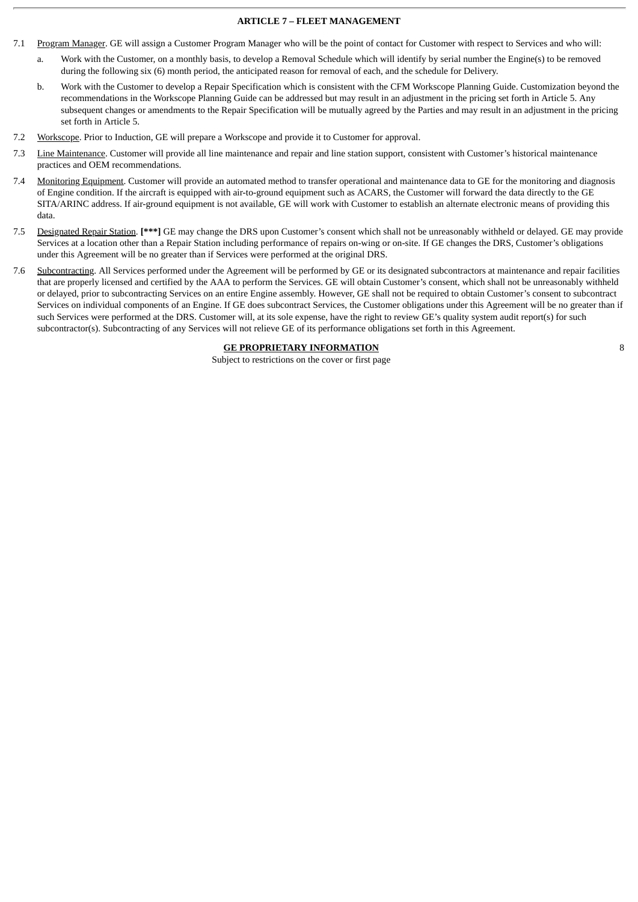### **ARTICLE 7 – FLEET MANAGEMENT**

- 7.1 Program Manager. GE will assign a Customer Program Manager who will be the point of contact for Customer with respect to Services and who will:
	- a. Work with the Customer, on a monthly basis, to develop a Removal Schedule which will identify by serial number the Engine(s) to be removed during the following six (6) month period, the anticipated reason for removal of each, and the schedule for Delivery.
	- b. Work with the Customer to develop a Repair Specification which is consistent with the CFM Workscope Planning Guide. Customization beyond the recommendations in the Workscope Planning Guide can be addressed but may result in an adjustment in the pricing set forth in Article 5. Any subsequent changes or amendments to the Repair Specification will be mutually agreed by the Parties and may result in an adjustment in the pricing set forth in Article 5.
- 7.2 Workscope. Prior to Induction, GE will prepare a Workscope and provide it to Customer for approval.
- 7.3 Line Maintenance. Customer will provide all line maintenance and repair and line station support, consistent with Customer's historical maintenance practices and OEM recommendations.
- 7.4 Monitoring Equipment. Customer will provide an automated method to transfer operational and maintenance data to GE for the monitoring and diagnosis of Engine condition. If the aircraft is equipped with air-to-ground equipment such as ACARS, the Customer will forward the data directly to the GE SITA/ARINC address. If air-ground equipment is not available, GE will work with Customer to establish an alternate electronic means of providing this data.
- 7.5 Designated Repair Station. **[\*\*\*]** GE may change the DRS upon Customer's consent which shall not be unreasonably withheld or delayed. GE may provide Services at a location other than a Repair Station including performance of repairs on-wing or on-site. If GE changes the DRS, Customer's obligations under this Agreement will be no greater than if Services were performed at the original DRS.
- 7.6 Subcontracting. All Services performed under the Agreement will be performed by GE or its designated subcontractors at maintenance and repair facilities that are properly licensed and certified by the AAA to perform the Services. GE will obtain Customer's consent, which shall not be unreasonably withheld or delayed, prior to subcontracting Services on an entire Engine assembly. However, GE shall not be required to obtain Customer's consent to subcontract Services on individual components of an Engine. If GE does subcontract Services, the Customer obligations under this Agreement will be no greater than if such Services were performed at the DRS. Customer will, at its sole expense, have the right to review GE's quality system audit report(s) for such subcontractor(s). Subcontracting of any Services will not relieve GE of its performance obligations set forth in this Agreement.

### **GE PROPRIETARY INFORMATION**

Subject to restrictions on the cover or first page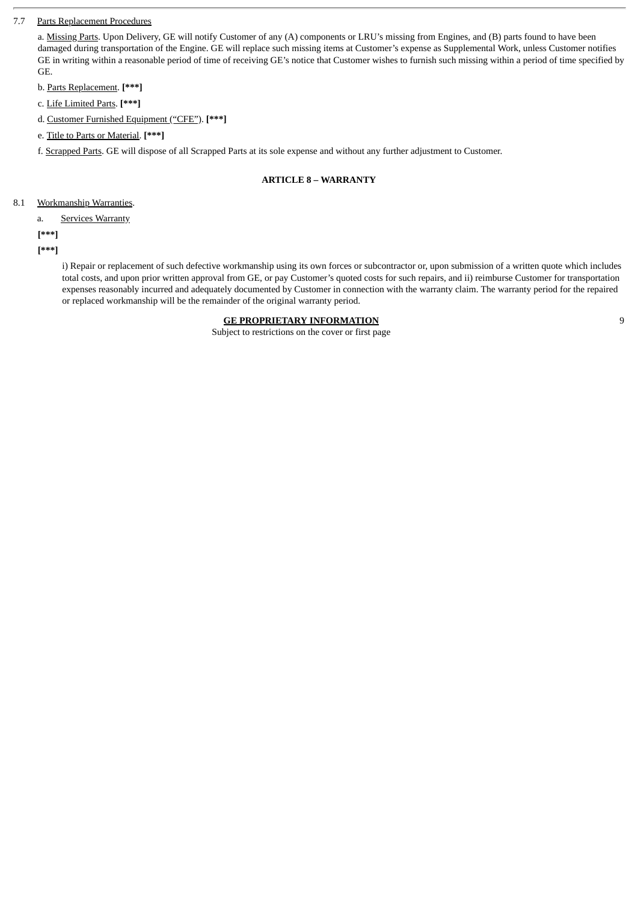# 7.7 Parts Replacement Procedures

a. Missing Parts. Upon Delivery, GE will notify Customer of any (A) components or LRU's missing from Engines, and (B) parts found to have been damaged during transportation of the Engine. GE will replace such missing items at Customer's expense as Supplemental Work, unless Customer notifies GE in writing within a reasonable period of time of receiving GE's notice that Customer wishes to furnish such missing within a period of time specified by GE.

b. Parts Replacement. **[\*\*\*]**

c. Life Limited Parts. **[\*\*\*]**

d. Customer Furnished Equipment ("CFE"). **[\*\*\*]**

e. Title to Parts or Material. **[\*\*\*]**

f. Scrapped Parts. GE will dispose of all Scrapped Parts at its sole expense and without any further adjustment to Customer.

### **ARTICLE 8 – WARRANTY**

### 8.1 Workmanship Warranties.

a. Services Warranty

**[\*\*\*]**

**[\*\*\*]**

i) Repair or replacement of such defective workmanship using its own forces or subcontractor or, upon submission of a written quote which includes total costs, and upon prior written approval from GE, or pay Customer's quoted costs for such repairs, and ii) reimburse Customer for transportation expenses reasonably incurred and adequately documented by Customer in connection with the warranty claim. The warranty period for the repaired or replaced workmanship will be the remainder of the original warranty period.

## **GE PROPRIETARY INFORMATION**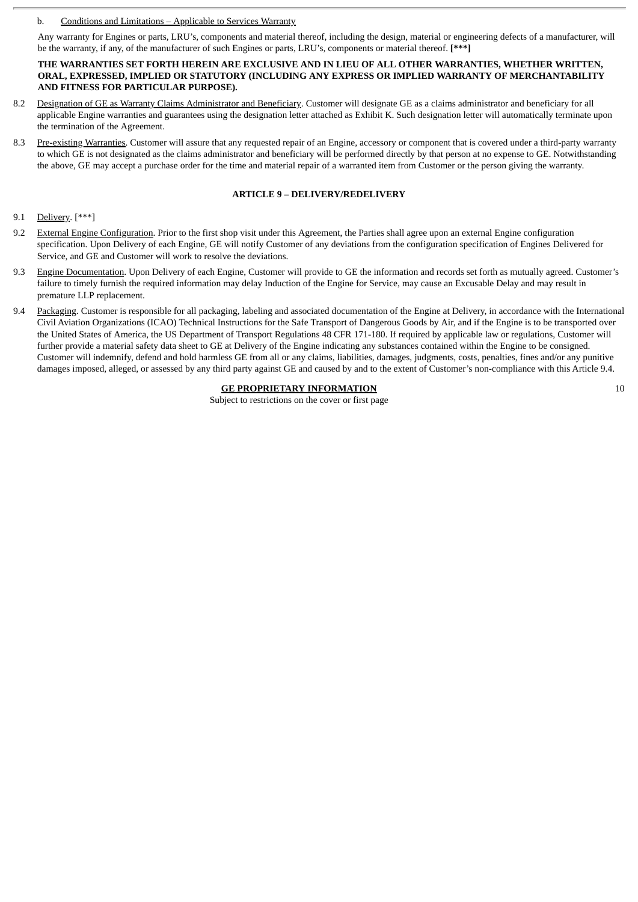### b. Conditions and Limitations – Applicable to Services Warranty

Any warranty for Engines or parts, LRU's, components and material thereof, including the design, material or engineering defects of a manufacturer, will be the warranty, if any, of the manufacturer of such Engines or parts, LRU's, components or material thereof. **[\*\*\*]**

### **THE WARRANTIES SET FORTH HEREIN ARE EXCLUSIVE AND IN LIEU OF ALL OTHER WARRANTIES, WHETHER WRITTEN, ORAL, EXPRESSED, IMPLIED OR STATUTORY (INCLUDING ANY EXPRESS OR IMPLIED WARRANTY OF MERCHANTABILITY AND FITNESS FOR PARTICULAR PURPOSE).**

- 8.2 Designation of GE as Warranty Claims Administrator and Beneficiary. Customer will designate GE as a claims administrator and beneficiary for all applicable Engine warranties and guarantees using the designation letter attached as Exhibit K. Such designation letter will automatically terminate upon the termination of the Agreement.
- 8.3 Pre-existing Warranties. Customer will assure that any requested repair of an Engine, accessory or component that is covered under a third-party warranty to which GE is not designated as the claims administrator and beneficiary will be performed directly by that person at no expense to GE. Notwithstanding the above, GE may accept a purchase order for the time and material repair of a warranted item from Customer or the person giving the warranty.

## **ARTICLE 9 – DELIVERY/REDELIVERY**

### 9.1 Delivery. [\*\*\*]

- 9.2 External Engine Configuration. Prior to the first shop visit under this Agreement, the Parties shall agree upon an external Engine configuration specification. Upon Delivery of each Engine, GE will notify Customer of any deviations from the configuration specification of Engines Delivered for Service, and GE and Customer will work to resolve the deviations.
- 9.3 Engine Documentation. Upon Delivery of each Engine, Customer will provide to GE the information and records set forth as mutually agreed. Customer's failure to timely furnish the required information may delay Induction of the Engine for Service, may cause an Excusable Delay and may result in premature LLP replacement.
- 9.4 Packaging. Customer is responsible for all packaging, labeling and associated documentation of the Engine at Delivery, in accordance with the International Civil Aviation Organizations (ICAO) Technical Instructions for the Safe Transport of Dangerous Goods by Air, and if the Engine is to be transported over the United States of America, the US Department of Transport Regulations 48 CFR 171-180. If required by applicable law or regulations, Customer will further provide a material safety data sheet to GE at Delivery of the Engine indicating any substances contained within the Engine to be consigned. Customer will indemnify, defend and hold harmless GE from all or any claims, liabilities, damages, judgments, costs, penalties, fines and/or any punitive damages imposed, alleged, or assessed by any third party against GE and caused by and to the extent of Customer's non-compliance with this Article 9.4.

### **GE PROPRIETARY INFORMATION**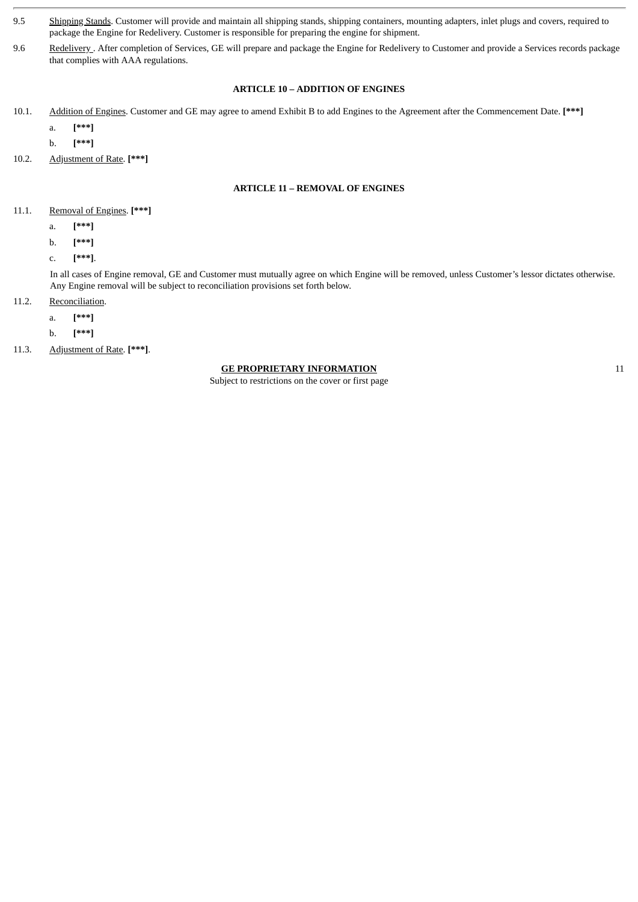- 9.5 Shipping Stands. Customer will provide and maintain all shipping stands, shipping containers, mounting adapters, inlet plugs and covers, required to package the Engine for Redelivery. Customer is responsible for preparing the engine for shipment.
- 9.6 Redelivery . After completion of Services, GE will prepare and package the Engine for Redelivery to Customer and provide a Services records package that complies with AAA regulations.

# **ARTICLE 10 – ADDITION OF ENGINES**

10.1. Addition of Engines. Customer and GE may agree to amend Exhibit B to add Engines to the Agreement after the Commencement Date. **[\*\*\*]** a. **[\*\*\*]**

b. **[\*\*\*]**

10.2. Adjustment of Rate. **[\*\*\*]**

# **ARTICLE 11 – REMOVAL OF ENGINES**

- 11.1. Removal of Engines. **[\*\*\*]**
	- a. **[\*\*\*]**
	- b. **[\*\*\*]**
	- c. **[\*\*\*]**.

In all cases of Engine removal, GE and Customer must mutually agree on which Engine will be removed, unless Customer's lessor dictates otherwise. Any Engine removal will be subject to reconciliation provisions set forth below.

# 11.2. Reconciliation.

- a. **[\*\*\*]**
- b. **[\*\*\*]**
- 11.3. Adjustment of Rate. **[\*\*\*]**.

### **GE PROPRIETARY INFORMATION**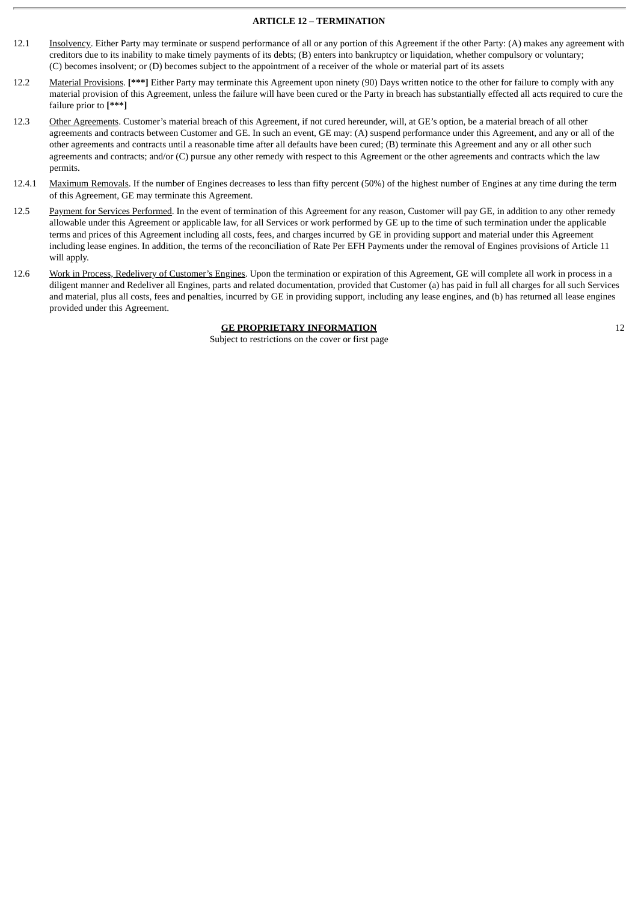### **ARTICLE 12 – TERMINATION**

- 12.1 Insolvency. Either Party may terminate or suspend performance of all or any portion of this Agreement if the other Party: (A) makes any agreement with creditors due to its inability to make timely payments of its debts; (B) enters into bankruptcy or liquidation, whether compulsory or voluntary; (C) becomes insolvent; or (D) becomes subject to the appointment of a receiver of the whole or material part of its assets
- 12.2 Material Provisions. **[\*\*\*]** Either Party may terminate this Agreement upon ninety (90) Days written notice to the other for failure to comply with any material provision of this Agreement, unless the failure will have been cured or the Party in breach has substantially effected all acts required to cure the failure prior to **[\*\*\*]**
- 12.3 Other Agreements. Customer's material breach of this Agreement, if not cured hereunder, will, at GE's option, be a material breach of all other agreements and contracts between Customer and GE. In such an event, GE may: (A) suspend performance under this Agreement, and any or all of the other agreements and contracts until a reasonable time after all defaults have been cured; (B) terminate this Agreement and any or all other such agreements and contracts; and/or (C) pursue any other remedy with respect to this Agreement or the other agreements and contracts which the law permits.
- 12.4.1 Maximum Removals. If the number of Engines decreases to less than fifty percent (50%) of the highest number of Engines at any time during the term of this Agreement, GE may terminate this Agreement.
- 12.5 Payment for Services Performed. In the event of termination of this Agreement for any reason, Customer will pay GE, in addition to any other remedy allowable under this Agreement or applicable law, for all Services or work performed by GE up to the time of such termination under the applicable terms and prices of this Agreement including all costs, fees, and charges incurred by GE in providing support and material under this Agreement including lease engines. In addition, the terms of the reconciliation of Rate Per EFH Payments under the removal of Engines provisions of Article 11 will apply.
- 12.6 Work in Process, Redelivery of Customer's Engines. Upon the termination or expiration of this Agreement, GE will complete all work in process in a diligent manner and Redeliver all Engines, parts and related documentation, provided that Customer (a) has paid in full all charges for all such Services and material, plus all costs, fees and penalties, incurred by GE in providing support, including any lease engines, and (b) has returned all lease engines provided under this Agreement.

## **GE PROPRIETARY INFORMATION**

Subject to restrictions on the cover or first page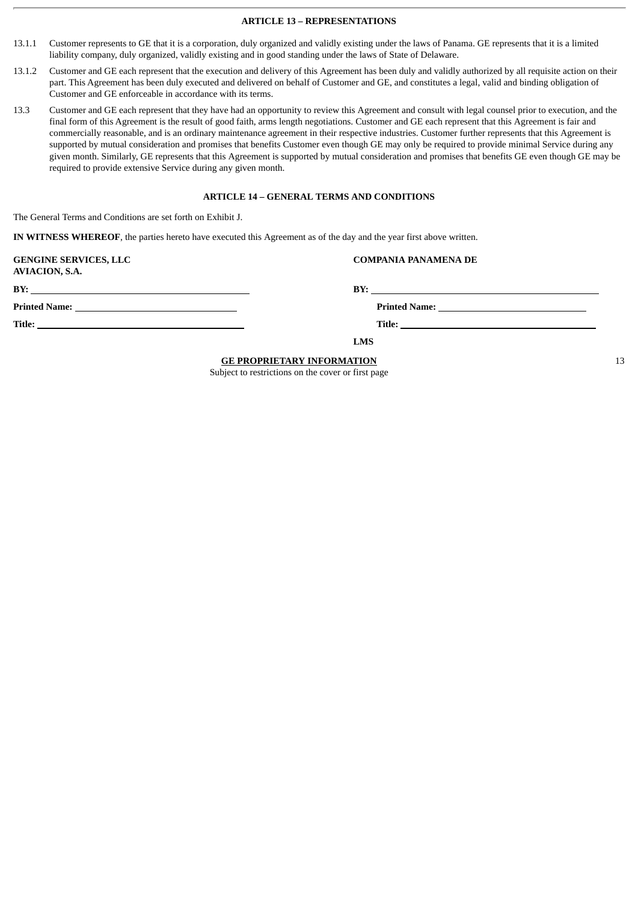### **ARTICLE 13 – REPRESENTATIONS**

- 13.1.1 Customer represents to GE that it is a corporation, duly organized and validly existing under the laws of Panama. GE represents that it is a limited liability company, duly organized, validly existing and in good standing under the laws of State of Delaware.
- 13.1.2 Customer and GE each represent that the execution and delivery of this Agreement has been duly and validly authorized by all requisite action on their part. This Agreement has been duly executed and delivered on behalf of Customer and GE, and constitutes a legal, valid and binding obligation of Customer and GE enforceable in accordance with its terms.
- 13.3 Customer and GE each represent that they have had an opportunity to review this Agreement and consult with legal counsel prior to execution, and the final form of this Agreement is the result of good faith, arms length negotiations. Customer and GE each represent that this Agreement is fair and commercially reasonable, and is an ordinary maintenance agreement in their respective industries. Customer further represents that this Agreement is supported by mutual consideration and promises that benefits Customer even though GE may only be required to provide minimal Service during any given month. Similarly, GE represents that this Agreement is supported by mutual consideration and promises that benefits GE even though GE may be required to provide extensive Service during any given month.

## **ARTICLE 14 – GENERAL TERMS AND CONDITIONS**

The General Terms and Conditions are set forth on Exhibit J.

**IN WITNESS WHEREOF**, the parties hereto have executed this Agreement as of the day and the year first above written.

**GENGINE SERVICES, LLC AVIACION, S.A.**

**COMPANIA PANAMENA DE**

**BY:** BY: **BY:** BY:

**Printed Name: Printed Name:** 

**Title: Title:** 

**LMS**

**GE PROPRIETARY INFORMATION**

Subject to restrictions on the cover or first page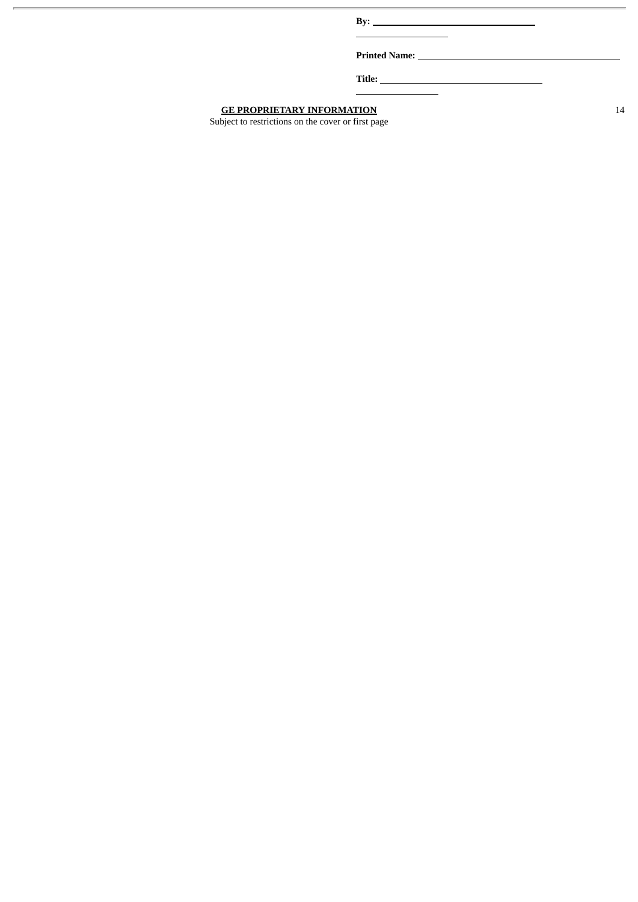**By:** 

**Printed Name:** 

**Title:** 

# **GE PROPRIETARY INFORMATION**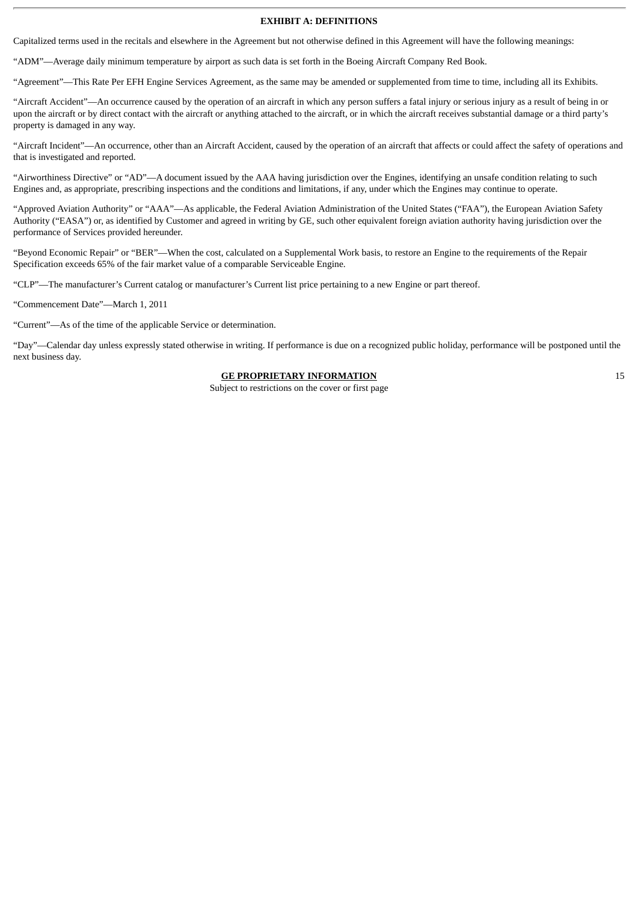#### **EXHIBIT A: DEFINITIONS**

Capitalized terms used in the recitals and elsewhere in the Agreement but not otherwise defined in this Agreement will have the following meanings:

"ADM"—Average daily minimum temperature by airport as such data is set forth in the Boeing Aircraft Company Red Book.

"Agreement"—This Rate Per EFH Engine Services Agreement, as the same may be amended or supplemented from time to time, including all its Exhibits.

"Aircraft Accident"—An occurrence caused by the operation of an aircraft in which any person suffers a fatal injury or serious injury as a result of being in or upon the aircraft or by direct contact with the aircraft or anything attached to the aircraft, or in which the aircraft receives substantial damage or a third party's property is damaged in any way.

"Aircraft Incident"—An occurrence, other than an Aircraft Accident, caused by the operation of an aircraft that affects or could affect the safety of operations and that is investigated and reported.

"Airworthiness Directive" or "AD"—A document issued by the AAA having jurisdiction over the Engines, identifying an unsafe condition relating to such Engines and, as appropriate, prescribing inspections and the conditions and limitations, if any, under which the Engines may continue to operate.

"Approved Aviation Authority" or "AAA"—As applicable, the Federal Aviation Administration of the United States ("FAA"), the European Aviation Safety Authority ("EASA") or, as identified by Customer and agreed in writing by GE, such other equivalent foreign aviation authority having jurisdiction over the performance of Services provided hereunder.

"Beyond Economic Repair" or "BER"—When the cost, calculated on a Supplemental Work basis, to restore an Engine to the requirements of the Repair Specification exceeds 65% of the fair market value of a comparable Serviceable Engine.

"CLP"—The manufacturer's Current catalog or manufacturer's Current list price pertaining to a new Engine or part thereof.

"Commencement Date"—March 1, 2011

"Current"—As of the time of the applicable Service or determination.

"Day"—Calendar day unless expressly stated otherwise in writing. If performance is due on a recognized public holiday, performance will be postponed until the next business day.

## **GE PROPRIETARY INFORMATION**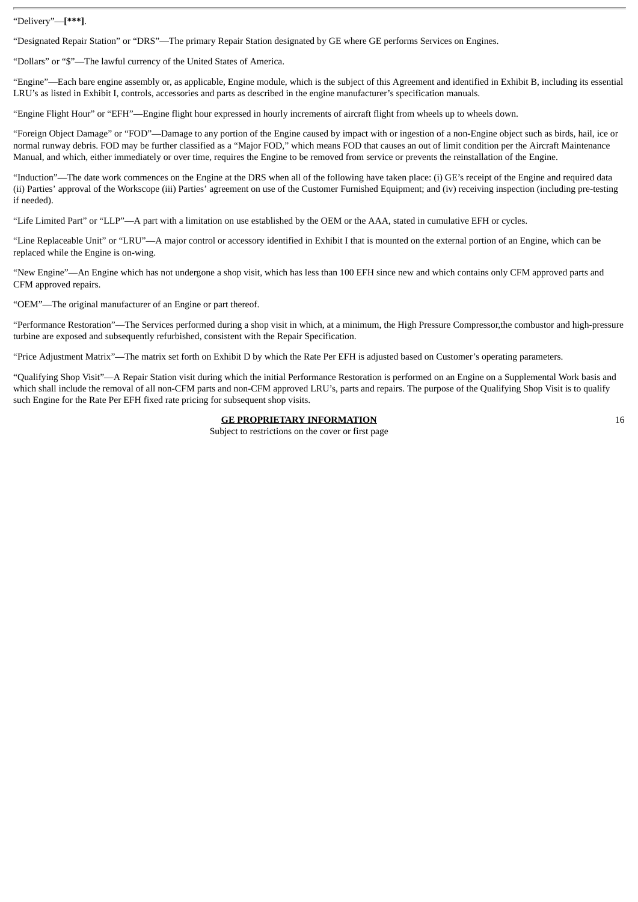"Delivery"—**[\*\*\*]**.

"Designated Repair Station" or "DRS"—The primary Repair Station designated by GE where GE performs Services on Engines.

"Dollars" or "\$"—The lawful currency of the United States of America.

"Engine"—Each bare engine assembly or, as applicable, Engine module, which is the subject of this Agreement and identified in Exhibit B, including its essential LRU's as listed in Exhibit I, controls, accessories and parts as described in the engine manufacturer's specification manuals.

"Engine Flight Hour" or "EFH"—Engine flight hour expressed in hourly increments of aircraft flight from wheels up to wheels down.

"Foreign Object Damage" or "FOD"—Damage to any portion of the Engine caused by impact with or ingestion of a non-Engine object such as birds, hail, ice or normal runway debris. FOD may be further classified as a "Major FOD," which means FOD that causes an out of limit condition per the Aircraft Maintenance Manual, and which, either immediately or over time, requires the Engine to be removed from service or prevents the reinstallation of the Engine.

"Induction"—The date work commences on the Engine at the DRS when all of the following have taken place: (i) GE's receipt of the Engine and required data (ii) Parties' approval of the Workscope (iii) Parties' agreement on use of the Customer Furnished Equipment; and (iv) receiving inspection (including pre-testing if needed).

"Life Limited Part" or "LLP"—A part with a limitation on use established by the OEM or the AAA, stated in cumulative EFH or cycles.

"Line Replaceable Unit" or "LRU"—A major control or accessory identified in Exhibit I that is mounted on the external portion of an Engine, which can be replaced while the Engine is on-wing.

"New Engine"—An Engine which has not undergone a shop visit, which has less than 100 EFH since new and which contains only CFM approved parts and CFM approved repairs.

"OEM"—The original manufacturer of an Engine or part thereof.

"Performance Restoration"—The Services performed during a shop visit in which, at a minimum, the High Pressure Compressor,the combustor and high-pressure turbine are exposed and subsequently refurbished, consistent with the Repair Specification.

"Price Adjustment Matrix"—The matrix set forth on Exhibit D by which the Rate Per EFH is adjusted based on Customer's operating parameters.

"Qualifying Shop Visit"—A Repair Station visit during which the initial Performance Restoration is performed on an Engine on a Supplemental Work basis and which shall include the removal of all non-CFM parts and non-CFM approved LRU's, parts and repairs. The purpose of the Qualifying Shop Visit is to qualify such Engine for the Rate Per EFH fixed rate pricing for subsequent shop visits.

#### **GE PROPRIETARY INFORMATION**

16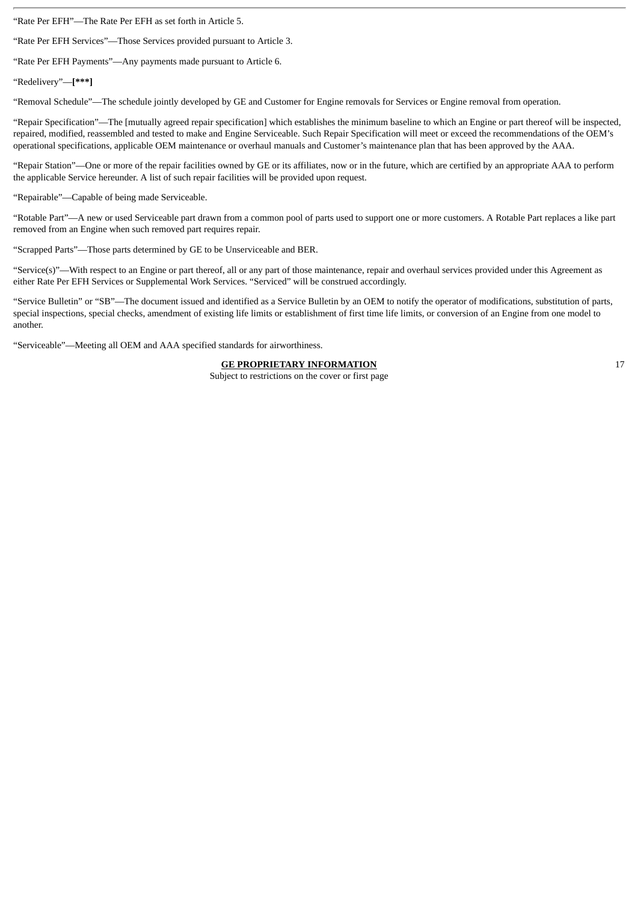"Rate Per EFH"—The Rate Per EFH as set forth in Article 5.

"Rate Per EFH Services"—Those Services provided pursuant to Article 3.

"Rate Per EFH Payments"—Any payments made pursuant to Article 6.

"Redelivery"—**[\*\*\*]**

"Removal Schedule"—The schedule jointly developed by GE and Customer for Engine removals for Services or Engine removal from operation.

"Repair Specification"—The [mutually agreed repair specification] which establishes the minimum baseline to which an Engine or part thereof will be inspected, repaired, modified, reassembled and tested to make and Engine Serviceable. Such Repair Specification will meet or exceed the recommendations of the OEM's operational specifications, applicable OEM maintenance or overhaul manuals and Customer's maintenance plan that has been approved by the AAA.

"Repair Station"—One or more of the repair facilities owned by GE or its affiliates, now or in the future, which are certified by an appropriate AAA to perform the applicable Service hereunder. A list of such repair facilities will be provided upon request.

"Repairable"—Capable of being made Serviceable.

"Rotable Part"—A new or used Serviceable part drawn from a common pool of parts used to support one or more customers. A Rotable Part replaces a like part removed from an Engine when such removed part requires repair.

"Scrapped Parts"—Those parts determined by GE to be Unserviceable and BER.

"Service(s)"—With respect to an Engine or part thereof, all or any part of those maintenance, repair and overhaul services provided under this Agreement as either Rate Per EFH Services or Supplemental Work Services. "Serviced" will be construed accordingly.

"Service Bulletin" or "SB"—The document issued and identified as a Service Bulletin by an OEM to notify the operator of modifications, substitution of parts, special inspections, special checks, amendment of existing life limits or establishment of first time life limits, or conversion of an Engine from one model to another.

"Serviceable"—Meeting all OEM and AAA specified standards for airworthiness.

# **GE PROPRIETARY INFORMATION**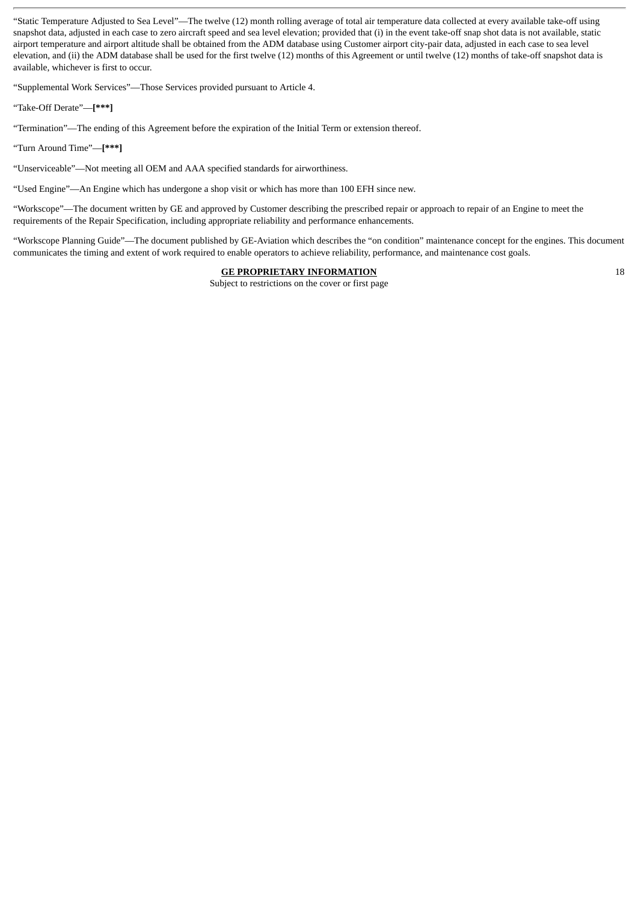"Static Temperature Adjusted to Sea Level"—The twelve (12) month rolling average of total air temperature data collected at every available take-off using snapshot data, adjusted in each case to zero aircraft speed and sea level elevation; provided that (i) in the event take-off snap shot data is not available, static airport temperature and airport altitude shall be obtained from the ADM database using Customer airport city-pair data, adjusted in each case to sea level elevation, and (ii) the ADM database shall be used for the first twelve (12) months of this Agreement or until twelve (12) months of take-off snapshot data is available, whichever is first to occur.

"Supplemental Work Services"—Those Services provided pursuant to Article 4.

"Take-Off Derate"—**[\*\*\*]**

"Termination"—The ending of this Agreement before the expiration of the Initial Term or extension thereof.

"Turn Around Time"—**[\*\*\*]**

"Unserviceable"—Not meeting all OEM and AAA specified standards for airworthiness.

"Used Engine"—An Engine which has undergone a shop visit or which has more than 100 EFH since new.

"Workscope"—The document written by GE and approved by Customer describing the prescribed repair or approach to repair of an Engine to meet the requirements of the Repair Specification, including appropriate reliability and performance enhancements.

"Workscope Planning Guide"—The document published by GE-Aviation which describes the "on condition" maintenance concept for the engines. This document communicates the timing and extent of work required to enable operators to achieve reliability, performance, and maintenance cost goals.

#### **GE PROPRIETARY INFORMATION**

Subject to restrictions on the cover or first page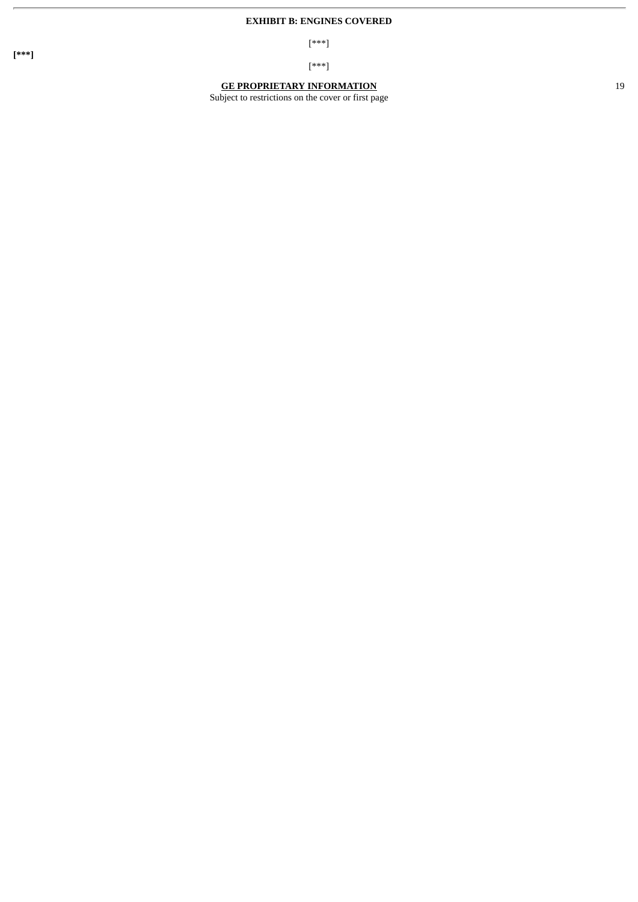# **EXHIBIT B: ENGINES COVERED**

[\*\*\*]

[\*\*\*]

#### **GE PROPRIETARY INFORMATION**

Subject to restrictions on the cover or first page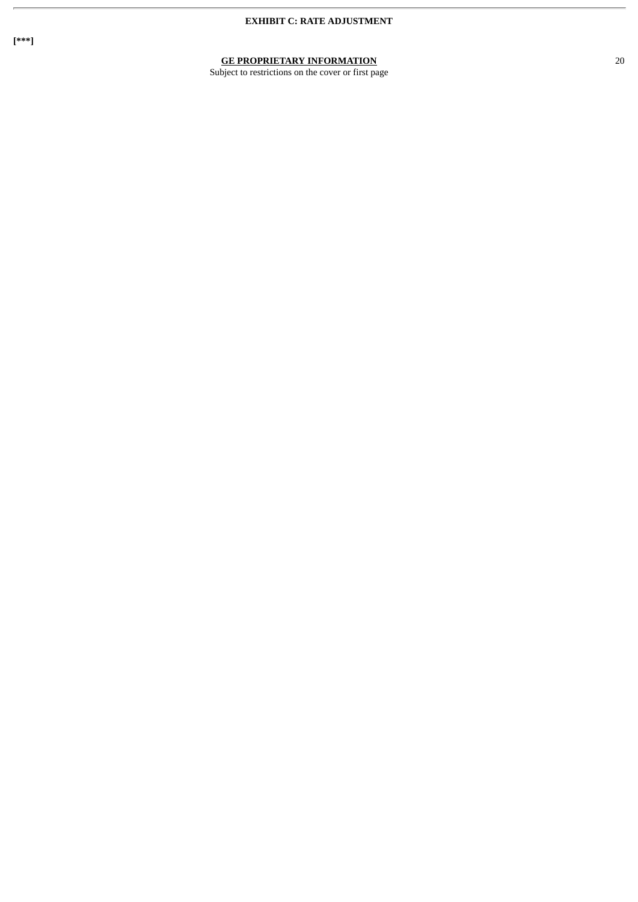# **EXHIBIT C: RATE ADJUSTMENT**

# **GE PROPRIETARY INFORMATION**

Subject to restrictions on the cover or first page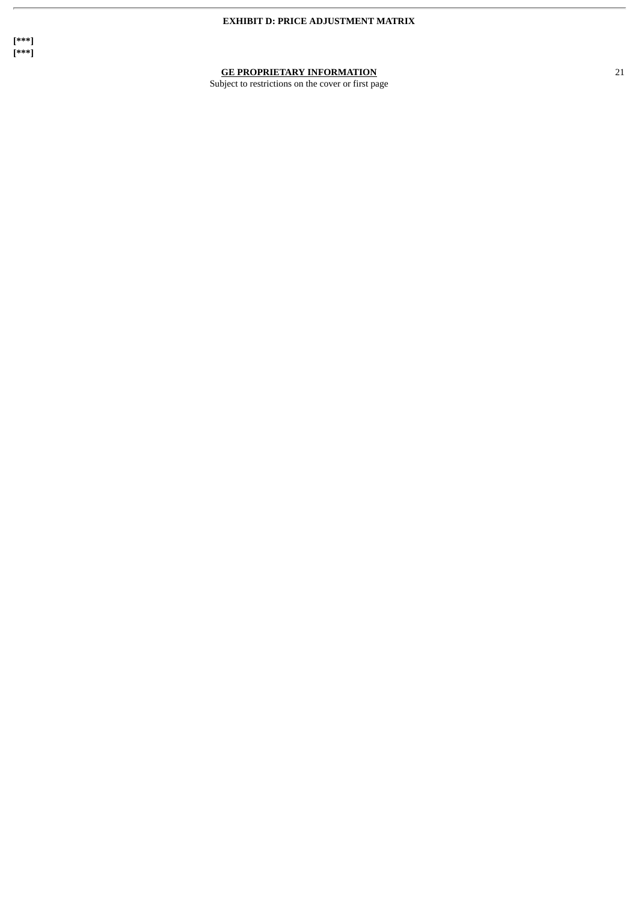Subject to restrictions on the cover or first page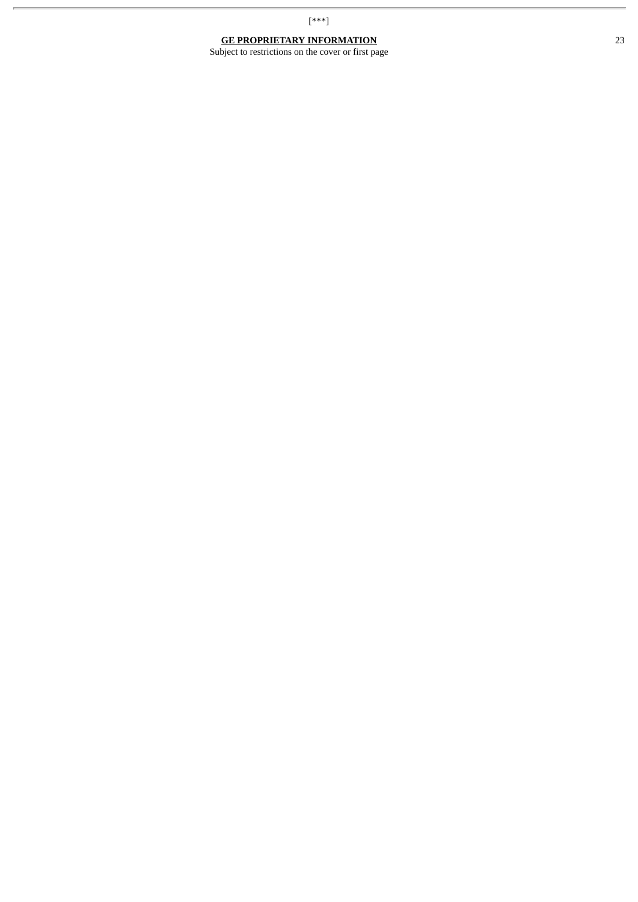## **GE PROPRIETARY INFORMATION** Subject to restrictions on the cover or first page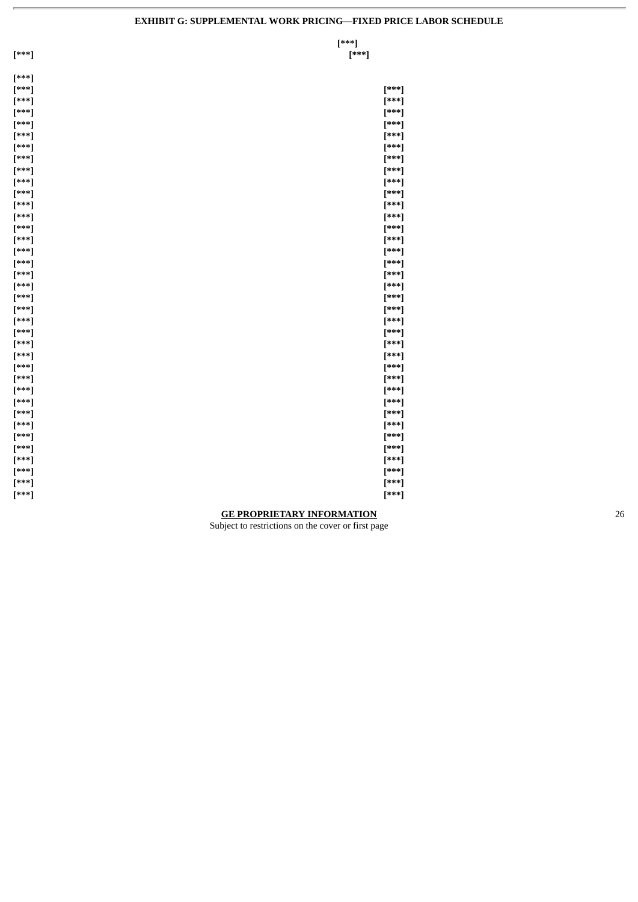| [***]          |
|----------------|
| [***]          |
| [***]          |
| [***]          |
| [***]          |
| [***]          |
| [***]          |
| [***]          |
| $[***]$        |
| [***]          |
| [***]          |
| [***]          |
| [***]          |
| [***]          |
| [***]          |
| [***]          |
| [***]          |
| [***]          |
| [***]          |
| [***]          |
| [***]          |
| [***<br>Ì      |
| [***]          |
| [***]          |
| [***]          |
| [***]          |
| [***]          |
| [***]          |
| [***]          |
| $[***]$        |
| [***]          |
| [***]<br>[***] |
|                |

 $[***]$ 

 $[***] % \begin{center} \includegraphics[width=0.9\columnwidth]{figures/fig_1a} \end{center} % \vspace*{-1em} \caption{The average number of times in the left and right.} \label{fig:2} %$ 

 $[***]$ 

 $[***] % \begin{center} \includegraphics[width=0.9\columnwidth]{figures/fig_1b} \end{center} % \vspace*{-1em} \caption{The average number of times in the left and right.} \label{fig:2b} %$ 

 $[***]$ 

 $[***]$ -<br>[\*\*\*] -<br>[\*\*\*] -<br>[\*\*\*]  $\overline{[***]}$  $\overline{[***]}$  $\left[\begin{smallmatrix}***\\1\end{smallmatrix}\right]$ -<br>[\*\*\*] .<br>[\*\*\*]  $\left[\begin{smallmatrix} * & * & * & * \\ * & * & * & * \end{smallmatrix}\right]$  $\overline{[}***]$  $\overline{[}***]$ -<br>[\*\*\*]<br>[\*\*\*]

 $\overline{[}***]$  $\overline{[}***]$  $\overline{[}***]$  $\overline{[***]}$  $\left[\mathrm{***}\right]$  $\left[\mathrm{***}\right]$ -<br>[\*\*\*]<br>[\*\*\*]

-<br>[\*\*\*]<br>[\*\*\*]  $\overline{I^{***}}$  $\overline{[}***]$  $\overline{[}***]$ 

-<br>[\*\*\*]<br>[\*\*\*]

 $[***] % \begin{center} \includegraphics[width=0.9\columnwidth]{figures/fig_1b} \end{center} % \vspace*{-1em} \caption{The average number of times in the left and right.} \label{fig:2b} %$  $\overline{[}***]$ 

# **GE PROPRIETARY INFORMATION**

Subject to restrictions on the cover or first page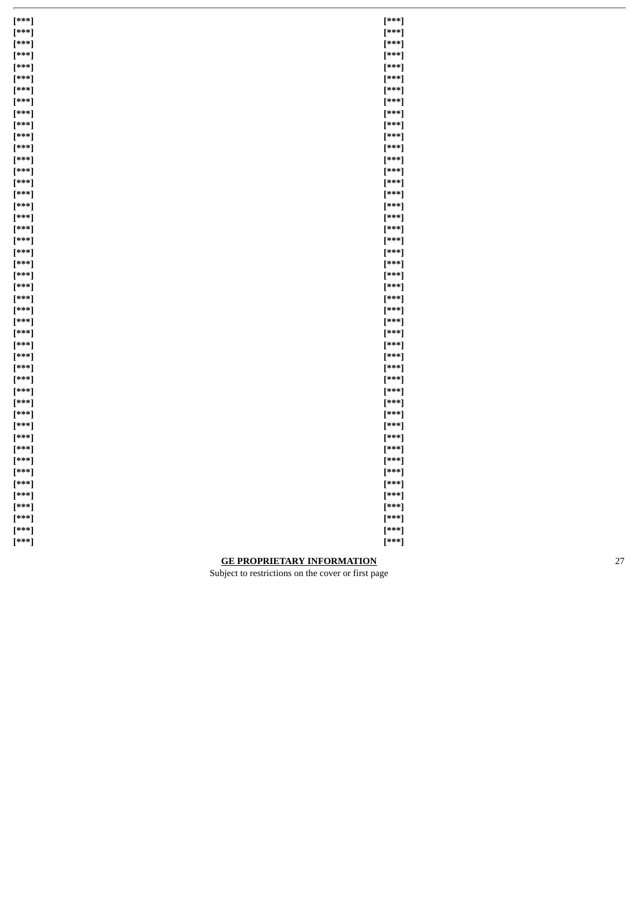$[***]$ 

-<br>[\*\*\*]

 $\overline{[}***]$ -<br>[\*\*\*]

 $\overline{[}***]$ 

 $[***]$ 

 $[***]$ 

 $[***]$ 

 $\overline{[***]}$ 

 $\overline{[}***]$  $\overline{[}***]$ 

 $[***]$ 

 $^{\left[***\right]}$ 

 $\overline{[}***]$ 

 $[***]$ -<br>[\*\*\*]

 $^{\left[***\right]}$ 

 $[***]$ 

 $[***]$ 

 $\overline{[}***]$ 

-<br>[\*\*\*]<br>[\*\*\*]

 $[***]$  $[***]$  $[***]$ \_<br>[\*\*\*]  $[***]$ 

 $\overline{[}***]$  $[***]$ 

 $\overline{[}***]$ 

 $[***]$ 

 $[$ 

 $[***]$ 

 $[$ 

 $[$  $\overline{[}***]$ 

 $[$ 

 $[***]$ 

 $\overline{[}***]$ 

 $\overline{[}***]$ 

 $\overline{[}***]$ 

 $[$ 

 $[$ 

# **GE PROPRIETARY INFORMATION**

 $[***]$ 

-<br>[\*\*\*] -<br>[\*\*\*]

 $\left[\begin{smallmatrix} * & * & * & * \\ * & * & * & * \end{smallmatrix}\right]$ 

 $\overline{[***]}$ 

 $[***]$ 

 $[***]$ 

 $[***]$ -<br>[\*\*\*]

'<br><sup>[\*\*\*]</sup><br>[\*\*\*]

 $\overline{[}***]$ 

'<br>[\*\*\*]

 $\overline{[}***]$ 

-<br>[\*\*\*]

-<br>[\*\*\*]

 $\overline{[}***]$ 

 $[***]$ 

 $[***]$ 

 $\overline{[***]}$ 

 $\left[\ast\ast\ast\right]$ 

|<br>|\*\*\*|<br>|\*\*\*|<br>|\*\*\*|<br>|\*\*\*|

 $[***]$ -<br>[\*\*\*]

 $[$ 

 $\overline{[***]}$ 

 $[$ 

 $\left[\mathrm{***}\right]$ 

 $[***]$ 

 $[***] % \begin{center} \includegraphics[width=0.9\columnwidth]{figures/fig_1b} \end{center} % \vspace*{-1em} \caption{The average number of times in the left and right.} \label{fig:2b} %$ 

 $[***] % \begin{center} \includegraphics[width=0.9\columnwidth]{figures/fig_1a} \end{center} % \vspace*{-1em} \caption{The average number of times in the left and right.} \label{fig:2} %$  $\overline{[}***]$ 

-<br>[\*\*\*]<br>[\*\*\*]

 $\overline{[***]}$ 

 $\overline{[}***]$ 

 $[***] % \begin{center} \includegraphics[width=0.9\columnwidth]{figures/fig_1a} \end{center} % \vspace*{-1em} \caption{The average number of times in the left and right.} \label{fig:2} %$ 

 $\left[\begin{smallmatrix}***\\1\end{smallmatrix}\right]$ 

 $\overline{[}***]$ 

 $\overline{[}***]$ 

 $\left[\mathrm{***}\right]$ 

 $\left[\mathrm{***}\right]$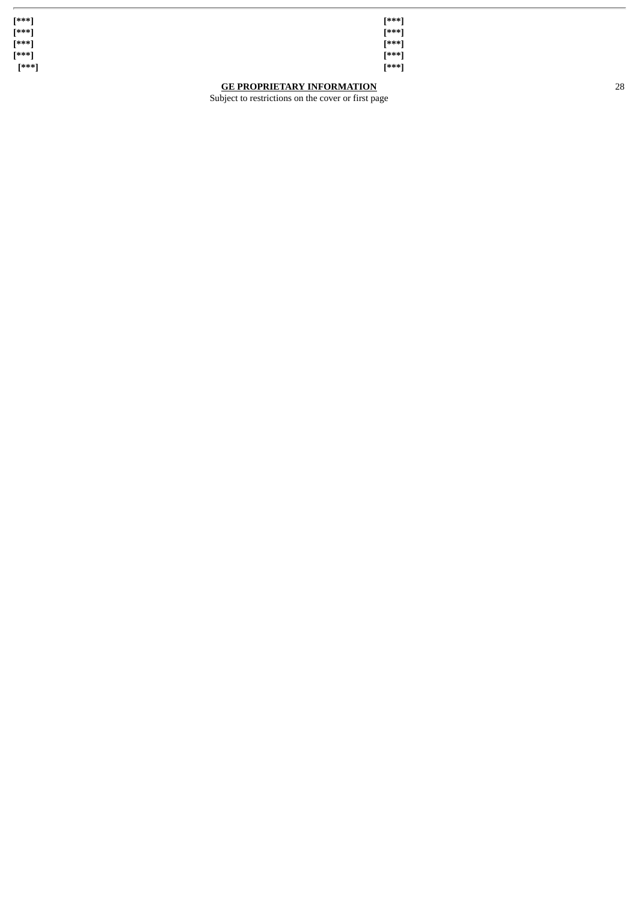| [***] | [***]<br>J. |
|-------|-------------|
| [***] | [***]<br>л  |
| [***] | [***]<br>л  |
| [***] | [***]<br>л  |
| [***] | [***]<br>J. |

Subject to restrictions on the cover or first page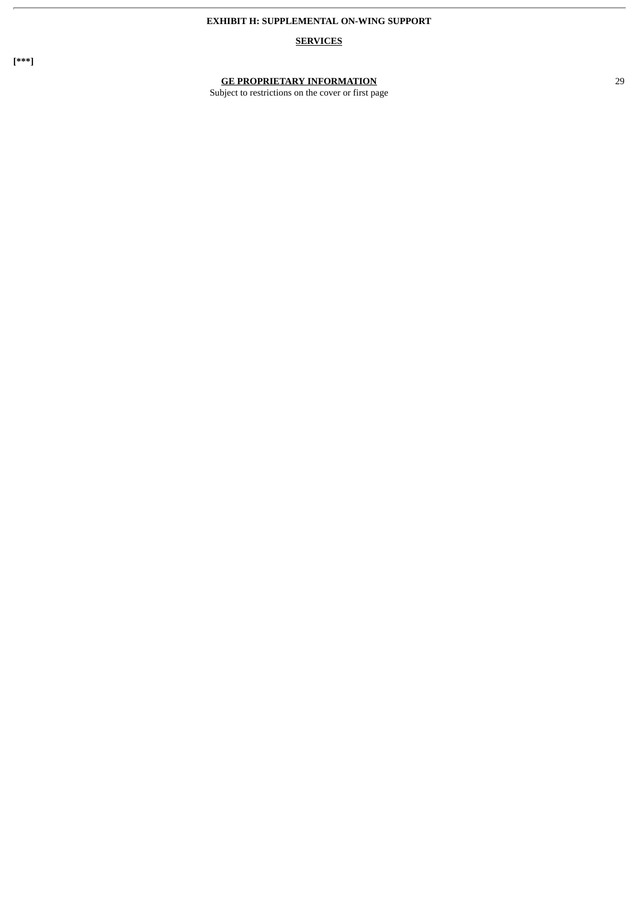# **SERVICES**

#### **GE PROPRIETARY INFORMATION**

Subject to restrictions on the cover or first page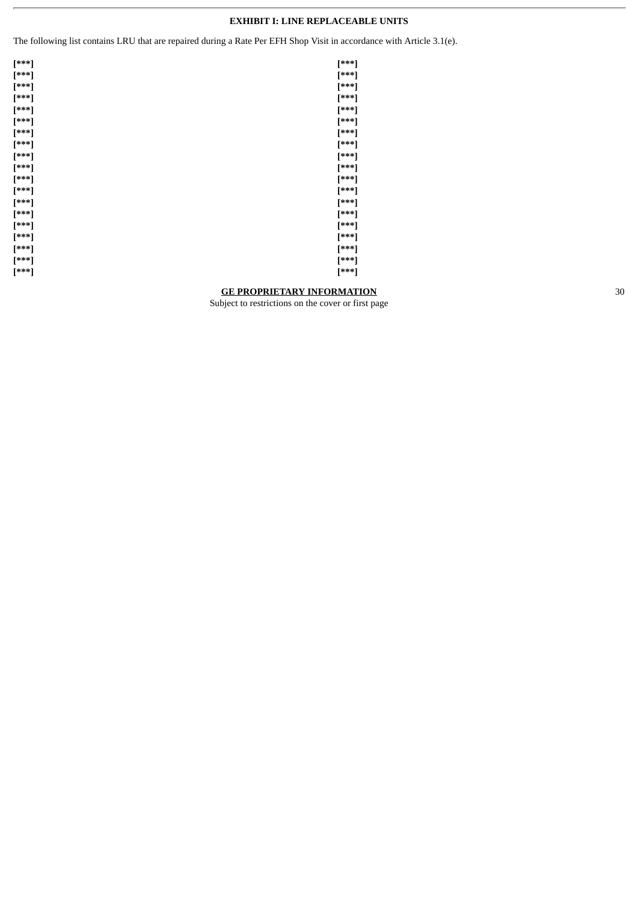# **EXHIBIT I: LINE REPLACEABLE UNITS**

The following list contains LRU that are repaired during a Rate Per EFH Shop Visit in accordance with Article 3.1(e).

| $[***]$                                                                                                                                                                                     | [***]                                                                                                                                                                                                                                                                                                                                                                                                                                                                                                                                                                                                                                                         |
|---------------------------------------------------------------------------------------------------------------------------------------------------------------------------------------------|---------------------------------------------------------------------------------------------------------------------------------------------------------------------------------------------------------------------------------------------------------------------------------------------------------------------------------------------------------------------------------------------------------------------------------------------------------------------------------------------------------------------------------------------------------------------------------------------------------------------------------------------------------------|
| [***]                                                                                                                                                                                       | [***]                                                                                                                                                                                                                                                                                                                                                                                                                                                                                                                                                                                                                                                         |
| [***]                                                                                                                                                                                       | [***]                                                                                                                                                                                                                                                                                                                                                                                                                                                                                                                                                                                                                                                         |
| [***]                                                                                                                                                                                       | [***]                                                                                                                                                                                                                                                                                                                                                                                                                                                                                                                                                                                                                                                         |
| [***]                                                                                                                                                                                       | [***]                                                                                                                                                                                                                                                                                                                                                                                                                                                                                                                                                                                                                                                         |
| [***]                                                                                                                                                                                       | [***]                                                                                                                                                                                                                                                                                                                                                                                                                                                                                                                                                                                                                                                         |
| $[***]$                                                                                                                                                                                     | [***]                                                                                                                                                                                                                                                                                                                                                                                                                                                                                                                                                                                                                                                         |
| [***]                                                                                                                                                                                       | [***]                                                                                                                                                                                                                                                                                                                                                                                                                                                                                                                                                                                                                                                         |
| [***]                                                                                                                                                                                       | [***]                                                                                                                                                                                                                                                                                                                                                                                                                                                                                                                                                                                                                                                         |
| [***]                                                                                                                                                                                       | [***]                                                                                                                                                                                                                                                                                                                                                                                                                                                                                                                                                                                                                                                         |
| [***]                                                                                                                                                                                       | $[***]$                                                                                                                                                                                                                                                                                                                                                                                                                                                                                                                                                                                                                                                       |
| $[***]$                                                                                                                                                                                     | $[***] % \begin{minipage}[b]{.45\linewidth} \centering \centerline{\includegraphics[width=0.45\linewidth]{images/0.45\linewidth} \centerline{\includegraphics[width=0.45\linewidth]{images/0.45\linewidth} \centerline{\includegraphics[width=0.45\linewidth]{images/0.45\linewidth} \centerline{\includegraphics[width=0.45\linewidth]{images/0.45\linewidth} \centerline{\includegraphics[width=0.45\linewidth]{images/0.45\linewidth} \centerline{\includegraphics[width=0.45\linewidth]{images/0.45\linewidth} \centerline{\includegraphics[width=0.45\linewidth]{images/0.45\linewidth} \centerline{\includegraphics[width=0.45\linewidth]{images/0.45\$ |
| [***]                                                                                                                                                                                       | $[***]$                                                                                                                                                                                                                                                                                                                                                                                                                                                                                                                                                                                                                                                       |
| [***]                                                                                                                                                                                       | $[***]$                                                                                                                                                                                                                                                                                                                                                                                                                                                                                                                                                                                                                                                       |
| $[***] % \begin{center} \includegraphics[width=0.9\columnwidth]{figures/fig_1a} \end{center} % \vspace*{-1em} \caption{The average number of times in the left and right.} \label{fig:2} %$ | $[***] % \begin{minipage}[b]{.45\linewidth} \centering \centerline{\includegraphics[width=0.45\linewidth]{images/0.45\linewidth} \centerline{\includegraphics[width=0.45\linewidth]{images/0.45\linewidth} \centerline{\includegraphics[width=0.45\linewidth]{images/0.45\linewidth} \centerline{\includegraphics[width=0.45\linewidth]{images/0.45\linewidth} \centerline{\includegraphics[width=0.45\linewidth]{images/0.45\linewidth} \centerline{\includegraphics[width=0.45\linewidth]{images/0.45\linewidth} \centerline{\includegraphics[width=0.45\linewidth]{images/0.45\linewidth} \centerline{\includegraphics[width=0.45\linewidth]{images/0.45\$ |
| $[***]$                                                                                                                                                                                     | $[***] % \begin{minipage}[b]{.45\linewidth} \centering \centerline{\includegraphics[width=0.45\linewidth]{images/0.45\linewidth} \centerline{\includegraphics[width=0.45\linewidth]{images/0.45\linewidth} \centerline{\includegraphics[width=0.45\linewidth]{images/0.45\linewidth} \centerline{\includegraphics[width=0.45\linewidth]{images/0.45\linewidth} \centerline{\includegraphics[width=0.45\linewidth]{images/0.45\linewidth} \centerline{\includegraphics[width=0.45\linewidth]{images/0.45\linewidth} \centerline{\includegraphics[width=0.45\linewidth]{images/0.45\linewidth} \centerline{\includegraphics[width=0.45\linewidth]{images/0.45\$ |
| $[***]$                                                                                                                                                                                     | $[***] % \begin{minipage}[b]{.45\linewidth} \centering \centerline{\includegraphics[width=0.45\linewidth]{images/0.45\linewidth} \centerline{\includegraphics[width=0.45\linewidth]{images/0.45\linewidth} \centerline{\includegraphics[width=0.45\linewidth]{images/0.45\linewidth} \centerline{\includegraphics[width=0.45\linewidth]{images/0.45\linewidth} \centerline{\includegraphics[width=0.45\linewidth]{images/0.45\linewidth} \centerline{\includegraphics[width=0.45\linewidth]{images/0.45\linewidth} \centerline{\includegraphics[width=0.45\linewidth]{images/0.45\linewidth} \centerline{\includegraphics[width=0.45\linewidth]{images/0.45\$ |
| [***]                                                                                                                                                                                       | [***]                                                                                                                                                                                                                                                                                                                                                                                                                                                                                                                                                                                                                                                         |
|                                                                                                                                                                                             |                                                                                                                                                                                                                                                                                                                                                                                                                                                                                                                                                                                                                                                               |

| [***] | $[***] % \begin{center} \includegraphics[width=0.9\columnwidth]{figures/fig_1b} \end{center} % \vspace*{-1em} \caption{The average number of times in the left and right.} \label{fig:2b} %$                                                                                                                                                                                                                                                                                                                                                                                                                                                                                                                                                                                                                                                                                                     |  |
|-------|--------------------------------------------------------------------------------------------------------------------------------------------------------------------------------------------------------------------------------------------------------------------------------------------------------------------------------------------------------------------------------------------------------------------------------------------------------------------------------------------------------------------------------------------------------------------------------------------------------------------------------------------------------------------------------------------------------------------------------------------------------------------------------------------------------------------------------------------------------------------------------------------------|--|
| [***] | $[***]$                                                                                                                                                                                                                                                                                                                                                                                                                                                                                                                                                                                                                                                                                                                                                                                                                                                                                          |  |
| [***] | $[***]$                                                                                                                                                                                                                                                                                                                                                                                                                                                                                                                                                                                                                                                                                                                                                                                                                                                                                          |  |
| [***] | $[***]$                                                                                                                                                                                                                                                                                                                                                                                                                                                                                                                                                                                                                                                                                                                                                                                                                                                                                          |  |
| [***] | $\left[\ast\ast\ast\right]$                                                                                                                                                                                                                                                                                                                                                                                                                                                                                                                                                                                                                                                                                                                                                                                                                                                                      |  |
| [***] | $[***]$                                                                                                                                                                                                                                                                                                                                                                                                                                                                                                                                                                                                                                                                                                                                                                                                                                                                                          |  |
| [***] | $[***] % \begin{center} \includegraphics[width=0.9\columnwidth]{figures/fig_1b} \end{center} % \vspace*{-1em} \caption{The average number of times in the left and right. The number of times in the right, the number of times in the right, the number of times in the right, the number of times in the right, the number of times in the right, the number of times in the right, the number of times in the right, the number of times in the right, the number of times in the right, the number of times in the right, the number of times in the right, the number of times in the right, the number of times in the right, the number of times in the right, the number of times in the right, the number of times in the right, the number of times in the right, the number of times in the right, the number of times in the right, the number of times in the right, the number of$ |  |
| [***] | [***]                                                                                                                                                                                                                                                                                                                                                                                                                                                                                                                                                                                                                                                                                                                                                                                                                                                                                            |  |
| [***] | $[***] % \begin{center} \includegraphics[width=0.9\columnwidth]{figures/fig_1b} \end{center} % \vspace*{-1em} \caption{The average number of times in the left and right.} \label{fig:2b} %$                                                                                                                                                                                                                                                                                                                                                                                                                                                                                                                                                                                                                                                                                                     |  |
| [***] | $\left[\begin{smallmatrix} \ast\ast\ast\ast\end{smallmatrix}\right]$                                                                                                                                                                                                                                                                                                                                                                                                                                                                                                                                                                                                                                                                                                                                                                                                                             |  |
| [***] | [***]                                                                                                                                                                                                                                                                                                                                                                                                                                                                                                                                                                                                                                                                                                                                                                                                                                                                                            |  |
| [***] | $[***]$                                                                                                                                                                                                                                                                                                                                                                                                                                                                                                                                                                                                                                                                                                                                                                                                                                                                                          |  |
| [***] | $[***] % \begin{center} \includegraphics[width=0.9\columnwidth]{figures/fig_1a} \end{center} % \vspace*{-1em} \caption{The average number of times in the left and right. The number of times in the right, the number of times in the right.} \label{fig:2} %$                                                                                                                                                                                                                                                                                                                                                                                                                                                                                                                                                                                                                                  |  |
| [***] | $[***] % \begin{center} \includegraphics[width=0.9\columnwidth]{figures/fig_1a} \end{center} % \vspace*{-1em} \caption{The average number of times in the left and right. The number of times in the right, the number of times in the right.} \label{fig:2} %$                                                                                                                                                                                                                                                                                                                                                                                                                                                                                                                                                                                                                                  |  |
| [***] | $[***]$                                                                                                                                                                                                                                                                                                                                                                                                                                                                                                                                                                                                                                                                                                                                                                                                                                                                                          |  |
| [***] | $\left[\begin{smallmatrix} \ast\ast\ast\ast\end{smallmatrix}\right]$                                                                                                                                                                                                                                                                                                                                                                                                                                                                                                                                                                                                                                                                                                                                                                                                                             |  |
| [***] | $[***]$                                                                                                                                                                                                                                                                                                                                                                                                                                                                                                                                                                                                                                                                                                                                                                                                                                                                                          |  |
| [***] | $[***]$                                                                                                                                                                                                                                                                                                                                                                                                                                                                                                                                                                                                                                                                                                                                                                                                                                                                                          |  |
| [***] |                                                                                                                                                                                                                                                                                                                                                                                                                                                                                                                                                                                                                                                                                                                                                                                                                                                                                                  |  |

#### **GE PROPRIETARY INFORMATION**

Subject to restrictions on the cover or first page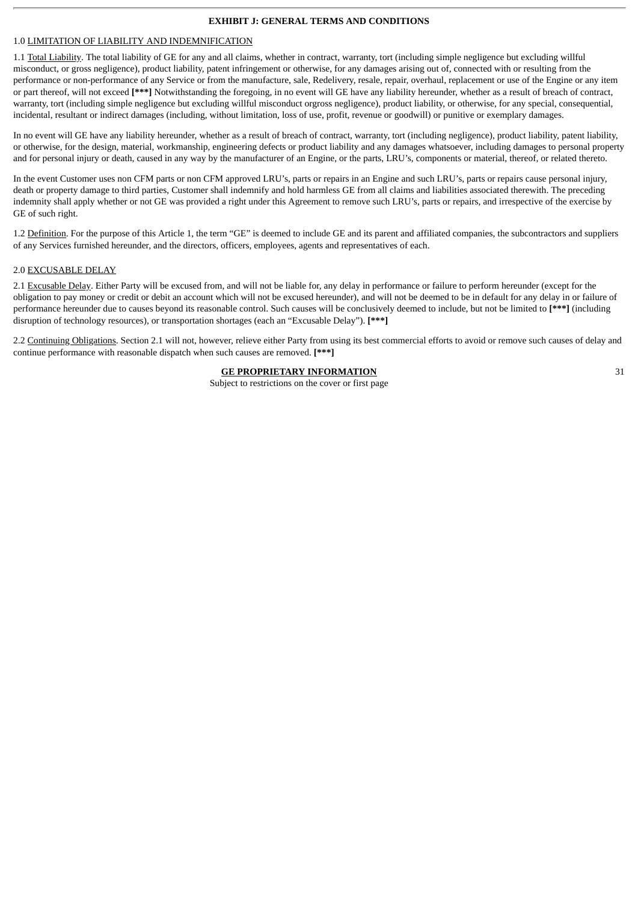#### **EXHIBIT J: GENERAL TERMS AND CONDITIONS**

# 1.0 LIMITATION OF LIABILITY AND INDEMNIFICATION

1.1 Total Liability. The total liability of GE for any and all claims, whether in contract, warranty, tort (including simple negligence but excluding willful misconduct, or gross negligence), product liability, patent infringement or otherwise, for any damages arising out of, connected with or resulting from the performance or non-performance of any Service or from the manufacture, sale, Redelivery, resale, repair, overhaul, replacement or use of the Engine or any item or part thereof, will not exceed **[\*\*\*]** Notwithstanding the foregoing, in no event will GE have any liability hereunder, whether as a result of breach of contract, warranty, tort (including simple negligence but excluding willful misconduct orgross negligence), product liability, or otherwise, for any special, consequential, incidental, resultant or indirect damages (including, without limitation, loss of use, profit, revenue or goodwill) or punitive or exemplary damages.

In no event will GE have any liability hereunder, whether as a result of breach of contract, warranty, tort (including negligence), product liability, patent liability, or otherwise, for the design, material, workmanship, engineering defects or product liability and any damages whatsoever, including damages to personal property and for personal injury or death, caused in any way by the manufacturer of an Engine, or the parts, LRU's, components or material, thereof, or related thereto.

In the event Customer uses non CFM parts or non CFM approved LRU's, parts or repairs in an Engine and such LRU's, parts or repairs cause personal injury, death or property damage to third parties, Customer shall indemnify and hold harmless GE from all claims and liabilities associated therewith. The preceding indemnity shall apply whether or not GE was provided a right under this Agreement to remove such LRU's, parts or repairs, and irrespective of the exercise by GE of such right.

1.2 Definition. For the purpose of this Article 1, the term "GE" is deemed to include GE and its parent and affiliated companies, the subcontractors and suppliers of any Services furnished hereunder, and the directors, officers, employees, agents and representatives of each.

#### 2.0 EXCUSABLE DELAY

2.1 Excusable Delay. Either Party will be excused from, and will not be liable for, any delay in performance or failure to perform hereunder (except for the obligation to pay money or credit or debit an account which will not be excused hereunder), and will not be deemed to be in default for any delay in or failure of performance hereunder due to causes beyond its reasonable control. Such causes will be conclusively deemed to include, but not be limited to **[\*\*\*]** (including disruption of technology resources), or transportation shortages (each an "Excusable Delay"). **[\*\*\*]**

2.2 Continuing Obligations. Section 2.1 will not, however, relieve either Party from using its best commercial efforts to avoid or remove such causes of delay and continue performance with reasonable dispatch when such causes are removed. **[\*\*\*]**

#### **GE PROPRIETARY INFORMATION**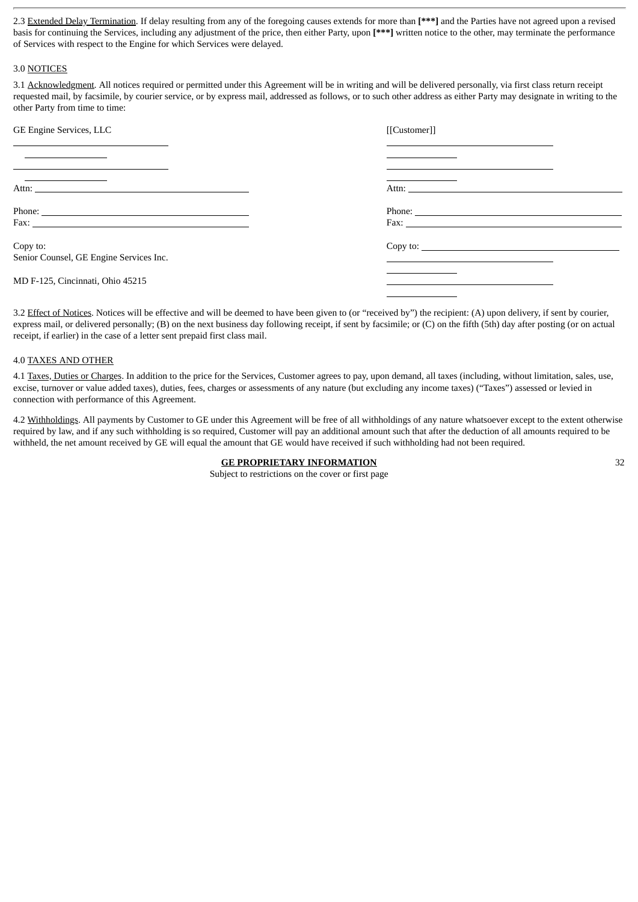2.3 Extended Delay Termination. If delay resulting from any of the foregoing causes extends for more than **[\*\*\*]** and the Parties have not agreed upon a revised basis for continuing the Services, including any adjustment of the price, then either Party, upon **[\*\*\*]** written notice to the other, may terminate the performance of Services with respect to the Engine for which Services were delayed.

#### 3.0 NOTICES

3.1 Acknowledgment. All notices required or permitted under this Agreement will be in writing and will be delivered personally, via first class return receipt requested mail, by facsimile, by courier service, or by express mail, addressed as follows, or to such other address as either Party may designate in writing to the other Party from time to time:

| GE Engine Services, LLC                                                                                                                                                                                                                                                                                                                                                                                                                                                | [[Customer]] |
|------------------------------------------------------------------------------------------------------------------------------------------------------------------------------------------------------------------------------------------------------------------------------------------------------------------------------------------------------------------------------------------------------------------------------------------------------------------------|--------------|
|                                                                                                                                                                                                                                                                                                                                                                                                                                                                        |              |
|                                                                                                                                                                                                                                                                                                                                                                                                                                                                        |              |
| Phone: Note: 2008. The contract of the contract of the contract of the contract of the contract of the contract of the contract of the contract of the contract of the contract of the contract of the contract of the contrac<br>Fax: <u>and the same of the same of the same of the same of the same of the same of the same of the same of the same of the same of the same of the same of the same of the same of the same of the same of the same of the same</u> | Phone:       |
| Copy to:<br>Senior Counsel, GE Engine Services Inc.                                                                                                                                                                                                                                                                                                                                                                                                                    |              |
| MD F-125, Cincinnati, Ohio 45215                                                                                                                                                                                                                                                                                                                                                                                                                                       |              |

3.2 Effect of Notices. Notices will be effective and will be deemed to have been given to (or "received by") the recipient: (A) upon delivery, if sent by courier, express mail, or delivered personally; (B) on the next business day following receipt, if sent by facsimile; or (C) on the fifth (5th) day after posting (or on actual receipt, if earlier) in the case of a letter sent prepaid first class mail.

#### 4.0 TAXES AND OTHER

4.1 Taxes, Duties or Charges. In addition to the price for the Services, Customer agrees to pay, upon demand, all taxes (including, without limitation, sales, use, excise, turnover or value added taxes), duties, fees, charges or assessments of any nature (but excluding any income taxes) ("Taxes") assessed or levied in connection with performance of this Agreement.

4.2 Withholdings. All payments by Customer to GE under this Agreement will be free of all withholdings of any nature whatsoever except to the extent otherwise required by law, and if any such withholding is so required, Customer will pay an additional amount such that after the deduction of all amounts required to be withheld, the net amount received by GE will equal the amount that GE would have received if such withholding had not been required.

## **GE PROPRIETARY INFORMATION**

Subject to restrictions on the cover or first page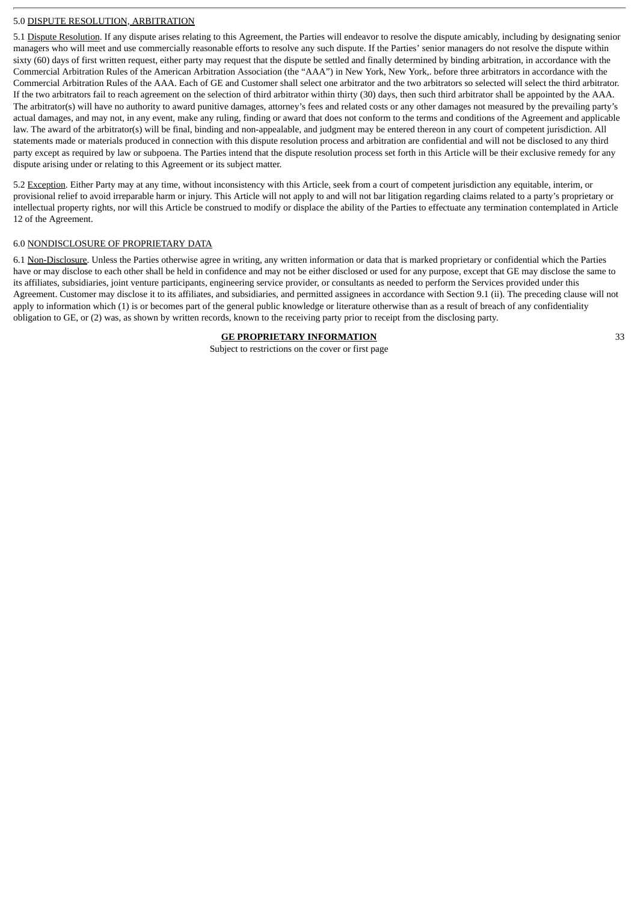### 5.0 DISPUTE RESOLUTION, ARBITRATION

5.1 Dispute Resolution. If any dispute arises relating to this Agreement, the Parties will endeavor to resolve the dispute amicably, including by designating senior managers who will meet and use commercially reasonable efforts to resolve any such dispute. If the Parties' senior managers do not resolve the dispute within sixty (60) days of first written request, either party may request that the dispute be settled and finally determined by binding arbitration, in accordance with the Commercial Arbitration Rules of the American Arbitration Association (the "AAA") in New York, New York,. before three arbitrators in accordance with the Commercial Arbitration Rules of the AAA. Each of GE and Customer shall select one arbitrator and the two arbitrators so selected will select the third arbitrator. If the two arbitrators fail to reach agreement on the selection of third arbitrator within thirty (30) days, then such third arbitrator shall be appointed by the AAA. The arbitrator(s) will have no authority to award punitive damages, attorney's fees and related costs or any other damages not measured by the prevailing party's actual damages, and may not, in any event, make any ruling, finding or award that does not conform to the terms and conditions of the Agreement and applicable law. The award of the arbitrator(s) will be final, binding and non-appealable, and judgment may be entered thereon in any court of competent jurisdiction. All statements made or materials produced in connection with this dispute resolution process and arbitration are confidential and will not be disclosed to any third party except as required by law or subpoena. The Parties intend that the dispute resolution process set forth in this Article will be their exclusive remedy for any dispute arising under or relating to this Agreement or its subject matter.

5.2 Exception. Either Party may at any time, without inconsistency with this Article, seek from a court of competent jurisdiction any equitable, interim, or provisional relief to avoid irreparable harm or injury. This Article will not apply to and will not bar litigation regarding claims related to a party's proprietary or intellectual property rights, nor will this Article be construed to modify or displace the ability of the Parties to effectuate any termination contemplated in Article 12 of the Agreement.

### 6.0 NONDISCLOSURE OF PROPRIETARY DATA

6.1 Non-Disclosure. Unless the Parties otherwise agree in writing, any written information or data that is marked proprietary or confidential which the Parties have or may disclose to each other shall be held in confidence and may not be either disclosed or used for any purpose, except that GE may disclose the same to its affiliates, subsidiaries, joint venture participants, engineering service provider, or consultants as needed to perform the Services provided under this Agreement. Customer may disclose it to its affiliates, and subsidiaries, and permitted assignees in accordance with Section 9.1 (ii). The preceding clause will not apply to information which (1) is or becomes part of the general public knowledge or literature otherwise than as a result of breach of any confidentiality obligation to GE, or (2) was, as shown by written records, known to the receiving party prior to receipt from the disclosing party.

# **GE PROPRIETARY INFORMATION**

Subject to restrictions on the cover or first page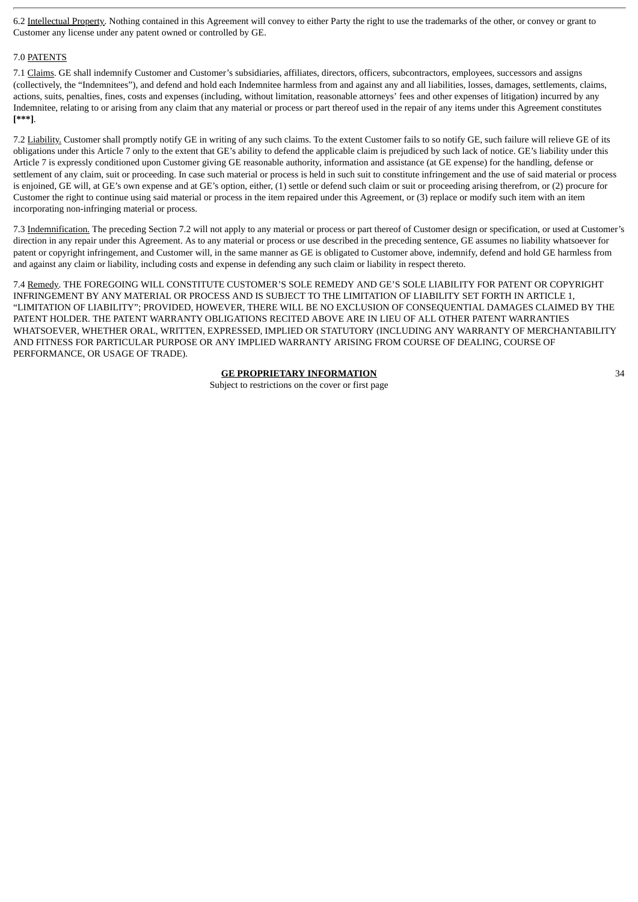6.2 Intellectual Property. Nothing contained in this Agreement will convey to either Party the right to use the trademarks of the other, or convey or grant to Customer any license under any patent owned or controlled by GE.

#### 7.0 PATENTS

7.1 Claims. GE shall indemnify Customer and Customer's subsidiaries, affiliates, directors, officers, subcontractors, employees, successors and assigns (collectively, the "Indemnitees"), and defend and hold each Indemnitee harmless from and against any and all liabilities, losses, damages, settlements, claims, actions, suits, penalties, fines, costs and expenses (including, without limitation, reasonable attorneys' fees and other expenses of litigation) incurred by any Indemnitee, relating to or arising from any claim that any material or process or part thereof used in the repair of any items under this Agreement constitutes **[\*\*\*]**.

7.2 Liability. Customer shall promptly notify GE in writing of any such claims. To the extent Customer fails to so notify GE, such failure will relieve GE of its obligations under this Article 7 only to the extent that GE's ability to defend the applicable claim is prejudiced by such lack of notice. GE's liability under this Article 7 is expressly conditioned upon Customer giving GE reasonable authority, information and assistance (at GE expense) for the handling, defense or settlement of any claim, suit or proceeding. In case such material or process is held in such suit to constitute infringement and the use of said material or process is enjoined, GE will, at GE's own expense and at GE's option, either, (1) settle or defend such claim or suit or proceeding arising therefrom, or (2) procure for Customer the right to continue using said material or process in the item repaired under this Agreement, or (3) replace or modify such item with an item incorporating non-infringing material or process.

7.3 Indemnification. The preceding Section 7.2 will not apply to any material or process or part thereof of Customer design or specification, or used at Customer's direction in any repair under this Agreement. As to any material or process or use described in the preceding sentence, GE assumes no liability whatsoever for patent or copyright infringement, and Customer will, in the same manner as GE is obligated to Customer above, indemnify, defend and hold GE harmless from and against any claim or liability, including costs and expense in defending any such claim or liability in respect thereto.

7.4 Remedy. THE FOREGOING WILL CONSTITUTE CUSTOMER'S SOLE REMEDY AND GE'S SOLE LIABILITY FOR PATENT OR COPYRIGHT INFRINGEMENT BY ANY MATERIAL OR PROCESS AND IS SUBJECT TO THE LIMITATION OF LIABILITY SET FORTH IN ARTICLE 1, "LIMITATION OF LIABILITY"; PROVIDED, HOWEVER, THERE WILL BE NO EXCLUSION OF CONSEQUENTIAL DAMAGES CLAIMED BY THE PATENT HOLDER. THE PATENT WARRANTY OBLIGATIONS RECITED ABOVE ARE IN LIEU OF ALL OTHER PATENT WARRANTIES WHATSOEVER, WHETHER ORAL, WRITTEN, EXPRESSED, IMPLIED OR STATUTORY (INCLUDING ANY WARRANTY OF MERCHANTABILITY AND FITNESS FOR PARTICULAR PURPOSE OR ANY IMPLIED WARRANTY ARISING FROM COURSE OF DEALING, COURSE OF PERFORMANCE, OR USAGE OF TRADE).

> **GE PROPRIETARY INFORMATION** Subject to restrictions on the cover or first page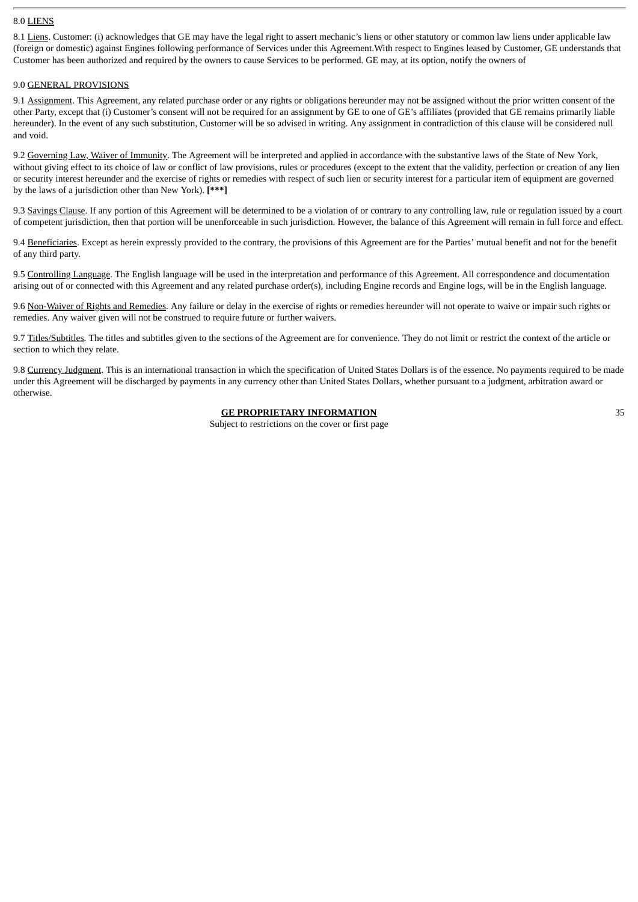#### 8.0 LIENS

8.1 Liens. Customer: (i) acknowledges that GE may have the legal right to assert mechanic's liens or other statutory or common law liens under applicable law (foreign or domestic) against Engines following performance of Services under this Agreement.With respect to Engines leased by Customer, GE understands that Customer has been authorized and required by the owners to cause Services to be performed. GE may, at its option, notify the owners of

#### 9.0 GENERAL PROVISIONS

9.1 Assignment. This Agreement, any related purchase order or any rights or obligations hereunder may not be assigned without the prior written consent of the other Party, except that (i) Customer's consent will not be required for an assignment by GE to one of GE's affiliates (provided that GE remains primarily liable hereunder). In the event of any such substitution, Customer will be so advised in writing. Any assignment in contradiction of this clause will be considered null and void.

9.2 Governing Law, Waiver of Immunity. The Agreement will be interpreted and applied in accordance with the substantive laws of the State of New York, without giving effect to its choice of law or conflict of law provisions, rules or procedures (except to the extent that the validity, perfection or creation of any lien or security interest hereunder and the exercise of rights or remedies with respect of such lien or security interest for a particular item of equipment are governed by the laws of a jurisdiction other than New York). **[\*\*\*]**

9.3 Savings Clause. If any portion of this Agreement will be determined to be a violation of or contrary to any controlling law, rule or regulation issued by a court of competent jurisdiction, then that portion will be unenforceable in such jurisdiction. However, the balance of this Agreement will remain in full force and effect.

9.4 Beneficiaries. Except as herein expressly provided to the contrary, the provisions of this Agreement are for the Parties' mutual benefit and not for the benefit of any third party.

9.5 Controlling Language. The English language will be used in the interpretation and performance of this Agreement. All correspondence and documentation arising out of or connected with this Agreement and any related purchase order(s), including Engine records and Engine logs, will be in the English language.

9.6 Non-Waiver of Rights and Remedies. Any failure or delay in the exercise of rights or remedies hereunder will not operate to waive or impair such rights or remedies. Any waiver given will not be construed to require future or further waivers.

9.7 Titles/Subtitles. The titles and subtitles given to the sections of the Agreement are for convenience. They do not limit or restrict the context of the article or section to which they relate.

9.8 Currency Judgment. This is an international transaction in which the specification of United States Dollars is of the essence. No payments required to be made under this Agreement will be discharged by payments in any currency other than United States Dollars, whether pursuant to a judgment, arbitration award or otherwise.

#### **GE PROPRIETARY INFORMATION**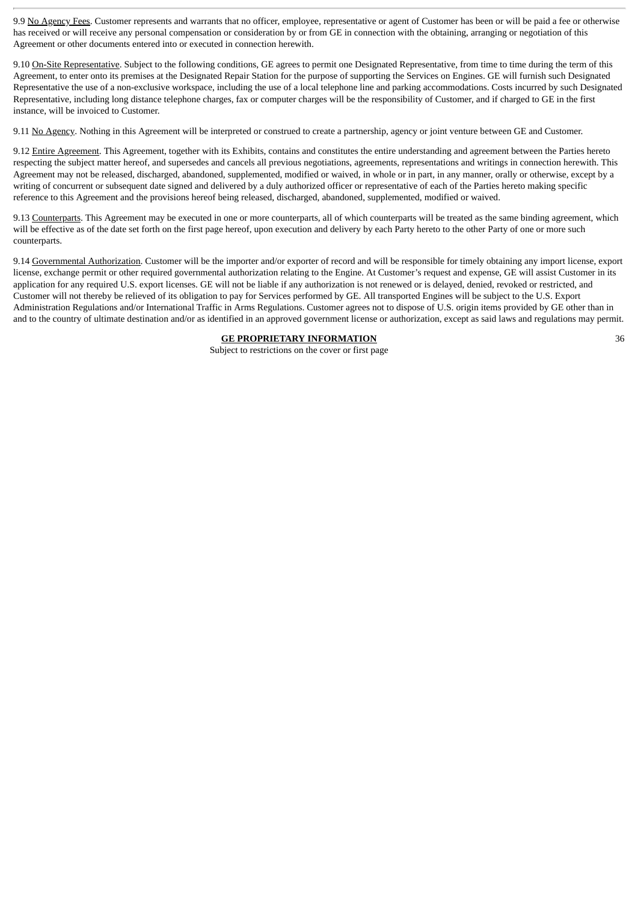9.9 No Agency Fees. Customer represents and warrants that no officer, employee, representative or agent of Customer has been or will be paid a fee or otherwise has received or will receive any personal compensation or consideration by or from GE in connection with the obtaining, arranging or negotiation of this Agreement or other documents entered into or executed in connection herewith.

9.10 On-Site Representative. Subject to the following conditions, GE agrees to permit one Designated Representative, from time to time during the term of this Agreement, to enter onto its premises at the Designated Repair Station for the purpose of supporting the Services on Engines. GE will furnish such Designated Representative the use of a non-exclusive workspace, including the use of a local telephone line and parking accommodations. Costs incurred by such Designated Representative, including long distance telephone charges, fax or computer charges will be the responsibility of Customer, and if charged to GE in the first instance, will be invoiced to Customer.

9.11 No Agency. Nothing in this Agreement will be interpreted or construed to create a partnership, agency or joint venture between GE and Customer.

9.12 Entire Agreement. This Agreement, together with its Exhibits, contains and constitutes the entire understanding and agreement between the Parties hereto respecting the subject matter hereof, and supersedes and cancels all previous negotiations, agreements, representations and writings in connection herewith. This Agreement may not be released, discharged, abandoned, supplemented, modified or waived, in whole or in part, in any manner, orally or otherwise, except by a writing of concurrent or subsequent date signed and delivered by a duly authorized officer or representative of each of the Parties hereto making specific reference to this Agreement and the provisions hereof being released, discharged, abandoned, supplemented, modified or waived.

9.13 Counterparts. This Agreement may be executed in one or more counterparts, all of which counterparts will be treated as the same binding agreement, which will be effective as of the date set forth on the first page hereof, upon execution and delivery by each Party hereto to the other Party of one or more such counterparts.

9.14 Governmental Authorization. Customer will be the importer and/or exporter of record and will be responsible for timely obtaining any import license, export license, exchange permit or other required governmental authorization relating to the Engine. At Customer's request and expense, GE will assist Customer in its application for any required U.S. export licenses. GE will not be liable if any authorization is not renewed or is delayed, denied, revoked or restricted, and Customer will not thereby be relieved of its obligation to pay for Services performed by GE. All transported Engines will be subject to the U.S. Export Administration Regulations and/or International Traffic in Arms Regulations. Customer agrees not to dispose of U.S. origin items provided by GE other than in and to the country of ultimate destination and/or as identified in an approved government license or authorization, except as said laws and regulations may permit.

#### **GE PROPRIETARY INFORMATION**

Subject to restrictions on the cover or first page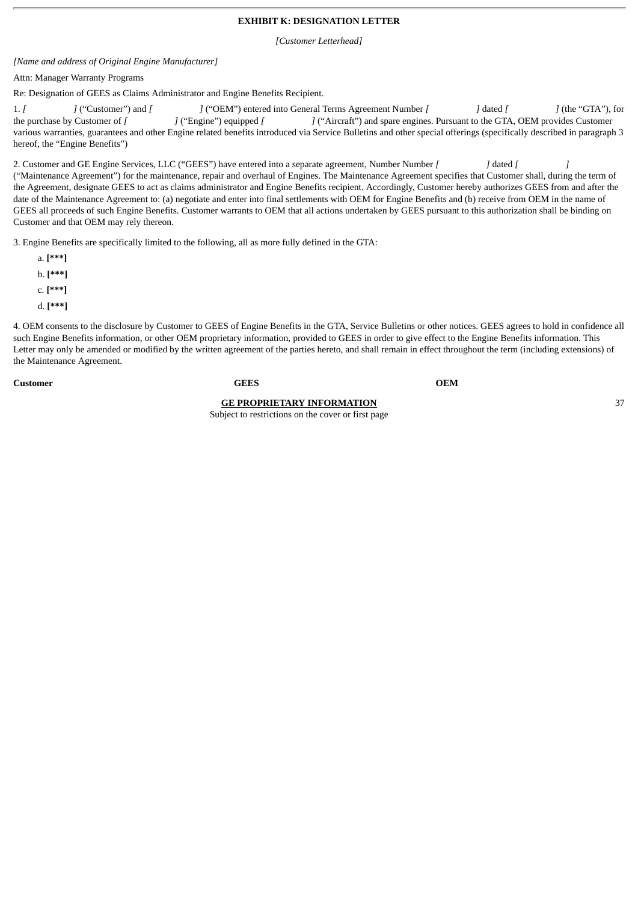# **EXHIBIT K: DESIGNATION LETTER**

*[Customer Letterhead]*

*[Name and address of Original Engine Manufacturer]*

Attn: Manager Warranty Programs

Re: Designation of GEES as Claims Administrator and Engine Benefits Recipient.

1. *[ ]* ("Customer") and *[ ]* ("OEM") entered into General Terms Agreement Number *[ ]* dated *[ ]* (the "GTA"), for the purchase by Customer of *[ ]* ("Engine") equipped *[ ]* ("Aircraft") and spare engines. Pursuant to the GTA, OEM provides Customer various warranties, guarantees and other Engine related benefits introduced via Service Bulletins and other special offerings (specifically described in paragraph 3 hereof, the "Engine Benefits")

2. Customer and GE Engine Services, LLC ("GEES") have entered into a separate agreement, Number Number *[ ]* dated *[ ]* ("Maintenance Agreement") for the maintenance, repair and overhaul of Engines. The Maintenance Agreement specifies that Customer shall, during the term of the Agreement, designate GEES to act as claims administrator and Engine Benefits recipient. Accordingly, Customer hereby authorizes GEES from and after the date of the Maintenance Agreement to: (a) negotiate and enter into final settlements with OEM for Engine Benefits and (b) receive from OEM in the name of GEES all proceeds of such Engine Benefits. Customer warrants to OEM that all actions undertaken by GEES pursuant to this authorization shall be binding on Customer and that OEM may rely thereon.

3. Engine Benefits are specifically limited to the following, all as more fully defined in the GTA:

| a. [***] |
|----------|
| b. [***] |
| c. [***] |
| d. [***] |

4. OEM consents to the disclosure by Customer to GEES of Engine Benefits in the GTA, Service Bulletins or other notices. GEES agrees to hold in confidence all such Engine Benefits information, or other OEM proprietary information, provided to GEES in order to give effect to the Engine Benefits information. This Letter may only be amended or modified by the written agreement of the parties hereto, and shall remain in effect throughout the term (including extensions) of the Maintenance Agreement.

**Customer GEES OEM**

#### **GE PROPRIETARY INFORMATION**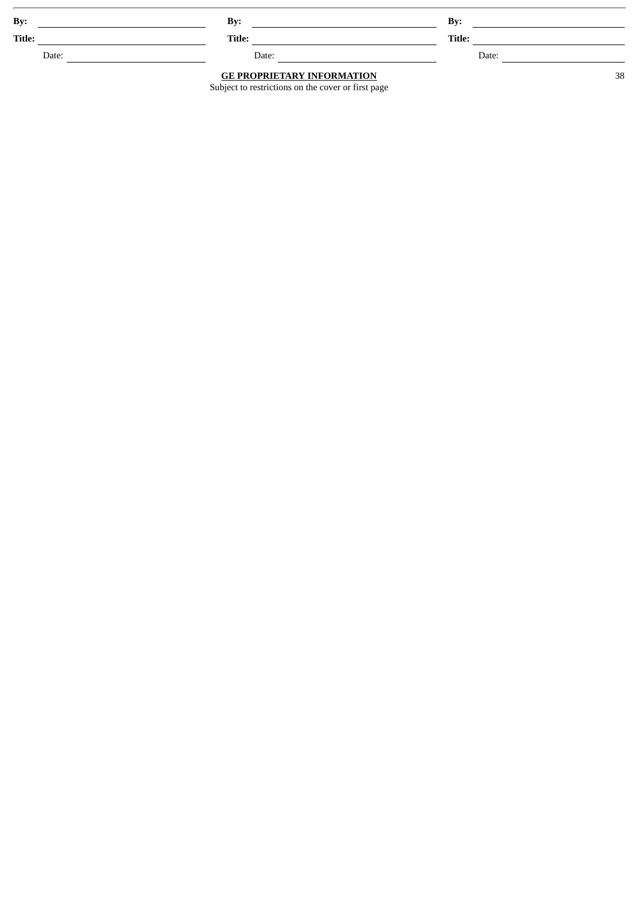| By:    | Bv:                               | Bv:    |    |
|--------|-----------------------------------|--------|----|
| Title: | Title:                            | Title: |    |
| Date:  | Date:                             | Date:  |    |
|        | <b>GE PROPRIETARY INFORMATION</b> |        | 38 |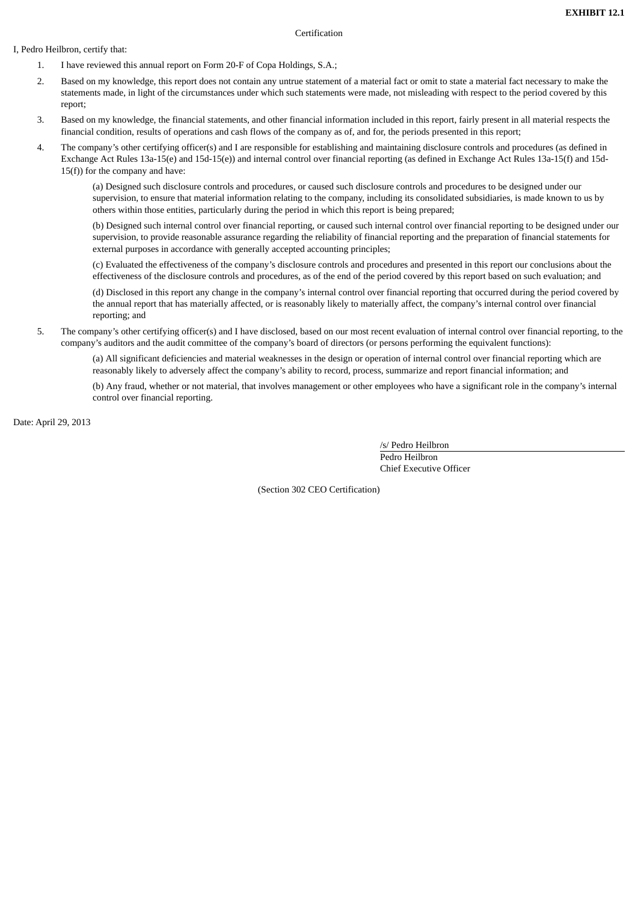#### Certification

#### I, Pedro Heilbron, certify that:

- 1. I have reviewed this annual report on Form 20-F of Copa Holdings, S.A.;
- 2. Based on my knowledge, this report does not contain any untrue statement of a material fact or omit to state a material fact necessary to make the statements made, in light of the circumstances under which such statements were made, not misleading with respect to the period covered by this report;
- 3. Based on my knowledge, the financial statements, and other financial information included in this report, fairly present in all material respects the financial condition, results of operations and cash flows of the company as of, and for, the periods presented in this report;
- 4. The company's other certifying officer(s) and I are responsible for establishing and maintaining disclosure controls and procedures (as defined in Exchange Act Rules 13a-15(e) and 15d-15(e)) and internal control over financial reporting (as defined in Exchange Act Rules 13a-15(f) and 15d-15(f)) for the company and have:

(a) Designed such disclosure controls and procedures, or caused such disclosure controls and procedures to be designed under our supervision, to ensure that material information relating to the company, including its consolidated subsidiaries, is made known to us by others within those entities, particularly during the period in which this report is being prepared;

(b) Designed such internal control over financial reporting, or caused such internal control over financial reporting to be designed under our supervision, to provide reasonable assurance regarding the reliability of financial reporting and the preparation of financial statements for external purposes in accordance with generally accepted accounting principles;

(c) Evaluated the effectiveness of the company's disclosure controls and procedures and presented in this report our conclusions about the effectiveness of the disclosure controls and procedures, as of the end of the period covered by this report based on such evaluation; and

(d) Disclosed in this report any change in the company's internal control over financial reporting that occurred during the period covered by the annual report that has materially affected, or is reasonably likely to materially affect, the company's internal control over financial reporting; and

5. The company's other certifying officer(s) and I have disclosed, based on our most recent evaluation of internal control over financial reporting, to the company's auditors and the audit committee of the company's board of directors (or persons performing the equivalent functions):

(a) All significant deficiencies and material weaknesses in the design or operation of internal control over financial reporting which are reasonably likely to adversely affect the company's ability to record, process, summarize and report financial information; and

(b) Any fraud, whether or not material, that involves management or other employees who have a significant role in the company's internal control over financial reporting.

Date: April 29, 2013

/s/ Pedro Heilbron Pedro Heilbron Chief Executive Officer

(Section 302 CEO Certification)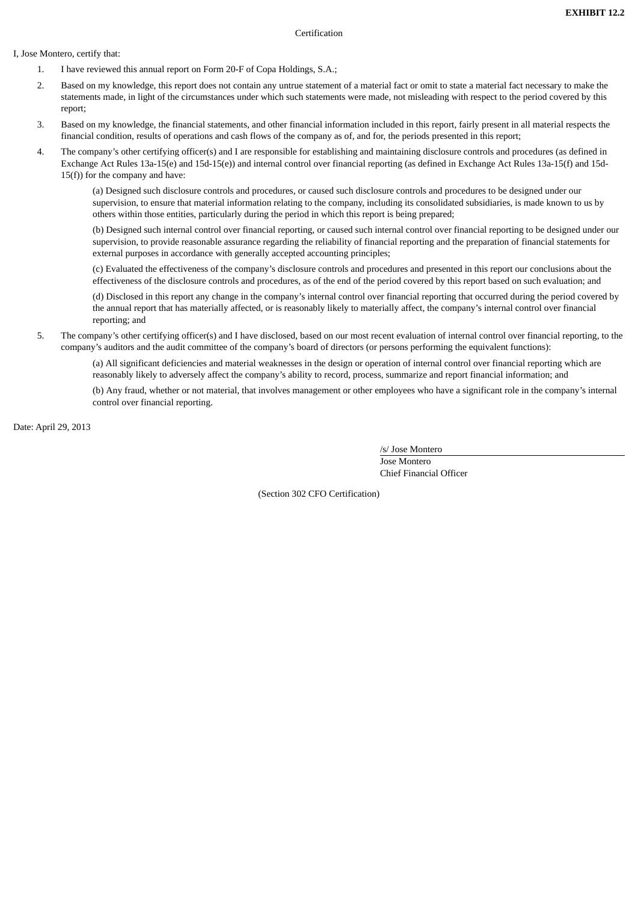I, Jose Montero, certify that:

- 1. I have reviewed this annual report on Form 20-F of Copa Holdings, S.A.;
- 2. Based on my knowledge, this report does not contain any untrue statement of a material fact or omit to state a material fact necessary to make the statements made, in light of the circumstances under which such statements were made, not misleading with respect to the period covered by this report;
- 3. Based on my knowledge, the financial statements, and other financial information included in this report, fairly present in all material respects the financial condition, results of operations and cash flows of the company as of, and for, the periods presented in this report;
- 4. The company's other certifying officer(s) and I are responsible for establishing and maintaining disclosure controls and procedures (as defined in Exchange Act Rules 13a-15(e) and 15d-15(e)) and internal control over financial reporting (as defined in Exchange Act Rules 13a-15(f) and 15d-15(f)) for the company and have:

(a) Designed such disclosure controls and procedures, or caused such disclosure controls and procedures to be designed under our supervision, to ensure that material information relating to the company, including its consolidated subsidiaries, is made known to us by others within those entities, particularly during the period in which this report is being prepared;

(b) Designed such internal control over financial reporting, or caused such internal control over financial reporting to be designed under our supervision, to provide reasonable assurance regarding the reliability of financial reporting and the preparation of financial statements for external purposes in accordance with generally accepted accounting principles;

(c) Evaluated the effectiveness of the company's disclosure controls and procedures and presented in this report our conclusions about the effectiveness of the disclosure controls and procedures, as of the end of the period covered by this report based on such evaluation; and

(d) Disclosed in this report any change in the company's internal control over financial reporting that occurred during the period covered by the annual report that has materially affected, or is reasonably likely to materially affect, the company's internal control over financial reporting; and

5. The company's other certifying officer(s) and I have disclosed, based on our most recent evaluation of internal control over financial reporting, to the company's auditors and the audit committee of the company's board of directors (or persons performing the equivalent functions):

(a) All significant deficiencies and material weaknesses in the design or operation of internal control over financial reporting which are reasonably likely to adversely affect the company's ability to record, process, summarize and report financial information; and

(b) Any fraud, whether or not material, that involves management or other employees who have a significant role in the company's internal control over financial reporting.

Date: April 29, 2013

/s/ Jose Montero Jose Montero Chief Financial Officer

(Section 302 CFO Certification)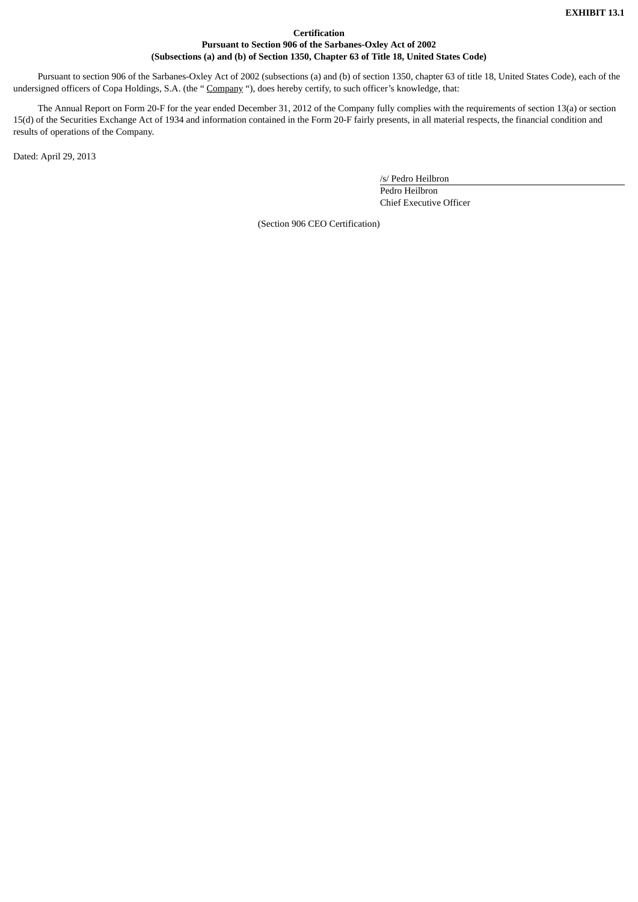#### **Certification Pursuant to Section 906 of the Sarbanes-Oxley Act of 2002 (Subsections (a) and (b) of Section 1350, Chapter 63 of Title 18, United States Code)**

Pursuant to section 906 of the Sarbanes-Oxley Act of 2002 (subsections (a) and (b) of section 1350, chapter 63 of title 18, United States Code), each of the undersigned officers of Copa Holdings, S.A. (the " Company "), does hereby certify, to such officer's knowledge, that:

The Annual Report on Form 20-F for the year ended December 31, 2012 of the Company fully complies with the requirements of section 13(a) or section 15(d) of the Securities Exchange Act of 1934 and information contained in the Form 20-F fairly presents, in all material respects, the financial condition and results of operations of the Company.

Dated: April 29, 2013

/s/ Pedro Heilbron

Pedro Heilbron Chief Executive Officer

(Section 906 CEO Certification)